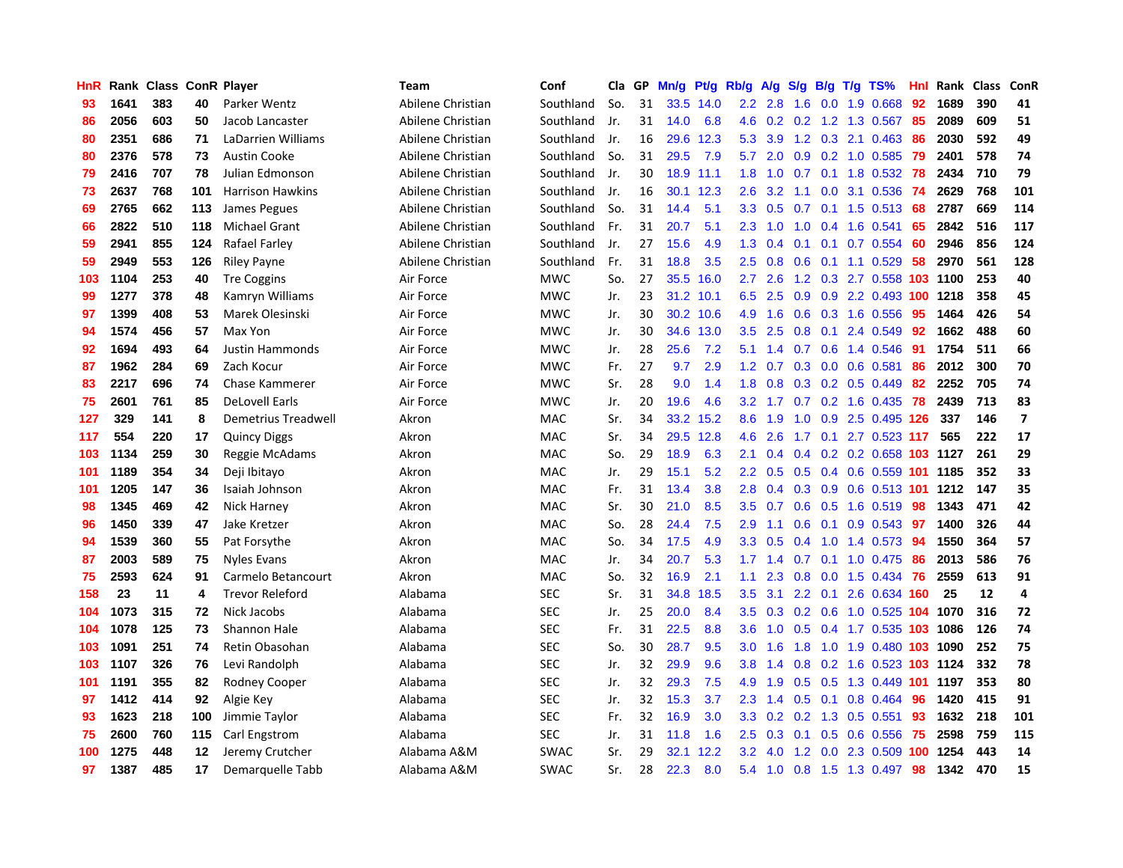| HnR |      | Rank Class ConR Player |     |                         | <b>Team</b>       | Conf        | Cla | GP | Mn/g | Pt/g | Rb/g             | A/g | S/g              | B/g | $T/g$ TS%                  | Hnl | Rank | <b>Class</b> | ConR                    |
|-----|------|------------------------|-----|-------------------------|-------------------|-------------|-----|----|------|------|------------------|-----|------------------|-----|----------------------------|-----|------|--------------|-------------------------|
| 93  | 1641 | 383                    | 40  | Parker Wentz            | Abilene Christian | Southland   | So. | 31 | 33.5 | 14.0 | $2.2\phantom{0}$ | 2.8 | 1.6              | 0.0 | 1.9 0.668                  | 92  | 1689 | 390          | 41                      |
| 86  | 2056 | 603                    | 50  | Jacob Lancaster         | Abilene Christian | Southland   | Jr. | 31 | 14.0 | 6.8  | 4.6              | 0.2 |                  |     | $0.2$ 1.2 1.3 0.567        | -85 | 2089 | 609          | 51                      |
| 80  | 2351 | 686                    | 71  | LaDarrien Williams      | Abilene Christian | Southland   | Jr. | 16 | 29.6 | 12.3 | 5.3              | 3.9 |                  |     | 1.2 0.3 2.1 0.463 86       |     | 2030 | 592          | 49                      |
| 80  | 2376 | 578                    | 73  | Austin Cooke            | Abilene Christian | Southland   | So. | 31 | 29.5 | 7.9  | 5.7              | 2.0 | 0.9              |     | $0.2$ 1.0 $0.585$          | -79 | 2401 | 578          | 74                      |
| 79  | 2416 | 707                    | 78  | Julian Edmonson         | Abilene Christian | Southland   | Jr. | 30 | 18.9 | 11.1 | 1.8              | 1.0 | 0.7              |     | 0.1 1.8 0.532 78           |     | 2434 | 710          | 79                      |
| 73  | 2637 | 768                    | 101 | <b>Harrison Hawkins</b> | Abilene Christian | Southland   | Jr. | 16 | 30.1 | 12.3 | $2.6\,$          | 3.2 | 1.1              |     | 0.0 3.1 0.536              | -74 | 2629 | 768          | 101                     |
| 69  | 2765 | 662                    | 113 | James Pegues            | Abilene Christian | Southland   | So. | 31 | 14.4 | 5.1  | 3.3              | 0.5 | 0.7              |     | $0.1$ 1.5 0.513            | 68  | 2787 | 669          | 114                     |
| 66  | 2822 | 510                    | 118 | <b>Michael Grant</b>    | Abilene Christian | Southland   | Fr. | 31 | 20.7 | 5.1  | 2.3              | 1.0 | 1.0              |     | 0.4 1.6 0.541              | 65  | 2842 | 516          | 117                     |
| 59  | 2941 | 855                    | 124 | Rafael Farley           | Abilene Christian | Southland   | Jr. | 27 | 15.6 | 4.9  | 1.3              | 0.4 | 0.1              | 0.1 | 0.7 0.554                  | 60  | 2946 | 856          | 124                     |
| 59  | 2949 | 553                    | 126 | <b>Riley Payne</b>      | Abilene Christian | Southland   | Fr. | 31 | 18.8 | 3.5  | 2.5              | 0.8 | 0.6              |     | $0.1$ 1.1 0.529            | 58  | 2970 | 561          | 128                     |
| 103 | 1104 | 253                    | 40  | <b>Tre Coggins</b>      | Air Force         | <b>MWC</b>  | So. | 27 | 35.5 | 16.0 | $2.7^{\circ}$    | 2.6 |                  |     | 1.2 0.3 2.7 0.558 103 1100 |     |      | 253          | 40                      |
| 99  | 1277 | 378                    | 48  | Kamryn Williams         | Air Force         | <b>MWC</b>  | Jr. | 23 | 31.2 | 10.1 | 6.5              | 2.5 |                  |     | 0.9 0.9 2.2 0.493 100 1218 |     |      | 358          | 45                      |
| 97  | 1399 | 408                    | 53  | Marek Olesinski         | Air Force         | <b>MWC</b>  | Jr. | 30 | 30.2 | 10.6 | 4.9              | 1.6 | 0.6              |     | 0.3 1.6 0.556              | -95 | 1464 | 426          | 54                      |
| 94  | 1574 | 456                    | 57  | Max Yon                 | Air Force         | <b>MWC</b>  | Jr. | 30 | 34.6 | 13.0 | 3.5              | 2.5 | 0.8              | 0.1 | 2.4 0.549                  | 92  | 1662 | 488          | 60                      |
| 92  | 1694 | 493                    | 64  | Justin Hammonds         | Air Force         | <b>MWC</b>  | Jr. | 28 | 25.6 | 7.2  | 5.1              | 1.4 | 0.7              |     | 0.6 1.4 0.546              | -91 | 1754 | 511          | 66                      |
| 87  | 1962 | 284                    | 69  | Zach Kocur              | Air Force         | <b>MWC</b>  | Fr. | 27 | 9.7  | 2.9  | 1.2              | 0.7 | 0.3              |     | $0.0$ 0.6 0.581            | 86  | 2012 | 300          | 70                      |
| 83  | 2217 | 696                    | 74  | Chase Kammerer          | Air Force         | MWC         | Sr. | 28 | 9.0  | 1.4  | 1.8              | 0.8 | 0.3 <sub>0</sub> |     | $0.2$ 0.5 0.449            | 82  | 2252 | 705          | 74                      |
| 75  | 2601 | 761                    | 85  | <b>DeLovell Earls</b>   | Air Force         | <b>MWC</b>  | Jr. | 20 | 19.6 | 4.6  | 3.2              | 1.7 | 0.7              |     | $0.2$ 1.6 0.435            | 78  | 2439 | 713          | 83                      |
| 127 | 329  | 141                    | 8   | Demetrius Treadwell     | Akron             | MAC         | Sr. | 34 | 33.2 | 15.2 | 8.6              | 1.9 | 1.0              |     | 0.9 2.5 0.495 126          |     | 337  | 146          | $\overline{\mathbf{z}}$ |
| 117 | 554  | 220                    | 17  | <b>Quincy Diggs</b>     | Akron             | MAC         | Sr. | 34 | 29.5 | 12.8 | 4.6              | 2.6 |                  |     | 1.7 0.1 2.7 0.523 117      |     | 565  | 222          | 17                      |
| 103 | 1134 | 259                    | 30  | Reggie McAdams          | Akron             | MAC         | So. | 29 | 18.9 | 6.3  | 2.1              | 0.4 | 0.4              |     | 0.2 0.2 0.658 103 1127     |     |      | 261          | 29                      |
| 101 | 1189 | 354                    | 34  | Deji Ibitayo            | Akron             | MAC         | Jr. | 29 | 15.1 | 5.2  | 2.2              | 0.5 | 0.5              |     | 0.4 0.6 0.559 101 1185     |     |      | 352          | 33                      |
| 101 | 1205 | 147                    | 36  | Isaiah Johnson          | Akron             | MAC         | Fr. | 31 | 13.4 | 3.8  | 2.8              | 0.4 | 0.3              |     | $0.9$ 0.6 0.513 101        |     | 1212 | 147          | 35                      |
| 98  | 1345 | 469                    | 42  | Nick Harney             | Akron             | <b>MAC</b>  | Sr. | 30 | 21.0 | 8.5  | 3.5              | 0.7 | 0.6              |     | $0.5$ 1.6 0.519            | 98  | 1343 | 471          | 42                      |
| 96  | 1450 | 339                    | 47  | Jake Kretzer            | Akron             | <b>MAC</b>  | So. | 28 | 24.4 | 7.5  | 2.9              | 1.1 | 0.6              | 0.1 | $0.9$ 0.543                | -97 | 1400 | 326          | 44                      |
| 94  | 1539 | 360                    | 55  | Pat Forsythe            | Akron             | <b>MAC</b>  | So. | 34 | 17.5 | 4.9  | 3.3 <sub>2</sub> | 0.5 | $0.4^{\circ}$    |     | 1.0 1.4 0.573              | -94 | 1550 | 364          | 57                      |
| 87  | 2003 | 589                    | 75  | Nyles Evans             | Akron             | <b>MAC</b>  | Jr. | 34 | 20.7 | 5.3  | 1.7              | 1.4 | 0.7              |     | $0.1$ 1.0 0.475            | -86 | 2013 | 586          | 76                      |
| 75  | 2593 | 624                    | 91  | Carmelo Betancourt      | Akron             | <b>MAC</b>  | So. | 32 | 16.9 | 2.1  | 1.1              | 2.3 |                  |     | 0.8 0.0 1.5 0.434 76       |     | 2559 | 613          | 91                      |
| 158 | 23   | 11                     | 4   | <b>Trevor Releford</b>  | Alabama           | <b>SEC</b>  | Sr. | 31 | 34.8 | 18.5 | 3.5              | 3.1 |                  |     | 2.2 0.1 2.6 0.634 160      |     | 25   | 12           | 4                       |
| 104 | 1073 | 315                    | 72  | Nick Jacobs             | Alabama           | <b>SEC</b>  | Jr. | 25 | 20.0 | 8.4  | 3.5              | 0.3 | 0.2              |     | 0.6 1.0 0.525 104 1070     |     |      | 316          | 72                      |
| 104 | 1078 | 125                    | 73  | Shannon Hale            | Alabama           | <b>SEC</b>  | Fr. | 31 | 22.5 | 8.8  | 3.6              | 1.0 | 0.5              |     | 0.4 1.7 0.535 103 1086     |     |      | 126          | 74                      |
| 103 | 1091 | 251                    | 74  | Retin Obasohan          | Alabama           | <b>SEC</b>  | So. | 30 | 28.7 | 9.5  | 3.0              | 1.6 | 1.8              |     | 1.0 1.9 0.480 103          |     | 1090 | 252          | 75                      |
| 103 | 1107 | 326                    | 76  | Levi Randolph           | Alabama           | <b>SEC</b>  | Jr. | 32 | 29.9 | 9.6  | 3.8              | 1.4 | 0.8              |     | 0.2 1.6 0.523 103 1124     |     |      | 332          | 78                      |
| 101 | 1191 | 355                    | 82  | Rodney Cooper           | Alabama           | <b>SEC</b>  | Jr. | 32 | 29.3 | 7.5  | 4.9              | 1.9 | 0.5              |     | $0.5$ 1.3 0.449 101        |     | 1197 | 353          | 80                      |
| 97  | 1412 | 414                    | 92  | Algie Key               | Alabama           | <b>SEC</b>  | Jr. | 32 | 15.3 | 3.7  | 2.3              | 1.4 | 0.5              |     | $0.1$ 0.8 0.464            | 96  | 1420 | 415          | 91                      |
| 93  | 1623 | 218                    | 100 | Jimmie Taylor           | Alabama           | <b>SEC</b>  | Fr. | 32 | 16.9 | 3.0  | 3.3 <sub>2</sub> | 0.2 |                  |     | $0.2$ 1.3 0.5 0.551        | 93  | 1632 | 218          | 101                     |
| 75  | 2600 | 760                    | 115 | Carl Engstrom           | Alabama           | <b>SEC</b>  | Jr. | 31 | 11.8 | 1.6  | $2.5\,$          | 0.3 | 0.1              |     | 0.5 0.6 0.556              | -75 | 2598 | 759          | 115                     |
| 100 | 1275 | 448                    | 12  | Jeremy Crutcher         | Alabama A&M       | <b>SWAC</b> | Sr. | 29 | 32.1 | 12.2 | 3.2              | 4.0 | 1.2              |     | $0.0$ 2.3 $0.509$ 100      |     | 1254 | 443          | 14                      |
| 97  | 1387 | 485                    | 17  | Demarquelle Tabb        | Alabama A&M       | <b>SWAC</b> | Sr. | 28 | 22.3 | 8.0  | 5.4              | 1.0 |                  |     | 0.8 1.5 1.3 0.497          | 98  | 1342 | 470          | 15                      |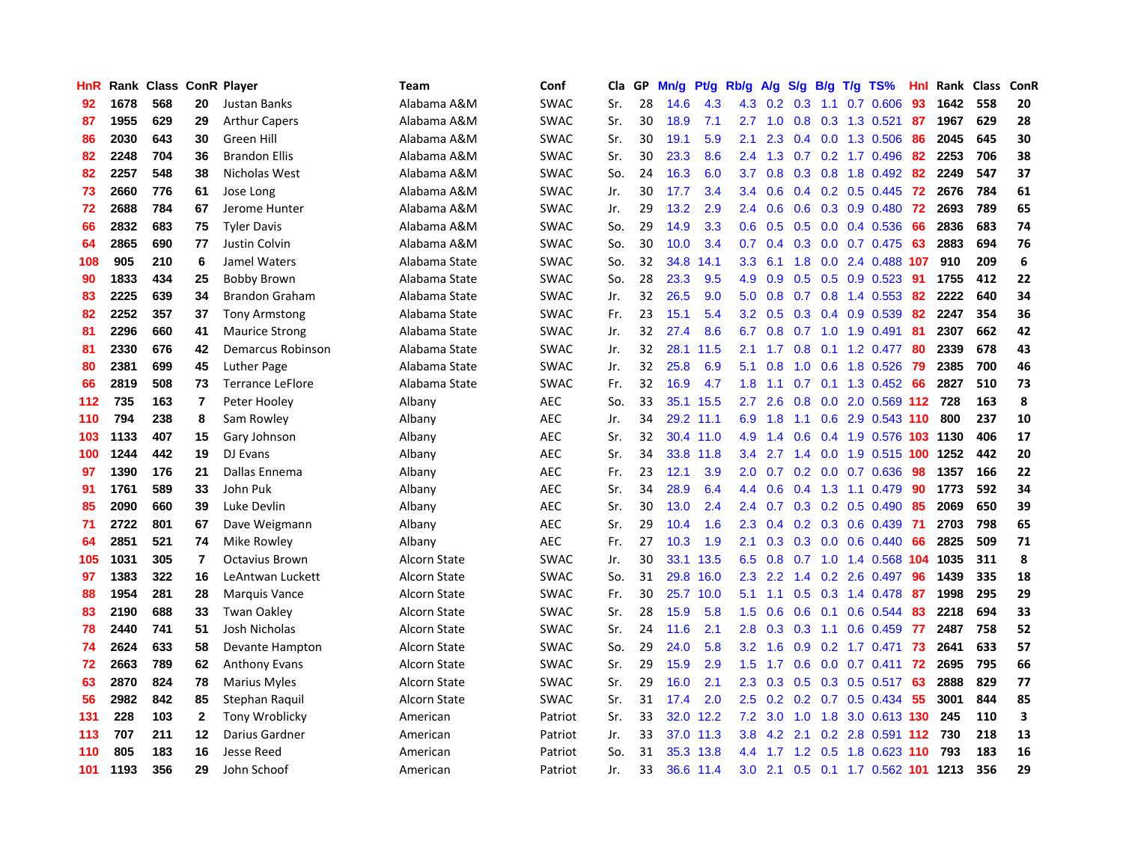| <b>HnR</b> |      | Rank Class |              | <b>ConR Player</b>      | Team          | Conf        | Cla | GР | Mn/g | Pt/g      | Rb/g             | A/g | S/g              | B/g | $T/g$ TS%                  | Hnl | Rank | <b>Class</b> | ConR |
|------------|------|------------|--------------|-------------------------|---------------|-------------|-----|----|------|-----------|------------------|-----|------------------|-----|----------------------------|-----|------|--------------|------|
| 92         | 1678 | 568        | 20           | <b>Justan Banks</b>     | Alabama A&M   | <b>SWAC</b> | Sr. | 28 | 14.6 | 4.3       | 4.3              | 0.2 | 0.3              | 1.1 | $0.7 \quad 0.606$          | 93  | 1642 | 558          | 20   |
| 87         | 1955 | 629        | 29           | <b>Arthur Capers</b>    | Alabama A&M   | <b>SWAC</b> | Sr. | 30 | 18.9 | 7.1       | $2.7^{\circ}$    | 1.0 | 0.8              |     | 0.3 1.3 0.521              | -87 | 1967 | 629          | 28   |
| 86         | 2030 | 643        | 30           | Green Hill              | Alabama A&M   | <b>SWAC</b> | Sr. | 30 | 19.1 | 5.9       | 2.1              | 2.3 |                  |     | $0.4$ 0.0 1.3 0.506        | -86 | 2045 | 645          | 30   |
| 82         | 2248 | 704        | 36           | <b>Brandon Ellis</b>    | Alabama A&M   | <b>SWAC</b> | Sr. | 30 | 23.3 | 8.6       | $2.4^{\circ}$    | 1.3 |                  |     | $0.7$ $0.2$ 1.7 $0.496$    | 82  | 2253 | 706          | 38   |
| 82         | 2257 | 548        | 38           | Nicholas West           | Alabama A&M   | <b>SWAC</b> | So. | 24 | 16.3 | 6.0       | 3.7              | 0.8 | 0.3 <sub>0</sub> |     | 0.8 1.8 0.492              | 82  | 2249 | 547          | 37   |
| 73         | 2660 | 776        | 61           | Jose Long               | Alabama A&M   | SWAC        | Jr. | 30 | 17.7 | 3.4       | 3.4              | 0.6 |                  |     | $0.4$ 0.2 0.5 0.445        | 72  | 2676 | 784          | 61   |
| 72         | 2688 | 784        | 67           | Jerome Hunter           | Alabama A&M   | <b>SWAC</b> | Jr. | 29 | 13.2 | 2.9       | 2.4              | 0.6 | 0.6              |     | 0.3 0.9 0.480              | 72  | 2693 | 789          | 65   |
| 66         | 2832 | 683        | 75           | <b>Tyler Davis</b>      | Alabama A&M   | <b>SWAC</b> | So. | 29 | 14.9 | 3.3       | 0.6              | 0.5 | 0.5              |     | $0.0$ 0.4 0.536            | -66 | 2836 | 683          | 74   |
| 64         | 2865 | 690        | 77           | Justin Colvin           | Alabama A&M   | <b>SWAC</b> | So. | 30 | 10.0 | 3.4       | 0.7              | 0.4 | 0.3              |     | $0.0$ 0.7 0.475            | 63  | 2883 | 694          | 76   |
| 108        | 905  | 210        | 6            | Jamel Waters            | Alabama State | <b>SWAC</b> | So. | 32 | 34.8 | 14.1      | 3.3 <sub>2</sub> | 6.1 |                  |     | 1.8 0.0 2.4 0.488 107      |     | 910  | 209          | 6    |
| 90         | 1833 | 434        | 25           | <b>Bobby Brown</b>      | Alabama State | <b>SWAC</b> | So. | 28 | 23.3 | 9.5       | 4.9              | 0.9 |                  |     | 0.5 0.5 0.9 0.523 91       |     | 1755 | 412          | 22   |
| 83         | 2225 | 639        | 34           | <b>Brandon Graham</b>   | Alabama State | <b>SWAC</b> | Jr. | 32 | 26.5 | 9.0       | 5.0              | 0.8 |                  |     | $0.7$ $0.8$ 1.4 $0.553$    | -82 | 2222 | 640          | 34   |
| 82         | 2252 | 357        | 37           | <b>Tony Armstong</b>    | Alabama State | <b>SWAC</b> | Fr. | 23 | 15.1 | 5.4       | 3.2              | 0.5 | 0.3              |     | 0.4 0.9 0.539              | 82  | 2247 | 354          | 36   |
| 81         | 2296 | 660        | 41           | <b>Maurice Strong</b>   | Alabama State | <b>SWAC</b> | Jr. | 32 | 27.4 | 8.6       | 6.7              | 0.8 | 0.7              |     | 1.0 1.9 0.491              | -81 | 2307 | 662          | 42   |
| 81         | 2330 | 676        | 42           | Demarcus Robinson       | Alabama State | <b>SWAC</b> | Jr. | 32 | 28.1 | 11.5      | 2.1              | 1.7 | 0.8              | 0.1 | 1.2 0.477                  | -80 | 2339 | 678          | 43   |
| 80         | 2381 | 699        | 45           | Luther Page             | Alabama State | <b>SWAC</b> | Jr. | 32 | 25.8 | 6.9       | 5.1              | 0.8 | 1.0              |     | $0.6$ 1.8 $0.526$          | 79  | 2385 | 700          | 46   |
| 66         | 2819 | 508        | 73           | <b>Terrance LeFlore</b> | Alabama State | <b>SWAC</b> | Fr. | 32 | 16.9 | 4.7       | 1.8              | 1.1 | 0.7              |     | 0.1 1.3 0.452              | -66 | 2827 | 510          | 73   |
| 112        | 735  | 163        | 7            | Peter Hooley            | Albany        | <b>AEC</b>  | So. | 33 | 35.1 | 15.5      | $2.7^{\circ}$    | 2.6 | 0.8              |     | $0.0$ 2.0 0.569 112        |     | 728  | 163          | 8    |
| 110        | 794  | 238        | 8            | Sam Rowley              | Albany        | <b>AEC</b>  | Jr. | 34 |      | 29.2 11.1 | 6.9              | 1.8 |                  |     | 1.1 0.6 2.9 0.543 110      |     | 800  | 237          | 10   |
| 103        | 1133 | 407        | 15           | Gary Johnson            | Albany        | <b>AEC</b>  | Sr. | 32 |      | 30.4 11.0 | 4.9              | 1.4 | 0.6              |     | 0.4 1.9 0.576 103 1130     |     |      | 406          | 17   |
| 100        | 1244 | 442        | 19           | DJ Evans                | Albany        | AEC         | Sr. | 34 | 33.8 | 11.8      | $3.4^{\circ}$    | 2.7 | $1.4^{\circ}$    |     | 0.0 1.9 0.515 100 1252     |     |      | 442          | 20   |
| 97         | 1390 | 176        | 21           | Dallas Ennema           | Albany        | <b>AEC</b>  | Fr. | 23 | 12.1 | 3.9       | 2.0              | 0.7 |                  |     | 0.2 0.0 0.7 0.636          | 98  | 1357 | 166          | 22   |
| 91         | 1761 | 589        | 33           | John Puk                | Albany        | <b>AEC</b>  | Sr. | 34 | 28.9 | 6.4       | 4.4              | 0.6 | 0.4              |     | 1.3 1.1 0.479              | 90  | 1773 | 592          | 34   |
| 85         | 2090 | 660        | 39           | Luke Devlin             | Albany        | <b>AEC</b>  | Sr. | 30 | 13.0 | 2.4       | 2.4              | 0.7 | 0.3              |     | $0.2$ 0.5 0.490            | 85  | 2069 | 650          | 39   |
| 71         | 2722 | 801        | 67           | Dave Weigmann           | Albany        | <b>AEC</b>  | Sr. | 29 | 10.4 | 1.6       | 2.3              | 0.4 | 0.2              |     | 0.3 0.6 0.439              | -71 | 2703 | 798          | 65   |
| 64         | 2851 | 521        | 74           | Mike Rowley             | Albany        | <b>AEC</b>  | Fr. | 27 | 10.3 | 1.9       | 2.1              | 0.3 |                  |     | $0.3$ 0.0 0.6 0.440        | -66 | 2825 | 509          | 71   |
| 105        | 1031 | 305        | 7            | <b>Octavius Brown</b>   | Alcorn State  | <b>SWAC</b> | Jr. | 30 | 33.1 | 13.5      | 6.5              | 0.8 |                  |     | 0.7 1.0 1.4 0.568 104 1035 |     |      | 311          | 8    |
| 97         | 1383 | 322        | 16           | LeAntwan Luckett        | Alcorn State  | <b>SWAC</b> | So. | 31 | 29.8 | 16.0      | 2.3              | 2.2 |                  |     | 1.4 0.2 2.6 0.497 96       |     | 1439 | 335          | 18   |
| 88         | 1954 | 281        | 28           | Marquis Vance           | Alcorn State  | SWAC        | Fr. | 30 | 25.7 | 10.0      | 5.1              | 1.1 | 0.5              |     | 0.3 1.4 0.478 87           |     | 1998 | 295          | 29   |
| 83         | 2190 | 688        | 33           | <b>Twan Oakley</b>      | Alcorn State  | <b>SWAC</b> | Sr. | 28 | 15.9 | 5.8       | 1.5              | 0.6 | 0.6              | 0.1 | 0.6 0.544                  | -83 | 2218 | 694          | 33   |
| 78         | 2440 | 741        | 51           | Josh Nicholas           | Alcorn State  | <b>SWAC</b> | Sr. | 24 | 11.6 | 2.1       | 2.8              | 0.3 | 0.3              | 1.1 | $0.6$ 0.459                | 77  | 2487 | 758          | 52   |
| 74         | 2624 | 633        | 58           | Devante Hampton         | Alcorn State  | <b>SWAC</b> | So. | 29 | 24.0 | 5.8       | 3.2 <sub>2</sub> | 1.6 | 0.9              |     | $0.2$ 1.7 $0.471$          | 73  | 2641 | 633          | 57   |
| 72         | 2663 | 789        | 62           | Anthony Evans           | Alcorn State  | <b>SWAC</b> | Sr. | 29 | 15.9 | 2.9       | 1.5              | 1.7 | 0.6              |     | $0.0$ 0.7 0.411            | 72  | 2695 | 795          | 66   |
| 63         | 2870 | 824        | 78           | Marius Myles            | Alcorn State  | <b>SWAC</b> | Sr. | 29 | 16.0 | 2.1       | $2.3^{\circ}$    | 0.3 | 0.5              |     | 0.3 0.5 0.517 63           |     | 2888 | 829          | 77   |
| 56         | 2982 | 842        | 85           | Stephan Raquil          | Alcorn State  | <b>SWAC</b> | Sr. | 31 | 17.4 | 2.0       | 2.5              | 0.2 |                  |     | 0.2 0.7 0.5 0.434 55       |     | 3001 | 844          | 85   |
| 131        | 228  | 103        | $\mathbf{2}$ | Tony Wroblicky          | American      | Patriot     | Sr. | 33 | 32.0 | 12.2      | 7.2              | 3.0 | 1.0              |     | 1.8 3.0 0.613 130          |     | 245  | 110          | 3    |
| 113        | 707  | 211        | 12           | Darius Gardner          | American      | Patriot     | Jr. | 33 |      | 37.0 11.3 | 3.8              | 4.2 | 2.1              |     | $0.2$ 2.8 $0.591$ 112      |     | 730  | 218          | 13   |
| 110        | 805  | 183        | 16           | <b>Jesse Reed</b>       | American      | Patriot     | So. | 31 | 35.3 | 13.8      | 4.4              | 1.7 | 1.2              | 0.5 | 1.8 0.623 110              |     | 793  | 183          | 16   |
| 101        | 1193 | 356        | 29           | John Schoof             | American      | Patriot     | Jr. | 33 |      | 36.6 11.4 | 3.0 <sub>2</sub> | 2.1 |                  |     | 0.5 0.1 1.7 0.562 101 1213 |     |      | 356          | 29   |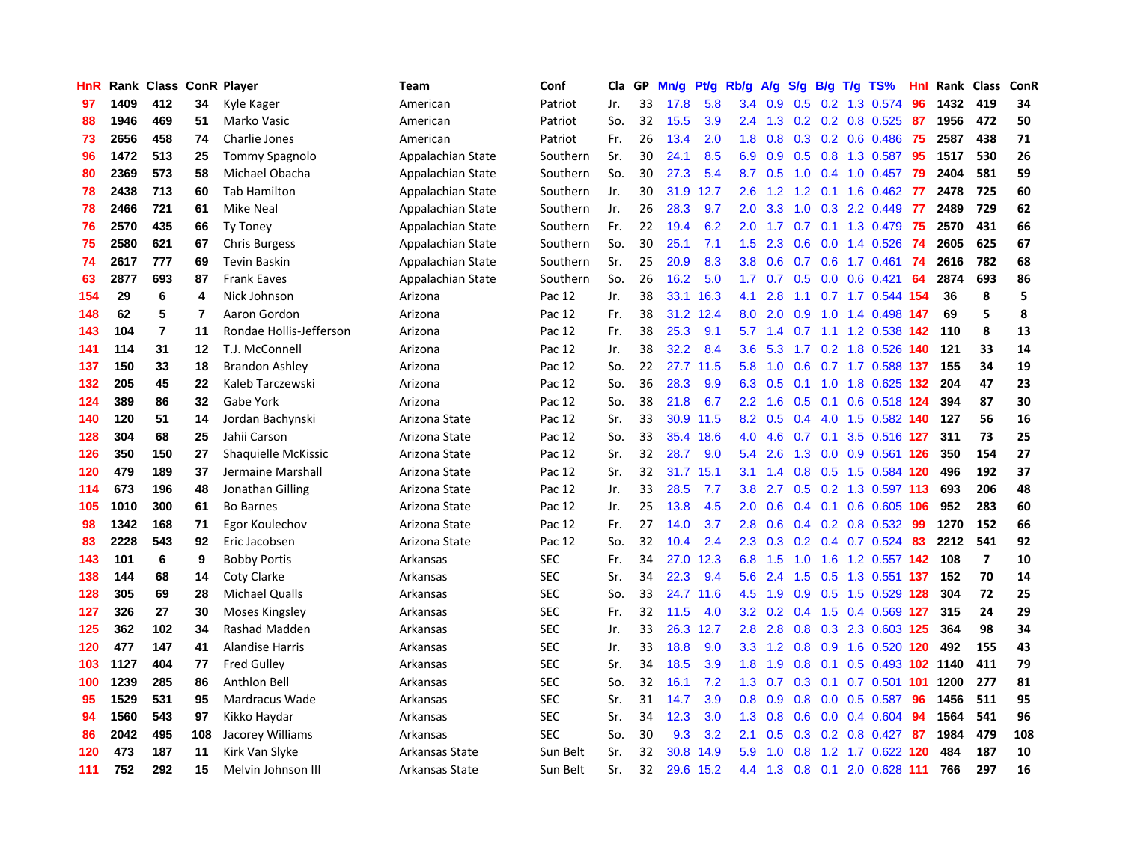| HnR |      | Rank Class ConR Player |     |                         | Team              | Conf       | Cla | GP | Mn/g | Pt/g | Rb/g          | A/g | S/g              | B/g | $T/g$ TS%                      | Hnl | Rank Class |                         | ConR |
|-----|------|------------------------|-----|-------------------------|-------------------|------------|-----|----|------|------|---------------|-----|------------------|-----|--------------------------------|-----|------------|-------------------------|------|
| 97  | 1409 | 412                    | 34  | Kyle Kager              | American          | Patriot    | Jr. | 33 | 17.8 | 5.8  | 3.4           | 0.9 | 0.5              |     | 0.2 1.3 0.574                  | 96  | 1432       | 419                     | 34   |
| 88  | 1946 | 469                    | 51  | Marko Vasic             | American          | Patriot    | So. | 32 | 15.5 | 3.9  | $2.4^{\circ}$ | 1.3 |                  |     | $0.2$ 0.2 0.8 0.525 87         |     | 1956       | 472                     | 50   |
| 73  | 2656 | 458                    | 74  | Charlie Jones           | American          | Patriot    | Fr. | 26 | 13.4 | 2.0  | 1.8           | 0.8 |                  |     | 0.3 0.2 0.6 0.486 75           |     | 2587       | 438                     | 71   |
| 96  | 1472 | 513                    | 25  | Tommy Spagnolo          | Appalachian State | Southern   | Sr. | 30 | 24.1 | 8.5  | 6.9           | 0.9 |                  |     | $0.5$ 0.8 1.3 0.587            | -95 | 1517       | 530                     | 26   |
| 80  | 2369 | 573                    | 58  | Michael Obacha          | Appalachian State | Southern   | So. | 30 | 27.3 | 5.4  | 8.7           | 0.5 | 1.0              |     | 0.4 1.0 0.457                  | 79  | 2404       | 581                     | 59   |
| 78  | 2438 | 713                    | 60  | <b>Tab Hamilton</b>     | Appalachian State | Southern   | Jr. | 30 | 31.9 | 12.7 | 2.6           | 1.2 | 1.2              |     | $0.1$ 1.6 0.462                | -77 | 2478       | 725                     | 60   |
| 78  | 2466 | 721                    | 61  | Mike Neal               | Appalachian State | Southern   | Jr. | 26 | 28.3 | 9.7  | 2.0           | 3.3 | 1.0              |     | 0.3 2.2 0.449                  | 77  | 2489       | 729                     | 62   |
| 76  | 2570 | 435                    | 66  | <b>Ty Toney</b>         | Appalachian State | Southern   | Fr. | 22 | 19.4 | 6.2  | 2.0           | 1.7 | 0.7              |     | 0.1 1.3 0.479                  | 75  | 2570       | 431                     | 66   |
| 75  | 2580 | 621                    | 67  | <b>Chris Burgess</b>    | Appalachian State | Southern   | So. | 30 | 25.1 | 7.1  | 1.5           | 2.3 | 0.6              |     | $0.0$ 1.4 $0.526$              | 74  | 2605       | 625                     | 67   |
| 74  | 2617 | 777                    | 69  | <b>Tevin Baskin</b>     | Appalachian State | Southern   | Sr. | 25 | 20.9 | 8.3  | 3.8           | 0.6 | 0.7              |     | $0.6$ 1.7 0.461                | -74 | 2616       | 782                     | 68   |
| 63  | 2877 | 693                    | 87  | <b>Frank Eaves</b>      | Appalachian State | Southern   | So. | 26 | 16.2 | 5.0  | 1.7           | 0.7 |                  |     | 0.5 0.0 0.6 0.421              | 64  | 2874       | 693                     | 86   |
| 154 | 29   | 6                      | 4   | Nick Johnson            | Arizona           | Pac 12     | Jr. | 38 | 33.1 | 16.3 | 4.1           | 2.8 |                  |     | 1.1 0.7 1.7 0.544 154          |     | 36         | 8                       | 5    |
| 148 | 62   | 5                      | 7   | Aaron Gordon            | Arizona           | Pac 12     | Fr. | 38 | 31.2 | 12.4 | 8.0           | 2.0 |                  |     | 0.9 1.0 1.4 0.498 147          |     | 69         | 5                       | 8    |
| 143 | 104  | 7                      | 11  | Rondae Hollis-Jefferson | Arizona           | Pac 12     | Fr. | 38 | 25.3 | 9.1  | 5.7           | 1.4 | 0.7              |     | 1.1 1.2 0.538 142              |     | 110        | 8                       | 13   |
| 141 | 114  | 31                     | 12  | T.J. McConnell          | Arizona           | Pac 12     | Jr. | 38 | 32.2 | 8.4  | 3.6           | 5.3 | 1.7              |     | 0.2 1.8 0.526 140              |     | 121        | 33                      | 14   |
| 137 | 150  | 33                     | 18  | <b>Brandon Ashley</b>   | Arizona           | Pac 12     | So. | 22 | 27.7 | 11.5 | 5.8           | 1.0 | 0.6              |     | 0.7 1.7 0.588 137              |     | 155        | 34                      | 19   |
| 132 | 205  | 45                     | 22  | Kaleb Tarczewski        | Arizona           | Pac 12     | So. | 36 | 28.3 | 9.9  | 6.3           | 0.5 |                  |     | 0.1 1.0 1.8 0.625 132          |     | 204        | 47                      | 23   |
| 124 | 389  | 86                     | 32  | Gabe York               | Arizona           | Pac 12     | So. | 38 | 21.8 | 6.7  | 2.2           | 1.6 | 0.5              | 0.1 | 0.6 0.518 124                  |     | 394        | 87                      | 30   |
| 140 | 120  | 51                     | 14  | Jordan Bachynski        | Arizona State     | Pac 12     | Sr. | 33 | 30.9 | 11.5 | 8.2           | 0.5 |                  |     | 0.4 4.0 1.5 0.582 140 127      |     |            | 56                      | 16   |
| 128 | 304  | 68                     | 25  | Jahii Carson            | Arizona State     | Pac 12     | So. | 33 | 35.4 | 18.6 | 4.0           | 4.6 |                  |     | 0.7 0.1 3.5 0.516 127          |     | 311        | 73                      | 25   |
| 126 | 350  | 150                    | 27  | Shaquielle McKissic     | Arizona State     | Pac 12     | Sr. | 32 | 28.7 | 9.0  | 5.4           | 2.6 | 1.3              |     | $0.0$ $0.9$ $0.561$ <b>126</b> |     | 350        | 154                     | 27   |
| 120 | 479  | 189                    | 37  | Jermaine Marshall       | Arizona State     | Pac 12     | Sr. | 32 | 31.7 | 15.1 | 3.1           | 1.4 | 0.8              |     | 0.5 1.5 0.584 120              |     | 496        | 192                     | 37   |
| 114 | 673  | 196                    | 48  | Jonathan Gilling        | Arizona State     | Pac 12     | Jr. | 33 | 28.5 | 7.7  | 3.8           | 2.7 | 0.5              |     | 0.2 1.3 0.597 113              |     | 693        | 206                     | 48   |
| 105 | 1010 | 300                    | 61  | <b>Bo Barnes</b>        | Arizona State     | Pac 12     | Jr. | 25 | 13.8 | 4.5  | 2.0           | 0.6 | $0.4^{\circ}$    | 0.1 | 0.6 0.605 106                  |     | 952        | 283                     | 60   |
| 98  | 1342 | 168                    | 71  | Egor Koulechov          | Arizona State     | Pac 12     | Fr. | 27 | 14.0 | 3.7  | 2.8           | 0.6 | 0.4              |     | $0.2$ 0.8 0.532                | -99 | 1270       | 152                     | 66   |
| 83  | 2228 | 543                    | 92  | Eric Jacobsen           | Arizona State     | Pac 12     | So. | 32 | 10.4 | 2.4  | 2.3           | 0.3 | 0.2              |     | $0.4$ 0.7 0.524                | 83  | 2212       | 541                     | 92   |
| 143 | 101  | 6                      | 9   | <b>Bobby Portis</b>     | Arkansas          | <b>SEC</b> | Fr. | 34 | 27.0 | 12.3 | 6.8           | 1.5 |                  |     | 1.0 1.6 1.2 0.557 142 108      |     |            | $\overline{\mathbf{z}}$ | 10   |
| 138 | 144  | 68                     | 14  | Coty Clarke             | Arkansas          | <b>SEC</b> | Sr. | 34 | 22.3 | 9.4  | 5.6           | 2.4 | 1.5              |     | 0.5 1.3 0.551 137 152          |     |            | 70                      | 14   |
| 128 | 305  | 69                     | 28  | Michael Qualls          | Arkansas          | <b>SEC</b> | So. | 33 | 24.7 | 11.6 | 4.5           | 1.9 | 0.9              |     | 0.5 1.5 0.529 128              |     | 304        | 72                      | 25   |
| 127 | 326  | 27                     | 30  | Moses Kingsley          | Arkansas          | <b>SEC</b> | Fr. | 32 | 11.5 | 4.0  | 3.2           | 0.2 | 0.4              |     | 1.5 0.4 0.569 127              |     | 315        | 24                      | 29   |
| 125 | 362  | 102                    | 34  | Rashad Madden           | Arkansas          | <b>SEC</b> | Jr. | 33 | 26.3 | 12.7 | 2.8           | 2.8 | 0.8              |     | 0.3 2.3 0.603 125              |     | 364        | 98                      | 34   |
| 120 | 477  | 147                    | 41  | <b>Alandise Harris</b>  | Arkansas          | <b>SEC</b> | Jr. | 33 | 18.8 | 9.0  | 3.3           | 1.2 | 0.8              |     | 0.9 1.6 0.520 120              |     | 492        | 155                     | 43   |
| 103 | 1127 | 404                    | 77  | <b>Fred Gulley</b>      | Arkansas          | <b>SEC</b> | Sr. | 34 | 18.5 | 3.9  | 1.8           | 1.9 | 0.8              | 0.1 | 0.5 0.493 102 1140             |     |            | 411                     | 79   |
| 100 | 1239 | 285                    | 86  | Anthlon Bell            | Arkansas          | <b>SEC</b> | So. | 32 | 16.1 | 7.2  | 1.3           | 0.7 | 0.3              | 0.1 | $0.7$ 0.501 101                |     | 1200       | 277                     | 81   |
| 95  | 1529 | 531                    | 95  | Mardracus Wade          | Arkansas          | <b>SEC</b> | Sr. | 31 | 14.7 | 3.9  | 0.8           | 0.9 | 0.8              |     | $0.0$ 0.5 0.587                | 96  | 1456       | 511                     | 95   |
| 94  | 1560 | 543                    | 97  | Kikko Haydar            | Arkansas          | <b>SEC</b> | Sr. | 34 | 12.3 | 3.0  | 1.3           | 0.8 | 0.6              |     | $0.0$ 0.4 0.604                | -94 | 1564       | 541                     | 96   |
| 86  | 2042 | 495                    | 108 | Jacorey Williams        | Arkansas          | <b>SEC</b> | So. | 30 | 9.3  | 3.2  | 2.1           | 0.5 | 0.3 <sub>0</sub> |     | 0.2 0.8 0.427 87               |     | 1984       | 479                     | 108  |
| 120 | 473  | 187                    | 11  | Kirk Van Slyke          | Arkansas State    | Sun Belt   | Sr. | 32 | 30.8 | 14.9 | 5.9           | 1.0 | 0.8              |     | 1.2 1.7 0.622 120              |     | 484        | 187                     | 10   |
| 111 | 752  | 292                    | 15  | Melvin Johnson III      | Arkansas State    | Sun Belt   | Sr. | 32 | 29.6 | 15.2 | 4.4           | 1.3 | 0.8              |     | 0.1 2.0 0.628 111              |     | 766        | 297                     | 16   |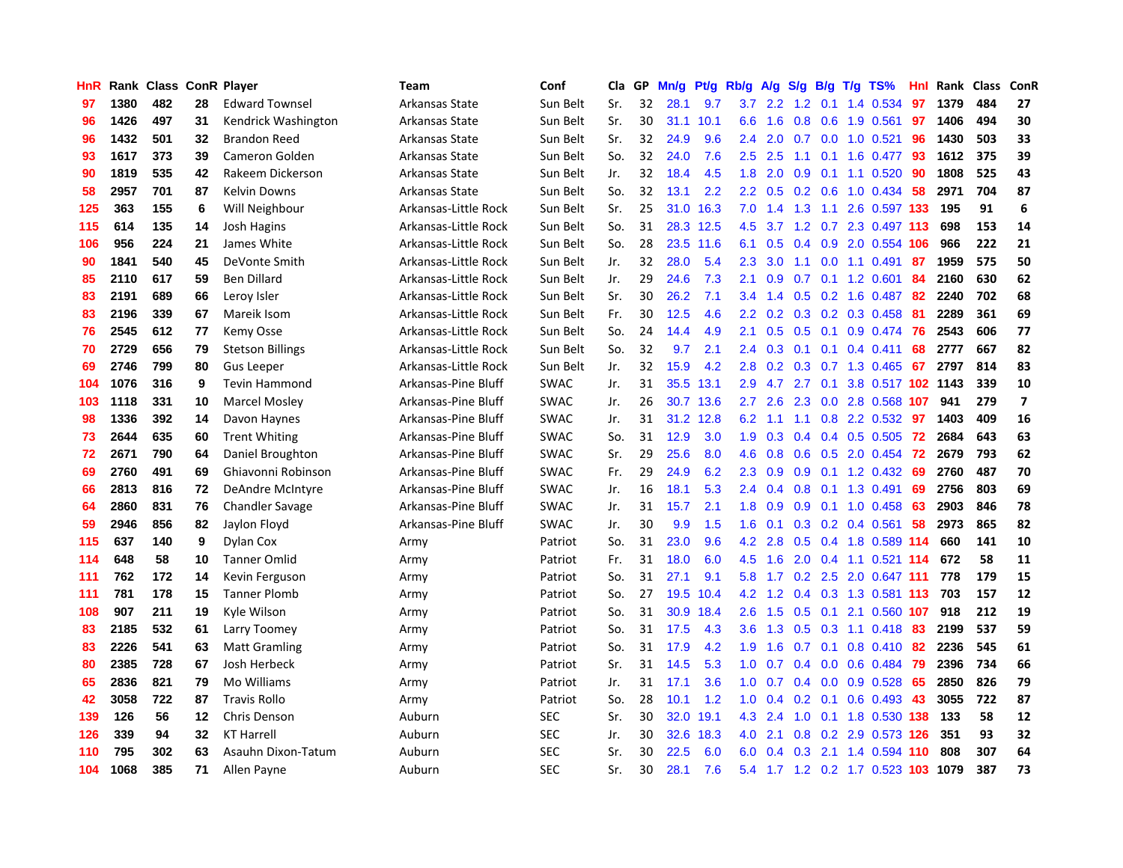| HnR |      | Rank Class ConR Player |    |                         | <b>Team</b>          | Conf        | Cla | GP | Mn/g | Pt/g | Rb/g             | A/g | S/g              | B/g | $T/g$ TS%                      | Hnl | Rank | <b>Class</b> | ConR                    |
|-----|------|------------------------|----|-------------------------|----------------------|-------------|-----|----|------|------|------------------|-----|------------------|-----|--------------------------------|-----|------|--------------|-------------------------|
| 97  | 1380 | 482                    | 28 | <b>Edward Townsel</b>   | Arkansas State       | Sun Belt    | Sr. | 32 | 28.1 | 9.7  | 3.7              | 2.2 | 1.2              | 0.1 | 1.4 0.534                      | 97  | 1379 | 484          | 27                      |
| 96  | 1426 | 497                    | 31 | Kendrick Washington     | Arkansas State       | Sun Belt    | Sr. | 30 | 31.1 | 10.1 | 6.6              | 1.6 | 0.8              |     | 0.6 1.9 0.561                  | 97  | 1406 | 494          | 30                      |
| 96  | 1432 | 501                    | 32 | <b>Brandon Reed</b>     | Arkansas State       | Sun Belt    | Sr. | 32 | 24.9 | 9.6  | $2.4^{\circ}$    | 2.0 |                  |     | 0.7 0.0 1.0 0.521              | 96  | 1430 | 503          | 33                      |
| 93  | 1617 | 373                    | 39 | Cameron Golden          | Arkansas State       | Sun Belt    | So. | 32 | 24.0 | 7.6  | $2.5^{\circ}$    | 2.5 | 1.1              |     | $0.1$ 1.6 $0.477$              | -93 | 1612 | 375          | 39                      |
| 90  | 1819 | 535                    | 42 | Rakeem Dickerson        | Arkansas State       | Sun Belt    | Jr. | 32 | 18.4 | 4.5  | 1.8              | 2.0 | 0.9              |     | $0.1$ 1.1 $0.520$              | 90  | 1808 | 525          | 43                      |
| 58  | 2957 | 701                    | 87 | Kelvin Downs            | Arkansas State       | Sun Belt    | So. | 32 | 13.1 | 2.2  | 2.2              | 0.5 |                  |     | $0.2$ 0.6 1.0 0.434            | 58  | 2971 | 704          | 87                      |
| 125 | 363  | 155                    | 6  | Will Neighbour          | Arkansas-Little Rock | Sun Belt    | Sr. | 25 | 31.0 | 16.3 | 7.0              | 1.4 | 1.3              |     | 1.1 2.6 0.597 133              |     | 195  | 91           | 6                       |
| 115 | 614  | 135                    | 14 | Josh Hagins             | Arkansas-Little Rock | Sun Belt    | So. | 31 | 28.3 | 12.5 | 4.5              | 3.7 | 1.2              |     | 0.7 2.3 0.497 113              |     | 698  | 153          | 14                      |
| 106 | 956  | 224                    | 21 | James White             | Arkansas-Little Rock | Sun Belt    | So. | 28 | 23.5 | 11.6 | 6.1              | 0.5 | 0.4              |     | 0.9 2.0 0.554 106              |     | 966  | 222          | 21                      |
| 90  | 1841 | 540                    | 45 | DeVonte Smith           | Arkansas-Little Rock | Sun Belt    | Jr. | 32 | 28.0 | 5.4  | 2.3              | 3.0 | 1.1              |     | $0.0$ 1.1 0.491                | -87 | 1959 | 575          | 50                      |
| 85  | 2110 | 617                    | 59 | <b>Ben Dillard</b>      | Arkansas-Little Rock | Sun Belt    | Jr. | 29 | 24.6 | 7.3  | 2.1              | 0.9 |                  |     | $0.7$ 0.1 1.2 0.601            | -84 | 2160 | 630          | 62                      |
| 83  | 2191 | 689                    | 66 | Leroy Isler             | Arkansas-Little Rock | Sun Belt    | Sr. | 30 | 26.2 | 7.1  | 3.4              | 1.4 |                  |     | 0.5 0.2 1.6 0.487 82           |     | 2240 | 702          | 68                      |
| 83  | 2196 | 339                    | 67 | Mareik Isom             | Arkansas-Little Rock | Sun Belt    | Fr. | 30 | 12.5 | 4.6  | $2.2\phantom{0}$ | 0.2 | 0.3 <sub>0</sub> |     | $0.2$ 0.3 0.458                | -81 | 2289 | 361          | 69                      |
| 76  | 2545 | 612                    | 77 | Kemy Osse               | Arkansas-Little Rock | Sun Belt    | So. | 24 | 14.4 | 4.9  | 2.1              | 0.5 | 0.5              |     | $0.1$ 0.9 0.474                | 76  | 2543 | 606          | 77                      |
| 70  | 2729 | 656                    | 79 | <b>Stetson Billings</b> | Arkansas-Little Rock | Sun Belt    | So. | 32 | 9.7  | 2.1  | 2.4              | 0.3 | 0.1              |     | $0.1$ 0.4 0.411                | 68  | 2777 | 667          | 82                      |
| 69  | 2746 | 799                    | 80 | <b>Gus Leeper</b>       | Arkansas-Little Rock | Sun Belt    | Jr. | 32 | 15.9 | 4.2  | 2.8              | 0.2 | 0.3              |     | $0.7$ 1.3 0.465                | 67  | 2797 | 814          | 83                      |
| 104 | 1076 | 316                    | 9  | <b>Tevin Hammond</b>    | Arkansas-Pine Bluff  | <b>SWAC</b> | Jr. | 31 | 35.5 | 13.1 | 2.9              | 4.7 | 2.7              | 0.1 | 3.8 0.517 102 1143             |     |      | 339          | 10                      |
| 103 | 1118 | 331                    | 10 | <b>Marcel Mosley</b>    | Arkansas-Pine Bluff  | <b>SWAC</b> | Jr. | 26 | 30.7 | 13.6 | 2.7              | 2.6 | 2.3              |     | 0.0 2.8 0.568 107              |     | 941  | 279          | $\overline{\mathbf{z}}$ |
| 98  | 1336 | 392                    | 14 | Davon Haynes            | Arkansas-Pine Bluff  | <b>SWAC</b> | Jr. | 31 | 31.2 | 12.8 | 6.2              | 1.1 |                  |     | 1.1 0.8 2.2 0.532 97           |     | 1403 | 409          | 16                      |
| 73  | 2644 | 635                    | 60 | <b>Trent Whiting</b>    | Arkansas-Pine Bluff  | <b>SWAC</b> | So. | 31 | 12.9 | 3.0  | 1.9              | 0.3 | 0.4              |     | 0.4 0.5 0.505 72               |     | 2684 | 643          | 63                      |
| 72  | 2671 | 790                    | 64 | Daniel Broughton        | Arkansas-Pine Bluff  | <b>SWAC</b> | Sr. | 29 | 25.6 | 8.0  | 4.6              | 0.8 | 0.6              |     | 0.5 2.0 0.454                  | 72  | 2679 | 793          | 62                      |
| 69  | 2760 | 491                    | 69 | Ghiavonni Robinson      | Arkansas-Pine Bluff  | <b>SWAC</b> | Fr. | 29 | 24.9 | 6.2  | 2.3              | 0.9 | 0.9              |     | 0.1 1.2 0.432                  | 69  | 2760 | 487          | 70                      |
| 66  | 2813 | 816                    | 72 | DeAndre McIntyre        | Arkansas-Pine Bluff  | <b>SWAC</b> | Jr. | 16 | 18.1 | 5.3  | 2.4              | 0.4 | 0.8              |     | 0.1 1.3 0.491                  | 69  | 2756 | 803          | 69                      |
| 64  | 2860 | 831                    | 76 | <b>Chandler Savage</b>  | Arkansas-Pine Bluff  | <b>SWAC</b> | Jr. | 31 | 15.7 | 2.1  | 1.8              | 0.9 | 0.9              |     | $0.1$ 1.0 0.458                | 63  | 2903 | 846          | 78                      |
| 59  | 2946 | 856                    | 82 | Jaylon Floyd            | Arkansas-Pine Bluff  | <b>SWAC</b> | Jr. | 30 | 9.9  | 1.5  | 1.6              | 0.1 | 0.3              |     | 0.2 0.4 0.561                  | 58  | 2973 | 865          | 82                      |
| 115 | 637  | 140                    | 9  | Dylan Cox               | Army                 | Patriot     | So. | 31 | 23.0 | 9.6  | 4.2              | 2.8 | 0.5              |     | 0.4 1.8 0.589 114              |     | 660  | 141          | 10                      |
| 114 | 648  | 58                     | 10 | <b>Tanner Omlid</b>     | Army                 | Patriot     | Fr. | 31 | 18.0 | 6.0  | 4.5              | 1.6 |                  |     | 2.0 0.4 1.1 0.521 114          |     | 672  | 58           | 11                      |
| 111 | 762  | 172                    | 14 | Kevin Ferguson          | Army                 | Patriot     | So. | 31 | 27.1 | 9.1  | 5.8              | 1.7 |                  |     | $0.2$ 2.5 2.0 0.647 111        |     | 778  | 179          | 15                      |
| 111 | 781  | 178                    | 15 | <b>Tanner Plomb</b>     | Army                 | Patriot     | So. | 27 | 19.5 | 10.4 | 4.2              | 1.2 | 0.4              |     | 0.3 1.3 0.581 113              |     | 703  | 157          | 12                      |
| 108 | 907  | 211                    | 19 | Kyle Wilson             | Army                 | Patriot     | So. | 31 | 30.9 | 18.4 | $2.6\,$          | 1.5 | 0.5              |     | $0.1$ 2.1 0.560 107            |     | 918  | 212          | 19                      |
| 83  | 2185 | 532                    | 61 | Larry Toomey            | Army                 | Patriot     | So. | 31 | 17.5 | 4.3  | 3.6              | 1.3 | 0.5              |     | $0.3$ 1.1 0.418                | -83 | 2199 | 537          | 59                      |
| 83  | 2226 | 541                    | 63 | <b>Matt Gramling</b>    | Army                 | Patriot     | So. | 31 | 17.9 | 4.2  | 1.9              | 1.6 | 0.7              | 0.1 | $0.8$ 0.410                    | -82 | 2236 | 545          | 61                      |
| 80  | 2385 | 728                    | 67 | Josh Herbeck            | Army                 | Patriot     | Sr. | 31 | 14.5 | 5.3  | 1.0              | 0.7 | 0.4              | 0.0 | 0.6 0.484                      | -79 | 2396 | 734          | 66                      |
| 65  | 2836 | 821                    | 79 | Mo Williams             | Army                 | Patriot     | Jr. | 31 | 17.1 | 3.6  | 1.0              | 0.7 | 0.4              |     | $0.0$ $0.9$ $0.528$            | 65  | 2850 | 826          | 79                      |
| 42  | 3058 | 722                    | 87 | <b>Travis Rollo</b>     | Army                 | Patriot     | So. | 28 | 10.1 | 1.2  | 1.0              | 0.4 |                  |     | 0.2 0.1 0.6 0.493 43           |     | 3055 | 722          | 87                      |
| 139 | 126  | 56                     | 12 | Chris Denson            | Auburn               | <b>SEC</b>  | Sr. | 30 | 32.0 | 19.1 | 4.3              | 2.4 | 1.0              |     | 0.1 1.8 0.530 138              |     | 133  | 58           | 12                      |
| 126 | 339  | 94                     | 32 | <b>KT Harrell</b>       | Auburn               | <b>SEC</b>  | Jr. | 30 | 32.6 | 18.3 | 4.0              | 2.1 | 0.8              |     | 0.2 2.9 0.573 126              |     | 351  | 93           | 32                      |
| 110 | 795  | 302                    | 63 | Asauhn Dixon-Tatum      | Auburn               | <b>SEC</b>  | Sr. | 30 | 22.5 | 6.0  | 6.0              | 0.4 | 0.3              | 2.1 | 1.4 0.594 110                  |     | 808  | 307          | 64                      |
| 104 | 1068 | 385                    | 71 | Allen Payne             | Auburn               | <b>SEC</b>  | Sr. | 30 | 28.1 | 7.6  | 5.4              |     |                  |     | 1.7 1.2 0.2 1.7 0.523 103 1079 |     |      | 387          | 73                      |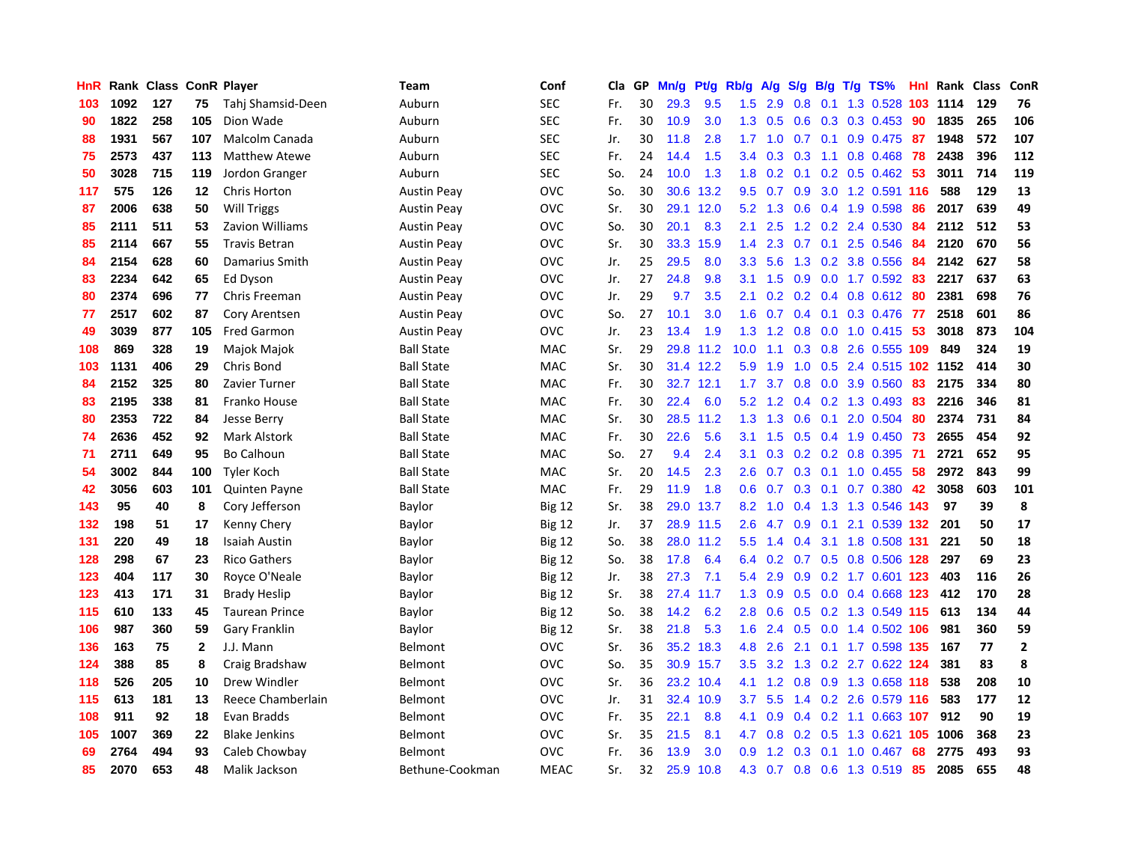| HnR |      | Rank Class |              | <b>ConR Player</b>    | Team               | Conf          | Cla | <b>GP</b> | Mn/g | Pt/g      | Rb/g             | A/g | S/g              | B/g | $T/g$ TS%                 | Hnl | Rank | <b>Class</b> | ConR         |
|-----|------|------------|--------------|-----------------------|--------------------|---------------|-----|-----------|------|-----------|------------------|-----|------------------|-----|---------------------------|-----|------|--------------|--------------|
| 103 | 1092 | 127        | 75           | Tahi Shamsid-Deen     | Auburn             | <b>SEC</b>    | Fr. | 30        | 29.3 | 9.5       | 1.5              | 2.9 | 0.8              |     | 0.1 1.3 0.528 103 1114    |     |      | 129          | 76           |
| 90  | 1822 | 258        | 105          | Dion Wade             | Auburn             | <b>SEC</b>    | Fr. | 30        | 10.9 | 3.0       | 1.3              | 0.5 |                  |     | $0.6$ $0.3$ $0.3$ $0.453$ | -90 | 1835 | 265          | 106          |
| 88  | 1931 | 567        | 107          | Malcolm Canada        | Auburn             | <b>SEC</b>    | Jr. | 30        | 11.8 | 2.8       | 1.7              | 1.0 |                  |     | $0.7$ 0.1 0.9 0.475       | -87 | 1948 | 572          | 107          |
| 75  | 2573 | 437        | 113          | <b>Matthew Atewe</b>  | Auburn             | <b>SEC</b>    | Fr. | 24        | 14.4 | 1.5       | $3.4^{\circ}$    | 0.3 | 0.3 <sub>0</sub> |     | 1.1 0.8 0.468 78          |     | 2438 | 396          | 112          |
| 50  | 3028 | 715        | 119          | Jordon Granger        | Auburn             | <b>SEC</b>    | So. | 24        | 10.0 | 1.3       | 1.8              | 0.2 | 0.1              |     | $0.2$ 0.5 0.462           | -53 | 3011 | 714          | 119          |
| 117 | 575  | 126        | $12 \,$      | Chris Horton          | <b>Austin Peay</b> | <b>OVC</b>    | So. | 30        | 30.6 | 13.2      | 9.5              | 0.7 | 0.9              |     | 3.0 1.2 0.591 116         |     | 588  | 129          | 13           |
| 87  | 2006 | 638        | 50           | <b>Will Triggs</b>    | <b>Austin Peay</b> | <b>OVC</b>    | Sr. | 30        | 29.1 | 12.0      | 5.2              | 1.3 | 0.6              |     | 0.4 1.9 0.598             | 86  | 2017 | 639          | 49           |
| 85  | 2111 | 511        | 53           | Zavion Williams       | <b>Austin Peay</b> | <b>OVC</b>    | So. | 30        | 20.1 | 8.3       | 2.1              | 2.5 | 1.2              |     | 0.2 2.4 0.530             | 84  | 2112 | 512          | 53           |
| 85  | 2114 | 667        | 55           | <b>Travis Betran</b>  | <b>Austin Peay</b> | <b>OVC</b>    | Sr. | 30        | 33.3 | 15.9      | 1.4              | 2.3 | 0.7              |     | $0.1$ 2.5 $0.546$         | -84 | 2120 | 670          | 56           |
| 84  | 2154 | 628        | 60           | Damarius Smith        | <b>Austin Peay</b> | <b>OVC</b>    | Jr. | 25        | 29.5 | 8.0       | 3.3 <sub>2</sub> | 5.6 |                  |     | 1.3 0.2 3.8 0.556 84      |     | 2142 | 627          | 58           |
| 83  | 2234 | 642        | 65           | Ed Dyson              | Austin Peay        | <b>OVC</b>    | Jr. | 27        | 24.8 | 9.8       | 3.1              | 1.5 |                  |     | 0.9 0.0 1.7 0.592 83      |     | 2217 | 637          | 63           |
| 80  | 2374 | 696        | 77           | Chris Freeman         | Austin Peay        | <b>OVC</b>    | Jr. | 29        | 9.7  | 3.5       | 2.1              | 0.2 |                  |     | 0.2 0.4 0.8 0.612 80      |     | 2381 | 698          | 76           |
| 77  | 2517 | 602        | 87           | Cory Arentsen         | Austin Peay        | <b>OVC</b>    | So. | 27        | 10.1 | 3.0       | 1.6              | 0.7 | $0.4^{\circ}$    |     | $0.1$ 0.3 0.476           | -77 | 2518 | 601          | 86           |
| 49  | 3039 | 877        | 105          | <b>Fred Garmon</b>    | <b>Austin Peay</b> | <b>OVC</b>    | Jr. | 23        | 13.4 | 1.9       | 1.3              | 1.2 | 0.8              |     | $0.0$ 1.0 0.415           | -53 | 3018 | 873          | 104          |
| 108 | 869  | 328        | 19           | Majok Majok           | <b>Ball State</b>  | <b>MAC</b>    | Sr. | 29        | 29.8 | 11.2      | 10.0             | 1.1 | 0.3              |     | 0.8 2.6 0.555 109         |     | 849  | 324          | 19           |
| 103 | 1131 | 406        | 29           | Chris Bond            | <b>Ball State</b>  | MAC           | Sr. | 30        | 31.4 | 12.2      | 5.9              | 1.9 | 1.0              |     | 0.5 2.4 0.515 102 1152    |     |      | 414          | 30           |
| 84  | 2152 | 325        | 80           | Zavier Turner         | <b>Ball State</b>  | <b>MAC</b>    | Fr. | 30        | 32.7 | 12.1      | 1.7              | 3.7 | 0.8              |     | 0.0 3.9 0.560             | 83  | 2175 | 334          | 80           |
| 83  | 2195 | 338        | 81           | Franko House          | <b>Ball State</b>  | MAC           | Fr. | 30        | 22.4 | 6.0       | 5.2              | 1.2 |                  |     | $0.4$ 0.2 1.3 0.493       | -83 | 2216 | 346          | 81           |
| 80  | 2353 | 722        | 84           | <b>Jesse Berry</b>    | <b>Ball State</b>  | MAC           | Sr. | 30        | 28.5 | 11.2      | 1.3              | 1.3 |                  |     | $0.6$ 0.1 2.0 0.504       | 80  | 2374 | 731          | 84           |
| 74  | 2636 | 452        | 92           | Mark Alstork          | <b>Ball State</b>  | MAC           | Fr. | 30        | 22.6 | 5.6       | 3.1              | 1.5 |                  |     | $0.5$ 0.4 1.9 0.450       | -73 | 2655 | 454          | 92           |
| 71  | 2711 | 649        | 95           | <b>Bo Calhoun</b>     | <b>Ball State</b>  | MAC           | So. | 27        | 9.4  | 2.4       | 3.1              | 0.3 | 0.2              |     | 0.2 0.8 0.395             | -71 | 2721 | 652          | 95           |
| 54  | 3002 | 844        | 100          | Tyler Koch            | <b>Ball State</b>  | <b>MAC</b>    | Sr. | 20        | 14.5 | 2.3       | 2.6              | 0.7 | 0.3              |     | $0.1$ 1.0 0.455           | 58  | 2972 | 843          | 99           |
| 42  | 3056 | 603        | 101          | <b>Quinten Payne</b>  | <b>Ball State</b>  | <b>MAC</b>    | Fr. | 29        | 11.9 | 1.8       | 0.6              | 0.7 | 0.3              |     | $0.1$ 0.7 0.380           | 42  | 3058 | 603          | 101          |
| 143 | 95   | 40         | 8            | Cory Jefferson        | Baylor             | <b>Big 12</b> | Sr. | 38        | 29.0 | 13.7      | 8.2              | 1.0 |                  |     | 0.4 1.3 1.3 0.546 143     |     | 97   | 39           | 8            |
| 132 | 198  | 51         | 17           | Kenny Chery           | Baylor             | <b>Big 12</b> | Jr. | 37        | 28.9 | 11.5      | $2.6^{\circ}$    | 4.7 | 0.9              | 0.1 | 2.1 0.539 132             |     | 201  | 50           | 17           |
| 131 | 220  | 49         | 18           | <b>Isaiah Austin</b>  | Baylor             | <b>Big 12</b> | So. | 38        |      | 28.0 11.2 | 5.5              | 1.4 |                  |     | 0.4 3.1 1.8 0.508 131     |     | 221  | 50           | 18           |
| 128 | 298  | 67         | 23           | <b>Rico Gathers</b>   | Baylor             | <b>Big 12</b> | So. | 38        | 17.8 | 6.4       | 6.4              | 0.2 |                  |     | 0.7 0.5 0.8 0.506 128     |     | 297  | 69           | 23           |
| 123 | 404  | 117        | 30           | Royce O'Neale         | Baylor             | <b>Big 12</b> | Jr. | 38        | 27.3 | 7.1       | 5.4              | 2.9 | 0.9              |     | 0.2 1.7 0.601 123         |     | 403  | 116          | 26           |
| 123 | 413  | 171        | 31           | <b>Brady Heslip</b>   | Baylor             | <b>Big 12</b> | Sr. | 38        | 27.4 | 11.7      | 1.3              | 0.9 | 0.5              |     | 0.0 0.4 0.668 123         |     | 412  | 170          | 28           |
| 115 | 610  | 133        | 45           | <b>Taurean Prince</b> | Baylor             | <b>Big 12</b> | So. | 38        | 14.2 | 6.2       | 2.8              | 0.6 | 0.5              |     | 0.2 1.3 0.549 115         |     | 613  | 134          | 44           |
| 106 | 987  | 360        | 59           | <b>Gary Franklin</b>  | Baylor             | <b>Big 12</b> | Sr. | 38        | 21.8 | 5.3       | 1.6              | 2.4 | 0.5              |     | 0.0 1.4 0.502 106         |     | 981  | 360          | 59           |
| 136 | 163  | 75         | $\mathbf{2}$ | J.J. Mann             | Belmont            | <b>OVC</b>    | Sr. | 36        | 35.2 | 18.3      | 4.8              | 2.6 | 2.1              |     | 0.1 1.7 0.598 135         |     | 167  | 77           | $\mathbf{2}$ |
| 124 | 388  | 85         | 8            | Craig Bradshaw        | Belmont            | <b>OVC</b>    | So. | 35        | 30.9 | 15.7      | 3.5              | 3.2 | 1.3              |     | 0.2 2.7 0.622 124         |     | 381  | 83           | 8            |
| 118 | 526  | 205        | 10           | Drew Windler          | Belmont            | <b>OVC</b>    | Sr. | 36        | 23.2 | 10.4      | 4.1              | 1.2 | 0.8              |     | 0.9 1.3 0.658 118         |     | 538  | 208          | 10           |
| 115 | 613  | 181        | 13           | Reece Chamberlain     | Belmont            | <b>OVC</b>    | Jr. | 31        | 32.4 | 10.9      | 3.7              | 5.5 |                  |     | 1.4 0.2 2.6 0.579 116     |     | 583  | 177          | 12           |
| 108 | 911  | 92         | 18           | Evan Bradds           | Belmont            | <b>OVC</b>    | Fr. | 35        | 22.1 | 8.8       | 4.1              | 0.9 |                  |     | $0.4$ 0.2 1.1 0.663 107   |     | 912  | 90           | 19           |
| 105 | 1007 | 369        | 22           | <b>Blake Jenkins</b>  | Belmont            | OVC           | Sr. | 35        | 21.5 | 8.1       | 4.7              | 0.8 | 0.2              |     | 0.5 1.3 0.621 105 1006    |     |      | 368          | 23           |
| 69  | 2764 | 494        | 93           | Caleb Chowbay         | Belmont            | <b>OVC</b>    | Fr. | 36        | 13.9 | 3.0       | 0.9              | 1.2 | 0.3              | 0.1 | 1.0 0.467                 | 68  | 2775 | 493          | 93           |
| 85  | 2070 | 653        | 48           | Malik Jackson         | Bethune-Cookman    | <b>MEAC</b>   | Sr. | 32        | 25.9 | 10.8      | 4.3              | 0.7 |                  |     | 0.8 0.6 1.3 0.519         | 85  | 2085 | 655          | 48           |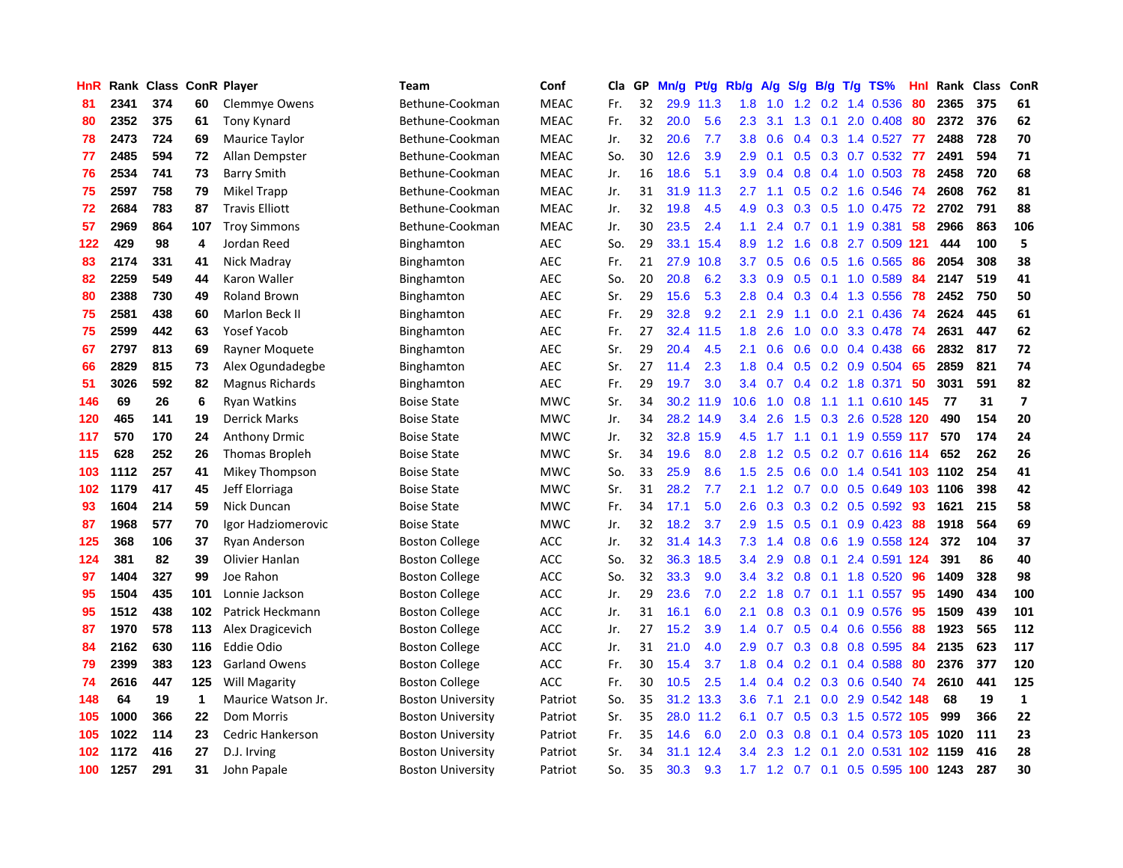| HnR | Rank |     |             | <b>Class ConR Player</b> | Team                     | Conf        | Cla | GP | Mn/g | Pt/g      | Rb/g             | A/g               | S/g              | B/g | $T/g$ TS%                 | Hnl | Rank | Class | ConR                     |
|-----|------|-----|-------------|--------------------------|--------------------------|-------------|-----|----|------|-----------|------------------|-------------------|------------------|-----|---------------------------|-----|------|-------|--------------------------|
| 81  | 2341 | 374 | 60          | <b>Clemmye Owens</b>     | Bethune-Cookman          | <b>MEAC</b> | Fr. | 32 | 29.9 | 11.3      | 1.8              | 1.0               | 1.2              |     | 0.2 1.4 0.536             | -80 | 2365 | 375   | 61                       |
| 80  | 2352 | 375 | 61          | Tony Kynard              | Bethune-Cookman          | <b>MEAC</b> | Fr. | 32 | 20.0 | 5.6       | 2.3              | 3.1               | 1.3              |     | $0.1$ 2.0 0.408           | -80 | 2372 | 376   | 62                       |
| 78  | 2473 | 724 | 69          | Maurice Taylor           | Bethune-Cookman          | <b>MEAC</b> | Jr. | 32 | 20.6 | 7.7       | 3.8              | 0.6               |                  |     | 0.4 0.3 1.4 0.527 77      |     | 2488 | 728   | 70                       |
| 77  | 2485 | 594 | 72          | Allan Dempster           | Bethune-Cookman          | <b>MEAC</b> | So. | 30 | 12.6 | 3.9       | 2.9              | 0.1               |                  |     | $0.5$ $0.3$ $0.7$ $0.532$ | -77 | 2491 | 594   | 71                       |
| 76  | 2534 | 741 | 73          | <b>Barry Smith</b>       | Bethune-Cookman          | <b>MEAC</b> | Jr. | 16 | 18.6 | 5.1       | 3.9              | 0.4               | 0.8              |     | $0.4$ 1.0 0.503           | 78  | 2458 | 720   | 68                       |
| 75  | 2597 | 758 | 79          | Mikel Trapp              | Bethune-Cookman          | <b>MEAC</b> | Jr. | 31 | 31.9 | 11.3      | 2.7              | 1.1               | 0.5              |     | $0.2$ 1.6 0.546           | -74 | 2608 | 762   | 81                       |
| 72  | 2684 | 783 | 87          | <b>Travis Elliott</b>    | Bethune-Cookman          | <b>MEAC</b> | Jr. | 32 | 19.8 | 4.5       | 4.9              | 0.3               | 0.3              |     | $0.5$ 1.0 0.475           | 72  | 2702 | 791   | 88                       |
| 57  | 2969 | 864 | 107         | <b>Troy Simmons</b>      | Bethune-Cookman          | <b>MEAC</b> | Jr. | 30 | 23.5 | 2.4       | 1.1              | 2.4               | 0.7              |     | $0.1$ 1.9 $0.381$         | 58  | 2966 | 863   | 106                      |
| 122 | 429  | 98  | 4           | Jordan Reed              | Binghamton               | <b>AEC</b>  | So. | 29 | 33.1 | 15.4      | 8.9              | 1.2               | 1.6              |     | 0.8 2.7 0.509 121         |     | 444  | 100   | 5                        |
| 83  | 2174 | 331 | 41          | Nick Madray              | Binghamton               | <b>AEC</b>  | Fr. | 21 | 27.9 | 10.8      | 3.7              | 0.5               | 0.6              |     | $0.5$ 1.6 0.565           | -86 | 2054 | 308   | 38                       |
| 82  | 2259 | 549 | 44          | Karon Waller             | Binghamton               | <b>AEC</b>  | So. | 20 | 20.8 | 6.2       | 3.3 <sub>2</sub> | 0.9               |                  |     | 0.5 0.1 1.0 0.589 84      |     | 2147 | 519   | 41                       |
| 80  | 2388 | 730 | 49          | <b>Roland Brown</b>      | Binghamton               | <b>AEC</b>  | Sr. | 29 | 15.6 | 5.3       | 2.8              | 0.4               | 0.3              |     | 0.4 1.3 0.556 78          |     | 2452 | 750   | 50                       |
| 75  | 2581 | 438 | 60          | Marlon Beck II           | Binghamton               | <b>AEC</b>  | Fr. | 29 | 32.8 | 9.2       | 2.1              | 2.9               | 1.1              |     | $0.0$ 2.1 $0.436$         | -74 | 2624 | 445   | 61                       |
| 75  | 2599 | 442 | 63          | <b>Yosef Yacob</b>       | Binghamton               | <b>AEC</b>  | Fr. | 27 | 32.4 | 11.5      | 1.8              | 2.6               | 1.0              |     | $0.0$ 3.3 0.478           | -74 | 2631 | 447   | 62                       |
| 67  | 2797 | 813 | 69          | Rayner Moquete           | Binghamton               | <b>AEC</b>  | Sr. | 29 | 20.4 | 4.5       | 2.1              | 0.6               | 0.6              |     | $0.0$ 0.4 0.438           | 66  | 2832 | 817   | 72                       |
| 66  | 2829 | 815 | 73          | Alex Ogundadegbe         | Binghamton               | <b>AEC</b>  | Sr. | 27 | 11.4 | 2.3       | 1.8              | 0.4               | 0.5              |     | $0.2$ 0.9 0.504           | 65  | 2859 | 821   | 74                       |
| 51  | 3026 | 592 | 82          | Magnus Richards          | Binghamton               | <b>AEC</b>  | Fr. | 29 | 19.7 | 3.0       | 3.4              | 0.7               | 0.4              |     | 0.2 1.8 0.371             | 50  | 3031 | 591   | 82                       |
| 146 | 69   | 26  | 6           | <b>Ryan Watkins</b>      | <b>Boise State</b>       | <b>MWC</b>  | Sr. | 34 | 30.2 | 11.9      | 10.6             | 1.0               | 0.8              |     | 1.1 1.1 0.610 145         |     | 77   | 31    | $\overline{\phantom{a}}$ |
| 120 | 465  | 141 | 19          | <b>Derrick Marks</b>     | <b>Boise State</b>       | <b>MWC</b>  | Jr. | 34 |      | 28.2 14.9 | $3.4^{\circ}$    | 2.6               |                  |     | 1.5 0.3 2.6 0.528 120     |     | 490  | 154   | 20                       |
| 117 | 570  | 170 | 24          | <b>Anthony Drmic</b>     | <b>Boise State</b>       | <b>MWC</b>  | Jr. | 32 | 32.8 | 15.9      | 4.5              |                   |                  |     | 1.7 1.1 0.1 1.9 0.559 117 |     | 570  | 174   | 24                       |
| 115 | 628  | 252 | 26          | Thomas Bropleh           | <b>Boise State</b>       | <b>MWC</b>  | Sr. | 34 | 19.6 | 8.0       | 2.8              | 1.2               | 0.5              |     | $0.2$ 0.7 0.616 114       |     | 652  | 262   | 26                       |
| 103 | 1112 | 257 | 41          | Mikey Thompson           | <b>Boise State</b>       | <b>MWC</b>  | So. | 33 | 25.9 | 8.6       | 1.5              | 2.5               | 0.6              |     | 0.0 1.4 0.541 103         |     | 1102 | 254   | 41                       |
| 102 | 1179 | 417 | 45          | Jeff Elorriaga           | <b>Boise State</b>       | <b>MWC</b>  | Sr. | 31 | 28.2 | 7.7       | 2.1              | 1.2               | 0.7              |     | 0.0 0.5 0.649 103 1106    |     |      | 398   | 42                       |
| 93  | 1604 | 214 | 59          | Nick Duncan              | <b>Boise State</b>       | <b>MWC</b>  | Fr. | 34 | 17.1 | 5.0       | 2.6              | 0.3               | 0.3              |     | $0.2$ 0.5 0.592           | 93  | 1621 | 215   | 58                       |
| 87  | 1968 | 577 | 70          | Igor Hadziomerovic       | <b>Boise State</b>       | <b>MWC</b>  | Jr. | 32 | 18.2 | 3.7       | 2.9              | 1.5               | 0.5              |     | $0.1$ 0.9 0.423           | 88  | 1918 | 564   | 69                       |
| 125 | 368  | 106 | 37          | Ryan Anderson            | <b>Boston College</b>    | <b>ACC</b>  | Jr. | 32 | 31.4 | 14.3      | 7.3              | 1.4               | 0.8              |     | 0.6 1.9 0.558 124         |     | 372  | 104   | 37                       |
| 124 | 381  | 82  | 39          | Olivier Hanlan           | <b>Boston College</b>    | <b>ACC</b>  | So. | 32 | 36.3 | 18.5      | $3.4^{\circ}$    | 2.9               |                  |     | 0.8 0.1 2.4 0.591 124     |     | 391  | 86    | 40                       |
| 97  | 1404 | 327 | 99          | Joe Rahon                | <b>Boston College</b>    | <b>ACC</b>  | So. | 32 | 33.3 | 9.0       | 3.4              | 3.2               | 0.8              |     | $0.1$ 1.8 0.520           | 96  | 1409 | 328   | 98                       |
| 95  | 1504 | 435 | 101         | Lonnie Jackson           | <b>Boston College</b>    | <b>ACC</b>  | Jr. | 29 | 23.6 | 7.0       | $2.2\,$          | 1.8               | 0.7              |     | $0.1$ 1.1 0.557           | -95 | 1490 | 434   | 100                      |
| 95  | 1512 | 438 | 102         | Patrick Heckmann         | <b>Boston College</b>    | <b>ACC</b>  | Jr. | 31 | 16.1 | 6.0       | 2.1              | 0.8               | 0.3 <sub>0</sub> |     | $0.1$ 0.9 0.576           | 95  | 1509 | 439   | 101                      |
| 87  | 1970 | 578 | 113         | Alex Dragicevich         | <b>Boston College</b>    | <b>ACC</b>  | Jr. | 27 | 15.2 | 3.9       | 1.4              | 0.7               | 0.5              |     | 0.4 0.6 0.556             | 88  | 1923 | 565   | 112                      |
| 84  | 2162 | 630 | 116         | <b>Eddie Odio</b>        | <b>Boston College</b>    | <b>ACC</b>  | Jr. | 31 | 21.0 | 4.0       | 2.9              | 0.7               | 0.3              |     | 0.8 0.8 0.595             | 84  | 2135 | 623   | 117                      |
| 79  | 2399 | 383 | 123         | <b>Garland Owens</b>     | <b>Boston College</b>    | <b>ACC</b>  | Fr. | 30 | 15.4 | 3.7       | 1.8              | 0.4               | 0.2              |     | $0.1$ 0.4 0.588           | 80  | 2376 | 377   | 120                      |
| 74  | 2616 | 447 | 125         | <b>Will Magarity</b>     | <b>Boston College</b>    | <b>ACC</b>  | Fr. | 30 | 10.5 | 2.5       | 1.4              | 0.4               | 0.2              |     | 0.3 0.6 0.540             | 74  | 2610 | 441   | 125                      |
| 148 | 64   | 19  | $\mathbf 1$ | Maurice Watson Jr.       | <b>Boston University</b> | Patriot     | So. | 35 | 31.2 | 13.3      | $3.6^{\circ}$    | 7.1               | 2.1              |     | 0.0 2.9 0.542 148         |     | 68   | 19    | $\mathbf{1}$             |
| 105 | 1000 | 366 | 22          | Dom Morris               | <b>Boston University</b> | Patriot     | Sr. | 35 | 28.0 | 11.2      | 6.1              | 0.7               |                  |     | 0.5 0.3 1.5 0.572 105     |     | 999  | 366   | 22                       |
| 105 | 1022 | 114 | 23          | Cedric Hankerson         | <b>Boston University</b> | Patriot     | Fr. | 35 | 14.6 | 6.0       | 2.0 <sub>1</sub> | 0.3               | 0.8              | 0.1 | 0.4 0.573 105 1020        |     |      | 111   | 23                       |
| 102 | 1172 | 416 | 27          | D.J. Irving              | <b>Boston University</b> | Patriot     | Sr. | 34 | 31.1 | 12.4      | 3.4              | 2.3               | 1.2              | 0.1 | 2.0 0.531 102 1159        |     |      | 416   | 28                       |
| 100 | 1257 | 291 | 31          | John Papale              | <b>Boston University</b> | Patriot     | So. | 35 | 30.3 | 9.3       |                  | $1.7$ $1.2$ $0.7$ |                  |     | 0.1 0.5 0.595 100 1243    |     |      | 287   | 30                       |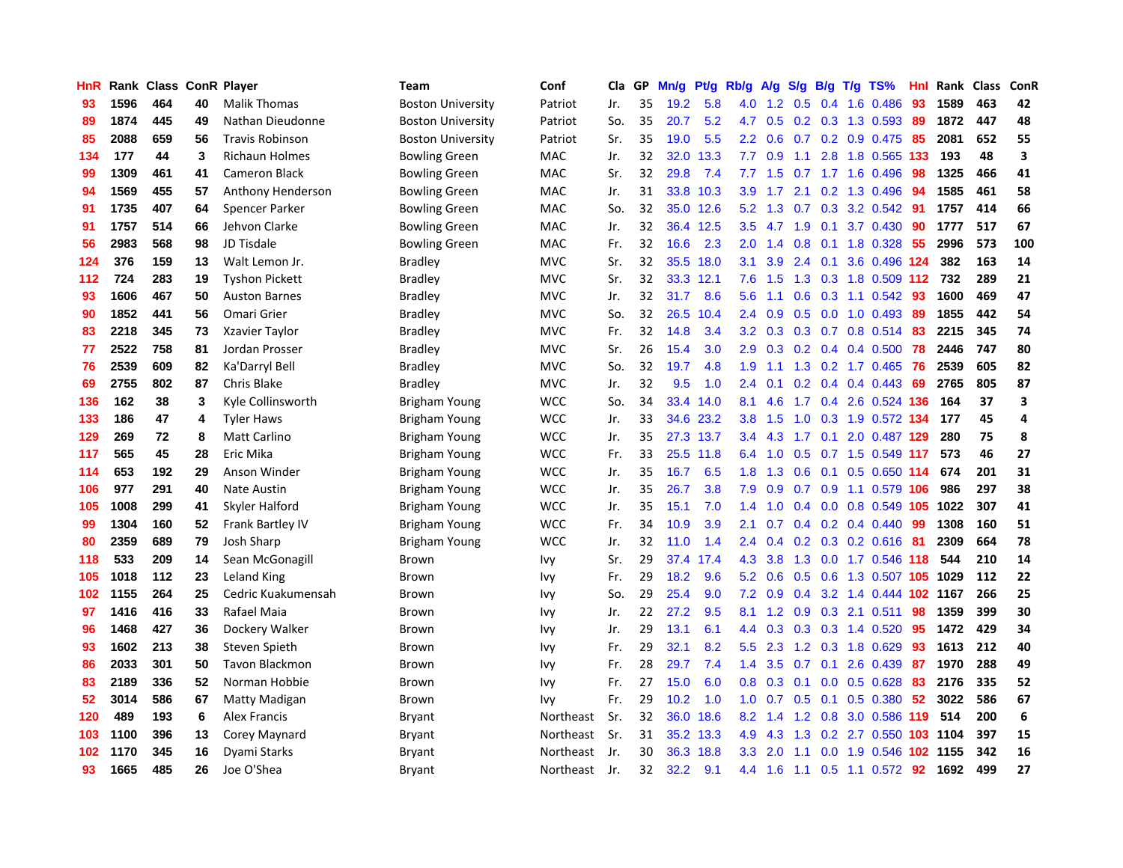| HnR | Rank | Class |    | <b>ConR Player</b>     | Team                     | Conf       | Cla | GP | Mn/g | Pt/g      | Rb/g             | $\mathsf{A/g}$ | S/g | B/g | $T/g$ TS%                  | Hnl | Rank | <b>Class</b> | ConR                    |
|-----|------|-------|----|------------------------|--------------------------|------------|-----|----|------|-----------|------------------|----------------|-----|-----|----------------------------|-----|------|--------------|-------------------------|
| 93  | 1596 | 464   | 40 | <b>Malik Thomas</b>    | <b>Boston University</b> | Patriot    | Jr. | 35 | 19.2 | 5.8       | 4.0              | 1.2            | 0.5 | 0.4 | 1.6 0.486                  | 93  | 1589 | 463          | 42                      |
| 89  | 1874 | 445   | 49 | Nathan Dieudonne       | <b>Boston University</b> | Patriot    | So. | 35 | 20.7 | 5.2       | 4.7              | 0.5            |     |     | $0.2$ 0.3 1.3 0.593        | -89 | 1872 | 447          | 48                      |
| 85  | 2088 | 659   | 56 | <b>Travis Robinson</b> | <b>Boston University</b> | Patriot    | Sr. | 35 | 19.0 | 5.5       | $2.2\phantom{0}$ | 0.6            |     |     | $0.7$ $0.2$ $0.9$ $0.475$  | -85 | 2081 | 652          | 55                      |
| 134 | 177  | 44    | 3  | <b>Richaun Holmes</b>  | <b>Bowling Green</b>     | MAC        | Jr. | 32 | 32.0 | 13.3      | 7.7              | 0.9            | 1.1 |     | 2.8 1.8 0.565 133          |     | 193  | 48           | $\overline{\mathbf{3}}$ |
| 99  | 1309 | 461   | 41 | <b>Cameron Black</b>   | <b>Bowling Green</b>     | MAC        | Sr. | 32 | 29.8 | 7.4       | 7.7              | 1.5            |     |     | $0.7$ 1.7 1.6 0.496        | 98  | 1325 | 466          | 41                      |
| 94  | 1569 | 455   | 57 | Anthony Henderson      | <b>Bowling Green</b>     | MAC        | Jr. | 31 | 33.8 | 10.3      | 3.9              | 1.7            | 2.1 |     | 0.2 1.3 0.496              | 94  | 1585 | 461          | 58                      |
| 91  | 1735 | 407   | 64 | Spencer Parker         | <b>Bowling Green</b>     | <b>MAC</b> | So. | 32 | 35.0 | 12.6      | 5.2              | 1.3            | 0.7 |     | 0.3 3.2 0.542              | 91  | 1757 | 414          | 66                      |
| 91  | 1757 | 514   | 66 | Jehvon Clarke          | <b>Bowling Green</b>     | MAC        | Jr. | 32 | 36.4 | 12.5      | 3.5              | 4.7            | 1.9 | 0.1 | 3.7 0.430                  | 90  | 1777 | 517          | 67                      |
| 56  | 2983 | 568   | 98 | JD Tisdale             | <b>Bowling Green</b>     | MAC        | Fr. | 32 | 16.6 | 2.3       | 2.0              | 1.4            | 0.8 |     | 0.1 1.8 0.328              | 55  | 2996 | 573          | 100                     |
| 124 | 376  | 159   | 13 | Walt Lemon Jr.         | <b>Bradley</b>           | <b>MVC</b> | Sr. | 32 | 35.5 | 18.0      | 3.1              | 3.9            | 2.4 |     | 0.1 3.6 0.496 124          |     | 382  | 163          | 14                      |
| 112 | 724  | 283   | 19 | <b>Tyshon Pickett</b>  | <b>Bradley</b>           | <b>MVC</b> | Sr. | 32 | 33.3 | 12.1      | 7.6              | 1.5            |     |     | 1.3 0.3 1.8 0.509 112      |     | 732  | 289          | 21                      |
| 93  | 1606 | 467   | 50 | <b>Auston Barnes</b>   | <b>Bradley</b>           | <b>MVC</b> | Jr. | 32 | 31.7 | 8.6       | 5.6              | 1.1            | 0.6 |     | $0.3$ 1.1 $0.542$          | -93 | 1600 | 469          | 47                      |
| 90  | 1852 | 441   | 56 | Omari Grier            | <b>Bradley</b>           | <b>MVC</b> | So. | 32 | 26.5 | 10.4      | 2.4              | 0.9            | 0.5 |     | $0.0$ 1.0 0.493            | -89 | 1855 | 442          | 54                      |
| 83  | 2218 | 345   | 73 | Xzavier Taylor         | Bradley                  | <b>MVC</b> | Fr. | 32 | 14.8 | 3.4       | 3.2              | 0.3            | 0.3 |     | 0.7 0.8 0.514 83           |     | 2215 | 345          | 74                      |
| 77  | 2522 | 758   | 81 | Jordan Prosser         | <b>Bradley</b>           | <b>MVC</b> | Sr. | 26 | 15.4 | 3.0       | 2.9              | 0.3            |     |     | $0.2$ 0.4 0.4 0.500        | 78  | 2446 | 747          | 80                      |
| 76  | 2539 | 609   | 82 | Ka'Darryl Bell         | <b>Bradley</b>           | <b>MVC</b> | So. | 32 | 19.7 | 4.8       | 1.9              | 1.1            | 1.3 |     | $0.2$ 1.7 0.465            | -76 | 2539 | 605          | 82                      |
| 69  | 2755 | 802   | 87 | Chris Blake            | <b>Bradley</b>           | <b>MVC</b> | Jr. | 32 | 9.5  | 1.0       | 2.4              | 0.1            | 0.2 |     | $0.4$ 0.4 0.443            | 69  | 2765 | 805          | 87                      |
| 136 | 162  | 38    | 3  | Kyle Collinsworth      | Brigham Young            | <b>WCC</b> | So. | 34 | 33.4 | 14.0      | 8.1              | 4.6            | 1.7 |     | 0.4 2.6 0.524 136          |     | 164  | 37           | 3                       |
| 133 | 186  | 47    | 4  | <b>Tyler Haws</b>      | Brigham Young            | <b>WCC</b> | Jr. | 33 |      | 34.6 23.2 | 3.8              | 1.5            |     |     | 1.0 0.3 1.9 0.572 134      |     | 177  | 45           | 4                       |
| 129 | 269  | 72    | 8  | <b>Matt Carlino</b>    | Brigham Young            | <b>WCC</b> | Jr. | 35 |      | 27.3 13.7 | 3.4              | 4.3            | 1.7 |     | $0.1$ 2.0 0.487 129        |     | 280  | 75           | 8                       |
| 117 | 565  | 45    | 28 | Eric Mika              | Brigham Young            | <b>WCC</b> | Fr. | 33 | 25.5 | 11.8      | 6.4              | 1.0            | 0.5 |     | $0.7$ 1.5 0.549 117        |     | 573  | 46           | 27                      |
| 114 | 653  | 192   | 29 | Anson Winder           | Brigham Young            | <b>WCC</b> | Jr. | 35 | 16.7 | 6.5       | 1.8              | 1.3            | 0.6 |     | $0.1$ $0.5$ $0.650$ 114    |     | 674  | 201          | 31                      |
| 106 | 977  | 291   | 40 | <b>Nate Austin</b>     | Brigham Young            | <b>WCC</b> | Jr. | 35 | 26.7 | 3.8       | 7.9              | 0.9            | 0.7 |     | 0.9 1.1 0.579 106          |     | 986  | 297          | 38                      |
| 105 | 1008 | 299   | 41 | Skyler Halford         | Brigham Young            | <b>WCC</b> | Jr. | 35 | 15.1 | 7.0       | 1.4              | 1.0            | 0.4 |     | $0.0$ 0.8 0.549 105        |     | 1022 | 307          | 41                      |
| 99  | 1304 | 160   | 52 | Frank Bartley IV       | Brigham Young            | <b>WCC</b> | Fr. | 34 | 10.9 | 3.9       | 2.1              | 0.7            | 0.4 |     | 0.2 0.4 0.440              | -99 | 1308 | 160          | 51                      |
| 80  | 2359 | 689   | 79 | Josh Sharp             | Brigham Young            | <b>WCC</b> | Jr. | 32 | 11.0 | 1.4       | 2.4              | 0.4            |     |     | 0.2 0.3 0.2 0.616 81       |     | 2309 | 664          | 78                      |
| 118 | 533  | 209   | 14 | Sean McGonagill        | Brown                    | Ivy        | Sr. | 29 | 37.4 | 17.4      | 4.3              | 3.8            |     |     | 1.3 0.0 1.7 0.546 118      |     | 544  | 210          | 14                      |
| 105 | 1018 | 112   | 23 | Leland King            | Brown                    | Ivy        | Fr. | 29 | 18.2 | 9.6       | 5.2              | 0.6            |     |     | 0.5 0.6 1.3 0.507 105 1029 |     |      | 112          | 22                      |
| 102 | 1155 | 264   | 25 | Cedric Kuakumensah     | Brown                    | Ivy        | So. | 29 | 25.4 | 9.0       | 7.2              | 0.9            | 0.4 |     | 3.2 1.4 0.444 102 1167     |     |      | 266          | 25                      |
| 97  | 1416 | 416   | 33 | Rafael Maia            | Brown                    | Ivy        | Jr. | 22 | 27.2 | 9.5       | 8.1              | 1.2            | 0.9 |     | 0.3 2.1 0.511              | 98  | 1359 | 399          | 30                      |
| 96  | 1468 | 427   | 36 | Dockery Walker         | Brown                    | Ivy        | Jr. | 29 | 13.1 | 6.1       | 4.4              | 0.3            | 0.3 |     | 0.3 1.4 0.520              | 95  | 1472 | 429          | 34                      |
| 93  | 1602 | 213   | 38 | Steven Spieth          | Brown                    | Ivy        | Fr. | 29 | 32.1 | 8.2       | 5.5              | 2.3            | 1.2 |     | 0.3 1.8 0.629              | 93  | 1613 | 212          | 40                      |
| 86  | 2033 | 301   | 50 | <b>Tavon Blackmon</b>  | Brown                    | Ivy        | Fr. | 28 | 29.7 | 7.4       | 1.4              | 3.5            | 0.7 | 0.1 | 2.6 0.439                  | -87 | 1970 | 288          | 49                      |
| 83  | 2189 | 336   | 52 | Norman Hobbie          | Brown                    | Ivy        | Fr. | 27 | 15.0 | 6.0       | 0.8              | 0.3            | 0.1 |     | $0.0$ $0.5$ $0.628$        | -83 | 2176 | 335          | 52                      |
| 52  | 3014 | 586   | 67 | Matty Madigan          | Brown                    | Ivy        | Fr. | 29 | 10.2 | 1.0       | 1.0              | 0.7            |     |     | $0.5$ 0.1 0.5 0.380        | -52 | 3022 | 586          | 67                      |
| 120 | 489  | 193   | 6  | <b>Alex Francis</b>    | Bryant                   | Northeast  | Sr. | 32 | 36.0 | 18.6      | 8.2              | 1.4            |     |     | 1.2 0.8 3.0 0.586 119      |     | 514  | 200          | 6                       |
| 103 | 1100 | 396   | 13 | Corey Maynard          | Bryant                   | Northeast  | Sr. | 31 | 35.2 | 13.3      | 4.9              | 4.3            | 1.3 |     | 0.2 2.7 0.550 103 1104     |     |      | 397          | 15                      |
| 102 | 1170 | 345   | 16 | Dyami Starks           | Bryant                   | Northeast  | Jr. | 30 | 36.3 | 18.8      | 3.3              | 2.0            | 1.1 |     | 0.0 1.9 0.546 102 1155     |     |      | 342          | 16                      |
| 93  | 1665 | 485   | 26 | Joe O'Shea             | <b>Bryant</b>            | Northeast  | Jr. | 32 | 32.2 | 9.1       | 4.4              | 1.6            | 1.1 |     | 0.5 1.1 0.572 92           |     | 1692 | 499          | 27                      |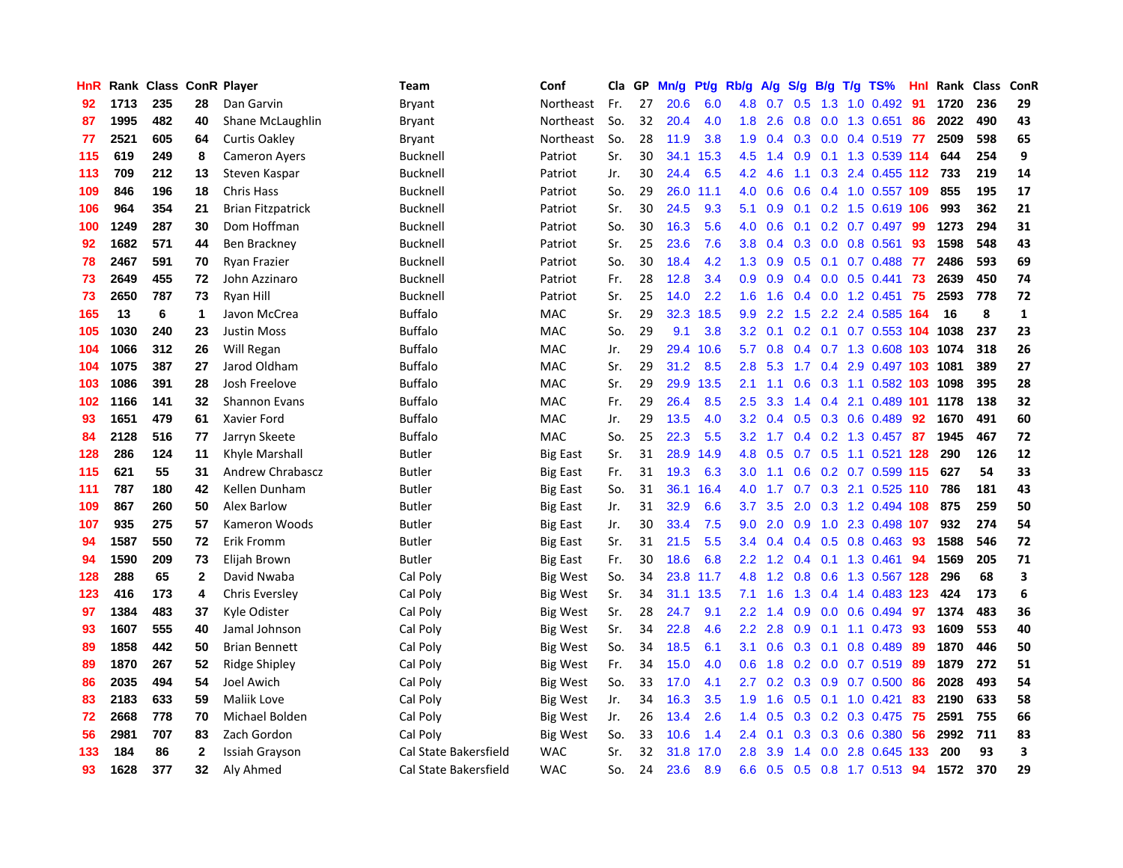| HnR |      | Rank Class ConR Player |              |                          | Team                  | Conf            | Cla | GP | Mn/g | Pt/g | Rb/g             | <b>A/g</b> | S/g              | B/g | $T/g$ TS%                   | Hnl | Rank | <b>Class</b> | ConR         |
|-----|------|------------------------|--------------|--------------------------|-----------------------|-----------------|-----|----|------|------|------------------|------------|------------------|-----|-----------------------------|-----|------|--------------|--------------|
| 92  | 1713 | 235                    | 28           | Dan Garvin               | Bryant                | Northeast       | Fr. | 27 | 20.6 | 6.0  | 4.8              | 0.7        | 0.5              | 1.3 | 1.0 0.492                   | 91  | 1720 | 236          | 29           |
| 87  | 1995 | 482                    | 40           | Shane McLaughlin         | Bryant                | Northeast       | So. | 32 | 20.4 | 4.0  | 1.8              | 2.6        | 0.8              |     | $0.0$ 1.3 0.651             | 86  | 2022 | 490          | 43           |
| 77  | 2521 | 605                    | 64           | Curtis Oakley            | Bryant                | Northeast       | So. | 28 | 11.9 | 3.8  | 1.9              | 0.4        | 0.3              |     | $0.0$ 0.4 0.519 77          |     | 2509 | 598          | 65           |
| 115 | 619  | 249                    | 8            | <b>Cameron Ayers</b>     | Bucknell              | Patriot         | Sr. | 30 | 34.1 | 15.3 | 4.5              | 1.4        | 0.9 <sup>°</sup> |     | 0.1 1.3 0.539 114           |     | 644  | 254          | 9            |
| 113 | 709  | 212                    | 13           | Steven Kaspar            | <b>Bucknell</b>       | Patriot         | Jr. | 30 | 24.4 | 6.5  | 4.2              | 4.6        | 1.1              |     | 0.3 2.4 0.455 112           |     | 733  | 219          | 14           |
| 109 | 846  | 196                    | 18           | <b>Chris Hass</b>        | <b>Bucknell</b>       | Patriot         | So. | 29 | 26.0 | 11.1 | 4.0              | 0.6        | 0.6              |     | 0.4 1.0 0.557 109           |     | 855  | 195          | 17           |
| 106 | 964  | 354                    | 21           | <b>Brian Fitzpatrick</b> | <b>Bucknell</b>       | Patriot         | Sr. | 30 | 24.5 | 9.3  | 5.1              | 0.9        | 0.1              |     | 0.2 1.5 0.619 106           |     | 993  | 362          | 21           |
| 100 | 1249 | 287                    | 30           | Dom Hoffman              | <b>Bucknell</b>       | Patriot         | So. | 30 | 16.3 | 5.6  | 4.0              | 0.6        | 0.1              |     | $0.2$ 0.7 0.497             | 99  | 1273 | 294          | 31           |
| 92  | 1682 | 571                    | 44           | Ben Brackney             | Bucknell              | Patriot         | Sr. | 25 | 23.6 | 7.6  | 3.8              | 0.4        | 0.3              |     | $0.0$ $0.8$ $0.561$         | 93  | 1598 | 548          | 43           |
| 78  | 2467 | 591                    | 70           | Ryan Frazier             | Bucknell              | Patriot         | So. | 30 | 18.4 | 4.2  | 1.3              | 0.9        | 0.5              |     | $0.1$ 0.7 0.488             | -77 | 2486 | 593          | 69           |
| 73  | 2649 | 455                    | 72           | John Azzinaro            | Bucknell              | Patriot         | Fr. | 28 | 12.8 | 3.4  | 0.9 <sub>0</sub> | 0.9        |                  |     | $0.4$ 0.0 0.5 0.441         | -73 | 2639 | 450          | 74           |
| 73  | 2650 | 787                    | 73           | Ryan Hill                | <b>Bucknell</b>       | Patriot         | Sr. | 25 | 14.0 | 2.2  | 1.6              | 1.6        |                  |     | $0.4$ 0.0 1.2 0.451         | -75 | 2593 | 778          | 72           |
| 165 | 13   | 6                      | 1            | Javon McCrea             | <b>Buffalo</b>        | MAC             | Sr. | 29 | 32.3 | 18.5 | 9.9              | 2.2        | 1.5              |     | 2.2 2.4 0.585 164           |     | 16   | 8            | $\mathbf{1}$ |
| 105 | 1030 | 240                    | 23           | <b>Justin Moss</b>       | <b>Buffalo</b>        | MAC             | So. | 29 | 9.1  | 3.8  | 3.2              | 0.1        | 0.2              |     | $0.1$ 0.7 0.553 104 1038    |     |      | 237          | 23           |
| 104 | 1066 | 312                    | 26           | Will Regan               | <b>Buffalo</b>        | MAC             | Jr. | 29 | 29.4 | 10.6 | 5.7              | 0.8        | $0.4^{\circ}$    |     | 0.7 1.3 0.608 103 1074      |     |      | 318          | 26           |
| 104 | 1075 | 387                    | 27           | Jarod Oldham             | <b>Buffalo</b>        | MAC             | Sr. | 29 | 31.2 | 8.5  | 2.8              | 5.3        | 1.7              | 0.4 | 2.9 0.497 103 1081          |     |      | 389          | 27           |
| 103 | 1086 | 391                    | 28           | Josh Freelove            | <b>Buffalo</b>        | MAC             | Sr. | 29 | 29.9 | 13.5 | 2.1              | 1.1        | 0.6              |     | 0.3 1.1 0.582 103 1098      |     |      | 395          | 28           |
| 102 | 1166 | 141                    | 32           | <b>Shannon Evans</b>     | <b>Buffalo</b>        | <b>MAC</b>      | Fr. | 29 | 26.4 | 8.5  | 2.5              | 3.3        | 1.4              |     | 0.4 2.1 0.489 101 1178      |     |      | 138          | 32           |
| 93  | 1651 | 479                    | 61           | Xavier Ford              | <b>Buffalo</b>        | <b>MAC</b>      | Jr. | 29 | 13.5 | 4.0  | 3.2              | 0.4        |                  |     | $0.5$ $0.3$ $0.6$ $0.489$   | 92  | 1670 | 491          | 60           |
| 84  | 2128 | 516                    | 77           | Jarryn Skeete            | <b>Buffalo</b>        | <b>MAC</b>      | So. | 25 | 22.3 | 5.5  | 3.2              | 1.7        |                  |     | 0.4 0.2 1.3 0.457 87        |     | 1945 | 467          | 72           |
| 128 | 286  | 124                    | 11           | Khyle Marshall           | Butler                | Big East        | Sr. | 31 | 28.9 | 14.9 | 4.8              | 0.5        |                  |     | 0.7 0.5 1.1 0.521 128       |     | 290  | 126          | 12           |
| 115 | 621  | 55                     | 31           | Andrew Chrabascz         | <b>Butler</b>         | <b>Big East</b> | Fr. | 31 | 19.3 | 6.3  | 3.0              | 1.1        | 0.6              |     | 0.2 0.7 0.599 115           |     | 627  | 54           | 33           |
| 111 | 787  | 180                    | 42           | Kellen Dunham            | <b>Butler</b>         | <b>Big East</b> | So. | 31 | 36.1 | 16.4 | 4.0              | 1.7        | 0.7              |     | $0.3$ 2.1 $0.525$ 110       |     | 786  | 181          | 43           |
| 109 | 867  | 260                    | 50           | <b>Alex Barlow</b>       | Butler                | <b>Big East</b> | Jr. | 31 | 32.9 | 6.6  | 3.7              | 3.5        | 2.0              |     | 0.3 1.2 0.494 108           |     | 875  | 259          | 50           |
| 107 | 935  | 275                    | 57           | Kameron Woods            | <b>Butler</b>         | <b>Big East</b> | Jr. | 30 | 33.4 | 7.5  | 9.0              | 2.0        | 0.9              |     | 1.0 2.3 0.498 107           |     | 932  | 274          | 54           |
| 94  | 1587 | 550                    | 72           | Erik Fromm               | <b>Butler</b>         | <b>Big East</b> | Sr. | 31 | 21.5 | 5.5  | 3.4              | 0.4        | 0.4              |     | $0.5$ 0.8 0.463             | 93  | 1588 | 546          | 72           |
| 94  | 1590 | 209                    | 73           | Elijah Brown             | <b>Butler</b>         | <b>Big East</b> | Fr. | 30 | 18.6 | 6.8  | $2.2^{\circ}$    | 1.2        |                  |     | $0.4$ 0.1 1.3 0.461         | -94 | 1569 | 205          | 71           |
| 128 | 288  | 65                     | $\mathbf{2}$ | David Nwaba              | Cal Poly              | <b>Big West</b> | So. | 34 | 23.8 | 11.7 | 4.8              | 1.2        |                  |     | 0.8 0.6 1.3 0.567 128       |     | 296  | 68           | 3            |
| 123 | 416  | 173                    | 4            | <b>Chris Eversley</b>    | Cal Poly              | Big West        | Sr. | 34 | 31.1 | 13.5 | 7.1              | 1.6        | 1.3              |     | 0.4 1.4 0.483 123           |     | 424  | 173          | 6            |
| 97  | 1384 | 483                    | 37           | Kyle Odister             | Cal Poly              | Big West        | Sr. | 28 | 24.7 | 9.1  | $2.2\,$          | 1.4        | 0.9              |     | $0.0$ 0.6 0.494             | 97  | 1374 | 483          | 36           |
| 93  | 1607 | 555                    | 40           | Jamal Johnson            | Cal Poly              | <b>Big West</b> | Sr. | 34 | 22.8 | 4.6  | 2.2              | 2.8        | 0.9              |     | $0.1$ 1.1 $0.473$           | -93 | 1609 | 553          | 40           |
| 89  | 1858 | 442                    | 50           | <b>Brian Bennett</b>     | Cal Poly              | <b>Big West</b> | So. | 34 | 18.5 | 6.1  | 3.1              | 0.6        | 0.3              | 0.1 | 0.8 0.489                   | 89  | 1870 | 446          | 50           |
| 89  | 1870 | 267                    | 52           | <b>Ridge Shipley</b>     | Cal Poly              | Big West        | Fr. | 34 | 15.0 | 4.0  | 0.6              | 1.8        | 0.2              |     | $0.0$ 0.7 0.519             | -89 | 1879 | 272          | 51           |
| 86  | 2035 | 494                    | 54           | <b>Joel Awich</b>        | Cal Poly              | <b>Big West</b> | So. | 33 | 17.0 | 4.1  | 2.7              | 0.2        | 0.3              |     | $0.9$ 0.7 0.500             | 86  | 2028 | 493          | 54           |
| 83  | 2183 | 633                    | 59           | Maliik Love              | Cal Poly              | <b>Big West</b> | Jr. | 34 | 16.3 | 3.5  | 1.9              | 1.6        | 0.5              |     | $0.1$ 1.0 0.421             | 83  | 2190 | 633          | 58           |
| 72  | 2668 | 778                    | 70           | Michael Bolden           | Cal Poly              | <b>Big West</b> | Jr. | 26 | 13.4 | 2.6  | $1.4^{\circ}$    | 0.5        |                  |     | 0.3 0.2 0.3 0.475 75        |     | 2591 | 755          | 66           |
| 56  | 2981 | 707                    | 83           | Zach Gordon              | Cal Poly              | <b>Big West</b> | So. | 33 | 10.6 | 1.4  | $2.4^{\circ}$    | 0.1        | 0.3              |     | $0.3 \quad 0.6 \quad 0.380$ | -56 | 2992 | 711          | 83           |
| 133 | 184  | 86                     | $\mathbf{2}$ | Issiah Grayson           | Cal State Bakersfield | <b>WAC</b>      | Sr. | 32 | 31.8 | 17.0 | 2.8              | 3.9        | 1.4              | 0.0 | 2.8 0.645 133               |     | 200  | 93           | 3            |
| 93  | 1628 | 377                    | 32           | Aly Ahmed                | Cal State Bakersfield | <b>WAC</b>      | So. | 24 | 23.6 | 8.9  | 6.6              | 0.5        | 0.5              |     | 0.8 1.7 0.513               | 94  | 1572 | 370          | 29           |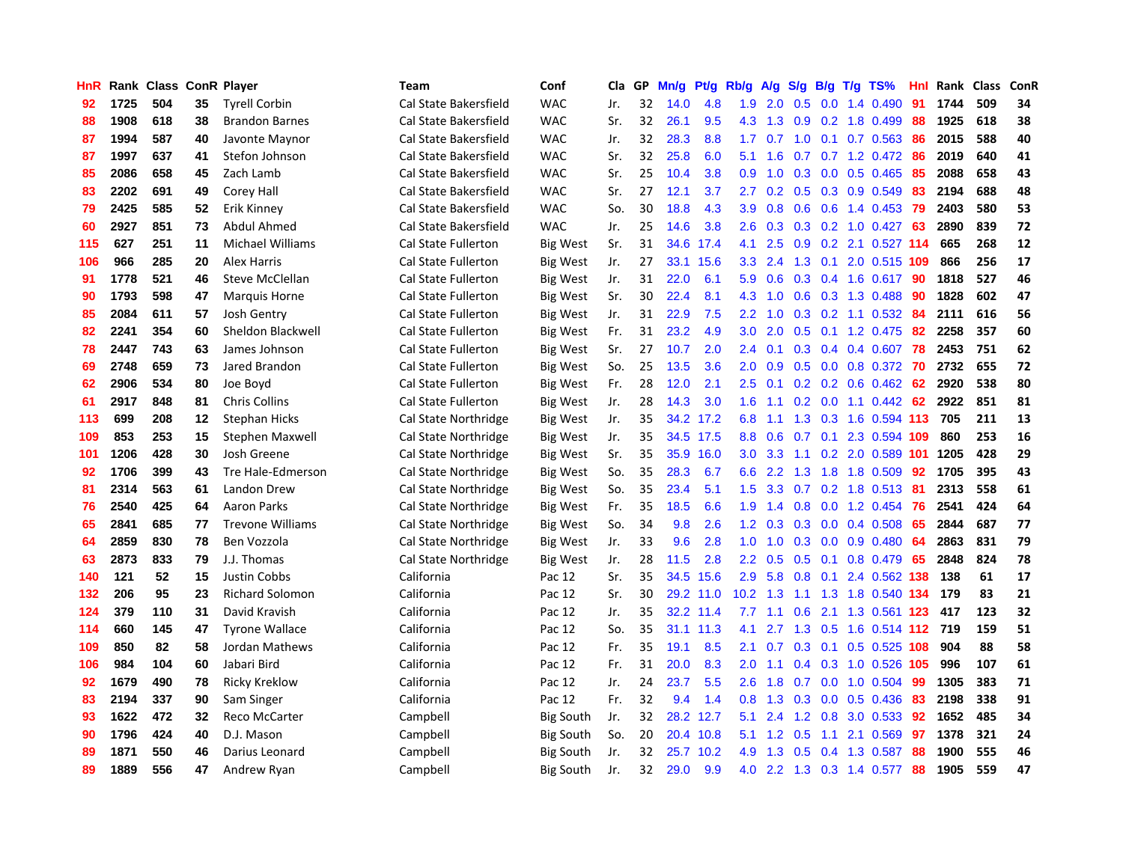| HnR |      | Rank Class |    | <b>ConR Player</b>      | <b>Team</b>                | Conf             | Cla | GP | Mn/g | <b>Pt/g</b> | Rb/g             | A/g | S/g              | B/g | $T/g$ TS%              | Hnl | Rank | <b>Class</b> | ConR |
|-----|------|------------|----|-------------------------|----------------------------|------------------|-----|----|------|-------------|------------------|-----|------------------|-----|------------------------|-----|------|--------------|------|
| 92  | 1725 | 504        | 35 | <b>Tyrell Corbin</b>    | Cal State Bakersfield      | <b>WAC</b>       | Jr. | 32 | 14.0 | 4.8         | 1.9              | 2.0 | 0.5              | 0.0 | 1.4 0.490              | 91  | 1744 | 509          | 34   |
| 88  | 1908 | 618        | 38 | <b>Brandon Barnes</b>   | Cal State Bakersfield      | <b>WAC</b>       | Sr. | 32 | 26.1 | 9.5         | 4.3              | 1.3 | 0.9              |     | 0.2 1.8 0.499          | -88 | 1925 | 618          | 38   |
| 87  | 1994 | 587        | 40 | Javonte Maynor          | Cal State Bakersfield      | <b>WAC</b>       | Jr. | 32 | 28.3 | 8.8         | 1.7 <sub>z</sub> | 0.7 | 1.0              |     | $0.1$ 0.7 0.563        | -86 | 2015 | 588          | 40   |
| 87  | 1997 | 637        | 41 | Stefon Johnson          | Cal State Bakersfield      | <b>WAC</b>       | Sr. | 32 | 25.8 | 6.0         | 5.1              | 1.6 | 0.7              |     | $0.7$ 1.2 0.472        | -86 | 2019 | 640          | 41   |
| 85  | 2086 | 658        | 45 | Zach Lamb               | Cal State Bakersfield      | <b>WAC</b>       | Sr. | 25 | 10.4 | 3.8         | 0.9              | 1.0 | 0.3              |     | $0.0$ 0.5 0.465        | 85  | 2088 | 658          | 43   |
| 83  | 2202 | 691        | 49 | Corey Hall              | Cal State Bakersfield      | <b>WAC</b>       | Sr. | 27 | 12.1 | 3.7         | 2.7              | 0.2 | 0.5              |     | 0.3 0.9 0.549          | 83  | 2194 | 688          | 48   |
| 79  | 2425 | 585        | 52 | Erik Kinney             | Cal State Bakersfield      | <b>WAC</b>       | So. | 30 | 18.8 | 4.3         | 3.9              | 0.8 | 0.6              |     | $0.6$ 1.4 0.453        | 79  | 2403 | 580          | 53   |
| 60  | 2927 | 851        | 73 | Abdul Ahmed             | Cal State Bakersfield      | <b>WAC</b>       | Jr. | 25 | 14.6 | 3.8         | 2.6              | 0.3 | 0.3              |     | $0.2$ 1.0 0.427        | 63  | 2890 | 839          | 72   |
| 115 | 627  | 251        | 11 | Michael Williams        | <b>Cal State Fullerton</b> | <b>Big West</b>  | Sr. | 31 | 34.6 | 17.4        | 4.1              | 2.5 | 0.9              |     | 0.2 2.1 0.527 114      |     | 665  | 268          | 12   |
| 106 | 966  | 285        | 20 | <b>Alex Harris</b>      | <b>Cal State Fullerton</b> | <b>Big West</b>  | Jr. | 27 | 33.1 | 15.6        | 3.3 <sub>2</sub> | 2.4 | 1.3              |     | $0.1$ 2.0 0.515 109    |     | 866  | 256          | 17   |
| 91  | 1778 | 521        | 46 | Steve McClellan         | <b>Cal State Fullerton</b> | <b>Big West</b>  | Jr. | 31 | 22.0 | 6.1         | 5.9              | 0.6 |                  |     | 0.3 0.4 1.6 0.617 90   |     | 1818 | 527          | 46   |
| 90  | 1793 | 598        | 47 | <b>Marquis Horne</b>    | <b>Cal State Fullerton</b> | <b>Big West</b>  | Sr. | 30 | 22.4 | 8.1         | 4.3              | 1.0 | 0.6              |     | $0.3$ 1.3 0.488        | -90 | 1828 | 602          | 47   |
| 85  | 2084 | 611        | 57 | <b>Josh Gentry</b>      | <b>Cal State Fullerton</b> | Big West         | Jr. | 31 | 22.9 | 7.5         | 2.2              | 1.0 | 0.3 <sub>0</sub> |     | 0.2 1.1 0.532 84       |     | 2111 | 616          | 56   |
| 82  | 2241 | 354        | 60 | Sheldon Blackwell       | <b>Cal State Fullerton</b> | <b>Big West</b>  | Fr. | 31 | 23.2 | 4.9         | 3.0              | 2.0 | 0.5              |     | $0.1$ 1.2 0.475        | 82  | 2258 | 357          | 60   |
| 78  | 2447 | 743        | 63 | James Johnson           | Cal State Fullerton        | <b>Big West</b>  | Sr. | 27 | 10.7 | 2.0         | 2.4              | 0.1 | 0.3              |     | $0.4$ 0.4 0.607        | 78  | 2453 | 751          | 62   |
| 69  | 2748 | 659        | 73 | Jared Brandon           | <b>Cal State Fullerton</b> | <b>Big West</b>  | So. | 25 | 13.5 | 3.6         | 2.0              | 0.9 | 0.5              |     | $0.0$ 0.8 0.372        | -70 | 2732 | 655          | 72   |
| 62  | 2906 | 534        | 80 | Joe Boyd                | Cal State Fullerton        | <b>Big West</b>  | Fr. | 28 | 12.0 | 2.1         | $2.5\,$          | 0.1 | 0.2              |     | $0.2$ 0.6 0.462        | 62  | 2920 | 538          | 80   |
| 61  | 2917 | 848        | 81 | Chris Collins           | <b>Cal State Fullerton</b> | <b>Big West</b>  | Jr. | 28 | 14.3 | 3.0         | 1.6              | 1.1 | 0.2              |     | $0.0$ 1.1 $0.442$      | 62  | 2922 | 851          | 81   |
| 113 | 699  | 208        | 12 | <b>Stephan Hicks</b>    | Cal State Northridge       | <b>Big West</b>  | Jr. | 35 |      | 34.2 17.2   | 6.8              | 1.1 |                  |     | 1.3 0.3 1.6 0.594 113  |     | 705  | 211          | 13   |
| 109 | 853  | 253        | 15 | <b>Stephen Maxwell</b>  | Cal State Northridge       | <b>Big West</b>  | Jr. | 35 |      | 34.5 17.5   | 8.8              | 0.6 |                  |     | 0.7 0.1 2.3 0.594 109  |     | 860  | 253          | 16   |
| 101 | 1206 | 428        | 30 | Josh Greene             | Cal State Northridge       | <b>Big West</b>  | Sr. | 35 | 35.9 | 16.0        | 3.0 <sub>2</sub> | 3.3 | 1.1              |     | 0.2 2.0 0.589 101 1205 |     |      | 428          | 29   |
| 92  | 1706 | 399        | 43 | Tre Hale-Edmerson       | Cal State Northridge       | Big West         | So. | 35 | 28.3 | 6.7         | 6.6              | 2.2 | 1.3              |     | 1.8 1.8 0.509          | 92  | 1705 | 395          | 43   |
| 81  | 2314 | 563        | 61 | Landon Drew             | Cal State Northridge       | <b>Big West</b>  | So. | 35 | 23.4 | 5.1         | 1.5              | 3.3 | 0.7              |     | $0.2$ 1.8 0.513        | -81 | 2313 | 558          | 61   |
| 76  | 2540 | 425        | 64 | <b>Aaron Parks</b>      | Cal State Northridge       | <b>Big West</b>  | Fr. | 35 | 18.5 | 6.6         | 1.9              | 1.4 | 0.8              |     | $0.0$ 1.2 $0.454$      | 76  | 2541 | 424          | 64   |
| 65  | 2841 | 685        | 77 | <b>Trevone Williams</b> | Cal State Northridge       | <b>Big West</b>  | So. | 34 | 9.8  | 2.6         | 1.2              | 0.3 | 0.3              |     | $0.0$ 0.4 0.508        | 65  | 2844 | 687          | 77   |
| 64  | 2859 | 830        | 78 | Ben Vozzola             | Cal State Northridge       | <b>Big West</b>  | Jr. | 33 | 9.6  | 2.8         | 1.0              | 1.0 | 0.3              |     | $0.0$ $0.9$ $0.480$    | 64  | 2863 | 831          | 79   |
| 63  | 2873 | 833        | 79 | J.J. Thomas             | Cal State Northridge       | <b>Big West</b>  | Jr. | 28 | 11.5 | 2.8         | $2.2^{\circ}$    | 0.5 |                  |     | 0.5 0.1 0.8 0.479 65   |     | 2848 | 824          | 78   |
| 140 | 121  | 52         | 15 | <b>Justin Cobbs</b>     | California                 | Pac 12           | Sr. | 35 | 34.5 | 15.6        | 2.9              | 5.8 |                  |     | 0.8 0.1 2.4 0.562 138  |     | 138  | 61           | 17   |
| 132 | 206  | 95         | 23 | <b>Richard Solomon</b>  | California                 | Pac 12           | Sr. | 30 | 29.2 | 11.0        | 10.2             | 1.3 |                  |     | 1.1 1.3 1.8 0.540 134  |     | 179  | 83           | 21   |
| 124 | 379  | 110        | 31 | David Kravish           | California                 | Pac 12           | Jr. | 35 | 32.2 | 11.4        | 7.7              | 1.1 | 0.6              |     | 2.1 1.3 0.561 123      |     | 417  | 123          | 32   |
| 114 | 660  | 145        | 47 | <b>Tyrone Wallace</b>   | California                 | Pac 12           | So. | 35 | 31.1 | 11.3        | 4.1              | 2.7 | 1.3              |     | 0.5 1.6 0.514 112      |     | 719  | 159          | 51   |
| 109 | 850  | 82         | 58 | Jordan Mathews          | California                 | Pac 12           | Fr. | 35 | 19.1 | 8.5         | 2.1              | 0.7 | 0.3              | 0.1 | 0.5 0.525 108          |     | 904  | 88           | 58   |
| 106 | 984  | 104        | 60 | Jabari Bird             | California                 | Pac 12           | Fr. | 31 | 20.0 | 8.3         | 2.0              | 1.1 | 0.4              |     | 0.3 1.0 0.526 105      |     | 996  | 107          | 61   |
| 92  | 1679 | 490        | 78 | <b>Ricky Kreklow</b>    | California                 | Pac 12           | Jr. | 24 | 23.7 | 5.5         | 2.6              | 1.8 | 0.7              |     | $0.0$ 1.0 $0.504$      | -99 | 1305 | 383          | 71   |
| 83  | 2194 | 337        | 90 | Sam Singer              | California                 | Pac 12           | Fr. | 32 | 9.4  | 1.4         | 0.8              | 1.3 | 0.3              |     | $0.0$ 0.5 0.436        | -83 | 2198 | 338          | 91   |
| 93  | 1622 | 472        | 32 | <b>Reco McCarter</b>    | Campbell                   | <b>Big South</b> | Jr. | 32 | 28.2 | 12.7        | 5.1              | 2.4 |                  |     | 1.2 0.8 3.0 0.533 92   |     | 1652 | 485          | 34   |
| 90  | 1796 | 424        | 40 | D.J. Mason              | Campbell                   | <b>Big South</b> | So. | 20 | 20.4 | 10.8        | 5.1              | 1.2 | 0.5              | 1.1 | 2.1 0.569              | 97  | 1378 | 321          | 24   |
| 89  | 1871 | 550        | 46 | Darius Leonard          | Campbell                   | <b>Big South</b> | Jr. | 32 | 25.7 | 10.2        | 4.9              | 1.3 | 0.5              |     | 0.4 1.3 0.587          | 88  | 1900 | 555          | 46   |
| 89  | 1889 | 556        | 47 | Andrew Ryan             | Campbell                   | <b>Big South</b> | Jr. | 32 | 29.0 | 9.9         | 4.0              |     |                  |     | 2.2 1.3 0.3 1.4 0.577  | 88  | 1905 | 559          | 47   |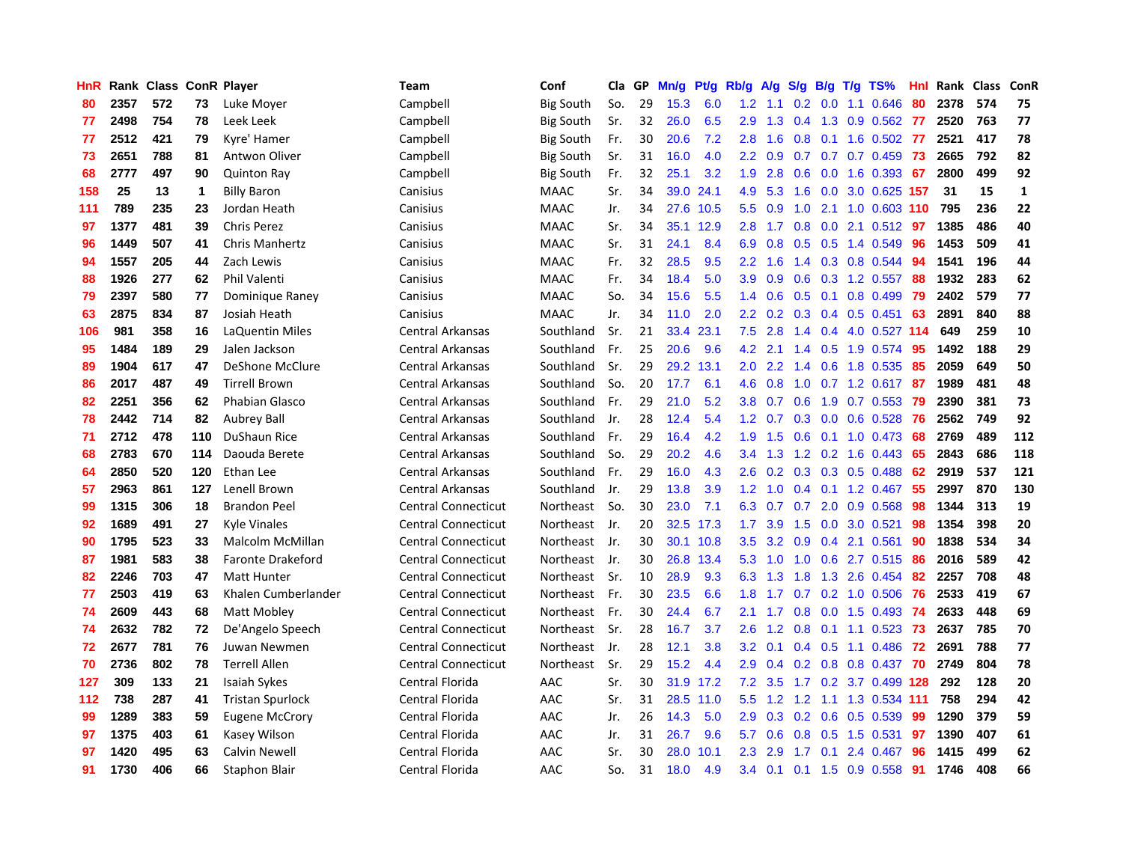| HnR |      | Rank Class ConR Player |     |                          | Team                       | Conf             | Cla  | GP | Mn/g | Pt/g | Rb/g             | A/g | S/g           | B/g | $T/g$ TS%                   | Hnl |      | Rank Class | ConR        |
|-----|------|------------------------|-----|--------------------------|----------------------------|------------------|------|----|------|------|------------------|-----|---------------|-----|-----------------------------|-----|------|------------|-------------|
| 80  | 2357 | 572                    | 73  | Luke Moyer               | Campbell                   | <b>Big South</b> | So.  | 29 | 15.3 | 6.0  | 1.2              | 1.1 | 0.2           | 0.0 | 1.1 0.646                   | 80  | 2378 | 574        | 75          |
| 77  | 2498 | 754                    | 78  | Leek Leek                | Campbell                   | <b>Big South</b> | Sr.  | 32 | 26.0 | 6.5  | 2.9              | 1.3 |               |     | 0.4 1.3 0.9 0.562 77        |     | 2520 | 763        | 77          |
| 77  | 2512 | 421                    | 79  | Kyre' Hamer              | Campbell                   | <b>Big South</b> | Fr.  | 30 | 20.6 | 7.2  | 2.8              | 1.6 |               |     | 0.8 0.1 1.6 0.502 77        |     | 2521 | 417        | 78          |
| 73  | 2651 | 788                    | 81  | Antwon Oliver            | Campbell                   | <b>Big South</b> | Sr.  | 31 | 16.0 | 4.0  | $2.2^{\circ}$    | 0.9 |               |     | $0.7$ 0.7 0.7 0.459 73      |     | 2665 | 792        | 82          |
| 68  | 2777 | 497                    | 90  | <b>Quinton Ray</b>       | Campbell                   | <b>Big South</b> | Fr.  | 32 | 25.1 | 3.2  | 1.9              | 2.8 | 0.6           |     | $0.0$ 1.6 0.393             | -67 | 2800 | 499        | 92          |
| 158 | 25   | 13                     | 1   | <b>Billy Baron</b>       | Canisius                   | <b>MAAC</b>      | Sr.  | 34 | 39.0 | 24.1 | 4.9              | 5.3 | 1.6           |     | 0.0 3.0 0.625 157           |     | 31   | 15         | $\mathbf 1$ |
| 111 | 789  | 235                    | 23  | Jordan Heath             | Canisius                   | <b>MAAC</b>      | Jr.  | 34 | 27.6 | 10.5 | 5.5              | 0.9 | 1.0           |     | 2.1 1.0 0.603 110           |     | 795  | 236        | 22          |
| 97  | 1377 | 481                    | 39  | <b>Chris Perez</b>       | Canisius                   | <b>MAAC</b>      | Sr.  | 34 | 35.1 | 12.9 | 2.8              | 1.7 | 0.8           | 0.0 | 2.1 0.512                   | -97 | 1385 | 486        | 40          |
| 96  | 1449 | 507                    | 41  | Chris Manhertz           | Canisius                   | <b>MAAC</b>      | Sr.  | 31 | 24.1 | 8.4  | 6.9              | 0.8 | 0.5           |     | 0.5 1.4 0.549               | 96  | 1453 | 509        | 41          |
| 94  | 1557 | 205                    | 44  | Zach Lewis               | Canisius                   | <b>MAAC</b>      | Fr.  | 32 | 28.5 | 9.5  | 2.2              | 1.6 | 1.4           |     | 0.3 0.8 0.544               | 94  | 1541 | 196        | 44          |
| 88  | 1926 | 277                    | 62  | Phil Valenti             | Canisius                   | <b>MAAC</b>      | Fr.  | 34 | 18.4 | 5.0  | 3.9 <sup>°</sup> | 0.9 |               |     | $0.6$ $0.3$ 1.2 $0.557$     | -88 | 1932 | 283        | 62          |
| 79  | 2397 | 580                    | 77  | Dominique Raney          | Canisius                   | <b>MAAC</b>      | So.  | 34 | 15.6 | 5.5  | 1.4              | 0.6 |               |     | $0.5$ 0.1 0.8 0.499         | -79 | 2402 | 579        | 77          |
| 63  | 2875 | 834                    | 87  | Josiah Heath             | Canisius                   | MAAC             | Jr.  | 34 | 11.0 | 2.0  | $2.2^{\circ}$    | 0.2 | 0.3           |     | $0.4$ 0.5 0.451             | 63  | 2891 | 840        | 88          |
| 106 | 981  | 358                    | 16  | LaQuentin Miles          | Central Arkansas           | Southland        | Sr.  | 21 | 33.4 | 23.1 | 7.5              | 2.8 | 1.4           |     | 0.4 4.0 0.527 114           |     | 649  | 259        | 10          |
| 95  | 1484 | 189                    | 29  | Jalen Jackson            | <b>Central Arkansas</b>    | Southland        | Fr.  | 25 | 20.6 | 9.6  | 4.2              | 2.1 | 1.4           |     | 0.5 1.9 0.574               | -95 | 1492 | 188        | 29          |
| 89  | 1904 | 617                    | 47  | <b>DeShone McClure</b>   | Central Arkansas           | Southland        | Sr.  | 29 | 29.2 | 13.1 | 2.0              | 2.2 | 1.4           |     | 0.6 1.8 0.535               | 85  | 2059 | 649        | 50          |
| 86  | 2017 | 487                    | 49  | <b>Tirrell Brown</b>     | <b>Central Arkansas</b>    | Southland        | So.  | 20 | 17.7 | 6.1  | 4.6              | 0.8 | 1.0           |     | $0.7$ 1.2 0.617             | -87 | 1989 | 481        | 48          |
| 82  | 2251 | 356                    | 62  | Phabian Glasco           | Central Arkansas           | Southland        | Fr.  | 29 | 21.0 | 5.2  | 3.8              | 0.7 | 0.6           | 1.9 | $0.7$ 0.553                 | 79  | 2390 | 381        | 73          |
| 78  | 2442 | 714                    | 82  | <b>Aubrey Ball</b>       | <b>Central Arkansas</b>    | Southland        | Jr.  | 28 | 12.4 | 5.4  | 1.2              | 0.7 | 0.3           |     | $0.0 \quad 0.6 \quad 0.528$ | -76 | 2562 | 749        | 92          |
| 71  | 2712 | 478                    | 110 | <b>DuShaun Rice</b>      | <b>Central Arkansas</b>    | Southland        | Fr.  | 29 | 16.4 | 4.2  | 1.9              | 1.5 |               |     | 0.6 0.1 1.0 0.473 68        |     | 2769 | 489        | 112         |
| 68  | 2783 | 670                    | 114 | Daouda Berete            | <b>Central Arkansas</b>    | Southland        | So.  | 29 | 20.2 | 4.6  | $3.4^{\circ}$    | 1.3 |               |     | $1.2$ 0.2 1.6 0.443         | -65 | 2843 | 686        | 118         |
| 64  | 2850 | 520                    | 120 | Ethan Lee                | Central Arkansas           | Southland        | Fr.  | 29 | 16.0 | 4.3  | 2.6              | 0.2 | 0.3           |     | 0.3 0.5 0.488               | 62  | 2919 | 537        | 121         |
| 57  | 2963 | 861                    | 127 | Lenell Brown             | <b>Central Arkansas</b>    | Southland        | Jr.  | 29 | 13.8 | 3.9  | 1.2              | 1.0 | $0.4^{\circ}$ |     | $0.1$ 1.2 0.467             | 55  | 2997 | 870        | 130         |
| 99  | 1315 | 306                    | 18  | <b>Brandon Peel</b>      | <b>Central Connecticut</b> | Northeast        | So.  | 30 | 23.0 | 7.1  | 6.3              | 0.7 | 0.7           |     | 2.0 0.9 0.568               | 98  | 1344 | 313        | 19          |
| 92  | 1689 | 491                    | 27  | <b>Kyle Vinales</b>      | <b>Central Connecticut</b> | Northeast        | Jr.  | 20 | 32.5 | 17.3 | 1.7              | 3.9 | 1.5           | 0.0 | 3.0 0.521                   | 98  | 1354 | 398        | 20          |
| 90  | 1795 | 523                    | 33  | Malcolm McMillan         | <b>Central Connecticut</b> | Northeast        | Jr.  | 30 | 30.1 | 10.8 | 3.5              | 3.2 | 0.9           |     | 0.4 2.1 0.561               | 90  | 1838 | 534        | 34          |
| 87  | 1981 | 583                    | 38  | <b>Faronte Drakeford</b> | <b>Central Connecticut</b> | Northeast        | Jr.  | 30 | 26.8 | 13.4 | 5.3              | 1.0 | 1.0           |     | 0.6 2.7 0.515 86            |     | 2016 | 589        | 42          |
| 82  | 2246 | 703                    | 47  | <b>Matt Hunter</b>       | <b>Central Connecticut</b> | Northeast        | -Sr. | 10 | 28.9 | 9.3  | 6.3              | 1.3 |               |     | 1.8 1.3 2.6 0.454 82        |     | 2257 | 708        | 48          |
| 77  | 2503 | 419                    | 63  | Khalen Cumberlander      | <b>Central Connecticut</b> | Northeast        | Fr.  | 30 | 23.5 | 6.6  | 1.8              | 1.7 |               |     | 0.7 0.2 1.0 0.506 76        |     | 2533 | 419        | 67          |
| 74  | 2609 | 443                    | 68  | Matt Mobley              | <b>Central Connecticut</b> | Northeast        | Fr.  | 30 | 24.4 | 6.7  | 2.1              | 1.7 | 0.8           |     | 0.0 1.5 0.493 74            |     | 2633 | 448        | 69          |
| 74  | 2632 | 782                    | 72  | De'Angelo Speech         | <b>Central Connecticut</b> | Northeast        | Sr.  | 28 | 16.7 | 3.7  | 2.6              | 1.2 | 0.8           | 0.1 | $1.1 \quad 0.523$           | 73  | 2637 | 785        | 70          |
| 72  | 2677 | 781                    | 76  | Juwan Newmen             | <b>Central Connecticut</b> | Northeast        | Jr.  | 28 | 12.1 | 3.8  | 3.2              | 0.1 | 0.4           | 0.5 | 1.1 0.486                   | 72  | 2691 | 788        | 77          |
| 70  | 2736 | 802                    | 78  | <b>Terrell Allen</b>     | <b>Central Connecticut</b> | Northeast        | Sr.  | 29 | 15.2 | 4.4  | 2.9              | 0.4 | 0.2           | 0.8 | 0.8 0.437                   | 70  | 2749 | 804        | 78          |
| 127 | 309  | 133                    | 21  | Isaiah Sykes             | Central Florida            | AAC              | Sr.  | 30 | 31.9 | 17.2 | 7.2              | 3.5 | 1.7           |     | 0.2 3.7 0.499 128           |     | 292  | 128        | 20          |
| 112 | 738  | 287                    | 41  | <b>Tristan Spurlock</b>  | Central Florida            | AAC              | Sr.  | 31 | 28.5 | 11.0 | 5.5              | 1.2 | 1.2           |     | 1.1 1.3 0.534 111           |     | 758  | 294        | 42          |
| 99  | 1289 | 383                    | 59  | <b>Eugene McCrory</b>    | Central Florida            | AAC              | Jr.  | 26 | 14.3 | 5.0  | 2.9              | 0.3 |               |     | 0.2 0.6 0.5 0.539           | -99 | 1290 | 379        | 59          |
| 97  | 1375 | 403                    | 61  | Kasey Wilson             | Central Florida            | AAC              | Jr.  | 31 | 26.7 | 9.6  | 5.7              | 0.6 |               |     | $0.8$ 0.5 1.5 0.531         | 97  | 1390 | 407        | 61          |
| 97  | 1420 | 495                    | 63  | Calvin Newell            | Central Florida            | AAC              | Sr.  | 30 | 28.0 | 10.1 | $2.3\phantom{0}$ | 2.9 | 1.7           | 0.1 | 2.4 0.467                   | 96  | 1415 | 499        | 62          |
| 91  | 1730 | 406                    | 66  | Staphon Blair            | Central Florida            | AAC              | So.  | 31 | 18.0 | 4.9  | $3.4^{\circ}$    | 0.1 |               |     | $0.1$ 1.5 0.9 0.558         | 91  | 1746 | 408        | 66          |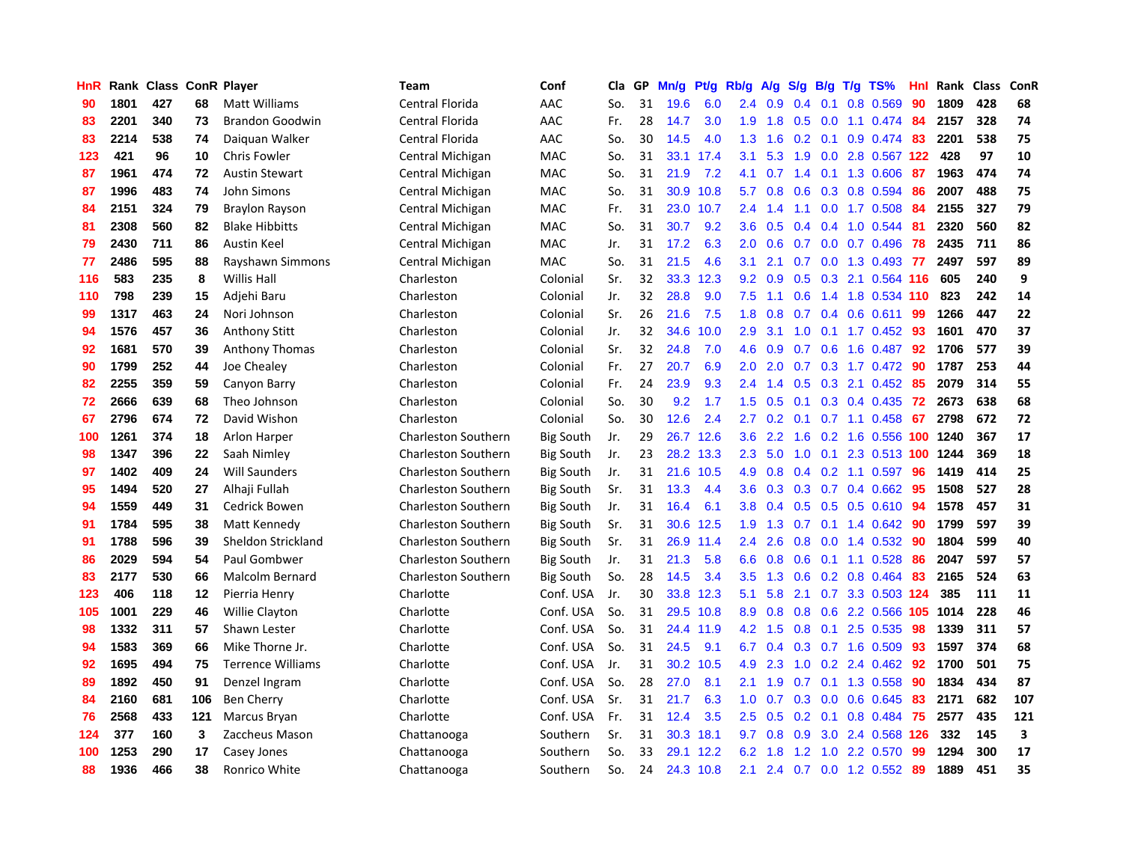| HnR | Rank | <b>Class</b> |     | <b>ConR Player</b>       | Team                       | Conf             | Cla | GP | Mn/g | Pt/g      | Rb/g          | $\mathsf{A/g}$ | S/g           | B/g | $T/g$ TS%                  | Hnl | Rank | <b>Class</b> | ConR |
|-----|------|--------------|-----|--------------------------|----------------------------|------------------|-----|----|------|-----------|---------------|----------------|---------------|-----|----------------------------|-----|------|--------------|------|
| 90  | 1801 | 427          | 68  | <b>Matt Williams</b>     | Central Florida            | AAC              | So. | 31 | 19.6 | 6.0       | 2.4           | 0.9            | 0.4           | 0.1 | 0.8 0.569                  | 90  | 1809 | 428          | 68   |
| 83  | 2201 | 340          | 73  | <b>Brandon Goodwin</b>   | Central Florida            | AAC              | Fr. | 28 | 14.7 | 3.0       | 1.9           | 1.8            |               |     | 0.5 0.0 1.1 0.474 84       |     | 2157 | 328          | 74   |
| 83  | 2214 | 538          | 74  | Daiguan Walker           | Central Florida            | AAC              | So. | 30 | 14.5 | 4.0       | 1.3           | 1.6            |               |     | $0.2$ 0.1 0.9 0.474        | 83  | 2201 | 538          | 75   |
| 123 | 421  | 96           | 10  | <b>Chris Fowler</b>      | Central Michigan           | MAC              | So. | 31 | 33.1 | 17.4      | 3.1           | 5.3            | 1.9           |     | 0.0 2.8 0.567 122          |     | 428  | 97           | 10   |
| 87  | 1961 | 474          | 72  | <b>Austin Stewart</b>    | Central Michigan           | MAC              | So. | 31 | 21.9 | 7.2       | 4.1           | 0.7            | 1.4           |     | $0.1$ 1.3 0.606            | 87  | 1963 | 474          | 74   |
| 87  | 1996 | 483          | 74  | John Simons              | Central Michigan           | MAC              | So. | 31 | 30.9 | 10.8      | 5.7           | 0.8            | 0.6           |     | 0.3 0.8 0.594              | 86  | 2007 | 488          | 75   |
| 84  | 2151 | 324          | 79  | <b>Braylon Rayson</b>    | Central Michigan           | MAC              | Fr. | 31 | 23.0 | 10.7      | 2.4           | 1.4            | 1.1           |     | $0.0$ 1.7 $0.508$          | 84  | 2155 | 327          | 79   |
| 81  | 2308 | 560          | 82  | <b>Blake Hibbitts</b>    | Central Michigan           | <b>MAC</b>       | So. | 31 | 30.7 | 9.2       | 3.6           | 0.5            | $0.4^{\circ}$ |     | 0.4 1.0 0.544              | -81 | 2320 | 560          | 82   |
| 79  | 2430 | 711          | 86  | Austin Keel              | Central Michigan           | <b>MAC</b>       | Jr. | 31 | 17.2 | 6.3       | 2.0           | 0.6            | 0.7           |     | $0.0$ 0.7 0.496            | 78  | 2435 | 711          | 86   |
| 77  | 2486 | 595          | 88  | Rayshawn Simmons         | Central Michigan           | <b>MAC</b>       | So. | 31 | 21.5 | 4.6       | 3.1           | 2.1            |               |     | 0.7 0.0 1.3 0.493 77       |     | 2497 | 597          | 89   |
| 116 | 583  | 235          | 8   | <b>Willis Hall</b>       | Charleston                 | Colonial         | Sr. | 32 | 33.3 | 12.3      | 9.2           | 0.9            |               |     | 0.5 0.3 2.1 0.564 116      |     | 605  | 240          | 9    |
| 110 | 798  | 239          | 15  | Adjehi Baru              | Charleston                 | Colonial         | Jr. | 32 | 28.8 | 9.0       | 7.5           | 1.1            |               |     | 0.6 1.4 1.8 0.534 110      |     | 823  | 242          | 14   |
| 99  | 1317 | 463          | 24  | Nori Johnson             | Charleston                 | Colonial         | Sr. | 26 | 21.6 | 7.5       | 1.8           | 0.8            | 0.7           |     | $0.4$ 0.6 0.611            | 99  | 1266 | 447          | 22   |
| 94  | 1576 | 457          | 36  | <b>Anthony Stitt</b>     | Charleston                 | Colonial         | Jr. | 32 | 34.6 | 10.0      | 2.9           | 3.1            | 1.0           |     | $0.1$ 1.7 0.452            | -93 | 1601 | 470          | 37   |
| 92  | 1681 | 570          | 39  | <b>Anthony Thomas</b>    | Charleston                 | Colonial         | Sr. | 32 | 24.8 | 7.0       | 4.6           | 0.9            | 0.7           |     | 0.6 1.6 0.487              | 92  | 1706 | 577          | 39   |
| 90  | 1799 | 252          | 44  | Joe Chealey              | Charleston                 | Colonial         | Fr. | 27 | 20.7 | 6.9       | 2.0           | 2.0            | 0.7           |     | $0.3$ 1.7 0.472            | 90  | 1787 | 253          | 44   |
| 82  | 2255 | 359          | 59  | Canyon Barry             | Charleston                 | Colonial         | Fr. | 24 | 23.9 | 9.3       | 2.4           | 1.4            | 0.5           | 0.3 | 2.1 0.452                  | 85  | 2079 | 314          | 55   |
| 72  | 2666 | 639          | 68  | Theo Johnson             | Charleston                 | Colonial         | So. | 30 | 9.2  | 1.7       | 1.5           | 0.5            | 0.1           |     | $0.3$ 0.4 0.435            | 72  | 2673 | 638          | 68   |
| 67  | 2796 | 674          | 72  | David Wishon             | Charleston                 | Colonial         | So. | 30 | 12.6 | 2.4       | 2.7           | 0.2            |               |     | $0.1$ $0.7$ 1.1 $0.458$    | 67  | 2798 | 672          | 72   |
| 100 | 1261 | 374          | 18  | Arlon Harper             | <b>Charleston Southern</b> | <b>Big South</b> | Jr. | 29 | 26.7 | 12.6      | 3.6           | 2.2            |               |     | 1.6 0.2 1.6 0.556 100 1240 |     |      | 367          | 17   |
| 98  | 1347 | 396          | 22  | Saah Nimley              | <b>Charleston Southern</b> | <b>Big South</b> | Jr. | 23 | 28.2 | 13.3      | $2.3^{\circ}$ | 5.0            | 1.0           |     | 0.1 2.3 0.513 100 1244     |     |      | 369          | 18   |
| 97  | 1402 | 409          | 24  | <b>Will Saunders</b>     | <b>Charleston Southern</b> | Big South        | Jr. | 31 | 21.6 | 10.5      | 4.9           | 0.8            | 0.4           |     | $0.2$ 1.1 0.597            | 96  | 1419 | 414          | 25   |
| 95  | 1494 | 520          | 27  | Alhaji Fullah            | <b>Charleston Southern</b> | <b>Big South</b> | Sr. | 31 | 13.3 | 4.4       | 3.6           | 0.3            | 0.3           |     | $0.7$ 0.4 0.662            | 95  | 1508 | 527          | 28   |
| 94  | 1559 | 449          | 31  | Cedrick Bowen            | <b>Charleston Southern</b> | <b>Big South</b> | Jr. | 31 | 16.4 | 6.1       | 3.8           | 0.4            | 0.5           | 0.5 | $0.5$ 0.610                | 94  | 1578 | 457          | 31   |
| 91  | 1784 | 595          | 38  | Matt Kennedy             | <b>Charleston Southern</b> | <b>Big South</b> | Sr. | 31 | 30.6 | 12.5      | 1.9           | 1.3            | 0.7           |     | $0.1$ 1.4 $0.642$          | -90 | 1799 | 597          | 39   |
| 91  | 1788 | 596          | 39  | Sheldon Strickland       | <b>Charleston Southern</b> | <b>Big South</b> | Sr. | 31 | 26.9 | 11.4      | $2.4\,$       | 2.6            | 0.8           |     | $0.0$ 1.4 $0.532$          | -90 | 1804 | 599          | 40   |
| 86  | 2029 | 594          | 54  | Paul Gombwer             | <b>Charleston Southern</b> | <b>Big South</b> | Jr. | 31 | 21.3 | 5.8       | 6.6           | 0.8            |               |     | $0.6$ 0.1 1.1 0.528        | -86 | 2047 | 597          | 57   |
| 83  | 2177 | 530          | 66  | <b>Malcolm Bernard</b>   | <b>Charleston Southern</b> | <b>Big South</b> | So. | 28 | 14.5 | 3.4       | 3.5           | 1.3            |               |     | $0.6$ $0.2$ $0.8$ $0.464$  | -83 | 2165 | 524          | 63   |
| 123 | 406  | 118          | 12  | Pierria Henry            | Charlotte                  | Conf. USA        | Jr. | 30 | 33.8 | 12.3      | 5.1           | 5.8            | 2.1           |     | 0.7 3.3 0.503 124          |     | 385  | 111          | 11   |
| 105 | 1001 | 229          | 46  | <b>Willie Clayton</b>    | Charlotte                  | Conf. USA        | So. | 31 | 29.5 | 10.8      | 8.9           | 0.8            | 0.8           |     | 0.6 2.2 0.566 105 1014     |     |      | 228          | 46   |
| 98  | 1332 | 311          | 57  | Shawn Lester             | Charlotte                  | Conf. USA        | So. | 31 | 24.4 | 11.9      | 4.2           | 1.5            | 0.8           |     | $0.1$ 2.5 0.535            | 98  | 1339 | 311          | 57   |
| 94  | 1583 | 369          | 66  | Mike Thorne Jr.          | Charlotte                  | Conf. USA        | So. | 31 | 24.5 | 9.1       | 6.7           | 0.4            | 0.3           |     | $0.7$ 1.6 $0.509$          | 93  | 1597 | 374          | 68   |
| 92  | 1695 | 494          | 75  | <b>Terrence Williams</b> | Charlotte                  | Conf. USA        | Jr. | 31 | 30.2 | 10.5      | 4.9           | 2.3            | 1.0           |     | $0.2$ 2.4 $0.462$          | 92  | 1700 | 501          | 75   |
| 89  | 1892 | 450          | 91  | Denzel Ingram            | Charlotte                  | Conf. USA        | So. | 28 | 27.0 | 8.1       | 2.1           | 1.9            | 0.7           |     | $0.1$ 1.3 0.558            | 90  | 1834 | 434          | 87   |
| 84  | 2160 | 681          | 106 | <b>Ben Cherry</b>        | Charlotte                  | Conf. USA        | Sr. | 31 | 21.7 | 6.3       | 1.0           | 0.7            | 0.3           |     | $0.0$ 0.6 0.645            | -83 | 2171 | 682          | 107  |
| 76  | 2568 | 433          | 121 | Marcus Bryan             | Charlotte                  | Conf. USA        | Fr. | 31 | 12.4 | 3.5       | 2.5           | 0.5            |               |     | $0.2$ 0.1 0.8 0.484        | 75  | 2577 | 435          | 121  |
| 124 | 377  | 160          | 3   | Zaccheus Mason           | Chattanooga                | Southern         | Sr. | 31 | 30.3 | 18.1      | 9.7           | 0.8            | 0.9           |     | 3.0 2.4 0.568 126          |     | 332  | 145          | 3    |
| 100 | 1253 | 290          | 17  | Casey Jones              | Chattanooga                | Southern         | So. | 33 | 29.1 | 12.2      | 6.2           | 1.8            | 1.2           | 1.0 | 2.2 0.570                  | 99  | 1294 | 300          | 17   |
| 88  | 1936 | 466          | 38  | Ronrico White            | Chattanooga                | Southern         | So. | 24 |      | 24.3 10.8 | 2.1           | 2.4            |               |     | 0.7 0.0 1.2 0.552 89       |     | 1889 | 451          | 35   |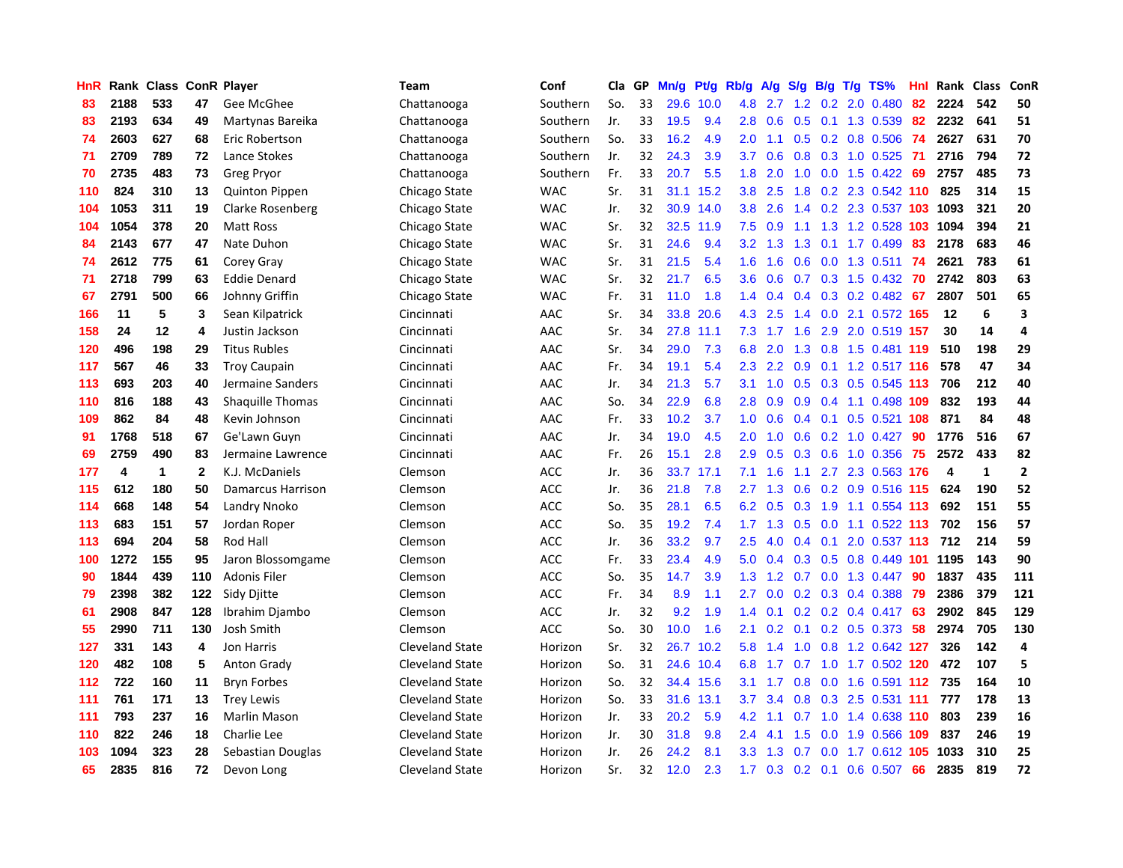| HnR |      | Rank Class ConR Player |              |                     | <b>Team</b>            | Conf       | Cla | GP | Mn/g | Pt/g | Rb/g             | A/g | S/g           | B/g | $T/g$ TS%                  | Hnl | Rank Class |              | ConR         |
|-----|------|------------------------|--------------|---------------------|------------------------|------------|-----|----|------|------|------------------|-----|---------------|-----|----------------------------|-----|------------|--------------|--------------|
| 83  | 2188 | 533                    | 47           | Gee McGhee          | Chattanooga            | Southern   | So. | 33 | 29.6 | 10.0 | 4.8              | 2.7 | 1.2           |     | 0.2 2.0 0.480              | 82  | 2224       | 542          | 50           |
| 83  | 2193 | 634                    | 49           | Martynas Bareika    | Chattanooga            | Southern   | Jr. | 33 | 19.5 | 9.4  | 2.8              | 0.6 | 0.5           |     | 0.1 1.3 0.539              | -82 | 2232       | 641          | 51           |
| 74  | 2603 | 627                    | 68           | Eric Robertson      | Chattanooga            | Southern   | So. | 33 | 16.2 | 4.9  | 2.0              | 1.1 |               |     | 0.5 0.2 0.8 0.506 74       |     | 2627       | 631          | 70           |
| 71  | 2709 | 789                    | 72           | Lance Stokes        | Chattanooga            | Southern   | Jr. | 32 | 24.3 | 3.9  | 3.7              | 0.6 | 0.8           |     | $0.3$ 1.0 $0.525$          | -71 | 2716       | 794          | 72           |
| 70  | 2735 | 483                    | 73           | Greg Pryor          | Chattanooga            | Southern   | Fr. | 33 | 20.7 | 5.5  | 1.8              | 2.0 | 1.0           |     | $0.0$ 1.5 $0.422$          | -69 | 2757       | 485          | 73           |
| 110 | 824  | 310                    | 13           | Quinton Pippen      | Chicago State          | <b>WAC</b> | Sr. | 31 | 31.1 | 15.2 | 3.8 <sub>2</sub> | 2.5 | 1.8           |     | 0.2 2.3 0.542 110          |     | 825        | 314          | 15           |
| 104 | 1053 | 311                    | 19           | Clarke Rosenberg    | Chicago State          | <b>WAC</b> | Jr. | 32 | 30.9 | 14.0 | 3.8              | 2.6 | 1.4           |     | $0.2$ 2.3 0.537 103        |     | 1093       | 321          | 20           |
| 104 | 1054 | 378                    | 20           | Matt Ross           | Chicago State          | <b>WAC</b> | Sr. | 32 | 32.5 | 11.9 | 7.5              | 0.9 |               |     | 1.1 1.3 1.2 0.528 103      |     | 1094       | 394          | 21           |
| 84  | 2143 | 677                    | 47           | Nate Duhon          | Chicago State          | <b>WAC</b> | Sr. | 31 | 24.6 | 9.4  | 3.2              | 1.3 | 1.3           |     | 0.1 1.7 0.499              | 83  | 2178       | 683          | 46           |
| 74  | 2612 | 775                    | 61           | Corey Gray          | Chicago State          | <b>WAC</b> | Sr. | 31 | 21.5 | 5.4  | 1.6              | 1.6 | 0.6           |     | $0.0$ 1.3 0.511            | -74 | 2621       | 783          | 61           |
| 71  | 2718 | 799                    | 63           | <b>Eddie Denard</b> | Chicago State          | <b>WAC</b> | Sr. | 32 | 21.7 | 6.5  | 3.6              | 0.6 |               |     | 0.7 0.3 1.5 0.432 70       |     | 2742       | 803          | 63           |
| 67  | 2791 | 500                    | 66           | Johnny Griffin      | Chicago State          | <b>WAC</b> | Fr. | 31 | 11.0 | 1.8  | 1.4              | 0.4 |               |     | $0.4$ 0.3 0.2 0.482 67     |     | 2807       | 501          | 65           |
| 166 | 11   | 5                      | 3            | Sean Kilpatrick     | Cincinnati             | AAC        | Sr. | 34 | 33.8 | 20.6 | 4.3              | 2.5 | 1.4           |     | 0.0 2.1 0.572 165          |     | 12         | 6            | 3            |
| 158 | 24   | 12                     | 4            | Justin Jackson      | Cincinnati             | AAC        | Sr. | 34 | 27.8 | 11.1 | 7.3              | 1.7 | 1.6           |     | 2.9 2.0 0.519 157          |     | 30         | 14           | 4            |
| 120 | 496  | 198                    | 29           | <b>Titus Rubles</b> | Cincinnati             | AAC        | Sr. | 34 | 29.0 | 7.3  | 6.8              | 2.0 | 1.3           |     | 0.8 1.5 0.481 119          |     | 510        | 198          | 29           |
| 117 | 567  | 46                     | 33           | <b>Troy Caupain</b> | Cincinnati             | AAC        | Fr. | 34 | 19.1 | 5.4  | 2.3              | 2.2 | 0.9           |     | 0.1 1.2 0.517 116          |     | 578        | 47           | 34           |
| 113 | 693  | 203                    | 40           | Jermaine Sanders    | Cincinnati             | AAC        | Jr. | 34 | 21.3 | 5.7  | 3.1              | 1.0 | 0.5           |     | 0.3 0.5 0.545 113          |     | 706        | 212          | 40           |
| 110 | 816  | 188                    | 43           | Shaquille Thomas    | Cincinnati             | AAC        | So. | 34 | 22.9 | 6.8  | 2.8              | 0.9 | 0.9           |     | 0.4 1.1 0.498 109          |     | 832        | 193          | 44           |
| 109 | 862  | 84                     | 48           | Kevin Johnson       | Cincinnati             | AAC        | Fr. | 33 | 10.2 | 3.7  | 1.0              | 0.6 |               |     | 0.4 0.1 0.5 0.521 108      |     | 871        | 84           | 48           |
| 91  | 1768 | 518                    | 67           | Ge'Lawn Guyn        | Cincinnati             | AAC        | Jr. | 34 | 19.0 | 4.5  | 2.0              | 1.0 | 0.6           |     | $0.2$ 1.0 0.427            | -90 | 1776       | 516          | 67           |
| 69  | 2759 | 490                    | 83           | Jermaine Lawrence   | Cincinnati             | AAC        | Fr. | 26 | 15.1 | 2.8  | 2.9              | 0.5 | 0.3           |     | 0.6 1.0 0.356              | 75  | 2572       | 433          | 82           |
| 177 | 4    | 1                      | $\mathbf{2}$ | K.J. McDaniels      | Clemson                | <b>ACC</b> | Jr. | 36 | 33.7 | 17.1 | 7.1              | 1.6 | 1.1           |     | 2.7 2.3 0.563 176          |     | 4          | $\mathbf{1}$ | $\mathbf{2}$ |
| 115 | 612  | 180                    | 50           | Damarcus Harrison   | Clemson                | <b>ACC</b> | Jr. | 36 | 21.8 | 7.8  | 2.7              | 1.3 | 0.6           |     | 0.2 0.9 0.516 115          |     | 624        | 190          | 52           |
| 114 | 668  | 148                    | 54           | Landry Nnoko        | Clemson                | <b>ACC</b> | So. | 35 | 28.1 | 6.5  | 6.2              | 0.5 | 0.3           |     | 1.9 1.1 0.554 113          |     | 692        | 151          | 55           |
| 113 | 683  | 151                    | 57           | Jordan Roper        | Clemson                | <b>ACC</b> | So. | 35 | 19.2 | 7.4  | 1.7              | 1.3 | 0.5           |     | $0.0$ 1.1 $0.522$ 113      |     | 702        | 156          | 57           |
| 113 | 694  | 204                    | 58           | Rod Hall            | Clemson                | <b>ACC</b> | Jr. | 36 | 33.2 | 9.7  | 2.5              | 4.0 | $0.4^{\circ}$ |     | $0.1$ 2.0 0.537 113        |     | 712        | 214          | 59           |
| 100 | 1272 | 155                    | 95           | Jaron Blossomgame   | Clemson                | <b>ACC</b> | Fr. | 33 | 23.4 | 4.9  | 5.0              | 0.4 |               |     | 0.3 0.5 0.8 0.449 101 1195 |     |            | 143          | 90           |
| 90  | 1844 | 439                    | 110          | <b>Adonis Filer</b> | Clemson                | <b>ACC</b> | So. | 35 | 14.7 | 3.9  | 1.3              | 1.2 |               |     | $0.7$ $0.0$ $1.3$ $0.447$  | -90 | 1837       | 435          | 111          |
| 79  | 2398 | 382                    | 122          | Sidy Djitte         | Clemson                | <b>ACC</b> | Fr. | 34 | 8.9  | 1.1  | 2.7              | 0.0 |               |     | $0.2$ 0.3 0.4 0.388        | -79 | 2386       | 379          | 121          |
| 61  | 2908 | 847                    | 128          | Ibrahim Djambo      | Clemson                | ACC        | Jr. | 32 | 9.2  | 1.9  | 1.4              | 0.1 | 0.2           |     | $0.2$ 0.4 0.417            | 63  | 2902       | 845          | 129          |
| 55  | 2990 | 711                    | 130          | Josh Smith          | Clemson                | ACC        | So. | 30 | 10.0 | 1.6  | 2.1              | 0.2 | 0.1           |     | 0.2 0.5 0.373              | 58  | 2974       | 705          | 130          |
| 127 | 331  | 143                    | 4            | Jon Harris          | <b>Cleveland State</b> | Horizon    | Sr. | 32 | 26.7 | 10.2 | 5.8              | 1.4 | 1.0           |     | 0.8 1.2 0.642 127          |     | 326        | 142          | 4            |
| 120 | 482  | 108                    | 5            | Anton Grady         | <b>Cleveland State</b> | Horizon    | So. | 31 | 24.6 | 10.4 | 6.8              | 1.7 | 0.7           |     | 1.0 1.7 0.502 120          |     | 472        | 107          | 5            |
| 112 | 722  | 160                    | 11           | <b>Bryn Forbes</b>  | <b>Cleveland State</b> | Horizon    | So. | 32 | 34.4 | 15.6 | 3.1              | 1.7 | 0.8           |     | $0.0$ 1.6 $0.591$ 112      |     | 735        | 164          | 10           |
| 111 | 761  | 171                    | 13           | <b>Trey Lewis</b>   | <b>Cleveland State</b> | Horizon    | So. | 33 | 31.6 | 13.1 | 3.7              | 3.4 | 0.8           |     | 0.3 2.5 0.531 111          |     | 777        | 178          | 13           |
| 111 | 793  | 237                    | 16           | Marlin Mason        | Cleveland State        | Horizon    | Jr. | 33 | 20.2 | 5.9  | 4.2              | 1.1 |               |     | 0.7 1.0 1.4 0.638 110      |     | 803        | 239          | 16           |
| 110 | 822  | 246                    | 18           | Charlie Lee         | Cleveland State        | Horizon    | Jr. | 30 | 31.8 | 9.8  | $2.4^{\circ}$    | 4.1 | 1.5           |     | 0.0 1.9 0.566 109          |     | 837        | 246          | 19           |
| 103 | 1094 | 323                    | 28           | Sebastian Douglas   | Cleveland State        | Horizon    | Jr. | 26 | 24.2 | 8.1  | 3.3 <sub>2</sub> | 1.3 | 0.7           |     | $0.0$ 1.7 $0.612$ 105 1033 |     |            | 310          | 25           |
| 65  | 2835 | 816                    | 72           | Devon Long          | <b>Cleveland State</b> | Horizon    | Sr. | 32 | 12.0 | 2.3  | 1.7 <sub>z</sub> | 0.3 |               |     | $0.2$ 0.1 0.6 0.507        | 66  | 2835       | 819          | 72           |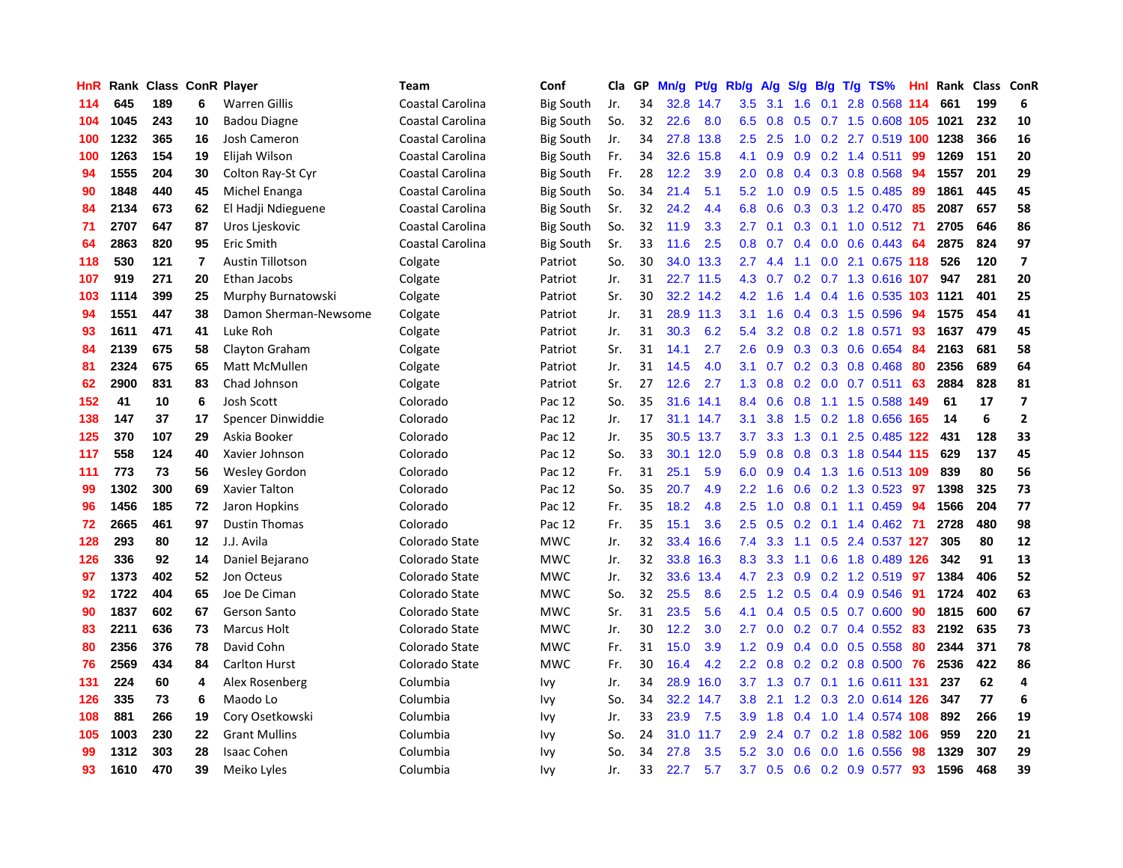| HnR |      | Rank Class ConR Player |         |                         | <b>Team</b>      | Conf             | Cla | GP | Mn/g | Pt/g      | Rb/g             | A/g       | S/g              | B/g | $T/g$ TS%                  | <b>Hnl</b> | Rank | Class | ConR                    |
|-----|------|------------------------|---------|-------------------------|------------------|------------------|-----|----|------|-----------|------------------|-----------|------------------|-----|----------------------------|------------|------|-------|-------------------------|
| 114 | 645  | 189                    | 6       | <b>Warren Gillis</b>    | Coastal Carolina | <b>Big South</b> | Jr. | 34 | 32.8 | 14.7      | 3.5              | 3.1       | 1.6              | 0.1 | 2.8 0.568 114              |            | 661  | 199   | 6                       |
| 104 | 1045 | 243                    | 10      | <b>Badou Diagne</b>     | Coastal Carolina | <b>Big South</b> | So. | 32 | 22.6 | 8.0       | 6.5              | 0.8       | 0.5              |     | 0.7 1.5 0.608 105 1021     |            |      | 232   | 10                      |
| 100 | 1232 | 365                    | 16      | <b>Josh Cameron</b>     | Coastal Carolina | <b>Big South</b> | Jr. | 34 | 27.8 | 13.8      | 2.5              | 2.5       |                  |     | 1.0 0.2 2.7 0.519 100 1238 |            |      | 366   | 16                      |
| 100 | 1263 | 154                    | 19      | Elijah Wilson           | Coastal Carolina | <b>Big South</b> | Fr. | 34 | 32.6 | 15.8      | 4.1              | 0.9       | 0.9              |     | $0.2$ 1.4 $0.511$          | 99         | 1269 | 151   | 20                      |
| 94  | 1555 | 204                    | 30      | Colton Ray-St Cyr       | Coastal Carolina | <b>Big South</b> | Fr. | 28 | 12.2 | 3.9       | 2.0              | 0.8       | 0.4              |     | 0.3 0.8 0.568              | -94        | 1557 | 201   | 29                      |
| 90  | 1848 | 440                    | 45      | Michel Enanga           | Coastal Carolina | <b>Big South</b> | So. | 34 | 21.4 | 5.1       | 5.2              | 1.0       | 0.9              |     | $0.5$ 1.5 0.485            | -89        | 1861 | 445   | 45                      |
| 84  | 2134 | 673                    | 62      | El Hadji Ndieguene      | Coastal Carolina | <b>Big South</b> | Sr. | 32 | 24.2 | 4.4       | 6.8              | 0.6       | 0.3              |     | 0.3 1.2 0.470              | 85         | 2087 | 657   | 58                      |
| 71  | 2707 | 647                    | 87      | Uros Ljeskovic          | Coastal Carolina | <b>Big South</b> | So. | 32 | 11.9 | 3.3       | 2.7              | 0.1       | 0.3              |     | $0.1$ 1.0 $0.512$          | -71        | 2705 | 646   | 86                      |
| 64  | 2863 | 820                    | 95      | Eric Smith              | Coastal Carolina | <b>Big South</b> | Sr. | 33 | 11.6 | 2.5       | 0.8              | 0.7       | 0.4              |     | $0.0$ 0.6 0.443            | 64         | 2875 | 824   | 97                      |
| 118 | 530  | 121                    | 7       | <b>Austin Tillotson</b> | Colgate          | Patriot          | So. | 30 | 34.0 | 13.3      | 2.7              | 4.4       | 1.1              |     | 0.0 2.1 0.675 118          |            | 526  | 120   | $\overline{\mathbf{z}}$ |
| 107 | 919  | 271                    | 20      | Ethan Jacobs            | Colgate          | Patriot          | Jr. | 31 |      | 22.7 11.5 |                  | 4.3 0.7   |                  |     | 0.2 0.7 1.3 0.616 107      |            | 947  | 281   | 20                      |
| 103 | 1114 | 399                    | 25      | Murphy Burnatowski      | Colgate          | Patriot          | Sr. | 30 |      | 32.2 14.2 | 4.2              | 1.6       |                  |     | 1.4 0.4 1.6 0.535 103 1121 |            |      | 401   | 25                      |
| 94  | 1551 | 447                    | 38      | Damon Sherman-Newsome   | Colgate          | Patriot          | Jr. | 31 | 28.9 | 11.3      | 3.1              | 1.6       |                  |     | 0.4 0.3 1.5 0.596          | 94         | 1575 | 454   | 41                      |
| 93  | 1611 | 471                    | 41      | Luke Roh                | Colgate          | Patriot          | Jr. | 31 | 30.3 | 6.2       | 5.4              | 3.2       | 0.8              |     | $0.2$ 1.8 $0.571$          | 93         | 1637 | 479   | 45                      |
| 84  | 2139 | 675                    | 58      | Clayton Graham          | Colgate          | Patriot          | Sr. | 31 | 14.1 | 2.7       | 2.6              | 0.9       | 0.3              |     | 0.3 0.6 0.654              | -84        | 2163 | 681   | 58                      |
| 81  | 2324 | 675                    | 65      | Matt McMullen           | Colgate          | Patriot          | Jr. | 31 | 14.5 | 4.0       | 3.1              | 0.7       |                  |     | $0.2$ $0.3$ $0.8$ $0.468$  | -80        | 2356 | 689   | 64                      |
| 62  | 2900 | 831                    | 83      | Chad Johnson            | Colgate          | Patriot          | Sr. | 27 | 12.6 | 2.7       | 1.3              | 0.8       | 0.2 <sub>0</sub> |     | $0.0$ 0.7 0.511            | 63         | 2884 | 828   | 81                      |
| 152 | 41   | 10                     | 6       | <b>Josh Scott</b>       | Colorado         | Pac 12           | So. | 35 | 31.6 | 14.1      | 8.4              | 0.6       | 0.8              |     | 1.1 1.5 0.588 149          |            | 61   | 17    | $\overline{\mathbf{z}}$ |
| 138 | 147  | 37                     | 17      | Spencer Dinwiddie       | Colorado         | Pac 12           | Jr. | 17 |      | 31.1 14.7 | 3.1              | 3.8       |                  |     | 1.5 0.2 1.8 0.656 165      |            | 14   | 6     | $\overline{\mathbf{2}}$ |
| 125 | 370  | 107                    | 29      | Askia Booker            | Colorado         | Pac 12           | Jr. | 35 | 30.5 | 13.7      | 3.7              | 3.3       |                  |     | 1.3 0.1 2.5 0.485 122      |            | 431  | 128   | 33                      |
| 117 | 558  | 124                    | 40      | Xavier Johnson          | Colorado         | Pac 12           | So. | 33 | 30.1 | 12.0      | 5.9              | 0.8       |                  |     | 0.8 0.3 1.8 0.544 115      |            | 629  | 137   | 45                      |
| 111 | 773  | 73                     | 56      | <b>Wesley Gordon</b>    | Colorado         | Pac 12           | Fr. | 31 | 25.1 | 5.9       | 6.0              | 0.9       |                  |     | 0.4 1.3 1.6 0.513 109      |            | 839  | 80    | 56                      |
| 99  | 1302 | 300                    | 69      | Xavier Talton           | Colorado         | Pac 12           | So. | 35 | 20.7 | 4.9       | 2.2              | 1.6       | 0.6              |     | $0.2$ 1.3 0.523            | -97        | 1398 | 325   | 73                      |
| 96  | 1456 | 185                    | 72      | Jaron Hopkins           | Colorado         | Pac 12           | Fr. | 35 | 18.2 | 4.8       | 2.5              | 1.0       | 0.8              |     | $0.1$ 1.1 0.459            | 94         | 1566 | 204   | 77                      |
| 72  | 2665 | 461                    | 97      | <b>Dustin Thomas</b>    | Colorado         | Pac 12           | Fr. | 35 | 15.1 | 3.6       | 2.5              | 0.5       | 0.2              |     | $0.1$ 1.4 $0.462$          | -71        | 2728 | 480   | 98                      |
| 128 | 293  | 80                     | $12 \,$ | J.J. Avila              | Colorado State   | <b>MWC</b>       | Jr. | 32 | 33.4 | 16.6      | 7.4              | 3.3       | 1.1              |     | 0.5 2.4 0.537 127          |            | 305  | 80    | 12                      |
| 126 | 336  | 92                     | 14      | Daniel Bejarano         | Colorado State   | <b>MWC</b>       | Jr. | 32 | 33.8 | 16.3      | 8.3              | 3.3       |                  |     | 1.1 0.6 1.8 0.489 126      |            | 342  | 91    | 13                      |
| 97  | 1373 | 402                    | 52      | Jon Octeus              | Colorado State   | <b>MWC</b>       | Jr. | 32 | 33.6 | 13.4      | 4.7              | 2.3       |                  |     | 0.9 0.2 1.2 0.519 97       |            | 1384 | 406   | 52                      |
| 92  | 1722 | 404                    | 65      | Joe De Ciman            | Colorado State   | <b>MWC</b>       | So. | 32 | 25.5 | 8.6       | $2.5\,$          | 1.2       | 0.5              |     | $0.4$ 0.9 0.546            | -91        | 1724 | 402   | 63                      |
| 90  | 1837 | 602                    | 67      | <b>Gerson Santo</b>     | Colorado State   | <b>MWC</b>       | Sr. | 31 | 23.5 | 5.6       | 4.1              | 0.4       | 0.5              |     | $0.5$ 0.7 0.600            | 90         | 1815 | 600   | 67                      |
| 83  | 2211 | 636                    | 73      | <b>Marcus Holt</b>      | Colorado State   | <b>MWC</b>       | Jr. | 30 | 12.2 | 3.0       | 2.7              | 0.0       |                  |     | $0.2$ 0.7 0.4 0.552        | -83        | 2192 | 635   | 73                      |
| 80  | 2356 | 376                    | 78      | David Cohn              | Colorado State   | <b>MWC</b>       | Fr. | 31 | 15.0 | 3.9       | 1.2              | 0.9       | 0.4              |     | $0.0$ $0.5$ $0.558$        | 80         | 2344 | 371   | 78                      |
| 76  | 2569 | 434                    | 84      | <b>Carlton Hurst</b>    | Colorado State   | <b>MWC</b>       | Fr. | 30 | 16.4 | 4.2       | 2.2              | 0.8       | 0.2              |     | $0.2$ 0.8 0.500            | 76         | 2536 | 422   | 86                      |
| 131 | 224  | 60                     | 4       | Alex Rosenberg          | Columbia         | Ivy              | Jr. | 34 | 28.9 | 16.0      |                  | $3.7$ 1.3 | 0.7              |     | 0.1 1.6 0.611 131          |            | 237  | 62    | 4                       |
| 126 | 335  | 73                     | 6       | Maodo Lo                | Columbia         | Ivy              | So. | 34 | 32.2 | 14.7      | 3.8 <sub>2</sub> | 2.1       |                  |     | 1.2 0.3 2.0 0.614 126      |            | 347  | 77    | 6                       |
| 108 | 881  | 266                    | 19      | Cory Osetkowski         | Columbia         | Ivy              | Jr. | 33 | 23.9 | 7.5       | 3.9              | 1.8       |                  |     | 0.4 1.0 1.4 0.574 108      |            | 892  | 266   | 19                      |
| 105 | 1003 | 230                    | 22      | <b>Grant Mullins</b>    | Columbia         | Ivy              | So. | 24 | 31.0 | 11.7      | 2.9              | 2.4       | 0.7              |     | 0.2 1.8 0.582 106          |            | 959  | 220   | 21                      |
| 99  | 1312 | 303                    | 28      | <b>Isaac Cohen</b>      | Columbia         | Ivy              | So. | 34 | 27.8 | 3.5       | 5.2              | 3.0       | 0.6              |     | $0.0$ 1.6 $0.556$          | 98         | 1329 | 307   | 29                      |
| 93  | 1610 | 470                    | 39      | Meiko Lyles             | Columbia         | Ivv              | Jr. | 33 | 22.7 | 5.7       | 3.7              | 0.5       |                  |     | $0.6$ $0.2$ $0.9$ $0.577$  | 93         | 1596 | 468   | 39                      |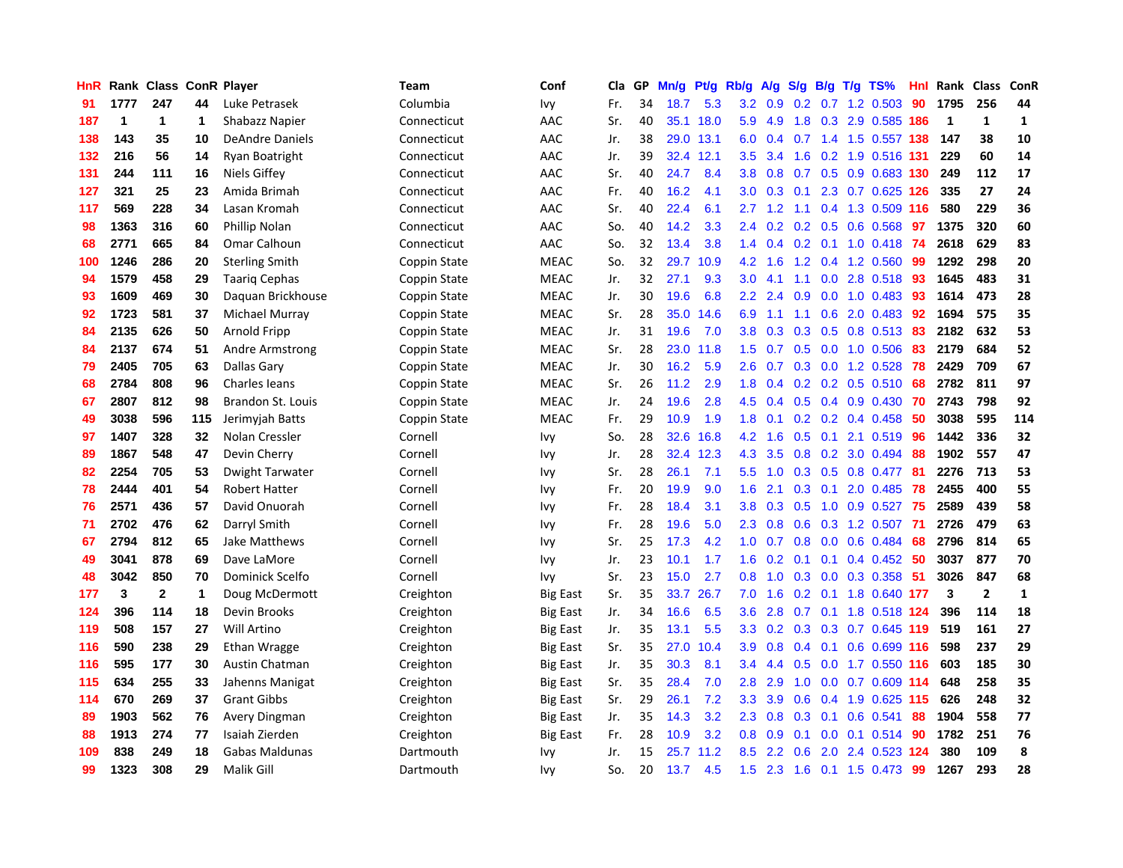| <b>HnR</b> |      | Rank Class ConR Player |     |                        | <b>Team</b>  | Conf            | <b>Cla</b> | GP | Mn/g | Pt/g | Rb/g             | A/g | S/g              |     | $B/g$ T/g TS%            | Hnl | Rank        | <b>Class</b>   | ConR         |
|------------|------|------------------------|-----|------------------------|--------------|-----------------|------------|----|------|------|------------------|-----|------------------|-----|--------------------------|-----|-------------|----------------|--------------|
| 91         | 1777 | 247                    | 44  | Luke Petrasek          | Columbia     | Ivy             | Fr.        | 34 | 18.7 | 5.3  | 3.2              | 0.9 | 0.2              |     | $0.7$ 1.2 0.503          | 90  | 1795        | 256            | 44           |
| 187        | 1    | 1                      | 1   | Shabazz Napier         | Connecticut  | AAC             | Sr.        | 40 | 35.1 | 18.0 | 5.9              | 4.9 |                  |     | 1.8 0.3 2.9 0.585 186    |     | $\mathbf 1$ | $\mathbf{1}$   | 1            |
| 138        | 143  | 35                     | 10  | <b>DeAndre Daniels</b> | Connecticut  | AAC             | Jr.        | 38 | 29.0 | 13.1 | 6.0              | 0.4 |                  |     | 0.7 1.4 1.5 0.557 138    |     | 147         | 38             | 10           |
| 132        | 216  | 56                     | 14  | Ryan Boatright         | Connecticut  | AAC             | Jr.        | 39 | 32.4 | 12.1 | 3.5              | 3.4 | 1.6              |     | 0.2 1.9 0.516 131        |     | 229         | 60             | 14           |
| 131        | 244  | 111                    | 16  | Niels Giffey           | Connecticut  | AAC             | Sr.        | 40 | 24.7 | 8.4  | 3.8 <sub>2</sub> | 0.8 | 0.7              |     | 0.5 0.9 0.683 130        |     | 249         | 112            | 17           |
| 127        | 321  | 25                     | 23  | Amida Brimah           | Connecticut  | AAC             | Fr.        | 40 | 16.2 | 4.1  | 3.0 <sub>2</sub> | 0.3 | 0.1              |     | 2.3 0.7 0.625 126        |     | 335         | 27             | 24           |
| 117        | 569  | 228                    | 34  | Lasan Kromah           | Connecticut  | AAC             | Sr.        | 40 | 22.4 | 6.1  | 2.7              | 1.2 |                  |     | 1.1 0.4 1.3 0.509        | 116 | 580         | 229            | 36           |
| 98         | 1363 | 316                    | 60  | Phillip Nolan          | Connecticut  | AAC             | So.        | 40 | 14.2 | 3.3  | $2.4^{\circ}$    | 0.2 | 0.2              |     | $0.5$ 0.6 0.568          | 97  | 1375        | 320            | 60           |
| 68         | 2771 | 665                    | 84  | Omar Calhoun           | Connecticut  | AAC             | So.        | 32 | 13.4 | 3.8  | 1.4              | 0.4 | 0.2              |     | $0.1$ 1.0 0.418          | -74 | 2618        | 629            | 83           |
| 100        | 1246 | 286                    | 20  | <b>Sterling Smith</b>  | Coppin State | <b>MEAC</b>     | So.        | 32 | 29.7 | 10.9 | 4.2              | 1.6 |                  |     | 1.2 0.4 1.2 0.560        | -99 | 1292        | 298            | 20           |
| 94         | 1579 | 458                    | 29  | <b>Taarig Cephas</b>   | Coppin State | <b>MEAC</b>     | Jr.        | 32 | 27.1 | 9.3  | 3.0              | 4.1 |                  |     | 1.1 0.0 2.8 0.518 93     |     | 1645        | 483            | 31           |
| 93         | 1609 | 469                    | 30  | Daguan Brickhouse      | Coppin State | <b>MEAC</b>     | Jr.        | 30 | 19.6 | 6.8  | $2.2^{\circ}$    | 2.4 | 0.9 <sup>°</sup> |     | $0.0$ 1.0 0.483          | -93 | 1614        | 473            | 28           |
| 92         | 1723 | 581                    | 37  | Michael Murray         | Coppin State | <b>MEAC</b>     | Sr.        | 28 | 35.0 | 14.6 | 6.9              | 1.1 | 1.1              |     | $0.6$ 2.0 0.483          | 92  | 1694        | 575            | 35           |
| 84         | 2135 | 626                    | 50  | Arnold Fripp           | Coppin State | <b>MEAC</b>     | Jr.        | 31 | 19.6 | 7.0  | 3.8              | 0.3 | 0.3              |     | 0.5 0.8 0.513 83         |     | 2182        | 632            | 53           |
| 84         | 2137 | 674                    | 51  | Andre Armstrong        | Coppin State | <b>MEAC</b>     | Sr.        | 28 | 23.0 | 11.8 | 1.5              | 0.7 | 0.5              |     | $0.0$ 1.0 $0.506$        | 83  | 2179        | 684            | 52           |
| 79         | 2405 | 705                    | 63  | Dallas Gary            | Coppin State | <b>MEAC</b>     | Jr.        | 30 | 16.2 | 5.9  | 2.6              | 0.7 | 0.3              |     | $0.0$ 1.2 0.528          | 78  | 2429        | 709            | 67           |
| 68         | 2784 | 808                    | 96  | <b>Charles leans</b>   | Coppin State | <b>MEAC</b>     | Sr.        | 26 | 11.2 | 2.9  | 1.8              | 0.4 | 0.2              |     | 0.2 0.5 0.510            | 68  | 2782        | 811            | 97           |
| 67         | 2807 | 812                    | 98  | Brandon St. Louis      | Coppin State | <b>MEAC</b>     | Jr.        | 24 | 19.6 | 2.8  | 4.5              | 0.4 | 0.5              |     | $0.4$ 0.9 0.430          | 70  | 2743        | 798            | 92           |
| 49         | 3038 | 596                    | 115 | Jerimyjah Batts        | Coppin State | <b>MEAC</b>     | Fr.        | 29 | 10.9 | 1.9  | 1.8              | 0.1 |                  |     | $0.2$ 0.2 0.4 0.458      | -50 | 3038        | 595            | 114          |
| 97         | 1407 | 328                    | 32  | Nolan Cressler         | Cornell      | Ivy             | So.        | 28 | 32.6 | 16.8 | 4.2              | 1.6 |                  |     | $0.5$ 0.1 2.1 0.519      | 96  | 1442        | 336            | 32           |
| 89         | 1867 | 548                    | 47  | Devin Cherry           | Cornell      | Ivy             | Jr.        | 28 | 32.4 | 12.3 | 4.3              | 3.5 | 0.8              |     | 0.2 3.0 0.494            | 88  | 1902        | 557            | 47           |
| 82         | 2254 | 705                    | 53  | Dwight Tarwater        | Cornell      | Ivy             | Sr.        | 28 | 26.1 | 7.1  | 5.5              | 1.0 | 0.3              |     | 0.5 0.8 0.477            | -81 | 2276        | 713            | 53           |
| 78         | 2444 | 401                    | 54  | <b>Robert Hatter</b>   | Cornell      | Ivy             | Fr.        | 20 | 19.9 | 9.0  | 1.6              | 2.1 | 0.3              | 0.1 | 2.0 0.485                | 78  | 2455        | 400            | 55           |
| 76         | 2571 | 436                    | 57  | David Onuorah          | Cornell      | Ivy             | Fr.        | 28 | 18.4 | 3.1  | 3.8 <sub>2</sub> | 0.3 | 0.5              |     | $1.0 \t0.9 \t0.527$      | 75  | 2589        | 439            | 58           |
| 71         | 2702 | 476                    | 62  | Darryl Smith           | Cornell      | Ivy             | Fr.        | 28 | 19.6 | 5.0  | $2.3^{\circ}$    | 0.8 | 0.6              |     | 0.3 1.2 0.507            | -71 | 2726        | 479            | 63           |
| 67         | 2794 | 812                    | 65  | Jake Matthews          | Cornell      | Ivy             | Sr.        | 25 | 17.3 | 4.2  | 1.0 <sub>1</sub> | 0.7 | 0.8              |     | $0.0$ 0.6 0.484          | -68 | 2796        | 814            | 65           |
| 49         | 3041 | 878                    | 69  | Dave LaMore            | Cornell      | Ivy             | Jr.        | 23 | 10.1 | 1.7  | 1.6              |     |                  |     | 0.2 0.1 0.1 0.4 0.452 50 |     | 3037        | 877            | 70           |
| 48         | 3042 | 850                    | 70  | Dominick Scelfo        | Cornell      | Ivy             | Sr.        | 23 | 15.0 | 2.7  | 0.8              | 1.0 |                  |     | 0.3 0.0 0.3 0.358 51     |     | 3026        | 847            | 68           |
| 177        | 3    | $\mathbf{2}$           | 1   | Doug McDermott         | Creighton    | <b>Big East</b> | Sr.        | 35 | 33.7 | 26.7 | 7.0              | 1.6 | 0.2              |     | 0.1 1.8 0.640 177        |     | 3           | $\overline{2}$ | $\mathbf{1}$ |
| 124        | 396  | 114                    | 18  | Devin Brooks           | Creighton    | <b>Big East</b> | Jr.        | 34 | 16.6 | 6.5  | 3.6              | 2.8 | 0.7              |     | 0.1 1.8 0.518 124        |     | 396         | 114            | 18           |
| 119        | 508  | 157                    | 27  | Will Artino            | Creighton    | <b>Big East</b> | Jr.        | 35 | 13.1 | 5.5  | 3.3              | 0.2 | 0.3              |     | 0.3 0.7 0.645 119        |     | 519         | 161            | 27           |
| 116        | 590  | 238                    | 29  | Ethan Wragge           | Creighton    | <b>Big East</b> | Sr.        | 35 | 27.0 | 10.4 | 3.9              | 0.8 | 0.4              | 0.1 | 0.6 0.699 116            |     | 598         | 237            | 29           |
| 116        | 595  | 177                    | 30  | Austin Chatman         | Creighton    | <b>Big East</b> | Jr.        | 35 | 30.3 | 8.1  | $3.4^{\circ}$    | 4.4 | 0.5              |     | $0.0$ 1.7 $0.550$ 116    |     | 603         | 185            | 30           |
| 115        | 634  | 255                    | 33  | Jahenns Manigat        | Creighton    | <b>Big East</b> | Sr.        | 35 | 28.4 | 7.0  | 2.8              | 2.9 | 1.0              |     | $0.0$ 0.7 0.609 114      |     | 648         | 258            | 35           |
| 114        | 670  | 269                    | 37  | <b>Grant Gibbs</b>     | Creighton    | <b>Big East</b> | Sr.        | 29 | 26.1 | 7.2  | 3.3 <sub>2</sub> | 3.9 | 0.6              |     | 0.4 1.9 0.625 115        |     | 626         | 248            | 32           |
| 89         | 1903 | 562                    | 76  | Avery Dingman          | Creighton    | <b>Big East</b> | Jr.        | 35 | 14.3 | 3.2  | 2.3              | 0.8 | 0.3              |     | $0.1$ 0.6 0.541          | 88  | 1904        | 558            | 77           |
| 88         | 1913 | 274                    | 77  | Isaiah Zierden         | Creighton    | Big East        | Fr.        | 28 | 10.9 | 3.2  | 0.8              | 0.9 | 0.1              |     | $0.0$ 0.1 0.514 90       |     | 1782        | 251            | 76           |
| 109        | 838  | 249                    | 18  | Gabas Maldunas         | Dartmouth    | Ivy             | Jr.        | 15 | 25.7 | 11.2 | 8.5              | 2.2 | 0.6              | 2.0 | 2.4 0.523 124            |     | 380         | 109            | 8            |
| 99         | 1323 | 308                    | 29  | Malik Gill             | Dartmouth    | Ivy             | So.        | 20 | 13.7 | 4.5  | 1.5              | 2.3 | 1.6              |     | $0.1$ 1.5 0.473          | 99  | 1267        | 293            | 28           |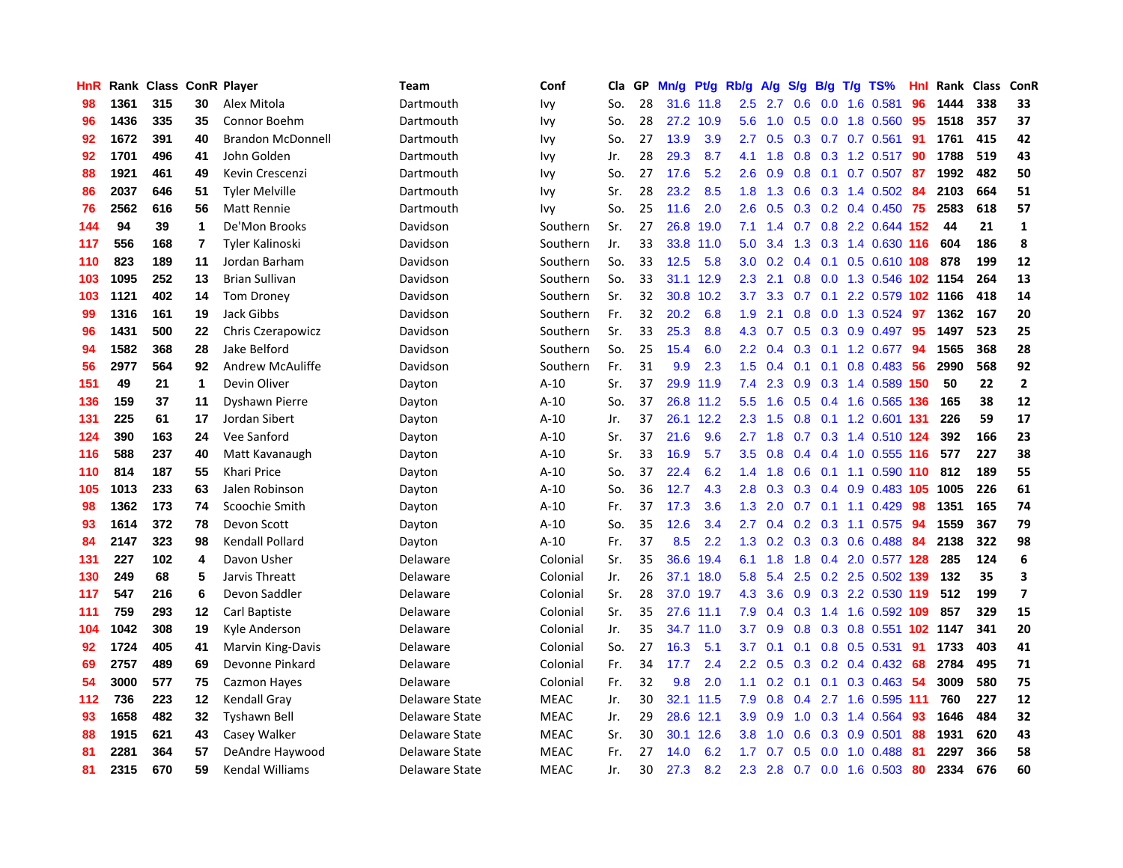| HnR |      | Rank Class ConR Player |    |                          | Team           | Conf        | Cla | GP | Mn/g | Pt/g      | Rb/g             | A/g | S/g              | B/g | $T/g$ TS%                  | Hnl | Rank | <b>Class</b> | ConR                     |
|-----|------|------------------------|----|--------------------------|----------------|-------------|-----|----|------|-----------|------------------|-----|------------------|-----|----------------------------|-----|------|--------------|--------------------------|
| 98  | 1361 | 315                    | 30 | Alex Mitola              | Dartmouth      | Ivy         | So. | 28 | 31.6 | 11.8      | $2.5^{\circ}$    | 2.7 | 0.6              | 0.0 | 1.6 0.581                  | 96  | 1444 | 338          | 33                       |
| 96  | 1436 | 335                    | 35 | Connor Boehm             | Dartmouth      | Ivy         | So. | 28 | 27.2 | 10.9      | 5.6              | 1.0 | 0.5              |     | 0.0 1.8 0.560              | -95 | 1518 | 357          | 37                       |
| 92  | 1672 | 391                    | 40 | <b>Brandon McDonnell</b> | Dartmouth      | Ivy         | So. | 27 | 13.9 | 3.9       | $2.7^{\circ}$    | 0.5 |                  |     | $0.3$ 0.7 0.7 0.561        | -91 | 1761 | 415          | 42                       |
| 92  | 1701 | 496                    | 41 | John Golden              | Dartmouth      | Ivy         | Jr. | 28 | 29.3 | 8.7       | 4.1              | 1.8 | 0.8 <sub>0</sub> |     | $0.3$ 1.2 0.517            | 90  | 1788 | 519          | 43                       |
| 88  | 1921 | 461                    | 49 | Kevin Crescenzi          | Dartmouth      | <b>Ivy</b>  | So. | 27 | 17.6 | 5.2       | 2.6              | 0.9 | 0.8              |     | $0.1$ 0.7 0.507            | 87  | 1992 | 482          | 50                       |
| 86  | 2037 | 646                    | 51 | <b>Tyler Melville</b>    | Dartmouth      | Ivy         | Sr. | 28 | 23.2 | 8.5       | 1.8              | 1.3 | 0.6              |     | 0.3 1.4 0.502              | -84 | 2103 | 664          | 51                       |
| 76  | 2562 | 616                    | 56 | Matt Rennie              | Dartmouth      | Ivy         | So. | 25 | 11.6 | 2.0       | 2.6              | 0.5 | 0.3              |     | $0.2$ 0.4 0.450            | 75  | 2583 | 618          | 57                       |
| 144 | 94   | 39                     | 1  | De'Mon Brooks            | Davidson       | Southern    | Sr. | 27 | 26.8 | 19.0      | 7.1              | 1.4 | 0.7              |     | 0.8 2.2 0.644 152          |     | 44   | 21           | $\mathbf{1}$             |
| 117 | 556  | 168                    | 7  | Tyler Kalinoski          | Davidson       | Southern    | Jr. | 33 | 33.8 | 11.0      | 5.0              | 3.4 | 1.3              |     | 0.3 1.4 0.630 116          |     | 604  | 186          | 8                        |
| 110 | 823  | 189                    | 11 | Jordan Barham            | Davidson       | Southern    | So. | 33 | 12.5 | 5.8       | 3.0 <sub>2</sub> | 0.2 | $0.4^{\circ}$    |     | $0.1$ 0.5 0.610 108        |     | 878  | 199          | 12                       |
| 103 | 1095 | 252                    | 13 | <b>Brian Sullivan</b>    | Davidson       | Southern    | So. | 33 | 31.1 | 12.9      | 2.3              | 2.1 |                  |     | 0.8 0.0 1.3 0.546 102 1154 |     |      | 264          | 13                       |
| 103 | 1121 | 402                    | 14 | <b>Tom Droney</b>        | Davidson       | Southern    | Sr. | 32 | 30.8 | 10.2      | 3.7              | 3.3 | 0.7              |     | 0.1 2.2 0.579 102 1166     |     |      | 418          | 14                       |
| 99  | 1316 | 161                    | 19 | <b>Jack Gibbs</b>        | Davidson       | Southern    | Fr. | 32 | 20.2 | 6.8       | 1.9              | 2.1 | 0.8              |     | 0.0 1.3 0.524              | -97 | 1362 | 167          | 20                       |
| 96  | 1431 | 500                    | 22 | Chris Czerapowicz        | Davidson       | Southern    | Sr. | 33 | 25.3 | 8.8       | 4.3              | 0.7 | 0.5              |     | $0.3$ 0.9 0.497            | 95  | 1497 | 523          | 25                       |
| 94  | 1582 | 368                    | 28 | Jake Belford             | Davidson       | Southern    | So. | 25 | 15.4 | 6.0       | 2.2              | 0.4 | 0.3              |     | $0.1$ 1.2 0.677            | 94  | 1565 | 368          | 28                       |
| 56  | 2977 | 564                    | 92 | Andrew McAuliffe         | Davidson       | Southern    | Fr. | 31 | 9.9  | 2.3       | 1.5              | 0.4 | 0.1              | 0.1 | 0.8 0.483                  | -56 | 2990 | 568          | 92                       |
| 151 | 49   | 21                     | 1  | Devin Oliver             | Dayton         | $A-10$      | Sr. | 37 | 29.9 | 11.9      | 7.4              | 2.3 | 0.9              |     | 0.3 1.4 0.589 150          |     | 50   | 22           | $\mathbf{2}$             |
| 136 | 159  | 37                     | 11 | Dyshawn Pierre           | Dayton         | $A-10$      | So. | 37 | 26.8 | 11.2      | 5.5              | 1.6 | 0.5              |     | 0.4 1.6 0.565 136          |     | 165  | 38           | 12                       |
| 131 | 225  | 61                     | 17 | Jordan Sibert            | Dayton         | $A-10$      | Jr. | 37 |      | 26.1 12.2 | 2.3              | 1.5 | 0.8              |     | 0.1 1.2 0.601 131          |     | 226  | 59           | 17                       |
| 124 | 390  | 163                    | 24 | Vee Sanford              | Dayton         | $A-10$      | Sr. | 37 | 21.6 | 9.6       | 2.7              | 1.8 |                  |     | 0.7 0.3 1.4 0.510 124      |     | 392  | 166          | 23                       |
| 116 | 588  | 237                    | 40 | Matt Kavanaugh           | Dayton         | A-10        | Sr. | 33 | 16.9 | 5.7       | 3.5              | 0.8 | 0.4              |     | $0.4$ 1.0 0.555 116        |     | 577  | 227          | 38                       |
| 110 | 814  | 187                    | 55 | Khari Price              | Dayton         | $A-10$      | So. | 37 | 22.4 | 6.2       | 1.4              | 1.8 | 0.6              |     | $0.1$ 1.1 0.590 110        |     | 812  | 189          | 55                       |
| 105 | 1013 | 233                    | 63 | Jalen Robinson           | Dayton         | $A-10$      | So. | 36 | 12.7 | 4.3       | 2.8              | 0.3 | 0.3              |     | 0.4 0.9 0.483 105 1005     |     |      | 226          | 61                       |
| 98  | 1362 | 173                    | 74 | Scoochie Smith           | Dayton         | $A-10$      | Fr. | 37 | 17.3 | 3.6       | 1.3              | 2.0 | 0.7              |     | $0.1$ 1.1 $0.429$          | 98  | 1351 | 165          | 74                       |
| 93  | 1614 | 372                    | 78 | Devon Scott              | Dayton         | $A-10$      | So. | 35 | 12.6 | 3.4       | 2.7              | 0.4 | 0.2              |     | $0.3$ 1.1 0.575            | 94  | 1559 | 367          | 79                       |
| 84  | 2147 | 323                    | 98 | Kendall Pollard          | Dayton         | $A-10$      | Fr. | 37 | 8.5  | 2.2       | 1.3              | 0.2 | 0.3              |     | $0.3$ 0.6 0.488            | -84 | 2138 | 322          | 98                       |
| 131 | 227  | 102                    | 4  | Davon Usher              | Delaware       | Colonial    | Sr. | 35 | 36.6 | 19.4      | 6.1              | 1.8 |                  |     | 1.8 0.4 2.0 0.577 128      |     | 285  | 124          | 6                        |
| 130 | 249  | 68                     | 5  | Jarvis Threatt           | Delaware       | Colonial    | Jr. | 26 | 37.1 | 18.0      | 5.8              | 5.4 | 2.5              |     | 0.2 2.5 0.502 139          |     | 132  | 35           | 3                        |
| 117 | 547  | 216                    | 6  | Devon Saddler            | Delaware       | Colonial    | Sr. | 28 | 37.0 | 19.7      | 4.3              | 3.6 | 0.9              |     | 0.3 2.2 0.530 119          |     | 512  | 199          | $\overline{\phantom{a}}$ |
| 111 | 759  | 293                    | 12 | Carl Baptiste            | Delaware       | Colonial    | Sr. | 35 | 27.6 | 11.1      | 7.9              | 0.4 | 0.3 <sub>0</sub> |     | 1.4 1.6 0.592 109          |     | 857  | 329          | 15                       |
| 104 | 1042 | 308                    | 19 | Kyle Anderson            | Delaware       | Colonial    | Jr. | 35 | 34.7 | 11.0      | 3.7              | 0.9 | 0.8              |     | 0.3 0.8 0.551 102 1147     |     |      | 341          | 20                       |
| 92  | 1724 | 405                    | 41 | <b>Marvin King-Davis</b> | Delaware       | Colonial    | So. | 27 | 16.3 | 5.1       | 3.7              | 0.1 | 0.1              |     | 0.8 0.5 0.531              | 91  | 1733 | 403          | 41                       |
| 69  | 2757 | 489                    | 69 | Devonne Pinkard          | Delaware       | Colonial    | Fr. | 34 | 17.7 | 2.4       | 2.2              | 0.5 | 0.3              |     | $0.2$ 0.4 0.432            | -68 | 2784 | 495          | 71                       |
| 54  | 3000 | 577                    | 75 | Cazmon Hayes             | Delaware       | Colonial    | Fr. | 32 | 9.8  | 2.0       | 1.1              | 0.2 | 0.1              | 0.1 | $0.3$ 0.463                | 54  | 3009 | 580          | 75                       |
| 112 | 736  | 223                    | 12 | <b>Kendall Gray</b>      | Delaware State | <b>MEAC</b> | Jr. | 30 | 32.1 | 11.5      | 7.9              | 0.8 | 0.4              |     | 2.7 1.6 0.595 111          |     | 760  | 227          | 12                       |
| 93  | 1658 | 482                    | 32 | <b>Tyshawn Bell</b>      | Delaware State | <b>MEAC</b> | Jr. | 29 | 28.6 | 12.1      | 3.9              | 0.9 | 1.0              |     | $0.3$ 1.4 0.564            | 93  | 1646 | 484          | 32                       |
| 88  | 1915 | 621                    | 43 | Casey Walker             | Delaware State | <b>MEAC</b> | Sr. | 30 | 30.1 | 12.6      | 3.8              | 1.0 | 0.6              |     | 0.3 0.9 0.501              | 88  | 1931 | 620          | 43                       |
| 81  | 2281 | 364                    | 57 | DeAndre Haywood          | Delaware State | <b>MEAC</b> | Fr. | 27 | 14.0 | 6.2       | 1.7 <sub>2</sub> | 0.7 | 0.5              |     | $0.0$ 1.0 $0.488$          | -81 | 2297 | 366          | 58                       |
| 81  | 2315 | 670                    | 59 | Kendal Williams          | Delaware State | <b>MEAC</b> | Jr. | 30 | 27.3 | 8.2       | 2.3              | 2.8 |                  |     | 0.7 0.0 1.6 0.503          | 80  | 2334 | 676          | 60                       |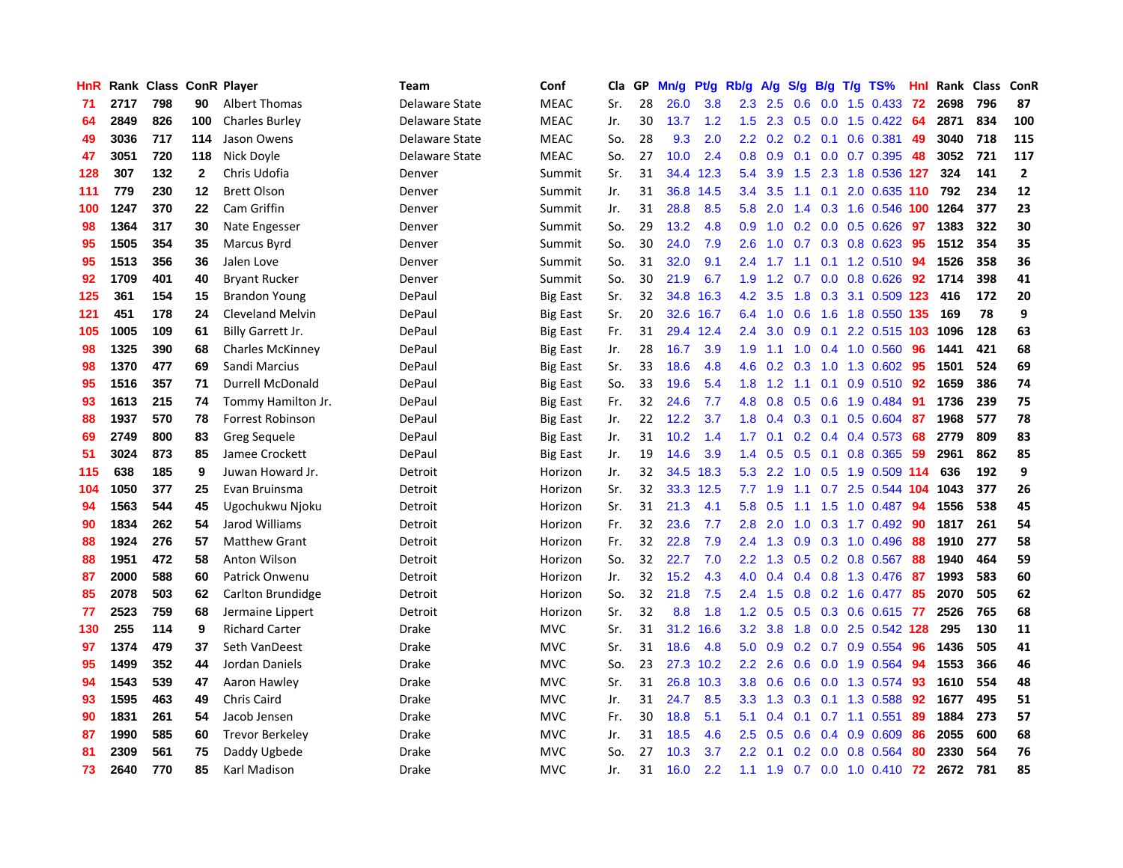| <b>HnR</b> |      | Rank Class ConR Player |              |                         | <b>Team</b>    | Conf            | Cla | GP | Mn/g | Pt/g | Rb/g             | A/g | S/g              | B/g | $T/g$ TS%                 | Hnl | Rank | <b>Class</b> | ConR           |
|------------|------|------------------------|--------------|-------------------------|----------------|-----------------|-----|----|------|------|------------------|-----|------------------|-----|---------------------------|-----|------|--------------|----------------|
| 71         | 2717 | 798                    | 90           | <b>Albert Thomas</b>    | Delaware State | <b>MEAC</b>     | Sr. | 28 | 26.0 | 3.8  | 2.3              | 2.5 | 0.6              | 0.0 | 1.5 0.433                 | 72  | 2698 | 796          | 87             |
| 64         | 2849 | 826                    | 100          | <b>Charles Burley</b>   | Delaware State | <b>MEAC</b>     | Jr. | 30 | 13.7 | 1.2  | 1.5              | 2.3 | 0.5              |     | 0.0 1.5 0.422 64          |     | 2871 | 834          | 100            |
| 49         | 3036 | 717                    | 114          | Jason Owens             | Delaware State | <b>MEAC</b>     | So. | 28 | 9.3  | 2.0  | $2.2\phantom{0}$ | 0.2 |                  |     | 0.2 0.1 0.6 0.381         | -49 | 3040 | 718          | 115            |
| 47         | 3051 | 720                    | 118          | Nick Doyle              | Delaware State | MEAC            | So. | 27 | 10.0 | 2.4  | 0.8 <sub>0</sub> | 0.9 |                  |     | $0.1$ 0.0 0.7 0.395       | 48  | 3052 | 721          | 117            |
| 128        | 307  | 132                    | $\mathbf{2}$ | Chris Udofia            | Denver         | Summit          | Sr. | 31 | 34.4 | 12.3 | 5.4              | 3.9 | 1.5              |     | 2.3 1.8 0.536 127         |     | 324  | 141          | $\overline{2}$ |
| 111        | 779  | 230                    | 12           | <b>Brett Olson</b>      | Denver         | Summit          | Jr. | 31 | 36.8 | 14.5 | 3.4              | 3.5 | 1.1              | 0.1 | 2.0 0.635 110             |     | 792  | 234          | 12             |
| 100        | 1247 | 370                    | 22           | Cam Griffin             | Denver         | Summit          | Jr. | 31 | 28.8 | 8.5  | 5.8              | 2.0 | $1.4^{\circ}$    |     | 0.3 1.6 0.546 100         |     | 1264 | 377          | 23             |
| 98         | 1364 | 317                    | 30           | Nate Engesser           | Denver         | Summit          | So. | 29 | 13.2 | 4.8  | 0.9              | 1.0 | 0.2 <sub>0</sub> |     | $0.0$ $0.5$ $0.626$       | 97  | 1383 | 322          | 30             |
| 95         | 1505 | 354                    | 35           | Marcus Byrd             | Denver         | Summit          | So. | 30 | 24.0 | 7.9  | 2.6              | 1.0 | 0.7              |     | 0.3 0.8 0.623             | 95  | 1512 | 354          | 35             |
| 95         | 1513 | 356                    | 36           | Jalen Love              | Denver         | Summit          | So. | 31 | 32.0 | 9.1  | 2.4              | 1.7 | 1.1              |     | 0.1 1.2 0.510 94          |     | 1526 | 358          | 36             |
| 92         | 1709 | 401                    | 40           | <b>Bryant Rucker</b>    | Denver         | Summit          | So. | 30 | 21.9 | 6.7  | 1.9              |     |                  |     | 1.2 0.7 0.0 0.8 0.626 92  |     | 1714 | 398          | 41             |
| 125        | 361  | 154                    | 15           | <b>Brandon Young</b>    | DePaul         | <b>Big East</b> | Sr. | 32 | 34.8 | 16.3 | 4.2              | 3.5 | 1.8              |     | 0.3 3.1 0.509 123         |     | 416  | 172          | 20             |
| 121        | 451  | 178                    | 24           | <b>Cleveland Melvin</b> | DePaul         | Big East        | Sr. | 20 | 32.6 | 16.7 | 6.4              | 1.0 | 0.6              |     | 1.6 1.8 0.550 135         |     | 169  | 78           | 9              |
| 105        | 1005 | 109                    | 61           | Billy Garrett Jr.       | DePaul         | <b>Big East</b> | Fr. | 31 | 29.4 | 12.4 | 2.4              | 3.0 | 0.9              | 0.1 | 2.2 0.515 103 1096        |     |      | 128          | 63             |
| 98         | 1325 | 390                    | 68           | <b>Charles McKinney</b> | DePaul         | <b>Big East</b> | Jr. | 28 | 16.7 | 3.9  | 1.9              | 1.1 | 1.0              |     | 0.4 1.0 0.560             | 96  | 1441 | 421          | 68             |
| 98         | 1370 | 477                    | 69           | Sandi Marcius           | DePaul         | <b>Big East</b> | Sr. | 33 | 18.6 | 4.8  | 4.6              | 0.2 | 0.3              |     | 1.0 1.3 0.602             | 95  | 1501 | 524          | 69             |
| 95         | 1516 | 357                    | 71           | Durrell McDonald        | DePaul         | <b>Big East</b> | So. | 33 | 19.6 | 5.4  | 1.8              | 1.2 | 1.1              | 0.1 | $0.9$ $0.510$             | -92 | 1659 | 386          | 74             |
| 93         | 1613 | 215                    | 74           | Tommy Hamilton Jr.      | DePaul         | <b>Big East</b> | Fr. | 32 | 24.6 | 7.7  | 4.8              | 0.8 | 0.5              |     | 0.6 1.9 0.484             | 91  | 1736 | 239          | 75             |
| 88         | 1937 | 570                    | 78           | Forrest Robinson        | DePaul         | <b>Big East</b> | Jr. | 22 | 12.2 | 3.7  | 1.8              | 0.4 |                  |     | 0.3 0.1 0.5 0.604 87      |     | 1968 | 577          | 78             |
| 69         | 2749 | 800                    | 83           | <b>Greg Sequele</b>     | DePaul         | <b>Big East</b> | Jr. | 31 | 10.2 | 1.4  | 1.7 <sup>2</sup> | 0.1 |                  |     | $0.2$ 0.4 0.4 0.573       | 68  | 2779 | 809          | 83             |
| 51         | 3024 | 873                    | 85           | Jamee Crockett          | DePaul         | <b>Big East</b> | Jr. | 19 | 14.6 | 3.9  | 1.4              | 0.5 | 0.5              |     | $0.1$ 0.8 0.365           | 59  | 2961 | 862          | 85             |
| 115        | 638  | 185                    | 9            | Juwan Howard Jr.        | Detroit        | Horizon         | Jr. | 32 | 34.5 | 18.3 | 5.3              | 2.2 | 1.0              |     | 0.5 1.9 0.509 114         |     | 636  | 192          | 9              |
| 104        | 1050 | 377                    | 25           | Evan Bruinsma           | Detroit        | Horizon         | Sr. | 32 | 33.3 | 12.5 | 7.7              | 1.9 | 1.1              |     | $0.7$ 2.5 0.544 104       |     | 1043 | 377          | 26             |
| 94         | 1563 | 544                    | 45           | Ugochukwu Njoku         | Detroit        | Horizon         | Sr. | 31 | 21.3 | 4.1  | 5.8              | 0.5 | 1.1              |     | 1.5 1.0 0.487             | 94  | 1556 | 538          | 45             |
| 90         | 1834 | 262                    | 54           | Jarod Williams          | Detroit        | Horizon         | Fr. | 32 | 23.6 | 7.7  | 2.8              | 2.0 | 1.0              |     | $0.3$ 1.7 0.492           | -90 | 1817 | 261          | 54             |
| 88         | 1924 | 276                    | 57           | <b>Matthew Grant</b>    | Detroit        | Horizon         | Fr. | 32 | 22.8 | 7.9  | 2.4              | 1.3 | 0.9              |     | $0.3$ 1.0 0.496           | -88 | 1910 | 277          | 58             |
| 88         | 1951 | 472                    | 58           | Anton Wilson            | Detroit        | Horizon         | So. | 32 | 22.7 | 7.0  | $2.2^{\circ}$    | 1.3 |                  |     | 0.5 0.2 0.8 0.567 88      |     | 1940 | 464          | 59             |
| 87         | 2000 | 588                    | 60           | Patrick Onwenu          | Detroit        | Horizon         | Jr. | 32 | 15.2 | 4.3  | 4.0              | 0.4 |                  |     | 0.4 0.8 1.3 0.476 87      |     | 1993 | 583          | 60             |
| 85         | 2078 | 503                    | 62           | Carlton Brundidge       | Detroit        | Horizon         | So. | 32 | 21.8 | 7.5  | $2.4^{\circ}$    | 1.5 | 0.8              |     | $0.2$ 1.6 0.477           | 85  | 2070 | 505          | 62             |
| 77         | 2523 | 759                    | 68           | Jermaine Lippert        | Detroit        | Horizon         | Sr. | 32 | 8.8  | 1.8  | 1.2 <sub>1</sub> | 0.5 | 0.5              |     | $0.3$ 0.6 0.615           | 77  | 2526 | 765          | 68             |
| 130        | 255  | 114                    | 9            | <b>Richard Carter</b>   | Drake          | <b>MVC</b>      | Sr. | 31 | 31.2 | 16.6 | 3.2              | 3.8 | 1.8              |     | 0.0 2.5 0.542 128         |     | 295  | 130          | 11             |
| 97         | 1374 | 479                    | 37           | Seth VanDeest           | Drake          | <b>MVC</b>      | Sr. | 31 | 18.6 | 4.8  | 5.0              | 0.9 | 0.2 <sub>0</sub> |     | $0.7$ 0.9 0.554           | 96  | 1436 | 505          | 41             |
| 95         | 1499 | 352                    | 44           | Jordan Daniels          | Drake          | <b>MVC</b>      | So. | 23 | 27.3 | 10.2 | $2.2^{\circ}$    | 2.6 | 0.6              |     | 0.0 1.9 0.564             | 94  | 1553 | 366          | 46             |
| 94         | 1543 | 539                    | 47           | Aaron Hawley            | Drake          | <b>MVC</b>      | Sr. | 31 | 26.8 | 10.3 | 3.8              | 0.6 | 0.6              |     | 0.0 1.3 0.574             | -93 | 1610 | 554          | 48             |
| 93         | 1595 | 463                    | 49           | Chris Caird             | Drake          | <b>MVC</b>      | Jr. | 31 | 24.7 | 8.5  | 3.3 <sub>2</sub> | 1.3 |                  |     | 0.3 0.1 1.3 0.588         | -92 | 1677 | 495          | 51             |
| 90         | 1831 | 261                    | 54           | Jacob Jensen            | Drake          | <b>MVC</b>      | Fr. | 30 | 18.8 | 5.1  | 5.1              | 0.4 |                  |     | $0.1$ 0.7 1.1 0.551       | 89  | 1884 | 273          | 57             |
| 87         | 1990 | 585                    | 60           | <b>Trevor Berkeley</b>  | Drake          | <b>MVC</b>      | Jr. | 31 | 18.5 | 4.6  | 2.5              | 0.5 | 0.6              |     | $0.4$ 0.9 0.609           | 86  | 2055 | 600          | 68             |
| 81         | 2309 | 561                    | 75           | Daddy Ugbede            | Drake          | <b>MVC</b>      | So. | 27 | 10.3 | 3.7  | 2.2              | 0.1 | 0.2              |     | $0.0$ 0.8 0.564           | 80  | 2330 | 564          | 76             |
| 73         | 2640 | 770                    | 85           | Karl Madison            | Drake          | <b>MVC</b>      | Jr. | 31 | 16.0 | 2.2  | 1.1              | 1.9 |                  |     | $0.7$ $0.0$ $1.0$ $0.410$ | 72  | 2672 | 781          | 85             |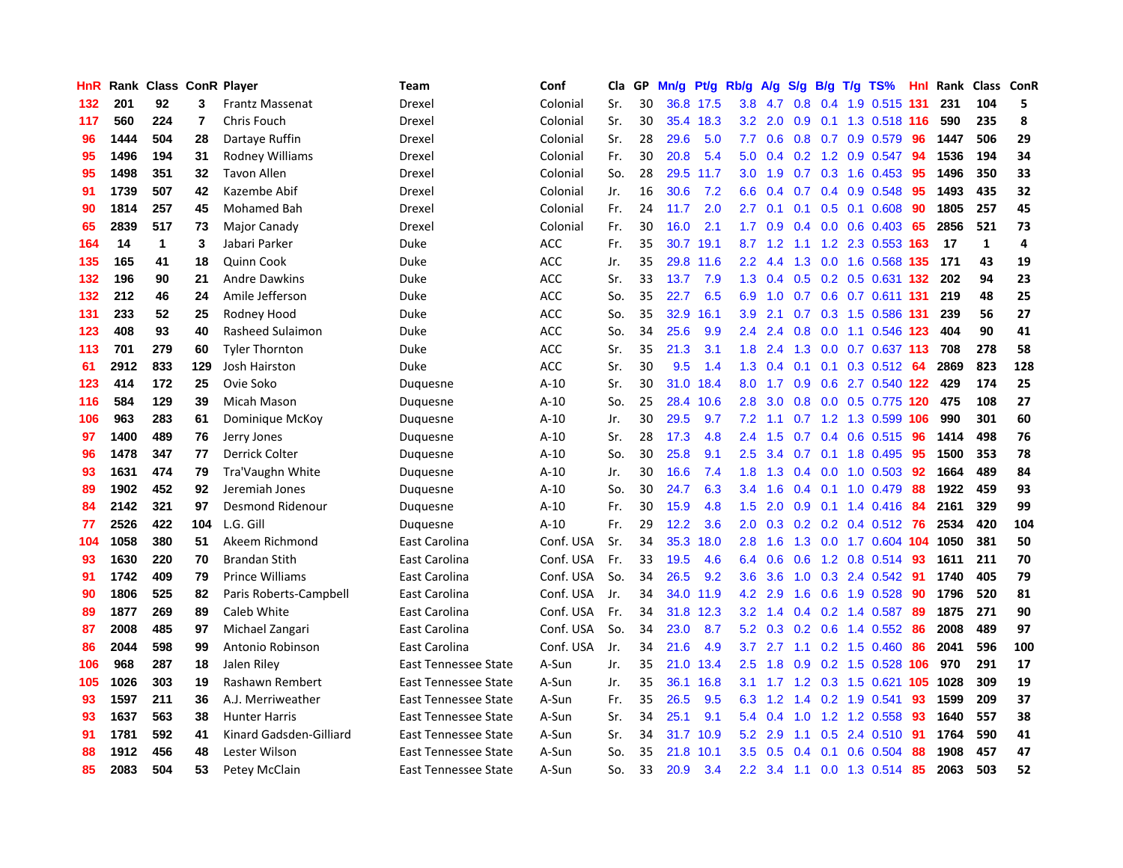| HnR |      | Rank Class ConR Player |                |                         | Team                 | Conf       | Cla | GP | Mn/g | Pt/g | Rb/g          | A/g | S/g           | B/g | $T/g$ TS%                            | <b>Hnl</b> | Rank | Class        | ConR |
|-----|------|------------------------|----------------|-------------------------|----------------------|------------|-----|----|------|------|---------------|-----|---------------|-----|--------------------------------------|------------|------|--------------|------|
| 132 | 201  | 92                     | 3              | <b>Frantz Massenat</b>  | Drexel               | Colonial   | Sr. | 30 | 36.8 | 17.5 | 3.8           | 4.7 | 0.8           |     | 0.4 1.9 0.515 131                    |            | 231  | 104          | 5    |
| 117 | 560  | 224                    | $\overline{7}$ | Chris Fouch             | Drexel               | Colonial   | Sr. | 30 | 35.4 | 18.3 | 3.2           | 2.0 | 0.9           |     | 0.1 1.3 0.518 116                    |            | 590  | 235          | 8    |
| 96  | 1444 | 504                    | 28             | Dartaye Ruffin          | Drexel               | Colonial   | Sr. | 28 | 29.6 | 5.0  | 7.7           | 0.6 |               |     | $0.8$ 0.7 0.9 0.579                  | -96        | 1447 | 506          | 29   |
| 95  | 1496 | 194                    | 31             | Rodney Williams         | Drexel               | Colonial   | Fr. | 30 | 20.8 | 5.4  | 5.0           | 0.4 |               |     | $0.2$ 1.2 0.9 0.547                  | -94        | 1536 | 194          | 34   |
| 95  | 1498 | 351                    | 32             | <b>Tavon Allen</b>      | Drexel               | Colonial   | So. | 28 | 29.5 | 11.7 | 3.0           | 1.9 |               |     | $0.7$ $0.3$ $1.6$ $0.453$            | 95         | 1496 | 350          | 33   |
| 91  | 1739 | 507                    | 42             | Kazembe Abif            | Drexel               | Colonial   | Jr. | 16 | 30.6 | 7.2  | 6.6           | 0.4 | 0.7           |     | $0.4$ 0.9 0.548                      | 95         | 1493 | 435          | 32   |
| 90  | 1814 | 257                    | 45             | Mohamed Bah             | Drexel               | Colonial   | Fr. | 24 | 11.7 | 2.0  | 2.7           | 0.1 | 0.1           |     | $0.5$ 0.1 0.608                      | 90         | 1805 | 257          | 45   |
| 65  | 2839 | 517                    | 73             | Major Canady            | Drexel               | Colonial   | Fr. | 30 | 16.0 | 2.1  | 1.7           | 0.9 | 0.4           |     | $0.0$ 0.6 0.403                      | -65        | 2856 | 521          | 73   |
| 164 | 14   | $\mathbf 1$            | 3              | Jabari Parker           | Duke                 | <b>ACC</b> | Fr. | 35 | 30.7 | 19.1 | 8.7           | 1.2 |               |     | 1.1 1.2 2.3 0.553 163                |            | 17   | $\mathbf{1}$ | 4    |
| 135 | 165  | 41                     | 18             | Quinn Cook              | Duke                 | <b>ACC</b> | Jr. | 35 | 29.8 | 11.6 | 2.2           | 4.4 | 1.3           |     | 0.0 1.6 0.568 135                    |            | 171  | 43           | 19   |
| 132 | 196  | 90                     | 21             | <b>Andre Dawkins</b>    | Duke                 | <b>ACC</b> | Sr. | 33 | 13.7 | 7.9  | 1.3           | 0.4 |               |     | 0.5 0.2 0.5 0.631 132                |            | 202  | 94           | 23   |
| 132 | 212  | 46                     | 24             | Amile Jefferson         | Duke                 | <b>ACC</b> | So. | 35 | 22.7 | 6.5  | 6.9           | 1.0 |               |     | 0.7 0.6 0.7 0.611 131                |            | 219  | 48           | 25   |
| 131 | 233  | 52                     | 25             | Rodney Hood             | Duke                 | <b>ACC</b> | So. | 35 | 32.9 | 16.1 | 3.9           | 2.1 |               |     | $0.7$ $0.3$ $1.5$ $0.586$ <b>131</b> |            | 239  | 56           | 27   |
| 123 | 408  | 93                     | 40             | Rasheed Sulaimon        | Duke                 | <b>ACC</b> | So. | 34 | 25.6 | 9.9  | $2.4\,$       | 2.4 | 0.8           |     | 0.0 1.1 0.546 123                    |            | 404  | 90           | 41   |
| 113 | 701  | 279                    | 60             | <b>Tyler Thornton</b>   | Duke                 | ACC        | Sr. | 35 | 21.3 | 3.1  | 1.8           | 2.4 | 1.3           |     | $0.0$ 0.7 0.637 113                  |            | 708  | 278          | 58   |
| 61  | 2912 | 833                    | 129            | <b>Josh Hairston</b>    | Duke                 | <b>ACC</b> | Sr. | 30 | 9.5  | 1.4  | 1.3           | 0.4 | 0.1           | 0.1 | $0.3$ 0.512                          | -64        | 2869 | 823          | 128  |
| 123 | 414  | 172                    | 25             | Ovie Soko               | Duquesne             | $A-10$     | Sr. | 30 | 31.0 | 18.4 | 8.0           | 1.7 | 0.9           |     | 0.6 2.7 0.540 122                    |            | 429  | 174          | 25   |
| 116 | 584  | 129                    | 39             | Micah Mason             | Duquesne             | $A-10$     | So. | 25 | 28.4 | 10.6 | 2.8           | 3.0 | 0.8           |     | 0.0 0.5 0.775 120                    |            | 475  | 108          | 27   |
| 106 | 963  | 283                    | 61             | Dominique McKoy         | Duquesne             | $A-10$     | Jr. | 30 | 29.5 | 9.7  | 7.2           | 1.1 |               |     | 0.7 1.2 1.3 0.599 106                |            | 990  | 301          | 60   |
| 97  | 1400 | 489                    | 76             | Jerry Jones             | Duquesne             | $A-10$     | Sr. | 28 | 17.3 | 4.8  | 2.4           | 1.5 | 0.7           |     | 0.4 0.6 0.515 96                     |            | 1414 | 498          | 76   |
| 96  | 1478 | 347                    | 77             | Derrick Colter          | Duquesne             | $A-10$     | So. | 30 | 25.8 | 9.1  | 2.5           | 3.4 | 0.7           |     | 0.1 1.8 0.495                        | -95        | 1500 | 353          | 78   |
| 93  | 1631 | 474                    | 79             | Tra'Vaughn White        | Duquesne             | $A-10$     | Jr. | 30 | 16.6 | 7.4  | 1.8           | 1.3 | $0.4^{\circ}$ |     | $0.0$ 1.0 0.503                      | -92        | 1664 | 489          | 84   |
| 89  | 1902 | 452                    | 92             | Jeremiah Jones          | Duquesne             | $A-10$     | So. | 30 | 24.7 | 6.3  | 3.4           | 1.6 | $0.4^{\circ}$ |     | $0.1$ 1.0 0.479                      | 88         | 1922 | 459          | 93   |
| 84  | 2142 | 321                    | 97             | Desmond Ridenour        | Duquesne             | $A-10$     | Fr. | 30 | 15.9 | 4.8  | 1.5           | 2.0 | 0.9           |     | $0.1$ 1.4 0.416                      | 84         | 2161 | 329          | 99   |
| 77  | 2526 | 422                    | 104            | L.G. Gill               | Duquesne             | $A-10$     | Fr. | 29 | 12.2 | 3.6  | 2.0           | 0.3 | 0.2           |     | $0.2$ 0.4 0.512                      | -76        | 2534 | 420          | 104  |
| 104 | 1058 | 380                    | 51             | Akeem Richmond          | East Carolina        | Conf. USA  | Sr. | 34 | 35.3 | 18.0 | 2.8           | 1.6 | 1.3           |     | 0.0 1.7 0.604 104 1050               |            |      | 381          | 50   |
| 93  | 1630 | 220                    | 70             | <b>Brandan Stith</b>    | East Carolina        | Conf. USA  | Fr. | 33 | 19.5 | 4.6  | 6.4           | 0.6 |               |     | 0.6 1.2 0.8 0.514 93                 |            | 1611 | 211          | 70   |
| 91  | 1742 | 409                    | 79             | <b>Prince Williams</b>  | East Carolina        | Conf. USA  | So. | 34 | 26.5 | 9.2  | 3.6           | 3.6 |               |     | 1.0 0.3 2.4 0.542 91                 |            | 1740 | 405          | 79   |
| 90  | 1806 | 525                    | 82             | Paris Roberts-Campbell  | East Carolina        | Conf. USA  | Jr. | 34 | 34.0 | 11.9 | 4.2           | 2.9 | 1.6           |     | $0.6$ 1.9 0.528                      | -90        | 1796 | 520          | 81   |
| 89  | 1877 | 269                    | 89             | Caleb White             | East Carolina        | Conf. USA  | Fr. | 34 | 31.8 | 12.3 | 3.2           | 1.4 | $0.4^{\circ}$ |     | $0.2$ 1.4 0.587                      | -89        | 1875 | 271          | 90   |
| 87  | 2008 | 485                    | 97             | Michael Zangari         | East Carolina        | Conf. USA  | So. | 34 | 23.0 | 8.7  | 5.2           | 0.3 | 0.2           |     | $0.6$ 1.4 $0.552$                    | -86        | 2008 | 489          | 97   |
| 86  | 2044 | 598                    | 99             | Antonio Robinson        | East Carolina        | Conf. USA  | Jr. | 34 | 21.6 | 4.9  | 3.7           | 2.7 | $1.1 -$       |     | $0.2$ 1.5 0.460                      | 86         | 2041 | 596          | 100  |
| 106 | 968  | 287                    | 18             | Jalen Riley             | East Tennessee State | A-Sun      | Jr. | 35 | 21.0 | 13.4 | $2.5\,$       | 1.8 | 0.9           |     | 0.2 1.5 0.528 106                    |            | 970  | 291          | 17   |
| 105 | 1026 | 303                    | 19             | Rashawn Rembert         | East Tennessee State | A-Sun      | Jr. | 35 | 36.1 | 16.8 | 3.1           | 1.7 | 1.2           |     | 0.3 1.5 0.621 105                    |            | 1028 | 309          | 19   |
| 93  | 1597 | 211                    | 36             | A.J. Merriweather       | East Tennessee State | A-Sun      | Fr. | 35 | 26.5 | 9.5  | 6.3           | 1.2 | $1.4^{\circ}$ |     | 0.2 1.9 0.541                        | 93         | 1599 | 209          | 37   |
| 93  | 1637 | 563                    | 38             | <b>Hunter Harris</b>    | East Tennessee State | A-Sun      | Sr. | 34 | 25.1 | 9.1  | 5.4           | 0.4 |               |     | 1.0 1.2 1.2 0.558 93                 |            | 1640 | 557          | 38   |
| 91  | 1781 | 592                    | 41             | Kinard Gadsden-Gilliard | East Tennessee State | A-Sun      | Sr. | 34 | 31.7 | 10.9 | 5.2           | 2.9 | 1.1           |     | $0.5$ 2.4 $0.510$                    | -91        | 1764 | 590          | 41   |
| 88  | 1912 | 456                    | 48             | Lester Wilson           | East Tennessee State | A-Sun      | So. | 35 | 21.8 | 10.1 | 3.5           | 0.5 | 0.4           | 0.1 | 0.6 0.504                            | 88         | 1908 | 457          | 47   |
| 85  | 2083 | 504                    | 53             | Petey McClain           | East Tennessee State | A-Sun      | So. | 33 | 20.9 | 3.4  | $2.2^{\circ}$ |     |               |     | 3.4 1.1 0.0 1.3 0.514 85             |            | 2063 | 503          | 52   |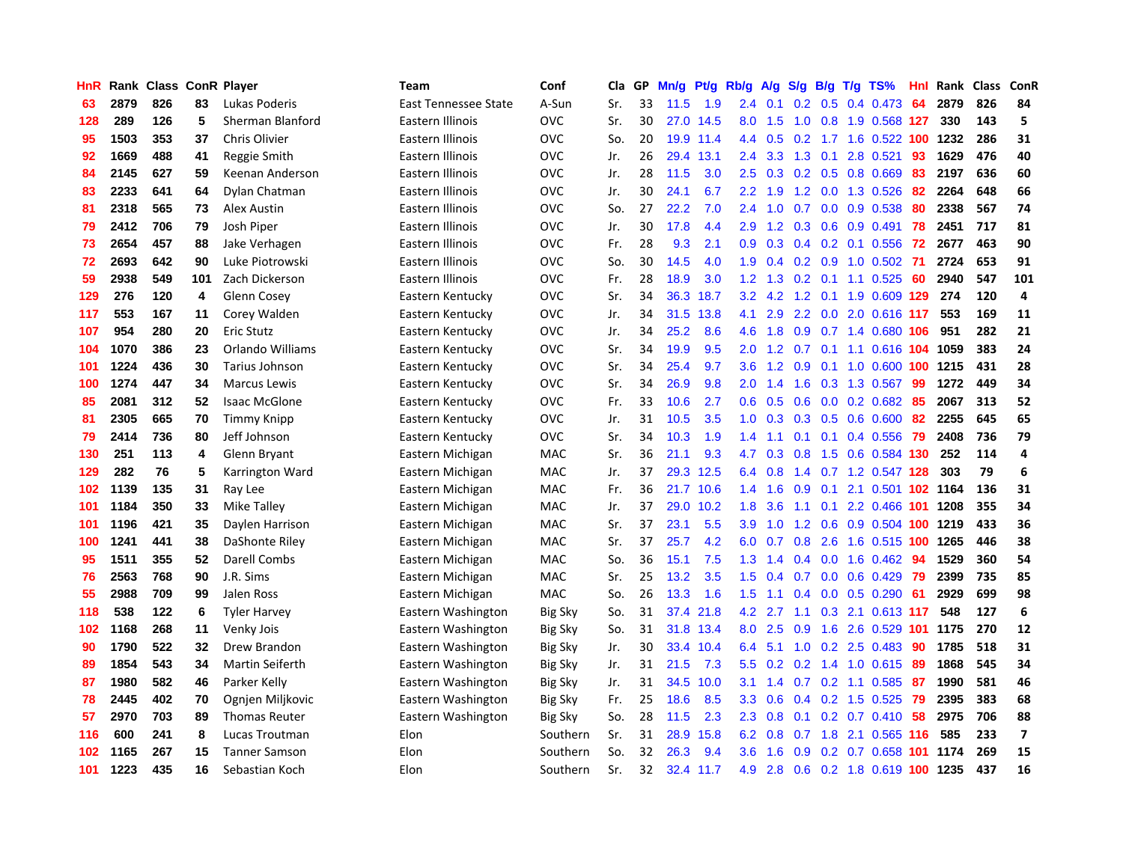| HnR | Rank | <b>Class</b> |     | <b>ConR Player</b>   | <b>Team</b>                 | Conf           | Cla | GP | Mn/g | <b>Pt/g</b> | Rb/g             | <b>A/g</b> | S/g           | B/g | $T/g$ TS%                  | Hnl | Rank | <b>Class</b> | ConR                     |
|-----|------|--------------|-----|----------------------|-----------------------------|----------------|-----|----|------|-------------|------------------|------------|---------------|-----|----------------------------|-----|------|--------------|--------------------------|
| 63  | 2879 | 826          | 83  | Lukas Poderis        | <b>East Tennessee State</b> | A-Sun          | Sr. | 33 | 11.5 | 1.9         | $2.4^{\circ}$    | 0.1        | 0.2           | 0.5 | 0.4 0.473                  | -64 | 2879 | 826          | 84                       |
| 128 | 289  | 126          | 5   | Sherman Blanford     | Eastern Illinois            | <b>OVC</b>     | Sr. | 30 |      | 27.0 14.5   | 8.0              | 1.5        |               |     | 1.0 0.8 1.9 0.568 127      |     | 330  | 143          | 5                        |
| 95  | 1503 | 353          | 37  | Chris Olivier        | Eastern Illinois            | OVC            | So. | 20 | 19.9 | 11.4        | 4.4              | 0.5        |               |     | 0.2 1.7 1.6 0.522 100 1232 |     |      | 286          | 31                       |
| 92  | 1669 | 488          | 41  | Reggie Smith         | Eastern Illinois            | OVC            | Jr. | 26 | 29.4 | 13.1        | 2.4              | 3.3        | 1.3           | 0.1 | 2.8 0.521                  | 93  | 1629 | 476          | 40                       |
| 84  | 2145 | 627          | 59  | Keenan Anderson      | Eastern Illinois            | OVC            | Jr. | 28 | 11.5 | 3.0         | 2.5              | 0.3        | 0.2           |     | 0.5 0.8 0.669              | 83  | 2197 | 636          | 60                       |
| 83  | 2233 | 641          | 64  | Dylan Chatman        | Eastern Illinois            | OVC            | Jr. | 30 | 24.1 | 6.7         | $2.2\phantom{0}$ | 1.9        |               |     | 1.2 0.0 1.3 0.526          | 82  | 2264 | 648          | 66                       |
| 81  | 2318 | 565          | 73  | Alex Austin          | Eastern Illinois            | OVC            | So. | 27 | 22.2 | 7.0         | 2.4              | 1.0        | 0.7           |     | $0.0$ $0.9$ $0.538$        | 80  | 2338 | 567          | 74                       |
| 79  | 2412 | 706          | 79  | Josh Piper           | Eastern Illinois            | OVC            | Jr. | 30 | 17.8 | 4.4         | 2.9              | 1.2        | 0.3           |     | 0.6 0.9 0.491              | 78  | 2451 | 717          | 81                       |
| 73  | 2654 | 457          | 88  | Jake Verhagen        | Eastern Illinois            | OVC            | Fr. | 28 | 9.3  | 2.1         | 0.9              | 0.3        | 0.4           |     | 0.2 0.1 0.556              | -72 | 2677 | 463          | 90                       |
| 72  | 2693 | 642          | 90  | Luke Piotrowski      | Eastern Illinois            | OVC            | So. | 30 | 14.5 | 4.0         | 1.9              | 0.4        |               |     | 0.2 0.9 1.0 0.502 71       |     | 2724 | 653          | 91                       |
| 59  | 2938 | 549          | 101 | Zach Dickerson       | Eastern Illinois            | OVC            | Fr. | 28 | 18.9 | 3.0         | 1.2              | 1.3        |               |     | $0.2$ 0.1 1.1 0.525        | -60 | 2940 | 547          | 101                      |
| 129 | 276  | 120          | 4   | Glenn Cosey          | Eastern Kentucky            | OVC            | Sr. | 34 | 36.3 | 18.7        | 3.2              | 4.2        | 1.2           |     | 0.1 1.9 0.609 129          |     | 274  | 120          | 4                        |
| 117 | 553  | 167          | 11  | Corey Walden         | Eastern Kentucky            | OVC            | Jr. | 34 | 31.5 | 13.8        | 4.1              | 2.9        | 2.2           |     | 0.0 2.0 0.616 117          |     | 553  | 169          | 11                       |
| 107 | 954  | 280          | 20  | <b>Eric Stutz</b>    | Eastern Kentucky            | OVC            | Jr. | 34 | 25.2 | 8.6         | 4.6              | 1.8        | 0.9           |     | 0.7 1.4 0.680 106          |     | 951  | 282          | 21                       |
| 104 | 1070 | 386          | 23  | Orlando Williams     | Eastern Kentucky            | <b>OVC</b>     | Sr. | 34 | 19.9 | 9.5         | 2.0              | 1.2        | 0.7           |     | $0.1$ 1.1 0.616 104        |     | 1059 | 383          | 24                       |
| 101 | 1224 | 436          | 30  | Tarius Johnson       | Eastern Kentucky            | OVC            | Sr. | 34 | 25.4 | 9.7         | 3.6              | 1.2        | 0.9           |     | 0.1 1.0 0.600 100 1215     |     |      | 431          | 28                       |
| 100 | 1274 | 447          | 34  | <b>Marcus Lewis</b>  | Eastern Kentucky            | OVC            | Sr. | 34 | 26.9 | 9.8         | 2.0              | 1.4        | 1.6           |     | 0.3 1.3 0.567              | 99  | 1272 | 449          | 34                       |
| 85  | 2081 | 312          | 52  | <b>Isaac McGlone</b> | Eastern Kentucky            | OVC            | Fr. | 33 | 10.6 | 2.7         | 0.6              | 0.5        | 0.6           |     | 0.0 0.2 0.682 85           |     | 2067 | 313          | 52                       |
| 81  | 2305 | 665          | 70  | <b>Timmy Knipp</b>   | Eastern Kentucky            | OVC            | Jr. | 31 | 10.5 | 3.5         | 1.0              | 0.3        |               |     | 0.3 0.5 0.6 0.600 82       |     | 2255 | 645          | 65                       |
| 79  | 2414 | 736          | 80  | Jeff Johnson         | Eastern Kentucky            | OVC            | Sr. | 34 | 10.3 | 1.9         | 1.4              | 1.1        | 0.1           |     | $0.1$ 0.4 0.556            | 79  | 2408 | 736          | 79                       |
| 130 | 251  | 113          | 4   | Glenn Bryant         | Eastern Michigan            | MAC            | Sr. | 36 | 21.1 | 9.3         | 4.7              | 0.3        | 0.8           |     | 1.5 0.6 0.584 130          |     | 252  | 114          | 4                        |
| 129 | 282  | 76           | 5   | Karrington Ward      | Eastern Michigan            | <b>MAC</b>     | Jr. | 37 | 29.3 | 12.5        | 6.4              | 0.8        | 1.4           |     | 0.7 1.2 0.547 128          |     | 303  | 79           | 6                        |
| 102 | 1139 | 135          | 31  | Ray Lee              | Eastern Michigan            | MAC            | Fr. | 36 | 21.7 | 10.6        | 1.4              | 1.6        | 0.9           |     | 0.1 2.1 0.501 102 1164     |     |      | 136          | 31                       |
| 101 | 1184 | 350          | 33  | <b>Mike Talley</b>   | Eastern Michigan            | <b>MAC</b>     | Jr. | 37 | 29.0 | 10.2        | 1.8              | 3.6        | 1.1           |     | $0.1$ 2.2 0.466 101        |     | 1208 | 355          | 34                       |
| 101 | 1196 | 421          | 35  | Daylen Harrison      | Eastern Michigan            | MAC            | Sr. | 37 | 23.1 | 5.5         | 3.9              | 1.0        | 1.2           |     | 0.6 0.9 0.504 100 1219     |     |      | 433          | 36                       |
| 100 | 1241 | 441          | 38  | DaShonte Riley       | Eastern Michigan            | MAC            | Sr. | 37 | 25.7 | 4.2         | 6.0              | 0.7        | 0.8           |     | 2.6 1.6 0.515 100 1265     |     |      | 446          | 38                       |
| 95  | 1511 | 355          | 52  | Darell Combs         | Eastern Michigan            | MAC            | So. | 36 | 15.1 | 7.5         | 1.3              | 1.4        |               |     | 0.4 0.0 1.6 0.462 94       |     | 1529 | 360          | 54                       |
| 76  | 2563 | 768          | 90  | J.R. Sims            | Eastern Michigan            | <b>MAC</b>     | Sr. | 25 | 13.2 | 3.5         | 1.5              | 0.4        | 0.7           |     | 0.0 0.6 0.429 79           |     | 2399 | 735          | 85                       |
| 55  | 2988 | 709          | 99  | Jalen Ross           | Eastern Michigan            | <b>MAC</b>     | So. | 26 | 13.3 | 1.6         | 1.5              | 1.1        | 0.4           |     | $0.0$ $0.5$ $0.290$        | -61 | 2929 | 699          | 98                       |
| 118 | 538  | 122          | 6   | <b>Tyler Harvey</b>  | Eastern Washington          | <b>Big Sky</b> | So. | 31 | 37.4 | 21.8        | 4.2              | 2.7        | 1.1           |     | 0.3 2.1 0.613 117          |     | 548  | 127          | 6                        |
| 102 | 1168 | 268          | 11  | Venky Jois           | Eastern Washington          | Big Sky        | So. | 31 | 31.8 | 13.4        | 8.0              | 2.5        | 0.9           |     | 1.6 2.6 0.529 101          |     | 1175 | 270          | 12                       |
| 90  | 1790 | 522          | 32  | Drew Brandon         | Eastern Washington          | <b>Big Sky</b> | Jr. | 30 | 33.4 | 10.4        | 6.4              | 5.1        | 1.0           |     | $0.2$ 2.5 0.483            | 90  | 1785 | 518          | 31                       |
| 89  | 1854 | 543          | 34  | Martin Seiferth      | Eastern Washington          | <b>Big Sky</b> | Jr. | 31 | 21.5 | 7.3         | 5.5              | 0.2        | 0.2           |     | 1.4 1.0 0.615              | 89  | 1868 | 545          | 34                       |
| 87  | 1980 | 582          | 46  | Parker Kelly         | Eastern Washington          | <b>Big Sky</b> | Jr. | 31 | 34.5 | 10.0        | 3.1              | 1.4        | 0.7           |     | 0.2 1.1 0.585              | -87 | 1990 | 581          | 46                       |
| 78  | 2445 | 402          | 70  | Ognjen Miljkovic     | Eastern Washington          | <b>Big Sky</b> | Fr. | 25 | 18.6 | 8.5         | 3.3              | 0.6        | $0.4^{\circ}$ |     | $0.2$ 1.5 0.525            | -79 | 2395 | 383          | 68                       |
| 57  | 2970 | 703          | 89  | <b>Thomas Reuter</b> | Eastern Washington          | <b>Big Sky</b> | So. | 28 | 11.5 | 2.3         | 2.3              | 0.8        | 0.1           |     | 0.2 0.7 0.410 58           |     | 2975 | 706          | 88                       |
| 116 | 600  | 241          | 8   | Lucas Troutman       | Elon                        | Southern       | Sr. | 31 | 28.9 | 15.8        | 6.2              | 0.8        |               |     | 0.7 1.8 2.1 0.565 116      |     | 585  | 233          | $\overline{\phantom{a}}$ |
| 102 | 1165 | 267          | 15  | <b>Tanner Samson</b> | Elon                        | Southern       | So. | 32 | 26.3 | 9.4         | 3.6              | 1.6        | 0.9           |     | $0.2$ 0.7 0.658 101        |     | 1174 | 269          | 15                       |
| 101 | 1223 | 435          | 16  | Sebastian Koch       | Elon                        | Southern       | Sr. | 32 |      | 32.4 11.7   | 4.9              | 2.8        | 0.6           |     | 0.2 1.8 0.619 100 1235     |     |      | 437          | 16                       |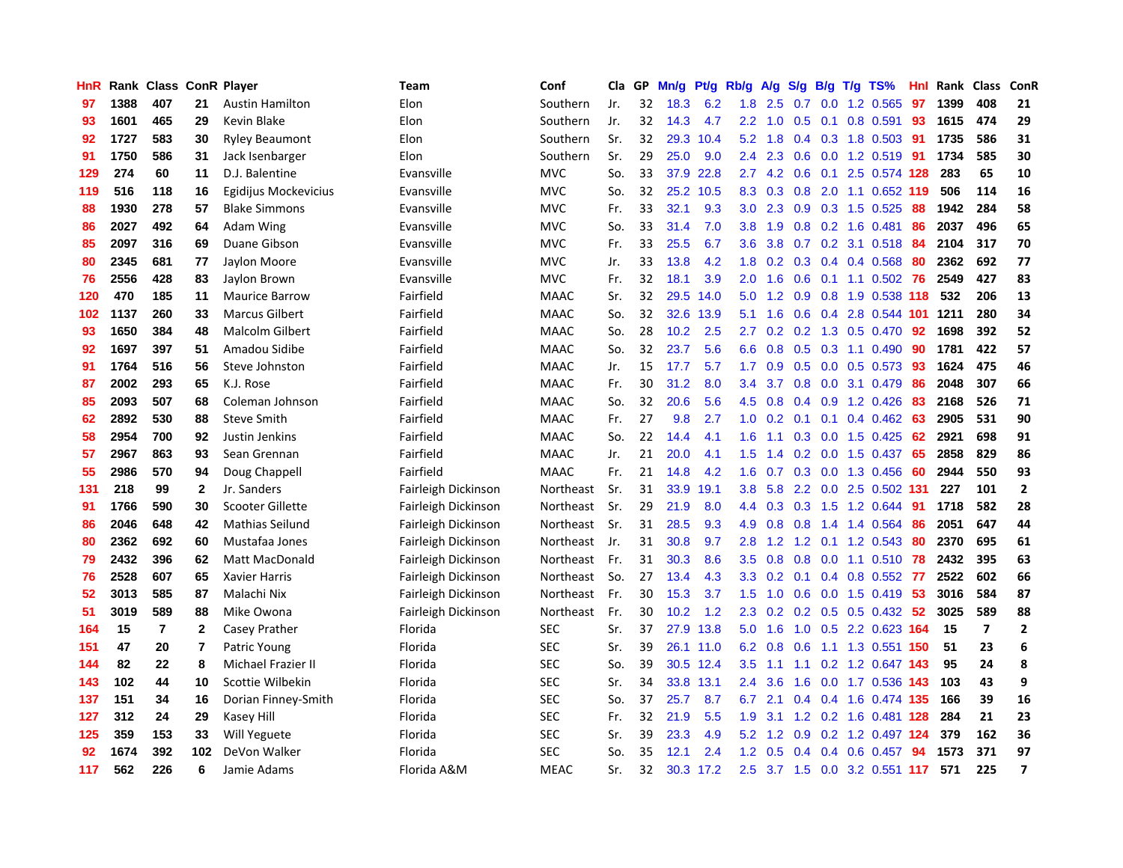| HnR |      | Rank Class ConR Player |              |                        | <b>Team</b>         | Conf        | Cla | GP | Mn/g | Pt/g      | Rb/g             | A/g | S/g              |     | B/g T/g TS%               | Hnl | Rank | <b>Class</b>   | ConR                    |
|-----|------|------------------------|--------------|------------------------|---------------------|-------------|-----|----|------|-----------|------------------|-----|------------------|-----|---------------------------|-----|------|----------------|-------------------------|
| 97  | 1388 | 407                    | 21           | <b>Austin Hamilton</b> | Elon                | Southern    | Jr. | 32 | 18.3 | 6.2       | 1.8              | 2.5 | 0.7              | 0.0 | 1.2 0.565                 | 97  | 1399 | 408            | 21                      |
| 93  | 1601 | 465                    | 29           | Kevin Blake            | Elon                | Southern    | Jr. | 32 | 14.3 | 4.7       | $2.2^{\circ}$    | 1.0 | 0.5              |     | $0.1$ 0.8 0.591           | 93  | 1615 | 474            | 29                      |
| 92  | 1727 | 583                    | 30           | <b>Ryley Beaumont</b>  | Elon                | Southern    | Sr. | 32 | 29.3 | 10.4      | 5.2              | 1.8 |                  |     | 0.4 0.3 1.8 0.503 91      |     | 1735 | 586            | 31                      |
| 91  | 1750 | 586                    | 31           | Jack Isenbarger        | Elon                | Southern    | Sr. | 29 | 25.0 | 9.0       | 2.4              | 2.3 | 0.6              |     | $0.0$ 1.2 0.519           | -91 | 1734 | 585            | 30                      |
| 129 | 274  | 60                     | 11           | D.J. Balentine         | Evansville          | <b>MVC</b>  | So. | 33 | 37.9 | 22.8      | $2.7^{\circ}$    | 4.2 | 0.6              | 0.1 | 2.5 0.574 128             |     | 283  | 65             | 10                      |
| 119 | 516  | 118                    | 16           | Egidijus Mockevicius   | Evansville          | <b>MVC</b>  | So. | 32 | 25.2 | 10.5      | 8.3              | 0.3 | 0.8              |     | 2.0 1.1 0.652 119         |     | 506  | 114            | 16                      |
| 88  | 1930 | 278                    | 57           | <b>Blake Simmons</b>   | Evansville          | <b>MVC</b>  | Fr. | 33 | 32.1 | 9.3       | 3.0 <sub>2</sub> | 2.3 | 0.9 <sub>0</sub> |     | 0.3 1.5 0.525             | 88  | 1942 | 284            | 58                      |
| 86  | 2027 | 492                    | 64           | Adam Wing              | Evansville          | <b>MVC</b>  | So. | 33 | 31.4 | 7.0       | 3.8              | 1.9 | 0.8              |     | $0.2$ 1.6 0.481           | 86  | 2037 | 496            | 65                      |
| 85  | 2097 | 316                    | 69           | Duane Gibson           | Evansville          | <b>MVC</b>  | Fr. | 33 | 25.5 | 6.7       | 3.6 <sup>°</sup> | 3.8 | 0.7              |     | 0.2 3.1 0.518 84          |     | 2104 | 317            | 70                      |
| 80  | 2345 | 681                    | 77           | Jaylon Moore           | Evansville          | <b>MVC</b>  | Jr. | 33 | 13.8 | 4.2       | 1.8              | 0.2 |                  |     | 0.3 0.4 0.4 0.568 80      |     | 2362 | 692            | 77                      |
| 76  | 2556 | 428                    | 83           | Jaylon Brown           | Evansville          | <b>MVC</b>  | Fr. | 32 | 18.1 | 3.9       | 2.0              | 1.6 |                  |     | 0.6 0.1 1.1 0.502 76      |     | 2549 | 427            | 83                      |
| 120 | 470  | 185                    | 11           | <b>Maurice Barrow</b>  | Fairfield           | <b>MAAC</b> | Sr. | 32 | 29.5 | 14.0      | 5.0              | 1.2 | 0.9              |     | 0.8 1.9 0.538 118         |     | 532  | 206            | 13                      |
| 102 | 1137 | 260                    | 33           | <b>Marcus Gilbert</b>  | Fairfield           | <b>MAAC</b> | So. | 32 | 32.6 | 13.9      | 5.1              | 1.6 | 0.6              |     | 0.4 2.8 0.544 101         |     | 1211 | 280            | 34                      |
| 93  | 1650 | 384                    | 48           | <b>Malcolm Gilbert</b> | Fairfield           | <b>MAAC</b> | So. | 28 | 10.2 | 2.5       | 2.7              | 0.2 | 0.2              |     | 1.3 0.5 0.470             | 92  | 1698 | 392            | 52                      |
| 92  | 1697 | 397                    | 51           | Amadou Sidibe          | Fairfield           | <b>MAAC</b> | So. | 32 | 23.7 | 5.6       | 6.6              | 0.8 | 0.5              |     | 0.3 1.1 0.490             | 90  | 1781 | 422            | 57                      |
| 91  | 1764 | 516                    | 56           | Steve Johnston         | Fairfield           | <b>MAAC</b> | Jr. | 15 | 17.7 | 5.7       | 1.7 <sup>2</sup> | 0.9 | 0.5              | 0.0 | $0.5$ 0.573               | -93 | 1624 | 475            | 46                      |
| 87  | 2002 | 293                    | 65           | K.J. Rose              | Fairfield           | <b>MAAC</b> | Fr. | 30 | 31.2 | 8.0       | 3.4              | 3.7 | 0.8              | 0.0 | 3.1 0.479                 | 86  | 2048 | 307            | 66                      |
| 85  | 2093 | 507                    | 68           | Coleman Johnson        | Fairfield           | <b>MAAC</b> | So. | 32 | 20.6 | 5.6       | 4.5              | 0.8 | 0.4              |     | 0.9 1.2 0.426             | -83 | 2168 | 526            | 71                      |
| 62  | 2892 | 530                    | 88           | <b>Steve Smith</b>     | Fairfield           | <b>MAAC</b> | Fr. | 27 | 9.8  | 2.7       | 1.0 <sub>1</sub> | 0.2 |                  |     | $0.1$ 0.1 0.4 0.462 63    |     | 2905 | 531            | 90                      |
| 58  | 2954 | 700                    | 92           | Justin Jenkins         | Fairfield           | <b>MAAC</b> | So. | 22 | 14.4 | 4.1       | 1.6              | 1.1 |                  |     | $0.3$ 0.0 1.5 0.425       | -62 | 2921 | 698            | 91                      |
| 57  | 2967 | 863                    | 93           | Sean Grennan           | Fairfield           | <b>MAAC</b> | Jr. | 21 | 20.0 | 4.1       | 1.5              | 1.4 |                  |     | $0.2$ 0.0 1.5 0.437       | -65 | 2858 | 829            | 86                      |
| 55  | 2986 | 570                    | 94           | Doug Chappell          | Fairfield           | <b>MAAC</b> | Fr. | 21 | 14.8 | 4.2       | 1.6              | 0.7 | 0.3              |     | 0.0 1.3 0.456             | 60  | 2944 | 550            | 93                      |
| 131 | 218  | 99                     | $\mathbf{2}$ | Jr. Sanders            | Fairleigh Dickinson | Northeast   | Sr. | 31 | 33.9 | 19.1      | 3.8              | 5.8 |                  |     | 2.2 0.0 2.5 0.502 131     |     | 227  | 101            | $\overline{\mathbf{2}}$ |
| 91  | 1766 | 590                    | 30           | Scooter Gillette       | Fairleigh Dickinson | Northeast   | Sr. | 29 | 21.9 | 8.0       | $4.4^{\circ}$    | 0.3 | 0.3              |     | 1.5 1.2 0.644             | 91  | 1718 | 582            | 28                      |
| 86  | 2046 | 648                    | 42           | Mathias Seilund        | Fairleigh Dickinson | Northeast   | Sr. | 31 | 28.5 | 9.3       | 4.9              | 0.8 | 0.8              |     | 1.4 1.4 0.564             | 86  | 2051 | 647            | 44                      |
| 80  | 2362 | 692                    | 60           | Mustafaa Jones         | Fairleigh Dickinson | Northeast   | Jr. | 31 | 30.8 | 9.7       | 2.8              | 1.2 | 1.2              |     | $0.1$ 1.2 0.543           | -80 | 2370 | 695            | 61                      |
| 79  | 2432 | 396                    | 62           | <b>Matt MacDonald</b>  | Fairleigh Dickinson | Northeast   | Fr. | 31 | 30.3 | 8.6       | 3.5              | 0.8 |                  |     | 0.8 0.0 1.1 0.510 78      |     | 2432 | 395            | 63                      |
| 76  | 2528 | 607                    | 65           | <b>Xavier Harris</b>   | Fairleigh Dickinson | Northeast   | So. | 27 | 13.4 | 4.3       | 3.3 <sub>2</sub> | 0.2 |                  |     | $0.1$ 0.4 0.8 0.552 77    |     | 2522 | 602            | 66                      |
| 52  | 3013 | 585                    | 87           | Malachi Nix            | Fairleigh Dickinson | Northeast   | Fr. | 30 | 15.3 | 3.7       | 1.5              | 1.0 | 0.6              |     | $0.0$ 1.5 $0.419$         | -53 | 3016 | 584            | 87                      |
| 51  | 3019 | 589                    | 88           | Mike Owona             | Fairleigh Dickinson | Northeast   | Fr. | 30 | 10.2 | 1.2       | 2.3              | 0.2 | 0.2              |     | $0.5$ 0.5 0.432           | -52 | 3025 | 589            | 88                      |
| 164 | 15   | $\overline{7}$         | $\mathbf{2}$ | Casey Prather          | Florida             | <b>SEC</b>  | Sr. | 37 | 27.9 | 13.8      | 5.0              | 1.6 | 1.0              |     | 0.5 2.2 0.623 164         |     | 15   | $\overline{7}$ | $\mathbf{2}$            |
| 151 | 47   | 20                     | 7            | Patric Young           | Florida             | <b>SEC</b>  | Sr. | 39 | 26.1 | 11.0      | 6.2              | 0.8 | 0.6              |     | 1.1 1.3 0.551 150         |     | 51   | 23             | 6                       |
| 144 | 82   | 22                     | 8            | Michael Frazier II     | Florida             | <b>SEC</b>  | So. | 39 | 30.5 | 12.4      | 3.5              | 1.1 | 1.1              |     | 0.2 1.2 0.647 143         |     | 95   | 24             | 8                       |
| 143 | 102  | 44                     | 10           | Scottie Wilbekin       | Florida             | <b>SEC</b>  | Sr. | 34 | 33.8 | 13.1      | 2.4              | 3.6 | 1.6              |     | 0.0 1.7 0.536 143         |     | 103  | 43             | 9                       |
| 137 | 151  | 34                     | 16           | Dorian Finney-Smith    | Florida             | <b>SEC</b>  | So. | 37 | 25.7 | 8.7       | 6.7              | 2.1 |                  |     | 0.4 0.4 1.6 0.474 135     |     | 166  | 39             | 16                      |
| 127 | 312  | 24                     | 29           | Kasey Hill             | Florida             | <b>SEC</b>  | Fr. | 32 | 21.9 | 5.5       | 1.9              | 3.1 |                  |     | 1.2 0.2 1.6 0.481 128     |     | 284  | 21             | 23                      |
| 125 | 359  | 153                    | 33           | Will Yeguete           | Florida             | <b>SEC</b>  | Sr. | 39 | 23.3 | 4.9       | 5.2              | 1.2 | 0.9 <sup>°</sup> |     | 0.2 1.2 0.497 124         |     | 379  | 162            | 36                      |
| 92  | 1674 | 392                    | 102          | DeVon Walker           | Florida             | <b>SEC</b>  | So. | 35 | 12.1 | 2.4       | 1.2              | 0.5 | 0.4              | 0.4 | $0.6$ 0.457               | 94  | 1573 | 371            | 97                      |
| 117 | 562  | 226                    | 6            | Jamie Adams            | Florida A&M         | <b>MEAC</b> | Sr. | 32 |      | 30.3 17.2 | 2.5              |     |                  |     | 3.7 1.5 0.0 3.2 0.551 117 |     | 571  | 225            | $\overline{\mathbf{z}}$ |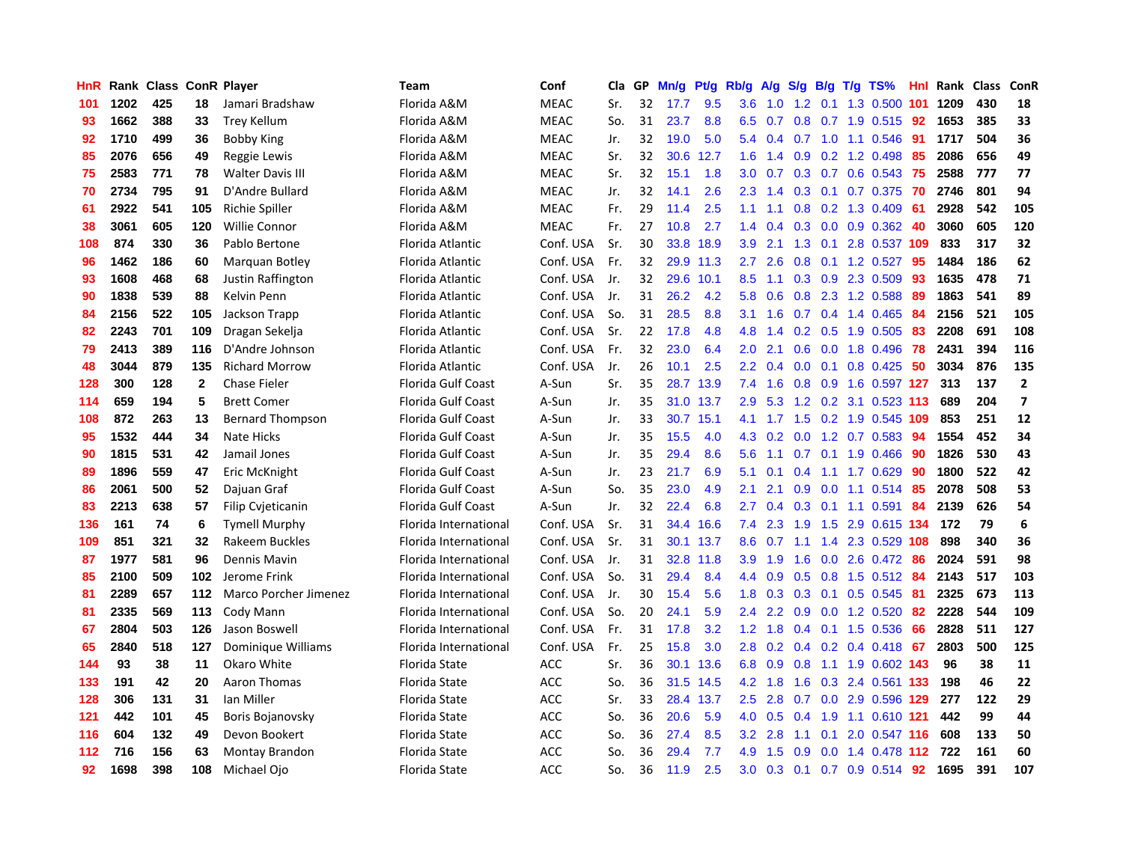| HnR |      | Rank Class ConR Player |              |                         | <b>Team</b>               | Conf        | Cla | GP | Mn/g | Pt/g | Rb/g             | A/g             | S/g              | B/g | $T/g$ TS%                 | Hnl | Rank | <b>Class</b> | ConR                    |
|-----|------|------------------------|--------------|-------------------------|---------------------------|-------------|-----|----|------|------|------------------|-----------------|------------------|-----|---------------------------|-----|------|--------------|-------------------------|
| 101 | 1202 | 425                    | 18           | Jamari Bradshaw         | Florida A&M               | <b>MEAC</b> | Sr. | 32 | 17.7 | 9.5  | 3.6              | 1.0             | 1.2              | 0.1 | 1.3 0.500                 | 101 | 1209 | 430          | 18                      |
| 93  | 1662 | 388                    | 33           | Trey Kellum             | Florida A&M               | <b>MEAC</b> | So. | 31 | 23.7 | 8.8  |                  | $6.5 \quad 0.7$ |                  |     | 0.8 0.7 1.9 0.515 92      |     | 1653 | 385          | 33                      |
| 92  | 1710 | 499                    | 36           | <b>Bobby King</b>       | Florida A&M               | <b>MEAC</b> | Jr. | 32 | 19.0 | 5.0  | 5.4              | 0.4             |                  |     | 0.7 1.0 1.1 0.546 91      |     | 1717 | 504          | 36                      |
| 85  | 2076 | 656                    | 49           | Reggie Lewis            | Florida A&M               | <b>MEAC</b> | Sr. | 32 | 30.6 | 12.7 | 1.6              | 1.4             | 0.9              |     | 0.2 1.2 0.498             | -85 | 2086 | 656          | 49                      |
| 75  | 2583 | 771                    | 78           | <b>Walter Davis III</b> | Florida A&M               | <b>MEAC</b> | Sr. | 32 | 15.1 | 1.8  | 3.0 <sub>2</sub> | 0.7             |                  |     | 0.3 0.7 0.6 0.543 75      |     | 2588 | 777          | 77                      |
| 70  | 2734 | 795                    | 91           | D'Andre Bullard         | Florida A&M               | <b>MEAC</b> | Jr. | 32 | 14.1 | 2.6  | 2.3              | 1.4             |                  |     | 0.3 0.1 0.7 0.375 70      |     | 2746 | 801          | 94                      |
| 61  | 2922 | 541                    | 105          | Richie Spiller          | Florida A&M               | <b>MEAC</b> | Fr. | 29 | 11.4 | 2.5  | 1.1              | 1.1             | 0.8              |     | 0.2 1.3 0.409             | -61 | 2928 | 542          | 105                     |
| 38  | 3061 | 605                    | 120          | <b>Willie Connor</b>    | Florida A&M               | <b>MEAC</b> | Fr. | 27 | 10.8 | 2.7  | 1.4              | 0.4             | 0.3              |     | $0.0$ $0.9$ $0.362$ 40    |     | 3060 | 605          | 120                     |
| 108 | 874  | 330                    | 36           | Pablo Bertone           | Florida Atlantic          | Conf. USA   | Sr. | 30 | 33.8 | 18.9 | 3.9 <sup>°</sup> | 2.1             | 1.3              | 0.1 | 2.8 0.537 109             |     | 833  | 317          | 32                      |
| 96  | 1462 | 186                    | 60           | Marquan Botley          | Florida Atlantic          | Conf. USA   | Fr. | 32 | 29.9 | 11.3 | $2.7^{\circ}$    | 2.6             | 0.8              |     | 0.1 1.2 0.527 95          |     | 1484 | 186          | 62                      |
| 93  | 1608 | 468                    | 68           | Justin Raffington       | Florida Atlantic          | Conf. USA   | Jr. | 32 | 29.6 | 10.1 | 8.5              |                 |                  |     | 1.1 0.3 0.9 2.3 0.509 93  |     | 1635 | 478          | 71                      |
| 90  | 1838 | 539                    | 88           | Kelvin Penn             | Florida Atlantic          | Conf. USA   | Jr. | 31 | 26.2 | 4.2  | 5.8              | 0.6             |                  |     | 0.8 2.3 1.2 0.588         | -89 | 1863 | 541          | 89                      |
| 84  | 2156 | 522                    | 105          | Jackson Trapp           | Florida Atlantic          | Conf. USA   | So. | 31 | 28.5 | 8.8  | 3.1              | 1.6             |                  |     | 0.7 0.4 1.4 0.465 84      |     | 2156 | 521          | 105                     |
| 82  | 2243 | 701                    | 109          | Dragan Sekelja          | Florida Atlantic          | Conf. USA   | Sr. | 22 | 17.8 | 4.8  | 4.8              | 1.4             |                  |     | 0.2 0.5 1.9 0.505 83      |     | 2208 | 691          | 108                     |
| 79  | 2413 | 389                    | 116          | D'Andre Johnson         | Florida Atlantic          | Conf. USA   | Fr. | 32 | 23.0 | 6.4  | 2.0              | 2.1             | 0.6              |     | 0.0 1.8 0.496             | -78 | 2431 | 394          | 116                     |
| 48  | 3044 | 879                    | 135          | <b>Richard Morrow</b>   | Florida Atlantic          | Conf. USA   | Jr. | 26 | 10.1 | 2.5  | 2.2              | 0.4             | 0.0 <sub>1</sub> |     | $0.1$ 0.8 0.425           | -50 | 3034 | 876          | 135                     |
| 128 | 300  | 128                    | $\mathbf{2}$ | <b>Chase Fieler</b>     | <b>Florida Gulf Coast</b> | A-Sun       | Sr. | 35 | 28.7 | 13.9 | 7.4              | 1.6             | 0.8              |     | 0.9 1.6 0.597 127         |     | 313  | 137          | $\overline{2}$          |
| 114 | 659  | 194                    | 5            | <b>Brett Comer</b>      | <b>Florida Gulf Coast</b> | A-Sun       | Jr. | 35 | 31.0 | 13.7 | 2.9              | 5.3             | 1.2              |     | 0.2 3.1 0.523 113         |     | 689  | 204          | $\overline{\mathbf{z}}$ |
| 108 | 872  | 263                    | 13           | <b>Bernard Thompson</b> | <b>Florida Gulf Coast</b> | A-Sun       | Jr. | 33 | 30.7 | 15.1 | 4.1              |                 |                  |     | 1.7 1.5 0.2 1.9 0.545 109 |     | 853  | 251          | 12                      |
| 95  | 1532 | 444                    | 34           | Nate Hicks              | Florida Gulf Coast        | A-Sun       | Jr. | 35 | 15.5 | 4.0  | 4.3              | 0.2             |                  |     | 0.0 1.2 0.7 0.583 94      |     | 1554 | 452          | 34                      |
| 90  | 1815 | 531                    | 42           | Jamail Jones            | <b>Florida Gulf Coast</b> | A-Sun       | Jr. | 35 | 29.4 | 8.6  | 5.6              | 1.1             |                  |     | 0.7 0.1 1.9 0.466 90      |     | 1826 | 530          | 43                      |
| 89  | 1896 | 559                    | 47           | Eric McKnight           | Florida Gulf Coast        | A-Sun       | Jr. | 23 | 21.7 | 6.9  | 5.1              | 0.1             | 0.4              |     | $1.1$ 1.7 0.629           | 90  | 1800 | 522          | 42                      |
| 86  | 2061 | 500                    | 52           | Dajuan Graf             | Florida Gulf Coast        | A-Sun       | So. | 35 | 23.0 | 4.9  | 2.1              | 2.1             | 0.9              |     | 0.0 1.1 0.514 85          |     | 2078 | 508          | 53                      |
| 83  | 2213 | 638                    | 57           | Filip Cvjeticanin       | Florida Gulf Coast        | A-Sun       | Jr. | 32 | 22.4 | 6.8  | 2.7              | 0.4             | 0.3              |     | 0.1 1.1 0.591             | -84 | 2139 | 626          | 54                      |
| 136 | 161  | 74                     | 6            | <b>Tymell Murphy</b>    | Florida International     | Conf. USA   | Sr. | 31 | 34.4 | 16.6 | 7.4              | 2.3             | 1.9              |     | 1.5 2.9 0.615 134         |     | 172  | 79           | 6                       |
| 109 | 851  | 321                    | 32           | Rakeem Buckles          | Florida International     | Conf. USA   | Sr. | 31 | 30.1 | 13.7 | 8.6              | 0.7             | 1.1              |     | 1.4 2.3 0.529 108         |     | 898  | 340          | 36                      |
| 87  | 1977 | 581                    | 96           | Dennis Mavin            | Florida International     | Conf. USA   | Jr. | 31 | 32.8 | 11.8 | 3.9              | 1.9             | 1.6              |     | 0.0 2.6 0.472 86          |     | 2024 | 591          | 98                      |
| 85  | 2100 | 509                    | 102          | Jerome Frink            | Florida International     | Conf. USA   | So. | 31 | 29.4 | 8.4  | 4.4              | 0.9             |                  |     | 0.5 0.8 1.5 0.512 84      |     | 2143 | 517          | 103                     |
| 81  | 2289 | 657                    | 112          | Marco Porcher Jimenez   | Florida International     | Conf. USA   | Jr. | 30 | 15.4 | 5.6  | 1.8              | 0.3             |                  |     | 0.3 0.1 0.5 0.545 81      |     | 2325 | 673          | 113                     |
| 81  | 2335 | 569                    | 113          | Cody Mann               | Florida International     | Conf. USA   | So. | 20 | 24.1 | 5.9  | $2.4^{\circ}$    | 2.2             | 0.9              |     | 0.0 1.2 0.520 82          |     | 2228 | 544          | 109                     |
| 67  | 2804 | 503                    | 126          | Jason Boswell           | Florida International     | Conf. USA   | Fr. | 31 | 17.8 | 3.2  | 1.2              | 1.8             | 0.4              |     | $0.1$ 1.5 0.536           | -66 | 2828 | 511          | 127                     |
| 65  | 2840 | 518                    | 127          | Dominique Williams      | Florida International     | Conf. USA   | Fr. | 25 | 15.8 | 3.0  | 2.8              | 0.2             |                  |     | 0.4 0.2 0.4 0.418 67      |     | 2803 | 500          | 125                     |
| 144 | 93   | 38                     | 11           | Okaro White             | <b>Florida State</b>      | <b>ACC</b>  | Sr. | 36 | 30.1 | 13.6 | 6.8              | 0.9             | 0.8              |     | 1.1 1.9 0.602 143         |     | 96   | 38           | 11                      |
| 133 | 191  | 42                     | 20           | Aaron Thomas            | Florida State             | <b>ACC</b>  | So. | 36 | 31.5 | 14.5 |                  | $4.2$ 1.8       | 1.6              |     | 0.3 2.4 0.561 133         |     | 198  | 46           | 22                      |
| 128 | 306  | 131                    | 31           | Ian Miller              | <b>Florida State</b>      | <b>ACC</b>  | Sr. | 33 | 28.4 | 13.7 | 2.5              | 2.8             | 0.7              |     | 0.0 2.9 0.596 129         |     | 277  | 122          | 29                      |
| 121 | 442  | 101                    | 45           | Boris Bojanovsky        | Florida State             | <b>ACC</b>  | So. | 36 | 20.6 | 5.9  | 4.0              | 0.5             |                  |     | 0.4 1.9 1.1 0.610 121     |     | 442  | 99           | 44                      |
| 116 | 604  | 132                    | 49           | Devon Bookert           | Florida State             | <b>ACC</b>  | So. | 36 | 27.4 | 8.5  | 3.2              | 2.8             | 1.1              |     | $0.1$ 2.0 0.547 116       |     | 608  | 133          | 50                      |
| 112 | 716  | 156                    | 63           | Montay Brandon          | Florida State             | <b>ACC</b>  | So. | 36 | 29.4 | 7.7  | 4.9              | 1.5             | 0.9              |     | 0.0 1.4 0.478 112 722     |     |      | 161          | 60                      |
| 92  | 1698 | 398                    | 108          | Michael Ojo             | Florida State             | <b>ACC</b>  | So. | 36 | 11.9 | 2.5  | 3.0 <sub>1</sub> |                 |                  |     | 0.3 0.1 0.7 0.9 0.514 92  |     | 1695 | 391          | 107                     |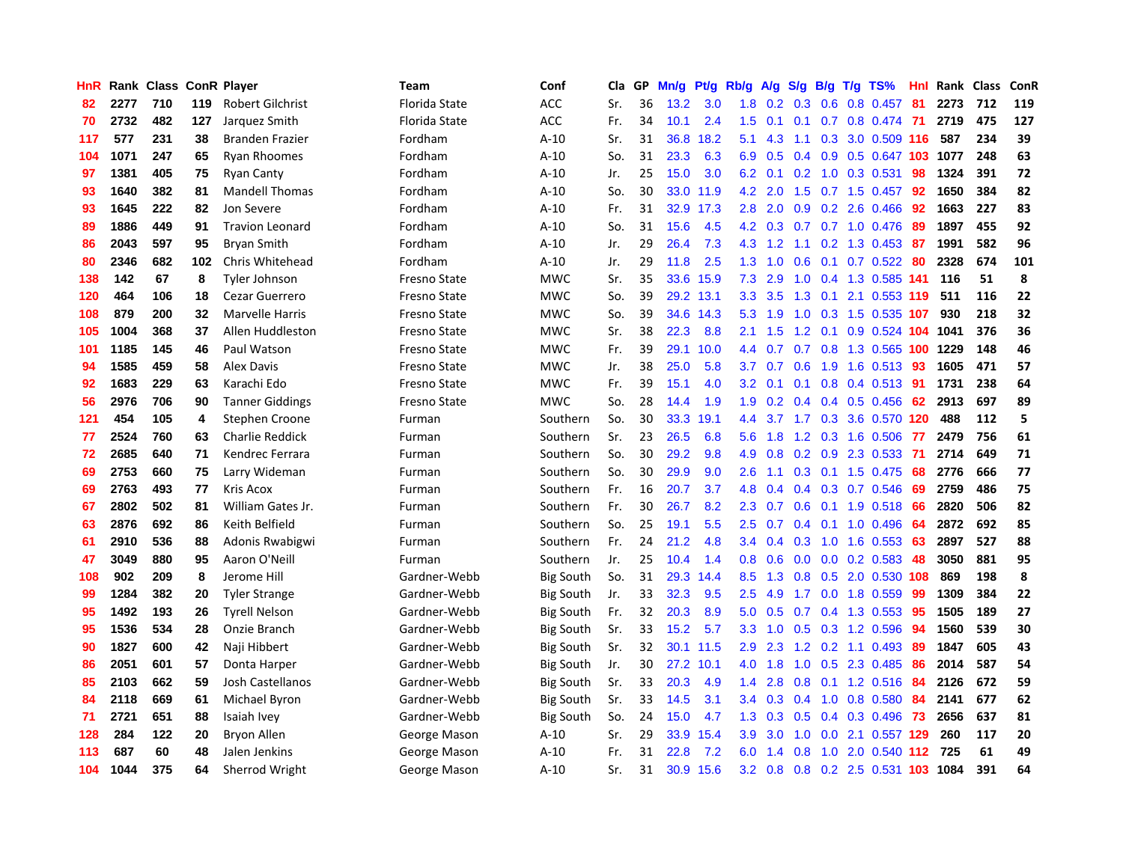| HnR |      | Rank Class ConR Player |     |                         | <b>Team</b>         | Conf             | Cla | GP | Mn/g | <b>Pt/g</b> | Rb/g             | <b>A/g</b> | S/g              | B/g | $T/g$ TS%                 | Hnl | Rank | Class | ConR |
|-----|------|------------------------|-----|-------------------------|---------------------|------------------|-----|----|------|-------------|------------------|------------|------------------|-----|---------------------------|-----|------|-------|------|
| 82  | 2277 | 710                    | 119 | <b>Robert Gilchrist</b> | Florida State       | <b>ACC</b>       | Sr. | 36 | 13.2 | 3.0         | 1.8              | 0.2        | 0.3              | 0.6 | 0.8 0.457                 | 81  | 2273 | 712   | 119  |
| 70  | 2732 | 482                    | 127 | Jarquez Smith           | Florida State       | <b>ACC</b>       | Fr. | 34 | 10.1 | 2.4         | $1.5^{\circ}$    | 0.1        | 0.1              |     | 0.7 0.8 0.474 71          |     | 2719 | 475   | 127  |
| 117 | 577  | 231                    | 38  | <b>Branden Frazier</b>  | Fordham             | $A-10$           | Sr. | 31 | 36.8 | 18.2        | 5.1              | 4.3        |                  |     | 1.1 0.3 3.0 0.509 116     |     | 587  | 234   | 39   |
| 104 | 1071 | 247                    | 65  | <b>Ryan Rhoomes</b>     | Fordham             | $A-10$           | So. | 31 | 23.3 | 6.3         | 6.9              | 0.5        | 0.4              |     | 0.9 0.5 0.647 103 1077    |     |      | 248   | 63   |
| 97  | 1381 | 405                    | 75  | <b>Ryan Canty</b>       | Fordham             | $A-10$           | Jr. | 25 | 15.0 | 3.0         | 6.2              | 0.1        | 0.2              |     | 1.0 0.3 0.531             | 98  | 1324 | 391   | 72   |
| 93  | 1640 | 382                    | 81  | <b>Mandell Thomas</b>   | Fordham             | $A-10$           | So. | 30 | 33.0 | 11.9        | 4.2              | 2.0        | 1.5              |     | 0.7 1.5 0.457             | 92  | 1650 | 384   | 82   |
| 93  | 1645 | 222                    | 82  | Jon Severe              | Fordham             | $A-10$           | Fr. | 31 | 32.9 | 17.3        | 2.8              | 2.0        | 0.9              |     | $0.2$ 2.6 0.466           | 92  | 1663 | 227   | 83   |
| 89  | 1886 | 449                    | 91  | <b>Travion Leonard</b>  | Fordham             | $A-10$           | So. | 31 | 15.6 | 4.5         | 4.2              | 0.3        | 0.7              |     | $0.7$ 1.0 0.476           | -89 | 1897 | 455   | 92   |
| 86  | 2043 | 597                    | 95  | <b>Bryan Smith</b>      | Fordham             | $A-10$           | Jr. | 29 | 26.4 | 7.3         | 4.3              | 1.2        | 1.1              |     | 0.2 1.3 0.453 87          |     | 1991 | 582   | 96   |
| 80  | 2346 | 682                    | 102 | Chris Whitehead         | Fordham             | $A-10$           | Jr. | 29 | 11.8 | 2.5         | 1.3              | 1.0        | 0.6              |     | 0.1 0.7 0.522 80          |     | 2328 | 674   | 101  |
| 138 | 142  | 67                     | 8   | Tyler Johnson           | Fresno State        | <b>MWC</b>       | Sr. | 35 | 33.6 | 15.9        | 7.3              | 2.9        |                  |     | 1.0 0.4 1.3 0.585 141 116 |     |      | 51    | 8    |
| 120 | 464  | 106                    | 18  | Cezar Guerrero          | Fresno State        | <b>MWC</b>       | So. | 39 | 29.2 | 13.1        | 3.3 <sub>2</sub> | 3.5        | 1.3              |     | $0.1$ 2.1 0.553 119       |     | 511  | 116   | 22   |
| 108 | 879  | 200                    | 32  | Marvelle Harris         | Fresno State        | <b>MWC</b>       | So. | 39 | 34.6 | 14.3        | 5.3              | 1.9        | 1.0              |     | 0.3 1.5 0.535 107         |     | 930  | 218   | 32   |
| 105 | 1004 | 368                    | 37  | Allen Huddleston        | Fresno State        | <b>MWC</b>       | Sr. | 38 | 22.3 | 8.8         | 2.1              | 1.5        | 1.2              |     | 0.1 0.9 0.524 104 1041    |     |      | 376   | 36   |
| 101 | 1185 | 145                    | 46  | Paul Watson             | Fresno State        | <b>MWC</b>       | Fr. | 39 | 29.1 | 10.0        | 4.4              | 0.7        | 0.7              |     | 0.8 1.3 0.565 100 1229    |     |      | 148   | 46   |
| 94  | 1585 | 459                    | 58  | <b>Alex Davis</b>       | <b>Fresno State</b> | <b>MWC</b>       | Jr. | 38 | 25.0 | 5.8         | 3.7              | 0.7        | 0.6              |     | 1.9 1.6 0.513             | 93  | 1605 | 471   | 57   |
| 92  | 1683 | 229                    | 63  | Karachi Edo             | Fresno State        | <b>MWC</b>       | Fr. | 39 | 15.1 | 4.0         | 3.2              | 0.1        | 0.1              |     | $0.8$ 0.4 0.513           | -91 | 1731 | 238   | 64   |
| 56  | 2976 | 706                    | 90  | <b>Tanner Giddings</b>  | Fresno State        | <b>MWC</b>       | So. | 28 | 14.4 | 1.9         | 1.9              | 0.2        | $0.4^{\circ}$    |     | $0.4$ 0.5 0.456           | -62 | 2913 | 697   | 89   |
| 121 | 454  | 105                    | 4   | <b>Stephen Croone</b>   | Furman              | Southern         | So. | 30 | 33.3 | 19.1        | 4.4              |            |                  |     | 3.7 1.7 0.3 3.6 0.570 120 |     | 488  | 112   | 5    |
| 77  | 2524 | 760                    | 63  | <b>Charlie Reddick</b>  | Furman              | Southern         | Sr. | 23 | 26.5 | 6.8         | 5.6              | 1.8        |                  |     | 1.2 0.3 1.6 0.506 77      |     | 2479 | 756   | 61   |
| 72  | 2685 | 640                    | 71  | Kendrec Ferrara         | Furman              | Southern         | So. | 30 | 29.2 | 9.8         | 4.9              | 0.8        |                  |     | $0.2$ $0.9$ $2.3$ $0.533$ | -71 | 2714 | 649   | 71   |
| 69  | 2753 | 660                    | 75  | Larry Wideman           | Furman              | Southern         | So. | 30 | 29.9 | 9.0         | 2.6              | 1.1        | 0.3              |     | $0.1$ 1.5 0.475           | -68 | 2776 | 666   | 77   |
| 69  | 2763 | 493                    | 77  | Kris Acox               | Furman              | Southern         | Fr. | 16 | 20.7 | 3.7         | 4.8              | 0.4        | 0.4              |     | 0.3 0.7 0.546             | 69  | 2759 | 486   | 75   |
| 67  | 2802 | 502                    | 81  | William Gates Jr.       | Furman              | Southern         | Fr. | 30 | 26.7 | 8.2         | 2.3              | 0.7        | 0.6              |     | $0.1$ 1.9 0.518           | 66  | 2820 | 506   | 82   |
| 63  | 2876 | 692                    | 86  | Keith Belfield          | Furman              | Southern         | So. | 25 | 19.1 | 5.5         | 2.5              | 0.7        | 0.4              |     | $0.1$ 1.0 0.496           | -64 | 2872 | 692   | 85   |
| 61  | 2910 | 536                    | 88  | Adonis Rwabigwi         | Furman              | Southern         | Fr. | 24 | 21.2 | 4.8         | 3.4              | 0.4        | 0.3              |     | 1.0 1.6 0.553             | 63  | 2897 | 527   | 88   |
| 47  | 3049 | 880                    | 95  | Aaron O'Neill           | Furman              | Southern         | Jr. | 25 | 10.4 | 1.4         | 0.8              | 0.6        | 0.0 <sub>1</sub> |     | $0.0$ 0.2 0.583           | -48 | 3050 | 881   | 95   |
| 108 | 902  | 209                    | 8   | Jerome Hill             | Gardner-Webb        | <b>Big South</b> | So. | 31 | 29.3 | 14.4        | 8.5              | 1.3        |                  |     | 0.8 0.5 2.0 0.530 108     |     | 869  | 198   | 8    |
| 99  | 1284 | 382                    | 20  | <b>Tyler Strange</b>    | Gardner-Webb        | <b>Big South</b> | Jr. | 33 | 32.3 | 9.5         | $2.5\,$          | 4.9        |                  |     | 1.7 0.0 1.8 0.559         | -99 | 1309 | 384   | 22   |
| 95  | 1492 | 193                    | 26  | <b>Tyrell Nelson</b>    | Gardner-Webb        | <b>Big South</b> | Fr. | 32 | 20.3 | 8.9         | 5.0              | 0.5        | 0.7              |     | 0.4 1.3 0.553             | -95 | 1505 | 189   | 27   |
| 95  | 1536 | 534                    | 28  | Onzie Branch            | Gardner-Webb        | <b>Big South</b> | Sr. | 33 | 15.2 | 5.7         | 3.3 <sub>2</sub> | 1.0        | 0.5              |     | 0.3 1.2 0.596             | 94  | 1560 | 539   | 30   |
| 90  | 1827 | 600                    | 42  | Naji Hibbert            | Gardner-Webb        | <b>Big South</b> | Sr. | 32 | 30.1 | 11.5        | 2.9              | 2.3        | 1.2              |     | $0.2$ 1.1 0.493           | -89 | 1847 | 605   | 43   |
| 86  | 2051 | 601                    | 57  | Donta Harper            | Gardner-Webb        | <b>Big South</b> | Jr. | 30 | 27.2 | 10.1        | 4.0              | 1.8        | 1.0              | 0.5 | 2.3 0.485                 | 86  | 2014 | 587   | 54   |
| 85  | 2103 | 662                    | 59  | Josh Castellanos        | Gardner-Webb        | <b>Big South</b> | Sr. | 33 | 20.3 | 4.9         | 1.4              | 2.8        | 0.8              |     | $0.1$ 1.2 0.516           | -84 | 2126 | 672   | 59   |
| 84  | 2118 | 669                    | 61  | Michael Byron           | Gardner-Webb        | <b>Big South</b> | Sr. | 33 | 14.5 | 3.1         | $3.4^{\circ}$    | 0.3        | 0.4              |     | 1.0 0.8 0.580             | -84 | 2141 | 677   | 62   |
| 71  | 2721 | 651                    | 88  | Isaiah Ivey             | Gardner-Webb        | <b>Big South</b> | So. | 24 | 15.0 | 4.7         | 1.3              | 0.3        | 0.5              |     | 0.4 0.3 0.496             | -73 | 2656 | 637   | 81   |
| 128 | 284  | 122                    | 20  | <b>Bryon Allen</b>      | George Mason        | $A-10$           | Sr. | 29 | 33.9 | 15.4        | 3.9              | 3.0        | 1.0              |     | 0.0 2.1 0.557 129         |     | 260  | 117   | 20   |
| 113 | 687  | 60                     | 48  | Jalen Jenkins           | George Mason        | A-10             | Fr. | 31 | 22.8 | 7.2         | 6.0              | 1.4        | 0.8              |     | 1.0 2.0 0.540 112         |     | 725  | 61    | 49   |
| 104 | 1044 | 375                    | 64  | Sherrod Wright          | George Mason        | $A-10$           | Sr. | 31 | 30.9 | 15.6        | 3.2              | 0.8        |                  |     | 0.8 0.2 2.5 0.531 103     |     | 1084 | 391   | 64   |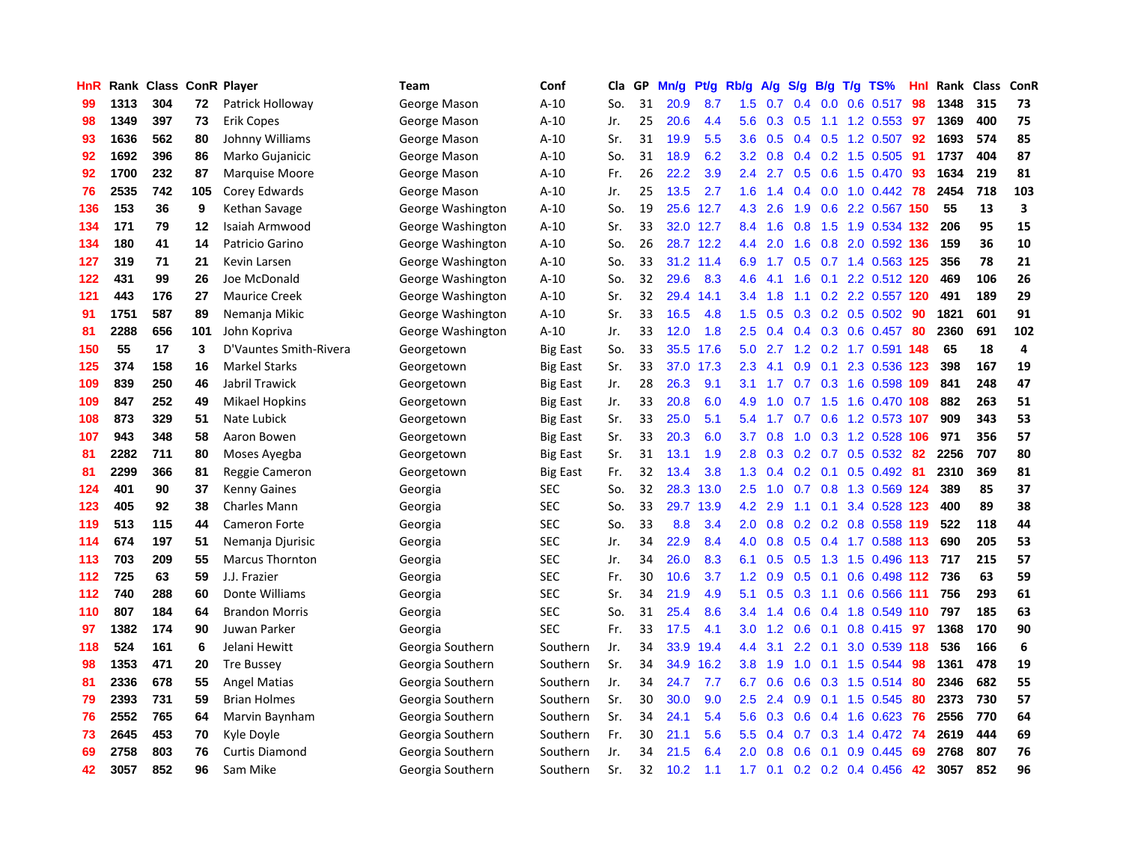| HnR |      | Rank Class ConR Player |     |                        | Team              | Conf            | Cla | <b>GP</b> | Mn/g | Pt/g | Rb/g          | A/g | S/g                              | B/g | $T/g$ TS%               | Hnl | Rank | <b>Class</b> | ConR |
|-----|------|------------------------|-----|------------------------|-------------------|-----------------|-----|-----------|------|------|---------------|-----|----------------------------------|-----|-------------------------|-----|------|--------------|------|
| 99  | 1313 | 304                    | 72  | Patrick Holloway       | George Mason      | $A-10$          | So. | 31        | 20.9 | 8.7  | 1.5           | 0.7 | 0.4                              | 0.0 | $0.6$ 0.517             | 98  | 1348 | 315          | 73   |
| 98  | 1349 | 397                    | 73  | <b>Erik Copes</b>      | George Mason      | $A-10$          | Jr. | 25        | 20.6 | 4.4  | 5.6           | 0.3 | 0.5                              |     | 1.1 1.2 0.553 97        |     | 1369 | 400          | 75   |
| 93  | 1636 | 562                    | 80  | Johnny Williams        | George Mason      | $A-10$          | Sr. | 31        | 19.9 | 5.5  | 3.6           | 0.5 | 0.4                              |     | $0.5$ 1.2 0.507         | 92  | 1693 | 574          | 85   |
| 92  | 1692 | 396                    | 86  | Marko Gujanicic        | George Mason      | $A-10$          | So. | 31        | 18.9 | 6.2  | 3.2           | 0.8 | 0.4                              |     | $0.2$ 1.5 0.505         | -91 | 1737 | 404          | 87   |
| 92  | 1700 | 232                    | 87  | Marquise Moore         | George Mason      | $A-10$          | Fr. | 26        | 22.2 | 3.9  | 2.4           | 2.7 | 0.5                              |     | 0.6 1.5 0.470           | 93  | 1634 | 219          | 81   |
| 76  | 2535 | 742                    | 105 | Corey Edwards          | George Mason      | $A-10$          | Jr. | 25        | 13.5 | 2.7  | 1.6           | 1.4 | 0.4                              |     | $0.0$ 1.0 $0.442$       | 78  | 2454 | 718          | 103  |
| 136 | 153  | 36                     | 9   | Kethan Savage          | George Washington | $A-10$          | So. | 19        | 25.6 | 12.7 | 4.3           | 2.6 | 1.9                              |     | 0.6 2.2 0.567 150       |     | 55   | 13           | 3    |
| 134 | 171  | 79                     | 12  | Isaiah Armwood         | George Washington | $A-10$          | Sr. | 33        | 32.0 | 12.7 | 8.4           | 1.6 | 0.8                              |     | 1.5 1.9 0.534 132       |     | 206  | 95           | 15   |
| 134 | 180  | 41                     | 14  | Patricio Garino        | George Washington | $A-10$          | So. | 26        | 28.7 | 12.2 | 4.4           | 2.0 | 1.6                              |     | 0.8 2.0 0.592 136       |     | 159  | 36           | 10   |
| 127 | 319  | 71                     | 21  | Kevin Larsen           | George Washington | $A-10$          | So. | 33        | 31.2 | 11.4 | 6.9           | 1.7 |                                  |     | 0.5 0.7 1.4 0.563 125   |     | 356  | 78           | 21   |
| 122 | 431  | 99                     | 26  | Joe McDonald           | George Washington | $A-10$          | So. | 32        | 29.6 | 8.3  | 4.6           | 4.1 |                                  |     | 1.6 0.1 2.2 0.512 120   |     | 469  | 106          | 26   |
| 121 | 443  | 176                    | 27  | <b>Maurice Creek</b>   | George Washington | $A-10$          | Sr. | 32        | 29.4 | 14.1 | $3.4^{\circ}$ | 1.8 |                                  |     | 1.1 0.2 2.2 0.557 120   |     | 491  | 189          | 29   |
| 91  | 1751 | 587                    | 89  | Nemanja Mikic          | George Washington | $A-10$          | Sr. | 33        | 16.5 | 4.8  | 1.5           | 0.5 | 0.3 <sub>0</sub>                 |     | $0.2$ 0.5 0.502         | 90  | 1821 | 601          | 91   |
| 81  | 2288 | 656                    | 101 | John Kopriva           | George Washington | $A-10$          | Jr. | 33        | 12.0 | 1.8  | 2.5           | 0.4 | 0.4                              |     | $0.3$ 0.6 0.457         | 80  | 2360 | 691          | 102  |
| 150 | 55   | 17                     | 3   | D'Vauntes Smith-Rivera | Georgetown        | <b>Big East</b> | So. | 33        | 35.5 | 17.6 | 5.0           | 2.7 |                                  |     | 1.2 0.2 1.7 0.591 148   |     | 65   | 18           | 4    |
| 125 | 374  | 158                    | 16  | <b>Markel Starks</b>   | Georgetown        | <b>Big East</b> | Sr. | 33        | 37.0 | 17.3 | 2.3           | 4.1 | 0.9                              | 0.1 | 2.3 0.536               | 123 | 398  | 167          | 19   |
| 109 | 839  | 250                    | 46  | Jabril Trawick         | Georgetown        | <b>Big East</b> | Jr. | 28        | 26.3 | 9.1  | 3.1           | 1.7 | 0.7                              |     | 0.3 1.6 0.598 109       |     | 841  | 248          | 47   |
| 109 | 847  | 252                    | 49  | <b>Mikael Hopkins</b>  | Georgetown        | <b>Big East</b> | Jr. | 33        | 20.8 | 6.0  | 4.9           | 1.0 | 0.7                              |     | 1.5 1.6 0.470 108       |     | 882  | 263          | 51   |
| 108 | 873  | 329                    | 51  | Nate Lubick            | Georgetown        | <b>Big East</b> | Sr. | 33        | 25.0 | 5.1  | 5.4           | 1.7 | 0.7                              |     | 0.6 1.2 0.573 107       |     | 909  | 343          | 53   |
| 107 | 943  | 348                    | 58  | Aaron Bowen            | Georgetown        | Big East        | Sr. | 33        | 20.3 | 6.0  | 3.7           | 0.8 | 1.0                              |     | 0.3 1.2 0.528 106       |     | 971  | 356          | 57   |
| 81  | 2282 | 711                    | 80  | Moses Ayegba           | Georgetown        | Big East        | Sr. | 31        | 13.1 | 1.9  | 2.8           | 0.3 | 0.2                              |     | $0.7$ 0.5 0.532         | -82 | 2256 | 707          | 80   |
| 81  | 2299 | 366                    | 81  | Reggie Cameron         | Georgetown        | <b>Big East</b> | Fr. | 32        | 13.4 | 3.8  | 1.3           | 0.4 | 0.2                              | 0.1 | $0.5$ 0.492             | -81 | 2310 | 369          | 81   |
| 124 | 401  | 90                     | 37  | <b>Kenny Gaines</b>    | Georgia           | <b>SEC</b>      | So. | 32        | 28.3 | 13.0 | 2.5           | 1.0 | 0.7                              |     | 0.8 1.3 0.569 124       |     | 389  | 85           | 37   |
| 123 | 405  | 92                     | 38  | <b>Charles Mann</b>    | Georgia           | <b>SEC</b>      | So. | 33        | 29.7 | 13.9 | 4.2           | 2.9 | 1.1                              | 0.1 | 3.4 0.528               | 123 | 400  | 89           | 38   |
| 119 | 513  | 115                    | 44  | <b>Cameron Forte</b>   | Georgia           | <b>SEC</b>      | So. | 33        | 8.8  | 3.4  | 2.0           | 0.8 | 0.2                              |     | 0.2 0.8 0.558 119       |     | 522  | 118          | 44   |
| 114 | 674  | 197                    | 51  | Nemanja Djurisic       | Georgia           | <b>SEC</b>      | Jr. | 34        | 22.9 | 8.4  | 4.0           | 0.8 | 0.5                              |     | 0.4 1.7 0.588 113       |     | 690  | 205          | 53   |
| 113 | 703  | 209                    | 55  | <b>Marcus Thornton</b> | Georgia           | <b>SEC</b>      | Jr. | 34        | 26.0 | 8.3  | 6.1           | 0.5 |                                  |     | 0.5 1.3 1.5 0.496 113   |     | 717  | 215          | 57   |
| 112 | 725  | 63                     | 59  | J.J. Frazier           | Georgia           | <b>SEC</b>      | Fr. | 30        | 10.6 | 3.7  | 1.2           | 0.9 |                                  |     | $0.5$ 0.1 0.6 0.498 112 |     | 736  | 63           | 59   |
| 112 | 740  | 288                    | 60  | Donte Williams         | Georgia           | <b>SEC</b>      | Sr. | 34        | 21.9 | 4.9  | 5.1           | 0.5 | 0.3                              |     | 1.1 0.6 0.566 111       |     | 756  | 293          | 61   |
| 110 | 807  | 184                    | 64  | <b>Brandon Morris</b>  | Georgia           | <b>SEC</b>      | So. | 31        | 25.4 | 8.6  | 3.4           | 1.4 | 0.6                              |     | 0.4 1.8 0.549 110       |     | 797  | 185          | 63   |
| 97  | 1382 | 174                    | 90  | Juwan Parker           | Georgia           | <b>SEC</b>      | Fr. | 33        | 17.5 | 4.1  | 3.0           | 1.2 | 0.6                              |     | $0.1$ 0.8 0.415         | 97  | 1368 | 170          | 90   |
| 118 | 524  | 161                    | 6   | Jelani Hewitt          | Georgia Southern  | Southern        | Jr. | 34        | 33.9 | 19.4 | 4.4           | 3.1 | $\overline{2}$<br>$\overline{2}$ | 0.1 | 3.0 0.539 118           |     | 536  | 166          | 6    |
| 98  | 1353 | 471                    | 20  | <b>Tre Bussey</b>      | Georgia Southern  | Southern        | Sr. | 34        | 34.9 | 16.2 | 3.8           | 1.9 | 1.0                              |     | $0.1$ 1.5 0.544         | 98  | 1361 | 478          | 19   |
| 81  | 2336 | 678                    | 55  | <b>Angel Matias</b>    | Georgia Southern  | Southern        | Jr. | 34        | 24.7 | 7.7  | 6.7           | 0.6 | 0.6                              |     | 0.3 1.5 0.514           | 80  | 2346 | 682          | 55   |
| 79  | 2393 | 731                    | 59  | <b>Brian Holmes</b>    | Georgia Southern  | Southern        | Sr. | 30        | 30.0 | 9.0  | $2.5^{\circ}$ | 2.4 | 0.9                              |     | $0.1$ 1.5 0.545         | -80 | 2373 | 730          | 57   |
| 76  | 2552 | 765                    | 64  | Marvin Baynham         | Georgia Southern  | Southern        | Sr. | 34        | 24.1 | 5.4  | 5.6           | 0.3 | 0.6                              |     | 0.4 1.6 0.623 76        |     | 2556 | 770          | 64   |
| 73  | 2645 | 453                    | 70  | Kyle Doyle             | Georgia Southern  | Southern        | Fr. | 30        | 21.1 | 5.6  | 5.5           | 0.4 | 0.7                              |     | $0.3$ 1.4 $0.472$       | -74 | 2619 | 444          | 69   |
| 69  | 2758 | 803                    | 76  | <b>Curtis Diamond</b>  | Georgia Southern  | Southern        | Jr. | 34        | 21.5 | 6.4  | 2.0           | 0.8 | 0.6                              | 0.1 | $0.9$ $0.445$           | 69  | 2768 | 807          | 76   |
| 42  | 3057 | 852                    | 96  | Sam Mike               | Georgia Southern  | Southern        | Sr. | 32        | 10.2 | 1.1  | 1.7           | 0.1 |                                  |     | $0.2$ 0.2 0.4 0.456     | 42  | 3057 | 852          | 96   |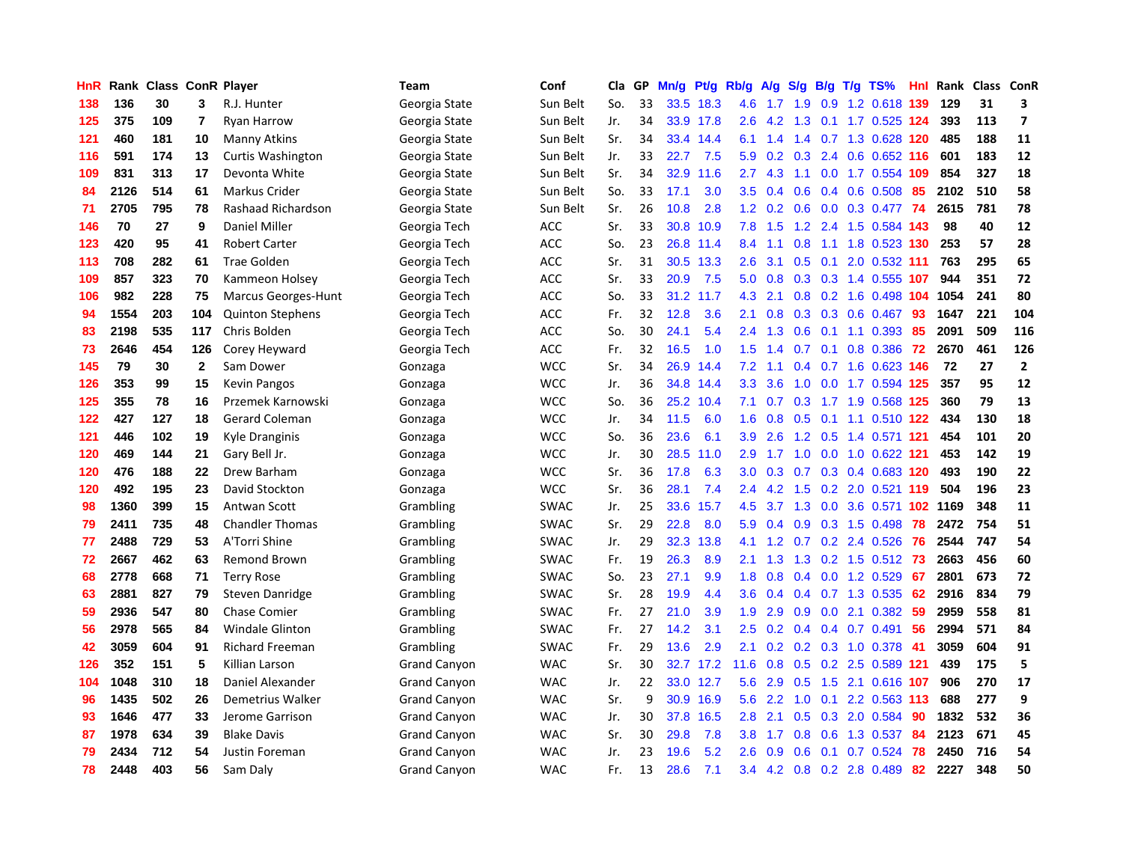| HnR |      | Rank Class ConR Player |                |                            | <b>Team</b>         | Conf        | Cla | GP | Mn/g | Pf/g      | Rb/g    | A/g | S/g             | B/g | $T/g$ TS%             | <b>Hnl</b> | Rank | Class ConR |                         |
|-----|------|------------------------|----------------|----------------------------|---------------------|-------------|-----|----|------|-----------|---------|-----|-----------------|-----|-----------------------|------------|------|------------|-------------------------|
| 138 | 136  | 30                     | 3              | R.J. Hunter                | Georgia State       | Sun Belt    | So. | 33 | 33.5 | 18.3      | 4.6     | 1.7 | 1.9             |     | 0.9 1.2 0.618 139     |            | 129  | 31         | 3                       |
| 125 | 375  | 109                    | 7              | <b>Ryan Harrow</b>         | Georgia State       | Sun Belt    | Jr. | 34 |      | 33.9 17.8 | $2.6\,$ | 4.2 | 1.3             |     | 0.1 1.7 0.525 124     |            | 393  | 113        | $\overline{ }$          |
| 121 | 460  | 181                    | 10             | Manny Atkins               | Georgia State       | Sun Belt    | Sr. | 34 | 33.4 | 14.4      | 6.1     | 1.4 |                 |     | 1.4 0.7 1.3 0.628 120 |            | 485  | 188        | 11                      |
| 116 | 591  | 174                    | 13             | Curtis Washington          | Georgia State       | Sun Belt    | Jr. | 33 | 22.7 | 7.5       | 5.9     | 0.2 | 0.3             |     | 2.4 0.6 0.652 116     |            | 601  | 183        | 12                      |
| 109 | 831  | 313                    | 17             | Devonta White              | Georgia State       | Sun Belt    | Sr. | 34 | 32.9 | 11.6      | 2.7     | 4.3 | 1.1             |     | 0.0 1.7 0.554 109     |            | 854  | 327        | 18                      |
| 84  | 2126 | 514                    | 61             | Markus Crider              | Georgia State       | Sun Belt    | So. | 33 | 17.1 | 3.0       | 3.5     | 0.4 | 0.6             |     | $0.4$ 0.6 0.508       | -85        | 2102 | 510        | 58                      |
| 71  | 2705 | 795                    | 78             | Rashaad Richardson         | Georgia State       | Sun Belt    | Sr. | 26 | 10.8 | 2.8       | 1.2     | 0.2 | 0.6             |     | $0.0$ $0.3$ $0.477$   | 74         | 2615 | 781        | 78                      |
| 146 | 70   | 27                     | 9              | <b>Daniel Miller</b>       | Georgia Tech        | <b>ACC</b>  | Sr. | 33 | 30.8 | 10.9      | 7.8     | 1.5 | 1.2             |     | 2.4 1.5 0.584 143     |            | 98   | 40         | 12                      |
| 123 | 420  | 95                     | 41             | <b>Robert Carter</b>       | Georgia Tech        | <b>ACC</b>  | So. | 23 | 26.8 | 11.4      | 8.4     | 1.1 | 0.8             |     | 1.1 1.8 0.523 130     |            | 253  | 57         | 28                      |
| 113 | 708  | 282                    | 61             | <b>Trae Golden</b>         | Georgia Tech        | <b>ACC</b>  | Sr. | 31 | 30.5 | 13.3      | 2.6     | 3.1 | 0.5             |     | 0.1 2.0 0.532 111     |            | 763  | 295        | 65                      |
| 109 | 857  | 323                    | 70             | Kammeon Holsey             | Georgia Tech        | <b>ACC</b>  | Sr. | 33 | 20.9 | 7.5       | 5.0     | 0.8 |                 |     | 0.3 0.3 1.4 0.555 107 |            | 944  | 351        | 72                      |
| 106 | 982  | 228                    | 75             | <b>Marcus Georges-Hunt</b> | Georgia Tech        | <b>ACC</b>  | So. | 33 | 31.2 | 11.7      | 4.3     | 2.1 |                 |     | 0.8 0.2 1.6 0.498 104 |            | 1054 | 241        | 80                      |
| 94  | 1554 | 203                    | 104            | <b>Quinton Stephens</b>    | Georgia Tech        | <b>ACC</b>  | Fr. | 32 | 12.8 | 3.6       | 2.1     | 0.8 | 0.3             |     | 0.3 0.6 0.467         | -93        | 1647 | 221        | 104                     |
| 83  | 2198 | 535                    | 117            | Chris Bolden               | Georgia Tech        | <b>ACC</b>  | So. | 30 | 24.1 | 5.4       | 2.4     | 1.3 | 0.6             |     | $0.1$ 1.1 0.393       | 85         | 2091 | 509        | 116                     |
| 73  | 2646 | 454                    | 126            | Corey Heyward              | Georgia Tech        | ACC         | Fr. | 32 | 16.5 | 1.0       | 1.5     | 1.4 | 0.7             |     | $0.1$ 0.8 0.386       | 72         | 2670 | 461        | 126                     |
| 145 | 79   | 30                     | $\overline{2}$ | Sam Dower                  | Gonzaga             | <b>WCC</b>  | Sr. | 34 | 26.9 | 14.4      | 7.2     | 1.1 | 0.4             |     | 0.7 1.6 0.623 146     |            | 72   | 27         | $\overline{\mathbf{2}}$ |
| 126 | 353  | 99                     | 15             | <b>Kevin Pangos</b>        | Gonzaga             | <b>WCC</b>  | Jr. | 36 | 34.8 | 14.4      | 3.3     | 3.6 | 1.0             |     | 0.0 1.7 0.594 125     |            | 357  | 95         | 12                      |
| 125 | 355  | 78                     | 16             | Przemek Karnowski          | Gonzaga             | <b>WCC</b>  | So. | 36 | 25.2 | 10.4      | 7.1     | 0.7 | 0.3             |     | 1.7 1.9 0.568 125     |            | 360  | 79         | 13                      |
| 122 | 427  | 127                    | 18             | Gerard Coleman             | Gonzaga             | <b>WCC</b>  | Jr. | 34 | 11.5 | 6.0       | 1.6     | 0.8 |                 |     | 0.5 0.1 1.1 0.510 122 |            | 434  | 130        | 18                      |
| 121 | 446  | 102                    | 19             | Kyle Dranginis             | Gonzaga             | <b>WCC</b>  | So. | 36 | 23.6 | 6.1       | 3.9     | 2.6 |                 |     | 1.2 0.5 1.4 0.571 121 |            | 454  | 101        | 20                      |
| 120 | 469  | 144                    | 21             | Gary Bell Jr.              | Gonzaga             | <b>WCC</b>  | Jr. | 30 | 28.5 | 11.0      | 2.9     |     | $1.7 \quad 1.0$ |     | $0.0$ 1.0 0.622 121   |            | 453  | 142        | 19                      |
| 120 | 476  | 188                    | 22             | Drew Barham                | Gonzaga             | <b>WCC</b>  | Sr. | 36 | 17.8 | 6.3       | 3.0     | 0.3 | 0.7             |     | 0.3 0.4 0.683 120     |            | 493  | 190        | 22                      |
| 120 | 492  | 195                    | 23             | David Stockton             | Gonzaga             | <b>WCC</b>  | Sr. | 36 | 28.1 | 7.4       | 2.4     | 4.2 | 1.5             |     | 0.2 2.0 0.521 119     |            | 504  | 196        | 23                      |
| 98  | 1360 | 399                    | 15             | Antwan Scott               | Grambling           | <b>SWAC</b> | Jr. | 25 | 33.6 | 15.7      | 4.5     | 3.7 | 1.3             | 0.0 | 3.6 0.571             | 102        | 1169 | 348        | 11                      |
| 79  | 2411 | 735                    | 48             | <b>Chandler Thomas</b>     | Grambling           | <b>SWAC</b> | Sr. | 29 | 22.8 | 8.0       | 5.9     | 0.4 | 0.9             |     | 0.3 1.5 0.498         | 78         | 2472 | 754        | 51                      |
| 77  | 2488 | 729                    | 53             | A'Torri Shine              | Grambling           | <b>SWAC</b> | Jr. | 29 | 32.3 | 13.8      | 4.1     | 1.2 | 0.7             |     | 0.2 2.4 0.526         | -76        | 2544 | 747        | 54                      |
| 72  | 2667 | 462                    | 63             | <b>Remond Brown</b>        | Grambling           | <b>SWAC</b> | Fr. | 19 | 26.3 | 8.9       | 2.1     | 1.3 |                 |     | 1.3 0.2 1.5 0.512 73  |            | 2663 | 456        | 60                      |
| 68  | 2778 | 668                    | 71             | <b>Terry Rose</b>          | Grambling           | <b>SWAC</b> | So. | 23 | 27.1 | 9.9       | 1.8     | 0.8 |                 |     | 0.4 0.0 1.2 0.529 67  |            | 2801 | 673        | 72                      |
| 63  | 2881 | 827                    | 79             | Steven Danridge            | Grambling           | <b>SWAC</b> | Sr. | 28 | 19.9 | 4.4       | 3.6     | 0.4 |                 |     | 0.4 0.7 1.3 0.535     | 62         | 2916 | 834        | 79                      |
| 59  | 2936 | 547                    | 80             | Chase Comier               | Grambling           | <b>SWAC</b> | Fr. | 27 | 21.0 | 3.9       | 1.9     | 2.9 | 0.9             |     | $0.0$ 2.1 $0.382$     | 59         | 2959 | 558        | 81                      |
| 56  | 2978 | 565                    | 84             | <b>Windale Glinton</b>     | Grambling           | <b>SWAC</b> | Fr. | 27 | 14.2 | 3.1       | 2.5     | 0.2 | 0.4             |     | $0.4$ 0.7 0.491       | 56         | 2994 | 571        | 84                      |
| 42  | 3059 | 604                    | 91             | Richard Freeman            | Grambling           | <b>SWAC</b> | Fr. | 29 | 13.6 | 2.9       | 2.1     | 0.2 | 0.2             |     | 0.3 1.0 0.378         | 41         | 3059 | 604        | 91                      |
| 126 | 352  | 151                    | 5              | Killian Larson             | <b>Grand Canyon</b> | <b>WAC</b>  | Sr. | 30 | 32.7 | 17.2      | 11.6    | 0.8 | 0.5             |     | 0.2 2.5 0.589 121     |            | 439  | 175        | 5                       |
| 104 | 1048 | 310                    | 18             | Daniel Alexander           | <b>Grand Canyon</b> | <b>WAC</b>  | Jr. | 22 | 33.0 | 12.7      | 5.6     | 2.9 | 0.5             | 1.5 | 2.1 0.616 107         |            | 906  | 270        | 17                      |
| 96  | 1435 | 502                    | 26             | Demetrius Walker           | <b>Grand Canyon</b> | <b>WAC</b>  | Sr. | 9  | 30.9 | 16.9      | 5.6     | 2.2 | 1.0             |     | $0.1$ 2.2 0.563 113   |            | 688  | 277        | 9                       |
| 93  | 1646 | 477                    | 33             | Jerome Garrison            | <b>Grand Canyon</b> | <b>WAC</b>  | Jr. | 30 | 37.8 | 16.5      | 2.8     | 2.1 | 0.5             |     | $0.3$ 2.0 0.584       | 90         | 1832 | 532        | 36                      |
| 87  | 1978 | 634                    | 39             | <b>Blake Davis</b>         | <b>Grand Canyon</b> | <b>WAC</b>  | Sr. | 30 | 29.8 | 7.8       | 3.8     | 1.7 | 0.8             |     | 0.6 1.3 0.537         | -84        | 2123 | 671        | 45                      |
| 79  | 2434 | 712                    | 54             | Justin Foreman             | <b>Grand Canyon</b> | <b>WAC</b>  | Jr. | 23 | 19.6 | 5.2       | 2.6     | 0.9 | 0.6             | 0.1 | $0.7$ 0.524           | 78         | 2450 | 716        | 54                      |
| 78  | 2448 | 403                    | 56             | Sam Daly                   | <b>Grand Canyon</b> | <b>WAC</b>  | Fr. | 13 | 28.6 | 7.1       | 3.4     | 4.2 |                 |     | 0.8 0.2 2.8 0.489     | 82         | 2227 | 348        | 50                      |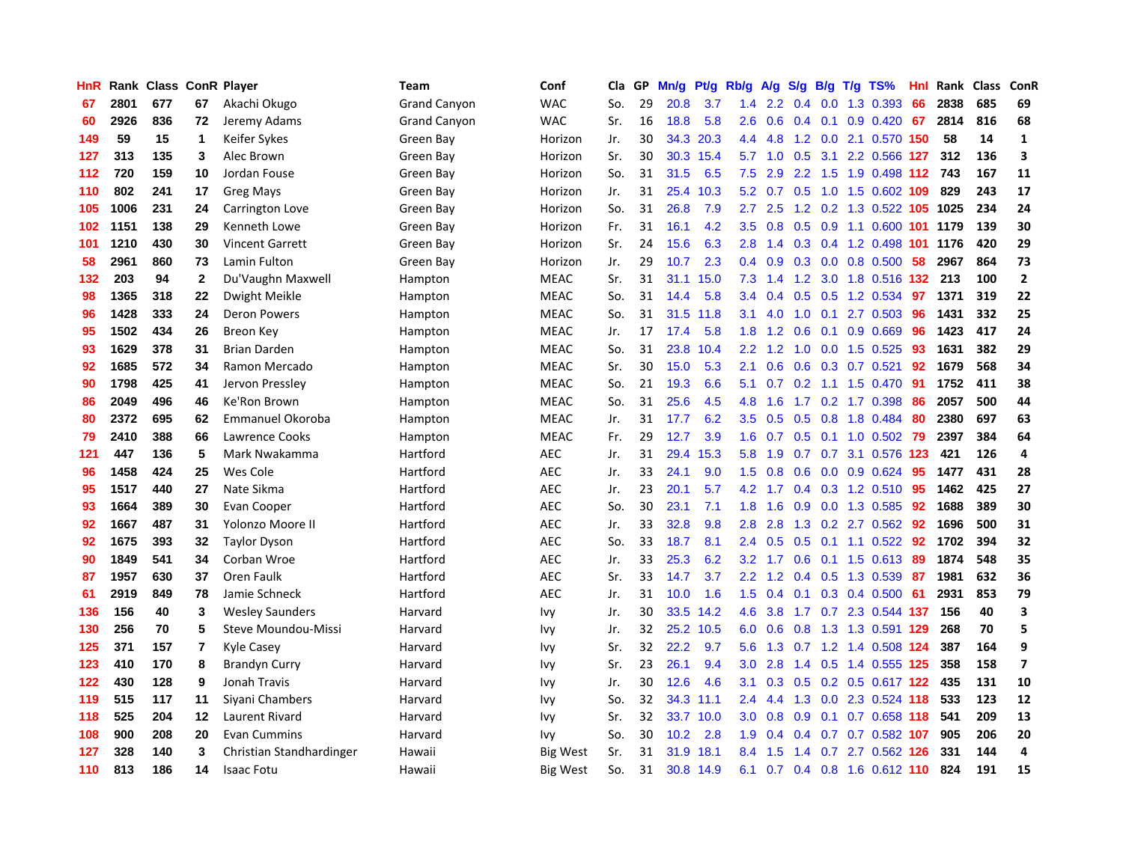| HnR |      | Rank Class ConR Player |              |                          | <b>Team</b>         | Conf            | Cla | GP | Mn/g | Pt/g | Rb/g             | A/g | S/g           | B/g | $T/g$ TS%                 | Hnl | Rank | <b>Class</b> | ConR                    |
|-----|------|------------------------|--------------|--------------------------|---------------------|-----------------|-----|----|------|------|------------------|-----|---------------|-----|---------------------------|-----|------|--------------|-------------------------|
| 67  | 2801 | 677                    | 67           | Akachi Okugo             | <b>Grand Canyon</b> | <b>WAC</b>      | So. | 29 | 20.8 | 3.7  | 1.4              | 2.2 | 0.4           | 0.0 | 1.3 0.393                 | 66  | 2838 | 685          | 69                      |
| 60  | 2926 | 836                    | 72           | Jeremy Adams             | <b>Grand Canyon</b> | <b>WAC</b>      | Sr. | 16 | 18.8 | 5.8  | 2.6              | 0.6 |               |     | $0.4$ 0.1 0.9 0.420       | 67  | 2814 | 816          | 68                      |
| 149 | 59   | 15                     | 1            | Keifer Sykes             | Green Bay           | Horizon         | Jr. | 30 | 34.3 | 20.3 | 4.4              | 4.8 |               |     | 1.2 0.0 2.1 0.570 150     |     | 58   | 14           | $\mathbf{1}$            |
| 127 | 313  | 135                    | 3            | Alec Brown               | Green Bay           | Horizon         | Sr. | 30 | 30.3 | 15.4 | 5.7              | 1.0 | 0.5           |     | 3.1 2.2 0.566 127         |     | 312  | 136          | 3                       |
| 112 | 720  | 159                    | 10           | Jordan Fouse             | Green Bay           | Horizon         | So. | 31 | 31.5 | 6.5  | 7.5              | 2.9 | 2.2           |     | 1.5 1.9 0.498 112         |     | 743  | 167          | 11                      |
| 110 | 802  | 241                    | 17           | <b>Greg Mays</b>         | Green Bay           | Horizon         | Jr. | 31 | 25.4 | 10.3 | 5.2              | 0.7 | 0.5           |     | 1.0 1.5 0.602 109         |     | 829  | 243          | 17                      |
| 105 | 1006 | 231                    | 24           | Carrington Love          | Green Bay           | Horizon         | So. | 31 | 26.8 | 7.9  | 2.7              | 2.5 | 1.2           |     | 0.2 1.3 0.522 105 1025    |     |      | 234          | 24                      |
| 102 | 1151 | 138                    | 29           | Kenneth Lowe             | Green Bay           | Horizon         | Fr. | 31 | 16.1 | 4.2  | 3.5              | 0.8 | 0.5           |     | 0.9 1.1 0.600             | 101 | 1179 | 139          | 30                      |
| 101 | 1210 | 430                    | 30           | <b>Vincent Garrett</b>   | Green Bay           | Horizon         | Sr. | 24 | 15.6 | 6.3  | 2.8              | 1.4 | 0.3           |     | 0.4 1.2 0.498 101 1176    |     |      | 420          | 29                      |
| 58  | 2961 | 860                    | 73           | Lamin Fulton             | Green Bay           | Horizon         | Jr. | 29 | 10.7 | 2.3  | 0.4              | 0.9 | 0.3           |     | $0.0$ 0.8 0.500           | 58  | 2967 | 864          | 73                      |
| 132 | 203  | 94                     | $\mathbf{2}$ | Du'Vaughn Maxwell        | Hampton             | <b>MEAC</b>     | Sr. | 31 | 31.1 | 15.0 | 7.3              | 1.4 |               |     | 1.2 3.0 1.8 0.516 132 213 |     |      | 100          | $\mathbf{2}$            |
| 98  | 1365 | 318                    | 22           | Dwight Meikle            | Hampton             | <b>MEAC</b>     | So. | 31 | 14.4 | 5.8  | $3.4^{\circ}$    | 0.4 | 0.5           |     | $0.5$ 1.2 0.534           | 97  | 1371 | 319          | 22                      |
| 96  | 1428 | 333                    | 24           | <b>Deron Powers</b>      | Hampton             | <b>MEAC</b>     | So. | 31 | 31.5 | 11.8 | 3.1              | 4.0 | 1.0           | 0.1 | 2.7 0.503                 | -96 | 1431 | 332          | 25                      |
| 95  | 1502 | 434                    | 26           | <b>Breon Key</b>         | Hampton             | <b>MEAC</b>     | Jr. | 17 | 17.4 | 5.8  | 1.8              | 1.2 | 0.6           | 0.1 | $0.9$ 0.669               | 96  | 1423 | 417          | 24                      |
| 93  | 1629 | 378                    | 31           | <b>Brian Darden</b>      | Hampton             | <b>MEAC</b>     | So. | 31 | 23.8 | 10.4 | $2.2^{\circ}$    | 1.2 | 1.0           |     | $0.0$ 1.5 $0.525$         | 93  | 1631 | 382          | 29                      |
| 92  | 1685 | 572                    | 34           | Ramon Mercado            | Hampton             | <b>MEAC</b>     | Sr. | 30 | 15.0 | 5.3  | 2.1              | 0.6 | 0.6           |     | $0.3$ 0.7 0.521           | 92  | 1679 | 568          | 34                      |
| 90  | 1798 | 425                    | 41           | Jervon Pressley          | Hampton             | <b>MEAC</b>     | So. | 21 | 19.3 | 6.6  | 5.1              | 0.7 | 0.2           |     | 1.1 1.5 0.470             | -91 | 1752 | 411          | 38                      |
| 86  | 2049 | 496                    | 46           | Ke'Ron Brown             | Hampton             | <b>MEAC</b>     | So. | 31 | 25.6 | 4.5  | 4.8              | 1.6 | 1.7           |     | $0.2$ 1.7 0.398           | 86  | 2057 | 500          | 44                      |
| 80  | 2372 | 695                    | 62           | <b>Emmanuel Okoroba</b>  | Hampton             | <b>MEAC</b>     | Jr. | 31 | 17.7 | 6.2  | 3.5              | 0.5 | 0.5           |     | 0.8 1.8 0.484             | -80 | 2380 | 697          | 63                      |
| 79  | 2410 | 388                    | 66           | Lawrence Cooks           | Hampton             | <b>MEAC</b>     | Fr. | 29 | 12.7 | 3.9  | 1.6              | 0.7 |               |     | 0.5 0.1 1.0 0.502 79      |     | 2397 | 384          | 64                      |
| 121 | 447  | 136                    | 5            | Mark Nwakamma            | Hartford            | <b>AEC</b>      | Jr. | 31 | 29.4 | 15.3 | 5.8              | 1.9 |               |     | 0.7 0.7 3.1 0.576 123     |     | 421  | 126          | 4                       |
| 96  | 1458 | 424                    | 25           | Wes Cole                 | Hartford            | <b>AEC</b>      | Jr. | 33 | 24.1 | 9.0  | 1.5              | 0.8 | 0.6           |     | $0.0$ $0.9$ $0.624$       | 95  | 1477 | 431          | 28                      |
| 95  | 1517 | 440                    | 27           | Nate Sikma               | Hartford            | <b>AEC</b>      | Jr. | 23 | 20.1 | 5.7  | 4.2              | 1.7 | 0.4           |     | $0.3$ 1.2 0.510           | 95  | 1462 | 425          | 27                      |
| 93  | 1664 | 389                    | 30           | Evan Cooper              | Hartford            | <b>AEC</b>      | So. | 30 | 23.1 | 7.1  | 1.8              | 1.6 | 0.9           |     | 0.0 1.3 0.585             | 92  | 1688 | 389          | 30                      |
| 92  | 1667 | 487                    | 31           | Yolonzo Moore II         | Hartford            | <b>AEC</b>      | Jr. | 33 | 32.8 | 9.8  | 2.8              | 2.8 | 1.3           |     | $0.2$ 2.7 $0.562$         | -92 | 1696 | 500          | 31                      |
| 92  | 1675 | 393                    | 32           | <b>Taylor Dyson</b>      | Hartford            | <b>AEC</b>      | So. | 33 | 18.7 | 8.1  | 2.4              | 0.5 | 0.5           |     | $0.1$ 1.1 $0.522$         | -92 | 1702 | 394          | 32                      |
| 90  | 1849 | 541                    | 34           | Corban Wroe              | Hartford            | <b>AEC</b>      | Jr. | 33 | 25.3 | 6.2  | 3.2 <sub>2</sub> | 1.7 |               |     | $0.6$ 0.1 1.5 0.613       | -89 | 1874 | 548          | 35                      |
| 87  | 1957 | 630                    | 37           | Oren Faulk               | Hartford            | <b>AEC</b>      | Sr. | 33 | 14.7 | 3.7  | $2.2\phantom{0}$ | 1.2 |               |     | 0.4 0.5 1.3 0.539 87      |     | 1981 | 632          | 36                      |
| 61  | 2919 | 849                    | 78           | Jamie Schneck            | Hartford            | <b>AEC</b>      | Jr. | 31 | 10.0 | 1.6  | 1.5              | 0.4 |               |     | $0.1$ $0.3$ $0.4$ $0.500$ | -61 | 2931 | 853          | 79                      |
| 136 | 156  | 40                     | 3            | <b>Wesley Saunders</b>   | Harvard             | Ivy             | Jr. | 30 | 33.5 | 14.2 | 4.6              | 3.8 |               |     | 1.7 0.7 2.3 0.544 137     |     | 156  | 40           | 3                       |
| 130 | 256  | 70                     | 5            | Steve Moundou-Missi      | Harvard             | Ivy             | Jr. | 32 | 25.2 | 10.5 | 6.0              | 0.6 | 0.8           |     | 1.3 1.3 0.591 129         |     | 268  | 70           | 5                       |
| 125 | 371  | 157                    | 7            | Kyle Casey               | Harvard             | Ivy             | Sr. | 32 | 22.2 | 9.7  | 5.6              | 1.3 | 0.7           |     | 1.2 1.4 0.508 124         |     | 387  | 164          | 9                       |
| 123 | 410  | 170                    | 8            | <b>Brandyn Curry</b>     | Harvard             | Ivy             | Sr. | 23 | 26.1 | 9.4  | 3.0 <sub>2</sub> | 2.8 | $1.4^{\circ}$ |     | 0.5 1.4 0.555 125         |     | 358  | 158          | $\overline{\mathbf{z}}$ |
| 122 | 430  | 128                    | 9            | Jonah Travis             | Harvard             | <b>Ivy</b>      | Jr. | 30 | 12.6 | 4.6  | 3.1              | 0.3 | 0.5           |     | 0.2 0.5 0.617 122         |     | 435  | 131          | 10                      |
| 119 | 515  | 117                    | 11           | Sivani Chambers          | Harvard             | Ivy             | So. | 32 | 34.3 | 11.1 | $2.4^{\circ}$    | 4.4 | 1.3           |     | $0.0$ 2.3 0.524 118       |     | 533  | 123          | 12                      |
| 118 | 525  | 204                    | 12           | Laurent Rivard           | Harvard             | Ivy             | Sr. | 32 | 33.7 | 10.0 | 3.0 <sub>1</sub> | 0.8 | 0.9           |     | $0.1$ 0.7 0.658 118       |     | 541  | 209          | 13                      |
| 108 | 900  | 208                    | 20           | <b>Evan Cummins</b>      | Harvard             | Ivy             | So. | 30 | 10.2 | 2.8  | 1.9              | 0.4 | $0.4^{\circ}$ |     | $0.7$ 0.7 0.582 107       |     | 905  | 206          | 20                      |
| 127 | 328  | 140                    | 3            | Christian Standhardinger | Hawaii              | <b>Big West</b> | Sr. | 31 | 31.9 | 18.1 | 8.4              | 1.5 | 1.4           | 0.7 | 2.7 0.562 126             |     | 331  | 144          | 4                       |
| 110 | 813  | 186                    | 14           | <b>Isaac Fotu</b>        | Hawaii              | <b>Big West</b> | So. | 31 | 30.8 | 14.9 | 6.1              | 0.7 |               |     | 0.4 0.8 1.6 0.612 110     |     | 824  | 191          | 15                      |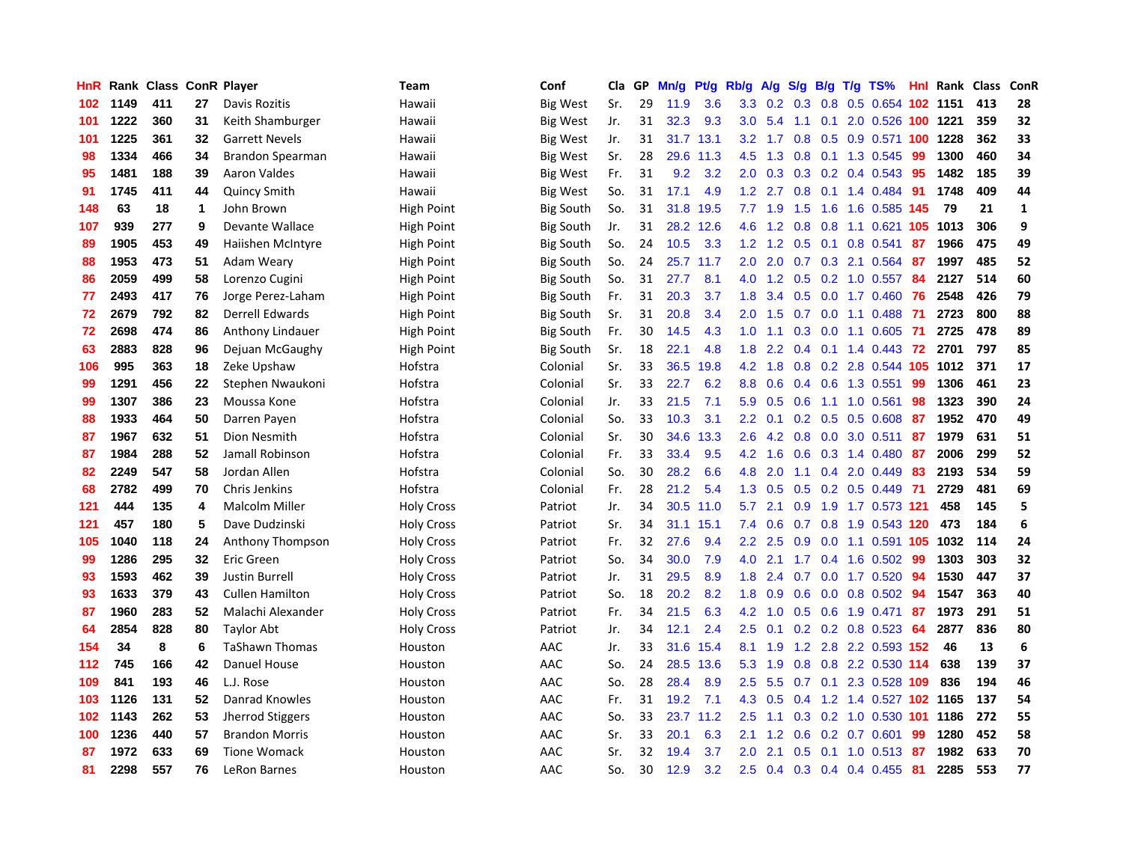| HnR |      | Rank Class ConR Player |    |                        | <b>Team</b>       | Conf             | Cla | GP | Mn/g | Pt/g | Rb/g             | A/g | S/g              | B/g | $T/g$ TS%                   | <b>Hnl</b> | Rank | <b>Class</b> | ConR         |
|-----|------|------------------------|----|------------------------|-------------------|------------------|-----|----|------|------|------------------|-----|------------------|-----|-----------------------------|------------|------|--------------|--------------|
| 102 | 1149 | 411                    | 27 | Davis Rozitis          | Hawaii            | <b>Big West</b>  | Sr. | 29 | 11.9 | 3.6  | 3.3 <sub>2</sub> | 0.2 | 0.3              | 0.8 | 0.5 0.654 102 1151          |            |      | 413          | 28           |
| 101 | 1222 | 360                    | 31 | Keith Shamburger       | Hawaii            | <b>Big West</b>  | Jr. | 31 | 32.3 | 9.3  | 3.0 <sub>2</sub> | 5.4 | $-1.1$           |     | 0.1 2.0 0.526 100 1221      |            |      | 359          | 32           |
| 101 | 1225 | 361                    | 32 | <b>Garrett Nevels</b>  | Hawaii            | <b>Big West</b>  | Jr. | 31 | 31.7 | 13.1 | 3.2              | 1.7 | 0.8              |     | 0.5 0.9 0.571 100 1228      |            |      | 362          | 33           |
| 98  | 1334 | 466                    | 34 | Brandon Spearman       | Hawaii            | Big West         | Sr. | 28 | 29.6 | 11.3 | 4.5              | 1.3 | 0.8              |     | 0.1 1.3 0.545               | -99        | 1300 | 460          | 34           |
| 95  | 1481 | 188                    | 39 | Aaron Valdes           | Hawaii            | Big West         | Fr. | 31 | 9.2  | 3.2  | 2.0              | 0.3 | 0.3              |     | $0.2$ 0.4 0.543             | 95         | 1482 | 185          | 39           |
| 91  | 1745 | 411                    | 44 | Quincy Smith           | Hawaii            | Big West         | So. | 31 | 17.1 | 4.9  | 1.2 <sub>2</sub> | 2.7 | 0.8              |     | $0.1$ 1.4 0.484             | 91         | 1748 | 409          | 44           |
| 148 | 63   | 18                     | 1  | John Brown             | High Point        | <b>Big South</b> | So. | 31 | 31.8 | 19.5 | 7.7              | 1.9 | 1.5              |     | 1.6 1.6 0.585               | 145        | 79   | 21           | $\mathbf{1}$ |
| 107 | 939  | 277                    | 9  | Devante Wallace        | <b>High Point</b> | <b>Big South</b> | Jr. | 31 | 28.2 | 12.6 | 4.6              | 1.2 | 0.8              |     | $0.8$ 1.1 0.621             | -105       | 1013 | 306          | 9            |
| 89  | 1905 | 453                    | 49 | Haiishen McIntyre      | <b>High Point</b> | <b>Big South</b> | So. | 24 | 10.5 | 3.3  | 1.2              | 1.2 | 0.5              | 0.1 | 0.8 0.541                   | 87         | 1966 | 475          | 49           |
| 88  | 1953 | 473                    | 51 | Adam Weary             | <b>High Point</b> | <b>Big South</b> | So. | 24 | 25.7 | 11.7 | 2.0 <sub>2</sub> | 2.0 |                  |     | 0.7 0.3 2.1 0.564           | -87        | 1997 | 485          | 52           |
| 86  | 2059 | 499                    | 58 | Lorenzo Cugini         | High Point        | <b>Big South</b> | So. | 31 | 27.7 | 8.1  | 4.0              | 1.2 |                  |     | 0.5 0.2 1.0 0.557 84        |            | 2127 | 514          | 60           |
| 77  | 2493 | 417                    | 76 | Jorge Perez-Laham      | High Point        | <b>Big South</b> | Fr. | 31 | 20.3 | 3.7  | 1.8              | 3.4 | 0.5              |     | 0.0 1.7 0.460               | -76        | 2548 | 426          | 79           |
| 72  | 2679 | 792                    | 82 | Derrell Edwards        | High Point        | <b>Big South</b> | Sr. | 31 | 20.8 | 3.4  | 2.0              | 1.5 | 0.7              |     | $0.0$ 1.1 0.488             | -71        | 2723 | 800          | 88           |
| 72  | 2698 | 474                    | 86 | Anthony Lindauer       | High Point        | <b>Big South</b> | Fr. | 30 | 14.5 | 4.3  | 1.0              | 1.1 | 0.3              |     | $0.0$ 1.1 $0.605$           | -71        | 2725 | 478          | 89           |
| 63  | 2883 | 828                    | 96 | Dejuan McGaughy        | High Point        | <b>Big South</b> | Sr. | 18 | 22.1 | 4.8  | 1.8              | 2.2 | 0.4              |     | $0.1$ 1.4 0.443             | 72         | 2701 | 797          | 85           |
| 106 | 995  | 363                    | 18 | Zeke Upshaw            | Hofstra           | Colonial         | Sr. | 33 | 36.5 | 19.8 | 4.2              | 1.8 | 0.8 <sub>0</sub> |     | 0.2 2.8 0.544 105           |            | 1012 | 371          | 17           |
| 99  | 1291 | 456                    | 22 | Stephen Nwaukoni       | Hofstra           | Colonial         | Sr. | 33 | 22.7 | 6.2  | 8.8              | 0.6 | 0.4              |     | 0.6 1.3 0.551               | 99         | 1306 | 461          | 23           |
| 99  | 1307 | 386                    | 23 | Moussa Kone            | Hofstra           | Colonial         | Jr. | 33 | 21.5 | 7.1  | 5.9              | 0.5 | 0.6              |     | 1.1 1.0 0.561               | 98         | 1323 | 390          | 24           |
| 88  | 1933 | 464                    | 50 | Darren Payen           | Hofstra           | Colonial         | So. | 33 | 10.3 | 3.1  | $2.2^{\circ}$    | 0.1 |                  |     | $0.2$ $0.5$ $0.5$ $0.608$   | -87        | 1952 | 470          | 49           |
| 87  | 1967 | 632                    | 51 | Dion Nesmith           | Hofstra           | Colonial         | Sr. | 30 | 34.6 | 13.3 | 2.6              | 4.2 | 0.8              |     | $0.0$ 3.0 $0.511$           | 87         | 1979 | 631          | 51           |
| 87  | 1984 | 288                    | 52 | Jamall Robinson        | Hofstra           | Colonial         | Fr. | 33 | 33.4 | 9.5  | 4.2              | 1.6 | 0.6              |     | 0.3 1.4 0.480               | -87        | 2006 | 299          | 52           |
| 82  | 2249 | 547                    | 58 | Jordan Allen           | Hofstra           | Colonial         | So. | 30 | 28.2 | 6.6  | 4.8              | 2.0 | 1.1              |     | 0.4 2.0 0.449               | 83         | 2193 | 534          | 59           |
| 68  | 2782 | 499                    | 70 | Chris Jenkins          | Hofstra           | Colonial         | Fr. | 28 | 21.2 | 5.4  | 1.3              | 0.5 | 0.5              |     | 0.2 0.5 0.449               | 71         | 2729 | 481          | 69           |
| 121 | 444  | 135                    | 4  | <b>Malcolm Miller</b>  | <b>Holy Cross</b> | Patriot          | Jr. | 34 | 30.5 | 11.0 | 5.7              | 2.1 | 0.9 <sub>0</sub> |     | 1.9 1.7 0.573 121           |            | 458  | 145          | 5            |
| 121 | 457  | 180                    | 5  | Dave Dudzinski         | <b>Holy Cross</b> | Patriot          | Sr. | 34 | 31.1 | 15.1 | 7.4              | 0.6 | 0.7              |     | 0.8 1.9 0.543 120           |            | 473  | 184          | 6            |
| 105 | 1040 | 118                    | 24 | Anthony Thompson       | <b>Holy Cross</b> | Patriot          | Fr. | 32 | 27.6 | 9.4  | $2.2\phantom{0}$ | 2.5 | 0.9 <sup>°</sup> |     | 0.0 1.1 0.591 105 1032      |            |      | 114          | 24           |
| 99  | 1286 | 295                    | 32 | Eric Green             | <b>Holy Cross</b> | Patriot          | So. | 34 | 30.0 | 7.9  | 4.0              | 2.1 |                  |     | 1.7 0.4 1.6 0.502 99        |            | 1303 | 303          | 32           |
| 93  | 1593 | 462                    | 39 | Justin Burrell         | <b>Holy Cross</b> | Patriot          | Jr. | 31 | 29.5 | 8.9  | 1.8              | 2.4 |                  |     | $0.7$ 0.0 1.7 0.520         | -94        | 1530 | 447          | 37           |
| 93  | 1633 | 379                    | 43 | <b>Cullen Hamilton</b> | <b>Holy Cross</b> | Patriot          | So. | 18 | 20.2 | 8.2  | 1.8              | 0.9 | 0.6              |     | $0.0$ 0.8 0.502             | 94         | 1547 | 363          | 40           |
| 87  | 1960 | 283                    | 52 | Malachi Alexander      | <b>Holy Cross</b> | Patriot          | Fr. | 34 | 21.5 | 6.3  | 4.2              | 1.0 | 0.5              |     | $0.6$ 1.9 0.471             | 87         | 1973 | 291          | 51           |
| 64  | 2854 | 828                    | 80 | Taylor Abt             | <b>Holy Cross</b> | Patriot          | Jr. | 34 | 12.1 | 2.4  | 2.5              | 0.1 | 0.2              |     | 0.2 0.8 0.523               | -64        | 2877 | 836          | 80           |
| 154 | 34   | 8                      | 6  | <b>TaShawn Thomas</b>  | Houston           | AAC              | Jr. | 33 | 31.6 | 15.4 | 8.1              | 1.9 | 1.2              |     | 2.8 2.2 0.593 152           |            | 46   | 13           | 6            |
| 112 | 745  | 166                    | 42 | Danuel House           | Houston           | AAC              | So. | 24 | 28.5 | 13.6 | 5.3              | 1.9 | 0.8              |     | 0.8 2.2 0.530 114           |            | 638  | 139          | 37           |
| 109 | 841  | 193                    | 46 | L.J. Rose              | Houston           | AAC              | So. | 28 | 28.4 | 8.9  | 2.5              | 5.5 | 0.7              |     | 0.1 2.3 0.528 109           |            | 836  | 194          | 46           |
| 103 | 1126 | 131                    | 52 | Danrad Knowles         | Houston           | AAC              | Fr. | 31 | 19.2 | 7.1  | 4.3              | 0.5 |                  |     | 0.4 1.2 1.4 0.527 102 1165  |            |      | 137          | 54           |
| 102 | 1143 | 262                    | 53 | Jherrod Stiggers       | Houston           | AAC              | So. | 33 | 23.7 | 11.2 | 2.5              | 1.1 |                  |     | $0.3$ $0.2$ 1.0 $0.530$ 101 |            | 1186 | 272          | 55           |
| 100 | 1236 | 440                    | 57 | <b>Brandon Morris</b>  | Houston           | AAC              | Sr. | 33 | 20.1 | 6.3  | 2.1              | 1.2 | 0.6              |     | $0.2$ 0.7 0.601             | 99         | 1280 | 452          | 58           |
| 87  | 1972 | 633                    | 69 | <b>Tione Womack</b>    | Houston           | AAC              | Sr. | 32 | 19.4 | 3.7  | 2.0              | 2.1 | 0.5              | 0.1 | $1.0$ $0.513$               | -87        | 1982 | 633          | 70           |
| 81  | 2298 | 557                    | 76 | LeRon Barnes           | Houston           | AAC              | So. | 30 | 12.9 | 3.2  | 2.5              |     |                  |     | $0.4$ 0.3 0.4 0.4 0.455     | -81        | 2285 | 553          | 77           |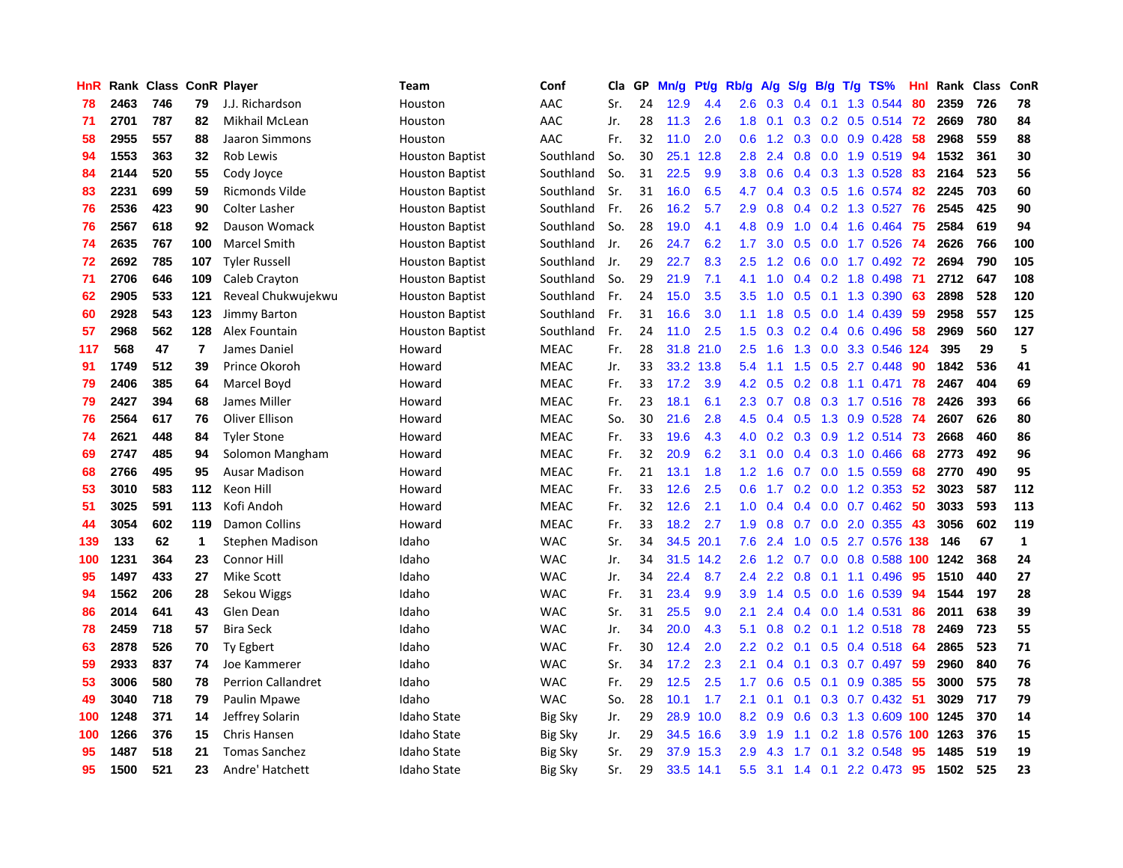| <b>HnR</b> |      | Rank Class |     | <b>ConR Player</b>        | <b>Team</b>            | Conf           | Cla | GP | Mn/g | Pt/g | Rb/g             | A/g | S/g           | B/g | $T/g$ TS%                  | Hnl | Rank | <b>Class</b> | ConR         |
|------------|------|------------|-----|---------------------------|------------------------|----------------|-----|----|------|------|------------------|-----|---------------|-----|----------------------------|-----|------|--------------|--------------|
| 78         | 2463 | 746        | 79  | J.J. Richardson           | Houston                | AAC            | Sr. | 24 | 12.9 | 4.4  | 2.6              | 0.3 | 0.4           | 0.1 | 1.3 0.544                  | 80  | 2359 | 726          | 78           |
| 71         | 2701 | 787        | 82  | Mikhail McLean            | Houston                | AAC            | Jr. | 28 | 11.3 | 2.6  | 1.8              | 0.1 |               |     | 0.3 0.2 0.5 0.514 72       |     | 2669 | 780          | 84           |
| 58         | 2955 | 557        | 88  | Jaaron Simmons            | Houston                | AAC            | Fr. | 32 | 11.0 | 2.0  | 0.6              | 1.2 |               |     | $0.3$ 0.0 0.9 0.428        | -58 | 2968 | 559          | 88           |
| 94         | 1553 | 363        | 32  | Rob Lewis                 | <b>Houston Baptist</b> | Southland      | So. | 30 | 25.1 | 12.8 | 2.8              | 2.4 | 0.8           |     | $0.0$ 1.9 $0.519$          | -94 | 1532 | 361          | 30           |
| 84         | 2144 | 520        | 55  | Cody Joyce                | <b>Houston Baptist</b> | Southland      | So. | 31 | 22.5 | 9.9  | 3.8 <sub>2</sub> | 0.6 | 0.4           |     | 0.3 1.3 0.528              | 83  | 2164 | 523          | 56           |
| 83         | 2231 | 699        | 59  | Ricmonds Vilde            | <b>Houston Baptist</b> | Southland      | Sr. | 31 | 16.0 | 6.5  | 4.7              | 0.4 |               |     | $0.3$ $0.5$ 1.6 $0.574$    | 82  | 2245 | 703          | 60           |
| 76         | 2536 | 423        | 90  | <b>Colter Lasher</b>      | <b>Houston Baptist</b> | Southland      | Fr. | 26 | 16.2 | 5.7  | 2.9              | 0.8 | 0.4           |     | 0.2 1.3 0.527              | 76  | 2545 | 425          | 90           |
| 76         | 2567 | 618        | 92  | Dauson Womack             | <b>Houston Baptist</b> | Southland      | So. | 28 | 19.0 | 4.1  | 4.8              | 0.9 | 1.0           |     | 0.4 1.6 0.464              | 75  | 2584 | 619          | 94           |
| 74         | 2635 | 767        | 100 | <b>Marcel Smith</b>       | <b>Houston Baptist</b> | Southland      | Jr. | 26 | 24.7 | 6.2  | 1.7              | 3.0 | 0.5           |     | $0.0$ 1.7 $0.526$          | -74 | 2626 | 766          | 100          |
| 72         | 2692 | 785        | 107 | <b>Tyler Russell</b>      | <b>Houston Baptist</b> | Southland      | Jr. | 29 | 22.7 | 8.3  | 2.5              | 1.2 | 0.6           |     | 0.0 1.7 0.492 72           |     | 2694 | 790          | 105          |
| 71         | 2706 | 646        | 109 | Caleb Crayton             | <b>Houston Baptist</b> | Southland      | So. | 29 | 21.9 | 7.1  | 4.1              | 1.0 |               |     | 0.4 0.2 1.8 0.498 71       |     | 2712 | 647          | 108          |
| 62         | 2905 | 533        | 121 | Reveal Chukwujekwu        | <b>Houston Baptist</b> | Southland      | Fr. | 24 | 15.0 | 3.5  | 3.5              | 1.0 | 0.5           |     | $0.1$ 1.3 0.390            | -63 | 2898 | 528          | 120          |
| 60         | 2928 | 543        | 123 | Jimmy Barton              | <b>Houston Baptist</b> | Southland      | Fr. | 31 | 16.6 | 3.0  | 1.1              | 1.8 | 0.5           |     | $0.0$ 1.4 $0.439$          | 59  | 2958 | 557          | 125          |
| 57         | 2968 | 562        | 128 | Alex Fountain             | <b>Houston Baptist</b> | Southland      | Fr. | 24 | 11.0 | 2.5  | 1.5              | 0.3 |               |     | $0.2$ 0.4 0.6 0.496        | -58 | 2969 | 560          | 127          |
| 117        | 568  | 47         | 7   | James Daniel              | Howard                 | <b>MEAC</b>    | Fr. | 28 | 31.8 | 21.0 | 2.5              | 1.6 | 1.3           |     | 0.0 3.3 0.546              | 124 | 395  | 29           | 5            |
| 91         | 1749 | 512        | 39  | Prince Okoroh             | Howard                 | <b>MEAC</b>    | Jr. | 33 | 33.2 | 13.8 | 5.4              | 1.1 | 1.5           | 0.5 | 2.7 0.448                  | 90  | 1842 | 536          | 41           |
| 79         | 2406 | 385        | 64  | Marcel Boyd               | Howard                 | <b>MEAC</b>    | Fr. | 33 | 17.2 | 3.9  | 4.2              | 0.5 | 0.2           |     | $0.8$ 1.1 0.471            | 78  | 2467 | 404          | 69           |
| 79         | 2427 | 394        | 68  | James Miller              | Howard                 | <b>MEAC</b>    | Fr. | 23 | 18.1 | 6.1  | $2.3^{\circ}$    | 0.7 |               |     | 0.8 0.3 1.7 0.516 78       |     | 2426 | 393          | 66           |
| 76         | 2564 | 617        | 76  | Oliver Ellison            | Howard                 | <b>MEAC</b>    | So. | 30 | 21.6 | 2.8  | 4.5              | 0.4 |               |     | 0.5 1.3 0.9 0.528 74       |     | 2607 | 626          | 80           |
| 74         | 2621 | 448        | 84  | <b>Tyler Stone</b>        | Howard                 | <b>MEAC</b>    | Fr. | 33 | 19.6 | 4.3  | 4.0              | 0.2 |               |     | 0.3 0.9 1.2 0.514 73       |     | 2668 | 460          | 86           |
| 69         | 2747 | 485        | 94  | Solomon Mangham           | Howard                 | <b>MEAC</b>    | Fr. | 32 | 20.9 | 6.2  | 3.1              | 0.0 | 0.4           |     | 0.3 1.0 0.466              | 68  | 2773 | 492          | 96           |
| 68         | 2766 | 495        | 95  | <b>Ausar Madison</b>      | Howard                 | <b>MEAC</b>    | Fr. | 21 | 13.1 | 1.8  | $1.2^{\circ}$    | 1.6 | 0.7           |     | $0.0$ 1.5 $0.559$          | 68  | 2770 | 490          | 95           |
| 53         | 3010 | 583        | 112 | Keon Hill                 | Howard                 | <b>MEAC</b>    | Fr. | 33 | 12.6 | 2.5  | 0.6              | 1.7 | 0.2           |     | 0.0 1.2 0.353              | 52  | 3023 | 587          | 112          |
| 51         | 3025 | 591        | 113 | Kofi Andoh                | Howard                 | <b>MEAC</b>    | Fr. | 32 | 12.6 | 2.1  | 1.0              | 0.4 | 0.4           |     | $0.0$ 0.7 0.462            | -50 | 3033 | 593          | 113          |
| 44         | 3054 | 602        | 119 | <b>Damon Collins</b>      | Howard                 | <b>MEAC</b>    | Fr. | 33 | 18.2 | 2.7  | 1.9              | 0.8 | 0.7           |     | $0.0$ 2.0 $0.355$          | 43  | 3056 | 602          | 119          |
| 139        | 133  | 62         | 1   | <b>Stephen Madison</b>    | Idaho                  | <b>WAC</b>     | Sr. | 34 | 34.5 | 20.1 | 7.6              | 2.4 | 1.0           |     | 0.5 2.7 0.576 138          |     | 146  | 67           | $\mathbf{1}$ |
| 100        | 1231 | 364        | 23  | Connor Hill               | Idaho                  | <b>WAC</b>     | Jr. | 34 | 31.5 | 14.2 | 2.6              | 1.2 |               |     | 0.7 0.0 0.8 0.588 100 1242 |     |      | 368          | 24           |
| 95         | 1497 | 433        | 27  | Mike Scott                | Idaho                  | <b>WAC</b>     | Jr. | 34 | 22.4 | 8.7  | $2.4^{\circ}$    | 2.2 | 0.8           |     | $0.1$ 1.1 0.496            | 95  | 1510 | 440          | 27           |
| 94         | 1562 | 206        | 28  | Sekou Wiggs               | Idaho                  | <b>WAC</b>     | Fr. | 31 | 23.4 | 9.9  | 3.9              | 1.4 | 0.5           |     | $0.0$ 1.6 $0.539$          | 94  | 1544 | 197          | 28           |
| 86         | 2014 | 641        | 43  | Glen Dean                 | Idaho                  | <b>WAC</b>     | Sr. | 31 | 25.5 | 9.0  | 2.1              | 2.4 | $0.4^{\circ}$ |     | $0.0$ 1.4 $0.531$          | 86  | 2011 | 638          | 39           |
| 78         | 2459 | 718        | 57  | <b>Bira Seck</b>          | Idaho                  | <b>WAC</b>     | Jr. | 34 | 20.0 | 4.3  | 5.1              | 0.8 | 0.2           |     | 0.1 1.2 0.518              | 78  | 2469 | 723          | 55           |
| 63         | 2878 | 526        | 70  | Ty Egbert                 | Idaho                  | <b>WAC</b>     | Fr. | 30 | 12.4 | 2.0  | $2.2^{\circ}$    | 0.2 | 0.1           |     | $0.5$ 0.4 0.518            | -64 | 2865 | 523          | 71           |
| 59         | 2933 | 837        | 74  | Joe Kammerer              | Idaho                  | <b>WAC</b>     | Sr. | 34 | 17.2 | 2.3  | 2.1              | 0.4 | 0.1           |     | 0.3 0.7 0.497              | -59 | 2960 | 840          | 76           |
| 53         | 3006 | 580        | 78  | <b>Perrion Callandret</b> | Idaho                  | <b>WAC</b>     | Fr. | 29 | 12.5 | 2.5  | 1.7              | 0.6 | 0.5           |     | $0.1$ 0.9 0.385            | -55 | 3000 | 575          | 78           |
| 49         | 3040 | 718        | 79  | Paulin Mpawe              | Idaho                  | <b>WAC</b>     | So. | 28 | 10.1 | 1.7  | 2.1              | 0.1 |               |     | 0.1 0.3 0.7 0.432 51       |     | 3029 | 717          | 79           |
| 100        | 1248 | 371        | 14  | Jeffrey Solarin           | <b>Idaho State</b>     | <b>Big Sky</b> | Jr. | 29 | 28.9 | 10.0 | 8.2              | 0.9 | 0.6           |     | 0.3 1.3 0.609 100 1245     |     |      | 370          | 14           |
| 100        | 1266 | 376        | 15  | Chris Hansen              | <b>Idaho State</b>     | <b>Big Sky</b> | Jr. | 29 | 34.5 | 16.6 | 3.9              | 1.9 | 1.1           |     | 0.2 1.8 0.576 100          |     | 1263 | 376          | 15           |
| 95         | 1487 | 518        | 21  | <b>Tomas Sanchez</b>      | <b>Idaho State</b>     | <b>Big Sky</b> | Sr. | 29 | 37.9 | 15.3 | 2.9              | 4.3 | 1.7           | 0.1 | 3.2 0.548                  | 95  | 1485 | 519          | 19           |
| 95         | 1500 | 521        | 23  | Andre' Hatchett           | Idaho State            | <b>Big Sky</b> | Sr. | 29 | 33.5 | 14.1 | 5.5              | 3.1 |               |     | 1.4 0.1 2.2 0.473          | 95  | 1502 | 525          | 23           |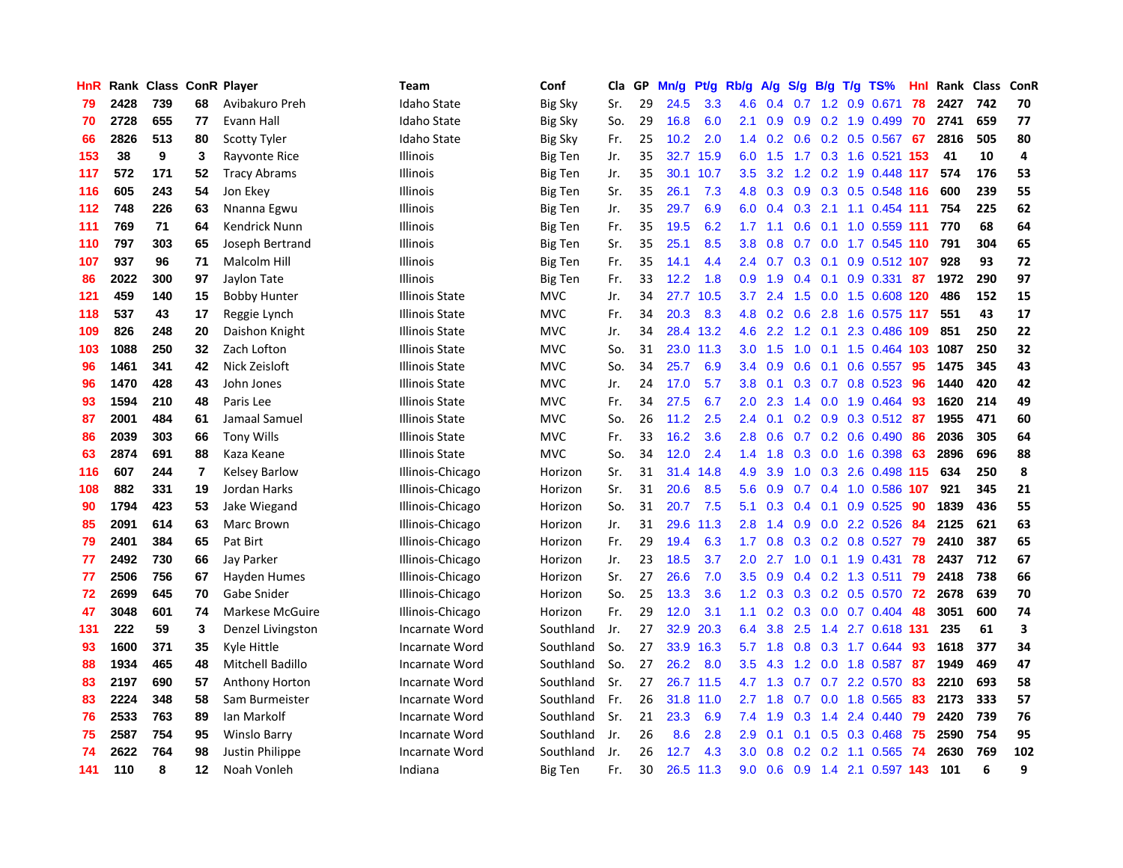| HnR |      | Rank Class ConR Player |    |                       | Team                  | Conf           | Cla | GP | Mn/g | <b>Pt/g</b> | Rb/g             | A/g | S/g              | B/g | $T/g$ TS%                    | Hnl | Rank | <b>Class</b> | ConR                    |
|-----|------|------------------------|----|-----------------------|-----------------------|----------------|-----|----|------|-------------|------------------|-----|------------------|-----|------------------------------|-----|------|--------------|-------------------------|
| 79  | 2428 | 739                    | 68 | Avibakuro Preh        | <b>Idaho State</b>    | <b>Big Sky</b> | Sr. | 29 | 24.5 | 3.3         | 4.6              | 0.4 | 0.7              |     | 1.2 0.9 0.671                | 78  | 2427 | 742          | 70                      |
| 70  | 2728 | 655                    | 77 | Evann Hall            | <b>Idaho State</b>    | <b>Big Sky</b> | So. | 29 | 16.8 | 6.0         | 2.1              | 0.9 |                  |     | $0.9$ 0.2 1.9 0.499          | -70 | 2741 | 659          | 77                      |
| 66  | 2826 | 513                    | 80 | <b>Scotty Tyler</b>   | Idaho State           | Big Sky        | Fr. | 25 | 10.2 | 2.0         | $1.4^{\circ}$    | 0.2 |                  |     | $0.6$ $0.2$ $0.5$ $0.567$ 67 |     | 2816 | 505          | 80                      |
| 153 | 38   | 9                      | 3  | Rayvonte Rice         | <b>Illinois</b>       | Big Ten        | Jr. | 35 | 32.7 | 15.9        | 6.0              | 1.5 |                  |     | 1.7 0.3 1.6 0.521 153        |     | 41   | 10           | 4                       |
| 117 | 572  | 171                    | 52 | <b>Tracy Abrams</b>   | <b>Illinois</b>       | Big Ten        | Jr. | 35 | 30.1 | 10.7        | 3.5              | 3.2 | 1.2              |     | 0.2 1.9 0.448 117            |     | 574  | 176          | 53                      |
| 116 | 605  | 243                    | 54 | Jon Ekey              | Illinois              | Big Ten        | Sr. | 35 | 26.1 | 7.3         | 4.8              | 0.3 | 0.9              |     | 0.3 0.5 0.548 116            |     | 600  | 239          | 55                      |
| 112 | 748  | 226                    | 63 | Nnanna Egwu           | Illinois              | <b>Big Ten</b> | Jr. | 35 | 29.7 | 6.9         | 6.0              | 0.4 | 0.3              |     | 2.1 1.1 0.454 111            |     | 754  | 225          | 62                      |
| 111 | 769  | 71                     | 64 | Kendrick Nunn         | Illinois              | Big Ten        | Fr. | 35 | 19.5 | 6.2         | 1.7              | 1.1 | 0.6              |     | $0.1$ 1.0 0.559 111          |     | 770  | 68           | 64                      |
| 110 | 797  | 303                    | 65 | Joseph Bertrand       | <b>Illinois</b>       | <b>Big Ten</b> | Sr. | 35 | 25.1 | 8.5         | 3.8              | 0.8 | 0.7              |     | 0.0 1.7 0.545 110            |     | 791  | 304          | 65                      |
| 107 | 937  | 96                     | 71 | Malcolm Hill          | <b>Illinois</b>       | <b>Big Ten</b> | Fr. | 35 | 14.1 | 4.4         | $2.4^{\circ}$    | 0.7 |                  |     | 0.3 0.1 0.9 0.512 107        |     | 928  | 93           | 72                      |
| 86  | 2022 | 300                    | 97 | Jaylon Tate           | <b>Illinois</b>       | Big Ten        | Fr. | 33 | 12.2 | 1.8         | 0.9 <sub>0</sub> | 1.9 |                  |     | 0.4 0.1 0.9 0.331 87         |     | 1972 | 290          | 97                      |
| 121 | 459  | 140                    | 15 | <b>Bobby Hunter</b>   | Illinois State        | <b>MVC</b>     | Jr. | 34 | 27.7 | 10.5        | 3.7 <sub>2</sub> | 2.4 | 1.5              |     | 0.0 1.5 0.608 120            |     | 486  | 152          | 15                      |
| 118 | 537  | 43                     | 17 | Reggie Lynch          | Illinois State        | <b>MVC</b>     | Fr. | 34 | 20.3 | 8.3         | 4.8              | 0.2 | 0.6              |     | 2.8 1.6 0.575 117            |     | 551  | 43           | 17                      |
| 109 | 826  | 248                    | 20 | Daishon Knight        | <b>Illinois State</b> | <b>MVC</b>     | Jr. | 34 | 28.4 | 13.2        | 4.6              | 2.2 | 1.2              |     | 0.1 2.3 0.486 109            |     | 851  | 250          | 22                      |
| 103 | 1088 | 250                    | 32 | Zach Lofton           | <b>Illinois State</b> | <b>MVC</b>     | So. | 31 |      | 23.0 11.3   | 3.0 <sub>2</sub> | 1.5 | 1.0              |     | 0.1 1.5 0.464 103 1087       |     |      | 250          | 32                      |
| 96  | 1461 | 341                    | 42 | Nick Zeisloft         | <b>Illinois State</b> | <b>MVC</b>     | So. | 34 | 25.7 | 6.9         | 3.4              | 0.9 | 0.6              |     | $0.1$ 0.6 0.557              | 95  | 1475 | 345          | 43                      |
| 96  | 1470 | 428                    | 43 | John Jones            | <b>Illinois State</b> | <b>MVC</b>     | Jr. | 24 | 17.0 | 5.7         | 3.8              | 0.1 | 0.3              |     | $0.7$ 0.8 0.523              | 96  | 1440 | 420          | 42                      |
| 93  | 1594 | 210                    | 48 | Paris Lee             | <b>Illinois State</b> | <b>MVC</b>     | Fr. | 34 | 27.5 | 6.7         | 2.0              | 2.3 | 1.4              |     | $0.0$ 1.9 $0.464$            | -93 | 1620 | 214          | 49                      |
| 87  | 2001 | 484                    | 61 | Jamaal Samuel         | <b>Illinois State</b> | <b>MVC</b>     | So. | 26 | 11.2 | 2.5         | $2.4^{\circ}$    | 0.1 |                  |     | $0.2$ 0.9 0.3 0.512 87       |     | 1955 | 471          | 60                      |
| 86  | 2039 | 303                    | 66 | <b>Tony Wills</b>     | <b>Illinois State</b> | <b>MVC</b>     | Fr. | 33 | 16.2 | 3.6         | 2.8              | 0.6 |                  |     | $0.7$ 0.2 0.6 0.490          | -86 | 2036 | 305          | 64                      |
| 63  | 2874 | 691                    | 88 | Kaza Keane            | Illinois State        | <b>MVC</b>     | So. | 34 | 12.0 | 2.4         | 1.4              | 1.8 | 0.3              |     | $0.0$ 1.6 $0.398$            | -63 | 2896 | 696          | 88                      |
| 116 | 607  | 244                    | 7  | <b>Kelsey Barlow</b>  | Illinois-Chicago      | Horizon        | Sr. | 31 | 31.4 | 14.8        | 4.9              | 3.9 | 1.0              |     | 0.3 2.6 0.498 115            |     | 634  | 250          | 8                       |
| 108 | 882  | 331                    | 19 | Jordan Harks          | Illinois-Chicago      | Horizon        | Sr. | 31 | 20.6 | 8.5         | 5.6              | 0.9 | 0.7              |     | 0.4 1.0 0.586 107            |     | 921  | 345          | 21                      |
| 90  | 1794 | 423                    | 53 | Jake Wiegand          | Illinois-Chicago      | Horizon        | So. | 31 | 20.7 | 7.5         | 5.1              | 0.3 | 0.4              |     | $0.1$ 0.9 0.525              | 90  | 1839 | 436          | 55                      |
| 85  | 2091 | 614                    | 63 | Marc Brown            | Illinois-Chicago      | Horizon        | Jr. | 31 | 29.6 | 11.3        | 2.8              | 1.4 | 0.9              |     | 0.0 2.2 0.526                | 84  | 2125 | 621          | 63                      |
| 79  | 2401 | 384                    | 65 | Pat Birt              | Illinois-Chicago      | Horizon        | Fr. | 29 | 19.4 | 6.3         | 1.7              | 0.8 | 0.3              |     | $0.2$ 0.8 0.527              | -79 | 2410 | 387          | 65                      |
| 77  | 2492 | 730                    | 66 | Jay Parker            | Illinois-Chicago      | Horizon        | Jr. | 23 | 18.5 | 3.7         | 2.0              | 2.7 |                  |     | 1.0 0.1 1.9 0.431            | 78  | 2437 | 712          | 67                      |
| 77  | 2506 | 756                    | 67 | Hayden Humes          | Illinois-Chicago      | Horizon        | Sr. | 27 | 26.6 | 7.0         | 3.5              | 0.9 |                  |     | $0.4$ $0.2$ 1.3 $0.511$      | -79 | 2418 | 738          | 66                      |
| 72  | 2699 | 645                    | 70 | Gabe Snider           | Illinois-Chicago      | Horizon        | So. | 25 | 13.3 | 3.6         | 1.2              | 0.3 |                  |     | 0.3 0.2 0.5 0.570 72         |     | 2678 | 639          | 70                      |
| 47  | 3048 | 601                    | 74 | Markese McGuire       | Illinois-Chicago      | Horizon        | Fr. | 29 | 12.0 | 3.1         | 1.1              | 0.2 | 0.3 <sub>0</sub> |     | $0.0$ 0.7 0.404              | -48 | 3051 | 600          | 74                      |
| 131 | 222  | 59                     | 3  | Denzel Livingston     | Incarnate Word        | Southland      | Jr. | 27 | 32.9 | 20.3        | 6.4              | 3.8 | 2.5              |     | 1.4 2.7 0.618 131            |     | 235  | 61           | $\overline{\mathbf{3}}$ |
| 93  | 1600 | 371                    | 35 | Kyle Hittle           | Incarnate Word        | Southland      | So. | 27 | 33.9 | 16.3        | 5.7              | 1.8 | 0.8              |     | 0.3 1.7 0.644                | 93  | 1618 | 377          | 34                      |
| 88  | 1934 | 465                    | 48 | Mitchell Badillo      | Incarnate Word        | Southland      | So. | 27 | 26.2 | 8.0         | 3.5              | 4.3 | 1.2              |     | $0.0$ 1.8 $0.587$            | -87 | 1949 | 469          | 47                      |
| 83  | 2197 | 690                    | 57 | <b>Anthony Horton</b> | Incarnate Word        | Southland      | Sr. | 27 | 26.7 | 11.5        | 4.7              | 1.3 | 0.7              |     | 0.7 2.2 0.570                | 83  | 2210 | 693          | 58                      |
| 83  | 2224 | 348                    | 58 | Sam Burmeister        | Incarnate Word        | Southland      | Fr. | 26 | 31.8 | 11.0        | 2.7              | 1.8 | 0.7              |     | $0.0$ 1.8 $0.565$            | -83 | 2173 | 333          | 57                      |
| 76  | 2533 | 763                    | 89 | Ian Markolf           | Incarnate Word        | Southland      | Sr. | 21 | 23.3 | 6.9         | 7.4              | 1.9 |                  |     | 0.3 1.4 2.4 0.440 79         |     | 2420 | 739          | 76                      |
| 75  | 2587 | 754                    | 95 | Winslo Barry          | Incarnate Word        | Southland      | Jr. | 26 | 8.6  | 2.8         | 2.9              | 0.1 | 0.1              |     | $0.5$ 0.3 0.468              | -75 | 2590 | 754          | 95                      |
| 74  | 2622 | 764                    | 98 | Justin Philippe       | Incarnate Word        | Southland      | Jr. | 26 | 12.7 | 4.3         | 3.0              | 0.8 | 0.2 <sub>0</sub> |     | $0.2$ 1.1 0.565              | -74 | 2630 | 769          | 102                     |
| 141 | 110  | 8                      | 12 | Noah Vonleh           | Indiana               | <b>Big Ten</b> | Fr. | 30 | 26.5 | 11.3        | 9.0              | 0.6 |                  |     | 0.9 1.4 2.1 0.597 143        |     | 101  | 6            | 9                       |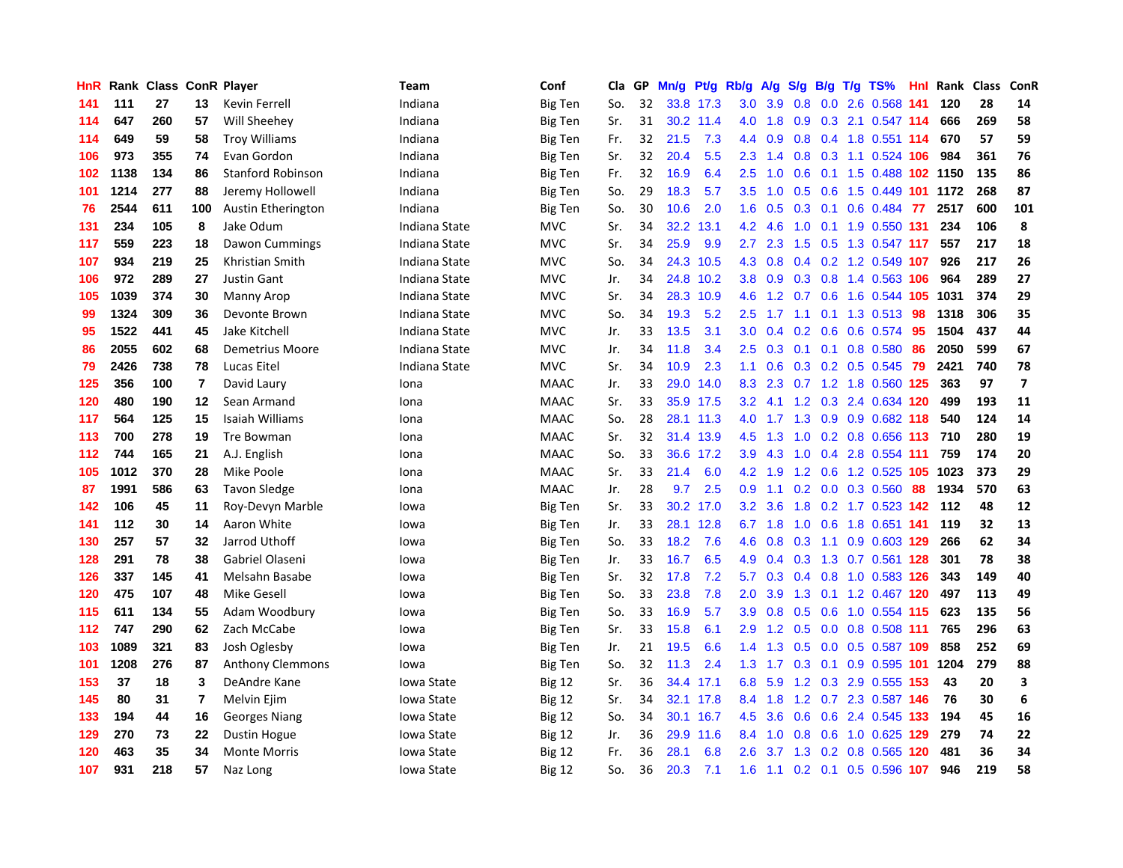| HnR | Rank |     |     | <b>Class ConR Player</b> | <b>Team</b>   | Conf           | Cla | <b>GP</b> | Mn/g | Pt/g      | Rb/g             | A/g     | S/g | B/g | T/g TS%                   | Hnl | Rank | <b>Class</b> | ConR                    |
|-----|------|-----|-----|--------------------------|---------------|----------------|-----|-----------|------|-----------|------------------|---------|-----|-----|---------------------------|-----|------|--------------|-------------------------|
| 141 | 111  | 27  | 13  | Kevin Ferrell            | Indiana       | <b>Big Ten</b> | So. | 32        |      | 33.8 17.3 | 3.0 <sub>2</sub> | 3.9     | 0.8 |     | 0.0 2.6 0.568 141         |     | 120  | 28           | 14                      |
| 114 | 647  | 260 | 57  | Will Sheehey             | Indiana       | <b>Big Ten</b> | Sr. | 31        | 30.2 | 11.4      | 4.0              | 1.8     |     |     | 0.9 0.3 2.1 0.547 114     |     | 666  | 269          | 58                      |
| 114 | 649  | 59  | 58  | <b>Troy Williams</b>     | Indiana       | <b>Big Ten</b> | Fr. | 32        | 21.5 | 7.3       | 4.4              | 0.9     | 0.8 |     | 0.4 1.8 0.551 114         |     | 670  | 57           | 59                      |
| 106 | 973  | 355 | 74  | Evan Gordon              | Indiana       | Big Ten        | Sr. | 32        | 20.4 | 5.5       | 2.3              | 1.4     | 0.8 |     | 0.3 1.1 0.524 106         |     | 984  | 361          | 76                      |
| 102 | 1138 | 134 | 86  | <b>Stanford Robinson</b> | Indiana       | <b>Big Ten</b> | Fr. | 32        | 16.9 | 6.4       | 2.5              | 1.0     | 0.6 |     | 0.1 1.5 0.488 102 1150    |     |      | 135          | 86                      |
| 101 | 1214 | 277 | 88  | Jeremy Hollowell         | Indiana       | Big Ten        | So. | 29        | 18.3 | 5.7       | 3.5              | 1.0     | 0.5 |     | 0.6 1.5 0.449 101 1172    |     |      | 268          | 87                      |
| 76  | 2544 | 611 | 100 | Austin Etherington       | Indiana       | <b>Big Ten</b> | So. | 30        | 10.6 | 2.0       | 1.6              | 0.5     | 0.3 |     | $0.1$ 0.6 0.484           | 77  | 2517 | 600          | 101                     |
| 131 | 234  | 105 | 8   | Jake Odum                | Indiana State | <b>MVC</b>     | Sr. | 34        | 32.2 | 13.1      | 4.2              | 4.6     | 1.0 |     | 0.1 1.9 0.550 131         |     | 234  | 106          | 8                       |
| 117 | 559  | 223 | 18  | Dawon Cummings           | Indiana State | <b>MVC</b>     | Sr. | 34        | 25.9 | 9.9       | 2.7              | 2.3     | 1.5 |     | 0.5 1.3 0.547 117         |     | 557  | 217          | 18                      |
| 107 | 934  | 219 | 25  | Khristian Smith          | Indiana State | <b>MVC</b>     | So. | 34        |      | 24.3 10.5 |                  | 4.3 0.8 |     |     | 0.4 0.2 1.2 0.549 107     |     | 926  | 217          | 26                      |
| 106 | 972  | 289 | 27  | <b>Justin Gant</b>       | Indiana State | <b>MVC</b>     | Jr. | 34        | 24.8 | 10.2      | 3.8              | 0.9     |     |     | 0.3 0.8 1.4 0.563 106     |     | 964  | 289          | 27                      |
| 105 | 1039 | 374 | 30  | Manny Arop               | Indiana State | <b>MVC</b>     | Sr. | 34        | 28.3 | 10.9      | 4.6              | 1.2     | 0.7 |     | 0.6 1.6 0.544 105 1031    |     |      | 374          | 29                      |
| 99  | 1324 | 309 | 36  | Devonte Brown            | Indiana State | <b>MVC</b>     | So. | 34        | 19.3 | 5.2       | 2.5              | 1.7     | 1.1 |     | $0.1$ 1.3 0.513           | 98  | 1318 | 306          | 35                      |
| 95  | 1522 | 441 | 45  | Jake Kitchell            | Indiana State | <b>MVC</b>     | Jr. | 33        | 13.5 | 3.1       | 3.0              | 0.4     | 0.2 |     | $0.6$ 0.6 0.574           | -95 | 1504 | 437          | 44                      |
| 86  | 2055 | 602 | 68  | Demetrius Moore          | Indiana State | <b>MVC</b>     | Jr. | 34        | 11.8 | 3.4       | 2.5              | 0.3     | 0.1 |     | $0.1$ 0.8 0.580           | 86  | 2050 | 599          | 67                      |
| 79  | 2426 | 738 | 78  | Lucas Eitel              | Indiana State | <b>MVC</b>     | Sr. | 34        | 10.9 | 2.3       | 1.1              | 0.6     | 0.3 |     | $0.2$ 0.5 0.545           | 79  | 2421 | 740          | 78                      |
| 125 | 356  | 100 | 7   | David Laury              | Iona          | <b>MAAC</b>    | Jr. | 33        | 29.0 | 14.0      | 8.3              | 2.3     |     |     | 0.7 1.2 1.8 0.560 125     |     | 363  | 97           | $\overline{\mathbf{z}}$ |
| 120 | 480  | 190 | 12  | Sean Armand              | Iona          | <b>MAAC</b>    | Sr. | 33        |      | 35.9 17.5 | 3.2              | 4.1     |     |     | 1.2 0.3 2.4 0.634 120     |     | 499  | 193          | 11                      |
| 117 | 564  | 125 | 15  | Isaiah Williams          | Iona          | <b>MAAC</b>    | So. | 28        |      | 28.1 11.3 | 4.0              |         |     |     | 1.7 1.3 0.9 0.9 0.682 118 |     | 540  | 124          | 14                      |
| 113 | 700  | 278 | 19  | <b>Tre Bowman</b>        | Iona          | <b>MAAC</b>    | Sr. | 32        | 31.4 | 13.9      | 4.5              | 1.3     | 1.0 |     | 0.2 0.8 0.656 113         |     | 710  | 280          | 19                      |
| 112 | 744  | 165 | 21  | A.J. English             | Iona          | <b>MAAC</b>    | So. | 33        | 36.6 | 17.2      | 3.9              | 4.3     | 1.0 |     | 0.4 2.8 0.554 111         |     | 759  | 174          | 20                      |
| 105 | 1012 | 370 | 28  | Mike Poole               | Iona          | <b>MAAC</b>    | Sr. | 33        | 21.4 | 6.0       | 4.2              | 1.9     | 1.2 |     | 0.6 1.2 0.525 105 1023    |     |      | 373          | 29                      |
| 87  | 1991 | 586 | 63  | <b>Tavon Sledge</b>      | Iona          | <b>MAAC</b>    | Jr. | 28        | 9.7  | 2.5       | 0.9              | 1.1     | 0.2 |     | 0.0 0.3 0.560             | 88  | 1934 | 570          | 63                      |
| 142 | 106  | 45  | 11  | Roy-Devyn Marble         | lowa          | Big Ten        | Sr. | 33        | 30.2 | 17.0      | 3.2              | 3.6     | 1.8 |     | 0.2 1.7 0.523 142         |     | 112  | 48           | 12                      |
| 141 | 112  | 30  | 14  | Aaron White              | lowa          | <b>Big Ten</b> | Jr. | 33        | 28.1 | 12.8      | 6.7              | 1.8     | 1.0 |     | 0.6 1.8 0.651 141         |     | 119  | 32           | 13                      |
| 130 | 257  | 57  | 32  | Jarrod Uthoff            | lowa          | <b>Big Ten</b> | So. | 33        | 18.2 | 7.6       | 4.6              | 0.8     |     |     | 0.3 1.1 0.9 0.603 129     |     | 266  | 62           | 34                      |
| 128 | 291  | 78  | 38  | Gabriel Olaseni          | lowa          | <b>Big Ten</b> | Jr. | 33        | 16.7 | 6.5       | 4.9              | 0.4     |     |     | 0.3 1.3 0.7 0.561 128     |     | 301  | 78           | 38                      |
| 126 | 337  | 145 | 41  | Melsahn Basabe           | lowa          | <b>Big Ten</b> | Sr. | 32        | 17.8 | 7.2       | 5.7              | 0.3     | 0.4 |     | 0.8 1.0 0.583 126         |     | 343  | 149          | 40                      |
| 120 | 475  | 107 | 48  | Mike Gesell              | lowa          | <b>Big Ten</b> | So. | 33        | 23.8 | 7.8       | 2.0              | 3.9     | 1.3 |     | 0.1 1.2 0.467 120         |     | 497  | 113          | 49                      |
| 115 | 611  | 134 | 55  | Adam Woodbury            | lowa          | <b>Big Ten</b> | So. | 33        | 16.9 | 5.7       | 3.9              | 0.8     | 0.5 |     | 0.6 1.0 0.554 115         |     | 623  | 135          | 56                      |
| 112 | 747  | 290 | 62  | Zach McCabe              | lowa          | <b>Big Ten</b> | Sr. | 33        | 15.8 | 6.1       | 2.9              | 1.2     | 0.5 |     | 0.0 0.8 0.508 111         |     | 765  | 296          | 63                      |
| 103 | 1089 | 321 | 83  | Josh Oglesby             | lowa          | <b>Big Ten</b> | Jr. | 21        | 19.5 | 6.6       | 1.4              | 1.3     | 0.5 |     | 0.0 0.5 0.587 109         |     | 858  | 252          | 69                      |
| 101 | 1208 | 276 | 87  | <b>Anthony Clemmons</b>  | lowa          | <b>Big Ten</b> | So. | 32        | 11.3 | 2.4       | 1.3              | 1.7     | 0.3 | 0.1 | $0.9$ 0.595 101           |     | 1204 | 279          | 88                      |
| 153 | 37   | 18  | 3   | DeAndre Kane             | Iowa State    | <b>Big 12</b>  | Sr. | 36        | 34.4 | 17.1      | 6.8              | 5.9     |     |     | 1.2 0.3 2.9 0.555 153     |     | 43   | 20           | 3                       |
| 145 | 80   | 31  | 7   | Melvin Ejim              | Iowa State    | <b>Big 12</b>  | Sr. | 34        |      | 32.1 17.8 | 8.4              | 1.8     |     |     | 1.2 0.7 2.3 0.587 146     |     | 76   | 30           | 6                       |
| 133 | 194  | 44  | 16  | <b>Georges Niang</b>     | Iowa State    | <b>Big 12</b>  | So. | 34        | 30.1 | 16.7      | 4.5              | 3.6     | 0.6 |     | 0.6 2.4 0.545 133         |     | 194  | 45           | 16                      |
| 129 | 270  | 73  | 22  | Dustin Hogue             | Iowa State    | <b>Big 12</b>  | Jr. | 36        | 29.9 | 11.6      | $8.4^{\circ}$    | 1.0     | 0.8 |     | 0.6 1.0 0.625 129         |     | 279  | 74           | 22                      |
| 120 | 463  | 35  | 34  | <b>Monte Morris</b>      | Iowa State    | <b>Big 12</b>  | Fr. | 36        | 28.1 | 6.8       | 2.6              | 3.7     | 1.3 |     | 0.2 0.8 0.565             | 120 | 481  | 36           | 34                      |
| 107 | 931  | 218 | 57  | Naz Long                 | Iowa State    | <b>Big 12</b>  | So. | 36        | 20.3 | 7.1       | 1.6              | 1.1     |     |     | 0.2 0.1 0.5 0.596 107     |     | 946  | 219          | 58                      |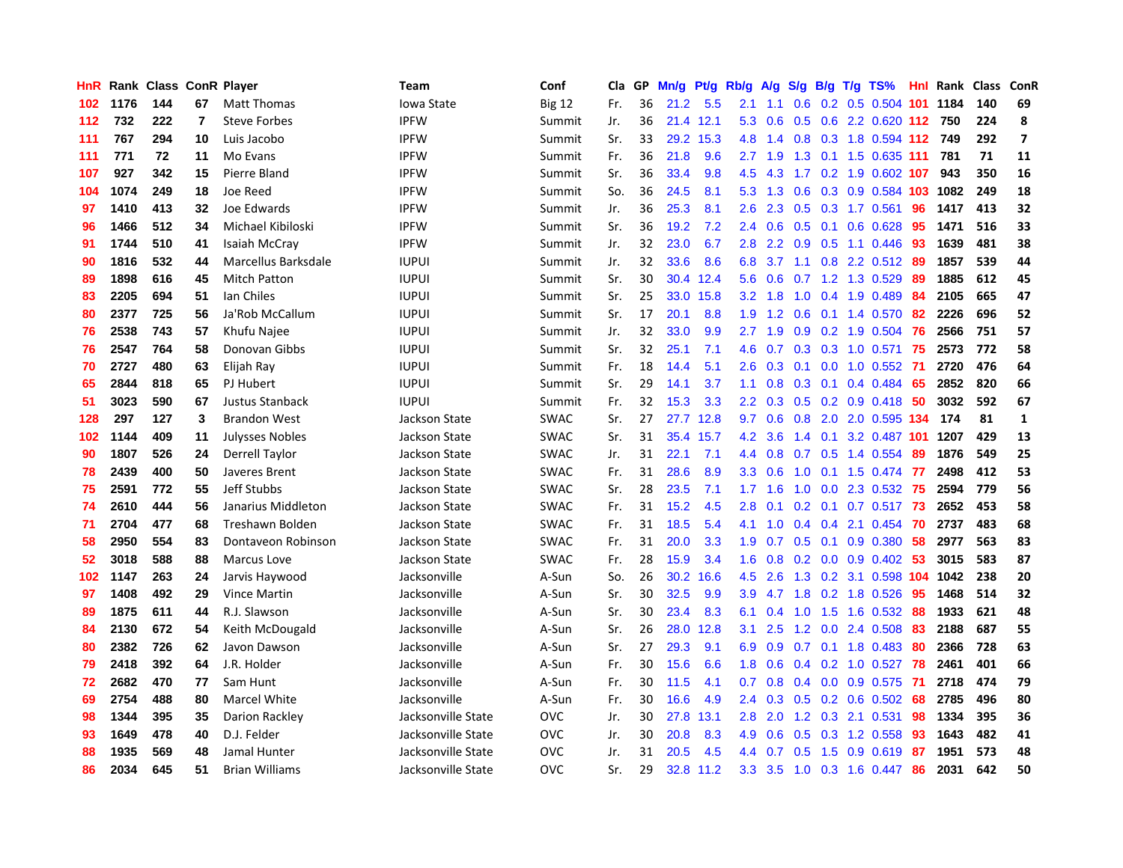| HnR |      | Rank Class ConR Player |    |                        | Team               | Conf          | Cla | <b>GP</b> | Mn/g | Pt/g      | Rb/g             | A/g | S/g              | B/g | $T/g$ TS%                  |     | Hnl Rank | <b>Class</b> | ConR           |
|-----|------|------------------------|----|------------------------|--------------------|---------------|-----|-----------|------|-----------|------------------|-----|------------------|-----|----------------------------|-----|----------|--------------|----------------|
| 102 | 1176 | 144                    | 67 | <b>Matt Thomas</b>     | Iowa State         | <b>Big 12</b> | Fr. | 36        | 21.2 | 5.5       | 2.1              | 1.1 | 0.6              |     | $0.2$ 0.5 0.504 101        |     | 1184     | 140          | 69             |
| 112 | 732  | 222                    | 7  | <b>Steve Forbes</b>    | <b>IPFW</b>        | Summit        | Jr. | 36        | 21.4 | 12.1      | 5.3              | 0.6 | 0.5              |     | 0.6 2.2 0.620 112 750      |     |          | 224          | 8              |
| 111 | 767  | 294                    | 10 | Luis Jacobo            | <b>IPFW</b>        | Summit        | Sr. | 33        | 29.2 | 15.3      | 4.8              | 1.4 |                  |     | 0.8 0.3 1.8 0.594 112 749  |     |          | 292          | $\overline{ }$ |
| 111 | 771  | 72                     | 11 | Mo Evans               | <b>IPFW</b>        | Summit        | Fr. | 36        | 21.8 | 9.6       | $2.7^{\circ}$    | 1.9 | 1.3              |     | $0.1$ 1.5 0.635 111        |     | 781      | 71           | 11             |
| 107 | 927  | 342                    | 15 | Pierre Bland           | <b>IPFW</b>        | Summit        | Sr. | 36        | 33.4 | 9.8       | 4.5              | 4.3 |                  |     | 1.7 0.2 1.9 0.602 107      |     | 943      | 350          | 16             |
| 104 | 1074 | 249                    | 18 | Joe Reed               | <b>IPFW</b>        | Summit        | So. | 36        | 24.5 | 8.1       | 5.3              | 1.3 | 0.6              |     | 0.3 0.9 0.584 103 1082     |     |          | 249          | 18             |
| 97  | 1410 | 413                    | 32 | Joe Edwards            | <b>IPFW</b>        | Summit        | Jr. | 36        | 25.3 | 8.1       | 2.6              | 2.3 | 0.5              |     | 0.3 1.7 0.561              | 96  | 1417     | 413          | 32             |
| 96  | 1466 | 512                    | 34 | Michael Kibiloski      | <b>IPFW</b>        | Summit        | Sr. | 36        | 19.2 | 7.2       | $2.4^{\circ}$    | 0.6 | 0.5              |     | $0.1$ 0.6 0.628            | 95  | 1471     | 516          | 33             |
| 91  | 1744 | 510                    | 41 | Isaiah McCray          | <b>IPFW</b>        | Summit        | Jr. | 32        | 23.0 | 6.7       | 2.8              | 2.2 | 0.9              |     | $0.5$ 1.1 0.446            | -93 | 1639     | 481          | 38             |
| 90  | 1816 | 532                    | 44 | Marcellus Barksdale    | <b>IUPUI</b>       | Summit        | Jr. | 32        | 33.6 | 8.6       | 6.8              | 3.7 |                  |     | 1.1 0.8 2.2 0.512 89       |     | 1857     | 539          | 44             |
| 89  | 1898 | 616                    | 45 | Mitch Patton           | <b>IUPUI</b>       | Summit        | Sr. | 30        | 30.4 | 12.4      | 5.6              | 0.6 |                  |     | 0.7 1.2 1.3 0.529 89       |     | 1885     | 612          | 45             |
| 83  | 2205 | 694                    | 51 | Ian Chiles             | <b>IUPUI</b>       | Summit        | Sr. | 25        | 33.0 | 15.8      | 3.2              | 1.8 |                  |     | 1.0 0.4 1.9 0.489          | -84 | 2105     | 665          | 47             |
| 80  | 2377 | 725                    | 56 | Ja'Rob McCallum        | <b>IUPUI</b>       | Summit        | Sr. | 17        | 20.1 | 8.8       | 1.9              | 1.2 | 0.6              |     | $0.1$ 1.4 $0.570$          | -82 | 2226     | 696          | 52             |
| 76  | 2538 | 743                    | 57 | Khufu Najee            | <b>IUPUI</b>       | Summit        | Jr. | 32        | 33.0 | 9.9       | 2.7              | 1.9 | 0.9 <sub>0</sub> |     | 0.2 1.9 0.504 76           |     | 2566     | 751          | 57             |
| 76  | 2547 | 764                    | 58 | Donovan Gibbs          | <b>IUPUI</b>       | Summit        | Sr. | 32        | 25.1 | 7.1       | 4.6              | 0.7 |                  |     | 0.3 0.3 1.0 0.571          | 75  | 2573     | 772          | 58             |
| 70  | 2727 | 480                    | 63 | Elijah Ray             | <b>IUPUI</b>       | Summit        | Fr. | 18        | 14.4 | 5.1       | $2.6^{\circ}$    | 0.3 | 0.1              |     | $0.0$ 1.0 $0.552$          | -71 | 2720     | 476          | 64             |
| 65  | 2844 | 818                    | 65 | PJ Hubert              | <b>IUPUI</b>       | Summit        | Sr. | 29        | 14.1 | 3.7       | 1.1              | 0.8 | 0.3 <sub>0</sub> |     | $0.1$ 0.4 0.484            | -65 | 2852     | 820          | 66             |
| 51  | 3023 | 590                    | 67 | Justus Stanback        | <b>IUPUI</b>       | Summit        | Fr. | 32        | 15.3 | 3.3       | $2.2^{\circ}$    | 0.3 | 0.5              |     | 0.2 0.9 0.418 50           |     | 3032     | 592          | 67             |
| 128 | 297  | 127                    | 3  | <b>Brandon West</b>    | Jackson State      | <b>SWAC</b>   | Sr. | 27        | 27.7 | 12.8      | 9.7              | 0.6 |                  |     | 0.8 2.0 2.0 0.595 134      |     | 174      | 81           | 1              |
| 102 | 1144 | 409                    | 11 | <b>Julysses Nobles</b> | Jackson State      | <b>SWAC</b>   | Sr. | 31        | 35.4 | 15.7      | 4.2              | 3.6 |                  |     | 1.4 0.1 3.2 0.487 101 1207 |     |          | 429          | 13             |
| 90  | 1807 | 526                    | 24 | Derrell Taylor         | Jackson State      | <b>SWAC</b>   | Jr. | 31        | 22.1 | 7.1       | 4.4              | 0.8 | 0.7              |     | 0.5 1.4 0.554              | -89 | 1876     | 549          | 25             |
| 78  | 2439 | 400                    | 50 | Javeres Brent          | Jackson State      | <b>SWAC</b>   | Fr. | 31        | 28.6 | 8.9       | 3.3 <sub>2</sub> | 0.6 | 1.0              |     | $0.1$ 1.5 0.474            | -77 | 2498     | 412          | 53             |
| 75  | 2591 | 772                    | 55 | Jeff Stubbs            | Jackson State      | <b>SWAC</b>   | Sr. | 28        | 23.5 | 7.1       | 1.7              | 1.6 | 1.0              |     | $0.0$ 2.3 0.532            | -75 | 2594     | 779          | 56             |
| 74  | 2610 | 444                    | 56 | Janarius Middleton     | Jackson State      | <b>SWAC</b>   | Fr. | 31        | 15.2 | 4.5       | 2.8              | 0.1 | 0.2              |     | $0.1$ 0.7 0.517            | 73  | 2652     | 453          | 58             |
| 71  | 2704 | 477                    | 68 | Treshawn Bolden        | Jackson State      | <b>SWAC</b>   | Fr. | 31        | 18.5 | 5.4       | 4.1              | 1.0 | 0.4              |     | $0.4$ 2.1 0.454            | 70  | 2737     | 483          | 68             |
| 58  | 2950 | 554                    | 83 | Dontaveon Robinson     | Jackson State      | <b>SWAC</b>   | Fr. | 31        | 20.0 | 3.3       | 1.9              | 0.7 | 0.5              |     | $0.1$ 0.9 0.380            | 58  | 2977     | 563          | 83             |
| 52  | 3018 | 588                    | 88 | Marcus Love            | Jackson State      | <b>SWAC</b>   | Fr. | 28        | 15.9 | 3.4       | 1.6              | 0.8 |                  |     | $0.2$ 0.0 0.9 0.402 53     |     | 3015     | 583          | 87             |
| 102 | 1147 | 263                    | 24 | Jarvis Haywood         | Jacksonville       | A-Sun         | So. | 26        | 30.2 | 16.6      | 4.5              | 2.6 |                  |     | 1.3 0.2 3.1 0.598 104 1042 |     |          | 238          | 20             |
| 97  | 1408 | 492                    | 29 | <b>Vince Martin</b>    | Jacksonville       | A-Sun         | Sr. | 30        | 32.5 | 9.9       | 3.9              |     | $4.7$ 1.8        |     | 0.2 1.8 0.526 95           |     | 1468     | 514          | 32             |
| 89  | 1875 | 611                    | 44 | R.J. Slawson           | Jacksonville       | A-Sun         | Sr. | 30        | 23.4 | 8.3       | 6.1              | 0.4 | 1.0              |     | 1.5 1.6 0.532 88           |     | 1933     | 621          | 48             |
| 84  | 2130 | 672                    | 54 | Keith McDougald        | Jacksonville       | A-Sun         | Sr. | 26        | 28.0 | 12.8      | 3.1              | 2.5 | 1.2              |     | 0.0 2.4 0.508 83           |     | 2188     | 687          | 55             |
| 80  | 2382 | 726                    | 62 | Javon Dawson           | Jacksonville       | A-Sun         | Sr. | 27        | 29.3 | 9.1       | 6.9              | 0.9 | 0.7              |     | $0.1$ 1.8 $0.483$          | -80 | 2366     | 728          | 63             |
| 79  | 2418 | 392                    | 64 | J.R. Holder            | Jacksonville       | A-Sun         | Fr. | 30        | 15.6 | 6.6       | 1.8              | 0.6 | 0.4              |     | $0.2$ 1.0 $0.527$          | -78 | 2461     | 401          | 66             |
| 72  | 2682 | 470                    | 77 | Sam Hunt               | Jacksonville       | A-Sun         | Fr. | 30        | 11.5 | 4.1       | 0.7              | 0.8 | $0.4^{\circ}$    |     | 0.0 0.9 0.575              | -71 | 2718     | 474          | 79             |
| 69  | 2754 | 488                    | 80 | Marcel White           | Jacksonville       | A-Sun         | Fr. | 30        | 16.6 | 4.9       | $2.4^{\circ}$    | 0.3 |                  |     | $0.5$ 0.2 0.6 0.502 68     |     | 2785     | 496          | 80             |
| 98  | 1344 | 395                    | 35 | Darion Rackley         | Jacksonville State | <b>OVC</b>    | Jr. | 30        | 27.8 | 13.1      | 2.8 <sub>2</sub> | 2.0 |                  |     | 1.2 0.3 2.1 0.531          | -98 | 1334     | 395          | 36             |
| 93  | 1649 | 478                    | 40 | D.J. Felder            | Jacksonville State | <b>OVC</b>    | Jr. | 30        | 20.8 | 8.3       | 4.9              | 0.6 | 0.5              |     | 0.3 1.2 0.558              | -93 | 1643     | 482          | 41             |
| 88  | 1935 | 569                    | 48 | Jamal Hunter           | Jacksonville State | OVC           | Jr. | 31        | 20.5 | 4.5       | 4.4              | 0.7 | 0.5              |     | 1.5 0.9 0.619              | -87 | 1951     | 573          | 48             |
| 86  | 2034 | 645                    | 51 | <b>Brian Williams</b>  | Jacksonville State | <b>OVC</b>    | Sr. | 29        |      | 32.8 11.2 | 3.3 <sub>2</sub> | 3.5 |                  |     | 1.0 0.3 1.6 0.447 86       |     | 2031     | 642          | 50             |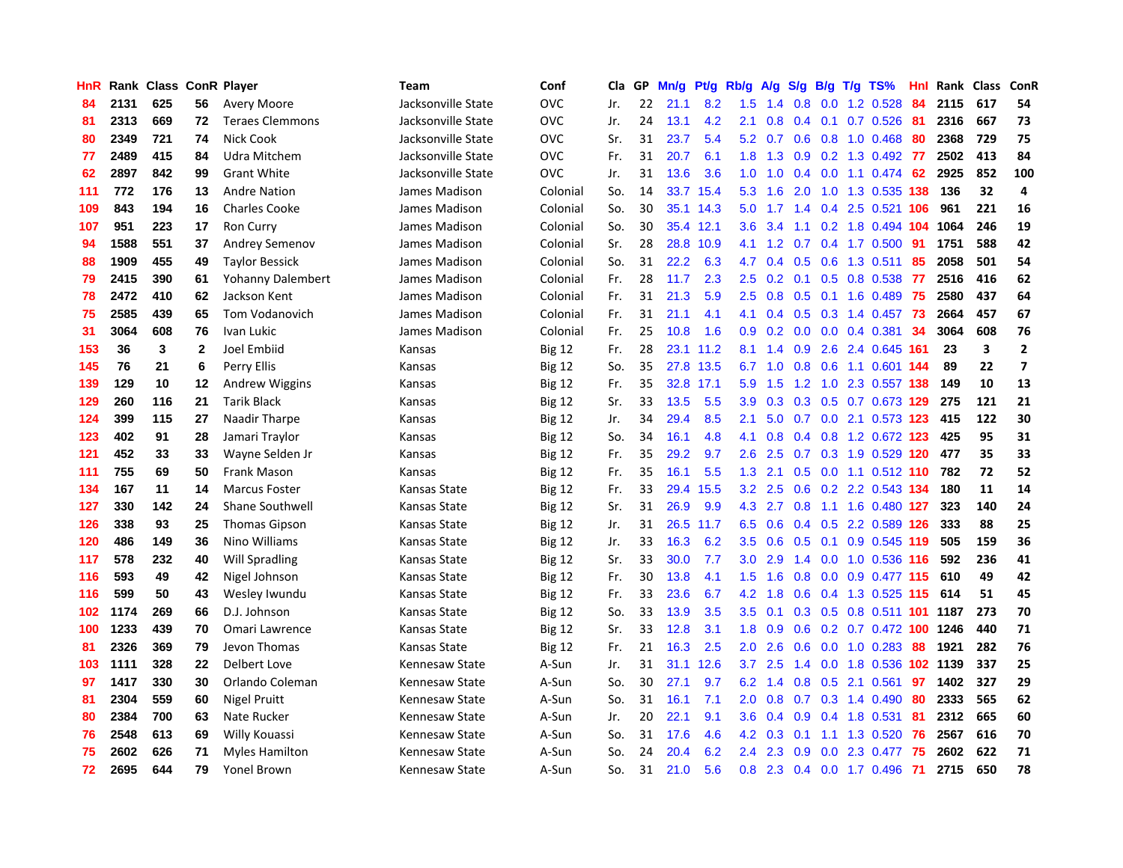| HnR |      |     |                | Rank Class ConR Player   | <b>Team</b>        | Conf          | Cla | GP | Mn/g | Pt/g | Rb/g             | A/g | S/g              | B/g | $T/g$ TS%                            | Hnl | Rank Class |     | ConR                     |
|-----|------|-----|----------------|--------------------------|--------------------|---------------|-----|----|------|------|------------------|-----|------------------|-----|--------------------------------------|-----|------------|-----|--------------------------|
| 84  | 2131 | 625 | 56             | <b>Avery Moore</b>       | Jacksonville State | <b>OVC</b>    | Jr. | 22 | 21.1 | 8.2  | 1.5              | 1.4 | 0.8              |     | 0.0 1.2 0.528                        | 84  | 2115       | 617 | 54                       |
| 81  | 2313 | 669 | 72             | <b>Teraes Clemmons</b>   | Jacksonville State | <b>OVC</b>    | Jr. | 24 | 13.1 | 4.2  | 2.1              | 0.8 | 0.4              |     | 0.1 0.7 0.526 81                     |     | 2316       | 667 | 73                       |
| 80  | 2349 | 721 | 74             | Nick Cook                | Jacksonville State | <b>OVC</b>    | Sr. | 31 | 23.7 | 5.4  | 5.2              | 0.7 | 0.6              |     | $0.8$ 1.0 0.468                      | -80 | 2368       | 729 | 75                       |
| 77  | 2489 | 415 | 84             | Udra Mitchem             | Jacksonville State | <b>OVC</b>    | Fr. | 31 | 20.7 | 6.1  | 1.8              | 1.3 | 0.9              |     | 0.2 1.3 0.492 77                     |     | 2502       | 413 | 84                       |
| 62  | 2897 | 842 | 99             | <b>Grant White</b>       | Jacksonville State | <b>OVC</b>    | Jr. | 31 | 13.6 | 3.6  | 1.0              | 1.0 | 0.4              |     | $0.0$ 1.1 $0.474$                    | -62 | 2925       | 852 | 100                      |
| 111 | 772  | 176 | 13             | <b>Andre Nation</b>      | James Madison      | Colonial      | So. | 14 | 33.7 | 15.4 | 5.3              | 1.6 | 2.0              |     | 1.0 1.3 0.535 138                    |     | 136        | 32  | $\overline{\mathbf{4}}$  |
| 109 | 843  | 194 | 16             | <b>Charles Cooke</b>     | James Madison      | Colonial      | So. | 30 | 35.1 | 14.3 | 5.0              | 1.7 | 1.4              |     | 0.4 2.5 0.521 106                    |     | 961        | 221 | 16                       |
| 107 | 951  | 223 | 17             | Ron Curry                | James Madison      | Colonial      | So. | 30 | 35.4 | 12.1 | 3.6              | 3.4 | 1.1              |     | 0.2 1.8 0.494 104                    |     | 1064       | 246 | 19                       |
| 94  | 1588 | 551 | 37             | <b>Andrey Semenov</b>    | James Madison      | Colonial      | Sr. | 28 | 28.8 | 10.9 | 4.1              | 1.2 | 0.7              |     | $0.4$ 1.7 0.500                      | -91 | 1751       | 588 | 42                       |
| 88  | 1909 | 455 | 49             | <b>Taylor Bessick</b>    | James Madison      | Colonial      | So. | 31 | 22.2 | 6.3  | 4.7              | 0.4 | 0.5              |     | 0.6 1.3 0.511                        | 85  | 2058       | 501 | 54                       |
| 79  | 2415 | 390 | 61             | <b>Yohanny Dalembert</b> | James Madison      | Colonial      | Fr. | 28 | 11.7 | 2.3  | 2.5              |     |                  |     | 0.2 0.1 0.5 0.8 0.538 77             |     | 2516       | 416 | 62                       |
| 78  | 2472 | 410 | 62             | Jackson Kent             | James Madison      | Colonial      | Fr. | 31 | 21.3 | 5.9  | 2.5              | 0.8 |                  |     | $0.5$ 0.1 1.6 0.489                  | -75 | 2580       | 437 | 64                       |
| 75  | 2585 | 439 | 65             | Tom Vodanovich           | James Madison      | Colonial      | Fr. | 31 | 21.1 | 4.1  | 4.1              | 0.4 |                  |     | 0.5 0.3 1.4 0.457 73                 |     | 2664       | 457 | 67                       |
| 31  | 3064 | 608 | 76             | Ivan Lukic               | James Madison      | Colonial      | Fr. | 25 | 10.8 | 1.6  | 0.9              | 0.2 | 0.0 <sub>1</sub> |     | $0.0$ 0.4 0.381                      | 34  | 3064       | 608 | 76                       |
| 153 | 36   | 3   | $\overline{2}$ | Joel Embiid              | Kansas             | <b>Big 12</b> | Fr. | 28 | 23.1 | 11.2 | 8.1              | 1.4 | 0.9 <sup>°</sup> |     | 2.6 2.4 0.645 161                    |     | 23         | 3   | $\mathbf{2}$             |
| 145 | 76   | 21  | 6              | Perry Ellis              | Kansas             | <b>Big 12</b> | So. | 35 | 27.8 | 13.5 | 6.7              | 1.0 | 0.8              |     | 0.6 1.1 0.601 144                    |     | 89         | 22  | $\overline{\phantom{a}}$ |
| 139 | 129  | 10  | 12             | <b>Andrew Wiggins</b>    | Kansas             | <b>Big 12</b> | Fr. | 35 | 32.8 | 17.1 | 5.9              | 1.5 |                  |     | 1.2 1.0 2.3 0.557 138                |     | 149        | 10  | 13                       |
| 129 | 260  | 116 | 21             | <b>Tarik Black</b>       | Kansas             | <b>Big 12</b> | Sr. | 33 | 13.5 | 5.5  | 3.9              | 0.3 | 0.3              |     | 0.5 0.7 0.673 129                    |     | 275        | 121 | 21                       |
| 124 | 399  | 115 | 27             | Naadir Tharpe            | Kansas             | <b>Big 12</b> | Jr. | 34 | 29.4 | 8.5  | 2.1              | 5.0 |                  |     | 0.7 0.0 2.1 0.573 123                |     | 415        | 122 | 30                       |
| 123 | 402  | 91  | 28             | Jamari Traylor           | Kansas             | <b>Big 12</b> | So. | 34 | 16.1 | 4.8  | 4.1              | 0.8 |                  |     | 0.4 0.8 1.2 0.672 123                |     | 425        | 95  | 31                       |
| 121 | 452  | 33  | 33             | Wayne Selden Jr          | Kansas             | <b>Big 12</b> | Fr. | 35 | 29.2 | 9.7  | $2.6\,$          | 2.5 |                  |     | $0.7$ $0.3$ $1.9$ $0.529$ <b>120</b> |     | 477        | 35  | 33                       |
| 111 | 755  | 69  | 50             | <b>Frank Mason</b>       | Kansas             | Big 12        | Fr. | 35 | 16.1 | 5.5  | 1.3              | 2.1 | 0.5              |     | $0.0$ 1.1 0.512 110                  |     | 782        | 72  | 52                       |
| 134 | 167  | 11  | 14             | <b>Marcus Foster</b>     | Kansas State       | <b>Big 12</b> | Fr. | 33 | 29.4 | 15.5 | 3.2              | 2.5 | 0.6              |     | 0.2 2.2 0.543 134                    |     | 180        | 11  | 14                       |
| 127 | 330  | 142 | 24             | <b>Shane Southwell</b>   | Kansas State       | <b>Big 12</b> | Sr. | 31 | 26.9 | 9.9  | 4.3              | 2.7 | 0.8              |     | 1.1 1.6 0.480 127                    |     | 323        | 140 | 24                       |
| 126 | 338  | 93  | 25             | <b>Thomas Gipson</b>     | Kansas State       | <b>Big 12</b> | Jr. | 31 | 26.5 | 11.7 | 6.5              | 0.6 | $0.4^{\circ}$    |     | 0.5 2.2 0.589 126                    |     | 333        | 88  | 25                       |
| 120 | 486  | 149 | 36             | Nino Williams            | Kansas State       | <b>Big 12</b> | Jr. | 33 | 16.3 | 6.2  | 3.5              | 0.6 | 0.5              |     | $0.1$ 0.9 0.545 119                  |     | 505        | 159 | 36                       |
| 117 | 578  | 232 | 40             | <b>Will Spradling</b>    | Kansas State       | <b>Big 12</b> | Sr. | 33 | 30.0 | 7.7  | 3.0 <sub>2</sub> | 2.9 |                  |     | 1.4 0.0 1.0 0.536 116                |     | 592        | 236 | 41                       |
| 116 | 593  | 49  | 42             | Nigel Johnson            | Kansas State       | <b>Big 12</b> | Fr. | 30 | 13.8 | 4.1  | 1.5              | 1.6 |                  |     | 0.8 0.0 0.9 0.477 115                |     | 610        | 49  | 42                       |
| 116 | 599  | 50  | 43             | Wesley Iwundu            | Kansas State       | <b>Big 12</b> | Fr. | 33 | 23.6 | 6.7  | 4.2              | 1.8 | 0.6              |     | 0.4 1.3 0.525 115                    |     | 614        | 51  | 45                       |
| 102 | 1174 | 269 | 66             | D.J. Johnson             | Kansas State       | <b>Big 12</b> | So. | 33 | 13.9 | 3.5  | 3.5              | 0.1 | 0.3              |     | 0.5 0.8 0.511 101 1187               |     |            | 273 | 70                       |
| 100 | 1233 | 439 | 70             | Omari Lawrence           | Kansas State       | <b>Big 12</b> | Sr. | 33 | 12.8 | 3.1  | 1.8              | 0.9 | 0.6              |     | 0.2 0.7 0.472 100 1246               |     |            | 440 | 71                       |
| 81  | 2326 | 369 | 79             | Jevon Thomas             | Kansas State       | <b>Big 12</b> | Fr. | 21 | 16.3 | 2.5  | 2.0              | 2.6 | 0.6              |     | $0.0$ 1.0 0.283                      | 88  | 1921       | 282 | 76                       |
| 103 | 1111 | 328 | 22             | Delbert Love             | Kennesaw State     | A-Sun         | Jr. | 31 | 31.1 | 12.6 | 3.7              | 2.5 | 1.4              |     | 0.0 1.8 0.536 102 1139               |     |            | 337 | 25                       |
| 97  | 1417 | 330 | 30             | Orlando Coleman          | Kennesaw State     | A-Sun         | So. | 30 | 27.1 | 9.7  | 6.2              | 1.4 | 0.8              | 0.5 | 2.1 0.561                            | 97  | 1402       | 327 | 29                       |
| 81  | 2304 | 559 | 60             | <b>Nigel Pruitt</b>      | Kennesaw State     | A-Sun         | So. | 31 | 16.1 | 7.1  | 2.0              | 0.8 | 0.7              |     | $0.3$ 1.4 0.490                      | -80 | 2333       | 565 | 62                       |
| 80  | 2384 | 700 | 63             | Nate Rucker              | Kennesaw State     | A-Sun         | Jr. | 20 | 22.1 | 9.1  | 3.6              | 0.4 | 0.9              |     | 0.4 1.8 0.531                        | -81 | 2312       | 665 | 60                       |
| 76  | 2548 | 613 | 69             | Willy Kouassi            | Kennesaw State     | A-Sun         | So. | 31 | 17.6 | 4.6  | 4.2              | 0.3 |                  |     | $0.1$ 1.1 1.3 0.520                  | -76 | 2567       | 616 | 70                       |
| 75  | 2602 | 626 | 71             | <b>Myles Hamilton</b>    | Kennesaw State     | A-Sun         | So. | 24 | 20.4 | 6.2  | 2.4              | 2.3 | 0.9              |     | 0.0 2.3 0.477                        | 75  | 2602       | 622 | 71                       |
| 72  | 2695 | 644 | 79             | Yonel Brown              | Kennesaw State     | A-Sun         | So. | 31 | 21.0 | 5.6  | 0.8              | 2.3 |                  |     | $0.4$ 0.0 1.7 0.496                  | 71  | 2715       | 650 | 78                       |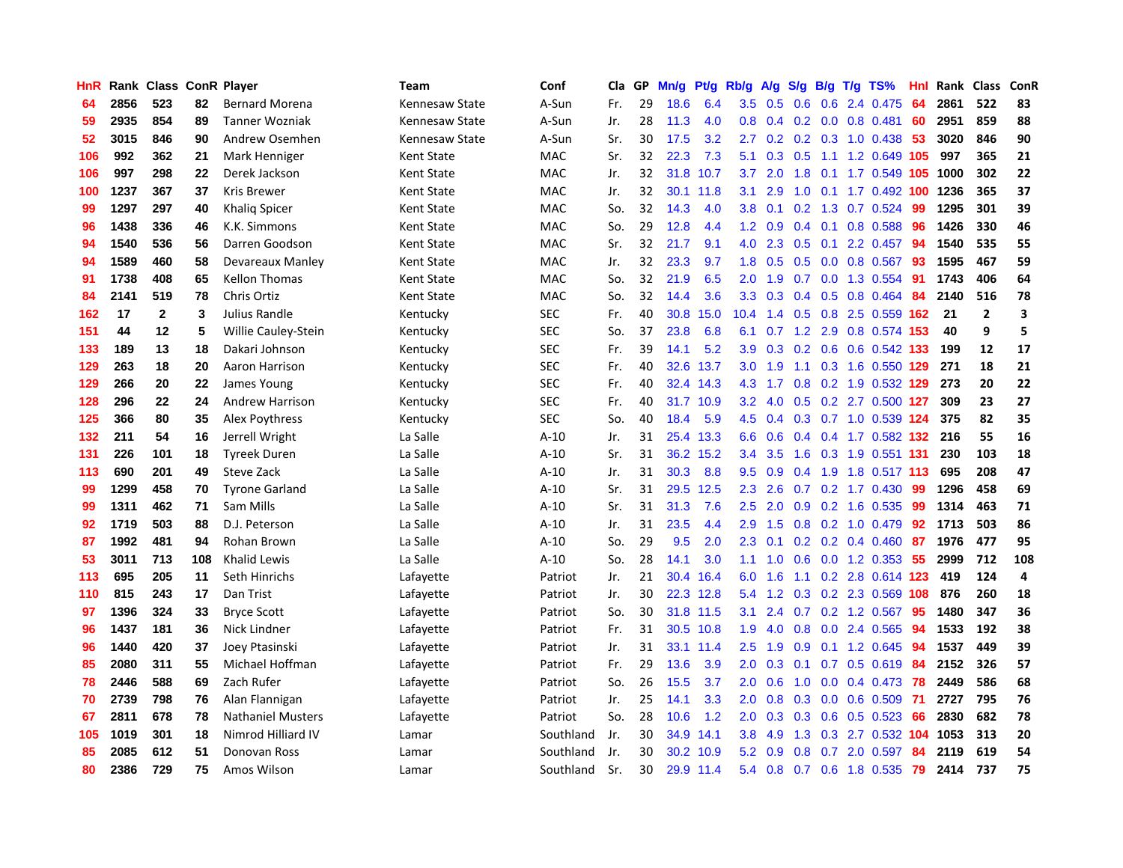| HnR |      | Rank Class ConR Player |     |                          | Team           | Conf       | <b>Cla</b> | GР | Mn/g | Pt/g      | Rb/g             | A/g | S/g              |     | B/g T/g TS%               | Hnl | Rank | <b>Class</b>   | ConR |
|-----|------|------------------------|-----|--------------------------|----------------|------------|------------|----|------|-----------|------------------|-----|------------------|-----|---------------------------|-----|------|----------------|------|
| 64  | 2856 | 523                    | 82  | <b>Bernard Morena</b>    | Kennesaw State | A-Sun      | Fr.        | 29 | 18.6 | 6.4       | 3.5              | 0.5 | 0.6              |     | 0.6 2.4 0.475             | 64  | 2861 | 522            | 83   |
| 59  | 2935 | 854                    | 89  | <b>Tanner Wozniak</b>    | Kennesaw State | A-Sun      | Jr.        | 28 | 11.3 | 4.0       | 0.8 <sub>0</sub> |     |                  |     | $0.4$ 0.2 0.0 0.8 0.481   | 60  | 2951 | 859            | 88   |
| 52  | 3015 | 846                    | 90  | Andrew Osemhen           | Kennesaw State | A-Sun      | Sr.        | 30 | 17.5 | 3.2       | 2.7              | 0.2 |                  |     | $0.2$ $0.3$ 1.0 0.438     | -53 | 3020 | 846            | 90   |
| 106 | 992  | 362                    | 21  | Mark Henniger            | Kent State     | MAC        | Sr.        | 32 | 22.3 | 7.3       | 5.1              | 0.3 | 0.5              |     | 1.1 1.2 0.649 105         |     | 997  | 365            | 21   |
| 106 | 997  | 298                    | 22  | Derek Jackson            | Kent State     | <b>MAC</b> | Jr.        | 32 | 31.8 | 10.7      | 3.7              | 2.0 | 1.8              |     | 0.1 1.7 0.549 105         |     | 1000 | 302            | 22   |
| 100 | 1237 | 367                    | 37  | Kris Brewer              | Kent State     | MAC        | Jr.        | 32 | 30.1 | 11.8      | 3.1              | 2.9 | 1.0              |     | 0.1 1.7 0.492 100 1236    |     |      | 365            | 37   |
| 99  | 1297 | 297                    | 40  | Khalig Spicer            | Kent State     | <b>MAC</b> | So.        | 32 | 14.3 | 4.0       | 3.8 <sub>2</sub> | 0.1 | 0.2              |     | 1.3 0.7 0.524             | 99  | 1295 | 301            | 39   |
| 96  | 1438 | 336                    | 46  | K.K. Simmons             | Kent State     | MAC        | So.        | 29 | 12.8 | 4.4       | 1.2              | 0.9 | 0.4              | 0.1 | 0.8 0.588                 | -96 | 1426 | 330            | 46   |
| 94  | 1540 | 536                    | 56  | Darren Goodson           | Kent State     | <b>MAC</b> | Sr.        | 32 | 21.7 | 9.1       | 4.0              | 2.3 | 0.5              | 0.1 | 2.2 0.457                 | 94  | 1540 | 535            | 55   |
| 94  | 1589 | 460                    | 58  | Devareaux Manley         | Kent State     | MAC        | Jr.        | 32 | 23.3 | 9.7       | 1.8              | 0.5 |                  |     | $0.5$ 0.0 0.8 0.567       | -93 | 1595 | 467            | 59   |
| 91  | 1738 | 408                    | 65  | <b>Kellon Thomas</b>     | Kent State     | <b>MAC</b> | So.        | 32 | 21.9 | 6.5       | 2.0              | 1.9 |                  |     | 0.7 0.0 1.3 0.554 91      |     | 1743 | 406            | 64   |
| 84  | 2141 | 519                    | 78  | Chris Ortiz              | Kent State     | MAC        | So.        | 32 | 14.4 | 3.6       | 3.3              | 0.3 |                  |     | $0.4$ 0.5 0.8 0.464       | 84  | 2140 | 516            | 78   |
| 162 | 17   | $\mathbf{2}$           | 3   | Julius Randle            | Kentucky       | <b>SEC</b> | Fr.        | 40 | 30.8 | 15.0      | 10.4             | 1.4 | 0.5              |     | 0.8 2.5 0.559 162         |     | 21   | $\overline{2}$ | 3    |
| 151 | 44   | 12                     | 5   | Willie Cauley-Stein      | Kentucky       | <b>SEC</b> | So.        | 37 | 23.8 | 6.8       | 6.1              | 0.7 |                  |     | 1.2 2.9 0.8 0.574 153     |     | 40   | 9              | 5    |
| 133 | 189  | 13                     | 18  | Dakari Johnson           | Kentucky       | <b>SEC</b> | Fr.        | 39 | 14.1 | 5.2       | 3.9              | 0.3 | 0.2              |     | 0.6 0.6 0.542 133         |     | 199  | 12             | 17   |
| 129 | 263  | 18                     | 20  | Aaron Harrison           | Kentucky       | <b>SEC</b> | Fr.        | 40 | 32.6 | 13.7      | 3.0 <sub>2</sub> | 1.9 | 1.1              |     | 0.3 1.6 0.550 129         |     | 271  | 18             | 21   |
| 129 | 266  | 20                     | 22  | James Young              | Kentucky       | <b>SEC</b> | Fr.        | 40 | 32.4 | 14.3      | 4.3              | 1.7 | 0.8              |     | 0.2 1.9 0.532 129         |     | 273  | 20             | 22   |
| 128 | 296  | 22                     | 24  | <b>Andrew Harrison</b>   | Kentucky       | <b>SEC</b> | Fr.        | 40 | 31.7 | 10.9      | 3.2 <sub>2</sub> | 4.0 |                  |     | 0.5 0.2 2.7 0.500 127     |     | 309  | 23             | 27   |
| 125 | 366  | 80                     | 35  | Alex Poythress           | Kentucky       | <b>SEC</b> | So.        | 40 | 18.4 | 5.9       | 4.5              |     |                  |     | 0.4 0.3 0.7 1.0 0.539 124 |     | 375  | 82             | 35   |
| 132 | 211  | 54                     | 16  | Jerrell Wright           | La Salle       | $A-10$     | Jr.        | 31 | 25.4 | 13.3      | 6.6              | 0.6 |                  |     | 0.4 0.4 1.7 0.582 132     |     | 216  | 55             | 16   |
| 131 | 226  | 101                    | 18  | <b>Tyreek Duren</b>      | La Salle       | $A-10$     | Sr.        | 31 | 36.2 | 15.2      | $3.4^{\circ}$    | 3.5 | 1.6              |     | 0.3 1.9 0.551 131         |     | 230  | 103            | 18   |
| 113 | 690  | 201                    | 49  | Steve Zack               | La Salle       | $A-10$     | Jr.        | 31 | 30.3 | 8.8       | 9.5              | 0.9 | 0.4              |     | 1.9 1.8 0.517 113         |     | 695  | 208            | 47   |
| 99  | 1299 | 458                    | 70  | <b>Tyrone Garland</b>    | La Salle       | $A-10$     | Sr.        | 31 | 29.5 | 12.5      | 2.3              | 2.6 | 0.7              |     | $0.2$ 1.7 0.430           | 99  | 1296 | 458            | 69   |
| 99  | 1311 | 462                    | 71  | Sam Mills                | La Salle       | $A-10$     | Sr.        | 31 | 31.3 | 7.6       | 2.5              | 2.0 | 0.9 <sub>0</sub> |     | $0.2$ 1.6 0.535           | 99  | 1314 | 463            | 71   |
| 92  | 1719 | 503                    | 88  | D.J. Peterson            | La Salle       | $A-10$     | Jr.        | 31 | 23.5 | 4.4       | 2.9              | 1.5 | 0.8              |     | 0.2 1.0 0.479             | 92  | 1713 | 503            | 86   |
| 87  | 1992 | 481                    | 94  | Rohan Brown              | La Salle       | $A-10$     | So.        | 29 | 9.5  | 2.0       | 2.3              | 0.1 |                  |     | $0.2$ 0.2 0.4 0.460       | -87 | 1976 | 477            | 95   |
| 53  | 3011 | 713                    | 108 | <b>Khalid Lewis</b>      | La Salle       | $A-10$     | So.        | 28 | 14.1 | 3.0       | 1.1              | 1.0 |                  |     | 0.6 0.0 1.2 0.353 55      |     | 2999 | 712            | 108  |
| 113 | 695  | 205                    | 11  | Seth Hinrichs            | Lafayette      | Patriot    | Jr.        | 21 | 30.4 | 16.4      | 6.0              | 1.6 |                  |     | 1.1 0.2 2.8 0.614 123     |     | 419  | 124            | 4    |
| 110 | 815  | 243                    | 17  | Dan Trist                | Lafayette      | Patriot    | Jr.        | 30 | 22.3 | 12.8      | 5.4              | 1.2 | 0.3              |     | 0.2 2.3 0.569 108         |     | 876  | 260            | 18   |
| 97  | 1396 | 324                    | 33  | <b>Bryce Scott</b>       | Lafayette      | Patriot    | So.        | 30 | 31.8 | 11.5      | 3.1              | 2.4 | 0.7              |     | $0.2$ 1.2 0.567           | 95  | 1480 | 347            | 36   |
| 96  | 1437 | 181                    | 36  | Nick Lindner             | Lafayette      | Patriot    | Fr.        | 31 | 30.5 | 10.8      | 1.9              | 4.0 | 0.8              |     | $0.0$ 2.4 $0.565$         | 94  | 1533 | 192            | 38   |
| 96  | 1440 | 420                    | 37  | Joey Ptasinski           | Lafayette      | Patriot    | Jr.        | 31 | 33.1 | 11.4      | 2.5              | 1.9 | 0.9              |     | $0.1$ 1.2 0.645           | 94  | 1537 | 449            | 39   |
| 85  | 2080 | 311                    | 55  | Michael Hoffman          | Lafayette      | Patriot    | Fr.        | 29 | 13.6 | 3.9       | 2.0              | 0.3 | 0.1              |     | $0.7$ 0.5 0.619           | -84 | 2152 | 326            | 57   |
| 78  | 2446 | 588                    | 69  | Zach Rufer               | Lafayette      | Patriot    | So.        | 26 | 15.5 | 3.7       | 2.0 <sub>1</sub> | 0.6 | 1.0              |     | $0.0$ 0.4 0.473 78        |     | 2449 | 586            | 68   |
| 70  | 2739 | 798                    | 76  | Alan Flannigan           | Lafayette      | Patriot    | Jr.        | 25 | 14.1 | 3.3       | 2.0              | 0.8 |                  |     | 0.3 0.0 0.6 0.509 71      |     | 2727 | 795            | 76   |
| 67  | 2811 | 678                    | 78  | <b>Nathaniel Musters</b> | Lafayette      | Patriot    | So.        | 28 | 10.6 | 1.2       | 2.0 <sub>2</sub> | 0.3 | 0.3              |     | $0.6$ 0.5 0.523           | -66 | 2830 | 682            | 78   |
| 105 | 1019 | 301                    | 18  | Nimrod Hilliard IV       | Lamar          | Southland  | Jr.        | 30 | 34.9 | 14.1      | 3.8              | 4.9 | 1.3              |     | 0.3 2.7 0.532 104         |     | 1053 | 313            | 20   |
| 85  | 2085 | 612                    | 51  | Donovan Ross             | Lamar          | Southland  | Jr.        | 30 | 30.2 | 10.9      | 5.2              | 0.9 | 0.8              | 0.7 | 2.0 0.597                 | 84  | 2119 | 619            | 54   |
| 80  | 2386 | 729                    | 75  | Amos Wilson              | Lamar          | Southland  | Sr.        | 30 |      | 29.9 11.4 | 5.4              | 0.8 |                  |     | 0.7 0.6 1.8 0.535         | 79  | 2414 | 737            | 75   |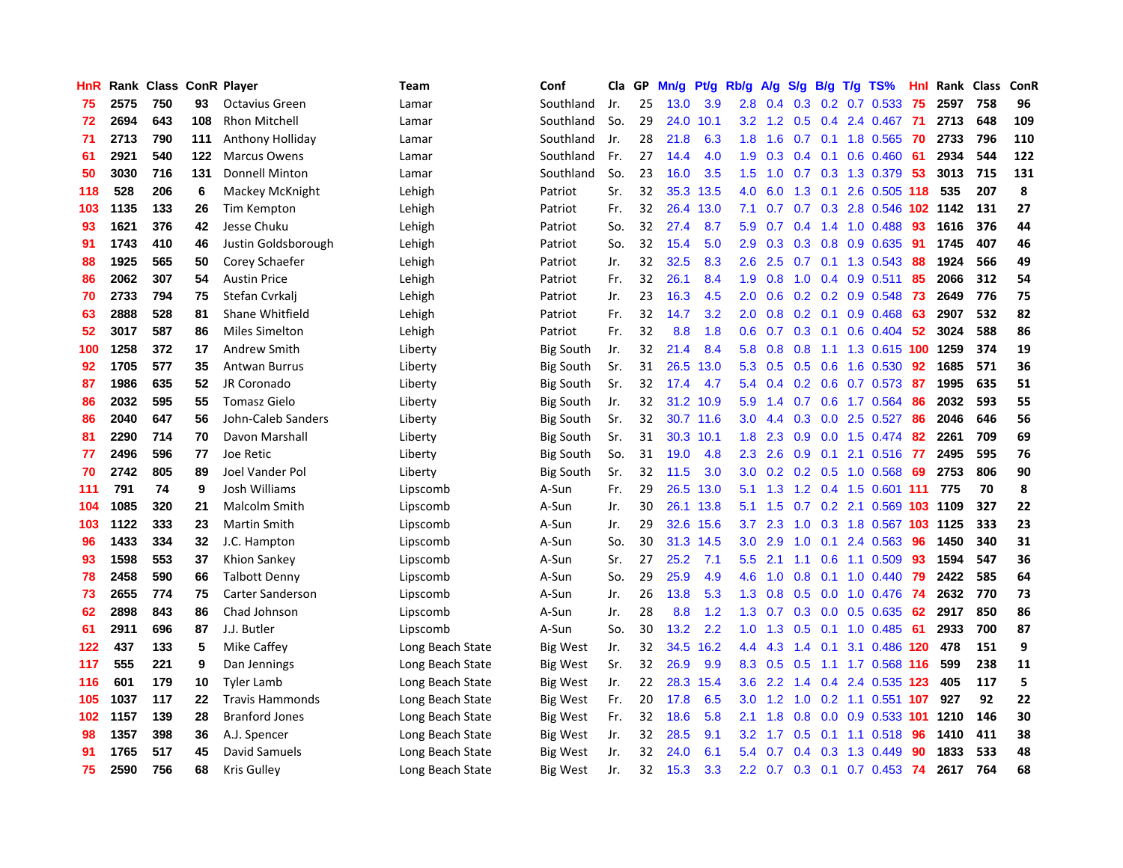| <b>HnR</b> |      | Rank Class ConR Player |     |                        | Team             | Conf             | Cla | GP | Mn/g | <b>Pt/g</b> | Rb/g             | A/g | S/g              | B/g | $T/g$ TS%               | Hnl | Rank Class |     | ConR |
|------------|------|------------------------|-----|------------------------|------------------|------------------|-----|----|------|-------------|------------------|-----|------------------|-----|-------------------------|-----|------------|-----|------|
| 75         | 2575 | 750                    | 93  | <b>Octavius Green</b>  | Lamar            | Southland        | Jr. | 25 | 13.0 | 3.9         | 2.8              | 0.4 | 0.3              | 0.2 | 0.7 0.533               | 75  | 2597       | 758 | 96   |
| 72         | 2694 | 643                    | 108 | <b>Rhon Mitchell</b>   | Lamar            | Southland        | So. | 29 | 24.0 | 10.1        | 3.2 <sub>2</sub> | 1.2 | 0.5              |     | 0.4 2.4 0.467           | -71 | 2713       | 648 | 109  |
| 71         | 2713 | 790                    | 111 | Anthony Holliday       | Lamar            | Southland        | Jr. | 28 | 21.8 | 6.3         | 1.8              | 1.6 |                  |     | 0.7 0.1 1.8 0.565 70    |     | 2733       | 796 | 110  |
| 61         | 2921 | 540                    | 122 | <b>Marcus Owens</b>    | Lamar            | Southland        | Fr. | 27 | 14.4 | 4.0         | 1.9              | 0.3 |                  |     | $0.4$ 0.1 0.6 0.460     | -61 | 2934       | 544 | 122  |
| 50         | 3030 | 716                    | 131 | <b>Donnell Minton</b>  | Lamar            | Southland        | So. | 23 | 16.0 | 3.5         | 1.5              | 1.0 |                  |     | 0.7 0.3 1.3 0.379       | 53  | 3013       | 715 | 131  |
| 118        | 528  | 206                    | 6   | Mackey McKnight        | Lehigh           | Patriot          | Sr. | 32 | 35.3 | 13.5        | 4.0              | 6.0 | 1.3              | 0.1 | 2.6 0.505 118           |     | 535        | 207 | 8    |
| 103        | 1135 | 133                    | 26  | Tim Kempton            | Lehigh           | Patriot          | Fr. | 32 | 26.4 | 13.0        | 7.1              | 0.7 | 0.7              |     | 0.3 2.8 0.546 102       |     | 1142       | 131 | 27   |
| 93         | 1621 | 376                    | 42  | Jesse Chuku            | Lehigh           | Patriot          | So. | 32 | 27.4 | 8.7         | 5.9              | 0.7 | 0.4              |     | 1.4 1.0 0.488           | 93  | 1616       | 376 | 44   |
| 91         | 1743 | 410                    | 46  | Justin Goldsborough    | Lehigh           | Patriot          | So. | 32 | 15.4 | 5.0         | 2.9              | 0.3 | 0.3              | 0.8 | 0.9 0.635               | 91  | 1745       | 407 | 46   |
| 88         | 1925 | 565                    | 50  | Corey Schaefer         | Lehigh           | Patriot          | Jr. | 32 | 32.5 | 8.3         | 2.6              | 2.5 | 0.7              |     | $0.1$ 1.3 0.543         | 88  | 1924       | 566 | 49   |
| 86         | 2062 | 307                    | 54  | <b>Austin Price</b>    | Lehigh           | Patriot          | Fr. | 32 | 26.1 | 8.4         | 1.9              | 0.8 |                  |     | 1.0 0.4 0.9 0.511       | -85 | 2066       | 312 | 54   |
| 70         | 2733 | 794                    | 75  | Stefan Cvrkalj         | Lehigh           | Patriot          | Jr. | 23 | 16.3 | 4.5         | $2.0^{\circ}$    | 0.6 |                  |     | $0.2$ 0.2 0.9 0.548     | -73 | 2649       | 776 | 75   |
| 63         | 2888 | 528                    | 81  | Shane Whitfield        | Lehigh           | Patriot          | Fr. | 32 | 14.7 | 3.2         | 2.0              | 0.8 | 0.2              |     | $0.1$ 0.9 0.468         | -63 | 2907       | 532 | 82   |
| 52         | 3017 | 587                    | 86  | <b>Miles Simelton</b>  | Lehigh           | Patriot          | Fr. | 32 | 8.8  | 1.8         | 0.6              | 0.7 | 0.3              | 0.1 | $0.6$ 0.404             | 52  | 3024       | 588 | 86   |
| 100        | 1258 | 372                    | 17  | Andrew Smith           | Liberty          | Big South        | Jr. | 32 | 21.4 | 8.4         | 5.8              | 0.8 | 0.8              |     | 1.1 1.3 0.615 100 1259  |     |            | 374 | 19   |
| 92         | 1705 | 577                    | 35  | Antwan Burrus          | Liberty          | Big South        | Sr. | 31 | 26.5 | 13.0        | 5.3              | 0.5 | 0.5              |     | $0.6$ 1.6 $0.530$       | 92  | 1685       | 571 | 36   |
| 87         | 1986 | 635                    | 52  | JR Coronado            | Liberty          | Big South        | Sr. | 32 | 17.4 | 4.7         | 5.4              | 0.4 | 0.2 <sub>0</sub> |     | $0.6$ 0.7 0.573         | -87 | 1995       | 635 | 51   |
| 86         | 2032 | 595                    | 55  | <b>Tomasz Gielo</b>    | Liberty          | <b>Big South</b> | Jr. | 32 | 31.2 | 10.9        | 5.9              | 1.4 | 0.7              |     | 0.6 1.7 0.564           | 86  | 2032       | 593 | 55   |
| 86         | 2040 | 647                    | 56  | John-Caleb Sanders     | Liberty          | <b>Big South</b> | Sr. | 32 |      | 30.7 11.6   | 3.0 <sub>2</sub> | 4.4 | 0.3              |     | $0.0$ 2.5 $0.527$       | 86  | 2046       | 646 | 56   |
| 81         | 2290 | 714                    | 70  | Davon Marshall         | Liberty          | <b>Big South</b> | Sr. | 31 | 30.3 | 10.1        | 1.8              | 2.3 | 0.9 <sub>0</sub> |     | $0.0$ 1.5 $0.474$       | -82 | 2261       | 709 | 69   |
| 77         | 2496 | 596                    | 77  | Joe Retic              | Liberty          | <b>Big South</b> | So. | 31 | 19.0 | 4.8         | 2.3              | 2.6 | 0.9              |     | $0.1$ 2.1 $0.516$ 77    |     | 2495       | 595 | 76   |
| 70         | 2742 | 805                    | 89  | Joel Vander Pol        | Liberty          | <b>Big South</b> | Sr. | 32 | 11.5 | 3.0         | 3.0              | 0.2 | 0.2              |     | $0.5$ 1.0 0.568         | 69  | 2753       | 806 | 90   |
| 111        | 791  | 74                     | 9   | Josh Williams          | Lipscomb         | A-Sun            | Fr. | 29 | 26.5 | 13.0        | 5.1              | 1.3 | 1.2              |     | 0.4 1.5 0.601 111       |     | 775        | 70  | 8    |
| 104        | 1085 | 320                    | 21  | <b>Malcolm Smith</b>   | Lipscomb         | A-Sun            | Jr. | 30 | 26.1 | 13.8        | 5.1              | 1.5 | 0.7              |     | 0.2 2.1 0.569           | 103 | 1109       | 327 | 22   |
| 103        | 1122 | 333                    | 23  | Martin Smith           | Lipscomb         | A-Sun            | Jr. | 29 | 32.6 | 15.6        | 3.7 <sub>2</sub> | 2.3 | 1.0              |     | 0.3 1.8 0.567 103       |     | 1125       | 333 | 23   |
| 96         | 1433 | 334                    | 32  | J.C. Hampton           | Lipscomb         | A-Sun            | So. | 30 | 31.3 | 14.5        | 3.0 <sub>2</sub> | 2.9 | 1.0              | 0.1 | 2.4 0.563               | 96  | 1450       | 340 | 31   |
| 93         | 1598 | 553                    | 37  | Khion Sankey           | Lipscomb         | A-Sun            | Sr. | 27 | 25.2 | 7.1         | 5.5              | 2.1 | 1.1              |     | 0.6 1.1 0.509           | -93 | 1594       | 547 | 36   |
| 78         | 2458 | 590                    | 66  | <b>Talbott Denny</b>   | Lipscomb         | A-Sun            | So. | 29 | 25.9 | 4.9         | 4.6              | 1.0 | 0.8              |     | $0.1$ 1.0 0.440         | 79  | 2422       | 585 | 64   |
| 73         | 2655 | 774                    | 75  | Carter Sanderson       | Lipscomb         | A-Sun            | Jr. | 26 | 13.8 | 5.3         | 1.3              | 0.8 | 0.5              |     | 0.0 1.0 0.476 74        |     | 2632       | 770 | 73   |
| 62         | 2898 | 843                    | 86  | Chad Johnson           | Lipscomb         | A-Sun            | Jr. | 28 | 8.8  | 1.2         | 1.3              | 0.7 | 0.3              |     | $0.0$ $0.5$ $0.635$     | 62  | 2917       | 850 | 86   |
| 61         | 2911 | 696                    | 87  | J.J. Butler            | Lipscomb         | A-Sun            | So. | 30 | 13.2 | 2.2         | 1.0              | 1.3 | 0.5              |     | $0.1$ 1.0 0.485         | -61 | 2933       | 700 | 87   |
| 122        | 437  | 133                    | 5   | Mike Caffey            | Long Beach State | Big West         | Jr. | 32 | 34.5 | 16.2        | 4.4              | 4.3 | 1.4              | 0.1 | 3.1 0.486 120           |     | 478        | 151 | 9    |
| 117        | 555  | 221                    | 9   | Dan Jennings           | Long Beach State | Big West         | Sr. | 32 | 26.9 | 9.9         | 8.3              | 0.5 | 0.5              |     | 1.1 1.7 0.568 116       |     | 599        | 238 | 11   |
| 116        | 601  | 179                    | 10  | <b>Tyler Lamb</b>      | Long Beach State | Big West         | Jr. | 22 | 28.3 | 15.4        | 3.6              | 2.2 | 1.4              | 0.4 | 2.4 0.535 123           |     | 405        | 117 | 5    |
| 105        | 1037 | 117                    | 22  | <b>Travis Hammonds</b> | Long Beach State | <b>Big West</b>  | Fr. | 20 | 17.8 | 6.5         | 3.0 <sub>2</sub> | 1.2 | 1.0              |     | $0.2$ 1.1 0.551 107     |     | 927        | 92  | 22   |
| 102        | 1157 | 139                    | 28  | <b>Branford Jones</b>  | Long Beach State | <b>Big West</b>  | Fr. | 32 | 18.6 | 5.8         | 2.1              | 1.8 | 0.8              |     | $0.0$ $0.9$ $0.533$ 101 |     | 1210       | 146 | 30   |
| 98         | 1357 | 398                    | 36  | A.J. Spencer           | Long Beach State | Big West         | Jr. | 32 | 28.5 | 9.1         | 3.2 <sub>2</sub> | 1.7 | 0.5              |     | $0.1$ 1.1 0.518         | -96 | 1410       | 411 | 38   |
| 91         | 1765 | 517                    | 45  | David Samuels          | Long Beach State | Big West         | Jr. | 32 | 24.0 | 6.1         | 5.4              | 0.7 | 0.4              |     | 0.3 1.3 0.449           | 90  | 1833       | 533 | 48   |
| 75         | 2590 | 756                    | 68  | Kris Gulley            | Long Beach State | <b>Big West</b>  | Jr. | 32 | 15.3 | 3.3         | $2.2^{\circ}$    | 0.7 | 0.3              | 0.1 | $0.7$ 0.453             | 74  | 2617       | 764 | 68   |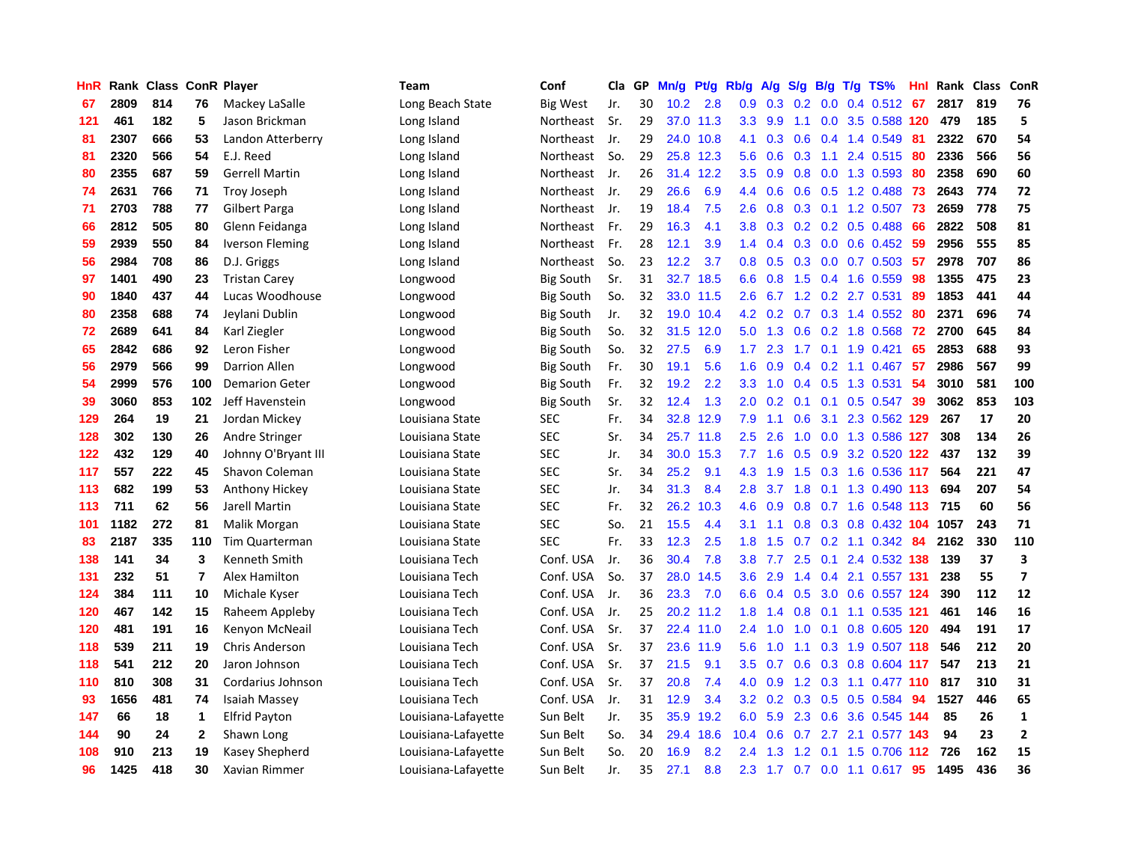| HnR |      | Rank Class ConR Player |                |                        | Team                | Conf             | Cla | GP | Mn/g              | Pf/g      | Rb/g             | A/g | S/g           | B/g              | $T/g$ TS%               | Hnl | Rank Class |     | ConR           |
|-----|------|------------------------|----------------|------------------------|---------------------|------------------|-----|----|-------------------|-----------|------------------|-----|---------------|------------------|-------------------------|-----|------------|-----|----------------|
| 67  | 2809 | 814                    | 76             | Mackey LaSalle         | Long Beach State    | <b>Big West</b>  | Jr. | 30 | 10.2              | 2.8       | 0.9              | 0.3 | 0.2           | 0.0 <sub>1</sub> | $0.4$ 0.512             | -67 | 2817       | 819 | 76             |
| 121 | 461  | 182                    | 5              | Jason Brickman         | Long Island         | Northeast        | Sr. | 29 |                   | 37.0 11.3 | 3.3 <sub>2</sub> | 9.9 | 1.1           |                  | 0.0 3.5 0.588 120       |     | 479        | 185 | 5              |
| 81  | 2307 | 666                    | 53             | Landon Atterberry      | Long Island         | Northeast        | Jr. | 29 |                   | 24.0 10.8 | 4.1              | 0.3 |               |                  | $0.6$ 0.4 1.4 0.549     | -81 | 2322       | 670 | 54             |
| 81  | 2320 | 566                    | 54             | E.J. Reed              | Long Island         | Northeast        | So. | 29 | 25.8              | 12.3      | 5.6              | 0.6 |               |                  | $0.3$ 1.1 2.4 0.515     | -80 | 2336       | 566 | 56             |
| 80  | 2355 | 687                    | 59             | <b>Gerrell Martin</b>  | Long Island         | Northeast        | Jr. | 26 | 31.4              | 12.2      | 3.5              | 0.9 | 0.8           |                  | $0.0$ 1.3 0.593         | -80 | 2358       | 690 | 60             |
| 74  | 2631 | 766                    | 71             | <b>Troy Joseph</b>     | Long Island         | Northeast        | Jr. | 29 | 26.6              | 6.9       | 4.4              | 0.6 | 0.6           |                  | 0.5 1.2 0.488           | 73  | 2643       | 774 | 72             |
| 71  | 2703 | 788                    | 77             | <b>Gilbert Parga</b>   | Long Island         | Northeast        | Jr. | 19 | 18.4              | 7.5       | 2.6              | 0.8 |               |                  | 0.3 0.1 1.2 0.507       | 73  | 2659       | 778 | 75             |
| 66  | 2812 | 505                    | 80             | Glenn Feidanga         | Long Island         | Northeast        | Fr. | 29 | 16.3              | 4.1       | 3.8              | 0.3 |               |                  | $0.2$ 0.2 0.5 0.488     | -66 | 2822       | 508 | 81             |
| 59  | 2939 | 550                    | 84             | <b>Iverson Fleming</b> | Long Island         | Northeast        | Fr. | 28 | 12.1              | 3.9       | 1.4              | 0.4 | 0.3           |                  | $0.0$ 0.6 0.452         | -59 | 2956       | 555 | 85             |
| 56  | 2984 | 708                    | 86             | D.J. Griggs            | Long Island         | Northeast        | So. | 23 | 12.2              | 3.7       | 0.8              | 0.5 | 0.3           |                  | $0.0$ 0.7 0.503         | -57 | 2978       | 707 | 86             |
| 97  | 1401 | 490                    | 23             | <b>Tristan Carey</b>   | Longwood            | <b>Big South</b> | Sr. | 31 | 32.7              | 18.5      | 6.6              | 0.8 |               |                  | 1.5 0.4 1.6 0.559       | -98 | 1355       | 475 | 23             |
| 90  | 1840 | 437                    | 44             | Lucas Woodhouse        | Longwood            | <b>Big South</b> | So. | 32 |                   | 33.0 11.5 | $2.6^{\circ}$    |     |               |                  | 6.7 1.2 0.2 2.7 0.531   | -89 | 1853       | 441 | 44             |
| 80  | 2358 | 688                    | 74             | Jeylani Dublin         | Longwood            | Big South        | Jr. | 32 | 19.0              | 10.4      | 4.2              | 0.2 |               |                  | $0.7$ $0.3$ 1.4 $0.552$ | -80 | 2371       | 696 | 74             |
| 72  | 2689 | 641                    | 84             | Karl Ziegler           | Longwood            | <b>Big South</b> | So. | 32 | 31.5              | 12.0      | 5.0              | 1.3 | 0.6           |                  | 0.2 1.8 0.568           | -72 | 2700       | 645 | 84             |
| 65  | 2842 | 686                    | 92             | Leron Fisher           | Longwood            | <b>Big South</b> | So. | 32 | 27.5              | 6.9       | 1.7              | 2.3 | 1.7           |                  | $0.1$ 1.9 0.421         | 65  | 2853       | 688 | 93             |
| 56  | 2979 | 566                    | 99             | <b>Darrion Allen</b>   | Longwood            | <b>Big South</b> | Fr. | 30 | 19.1              | 5.6       | 1.6              | 0.9 | $0.4^{\circ}$ |                  | $0.2$ 1.1 0.467         | 57  | 2986       | 567 | 99             |
| 54  | 2999 | 576                    | 100            | <b>Demarion Geter</b>  | Longwood            | <b>Big South</b> | Fr. | 32 | 19.2              | 2.2       | 3.3              | 1.0 | 0.4           |                  | $0.5$ 1.3 0.531         | -54 | 3010       | 581 | 100            |
| 39  | 3060 | 853                    | 102            | Jeff Havenstein        | Longwood            | <b>Big South</b> | Sr. | 32 | 12.4              | 1.3       | 2.0              | 0.2 | 0.1           | 0.1              | $0.5$ 0.547             | 39  | 3062       | 853 | 103            |
| 129 | 264  | 19                     | 21             | Jordan Mickey          | Louisiana State     | <b>SEC</b>       | Fr. | 34 |                   | 32.8 12.9 | 7.9              | 1.1 | 0.6           |                  | 3.1 2.3 0.562 129       |     | 267        | 17  | 20             |
| 128 | 302  | 130                    | 26             | Andre Stringer         | Louisiana State     | <b>SEC</b>       | Sr. | 34 |                   | 25.7 11.8 | 2.5              | 2.6 | 1.0           |                  | 0.0 1.3 0.586 127       |     | 308        | 134 | 26             |
| 122 | 432  | 129                    | 40             | Johnny O'Bryant III    | Louisiana State     | <b>SEC</b>       | Jr. | 34 | 30.0 <sub>1</sub> | 15.3      | 7.7              | 1.6 | 0.5           |                  | 0.9 3.2 0.520 122       |     | 437        | 132 | 39             |
| 117 | 557  | 222                    | 45             | Shavon Coleman         | Louisiana State     | <b>SEC</b>       | Sr. | 34 | 25.2              | 9.1       | 4.3              | 1.9 | 1.5           |                  | 0.3 1.6 0.536 117       |     | 564        | 221 | 47             |
| 113 | 682  | 199                    | 53             | Anthony Hickey         | Louisiana State     | <b>SEC</b>       | Jr. | 34 | 31.3              | 8.4       | 2.8              | 3.7 | 1.8           |                  | 0.1 1.3 0.490 113       |     | 694        | 207 | 54             |
| 113 | 711  | 62                     | 56             | Jarell Martin          | Louisiana State     | <b>SEC</b>       | Fr. | 32 | 26.2              | 10.3      | 4.6              | 0.9 | 0.8           |                  | 0.7 1.6 0.548 113       |     | 715        | 60  | 56             |
| 101 | 1182 | 272                    | 81             | Malik Morgan           | Louisiana State     | <b>SEC</b>       | So. | 21 | 15.5              | 4.4       | 3.1              | 1.1 | 0.8           |                  | 0.3 0.8 0.432 104       |     | 1057       | 243 | 71             |
| 83  | 2187 | 335                    | 110            | Tim Quarterman         | Louisiana State     | <b>SEC</b>       | Fr. | 33 | 12.3              | 2.5       | 1.8              | 1.5 | 0.7           |                  | $0.2$ 1.1 $0.342$       | -84 | 2162       | 330 | 110            |
| 138 | 141  | 34                     | 3              | Kenneth Smith          | Louisiana Tech      | Conf. USA        | Jr. | 36 | 30.4              | 7.8       | 3.8 <sub>2</sub> | 7.7 | 2.5           |                  | $0.1$ 2.4 0.532 138     |     | 139        | 37  | 3              |
| 131 | 232  | 51                     | $\overline{7}$ | Alex Hamilton          | Louisiana Tech      | Conf. USA        | So. | 37 | 28.0              | 14.5      | 3.6              | 2.9 |               |                  | 1.4 0.4 2.1 0.557 131   |     | 238        | 55  | $\overline{ }$ |
| 124 | 384  | 111                    | 10             | Michale Kyser          | Louisiana Tech      | Conf. USA        | Jr. | 36 | 23.3              | 7.0       | 6.6              | 0.4 | 0.5           |                  | 3.0 0.6 0.557 124       |     | 390        | 112 | 12             |
| 120 | 467  | 142                    | 15             | Raheem Appleby         | Louisiana Tech      | Conf. USA        | Jr. | 25 | 20.2              | 11.2      | 1.8              | 1.4 | 0.8           |                  | 0.1 1.1 0.535 121       |     | 461        | 146 | 16             |
| 120 | 481  | 191                    | 16             | Kenyon McNeail         | Louisiana Tech      | Conf. USA        | Sr. | 37 | 22.4              | 11.0      | 2.4              | 1.0 | 1.0           |                  | 0.1 0.8 0.605 120       |     | 494        | 191 | 17             |
| 118 | 539  | 211                    | 19             | <b>Chris Anderson</b>  | Louisiana Tech      | Conf. USA        | Sr. | 37 | 23.6              | 11.9      | 5.6              | 1.0 | 1.1           |                  | 0.3 1.9 0.507 118       |     | 546        | 212 | 20             |
| 118 | 541  | 212                    | 20             | Jaron Johnson          | Louisiana Tech      | Conf. USA        | Sr. | 37 | 21.5              | 9.1       | 3.5              | 0.7 | 0.6           | 0.3              | 0.8 0.604 117           |     | 547        | 213 | 21             |
| 110 | 810  | 308                    | 31             | Cordarius Johnson      | Louisiana Tech      | Conf. USA        | Sr. | 37 | 20.8              | 7.4       | 4.0              | 0.9 | 1.2           |                  | 0.3 1.1 0.477 110       |     | 817        | 310 | 31             |
| 93  | 1656 | 481                    | 74             | Isaiah Massey          | Louisiana Tech      | Conf. USA        | Jr. | 31 | 12.9              | 3.4       | 3.2              | 0.2 | 0.3           |                  | $0.5$ 0.5 0.584         | 94  | 1527       | 446 | 65             |
| 147 | 66   | 18                     | $\mathbf 1$    | <b>Elfrid Payton</b>   | Louisiana-Lafayette | Sun Belt         | Jr. | 35 |                   | 35.9 19.2 | 6.0              | 5.9 |               |                  | 2.3 0.6 3.6 0.545 144   |     | 85         | 26  | $\mathbf{1}$   |
| 144 | 90   | 24                     | 2              | Shawn Long             | Louisiana-Lafayette | Sun Belt         | So. | 34 | 29.4              | 18.6      | 10.4             | 0.6 | 0.7           | 2.7              | 2.1 0.577 143           |     | 94         | 23  | $\overline{2}$ |
| 108 | 910  | 213                    | 19             | Kasey Shepherd         | Louisiana-Lafayette | Sun Belt         | So. | 20 | 16.9              | 8.2       | 2.4              | 1.3 | $1.2^{\circ}$ | 0.1              | 1.5 0.706 112           |     | 726        | 162 | 15             |
| 96  | 1425 | 418                    | 30             | <b>Xavian Rimmer</b>   | Louisiana-Lafayette | Sun Belt         | Jr. | 35 | 27.1              | 8.8       | 2.3              | 1.7 | 0.7           |                  | $0.0$ 1.1 $0.617$       | 95  | 1495       | 436 | 36             |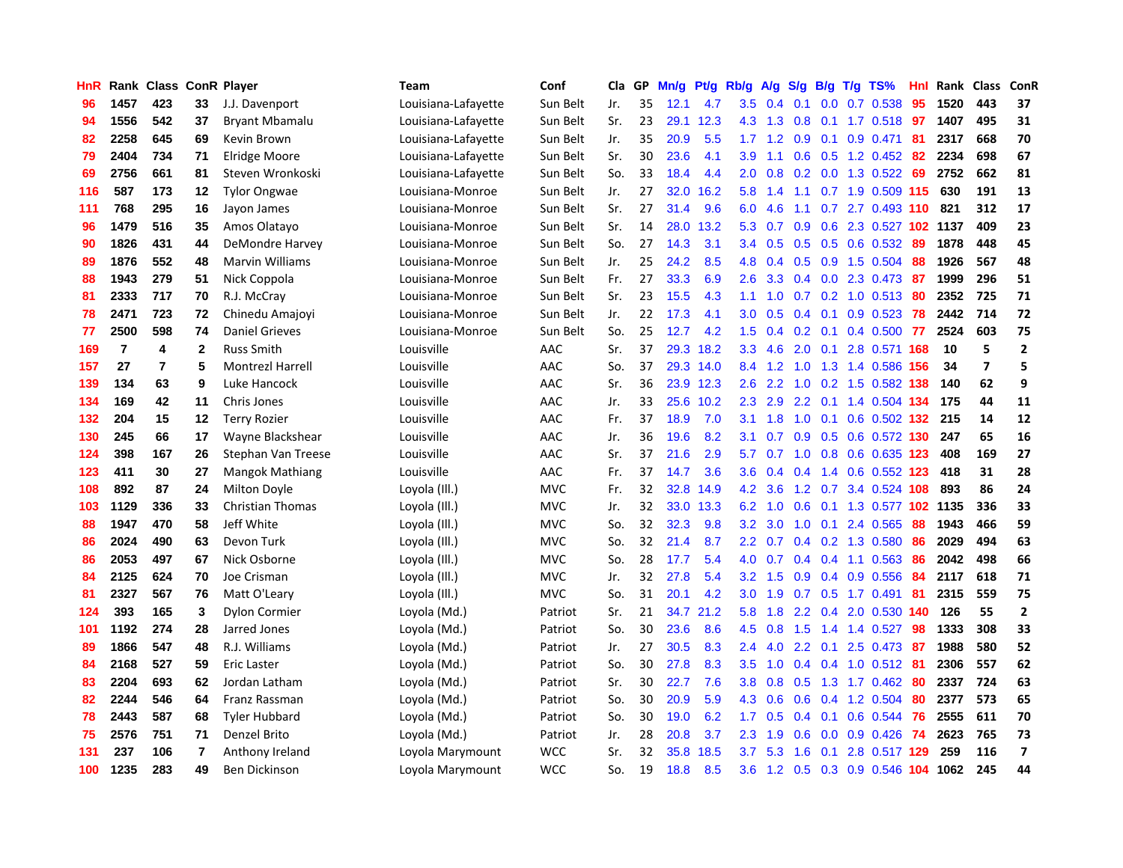| HnR |                | Rank Class ConR Player |              |                         | <b>Team</b>         | Conf       | Cla | GP | Mn/g | Pt/g | Rb/g             | A/g             | S/g              | B/g | $T/g$ TS%                 | Hnl | Rank Class |                         | ConR           |
|-----|----------------|------------------------|--------------|-------------------------|---------------------|------------|-----|----|------|------|------------------|-----------------|------------------|-----|---------------------------|-----|------------|-------------------------|----------------|
| 96  | 1457           | 423                    | 33           | J.J. Davenport          | Louisiana-Lafayette | Sun Belt   | Jr. | 35 | 12.1 | 4.7  | 3.5              | 0.4             | 0.1              | 0.0 | 0.7 0.538                 | 95  | 1520       | 443                     | 37             |
| 94  | 1556           | 542                    | 37           | <b>Bryant Mbamalu</b>   | Louisiana-Lafayette | Sun Belt   | Sr. | 23 | 29.1 | 12.3 | 4.3              | 1.3             | 0.8              |     | $0.1$ 1.7 0.518 <b>97</b> |     | 1407       | 495                     | 31             |
| 82  | 2258           | 645                    | 69           | Kevin Brown             | Louisiana-Lafayette | Sun Belt   | Jr. | 35 | 20.9 | 5.5  | 1.7 <sub>z</sub> | 1.2             | 0.9              |     | $0.1$ 0.9 0.471           | -81 | 2317       | 668                     | 70             |
| 79  | 2404           | 734                    | 71           | Elridge Moore           | Louisiana-Lafayette | Sun Belt   | Sr. | 30 | 23.6 | 4.1  | 3.9 <sup>°</sup> | 1.1             |                  |     | 0.6 0.5 1.2 0.452 82      |     | 2234       | 698                     | 67             |
| 69  | 2756           | 661                    | 81           | Steven Wronkoski        | Louisiana-Lafayette | Sun Belt   | So. | 33 | 18.4 | 4.4  | 2.0              | 0.8             | 0.2              |     | $0.0$ 1.3 0.522           | -69 | 2752       | 662                     | 81             |
| 116 | 587            | 173                    | 12           | <b>Tylor Ongwae</b>     | Louisiana-Monroe    | Sun Belt   | Jr. | 27 | 32.0 | 16.2 | 5.8              | 1.4             | 1.1              |     | 0.7 1.9 0.509 115         |     | 630        | 191                     | 13             |
| 111 | 768            | 295                    | 16           | Jayon James             | Louisiana-Monroe    | Sun Belt   | Sr. | 27 | 31.4 | 9.6  | 6.0              | 4.6             | 1.1              |     | 0.7 2.7 0.493 110         |     | 821        | 312                     | 17             |
| 96  | 1479           | 516                    | 35           | Amos Olatayo            | Louisiana-Monroe    | Sun Belt   | Sr. | 14 | 28.0 | 13.2 | 5.3              | 0.7             | 0.9 <sub>0</sub> |     | 0.6 2.3 0.527 102 1137    |     |            | 409                     | 23             |
| 90  | 1826           | 431                    | 44           | DeMondre Harvey         | Louisiana-Monroe    | Sun Belt   | So. | 27 | 14.3 | 3.1  | 3.4              | 0.5             | 0.5              |     | 0.5 0.6 0.532             | 89  | 1878       | 448                     | 45             |
| 89  | 1876           | 552                    | 48           | <b>Marvin Williams</b>  | Louisiana-Monroe    | Sun Belt   | Jr. | 25 | 24.2 | 8.5  | 4.8              | 0.4             | 0.5              |     | $0.9$ 1.5 $0.504$         | -88 | 1926       | 567                     | 48             |
| 88  | 1943           | 279                    | 51           | Nick Coppola            | Louisiana-Monroe    | Sun Belt   | Fr. | 27 | 33.3 | 6.9  | 2.6              | 3.3             |                  |     | 0.4 0.0 2.3 0.473 87      |     | 1999       | 296                     | 51             |
| 81  | 2333           | 717                    | 70           | R.J. McCray             | Louisiana-Monroe    | Sun Belt   | Sr. | 23 | 15.5 | 4.3  | 1.1              |                 |                  |     | 1.0 0.7 0.2 1.0 0.513 80  |     | 2352       | 725                     | 71             |
| 78  | 2471           | 723                    | 72           | Chinedu Amajoyi         | Louisiana-Monroe    | Sun Belt   | Jr. | 22 | 17.3 | 4.1  | 3.0 <sub>2</sub> | 0.5             | $0.4^{\circ}$    |     | $0.1$ 0.9 0.523           | 78  | 2442       | 714                     | 72             |
| 77  | 2500           | 598                    | 74           | <b>Daniel Grieves</b>   | Louisiana-Monroe    | Sun Belt   | So. | 25 | 12.7 | 4.2  | 1.5              | 0.4             | 0.2 <sub>0</sub> |     | $0.1$ 0.4 0.500           | -77 | 2524       | 603                     | 75             |
| 169 | $\overline{7}$ | 4                      | $\mathbf{2}$ | <b>Russ Smith</b>       | Louisville          | AAC        | Sr. | 37 | 29.3 | 18.2 | 3.3              | 4.6             | 2.0              |     | 0.1 2.8 0.571 168         |     | 10         | 5                       | $\mathbf{2}$   |
| 157 | 27             | 7                      | 5            | <b>Montrezl Harrell</b> | Louisville          | AAC        | So. | 37 | 29.3 | 14.0 | 8.4              | 1.2             | 1.0              |     | 1.3 1.4 0.586 156         |     | 34         | $\overline{\mathbf{z}}$ | 5              |
| 139 | 134            | 63                     | 9            | Luke Hancock            | Louisville          | AAC        | Sr. | 36 | 23.9 | 12.3 | 2.6              | 2.2             | 1.0              |     | 0.2 1.5 0.582 138         |     | 140        | 62                      | 9              |
| 134 | 169            | 42                     | 11           | Chris Jones             | Louisville          | AAC        | Jr. | 33 | 25.6 | 10.2 | 2.3              | 2.9             | 2.2              |     | 0.1 1.4 0.504 134         |     | 175        | 44                      | 11             |
| 132 | 204            | 15                     | 12           | <b>Terry Rozier</b>     | Louisville          | AAC        | Fr. | 37 | 18.9 | 7.0  | 3.1              | 1.8             | 1.0              |     | 0.1 0.6 0.502 132 215     |     |            | 14                      | 12             |
| 130 | 245            | 66                     | 17           | Wayne Blackshear        | Louisville          | AAC        | Jr. | 36 | 19.6 | 8.2  | 3.1              | 0.7             |                  |     | 0.9 0.5 0.6 0.572 130 247 |     |            | 65                      | 16             |
| 124 | 398            | 167                    | 26           | Stephan Van Treese      | Louisville          | AAC        | Sr. | 37 | 21.6 | 2.9  | 5.7              |                 | $0.7 \quad 1.0$  |     | 0.8 0.6 0.635 123         |     | 408        | 169                     | 27             |
| 123 | 411            | 30                     | 27           | Mangok Mathiang         | Louisville          | AAC        | Fr. | 37 | 14.7 | 3.6  | 3.6              | 0.4             |                  |     | 0.4 1.4 0.6 0.552 123     |     | 418        | 31                      | 28             |
| 108 | 892            | 87                     | 24           | <b>Milton Doyle</b>     | Loyola (III.)       | <b>MVC</b> | Fr. | 32 | 32.8 | 14.9 | 4.2              | 3.6             |                  |     | 1.2 0.7 3.4 0.524 108     |     | 893        | 86                      | 24             |
| 103 | 1129           | 336                    | 33           | <b>Christian Thomas</b> | Loyola (Ill.)       | <b>MVC</b> | Jr. | 32 | 33.0 | 13.3 | 6.2              | 1.0             | 0.6              |     | 0.1 1.3 0.577 102         |     | 1135       | 336                     | 33             |
| 88  | 1947           | 470                    | 58           | Jeff White              | Loyola (Ill.)       | <b>MVC</b> | So. | 32 | 32.3 | 9.8  | 3.2              | 3.0             | 1.0              |     | $0.1$ 2.4 $0.565$         | 88  | 1943       | 466                     | 59             |
| 86  | 2024           | 490                    | 63           | Devon Turk              | Loyola (Ill.)       | <b>MVC</b> | So. | 32 | 21.4 | 8.7  | 2.2              | 0.7             | $0.4^{\circ}$    |     | 0.2 1.3 0.580             | 86  | 2029       | 494                     | 63             |
| 86  | 2053           | 497                    | 67           | Nick Osborne            | Loyola (Ill.)       | <b>MVC</b> | So. | 28 | 17.7 | 5.4  | 4.0              | 0.7             | 0.4              |     | $0.4$ 1.1 0.563           | -86 | 2042       | 498                     | 66             |
| 84  | 2125           | 624                    | 70           | Joe Crisman             | Loyola (Ill.)       | <b>MVC</b> | Jr. | 32 | 27.8 | 5.4  | 3.2              | 1.5             |                  |     | 0.9 0.4 0.9 0.556 84      |     | 2117       | 618                     | 71             |
| 81  | 2327           | 567                    | 76           | Matt O'Leary            | Loyola (Ill.)       | <b>MVC</b> | So. | 31 | 20.1 | 4.2  | 3.0 <sub>2</sub> | 1.9             |                  |     | $0.7$ $0.5$ 1.7 $0.491$   | -81 | 2315       | 559                     | 75             |
| 124 | 393            | 165                    | 3            | <b>Dylon Cormier</b>    | Loyola (Md.)        | Patriot    | Sr. | 21 | 34.7 | 21.2 | 5.8              | 1.8             | 2.2              |     | 0.4 2.0 0.530 140         |     | 126        | 55                      | $\overline{2}$ |
| 101 | 1192           | 274                    | 28           | Jarred Jones            | Loyola (Md.)        | Patriot    | So. | 30 | 23.6 | 8.6  | 4.5              | 0.8             | 1.5              |     | 1.4 1.4 0.527             | 98  | 1333       | 308                     | 33             |
| 89  | 1866           | 547                    | 48           | R.J. Williams           | Loyola (Md.)        | Patriot    | Jr. | 27 | 30.5 | 8.3  | 2.4              | 4.0             | 2.2              | 0.1 | 2.5 0.473                 | -87 | 1988       | 580                     | 52             |
| 84  | 2168           | 527                    | 59           | Eric Laster             | Loyola (Md.)        | Patriot    | So. | 30 | 27.8 | 8.3  | 3.5              | 1.0             | 0.4              |     | $0.4$ 1.0 $0.512$         | -81 | 2306       | 557                     | 62             |
| 83  | 2204           | 693                    | 62           | Jordan Latham           | Loyola (Md.)        | Patriot    | Sr. | 30 | 22.7 | 7.6  | 3.8              | 0.8             | 0.5              |     | 1.3 1.7 0.462             | -80 | 2337       | 724                     | 63             |
| 82  | 2244           | 546                    | 64           | Franz Rassman           | Loyola (Md.)        | Patriot    | So. | 30 | 20.9 | 5.9  | 4.3              | 0.6             | 0.6              |     | 0.4 1.2 0.504             | 80  | 2377       | 573                     | 65             |
| 78  | 2443           | 587                    | 68           | <b>Tyler Hubbard</b>    | Loyola (Md.)        | Patriot    | So. | 30 | 19.0 | 6.2  | 1.7 <sub>z</sub> | 0.5             | 0.4              |     | $0.1$ 0.6 0.544           | -76 | 2555       | 611                     | 70             |
| 75  | 2576           | 751                    | 71           | Denzel Brito            | Loyola (Md.)        | Patriot    | Jr. | 28 | 20.8 | 3.7  | 2.3              | 1.9             | 0.6              |     | $0.0$ $0.9$ $0.426$       | -74 | 2623       | 765                     | 73             |
| 131 | 237            | 106                    | 7            | Anthony Ireland         | Loyola Marymount    | <b>WCC</b> | Sr. | 32 | 35.8 | 18.5 | 3.7 <sub>2</sub> | 5.3             | 1.6              | 0.1 | 2.8 0.517 129             |     | 259        | 116                     | $\overline{ }$ |
| 100 | 1235           | 283                    | 49           | <b>Ben Dickinson</b>    | Loyola Marymount    | <b>WCC</b> | So. | 19 | 18.8 | 8.5  | 3.6              | $1.2 \quad 0.5$ |                  |     | 0.3 0.9 0.546 104         |     | 1062       | 245                     | 44             |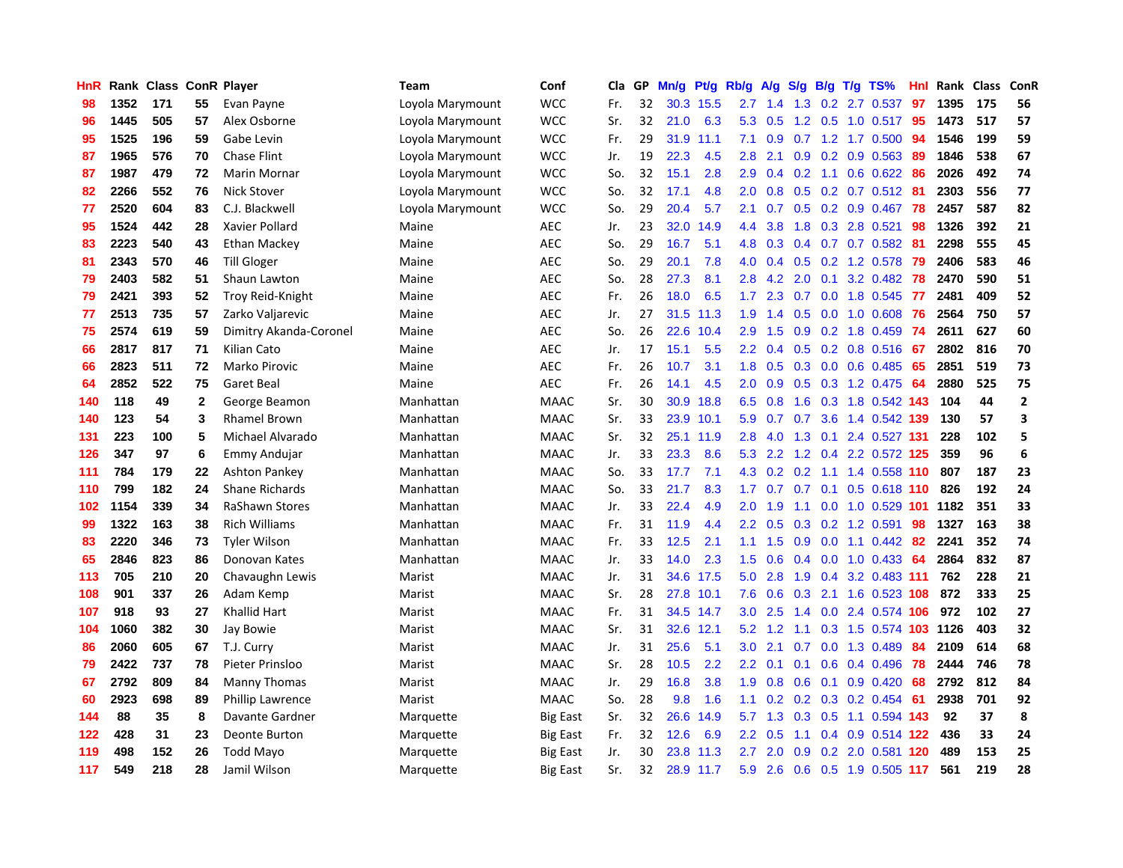| HnR |      | Rank Class |              | <b>ConR Player</b>      | Team             | Conf            | Cla | GP | Mn/g | Pt/g | Rb/g             | A/g | S/g              | B/g | T/g TS%                   | Hnl | Rank | <b>Class</b> | ConR         |
|-----|------|------------|--------------|-------------------------|------------------|-----------------|-----|----|------|------|------------------|-----|------------------|-----|---------------------------|-----|------|--------------|--------------|
| 98  | 1352 | 171        | 55           | Evan Payne              | Loyola Marymount | <b>WCC</b>      | Fr. | 32 | 30.3 | 15.5 | 2.7              | 1.4 | 1.3              |     | $0.2$ 2.7 $0.537$         | 97  | 1395 | 175          | 56           |
| 96  | 1445 | 505        | 57           | Alex Osborne            | Loyola Marymount | <b>WCC</b>      | Sr. | 32 | 21.0 | 6.3  | 5.3              | 0.5 |                  |     | 1.2 0.5 1.0 0.517 95      |     | 1473 | 517          | 57           |
| 95  | 1525 | 196        | 59           | Gabe Levin              | Loyola Marymount | <b>WCC</b>      | Fr. | 29 | 31.9 | 11.1 | 7.1              | 0.9 |                  |     | $0.7$ 1.2 1.7 0.500       | -94 | 1546 | 199          | 59           |
| 87  | 1965 | 576        | 70           | <b>Chase Flint</b>      | Loyola Marymount | <b>WCC</b>      | Jr. | 19 | 22.3 | 4.5  | 2.8              | 2.1 | 0.9              |     | $0.2$ 0.9 0.563           | -89 | 1846 | 538          | 67           |
| 87  | 1987 | 479        | 72           | Marin Mornar            | Loyola Marymount | <b>WCC</b>      | So. | 32 | 15.1 | 2.8  | 2.9              | 0.4 | 0.2              |     | 1.1 0.6 0.622             | -86 | 2026 | 492          | 74           |
| 82  | 2266 | 552        | 76           | <b>Nick Stover</b>      | Loyola Marymount | <b>WCC</b>      | So. | 32 | 17.1 | 4.8  | 2.0              | 0.8 | 0.5              |     | 0.2 0.7 0.512 81          |     | 2303 | 556          | 77           |
| 77  | 2520 | 604        | 83           | C.J. Blackwell          | Loyola Marymount | <b>WCC</b>      | So. | 29 | 20.4 | 5.7  | 2.1              | 0.7 | 0.5              |     | $0.2$ 0.9 0.467           | 78  | 2457 | 587          | 82           |
| 95  | 1524 | 442        | 28           | Xavier Pollard          | Maine            | <b>AEC</b>      | Jr. | 23 | 32.0 | 14.9 | 4.4              | 3.8 | 1.8              |     | 0.3 2.8 0.521             | 98  | 1326 | 392          | 21           |
| 83  | 2223 | 540        | 43           | <b>Ethan Mackey</b>     | Maine            | <b>AEC</b>      | So. | 29 | 16.7 | 5.1  | 4.8              | 0.3 |                  |     | $0.4$ 0.7 0.7 0.582       | -81 | 2298 | 555          | 45           |
| 81  | 2343 | 570        | 46           | <b>Till Gloger</b>      | Maine            | <b>AEC</b>      | So. | 29 | 20.1 | 7.8  | 4.0              | 0.4 |                  |     | 0.5 0.2 1.2 0.578 79      |     | 2406 | 583          | 46           |
| 79  | 2403 | 582        | 51           | Shaun Lawton            | Maine            | <b>AEC</b>      | So. | 28 | 27.3 | 8.1  | 2.8              | 4.2 | 2.0              |     | $0.1$ 3.2 $0.482$         | 78  | 2470 | 590          | 51           |
| 79  | 2421 | 393        | 52           | Troy Reid-Knight        | Maine            | <b>AEC</b>      | Fr. | 26 | 18.0 | 6.5  | 1.7              | 2.3 | 0.7              |     | 0.0 1.8 0.545             | -77 | 2481 | 409          | 52           |
| 77  | 2513 | 735        | 57           | Zarko Valjarevic        | Maine            | <b>AEC</b>      | Jr. | 27 | 31.5 | 11.3 | 1.9              | 1.4 | 0.5              |     | $0.0$ 1.0 $0.608$         | 76  | 2564 | 750          | 57           |
| 75  | 2574 | 619        | 59           | Dimitry Akanda-Coronel  | Maine            | <b>AEC</b>      | So. | 26 | 22.6 | 10.4 | 2.9              | 1.5 | 0.9              |     | $0.2$ 1.8 $0.459$         | -74 | 2611 | 627          | 60           |
| 66  | 2817 | 817        | 71           | Kilian Cato             | Maine            | <b>AEC</b>      | Jr. | 17 | 15.1 | 5.5  | 2.2              | 0.4 | 0.5              |     | $0.2$ 0.8 0.516           | -67 | 2802 | 816          | 70           |
| 66  | 2823 | 511        | 72           | Marko Pirovic           | Maine            | <b>AEC</b>      | Fr. | 26 | 10.7 | 3.1  | 1.8              | 0.5 | 0.3              |     | $0.0$ 0.6 0.485           | -65 | 2851 | 519          | 73           |
| 64  | 2852 | 522        | 75           | <b>Garet Beal</b>       | Maine            | <b>AEC</b>      | Fr. | 26 | 14.1 | 4.5  | 2.0              | 0.9 | 0.5              |     | $0.3$ 1.2 0.475           | -64 | 2880 | 525          | 75           |
| 140 | 118  | 49         | $\mathbf{2}$ | George Beamon           | Manhattan        | <b>MAAC</b>     | Sr. | 30 | 30.9 | 18.8 | 6.5              | 0.8 | 1.6              |     | 0.3 1.8 0.542 143         |     | 104  | 44           | $\mathbf{2}$ |
| 140 | 123  | 54         | 3            | Rhamel Brown            | Manhattan        | <b>MAAC</b>     | Sr. | 33 | 23.9 | 10.1 | 5.9              | 0.7 | 0.7              |     | 3.6 1.4 0.542 139         |     | 130  | 57           | 3            |
| 131 | 223  | 100        | 5            | Michael Alvarado        | Manhattan        | <b>MAAC</b>     | Sr. | 32 | 25.1 | 11.9 | 2.8              | 4.0 | 1.3              |     | $0.1$ 2.4 0.527 131       |     | 228  | 102          | 5            |
| 126 | 347  | 97         | 6            | Emmy Andujar            | Manhattan        | <b>MAAC</b>     | Jr. | 33 | 23.3 | 8.6  | 5.3              | 2.2 | 1.2              |     | 0.4 2.2 0.572 125         |     | 359  | 96           | 6            |
| 111 | 784  | 179        | 22           | <b>Ashton Pankey</b>    | Manhattan        | <b>MAAC</b>     | So. | 33 | 17.7 | 7.1  | 4.3              | 0.2 | 0.2              |     | 1.1 1.4 0.558 110         |     | 807  | 187          | 23           |
| 110 | 799  | 182        | 24           | <b>Shane Richards</b>   | Manhattan        | <b>MAAC</b>     | So. | 33 | 21.7 | 8.3  | 1.7              | 0.7 | 0.7              | 0.1 | 0.5 0.618 110             |     | 826  | 192          | 24           |
| 102 | 1154 | 339        | 34           | RaShawn Stores          | Manhattan        | <b>MAAC</b>     | Jr. | 33 | 22.4 | 4.9  | 2.0              | 1.9 | 1.1              |     | $0.0$ 1.0 $0.529$ 101     |     | 1182 | 351          | 33           |
| 99  | 1322 | 163        | 38           | <b>Rich Williams</b>    | Manhattan        | <b>MAAC</b>     | Fr. | 31 | 11.9 | 4.4  | $2.2^{\circ}$    | 0.5 | 0.3 <sub>0</sub> |     | $0.2$ 1.2 0.591           | 98  | 1327 | 163          | 38           |
| 83  | 2220 | 346        | 73           | <b>Tyler Wilson</b>     | Manhattan        | <b>MAAC</b>     | Fr. | 33 | 12.5 | 2.1  | 1.1              | 1.5 | 0.9              |     | $0.0$ 1.1 $0.442$ 82      |     | 2241 | 352          | 74           |
| 65  | 2846 | 823        | 86           | Donovan Kates           | Manhattan        | <b>MAAC</b>     | Jr. | 33 | 14.0 | 2.3  | 1.5              | 0.6 |                  |     | 0.4 0.0 1.0 0.433 64      |     | 2864 | 832          | 87           |
| 113 | 705  | 210        | 20           | Chavaughn Lewis         | Marist           | <b>MAAC</b>     | Jr. | 31 | 34.6 | 17.5 | 5.0              | 2.8 | 1.9              |     | $0.4$ 3.2 0.483 111       |     | 762  | 228          | 21           |
| 108 | 901  | 337        | 26           | Adam Kemp               | Marist           | <b>MAAC</b>     | Sr. | 28 | 27.8 | 10.1 | 7.6              | 0.6 | 0.3              |     | 2.1 1.6 0.523 108         |     | 872  | 333          | 25           |
| 107 | 918  | 93         | 27           | Khallid Hart            | Marist           | <b>MAAC</b>     | Fr. | 31 | 34.5 | 14.7 | 3.0              | 2.5 | 1.4              |     | 0.0 2.4 0.574 106         |     | 972  | 102          | 27           |
| 104 | 1060 | 382        | 30           | Jay Bowie               | Marist           | <b>MAAC</b>     | Sr. | 31 | 32.6 | 12.1 | 5.2              | 1.2 | 1.1              |     | 0.3 1.5 0.574 103         |     | 1126 | 403          | 32           |
| 86  | 2060 | 605        | 67           | T.J. Curry              | Marist           | <b>MAAC</b>     | Jr. | 31 | 25.6 | 5.1  | 3.0 <sub>2</sub> | 2.1 | 0.7              |     | $0.0$ 1.3 0.489           | 84  | 2109 | 614          | 68           |
| 79  | 2422 | 737        | 78           | Pieter Prinsloo         | Marist           | <b>MAAC</b>     | Sr. | 28 | 10.5 | 2.2  | 2.2              | 0.1 | 0.1              |     | $0.6$ 0.4 0.496           | 78  | 2444 | 746          | 78           |
| 67  | 2792 | 809        | 84           | <b>Manny Thomas</b>     | Marist           | <b>MAAC</b>     | Jr. | 29 | 16.8 | 3.8  | 1.9              | 0.8 | 0.6              |     | $0.1$ 0.9 0.420           | -68 | 2792 | 812          | 84           |
| 60  | 2923 | 698        | 89           | <b>Phillip Lawrence</b> | Marist           | <b>MAAC</b>     | So. | 28 | 9.8  | 1.6  | 1.1              | 0.2 |                  |     | $0.2$ $0.3$ $0.2$ $0.454$ | -61 | 2938 | 701          | 92           |
| 144 | 88   | 35         | 8            | Davante Gardner         | Marquette        | <b>Big East</b> | Sr. | 32 | 26.6 | 14.9 | 5.7              | 1.3 | 0.3              |     | 0.5 1.1 0.594 143         |     | 92   | 37           | 8            |
| 122 | 428  | 31         | 23           | Deonte Burton           | Marquette        | <b>Big East</b> | Fr. | 32 | 12.6 | 6.9  | 2.2              | 0.5 | 1.1              |     | $0.4$ 0.9 0.514 122       |     | 436  | 33           | 24           |
| 119 | 498  | 152        | 26           | Todd Mayo               | Marquette        | <b>Big East</b> | Jr. | 30 | 23.8 | 11.3 | 2.7              | 2.0 | 0.9              |     | 0.2 2.0 0.581             | 120 | 489  | 153          | 25           |
| 117 | 549  | 218        | 28           | Jamil Wilson            | Marquette        | <b>Big East</b> | Sr. | 32 | 28.9 | 11.7 | 5.9              | 2.6 |                  |     | 0.6 0.5 1.9 0.505 117     |     | 561  | 219          | 28           |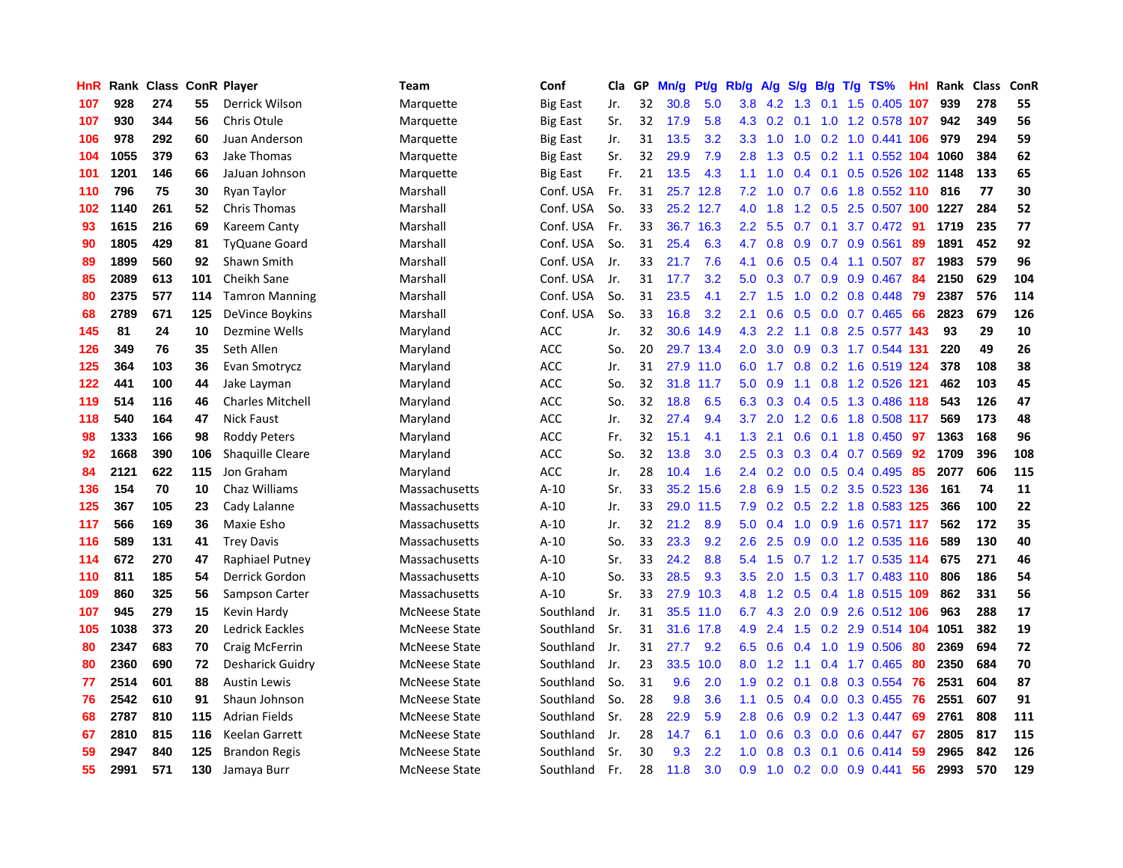| HnR | Rank | <b>Class</b> |     | <b>ConR Player</b>      | <b>Team</b>          | Conf            | Cla i | GP | Mn/g | <b>Pt/g</b> | Rb/g             | $\mathsf{A/g}$ | S/g              | B/g | $T/g$ TS%              | Hnl | Rank | <b>Class</b> | ConR |
|-----|------|--------------|-----|-------------------------|----------------------|-----------------|-------|----|------|-------------|------------------|----------------|------------------|-----|------------------------|-----|------|--------------|------|
| 107 | 928  | 274          | 55  | Derrick Wilson          | Marquette            | Big East        | Jr.   | 32 | 30.8 | 5.0         | 3.8 <sub>2</sub> | 4.2            | 1.3              | 0.1 | 1.5 0.405 107          |     | 939  | 278          | 55   |
| 107 | 930  | 344          | 56  | Chris Otule             | Marquette            | Big East        | Sr.   | 32 | 17.9 | 5.8         | 4.3              | 0.2            |                  |     | 0.1 1.0 1.2 0.578 107  |     | 942  | 349          | 56   |
| 106 | 978  | 292          | 60  | Juan Anderson           | Marquette            | Big East        | Jr.   | 31 | 13.5 | 3.2         | 3.3 <sub>2</sub> | 1.0            | $-1.0$           |     | 0.2 1.0 0.441 106      |     | 979  | 294          | 59   |
| 104 | 1055 | 379          | 63  | Jake Thomas             | Marquette            | Big East        | Sr.   | 32 | 29.9 | 7.9         | 2.8              | 1.3            | 0.5              |     | 0.2 1.1 0.552 104 1060 |     |      | 384          | 62   |
| 101 | 1201 | 146          | 66  | JaJuan Johnson          | Marquette            | <b>Big East</b> | Fr.   | 21 | 13.5 | 4.3         | 1.1              | 1.0            | 0.4              |     | 0.1 0.5 0.526 102 1148 |     |      | 133          | 65   |
| 110 | 796  | 75           | 30  | Ryan Taylor             | Marshall             | Conf. USA       | Fr.   | 31 | 25.7 | 12.8        | 7.2              | 1.0            | 0.7              |     | 0.6 1.8 0.552 110      |     | 816  | 77           | 30   |
| 102 | 1140 | 261          | 52  | <b>Chris Thomas</b>     | Marshall             | Conf. USA       | So.   | 33 | 25.2 | 12.7        | 4.0              | 1.8            | 1.2              |     | $0.5$ 2.5 0.507 100    |     | 1227 | 284          | 52   |
| 93  | 1615 | 216          | 69  | Kareem Canty            | Marshall             | Conf. USA       | Fr.   | 33 | 36.7 | 16.3        | $2.2\phantom{0}$ | 5.5            | 0.7              | 0.1 | 3.7 0.472              | 91  | 1719 | 235          | 77   |
| 90  | 1805 | 429          | 81  | <b>TyQuane Goard</b>    | Marshall             | Conf. USA       | So.   | 31 | 25.4 | 6.3         | 4.7              | 0.8            | 0.9              |     | $0.7$ 0.9 0.561        | 89  | 1891 | 452          | 92   |
| 89  | 1899 | 560          | 92  | Shawn Smith             | Marshall             | Conf. USA       | Jr.   | 33 | 21.7 | 7.6         | 4.1              | 0.6            | 0.5              |     | 0.4 1.1 0.507 87       |     | 1983 | 579          | 96   |
| 85  | 2089 | 613          | 101 | Cheikh Sane             | Marshall             | Conf. USA       | Jr.   | 31 | 17.7 | 3.2         | 5.0              | 0.3            | 0.7              |     | 0.9 0.9 0.467 84       |     | 2150 | 629          | 104  |
| 80  | 2375 | 577          | 114 | <b>Tamron Manning</b>   | Marshall             | Conf. USA       | So.   | 31 | 23.5 | 4.1         | 2.7              | 1.5            | 1.0              |     | $0.2$ 0.8 0.448        | 79  | 2387 | 576          | 114  |
| 68  | 2789 | 671          | 125 | DeVince Boykins         | Marshall             | Conf. USA       | So.   | 33 | 16.8 | 3.2         | 2.1              | 0.6            | 0.5              |     | $0.0$ 0.7 0.465        | 66  | 2823 | 679          | 126  |
| 145 | 81   | 24           | 10  | Dezmine Wells           | Maryland             | <b>ACC</b>      | Jr.   | 32 | 30.6 | 14.9        | 4.3              | 2.2            | 1.1              |     | 0.8 2.5 0.577 143      |     | 93   | 29           | 10   |
| 126 | 349  | 76           | 35  | Seth Allen              | Maryland             | <b>ACC</b>      | So.   | 20 | 29.7 | 13.4        | 2.0              | 3.0            | 0.9              |     | 0.3 1.7 0.544 131      |     | 220  | 49           | 26   |
| 125 | 364  | 103          | 36  | Evan Smotrycz           | Maryland             | <b>ACC</b>      | Jr.   | 31 | 27.9 | 11.0        | 6.0              | 1.7            | 0.8              |     | 0.2 1.6 0.519 124      |     | 378  | 108          | 38   |
| 122 | 441  | 100          | 44  | Jake Layman             | Maryland             | <b>ACC</b>      | So.   | 32 | 31.8 | 11.7        | 5.0              | 0.9            | 1.1              |     | 0.8 1.2 0.526 121      |     | 462  | 103          | 45   |
| 119 | 514  | 116          | 46  | <b>Charles Mitchell</b> | Maryland             | <b>ACC</b>      | So.   | 32 | 18.8 | 6.5         | 6.3              | 0.3            | 0.4              |     | 0.5 1.3 0.486 118      |     | 543  | 126          | 47   |
| 118 | 540  | 164          | 47  | <b>Nick Faust</b>       | Maryland             | <b>ACC</b>      | Jr.   | 32 | 27.4 | 9.4         | 3.7              | 2.0            |                  |     | 1.2 0.6 1.8 0.508 117  |     | 569  | 173          | 48   |
| 98  | 1333 | 166          | 98  | <b>Roddy Peters</b>     | Maryland             | <b>ACC</b>      | Fr.   | 32 | 15.1 | 4.1         | 1.3              | 2.1            | 0.6              |     | $0.1$ 1.8 0.450        | -97 | 1363 | 168          | 96   |
| 92  | 1668 | 390          | 106 | Shaquille Cleare        | Maryland             | <b>ACC</b>      | So.   | 32 | 13.8 | 3.0         | 2.5              | 0.3            | 0.3              |     | $0.4$ 0.7 0.569        | 92  | 1709 | 396          | 108  |
| 84  | 2121 | 622          | 115 | Jon Graham              | Maryland             | <b>ACC</b>      | Jr.   | 28 | 10.4 | 1.6         | 2.4              | 0.2            | 0.0              |     | $0.5$ 0.4 0.495        | 85  | 2077 | 606          | 115  |
| 136 | 154  | 70           | 10  | Chaz Williams           | Massachusetts        | $A-10$          | Sr.   | 33 | 35.2 | 15.6        | 2.8              | 6.9            | 1.5              |     | 0.2 3.5 0.523 136      |     | 161  | 74           | 11   |
| 125 | 367  | 105          | 23  | Cady Lalanne            | Massachusetts        | $A-10$          | Jr.   | 33 | 29.0 | 11.5        | 7.9              | 0.2            | 0.5              |     | 2.2 1.8 0.583 125      |     | 366  | 100          | 22   |
| 117 | 566  | 169          | 36  | Maxie Esho              | Massachusetts        | $A-10$          | Jr.   | 32 | 21.2 | 8.9         | 5.0              | 0.4            | 1.0              |     | 0.9 1.6 0.571 117      |     | 562  | 172          | 35   |
| 116 | 589  | 131          | 41  | <b>Trey Davis</b>       | Massachusetts        | $A-10$          | So.   | 33 | 23.3 | 9.2         | 2.6              | 2.5            | 0.9              |     | 0.0 1.2 0.535 116      |     | 589  | 130          | 40   |
| 114 | 672  | 270          | 47  | Raphiael Putney         | Massachusetts        | $A-10$          | Sr.   | 33 | 24.2 | 8.8         | 5.4              | 1.5            |                  |     | 0.7 1.2 1.7 0.535 114  |     | 675  | 271          | 46   |
| 110 | 811  | 185          | 54  | Derrick Gordon          | Massachusetts        | $A-10$          | So.   | 33 | 28.5 | 9.3         | 3.5              | 2.0            |                  |     | 1.5 0.3 1.7 0.483 110  |     | 806  | 186          | 54   |
| 109 | 860  | 325          | 56  | Sampson Carter          | Massachusetts        | $A-10$          | Sr.   | 33 | 27.9 | 10.3        | 4.8              | $1.2^{\circ}$  | 0.5              |     | 0.4 1.8 0.515 109      |     | 862  | 331          | 56   |
| 107 | 945  | 279          | 15  | Kevin Hardy             | <b>McNeese State</b> | Southland       | Jr.   | 31 | 35.5 | 11.0        | 6.7              | 4.3            | 2.0              |     | 0.9 2.6 0.512 106      |     | 963  | 288          | 17   |
| 105 | 1038 | 373          | 20  | Ledrick Eackles         | <b>McNeese State</b> | Southland       | Sr.   | 31 | 31.6 | 17.8        | 4.9              | 2.4            | 1.5              |     | 0.2 2.9 0.514 104 1051 |     |      | 382          | 19   |
| 80  | 2347 | 683          | 70  | Craig McFerrin          | <b>McNeese State</b> | Southland       | Jr.   | 31 | 27.7 | 9.2         | 6.5              | 0.6            | $0.4^{\circ}$    |     | 1.0 1.9 0.506          | -80 | 2369 | 694          | 72   |
| 80  | 2360 | 690          | 72  | Desharick Guidry        | <b>McNeese State</b> | Southland       | Jr.   | 23 | 33.5 | 10.0        | 8.0              | 1.2            | 1.1              |     | 0.4 1.7 0.465          | -80 | 2350 | 684          | 70   |
| 77  | 2514 | 601          | 88  | <b>Austin Lewis</b>     | <b>McNeese State</b> | Southland       | So.   | 31 | 9.6  | 2.0         | 1.9              | 0.2            | 0.1              | 0.8 | 0.3 0.554              | 76  | 2531 | 604          | 87   |
| 76  | 2542 | 610          | 91  | Shaun Johnson           | <b>McNeese State</b> | Southland       | So.   | 28 | 9.8  | 3.6         | 1.1              | 0.5            | 0.4              |     | $0.0$ $0.3$ $0.455$    | 76  | 2551 | 607          | 91   |
| 68  | 2787 | 810          | 115 | <b>Adrian Fields</b>    | McNeese State        | Southland       | Sr.   | 28 | 22.9 | 5.9         | 2.8              | 0.6            | 0.9 <sup>°</sup> |     | 0.2 1.3 0.447          | 69  | 2761 | 808          | 111  |
| 67  | 2810 | 815          | 116 | Keelan Garrett          | McNeese State        | Southland       | Jr.   | 28 | 14.7 | 6.1         | 1.0              | 0.6            | 0.3              |     | $0.0$ 0.6 0.447        | -67 | 2805 | 817          | 115  |
| 59  | 2947 | 840          | 125 | <b>Brandon Regis</b>    | <b>McNeese State</b> | Southland       | Sr.   | 30 | 9.3  | 2.2         | 1.0              | 0.8            | 0.3 <sub>0</sub> | 0.1 | $0.6$ 0.414            | -59 | 2965 | 842          | 126  |
| 55  | 2991 | 571          | 130 | Jamaya Burr             | <b>McNeese State</b> | Southland       | Fr.   | 28 | 11.8 | 3.0         | 0.9              | 1.0            |                  |     | $0.2$ 0.0 0.9 0.441    | 56  | 2993 | 570          | 129  |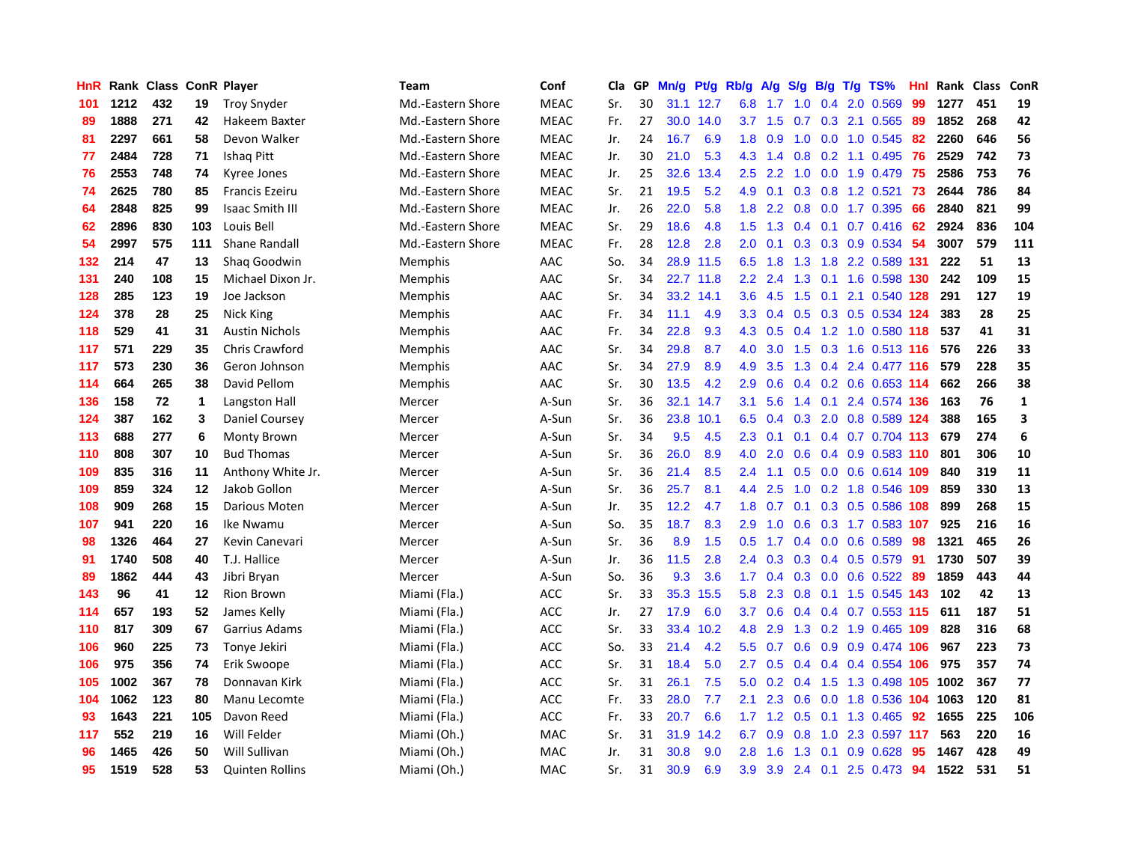| HnR |      | Rank Class ConR Player |             |                        | <b>Team</b>       | Conf        | Cla | GP | Mn/g | Pt/g      | Rb/g             | A/g           | S/g           | B/g              | $T/g$ TS%                 | Hnl | Rank Class |     | ConR         |
|-----|------|------------------------|-------------|------------------------|-------------------|-------------|-----|----|------|-----------|------------------|---------------|---------------|------------------|---------------------------|-----|------------|-----|--------------|
| 101 | 1212 | 432                    | 19          | <b>Troy Snyder</b>     | Md.-Eastern Shore | <b>MEAC</b> | Sr. | 30 | 31.1 | 12.7      | 6.8              | 1.7           | 1.0           | 0.4              | 2.0 0.569                 | 99  | 1277       | 451 | 19           |
| 89  | 1888 | 271                    | 42          | Hakeem Baxter          | Md.-Eastern Shore | <b>MEAC</b> | Fr. | 27 | 30.0 | 14.0      | 3.7              | 1.5           | 0.7           |                  | 0.3 2.1 0.565 89          |     | 1852       | 268 | 42           |
| 81  | 2297 | 661                    | 58          | Devon Walker           | Md.-Eastern Shore | <b>MEAC</b> | Jr. | 24 | 16.7 | 6.9       | 1.8              | 0.9           | 1.0           |                  | 0.0 1.0 0.545 82          |     | 2260       | 646 | 56           |
| 77  | 2484 | 728                    | 71          | <b>Ishaq Pitt</b>      | Md.-Eastern Shore | <b>MEAC</b> | Jr. | 30 | 21.0 | 5.3       | 4.3              | 1.4           | 0.8           |                  | 0.2 1.1 0.495 76          |     | 2529       | 742 | 73           |
| 76  | 2553 | 748                    | 74          | Kyree Jones            | Md.-Eastern Shore | <b>MEAC</b> | Jr. | 25 | 32.6 | 13.4      | $2.5\,$          | 2.2           | 1.0           |                  | $0.0$ 1.9 $0.479$         | 75  | 2586       | 753 | 76           |
| 74  | 2625 | 780                    | 85          | <b>Francis Ezeiru</b>  | Md.-Eastern Shore | <b>MEAC</b> | Sr. | 21 | 19.5 | 5.2       | 4.9              | 0.1           | 0.3           |                  | 0.8 1.2 0.521             | -73 | 2644       | 786 | 84           |
| 64  | 2848 | 825                    | 99          | <b>Isaac Smith III</b> | Md.-Eastern Shore | <b>MEAC</b> | Jr. | 26 | 22.0 | 5.8       | 1.8              | 2.2           | 0.8           |                  | $0.0$ 1.7 $0.395$         | -66 | 2840       | 821 | 99           |
| 62  | 2896 | 830                    | 103         | Louis Bell             | Md.-Eastern Shore | <b>MEAC</b> | Sr. | 29 | 18.6 | 4.8       | $1.5^{\circ}$    | 1.3           | 0.4           |                  | $0.1$ 0.7 0.416           | -62 | 2924       | 836 | 104          |
| 54  | 2997 | 575                    | 111         | Shane Randall          | Md.-Eastern Shore | <b>MEAC</b> | Fr. | 28 | 12.8 | 2.8       | 2.0              | 0.1           | 0.3           |                  | 0.3 0.9 0.534             | -54 | 3007       | 579 | 111          |
| 132 | 214  | 47                     | 13          | Shag Goodwin           | Memphis           | AAC         | So. | 34 | 28.9 | 11.5      | 6.5              | 1.8           |               |                  | 1.3 1.8 2.2 0.589 131     |     | 222        | 51  | 13           |
| 131 | 240  | 108                    | 15          | Michael Dixon Jr.      | Memphis           | AAC         | Sr. | 34 |      | 22.7 11.8 | 2.2              | 2.4           |               |                  | 1.3 0.1 1.6 0.598 130     |     | 242        | 109 | 15           |
| 128 | 285  | 123                    | 19          | Joe Jackson            | Memphis           | AAC         | Sr. | 34 |      | 33.2 14.1 | $3.6^{\circ}$    | 4.5           |               |                  | 1.5 0.1 2.1 0.540 128     |     | 291        | 127 | 19           |
| 124 | 378  | 28                     | 25          | Nick King              | Memphis           | AAC         | Fr. | 34 | 11.1 | 4.9       | 3.3              | 0.4           |               |                  | 0.5 0.3 0.5 0.534 124     |     | 383        | 28  | 25           |
| 118 | 529  | 41                     | 31          | <b>Austin Nichols</b>  | Memphis           | AAC         | Fr. | 34 | 22.8 | 9.3       | 4.3              | 0.5           | 0.4           |                  | 1.2 1.0 0.580 118         |     | 537        | 41  | 31           |
| 117 | 571  | 229                    | 35          | Chris Crawford         | Memphis           | AAC         | Sr. | 34 | 29.8 | 8.7       | 4.0              | 3.0           | 1.5           |                  | 0.3 1.6 0.513 116         |     | 576        | 226 | 33           |
| 117 | 573  | 230                    | 36          | Geron Johnson          | Memphis           | AAC         | Sr. | 34 | 27.9 | 8.9       | 4.9              | 3.5           | 1.3           |                  | 0.4 2.4 0.477 116         |     | 579        | 228 | 35           |
| 114 | 664  | 265                    | 38          | David Pellom           | Memphis           | AAC         | Sr. | 30 | 13.5 | 4.2       | 2.9              | 0.6           | 0.4           |                  | $0.2$ 0.6 0.653 114       |     | 662        | 266 | 38           |
| 136 | 158  | 72                     | $\mathbf 1$ | Langston Hall          | Mercer            | A-Sun       | Sr. | 36 | 32.1 | 14.7      | 3.1              | 5.6           | 1.4           |                  | 0.1 2.4 0.574 136         |     | 163        | 76  | $\mathbf{1}$ |
| 124 | 387  | 162                    | 3           | Daniel Coursey         | Mercer            | A-Sun       | Sr. | 36 | 23.8 | 10.1      | 6.5              | $0.4^{\circ}$ |               |                  | 0.3 2.0 0.8 0.589 124     |     | 388        | 165 | 3            |
| 113 | 688  | 277                    | 6           | Monty Brown            | Mercer            | A-Sun       | Sr. | 34 | 9.5  | 4.5       | 2.3              | 0.1           |               |                  | 0.1 0.4 0.7 0.704 113 679 |     |            | 274 | 6            |
| 110 | 808  | 307                    | 10          | <b>Bud Thomas</b>      | Mercer            | A-Sun       | Sr. | 36 | 26.0 | 8.9       | 4.0              | 2.0           | 0.6           |                  | 0.4 0.9 0.583 110         |     | 801        | 306 | 10           |
| 109 | 835  | 316                    | 11          | Anthony White Jr.      | Mercer            | A-Sun       | Sr. | 36 | 21.4 | 8.5       | 2.4              | 1.1           | 0.5           |                  | $0.0$ $0.6$ $0.614$ 109   |     | 840        | 319 | 11           |
| 109 | 859  | 324                    | 12          | Jakob Gollon           | Mercer            | A-Sun       | Sr. | 36 | 25.7 | 8.1       | 4.4              | 2.5           | 1.0           |                  | 0.2 1.8 0.546 109         |     | 859        | 330 | 13           |
| 108 | 909  | 268                    | 15          | Darious Moten          | Mercer            | A-Sun       | Jr. | 35 | 12.2 | 4.7       | 1.8              | 0.7           | 0.1           |                  | 0.3 0.5 0.586 108         |     | 899        | 268 | 15           |
| 107 | 941  | 220                    | 16          | Ike Nwamu              | Mercer            | A-Sun       | So. | 35 | 18.7 | 8.3       | 2.9              | 1.0           | 0.6           |                  | 0.3 1.7 0.583 107         |     | 925        | 216 | 16           |
| 98  | 1326 | 464                    | 27          | Kevin Canevari         | Mercer            | A-Sun       | Sr. | 36 | 8.9  | 1.5       | 0.5              | 1.7           | 0.4           |                  | $0.0$ 0.6 0.589           | -98 | 1321       | 465 | 26           |
| 91  | 1740 | 508                    | 40          | T.J. Hallice           | Mercer            | A-Sun       | Jr. | 36 | 11.5 | 2.8       | $2.4^{\circ}$    | 0.3           |               |                  | 0.3 0.4 0.5 0.579 91      |     | 1730       | 507 | 39           |
| 89  | 1862 | 444                    | 43          | Jibri Bryan            | Mercer            | A-Sun       | So. | 36 | 9.3  | 3.6       | $1.7^{\circ}$    | $0.4^{\circ}$ |               |                  | 0.3 0.0 0.6 0.522 89      |     | 1859       | 443 | 44           |
| 143 | 96   | 41                     | 12          | <b>Rion Brown</b>      | Miami (Fla.)      | <b>ACC</b>  | Sr. | 33 | 35.3 | 15.5      | 5.8              | 2.3           | 0.8           |                  | 0.1 1.5 0.545 143         |     | 102        | 42  | 13           |
| 114 | 657  | 193                    | 52          | James Kelly            | Miami (Fla.)      | <b>ACC</b>  | Jr. | 27 | 17.9 | 6.0       | 3.7              | 0.6           | $0.4^{\circ}$ |                  | $0.4$ 0.7 0.553 115       |     | 611        | 187 | 51           |
| 110 | 817  | 309                    | 67          | Garrius Adams          | Miami (Fla.)      | <b>ACC</b>  | Sr. | 33 | 33.4 | 10.2      | 4.8              | 2.9           | 1.3           |                  | 0.2 1.9 0.465 109         |     | 828        | 316 | 68           |
| 106 | 960  | 225                    | 73          | Tonye Jekiri           | Miami (Fla.)      | <b>ACC</b>  | So. | 33 | 21.4 | 4.2       | 5.5              | 0.7           | 0.6           | 0.9 <sup>°</sup> | 0.9 0.474 106             |     | 967        | 223 | 73           |
| 106 | 975  | 356                    | 74          | Erik Swoope            | Miami (Fla.)      | <b>ACC</b>  | Sr. | 31 | 18.4 | 5.0       | 2.7              | 0.5           | $0.4^{\circ}$ |                  | $0.4$ 0.4 0.554 106       |     | 975        | 357 | 74           |
| 105 | 1002 | 367                    | 78          | Donnavan Kirk          | Miami (Fla.)      | <b>ACC</b>  | Sr. | 31 | 26.1 | 7.5       | 5.0              | 0.2           | $0.4^{\circ}$ |                  | 1.5 1.3 0.498 105 1002    |     |            | 367 | 77           |
| 104 | 1062 | 123                    | 80          | Manu Lecomte           | Miami (Fla.)      | <b>ACC</b>  | Fr. | 33 | 28.0 | 7.7       | 2.1              | 2.3           | 0.6           |                  | 0.0 1.8 0.536 104 1063    |     |            | 120 | 81           |
| 93  | 1643 | 221                    | 105         | Davon Reed             | Miami (Fla.)      | <b>ACC</b>  | Fr. | 33 | 20.7 | 6.6       | 1.7 <sub>1</sub> |               |               |                  | 1.2 0.5 0.1 1.3 0.465 92  |     | 1655       | 225 | 106          |
| 117 | 552  | 219                    | 16          | Will Felder            | Miami (Oh.)       | MAC         | Sr. | 31 | 31.9 | 14.2      | 6.7              | 0.9           | 0.8           |                  | 1.0 2.3 0.597 117         |     | 563        | 220 | 16           |
| 96  | 1465 | 426                    | 50          | Will Sullivan          | Miami (Oh.)       | MAC         | Jr. | 31 | 30.8 | 9.0       | 2.8              | 1.6           | 1.3           | 0.1              | $0.9$ $0.628$             | 95  | 1467       | 428 | 49           |
| 95  | 1519 | 528                    | 53          | <b>Quinten Rollins</b> | Miami (Oh.)       | <b>MAC</b>  | Sr. | 31 | 30.9 | 6.9       | 3.9              | 3.9           |               |                  | 2.4 0.1 2.5 0.473         | 94  | 1522       | 531 | 51           |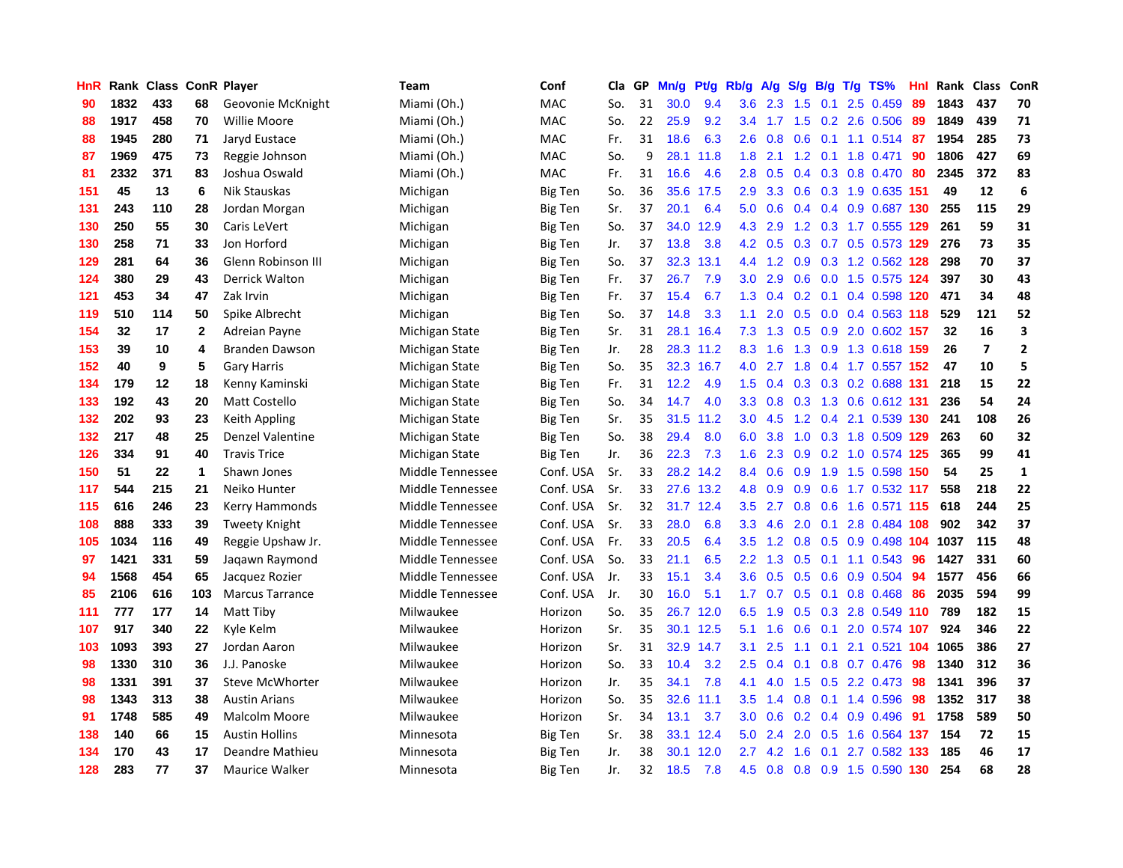| HnR |      |     |              | Rank Class ConR Player | Team             | Conf           | Cla | GP | Mn/g | Pt/g | Rb/g             | A/g | S/g | B/g | $T/g$ TS%              | Hnl | Rank | <b>Class</b>            | ConR                    |
|-----|------|-----|--------------|------------------------|------------------|----------------|-----|----|------|------|------------------|-----|-----|-----|------------------------|-----|------|-------------------------|-------------------------|
| 90  | 1832 | 433 | 68           | Geovonie McKnight      | Miami (Oh.)      | <b>MAC</b>     | So. | 31 | 30.0 | 9.4  | 3.6              | 2.3 | 1.5 | 0.1 | 2.5 0.459              | 89  | 1843 | 437                     | 70                      |
| 88  | 1917 | 458 | 70           | Willie Moore           | Miami (Oh.)      | <b>MAC</b>     | So. | 22 | 25.9 | 9.2  | $3.4^{\circ}$    | 1.7 |     |     | 1.5 0.2 2.6 0.506      | -89 | 1849 | 439                     | 71                      |
| 88  | 1945 | 280 | 71           | Jaryd Eustace          | Miami (Oh.)      | <b>MAC</b>     | Fr. | 31 | 18.6 | 6.3  | 2.6              | 0.8 | 0.6 |     | $0.1$ 1.1 0.514        | -87 | 1954 | 285                     | 73                      |
| 87  | 1969 | 475 | 73           | Reggie Johnson         | Miami (Oh.)      | MAC            | So. | 9  | 28.1 | 11.8 | 1.8              | 2.1 |     |     | 1.2 0.1 1.8 0.471      | 90  | 1806 | 427                     | 69                      |
| 81  | 2332 | 371 | 83           | Joshua Oswald          | Miami (Oh.)      | MAC            | Fr. | 31 | 16.6 | 4.6  | 2.8              | 0.5 | 0.4 |     | 0.3 0.8 0.470          | -80 | 2345 | 372                     | 83                      |
| 151 | 45   | 13  | 6            | Nik Stauskas           | Michigan         | Big Ten        | So. | 36 | 35.6 | 17.5 | 2.9              | 3.3 | 0.6 |     | 0.3 1.9 0.635 151      |     | 49   | 12                      | 6                       |
| 131 | 243  | 110 | 28           | Jordan Morgan          | Michigan         | Big Ten        | Sr. | 37 | 20.1 | 6.4  | 5.0              | 0.6 | 0.4 |     | 0.4 0.9 0.687 130      |     | 255  | 115                     | 29                      |
| 130 | 250  | 55  | 30           | Caris LeVert           | Michigan         | Big Ten        | So. | 37 | 34.0 | 12.9 | 4.3              | 2.9 | 1.2 |     | 0.3 1.7 0.555 129      |     | 261  | 59                      | 31                      |
| 130 | 258  | 71  | 33           | Jon Horford            | Michigan         | <b>Big Ten</b> | Jr. | 37 | 13.8 | 3.8  | 4.2              | 0.5 | 0.3 |     | 0.7 0.5 0.573 129      |     | 276  | 73                      | 35                      |
| 129 | 281  | 64  | 36           | Glenn Robinson III     | Michigan         | Big Ten        | So. | 37 | 32.3 | 13.1 | 4.4              | 1.2 | 0.9 |     | 0.3 1.2 0.562 128      |     | 298  | 70                      | 37                      |
| 124 | 380  | 29  | 43           | Derrick Walton         | Michigan         | <b>Big Ten</b> | Fr. | 37 | 26.7 | 7.9  | 3.0              | 2.9 |     |     | 0.6 0.0 1.5 0.575 124  |     | 397  | 30                      | 43                      |
| 121 | 453  | 34  | 47           | Zak Irvin              | Michigan         | <b>Big Ten</b> | Fr. | 37 | 15.4 | 6.7  | 1.3              | 0.4 |     |     | 0.2 0.1 0.4 0.598 120  |     | 471  | 34                      | 48                      |
| 119 | 510  | 114 | 50           | Spike Albrecht         | Michigan         | <b>Big Ten</b> | So. | 37 | 14.8 | 3.3  | 1.1              | 2.0 | 0.5 |     | $0.0$ 0.4 0.563 118    |     | 529  | 121                     | 52                      |
| 154 | 32   | 17  | $\mathbf{2}$ | Adreian Payne          | Michigan State   | <b>Big Ten</b> | Sr. | 31 | 28.1 | 16.4 | 7.3              | 1.3 | 0.5 |     | 0.9 2.0 0.602 157      |     | 32   | 16                      | $\overline{\mathbf{3}}$ |
| 153 | 39   | 10  | 4            | Branden Dawson         | Michigan State   | Big Ten        | Jr. | 28 | 28.3 | 11.2 | 8.3              | 1.6 | 1.3 |     | 0.9 1.3 0.618 159      |     | 26   | $\overline{\mathbf{z}}$ | $\overline{\mathbf{2}}$ |
| 152 | 40   | 9   | 5            | Gary Harris            | Michigan State   | Big Ten        | So. | 35 | 32.3 | 16.7 | 4.0              | 2.7 | 1.8 |     | 0.4 1.7 0.557 152      |     | 47   | 10                      | 5                       |
| 134 | 179  | 12  | 18           | Kenny Kaminski         | Michigan State   | Big Ten        | Fr. | 31 | 12.2 | 4.9  | 1.5              | 0.4 | 0.3 |     | 0.3 0.2 0.688 131      |     | 218  | 15                      | 22                      |
| 133 | 192  | 43  | 20           | Matt Costello          | Michigan State   | Big Ten        | So. | 34 | 14.7 | 4.0  | 3.3 <sub>2</sub> | 0.8 |     |     | 0.3 1.3 0.6 0.612 131  |     | 236  | 54                      | 24                      |
| 132 | 202  | 93  | 23           | Keith Appling          | Michigan State   | Big Ten        | Sr. | 35 | 31.5 | 11.2 | 3.0 <sub>2</sub> | 4.5 |     |     | 1.2 0.4 2.1 0.539 130  |     | 241  | 108                     | 26                      |
| 132 | 217  | 48  | 25           | Denzel Valentine       | Michigan State   | Big Ten        | So. | 38 | 29.4 | 8.0  | 6.0              | 3.8 |     |     | 1.0 0.3 1.8 0.509 129  |     | 263  | 60                      | 32                      |
| 126 | 334  | 91  | 40           | <b>Travis Trice</b>    | Michigan State   | <b>Big Ten</b> | Jr. | 36 | 22.3 | 7.3  | 1.6              | 2.3 | 0.9 |     | 0.2 1.0 0.574 125      |     | 365  | 99                      | 41                      |
| 150 | 51   | 22  | 1            | Shawn Jones            | Middle Tennessee | Conf. USA      | Sr. | 33 | 28.2 | 14.2 | 8.4              | 0.6 | 0.9 |     | 1.9 1.5 0.598 150      |     | 54   | 25                      | $\mathbf{1}$            |
| 117 | 544  | 215 | 21           | Neiko Hunter           | Middle Tennessee | Conf. USA      | Sr. | 33 | 27.6 | 13.2 | 4.8              | 0.9 | 0.9 |     | 0.6 1.7 0.532 117      |     | 558  | 218                     | 22                      |
| 115 | 616  | 246 | 23           | Kerry Hammonds         | Middle Tennessee | Conf. USA      | Sr. | 32 | 31.7 | 12.4 | 3.5              | 2.7 | 0.8 |     | 0.6 1.6 0.571 115      |     | 618  | 244                     | 25                      |
| 108 | 888  | 333 | 39           | Tweety Knight          | Middle Tennessee | Conf. USA      | Sr. | 33 | 28.0 | 6.8  | 3.3 <sub>2</sub> | 4.6 | 2.0 | 0.1 | 2.8 0.484 108          |     | 902  | 342                     | 37                      |
| 105 | 1034 | 116 | 49           | Reggie Upshaw Jr.      | Middle Tennessee | Conf. USA      | Fr. | 33 | 20.5 | 6.4  | 3.5              | 1.2 | 0.8 |     | 0.5 0.9 0.498 104 1037 |     |      | 115                     | 48                      |
| 97  | 1421 | 331 | 59           | Jagawn Raymond         | Middle Tennessee | Conf. USA      | So. | 33 | 21.1 | 6.5  | 2.2              | 1.3 |     |     | 0.5 0.1 1.1 0.543 96   |     | 1427 | 331                     | 60                      |
| 94  | 1568 | 454 | 65           | Jacquez Rozier         | Middle Tennessee | Conf. USA      | Jr. | 33 | 15.1 | 3.4  | 3.6              | 0.5 | 0.5 |     | $0.6$ 0.9 0.504        | 94  | 1577 | 456                     | 66                      |
| 85  | 2106 | 616 | 103          | <b>Marcus Tarrance</b> | Middle Tennessee | Conf. USA      | Jr. | 30 | 16.0 | 5.1  | $1.7^{\circ}$    | 0.7 | 0.5 |     | $0.1$ 0.8 0.468        | 86  | 2035 | 594                     | 99                      |
| 111 | 777  | 177 | 14           | Matt Tiby              | Milwaukee        | Horizon        | So. | 35 | 26.7 | 12.0 | 6.5              | 1.9 | 0.5 |     | 0.3 2.8 0.549 110      |     | 789  | 182                     | 15                      |
| 107 | 917  | 340 | 22           | Kyle Kelm              | Milwaukee        | Horizon        | Sr. | 35 | 30.1 | 12.5 | 5.1              | 1.6 | 0.6 | 0.1 | 2.0 0.574 107          |     | 924  | 346                     | 22                      |
| 103 | 1093 | 393 | 27           | Jordan Aaron           | Milwaukee        | Horizon        | Sr. | 31 | 32.9 | 14.7 | 3.1              | 2.5 | 1.1 | 0.1 | 2.1 0.521              | 104 | 1065 | 386                     | 27                      |
| 98  | 1330 | 310 | 36           | J.J. Panoske           | Milwaukee        | Horizon        | So. | 33 | 10.4 | 3.2  | 2.5              | 0.4 | 0.1 |     | 0.8 0.7 0.476          | 98  | 1340 | 312                     | 36                      |
| 98  | 1331 | 391 | 37           | <b>Steve McWhorter</b> | Milwaukee        | Horizon        | Jr. | 35 | 34.1 | 7.8  | 4.1              | 4.0 | 1.5 |     | $0.5$ 2.2 0.473        | -98 | 1341 | 396                     | 37                      |
| 98  | 1343 | 313 | 38           | <b>Austin Arians</b>   | Milwaukee        | Horizon        | So. | 35 | 32.6 | 11.1 | 3.5              | 1.4 | 0.8 |     | $0.1$ 1.4 0.596        | -98 | 1352 | 317                     | 38                      |
| 91  | 1748 | 585 | 49           | <b>Malcolm Moore</b>   | Milwaukee        | Horizon        | Sr. | 34 | 13.1 | 3.7  | 3.0 <sub>2</sub> | 0.6 |     |     | $0.2$ 0.4 0.9 0.496    | -91 | 1758 | 589                     | 50                      |
| 138 | 140  | 66  | 15           | <b>Austin Hollins</b>  | Minnesota        | Big Ten        | Sr. | 38 | 33.1 | 12.4 | 5.0              | 2.4 | 2.0 |     | 0.5 1.6 0.564 137      |     | 154  | 72                      | 15                      |
| 134 | 170  | 43  | 17           | Deandre Mathieu        | Minnesota        | <b>Big Ten</b> | Jr. | 38 | 30.1 | 12.0 | 2.7              | 4.2 | 1.6 | 0.1 | 2.7 0.582 133          |     | 185  | 46                      | 17                      |
| 128 | 283  | 77  | 37           | <b>Maurice Walker</b>  | Minnesota        | <b>Big Ten</b> | Jr. | 32 | 18.5 | 7.8  | 4.5              | 0.8 | 0.8 |     | 0.9 1.5 0.590 130      |     | 254  | 68                      | 28                      |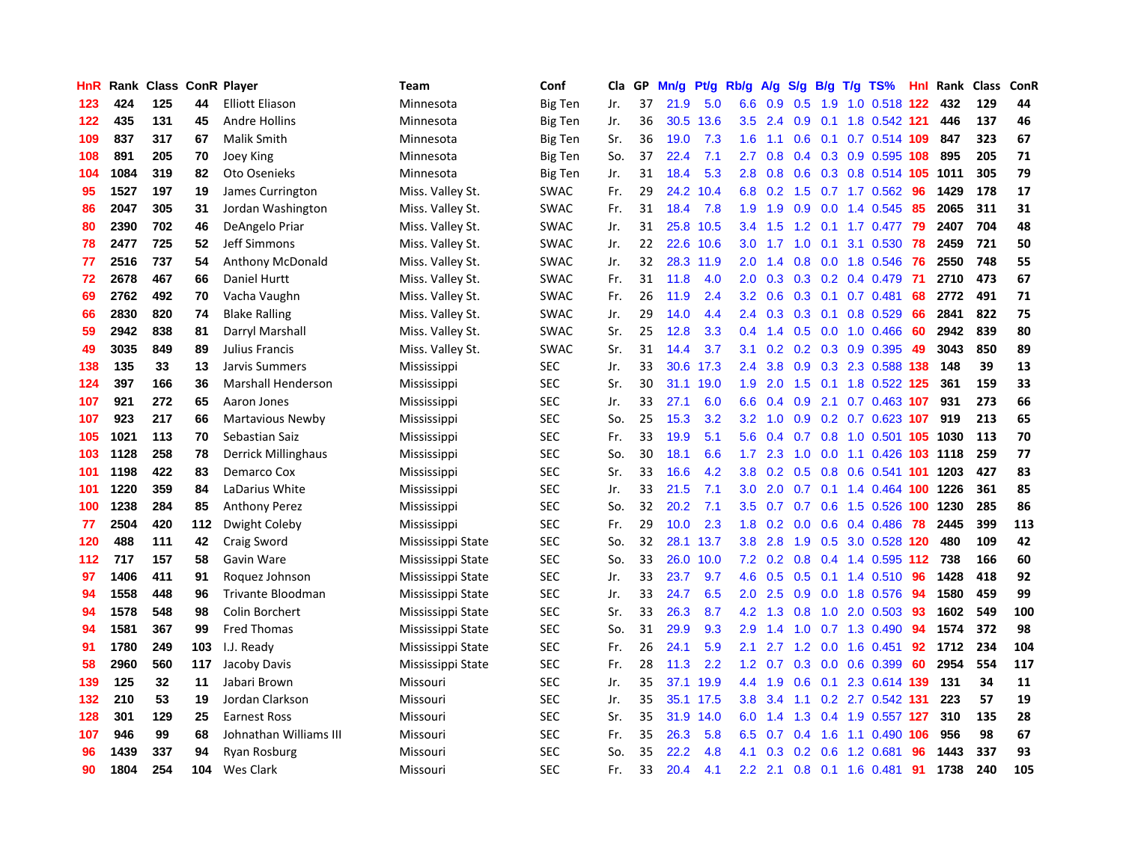| HnR | Rank | <b>Class ConR Player</b> |     |                            | <b>Team</b>       | Conf           | Cla | GP | Mn/g | Pt/g | Rb/g             | A/g | S/g              |     | $B/g$ T/g TS%              | Hnl | Rank | <b>Class</b> | ConR |
|-----|------|--------------------------|-----|----------------------------|-------------------|----------------|-----|----|------|------|------------------|-----|------------------|-----|----------------------------|-----|------|--------------|------|
| 123 | 424  | 125                      | 44  | <b>Elliott Eliason</b>     | Minnesota         | <b>Big Ten</b> | Jr. | 37 | 21.9 | 5.0  | 6.6              | 0.9 | 0.5              | 1.9 | 1.0 0.518 122              |     | 432  | 129          | 44   |
| 122 | 435  | 131                      | 45  | <b>Andre Hollins</b>       | Minnesota         | <b>Big Ten</b> | Jr. | 36 | 30.5 | 13.6 | 3.5              | 2.4 | 0.9              |     | 0.1 1.8 0.542 121          |     | 446  | 137          | 46   |
| 109 | 837  | 317                      | 67  | Malik Smith                | Minnesota         | <b>Big Ten</b> | Sr. | 36 | 19.0 | 7.3  | 1.6              | 1.1 | 0.6              |     | 0.1 0.7 0.514 109          |     | 847  | 323          | 67   |
| 108 | 891  | 205                      | 70  | Joey King                  | Minnesota         | Big Ten        | So. | 37 | 22.4 | 7.1  | 2.7              | 0.8 |                  |     | 0.4 0.3 0.9 0.595 108      |     | 895  | 205          | 71   |
| 104 | 1084 | 319                      | 82  | Oto Osenieks               | Minnesota         | <b>Big Ten</b> | Jr. | 31 | 18.4 | 5.3  | 2.8              | 0.8 | 0.6              |     | 0.3 0.8 0.514 105          |     | 1011 | 305          | 79   |
| 95  | 1527 | 197                      | 19  | James Currington           | Miss. Valley St.  | <b>SWAC</b>    | Fr. | 29 | 24.2 | 10.4 | 6.8              | 0.2 | 1.5              |     | $0.7$ 1.7 $0.562$          | 96  | 1429 | 178          | 17   |
| 86  | 2047 | 305                      | 31  | Jordan Washington          | Miss. Valley St.  | <b>SWAC</b>    | Fr. | 31 | 18.4 | 7.8  | 1.9              | 1.9 | 0.9              |     | 0.0 1.4 0.545              | 85  | 2065 | 311          | 31   |
| 80  | 2390 | 702                      | 46  | DeAngelo Priar             | Miss. Valley St.  | <b>SWAC</b>    | Jr. | 31 | 25.8 | 10.5 | 3.4              | 1.5 | 1.2              |     | $0.1$ 1.7 0.477            | 79  | 2407 | 704          | 48   |
| 78  | 2477 | 725                      | 52  | Jeff Simmons               | Miss. Valley St.  | <b>SWAC</b>    | Jr. | 22 | 22.6 | 10.6 | 3.0 <sub>2</sub> | 1.7 | 1.0              | 0.1 | 3.1 0.530                  | 78  | 2459 | 721          | 50   |
| 77  | 2516 | 737                      | 54  | <b>Anthony McDonald</b>    | Miss. Valley St.  | <b>SWAC</b>    | Jr. | 32 | 28.3 | 11.9 | 2.0 <sub>1</sub> | 1.4 | 0.8              |     | $0.0$ 1.8 $0.546$          | -76 | 2550 | 748          | 55   |
| 72  | 2678 | 467                      | 66  | Daniel Hurtt               | Miss. Valley St.  | <b>SWAC</b>    | Fr. | 31 | 11.8 | 4.0  | $2.0^{\circ}$    | 0.3 |                  |     | 0.3 0.2 0.4 0.479 71       |     | 2710 | 473          | 67   |
| 69  | 2762 | 492                      | 70  | Vacha Vaughn               | Miss. Valley St.  | <b>SWAC</b>    | Fr. | 26 | 11.9 | 2.4  | 3.2              | 0.6 |                  |     | $0.3$ 0.1 0.7 0.481        | 68  | 2772 | 491          | 71   |
| 66  | 2830 | 820                      | 74  | <b>Blake Ralling</b>       | Miss. Valley St.  | <b>SWAC</b>    | Jr. | 29 | 14.0 | 4.4  | 2.4              | 0.3 | 0.3              |     | $0.1$ 0.8 0.529            | 66  | 2841 | 822          | 75   |
| 59  | 2942 | 838                      | 81  | Darryl Marshall            | Miss. Valley St.  | <b>SWAC</b>    | Sr. | 25 | 12.8 | 3.3  | 0.4              | 1.4 | 0.5              |     | $0.0$ 1.0 $0.466$          | 60  | 2942 | 839          | 80   |
| 49  | 3035 | 849                      | 89  | Julius Francis             | Miss. Valley St.  | <b>SWAC</b>    | Sr. | 31 | 14.4 | 3.7  | 3.1              | 0.2 |                  |     | 0.2 0.3 0.9 0.395          | 49  | 3043 | 850          | 89   |
| 138 | 135  | 33                       | 13  | Jarvis Summers             | Mississippi       | <b>SEC</b>     | Jr. | 33 | 30.6 | 17.3 | 2.4              | 3.8 | 0.9 <sub>0</sub> |     | 0.3 2.3 0.588 138          |     | 148  | 39           | 13   |
| 124 | 397  | 166                      | 36  | <b>Marshall Henderson</b>  | Mississippi       | <b>SEC</b>     | Sr. | 30 | 31.1 | 19.0 | 1.9              | 2.0 | 1.5              |     | 0.1 1.8 0.522 125          |     | 361  | 159          | 33   |
| 107 | 921  | 272                      | 65  | Aaron Jones                | Mississippi       | <b>SEC</b>     | Jr. | 33 | 27.1 | 6.0  | 6.6              | 0.4 | 0.9              |     | 2.1 0.7 0.463 107          |     | 931  | 273          | 66   |
| 107 | 923  | 217                      | 66  | Martavious Newby           | Mississippi       | <b>SEC</b>     | So. | 25 | 15.3 | 3.2  | 3.2              | 1.0 | 0.9              |     | 0.2 0.7 0.623 107          |     | 919  | 213          | 65   |
| 105 | 1021 | 113                      | 70  | Sebastian Saiz             | Mississippi       | <b>SEC</b>     | Fr. | 33 | 19.9 | 5.1  | 5.6              | 0.4 |                  |     | 0.7 0.8 1.0 0.501 105 1030 |     |      | 113          | 70   |
| 103 | 1128 | 258                      | 78  | <b>Derrick Millinghaus</b> | Mississippi       | <b>SEC</b>     | So. | 30 | 18.1 | 6.6  | 1.7 <sup>2</sup> | 2.3 | 1.0              |     | 0.0 1.1 0.426 103 1118     |     |      | 259          | 77   |
| 101 | 1198 | 422                      | 83  | Demarco Cox                | Mississippi       | <b>SEC</b>     | Sr. | 33 | 16.6 | 4.2  | 3.8              | 0.2 | 0.5              |     | 0.8 0.6 0.541 101          |     | 1203 | 427          | 83   |
| 101 | 1220 | 359                      | 84  | LaDarius White             | Mississippi       | <b>SEC</b>     | Jr. | 33 | 21.5 | 7.1  | 3.0 <sub>2</sub> | 2.0 | 0.7              |     | 0.1 1.4 0.464 100 1226     |     |      | 361          | 85   |
| 100 | 1238 | 284                      | 85  | <b>Anthony Perez</b>       | Mississippi       | <b>SEC</b>     | So. | 32 | 20.2 | 7.1  | 3.5              | 0.7 | 0.7              |     | $0.6$ 1.5 0.526            | 100 | 1230 | 285          | 86   |
| 77  | 2504 | 420                      | 112 | Dwight Coleby              | Mississippi       | <b>SEC</b>     | Fr. | 29 | 10.0 | 2.3  | 1.8              | 0.2 | 0.0              |     | $0.6$ 0.4 0.486            | 78  | 2445 | 399          | 113  |
| 120 | 488  | 111                      | 42  | Craig Sword                | Mississippi State | <b>SEC</b>     | So. | 32 | 28.1 | 13.7 | 3.8 <sub>2</sub> | 2.8 | 1.9              |     | 0.5 3.0 0.528 120          |     | 480  | 109          | 42   |
| 112 | 717  | 157                      | 58  | Gavin Ware                 | Mississippi State | <b>SEC</b>     | So. | 33 | 26.0 | 10.0 | 7.2              | 0.2 |                  |     | 0.8 0.4 1.4 0.595 112      |     | 738  | 166          | 60   |
| 97  | 1406 | 411                      | 91  | Roquez Johnson             | Mississippi State | <b>SEC</b>     | Jr. | 33 | 23.7 | 9.7  | 4.6              | 0.5 |                  |     | $0.5$ 0.1 1.4 0.510        | -96 | 1428 | 418          | 92   |
| 94  | 1558 | 448                      | 96  | Trivante Bloodman          | Mississippi State | <b>SEC</b>     | Jr. | 33 | 24.7 | 6.5  | 2.0 <sub>1</sub> | 2.5 |                  |     | $0.9$ 0.0 1.8 0.576        | -94 | 1580 | 459          | 99   |
| 94  | 1578 | 548                      | 98  | Colin Borchert             | Mississippi State | <b>SEC</b>     | Sr. | 33 | 26.3 | 8.7  | 4.2              | 1.3 | 0.8              |     | 1.0 2.0 0.503              | 93  | 1602 | 549          | 100  |
| 94  | 1581 | 367                      | 99  | <b>Fred Thomas</b>         | Mississippi State | <b>SEC</b>     | So. | 31 | 29.9 | 9.3  | 2.9              | 1.4 | 1.0              |     | 0.7 1.3 0.490              | 94  | 1574 | 372          | 98   |
| 91  | 1780 | 249                      | 103 | I.J. Ready                 | Mississippi State | <b>SEC</b>     | Fr. | 26 | 24.1 | 5.9  | 2.1              | 2.7 | 1.2              |     | $0.0$ 1.6 $0.451$          | 92  | 1712 | 234          | 104  |
| 58  | 2960 | 560                      | 117 | Jacoby Davis               | Mississippi State | <b>SEC</b>     | Fr. | 28 | 11.3 | 2.2  | 1.2              | 0.7 | 0.3              |     | $0.0$ $0.6$ $0.399$        | 60  | 2954 | 554          | 117  |
| 139 | 125  | 32                       | 11  | Jabari Brown               | Missouri          | <b>SEC</b>     | Jr. | 35 | 37.1 | 19.9 | 4.4              | 1.9 | 0.6              | 0.1 | 2.3 0.614 139              |     | 131  | 34           | 11   |
| 132 | 210  | 53                       | 19  | Jordan Clarkson            | Missouri          | <b>SEC</b>     | Jr. | 35 | 35.1 | 17.5 | 3.8 <sub>2</sub> | 3.4 | 1.1              |     | 0.2 2.7 0.542 131          |     | 223  | 57           | 19   |
| 128 | 301  | 129                      | 25  | <b>Earnest Ross</b>        | Missouri          | <b>SEC</b>     | Sr. | 35 | 31.9 | 14.0 | 6.0              | 1.4 |                  |     | 1.3 0.4 1.9 0.557 127      |     | 310  | 135          | 28   |
| 107 | 946  | 99                       | 68  | Johnathan Williams III     | Missouri          | <b>SEC</b>     | Fr. | 35 | 26.3 | 5.8  | 6.5              | 0.7 |                  |     | $0.4$ 1.6 1.1 0.490        | 106 | 956  | 98           | 67   |
| 96  | 1439 | 337                      | 94  | Ryan Rosburg               | Missouri          | <b>SEC</b>     | So. | 35 | 22.2 | 4.8  | 4.1              | 0.3 | 0.2 <sub>0</sub> |     | $0.6$ 1.2 0.681            | 96  | 1443 | 337          | 93   |
| 90  | 1804 | 254                      | 104 | Wes Clark                  | Missouri          | <b>SEC</b>     | Fr. | 33 | 20.4 | 4.1  | 2.2 <sub>2</sub> | 2.1 |                  |     | 0.8 0.1 1.6 0.481          | 91  | 1738 | 240          | 105  |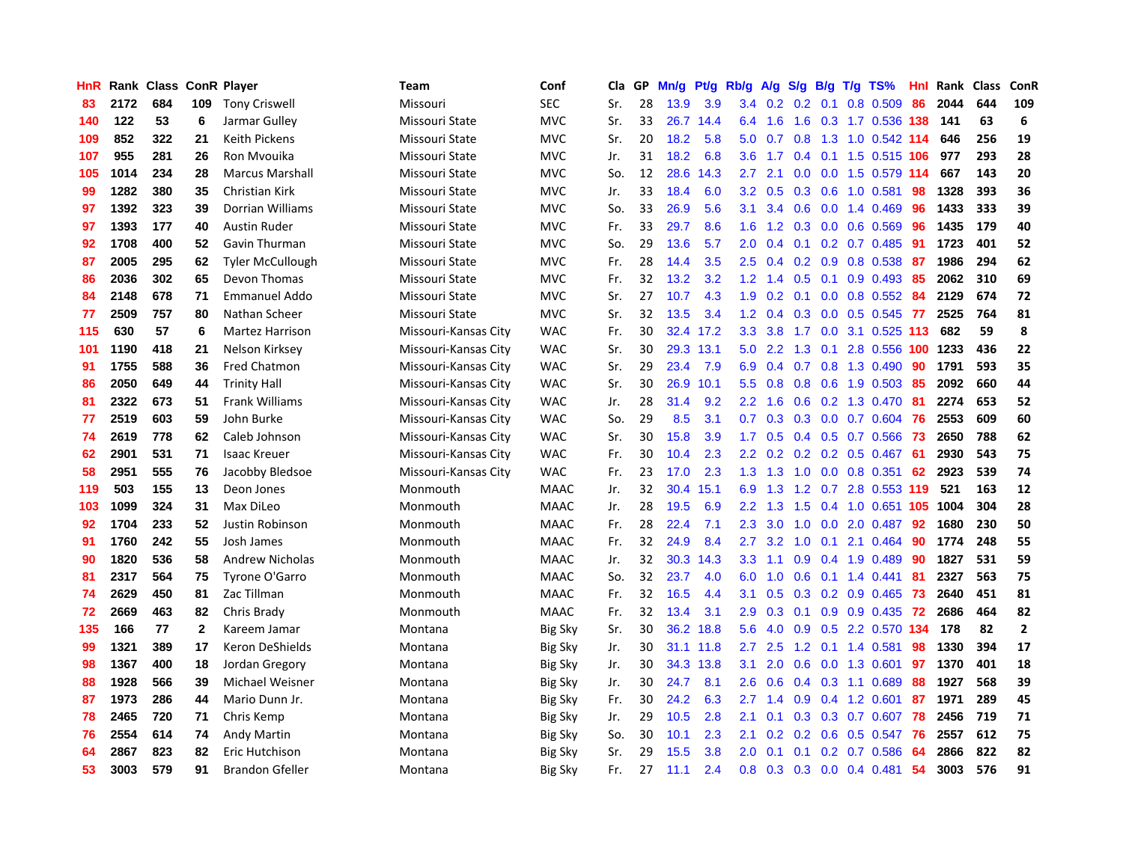| HnR |      | Rank Class |              | <b>ConR Player</b>      | <b>Team</b>          | Conf           | Cla | GP | Mn/g | <b>Pt/g</b> | Rb/g | A/g | S/g              | B/g | $T/g$ TS%                 | Hnl | Rank | <b>Class</b> | ConR           |
|-----|------|------------|--------------|-------------------------|----------------------|----------------|-----|----|------|-------------|------|-----|------------------|-----|---------------------------|-----|------|--------------|----------------|
| 83  | 2172 | 684        | 109          | <b>Tony Criswell</b>    | Missouri             | <b>SEC</b>     | Sr. | 28 | 13.9 | 3.9         | 3.4  | 0.2 | 0.2              | 0.1 | 0.8 0.509                 | 86  | 2044 | 644          | 109            |
| 140 | 122  | 53         | 6            | Jarmar Gulley           | Missouri State       | <b>MVC</b>     | Sr. | 33 | 26.7 | 14.4        | 6.4  | 1.6 |                  |     | 1.6 0.3 1.7 0.536 138 141 |     |      | 63           | 6              |
| 109 | 852  | 322        | 21           | <b>Keith Pickens</b>    | Missouri State       | <b>MVC</b>     | Sr. | 20 | 18.2 | 5.8         | 5.0  | 0.7 |                  |     | 0.8 1.3 1.0 0.542 114     |     | 646  | 256          | 19             |
| 107 | 955  | 281        | 26           | Ron Myouika             | Missouri State       | <b>MVC</b>     | Jr. | 31 | 18.2 | 6.8         | 3.6  | 1.7 | $0.4^{\circ}$    |     | 0.1 1.5 0.515 106         |     | 977  | 293          | 28             |
| 105 | 1014 | 234        | 28           | <b>Marcus Marshall</b>  | Missouri State       | <b>MVC</b>     | So. | 12 | 28.6 | 14.3        | 2.7  | 2.1 | 0.0              |     | 0.0 1.5 0.579 114         |     | 667  | 143          | 20             |
| 99  | 1282 | 380        | 35           | Christian Kirk          | Missouri State       | <b>MVC</b>     | Jr. | 33 | 18.4 | 6.0         | 3.2  | 0.5 | 0.3              |     | 0.6 1.0 0.581             | 98  | 1328 | 393          | 36             |
| 97  | 1392 | 323        | 39           | <b>Dorrian Williams</b> | Missouri State       | <b>MVC</b>     | So. | 33 | 26.9 | 5.6         | 3.1  | 3.4 | 0.6              |     | $0.0$ 1.4 $0.469$         | 96  | 1433 | 333          | 39             |
| 97  | 1393 | 177        | 40           | Austin Ruder            | Missouri State       | <b>MVC</b>     | Fr. | 33 | 29.7 | 8.6         | 1.6  | 1.2 | 0.3              |     | $0.0$ $0.6$ $0.569$       | 96  | 1435 | 179          | 40             |
| 92  | 1708 | 400        | 52           | Gavin Thurman           | Missouri State       | <b>MVC</b>     | So. | 29 | 13.6 | 5.7         | 2.0  | 0.4 | 0.1              |     | $0.2$ 0.7 0.485           | 91  | 1723 | 401          | 52             |
| 87  | 2005 | 295        | 62           | <b>Tyler McCullough</b> | Missouri State       | <b>MVC</b>     | Fr. | 28 | 14.4 | 3.5         | 2.5  | 0.4 |                  |     | 0.2 0.9 0.8 0.538 87      |     | 1986 | 294          | 62             |
| 86  | 2036 | 302        | 65           | Devon Thomas            | Missouri State       | <b>MVC</b>     | Fr. | 32 | 13.2 | 3.2         | 1.2  | 1.4 |                  |     | 0.5 0.1 0.9 0.493 85      |     | 2062 | 310          | 69             |
| 84  | 2148 | 678        | 71           | <b>Emmanuel Addo</b>    | Missouri State       | <b>MVC</b>     | Sr. | 27 | 10.7 | 4.3         | 1.9  | 0.2 | 0.1              |     | $0.0$ $0.8$ $0.552$ 84    |     | 2129 | 674          | 72             |
| 77  | 2509 | 757        | 80           | Nathan Scheer           | Missouri State       | <b>MVC</b>     | Sr. | 32 | 13.5 | 3.4         | 1.2  | 0.4 | 0.3              |     | 0.0 0.5 0.545 77          |     | 2525 | 764          | 81             |
| 115 | 630  | 57         | 6            | Martez Harrison         | Missouri-Kansas City | <b>WAC</b>     | Fr. | 30 | 32.4 | 17.2        | 3.3  | 3.8 | 1.7              |     | $0.0$ 3.1 $0.525$ 113     |     | 682  | 59           | 8              |
| 101 | 1190 | 418        | 21           | Nelson Kirksey          | Missouri-Kansas City | <b>WAC</b>     | Sr. | 30 | 29.3 | 13.1        | 5.0  | 2.2 | 1.3              | 0.1 | 2.8 0.556 100 1233        |     |      | 436          | 22             |
| 91  | 1755 | 588        | 36           | Fred Chatmon            | Missouri-Kansas City | <b>WAC</b>     | Sr. | 29 | 23.4 | 7.9         | 6.9  | 0.4 | 0.7              |     | 0.8 1.3 0.490             | 90  | 1791 | 593          | 35             |
| 86  | 2050 | 649        | 44           | <b>Trinity Hall</b>     | Missouri-Kansas City | <b>WAC</b>     | Sr. | 30 | 26.9 | 10.1        | 5.5  | 0.8 | 0.8              |     | 0.6 1.9 0.503             | 85  | 2092 | 660          | 44             |
| 81  | 2322 | 673        | 51           | <b>Frank Williams</b>   | Missouri-Kansas City | <b>WAC</b>     | Jr. | 28 | 31.4 | 9.2         | 2.2  | 1.6 | 0.6              |     | $0.2$ 1.3 0.470           | -81 | 2274 | 653          | 52             |
| 77  | 2519 | 603        | 59           | John Burke              | Missouri-Kansas City | <b>WAC</b>     | So. | 29 | 8.5  | 3.1         | 0.7  | 0.3 |                  |     | 0.3 0.0 0.7 0.604 76      |     | 2553 | 609          | 60             |
| 74  | 2619 | 778        | 62           | Caleb Johnson           | Missouri-Kansas City | <b>WAC</b>     | Sr. | 30 | 15.8 | 3.9         | 1.7  | 0.5 |                  |     | 0.4 0.5 0.7 0.566 73      |     | 2650 | 788          | 62             |
| 62  | 2901 | 531        | 71           | <b>Isaac Kreuer</b>     | Missouri-Kansas City | <b>WAC</b>     | Fr. | 30 | 10.4 | 2.3         | 2.2  | 0.2 |                  |     | $0.2$ 0.2 0.5 0.467       | -61 | 2930 | 543          | 75             |
| 58  | 2951 | 555        | 76           | Jacobby Bledsoe         | Missouri-Kansas City | <b>WAC</b>     | Fr. | 23 | 17.0 | 2.3         | 1.3  | 1.3 | 1.0              |     | $0.0$ 0.8 0.351           | 62  | 2923 | 539          | 74             |
| 119 | 503  | 155        | 13           | Deon Jones              | Monmouth             | <b>MAAC</b>    | Jr. | 32 | 30.4 | 15.1        | 6.9  | 1.3 | 1.2              |     | 0.7 2.8 0.553 119         |     | 521  | 163          | 12             |
| 103 | 1099 | 324        | 31           | Max DiLeo               | Monmouth             | <b>MAAC</b>    | Jr. | 28 | 19.5 | 6.9         | 2.2  | 1.3 | 1.5              |     | 0.4 1.0 0.651 105         |     | 1004 | 304          | 28             |
| 92  | 1704 | 233        | 52           | Justin Robinson         | Monmouth             | <b>MAAC</b>    | Fr. | 28 | 22.4 | 7.1         | 2.3  | 3.0 | 1.0              |     | $0.0$ 2.0 0.487           | 92  | 1680 | 230          | 50             |
| 91  | 1760 | 242        | 55           | Josh James              | Monmouth             | <b>MAAC</b>    | Fr. | 32 | 24.9 | 8.4         | 2.7  | 3.2 | 1.0              |     | $0.1$ 2.1 0.464           | -90 | 1774 | 248          | 55             |
| 90  | 1820 | 536        | 58           | <b>Andrew Nicholas</b>  | Monmouth             | <b>MAAC</b>    | Jr. | 32 | 30.3 | 14.3        | 3.3  | 1.1 |                  |     | $0.9$ 0.4 1.9 0.489       | -90 | 1827 | 531          | 59             |
| 81  | 2317 | 564        | 75           | Tyrone O'Garro          | Monmouth             | <b>MAAC</b>    | So. | 32 | 23.7 | 4.0         | 6.0  | 1.0 | 0.6              |     | $0.1$ 1.4 $0.441$         | -81 | 2327 | 563          | 75             |
| 74  | 2629 | 450        | 81           | Zac Tillman             | Monmouth             | <b>MAAC</b>    | Fr. | 32 | 16.5 | 4.4         | 3.1  | 0.5 | 0.3 <sub>0</sub> |     | 0.2 0.9 0.465             | -73 | 2640 | 451          | 81             |
| 72  | 2669 | 463        | 82           | Chris Brady             | Monmouth             | <b>MAAC</b>    | Fr. | 32 | 13.4 | 3.1         | 2.9  | 0.3 | 0.1              |     | $0.9$ 0.9 0.435           | -72 | 2686 | 464          | 82             |
| 135 | 166  | 77         | $\mathbf{2}$ | Kareem Jamar            | Montana              | <b>Big Sky</b> | Sr. | 30 | 36.2 | 18.8        | 5.6  | 4.0 | 0.9              |     | 0.5 2.2 0.570 134         |     | 178  | 82           | $\overline{2}$ |
| 99  | 1321 | 389        | 17           | Keron DeShields         | Montana              | Big Sky        | Jr. | 30 | 31.1 | 11.8        | 2.7  | 2.5 | 1.2              |     | $0.1$ 1.4 0.581           | 98  | 1330 | 394          | 17             |
| 98  | 1367 | 400        | 18           | Jordan Gregory          | Montana              | Big Sky        | Jr. | 30 | 34.3 | 13.8        | 3.1  | 2.0 | 0.6              |     | 0.0 1.3 0.601             | 97  | 1370 | 401          | 18             |
| 88  | 1928 | 566        | 39           | Michael Weisner         | Montana              | <b>Big Sky</b> | Jr. | 30 | 24.7 | 8.1         | 2.6  | 0.6 | $0.4^{\circ}$    |     | $0.3$ 1.1 0.689           | 88  | 1927 | 568          | 39             |
| 87  | 1973 | 286        | 44           | Mario Dunn Jr.          | Montana              | <b>Big Sky</b> | Fr. | 30 | 24.2 | 6.3         | 2.7  | 1.4 | 0.9              |     | $0.4$ 1.2 0.601           | 87  | 1971 | 289          | 45             |
| 78  | 2465 | 720        | 71           | Chris Kemp              | Montana              | <b>Big Sky</b> | Jr. | 29 | 10.5 | 2.8         | 2.1  | 0.1 | 0.3              |     | 0.3 0.7 0.607 78          |     | 2456 | 719          | 71             |
| 76  | 2554 | 614        | 74           | <b>Andy Martin</b>      | Montana              | <b>Big Sky</b> | So. | 30 | 10.1 | 2.3         | 2.1  | 0.2 | 0.2              |     | 0.6 0.5 0.547 76          |     | 2557 | 612          | 75             |
| 64  | 2867 | 823        | 82           | Eric Hutchison          | Montana              | <b>Big Sky</b> | Sr. | 29 | 15.5 | 3.8         | 2.0  | 0.1 | 0.1              |     | 0.2 0.7 0.586             | -64 | 2866 | 822          | 82             |
| 53  | 3003 | 579        | 91           | <b>Brandon Gfeller</b>  | Montana              | <b>Big Sky</b> | Fr. | 27 | 11.1 | 2.4         | 0.8  |     |                  |     | 0.3 0.3 0.0 0.4 0.481     | 54  | 3003 | 576          | 91             |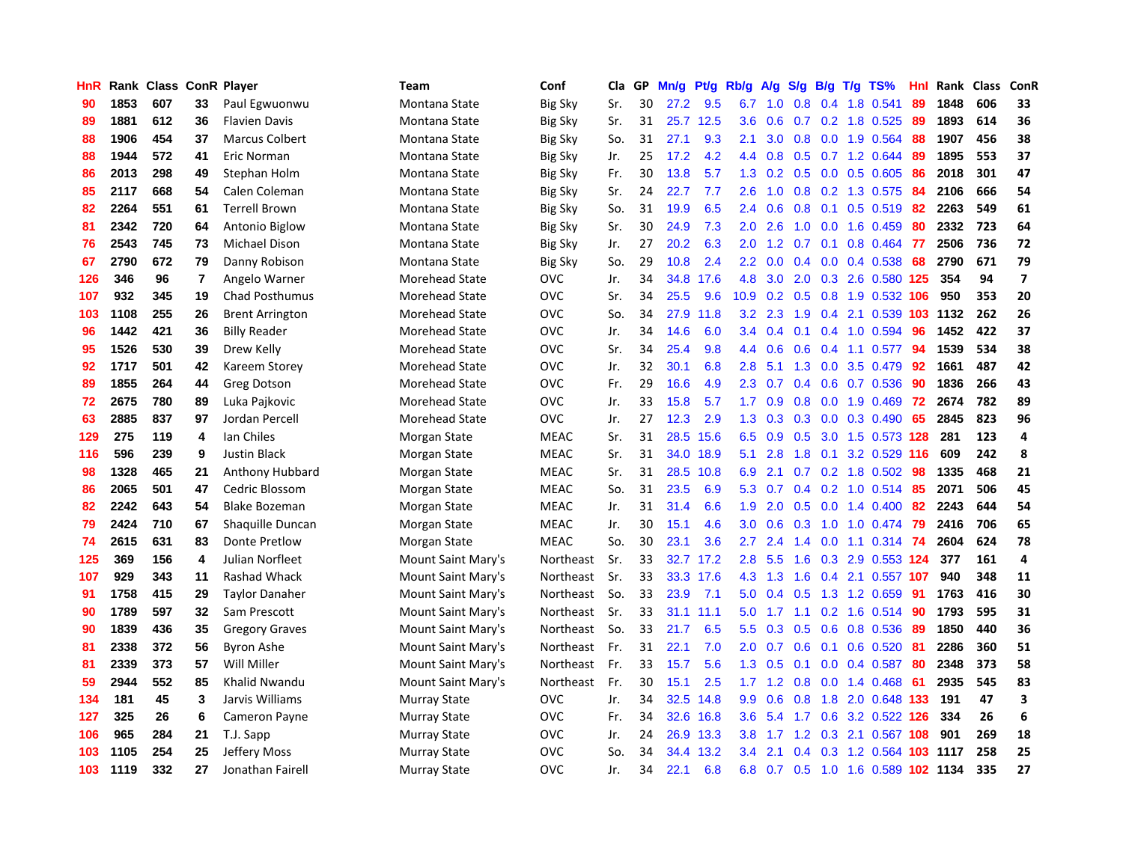| HnR |      | Rank Class ConR Player |                |                        | <b>Team</b>           | Conf           | Cla | GP | Mn/g | Pt/g      | Rb/g             | A/g         | S/g           | B/g | $T/g$ TS%                  | Hnl | Rank | <b>Class</b> | ConR                     |
|-----|------|------------------------|----------------|------------------------|-----------------------|----------------|-----|----|------|-----------|------------------|-------------|---------------|-----|----------------------------|-----|------|--------------|--------------------------|
| 90  | 1853 | 607                    | 33             | Paul Egwuonwu          | Montana State         | <b>Big Sky</b> | Sr. | 30 | 27.2 | 9.5       | 6.7              | 1.0         | 0.8           | 0.4 | 1.8 0.541                  | 89  | 1848 | 606          | 33                       |
| 89  | 1881 | 612                    | 36             | <b>Flavien Davis</b>   | Montana State         | <b>Big Sky</b> | Sr. | 31 | 25.7 | 12.5      | 3.6              | 0.6         |               |     | $0.7$ $0.2$ 1.8 $0.525$    | -89 | 1893 | 614          | 36                       |
| 88  | 1906 | 454                    | 37             | <b>Marcus Colbert</b>  | Montana State         | Big Sky        | So. | 31 | 27.1 | 9.3       | 2.1              | 3.0         | 0.8           |     | 0.0 1.9 0.564              | -88 | 1907 | 456          | 38                       |
| 88  | 1944 | 572                    | 41             | Eric Norman            | Montana State         | <b>Big Sky</b> | Jr. | 25 | 17.2 | 4.2       | 4.4              | 0.8         | 0.5           |     | $0.7$ 1.2 0.644            | 89  | 1895 | 553          | 37                       |
| 86  | 2013 | 298                    | 49             | Stephan Holm           | Montana State         | <b>Big Sky</b> | Fr. | 30 | 13.8 | 5.7       | 1.3              | 0.2         | 0.5           |     | $0.0$ $0.5$ $0.605$        | 86  | 2018 | 301          | 47                       |
| 85  | 2117 | 668                    | 54             | Calen Coleman          | Montana State         | <b>Big Sky</b> | Sr. | 24 | 22.7 | 7.7       | 2.6              | 1.0         | 0.8           |     | 0.2 1.3 0.575              | 84  | 2106 | 666          | 54                       |
| 82  | 2264 | 551                    | 61             | <b>Terrell Brown</b>   | Montana State         | <b>Big Sky</b> | So. | 31 | 19.9 | 6.5       | 2.4              | 0.6         | 0.8           |     | 0.1 0.5 0.519              | 82  | 2263 | 549          | 61                       |
| 81  | 2342 | 720                    | 64             | Antonio Biglow         | Montana State         | <b>Big Sky</b> | Sr. | 30 | 24.9 | 7.3       | 2.0              | 2.6         | 1.0           |     | $0.0$ 1.6 $0.459$          | 80  | 2332 | 723          | 64                       |
| 76  | 2543 | 745                    | 73             | Michael Dison          | Montana State         | <b>Big Sky</b> | Jr. | 27 | 20.2 | 6.3       | 2.0              | 1.2         | 0.7           | 0.1 | $0.8$ 0.464                | -77 | 2506 | 736          | 72                       |
| 67  | 2790 | 672                    | 79             | Danny Robison          | Montana State         | <b>Big Sky</b> | So. | 29 | 10.8 | 2.4       | $2.2^{\circ}$    | 0.0         |               |     | $0.4$ 0.0 0.4 0.538        | -68 | 2790 | 671          | 79                       |
| 126 | 346  | 96                     | $\overline{7}$ | Angelo Warner          | Morehead State        | <b>OVC</b>     | Jr. | 34 | 34.8 | 17.6      | 4.8              | 3.0         |               |     | 2.0 0.3 2.6 0.580 125      |     | 354  | 94           | $\overline{\phantom{a}}$ |
| 107 | 932  | 345                    | 19             | <b>Chad Posthumus</b>  | Morehead State        | <b>OVC</b>     | Sr. | 34 | 25.5 | 9.6       | 10.9             | 0.2         |               |     | 0.5 0.8 1.9 0.532 106      |     | 950  | 353          | 20                       |
| 103 | 1108 | 255                    | 26             | <b>Brent Arrington</b> | Morehead State        | OVC            | So. | 34 | 27.9 | 11.8      | 3.2              | 2.3         | 1.9           |     | 0.4 2.1 0.539 103 1132     |     |      | 262          | 26                       |
| 96  | 1442 | 421                    | 36             | <b>Billy Reader</b>    | Morehead State        | <b>OVC</b>     | Jr. | 34 | 14.6 | 6.0       | $3.4^{\circ}$    | 0.4         | 0.1           |     | 0.4 1.0 0.594              | 96  | 1452 | 422          | 37                       |
| 95  | 1526 | 530                    | 39             | Drew Kelly             | Morehead State        | <b>OVC</b>     | Sr. | 34 | 25.4 | 9.8       | 4.4              | 0.6         | 0.6           |     | $0.4$ 1.1 0.577            | 94  | 1539 | 534          | 38                       |
| 92  | 1717 | 501                    | 42             | Kareem Storey          | <b>Morehead State</b> | <b>OVC</b>     | Jr. | 32 | 30.1 | 6.8       | 2.8              | 5.1         | 1.3           | 0.0 | 3.5 0.479                  | 92  | 1661 | 487          | 42                       |
| 89  | 1855 | 264                    | 44             | <b>Greg Dotson</b>     | Morehead State        | <b>OVC</b>     | Fr. | 29 | 16.6 | 4.9       | 2.3              | 0.7         | $0.4^{\circ}$ | 0.6 | 0.7 0.536                  | 90  | 1836 | 266          | 43                       |
| 72  | 2675 | 780                    | 89             | Luka Pajkovic          | Morehead State        | <b>OVC</b>     | Jr. | 33 | 15.8 | 5.7       | 1.7              | 0.9         | 0.8           |     | $0.0$ 1.9 $0.469$          | -72 | 2674 | 782          | 89                       |
| 63  | 2885 | 837                    | 97             | Jordan Percell         | Morehead State        | <b>OVC</b>     | Jr. | 27 | 12.3 | 2.9       | 1.3              | 0.3         | 0.3           |     | $0.0$ $0.3$ $0.490$        | 65  | 2845 | 823          | 96                       |
| 129 | 275  | 119                    | 4              | Ian Chiles             | Morgan State          | <b>MEAC</b>    | Sr. | 31 | 28.5 | 15.6      | 6.5              | 0.9         |               |     | 0.5 3.0 1.5 0.573 128      |     | 281  | 123          | 4                        |
| 116 | 596  | 239                    | 9              | <b>Justin Black</b>    | Morgan State          | <b>MEAC</b>    | Sr. | 31 | 34.0 | 18.9      | 5.1              | 2.8         | 1.8           |     | $0.1$ 3.2 0.529 116        |     | 609  | 242          | 8                        |
| 98  | 1328 | 465                    | 21             | Anthony Hubbard        | Morgan State          | MEAC           | Sr. | 31 | 28.5 | 10.8      | 6.9              | 2.1         | 0.7           |     | 0.2 1.8 0.502              | -98 | 1335 | 468          | 21                       |
| 86  | 2065 | 501                    | 47             | Cedric Blossom         | Morgan State          | <b>MEAC</b>    | So. | 31 | 23.5 | 6.9       | 5.3              | 0.7         | 0.4           |     | 0.2 1.0 0.514 85           |     | 2071 | 506          | 45                       |
| 82  | 2242 | 643                    | 54             | <b>Blake Bozeman</b>   | Morgan State          | <b>MEAC</b>    | Jr. | 31 | 31.4 | 6.6       | 1.9              | 2.0         | 0.5           |     | $0.0$ 1.4 $0.400$          | 82  | 2243 | 644          | 54                       |
| 79  | 2424 | 710                    | 67             | Shaguille Duncan       | Morgan State          | <b>MEAC</b>    | Jr. | 30 | 15.1 | 4.6       | 3.0 <sub>2</sub> | 0.6         | 0.3           |     | 1.0 1.0 0.474              | 79  | 2416 | 706          | 65                       |
| 74  | 2615 | 631                    | 83             | <b>Donte Pretlow</b>   | Morgan State          | <b>MEAC</b>    | So. | 30 | 23.1 | 3.6       | 2.7              | 2.4         | 1.4           |     | $0.0$ 1.1 0.314            | 74  | 2604 | 624          | 78                       |
| 125 | 369  | 156                    | 4              | Julian Norfleet        | Mount Saint Mary's    | Northeast      | Sr. | 33 | 32.7 | 17.2      | 2.8              | 5.5         | 1.6           |     | 0.3 2.9 0.553 124          |     | 377  | 161          | 4                        |
| 107 | 929  | 343                    | 11             | Rashad Whack           | Mount Saint Mary's    | Northeast      | Sr. | 33 |      | 33.3 17.6 | 4.3              | $-1.3$      |               |     | 1.6 0.4 2.1 0.557 107      |     | 940  | 348          | 11                       |
| 91  | 1758 | 415                    | 29             | <b>Taylor Danaher</b>  | Mount Saint Mary's    | Northeast      | So. | 33 | 23.9 | 7.1       | 5.0              | 0.4         |               |     | $0.5$ 1.3 1.2 0.659        | -91 | 1763 | 416          | 30                       |
| 90  | 1789 | 597                    | 32             | Sam Prescott           | Mount Saint Mary's    | Northeast      | Sr. | 33 | 31.1 | 11.1      | 5.0              | 1.7         | 1.1           |     | 0.2 1.6 0.514 90           |     | 1793 | 595          | 31                       |
| 90  | 1839 | 436                    | 35             | <b>Gregory Graves</b>  | Mount Saint Mary's    | Northeast      | So. | 33 | 21.7 | 6.5       | 5.5              | 0.3         | 0.5           |     | $0.6$ 0.8 0.536            | -89 | 1850 | 440          | 36                       |
| 81  | 2338 | 372                    | 56             | Byron Ashe             | Mount Saint Mary's    | Northeast      | Fr. | 31 | 22.1 | 7.0       | 2.0              | 0.7         | 0.6           |     | $0.1$ 0.6 0.520            | -81 | 2286 | 360          | 51                       |
| 81  | 2339 | 373                    | 57             | Will Miller            | Mount Saint Mary's    | Northeast      | Fr. | 33 | 15.7 | 5.6       | 1.3              | 0.5         | 0.1           |     | $0.0$ 0.4 0.587            | -80 | 2348 | 373          | 58                       |
| 59  | 2944 | 552                    | 85             | Khalid Nwandu          | Mount Saint Mary's    | Northeast      | Fr. | 30 | 15.1 | 2.5       |                  | $1.7$ $1.2$ | 0.8           |     | $0.0$ 1.4 $0.468$          | 61  | 2935 | 545          | 83                       |
| 134 | 181  | 45                     | 3              | Jarvis Williams        | <b>Murray State</b>   | <b>OVC</b>     | Jr. | 34 | 32.5 | 14.8      | 9.9              | 0.6         | 0.8           |     | 1.8 2.0 0.648 133          |     | 191  | 47           | 3                        |
| 127 | 325  | 26                     | 6              | <b>Cameron Payne</b>   | <b>Murray State</b>   | <b>OVC</b>     | Fr. | 34 | 32.6 | 16.8      | 3.6              | 5.4 1.7     |               |     | 0.6 3.2 0.522 126          |     | -334 | 26           | 6                        |
| 106 | 965  | 284                    | 21             | T.J. Sapp              | <b>Murray State</b>   | <b>OVC</b>     | Jr. | 24 | 26.9 | 13.3      | 3.8 <sub>2</sub> | 1.7         |               |     | 1.2 0.3 2.1 0.567 108      |     | 901  | 269          | 18                       |
| 103 | 1105 | 254                    | 25             | <b>Jeffery Moss</b>    | <b>Murray State</b>   | <b>OVC</b>     | So. | 34 | 34.4 | 13.2      | $3.4^{\circ}$    | 2.1         | 0.4           |     | 0.3 1.2 0.564 103 1117     |     |      | 258          | 25                       |
| 103 | 1119 | 332                    | 27             | Jonathan Fairell       | <b>Murray State</b>   | <b>OVC</b>     | Jr. | 34 | 22.1 | 6.8       | 6.8              | 0.7         |               |     | 0.5 1.0 1.6 0.589 102 1134 |     |      | 335          | 27                       |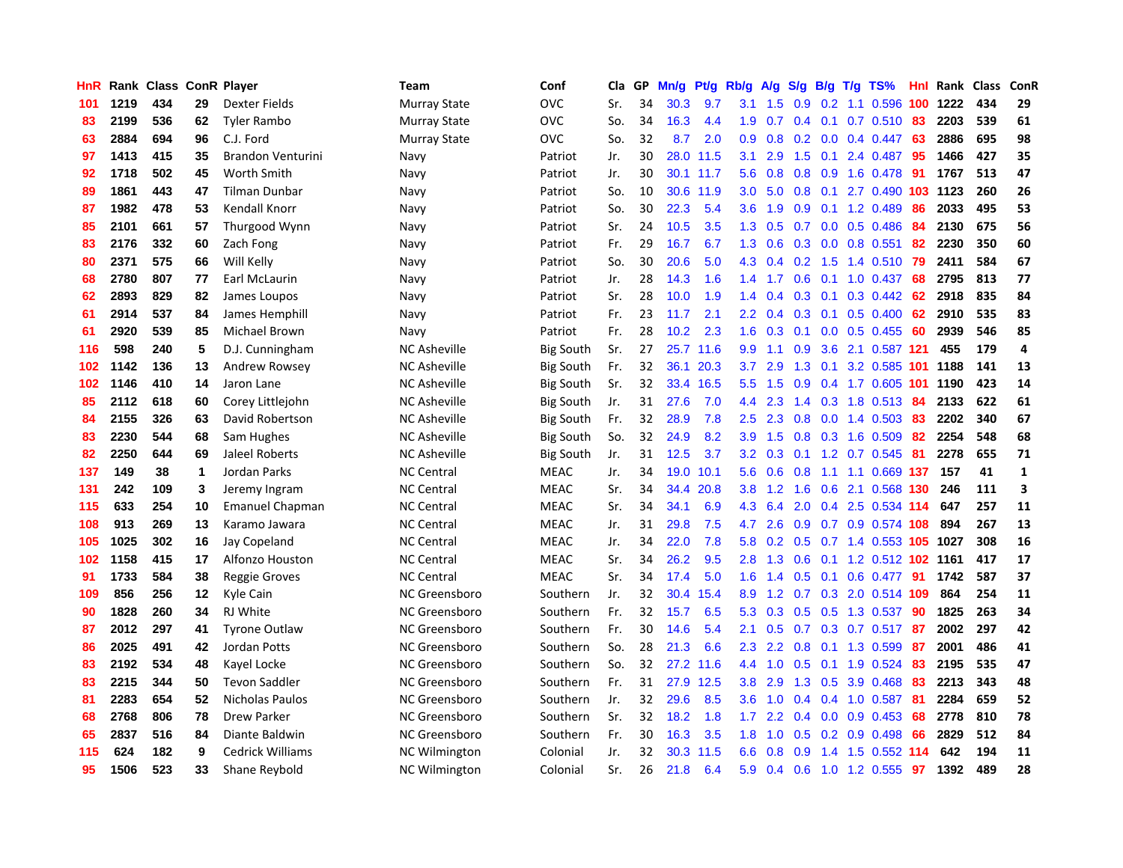| HnR |      | Rank Class |    | <b>ConR Player</b>     | <b>Team</b>          | Conf             | Cla | GP | Mn/g | Pt/g | Rb/g | A/g | S/g              | B/g | $T/g$ TS%              | Hnl | Rank | <b>Class</b> | ConR                    |
|-----|------|------------|----|------------------------|----------------------|------------------|-----|----|------|------|------|-----|------------------|-----|------------------------|-----|------|--------------|-------------------------|
| 101 | 1219 | 434        | 29 | Dexter Fields          | <b>Murray State</b>  | <b>OVC</b>       | Sr. | 34 | 30.3 | 9.7  | 3.1  | 1.5 | 0.9              |     | $0.2$ 1.1 0.596        | 100 | 1222 | 434          | 29                      |
| 83  | 2199 | 536        | 62 | Tyler Rambo            | <b>Murray State</b>  | <b>OVC</b>       | So. | 34 | 16.3 | 4.4  | 1.9  | 0.7 |                  |     | 0.4 0.1 0.7 0.510 83   |     | 2203 | 539          | 61                      |
| 63  | 2884 | 694        | 96 | C.J. Ford              | <b>Murray State</b>  | <b>OVC</b>       | So. | 32 | 8.7  | 2.0  | 0.9  | 0.8 |                  |     | $0.2$ 0.0 0.4 0.447    | -63 | 2886 | 695          | 98                      |
| 97  | 1413 | 415        | 35 | Brandon Venturini      | Navy                 | Patriot          | Jr. | 30 | 28.0 | 11.5 | 3.1  | 2.9 | 1.5              |     | $0.1$ 2.4 $0.487$      | -95 | 1466 | 427          | 35                      |
| 92  | 1718 | 502        | 45 | Worth Smith            | Navy                 | Patriot          | Jr. | 30 | 30.1 | 11.7 | 5.6  | 0.8 | 0.8              |     | 0.9 1.6 0.478          | 91  | 1767 | 513          | 47                      |
| 89  | 1861 | 443        | 47 | Tilman Dunbar          | Navy                 | Patriot          | So. | 10 | 30.6 | 11.9 | 3.0  | 5.0 | 0.8              |     | 0.1 2.7 0.490 103 1123 |     |      | 260          | 26                      |
| 87  | 1982 | 478        | 53 | Kendall Knorr          | Navy                 | Patriot          | So. | 30 | 22.3 | 5.4  | 3.6  | 1.9 | 0.9              |     | 0.1 1.2 0.489          | 86  | 2033 | 495          | 53                      |
| 85  | 2101 | 661        | 57 | Thurgood Wynn          | Navy                 | Patriot          | Sr. | 24 | 10.5 | 3.5  | 1.3  | 0.5 | 0.7              |     | $0.0$ 0.5 0.486        | 84  | 2130 | 675          | 56                      |
| 83  | 2176 | 332        | 60 | Zach Fong              | Navy                 | Patriot          | Fr. | 29 | 16.7 | 6.7  | 1.3  | 0.6 | 0.3              |     | $0.0$ 0.8 0.551        | 82  | 2230 | 350          | 60                      |
| 80  | 2371 | 575        | 66 | Will Kelly             | Navy                 | Patriot          | So. | 30 | 20.6 | 5.0  | 4.3  | 0.4 |                  |     | 0.2 1.5 1.4 0.510 79   |     | 2411 | 584          | 67                      |
| 68  | 2780 | 807        | 77 | Earl McLaurin          | Navy                 | Patriot          | Jr. | 28 | 14.3 | 1.6  | 1.4  | 1.7 |                  |     | 0.6 0.1 1.0 0.437 68   |     | 2795 | 813          | 77                      |
| 62  | 2893 | 829        | 82 | James Loupos           | Navy                 | Patriot          | Sr. | 28 | 10.0 | 1.9  | 1.4  | 0.4 | 0.3              |     | $0.1$ $0.3$ $0.442$ 62 |     | 2918 | 835          | 84                      |
| 61  | 2914 | 537        | 84 | James Hemphill         | Navy                 | Patriot          | Fr. | 23 | 11.7 | 2.1  | 2.2  | 0.4 | 0.3              |     | $0.1$ 0.5 0.400        | 62  | 2910 | 535          | 83                      |
| 61  | 2920 | 539        | 85 | Michael Brown          | Navy                 | Patriot          | Fr. | 28 | 10.2 | 2.3  | 1.6  | 0.3 | 0.1              |     | $0.0$ 0.5 0.455        | -60 | 2939 | 546          | 85                      |
| 116 | 598  | 240        | 5  | D.J. Cunningham        | <b>NC Asheville</b>  | <b>Big South</b> | Sr. | 27 | 25.7 | 11.6 | 9.9  | 1.1 | 0.9              |     | 3.6 2.1 0.587 121      |     | 455  | 179          | $\overline{\mathbf{4}}$ |
| 102 | 1142 | 136        | 13 | Andrew Rowsey          | <b>NC Asheville</b>  | <b>Big South</b> | Fr. | 32 | 36.1 | 20.3 | 3.7  | 2.9 | 1.3              | 0.1 | 3.2 0.585 101          |     | 1188 | 141          | 13                      |
| 102 | 1146 | 410        | 14 | Jaron Lane             | <b>NC Asheville</b>  | <b>Big South</b> | Sr. | 32 | 33.4 | 16.5 | 5.5  | 1.5 | 0.9              |     | 0.4 1.7 0.605 101 1190 |     |      | 423          | 14                      |
| 85  | 2112 | 618        | 60 | Corey Littlejohn       | <b>NC Asheville</b>  | <b>Big South</b> | Jr. | 31 | 27.6 | 7.0  | 4.4  | 2.3 | 1.4              |     | 0.3 1.8 0.513 84       |     | 2133 | 622          | 61                      |
| 84  | 2155 | 326        | 63 | David Robertson        | <b>NC Asheville</b>  | <b>Big South</b> | Fr. | 32 | 28.9 | 7.8  | 2.5  | 2.3 | 0.8              |     | 0.0 1.4 0.503 83       |     | 2202 | 340          | 67                      |
| 83  | 2230 | 544        | 68 | Sam Hughes             | <b>NC Asheville</b>  | <b>Big South</b> | So. | 32 | 24.9 | 8.2  | 3.9  | 1.5 |                  |     | 0.8 0.3 1.6 0.509      | -82 | 2254 | 548          | 68                      |
| 82  | 2250 | 644        | 69 | Jaleel Roberts         | <b>NC Asheville</b>  | <b>Big South</b> | Jr. | 31 | 12.5 | 3.7  | 3.2  | 0.3 |                  |     | $0.1$ 1.2 0.7 0.545    | 81  | 2278 | 655          | 71                      |
| 137 | 149  | 38         | 1  | Jordan Parks           | <b>NC Central</b>    | <b>MEAC</b>      | Jr. | 34 | 19.0 | 10.1 | 5.6  | 0.6 | 0.8              |     | 1.1 1.1 0.669 137      |     | 157  | 41           | $\mathbf{1}$            |
| 131 | 242  | 109        | 3  | Jeremy Ingram          | <b>NC Central</b>    | <b>MEAC</b>      | Sr. | 34 | 34.4 | 20.8 | 3.8  | 1.2 | 1.6              |     | 0.6 2.1 0.568 130      |     | 246  | 111          | 3                       |
| 115 | 633  | 254        | 10 | Emanuel Chapman        | <b>NC Central</b>    | <b>MEAC</b>      | Sr. | 34 | 34.1 | 6.9  | 4.3  | 6.4 | 2.0              | 0.4 | 2.5 0.534 114          |     | 647  | 257          | 11                      |
| 108 | 913  | 269        | 13 | Karamo Jawara          | <b>NC Central</b>    | MEAC             | Jr. | 31 | 29.8 | 7.5  | 4.7  | 2.6 | 0.9              |     | 0.7 0.9 0.574 108      |     | 894  | 267          | 13                      |
| 105 | 1025 | 302        | 16 | Jay Copeland           | <b>NC Central</b>    | <b>MEAC</b>      | Jr. | 34 | 22.0 | 7.8  | 5.8  | 0.2 | 0.5              |     | 0.7 1.4 0.553 105 1027 |     |      | 308          | 16                      |
| 102 | 1158 | 415        | 17 | Alfonzo Houston        | <b>NC Central</b>    | <b>MEAC</b>      | Sr. | 34 | 26.2 | 9.5  | 2.8  | 1.3 | 0.6              |     | 0.1 1.2 0.512 102 1161 |     |      | 417          | 17                      |
| 91  | 1733 | 584        | 38 | Reggie Groves          | <b>NC Central</b>    | <b>MEAC</b>      | Sr. | 34 | 17.4 | 5.0  | 1.6  | 1.4 |                  |     | 0.5 0.1 0.6 0.477 91   |     | 1742 | 587          | 37                      |
| 109 | 856  | 256        | 12 | Kyle Cain              | NC Greensboro        | Southern         | Jr. | 32 | 30.4 | 15.4 | 8.9  | 1.2 |                  |     | 0.7 0.3 2.0 0.514 109  |     | 864  | 254          | 11                      |
| 90  | 1828 | 260        | 34 | RJ White               | <b>NC Greensboro</b> | Southern         | Fr. | 32 | 15.7 | 6.5  | 5.3  | 0.3 | 0.5              |     | $0.5$ 1.3 0.537        | -90 | 1825 | 263          | 34                      |
| 87  | 2012 | 297        | 41 | <b>Tyrone Outlaw</b>   | NC Greensboro        | Southern         | Fr. | 30 | 14.6 | 5.4  | 2.1  | 0.5 | 0.7              |     | $0.3$ 0.7 0.517        | -87 | 2002 | 297          | 42                      |
| 86  | 2025 | 491        | 42 | Jordan Potts           | NC Greensboro        | Southern         | So. | 28 | 21.3 | 6.6  | 2.3  | 2.2 | 0.8              |     | 0.1 1.3 0.599          | 87  | 2001 | 486          | 41                      |
| 83  | 2192 | 534        | 48 | Kayel Locke            | <b>NC Greensboro</b> | Southern         | So. | 32 | 27.2 | 11.6 | 4.4  | 1.0 | 0.5              |     | $0.1$ 1.9 0.524        | 83  | 2195 | 535          | 47                      |
| 83  | 2215 | 344        | 50 | <b>Tevon Saddler</b>   | <b>NC Greensboro</b> | Southern         | Fr. | 31 | 27.9 | 12.5 | 3.8  | 2.9 | 1.3              |     | 0.5 3.9 0.468          | 83  | 2213 | 343          | 48                      |
| 81  | 2283 | 654        | 52 | <b>Nicholas Paulos</b> | <b>NC Greensboro</b> | Southern         | Jr. | 32 | 29.6 | 8.5  | 3.6  | 1.0 | 0.4              |     | $0.4$ 1.0 0.587        | -81 | 2284 | 659          | 52                      |
| 68  | 2768 | 806        | 78 | Drew Parker            | NC Greensboro        | Southern         | Sr. | 32 | 18.2 | 1.8  | 1.7  | 2.2 | $0.4^{\circ}$    |     | $0.0$ 0.9 0.453        | -68 | 2778 | 810          | 78                      |
| 65  | 2837 | 516        | 84 | Diante Baldwin         | NC Greensboro        | Southern         | Fr. | 30 | 16.3 | 3.5  | 1.8  | 1.0 | 0.5              |     | $0.2$ 0.9 0.498        | -66 | 2829 | 512          | 84                      |
| 115 | 624  | 182        | 9  | Cedrick Williams       | <b>NC Wilmington</b> | Colonial         | Jr. | 32 | 30.3 | 11.5 | 6.6  | 0.8 | 0.9 <sup>°</sup> |     | 1.4 1.5 0.552 114      |     | 642  | 194          | 11                      |
| 95  | 1506 | 523        | 33 | Shane Reybold          | <b>NC Wilmington</b> | Colonial         | Sr. | 26 | 21.8 | 6.4  | 5.9  | 0.4 |                  |     | 0.6 1.0 1.2 0.555      | 97  | 1392 | 489          | 28                      |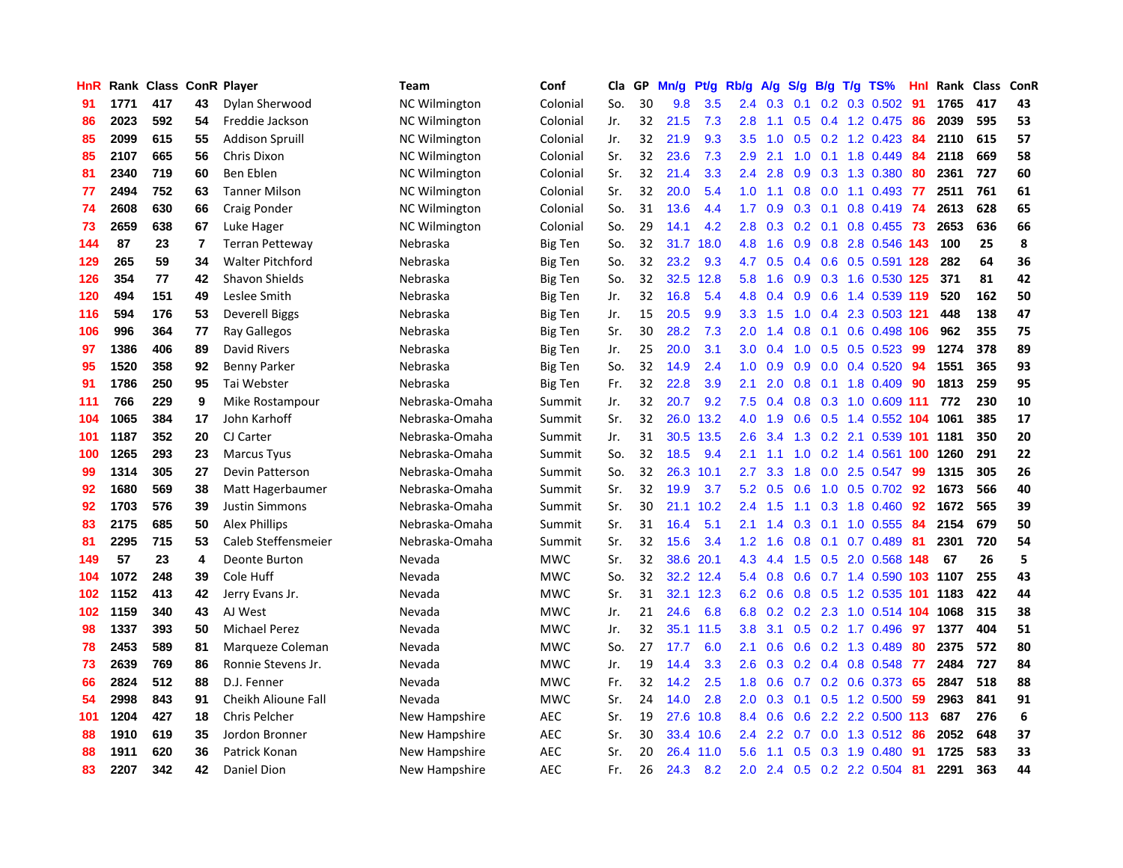| HnR |      | Rank Class ConR Player |                |                         | <b>Team</b>          | Conf           | Cla | GP | Mn/g | Pt/g | Rb/g             | A/g | S/g              | B/g | $T/g$ TS%                  | Hnl | Rank Class |     | ConR |
|-----|------|------------------------|----------------|-------------------------|----------------------|----------------|-----|----|------|------|------------------|-----|------------------|-----|----------------------------|-----|------------|-----|------|
| 91  | 1771 | 417                    | 43             | Dylan Sherwood          | NC Wilmington        | Colonial       | So. | 30 | 9.8  | 3.5  | 2.4              | 0.3 | 0.1              |     | $0.2$ 0.3 0.502            | -91 | 1765       | 417 | 43   |
| 86  | 2023 | 592                    | 54             | Freddie Jackson         | <b>NC Wilmington</b> | Colonial       | Jr. | 32 | 21.5 | 7.3  | 2.8              | 1.1 | 0.5              |     | 0.4 1.2 0.475 86           |     | 2039       | 595 | 53   |
| 85  | 2099 | 615                    | 55             | <b>Addison Spruill</b>  | <b>NC Wilmington</b> | Colonial       | Jr. | 32 | 21.9 | 9.3  | 3.5              | 1.0 |                  |     | 0.5 0.2 1.2 0.423 84       |     | 2110       | 615 | 57   |
| 85  | 2107 | 665                    | 56             | Chris Dixon             | <b>NC Wilmington</b> | Colonial       | Sr. | 32 | 23.6 | 7.3  | 2.9              | 2.1 | 1.0              |     | $0.1$ 1.8 $0.449$          | -84 | 2118       | 669 | 58   |
| 81  | 2340 | 719                    | 60             | Ben Eblen               | <b>NC Wilmington</b> | Colonial       | Sr. | 32 | 21.4 | 3.3  | 2.4              | 2.8 | 0.9              |     | 0.3 1.3 0.380              | -80 | 2361       | 727 | 60   |
| 77  | 2494 | 752                    | 63             | <b>Tanner Milson</b>    | <b>NC Wilmington</b> | Colonial       | Sr. | 32 | 20.0 | 5.4  | 1.0              | 1.1 | 0.8              |     | $0.0$ 1.1 0.493            | 77  | 2511       | 761 | 61   |
| 74  | 2608 | 630                    | 66             | Craig Ponder            | <b>NC Wilmington</b> | Colonial       | So. | 31 | 13.6 | 4.4  | 1.7              | 0.9 | 0.3              |     | $0.1$ 0.8 0.419            | -74 | 2613       | 628 | 65   |
| 73  | 2659 | 638                    | 67             | Luke Hager              | <b>NC Wilmington</b> | Colonial       | So. | 29 | 14.1 | 4.2  | 2.8              | 0.3 | 0.2              |     | $0.1$ 0.8 0.455            | 73  | 2653       | 636 | 66   |
| 144 | 87   | 23                     | $\overline{7}$ | <b>Terran Petteway</b>  | Nebraska             | Big Ten        | So. | 32 | 31.7 | 18.0 | 4.8              | 1.6 | 0.9              |     | 0.8 2.8 0.546 143          |     | 100        | 25  | 8    |
| 129 | 265  | 59                     | 34             | <b>Walter Pitchford</b> | Nebraska             | <b>Big Ten</b> | So. | 32 | 23.2 | 9.3  | 4.7              | 0.5 | 0.4              |     | 0.6 0.5 0.591 128          |     | 282        | 64  | 36   |
| 126 | 354  | 77                     | 42             | Shavon Shields          | Nebraska             | Big Ten        | So. | 32 | 32.5 | 12.8 | 5.8              | 1.6 |                  |     | 0.9 0.3 1.6 0.530 125      |     | 371        | 81  | 42   |
| 120 | 494  | 151                    | 49             | Leslee Smith            | Nebraska             | <b>Big Ten</b> | Jr. | 32 | 16.8 | 5.4  | 4.8              | 0.4 | 0.9 <sup>°</sup> |     | 0.6 1.4 0.539 119          |     | 520        | 162 | 50   |
| 116 | 594  | 176                    | 53             | Deverell Biggs          | Nebraska             | <b>Big Ten</b> | Jr. | 15 | 20.5 | 9.9  | 3.3 <sub>2</sub> | 1.5 | 1.0              |     | 0.4 2.3 0.503 121          |     | 448        | 138 | 47   |
| 106 | 996  | 364                    | 77             | Ray Gallegos            | Nebraska             | <b>Big Ten</b> | Sr. | 30 | 28.2 | 7.3  | 2.0              | 1.4 | 0.8              |     | $0.1$ 0.6 0.498 106        |     | 962        | 355 | 75   |
| 97  | 1386 | 406                    | 89             | David Rivers            | Nebraska             | <b>Big Ten</b> | Jr. | 25 | 20.0 | 3.1  | 3.0              | 0.4 | 1.0              |     | $0.5$ 0.5 0.523            | -99 | 1274       | 378 | 89   |
| 95  | 1520 | 358                    | 92             | <b>Benny Parker</b>     | Nebraska             | Big Ten        | So. | 32 | 14.9 | 2.4  | 1.0              | 0.9 | 0.9              |     | $0.0$ 0.4 0.520            | -94 | 1551       | 365 | 93   |
| 91  | 1786 | 250                    | 95             | Tai Webster             | Nebraska             | Big Ten        | Fr. | 32 | 22.8 | 3.9  | 2.1              | 2.0 | 0.8              |     | $0.1$ 1.8 0.409            | 90  | 1813       | 259 | 95   |
| 111 | 766  | 229                    | 9              | Mike Rostampour         | Nebraska-Omaha       | Summit         | Jr. | 32 | 20.7 | 9.2  | 7.5              | 0.4 | 0.8              |     | 0.3 1.0 0.609 111          |     | 772        | 230 | 10   |
| 104 | 1065 | 384                    | 17             | John Karhoff            | Nebraska-Omaha       | Summit         | Sr. | 32 | 26.0 | 13.2 | 4.0              | 1.9 | 0.6              |     | 0.5 1.4 0.552 104 1061     |     |            | 385 | 17   |
| 101 | 1187 | 352                    | 20             | CJ Carter               | Nebraska-Omaha       | Summit         | Jr. | 31 | 30.5 | 13.5 | 2.6              | 3.4 |                  |     | 1.3 0.2 2.1 0.539 101 1181 |     |            | 350 | 20   |
| 100 | 1265 | 293                    | 23             | <b>Marcus Tyus</b>      | Nebraska-Omaha       | Summit         | So. | 32 | 18.5 | 9.4  | 2.1              | 1.1 | 1.0              |     | 0.2 1.4 0.561 100 1260     |     |            | 291 | 22   |
| 99  | 1314 | 305                    | 27             | Devin Patterson         | Nebraska-Omaha       | Summit         | So. | 32 | 26.3 | 10.1 | 2.7              | 3.3 | 1.8              |     | $0.0$ 2.5 $0.547$          | 99  | 1315       | 305 | 26   |
| 92  | 1680 | 569                    | 38             | Matt Hagerbaumer        | Nebraska-Omaha       | Summit         | Sr. | 32 | 19.9 | 3.7  | 5.2              | 0.5 | 0.6              |     | 1.0 0.5 0.702              | 92  | 1673       | 566 | 40   |
| 92  | 1703 | 576                    | 39             | <b>Justin Simmons</b>   | Nebraska-Omaha       | Summit         | Sr. | 30 | 21.1 | 10.2 | 2.4              | 1.5 | 1.1              |     | 0.3 1.8 0.460              | 92  | 1672       | 565 | 39   |
| 83  | 2175 | 685                    | 50             | <b>Alex Phillips</b>    | Nebraska-Omaha       | Summit         | Sr. | 31 | 16.4 | 5.1  | 2.1              | 1.4 | 0.3 <sub>0</sub> |     | $0.1$ 1.0 0.555            | -84 | 2154       | 679 | 50   |
| 81  | 2295 | 715                    | 53             | Caleb Steffensmeier     | Nebraska-Omaha       | Summit         | Sr. | 32 | 15.6 | 3.4  | 1.2              | 1.6 | 0.8              |     | $0.1$ 0.7 0.489            | -81 | 2301       | 720 | 54   |
| 149 | 57   | 23                     | 4              | Deonte Burton           | Nevada               | MWC            | Sr. | 32 | 38.6 | 20.1 | 4.3              | 4.4 | 1.5              |     | 0.5 2.0 0.568 148          |     | 67         | 26  | 5    |
| 104 | 1072 | 248                    | 39             | Cole Huff               | Nevada               | <b>MWC</b>     | So. | 32 | 32.2 | 12.4 | 5.4              | 0.8 |                  |     | 0.6 0.7 1.4 0.590 103 1107 |     |            | 255 | 43   |
| 102 | 1152 | 413                    | 42             | Jerry Evans Jr.         | Nevada               | <b>MWC</b>     | Sr. | 31 | 32.1 | 12.3 | 6.2              | 0.6 | 0.8              |     | 0.5 1.2 0.535 101 1183     |     |            | 422 | 44   |
| 102 | 1159 | 340                    | 43             | AJ West                 | Nevada               | <b>MWC</b>     | Jr. | 21 | 24.6 | 6.8  | 6.8              | 0.2 | 0.2              |     | 2.3 1.0 0.514 104          |     | 1068       | 315 | 38   |
| 98  | 1337 | 393                    | 50             | Michael Perez           | Nevada               | <b>MWC</b>     | Jr. | 32 | 35.1 | 11.5 | 3.8              | 3.1 | 0.5              |     | $0.2$ 1.7 0.496            | -97 | 1377       | 404 | 51   |
| 78  | 2453 | 589                    | 81             | Marqueze Coleman        | Nevada               | <b>MWC</b>     | So. | 27 | 17.7 | 6.0  | 2.1              | 0.6 | 0.6              |     | 0.2 1.3 0.489              | 80  | 2375       | 572 | 80   |
| 73  | 2639 | 769                    | 86             | Ronnie Stevens Jr.      | Nevada               | <b>MWC</b>     | Jr. | 19 | 14.4 | 3.3  | $2.6\,$          | 0.3 | 0.2              |     | 0.4 0.8 0.548              | -77 | 2484       | 727 | 84   |
| 66  | 2824 | 512                    | 88             | D.J. Fenner             | Nevada               | <b>MWC</b>     | Fr. | 32 | 14.2 | 2.5  | 1.8              | 0.6 | 0.7              |     | 0.2 0.6 0.373              | 65  | 2847       | 518 | 88   |
| 54  | 2998 | 843                    | 91             | Cheikh Alioune Fall     | Nevada               | <b>MWC</b>     | Sr. | 24 | 14.0 | 2.8  | 2.0              | 0.3 | 0.1              |     | $0.5$ 1.2 0.500            | -59 | 2963       | 841 | 91   |
| 101 | 1204 | 427                    | 18             | <b>Chris Pelcher</b>    | New Hampshire        | <b>AEC</b>     | Sr. | 19 | 27.6 | 10.8 | 8.4              | 0.6 |                  |     | 0.6 2.2 2.2 0.500 113      |     | 687        | 276 | 6    |
| 88  | 1910 | 619                    | 35             | Jordon Bronner          | New Hampshire        | <b>AEC</b>     | Sr. | 30 | 33.4 | 10.6 | $2.4^{\circ}$    | 2.2 | 0.7              |     | $0.0$ 1.3 $0.512$          | -86 | 2052       | 648 | 37   |
| 88  | 1911 | 620                    | 36             | Patrick Konan           | New Hampshire        | <b>AEC</b>     | Sr. | 20 | 26.4 | 11.0 | 5.6              | 1.1 | 0.5              |     | 0.3 1.9 0.480              | -91 | 1725       | 583 | 33   |
| 83  | 2207 | 342                    | 42             | Daniel Dion             | New Hampshire        | <b>AEC</b>     | Fr. | 26 | 24.3 | 8.2  | 2.0              |     |                  |     | 2.4 0.5 0.2 2.2 0.504      | -81 | 2291       | 363 | 44   |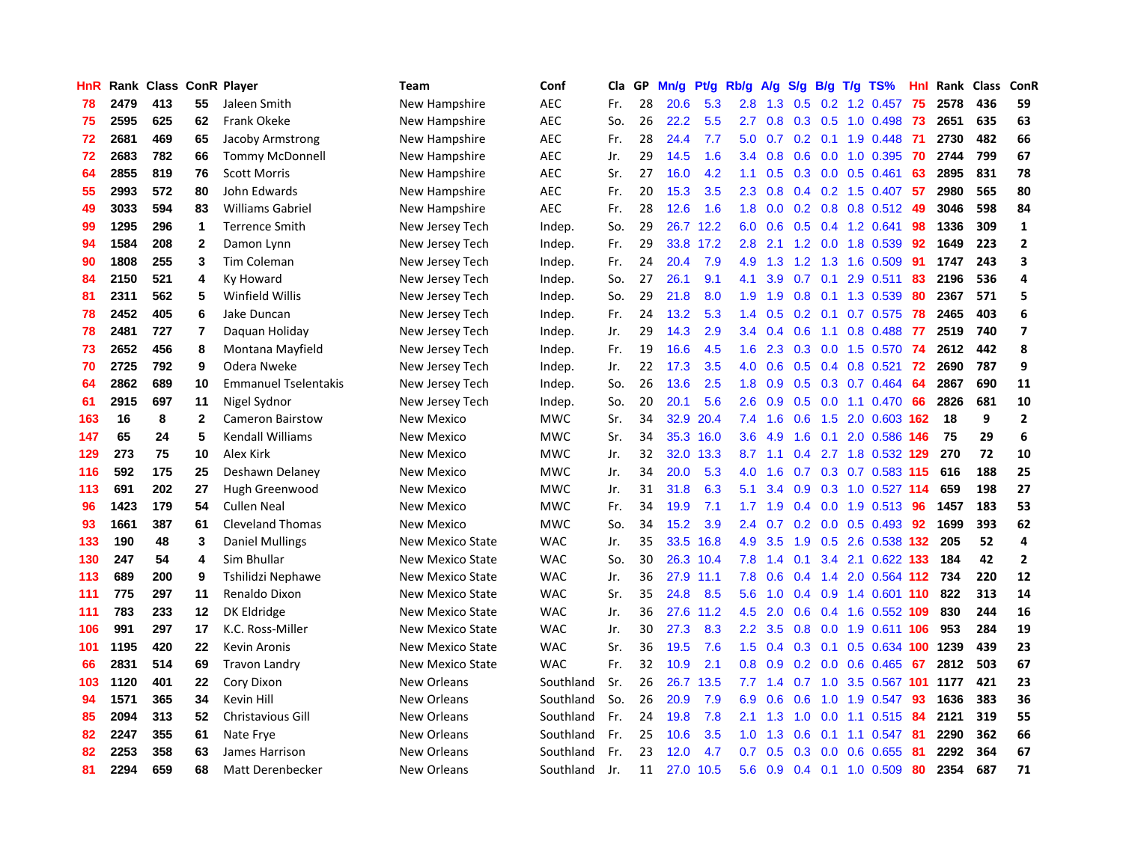| HnR |      | Rank Class ConR Player |              |                             | Team                    | Conf       | Cla | GP | Mn/g | Pt/g | Rb/g          | <b>A/g</b> | S/g              | B/g | $T/g$ TS%               | Hnl | Rank | <b>Class</b> | ConR                     |
|-----|------|------------------------|--------------|-----------------------------|-------------------------|------------|-----|----|------|------|---------------|------------|------------------|-----|-------------------------|-----|------|--------------|--------------------------|
| 78  | 2479 | 413                    | 55           | Jaleen Smith                | New Hampshire           | <b>AEC</b> | Fr. | 28 | 20.6 | 5.3  | 2.8           | 1.3        | 0.5              |     | $0.2$ 1.2 0.457         | 75  | 2578 | 436          | 59                       |
| 75  | 2595 | 625                    | 62           | Frank Okeke                 | New Hampshire           | <b>AEC</b> | So. | 26 | 22.2 | 5.5  | 2.7           | 0.8        |                  |     | $0.3$ $0.5$ 1.0 $0.498$ | -73 | 2651 | 635          | 63                       |
| 72  | 2681 | 469                    | 65           | Jacoby Armstrong            | New Hampshire           | <b>AEC</b> | Fr. | 28 | 24.4 | 7.7  | 5.0           | 0.7        |                  |     | $0.2$ 0.1 1.9 0.448     | -71 | 2730 | 482          | 66                       |
| 72  | 2683 | 782                    | 66           | <b>Tommy McDonnell</b>      | New Hampshire           | <b>AEC</b> | Jr. | 29 | 14.5 | 1.6  | $3.4^{\circ}$ | 0.8        | 0.6              |     | 0.0 1.0 0.395           | 70  | 2744 | 799          | 67                       |
| 64  | 2855 | 819                    | 76           | <b>Scott Morris</b>         | New Hampshire           | <b>AEC</b> | Sr. | 27 | 16.0 | 4.2  | 1.1           | 0.5        | 0.3              |     | $0.0$ $0.5$ $0.461$     | 63  | 2895 | 831          | 78                       |
| 55  | 2993 | 572                    | 80           | John Edwards                | New Hampshire           | <b>AEC</b> | Fr. | 20 | 15.3 | 3.5  | 2.3           | 0.8        |                  |     | 0.4 0.2 1.5 0.407       | 57  | 2980 | 565          | 80                       |
| 49  | 3033 | 594                    | 83           | <b>Williams Gabriel</b>     | New Hampshire           | <b>AEC</b> | Fr. | 28 | 12.6 | 1.6  | 1.8           | 0.0        |                  |     | 0.2 0.8 0.8 0.512       | -49 | 3046 | 598          | 84                       |
| 99  | 1295 | 296                    | 1            | <b>Terrence Smith</b>       | New Jersey Tech         | Indep.     | So. | 29 | 26.7 | 12.2 | 6.0           | 0.6        | 0.5              |     | 0.4 1.2 0.641           | 98  | 1336 | 309          | $\mathbf{1}$             |
| 94  | 1584 | 208                    | $\mathbf{2}$ | Damon Lynn                  | New Jersey Tech         | Indep.     | Fr. | 29 | 33.8 | 17.2 | 2.8           | 2.1        | 1.2              |     | 0.0 1.8 0.539           | 92  | 1649 | 223          | $\mathbf{2}$             |
| 90  | 1808 | 255                    | 3            | Tim Coleman                 | New Jersey Tech         | Indep.     | Fr. | 24 | 20.4 | 7.9  | 4.9           | 1.3        |                  |     | 1.2 1.3 1.6 0.509       | -91 | 1747 | 243          | 3                        |
| 84  | 2150 | 521                    | 4            | Ky Howard                   | New Jersey Tech         | Indep.     | So. | 27 | 26.1 | 9.1  | 4.1           | 3.9        |                  |     | $0.7$ 0.1 2.9 0.511     | -83 | 2196 | 536          | 4                        |
| 81  | 2311 | 562                    | 5            | Winfield Willis             | New Jersey Tech         | Indep.     | So. | 29 | 21.8 | 8.0  | 1.9           | 1.9        | 0.8              |     | $0.1$ 1.3 0.539         | -80 | 2367 | 571          | 5                        |
| 78  | 2452 | 405                    | 6            | Jake Duncan                 | New Jersey Tech         | Indep.     | Fr. | 24 | 13.2 | 5.3  | $1.4^{\circ}$ | 0.5        | 0.2 <sub>0</sub> |     | $0.1$ 0.7 0.575         | -78 | 2465 | 403          | 6                        |
| 78  | 2481 | 727                    | 7            | Daguan Holiday              | New Jersey Tech         | Indep.     | Jr. | 29 | 14.3 | 2.9  | 3.4           | 0.4        | 0.6              | 1.1 | $0.8$ 0.488             | -77 | 2519 | 740          | $\overline{\phantom{a}}$ |
| 73  | 2652 | 456                    | 8            | Montana Mayfield            | New Jersey Tech         | Indep.     | Fr. | 19 | 16.6 | 4.5  | 1.6           | 2.3        | 0.3              |     | $0.0$ 1.5 0.570         | -74 | 2612 | 442          | 8                        |
| 70  | 2725 | 792                    | 9            | Odera Nweke                 | New Jersey Tech         | Indep.     | Jr. | 22 | 17.3 | 3.5  | 4.0           | 0.6        | 0.5              |     | $0.4$ 0.8 0.521         | 72  | 2690 | 787          | 9                        |
| 64  | 2862 | 689                    | 10           | <b>Emmanuel Tselentakis</b> | New Jersey Tech         | Indep.     | So. | 26 | 13.6 | 2.5  | 1.8           | 0.9        | 0.5              |     | 0.3 0.7 0.464           | 64  | 2867 | 690          | 11                       |
| 61  | 2915 | 697                    | 11           | Nigel Sydnor                | New Jersey Tech         | Indep.     | So. | 20 | 20.1 | 5.6  | 2.6           | 0.9        | 0.5              |     | $0.0$ 1.1 $0.470$       | 66  | 2826 | 681          | 10                       |
| 163 | 16   | 8                      | $\mathbf{2}$ | Cameron Bairstow            | <b>New Mexico</b>       | <b>MWC</b> | Sr. | 34 | 32.9 | 20.4 | 7.4           | 1.6        |                  |     | 0.6 1.5 2.0 0.603 162   |     | 18   | 9            | $\mathbf{2}$             |
| 147 | 65   | 24                     | 5            | <b>Kendall Williams</b>     | New Mexico              | <b>MWC</b> | Sr. | 34 | 35.3 | 16.0 | 3.6           | 4.9        | 1.6              |     | 0.1 2.0 0.586 146       |     | 75   | 29           | 6                        |
| 129 | 273  | 75                     | 10           | Alex Kirk                   | <b>New Mexico</b>       | <b>MWC</b> | Jr. | 32 | 32.0 | 13.3 | 8.7           | 1.1        | 0.4              |     | 2.7 1.8 0.532 129       |     | 270  | 72           | 10                       |
| 116 | 592  | 175                    | 25           | Deshawn Delaney             | New Mexico              | <b>MWC</b> | Jr. | 34 | 20.0 | 5.3  | 4.0           | 1.6        | 0.7              |     | 0.3 0.7 0.583 115       |     | 616  | 188          | 25                       |
| 113 | 691  | 202                    | 27           | Hugh Greenwood              | <b>New Mexico</b>       | <b>MWC</b> | Jr. | 31 | 31.8 | 6.3  | 5.1           | 3.4        | 0.9              |     | 0.3 1.0 0.527 114       |     | 659  | 198          | 27                       |
| 96  | 1423 | 179                    | 54           | <b>Cullen Neal</b>          | <b>New Mexico</b>       | <b>MWC</b> | Fr. | 34 | 19.9 | 7.1  | 1.7           | 1.9        | 0.4              |     | $0.0$ 1.9 $0.513$       | 96  | 1457 | 183          | 53                       |
| 93  | 1661 | 387                    | 61           | <b>Cleveland Thomas</b>     | <b>New Mexico</b>       | <b>MWC</b> | So. | 34 | 15.2 | 3.9  | 2.4           | 0.7        | 0.2              |     | $0.0$ 0.5 0.493         | 92  | 1699 | 393          | 62                       |
| 133 | 190  | 48                     | 3            | <b>Daniel Mullings</b>      | New Mexico State        | <b>WAC</b> | Jr. | 35 | 33.5 | 16.8 | 4.9           | 3.5        | 1.9              |     | 0.5 2.6 0.538 132       |     | 205  | 52           | 4                        |
| 130 | 247  | 54                     | 4            | Sim Bhullar                 | New Mexico State        | <b>WAC</b> | So. | 30 | 26.3 | 10.4 | 7.8           | 1.4        | 0.1              |     | 3.4 2.1 0.622 133       |     | 184  | 42           | $\overline{2}$           |
| 113 | 689  | 200                    | 9            | Tshilidzi Nephawe           | New Mexico State        | <b>WAC</b> | Jr. | 36 | 27.9 | 11.1 | 7.8           | 0.6        |                  |     | $0.4$ 1.4 2.0 0.564 112 |     | 734  | 220          | 12                       |
| 111 | 775  | 297                    | 11           | Renaldo Dixon               | New Mexico State        | <b>WAC</b> | Sr. | 35 | 24.8 | 8.5  | 5.6           | 1.0        |                  |     | $0.4$ 0.9 1.4 0.601 110 |     | 822  | 313          | 14                       |
| 111 | 783  | 233                    | 12           | DK Eldridge                 | New Mexico State        | <b>WAC</b> | Jr. | 36 | 27.6 | 11.2 | 4.5           | 2.0        | 0.6              |     | 0.4 1.6 0.552 109       |     | 830  | 244          | 16                       |
| 106 | 991  | 297                    | 17           | K.C. Ross-Miller            | <b>New Mexico State</b> | <b>WAC</b> | Jr. | 30 | 27.3 | 8.3  | 2.2           | 3.5        | 0.8              |     | 0.0 1.9 0.611 106       |     | 953  | 284          | 19                       |
| 101 | 1195 | 420                    | 22           | Kevin Aronis                | New Mexico State        | <b>WAC</b> | Sr. | 36 | 19.5 | 7.6  | 1.5           | 0.4        | 0.3              |     | $0.1$ $0.5$ $0.634$ 100 |     | 1239 | 439          | 23                       |
| 66  | 2831 | 514                    | 69           | Travon Landry               | New Mexico State        | <b>WAC</b> | Fr. | 32 | 10.9 | 2.1  | 0.8           | 0.9        | 0.2              |     | $0.0$ 0.6 0.465         | -67 | 2812 | 503          | 67                       |
| 103 | 1120 | 401                    | 22           | Cory Dixon                  | New Orleans             | Southland  | Sr. | 26 | 26.7 | 13.5 | 7.7           | 1.4        | 0.7              | 1.0 | 3.5 0.567 101           |     | 1177 | 421          | 23                       |
| 94  | 1571 | 365                    | 34           | Kevin Hill                  | New Orleans             | Southland  | So. | 26 | 20.9 | 7.9  | 6.9           | 0.6        | 0.6              |     | 1.0 1.9 0.547           | 93  | 1636 | 383          | 36                       |
| 85  | 2094 | 313                    | 52           | <b>Christavious Gill</b>    | New Orleans             | Southland  | Fr. | 24 | 19.8 | 7.8  | 2.1           | 1.3        | 1.0              |     | 0.0 1.1 0.515 84        |     | 2121 | 319          | 55                       |
| 82  | 2247 | 355                    | 61           | Nate Frye                   | New Orleans             | Southland  | Fr. | 25 | 10.6 | 3.5  | 1.0           | 1.3        | 0.6              |     | $0.1$ 1.1 $0.547$       | -81 | 2290 | 362          | 66                       |
| 82  | 2253 | 358                    | 63           | James Harrison              | New Orleans             | Southland  | Fr. | 23 | 12.0 | 4.7  | 0.7           | 0.5        | 0.3              | 0.0 | 0.6 0.655               | 81  | 2292 | 364          | 67                       |
| 81  | 2294 | 659                    | 68           | Matt Derenbecker            | New Orleans             | Southland  | Jr. | 11 | 27.0 | 10.5 | 5.6           | 0.9        |                  |     | $0.4$ 0.1 1.0 0.509     | 80  | 2354 | 687          | 71                       |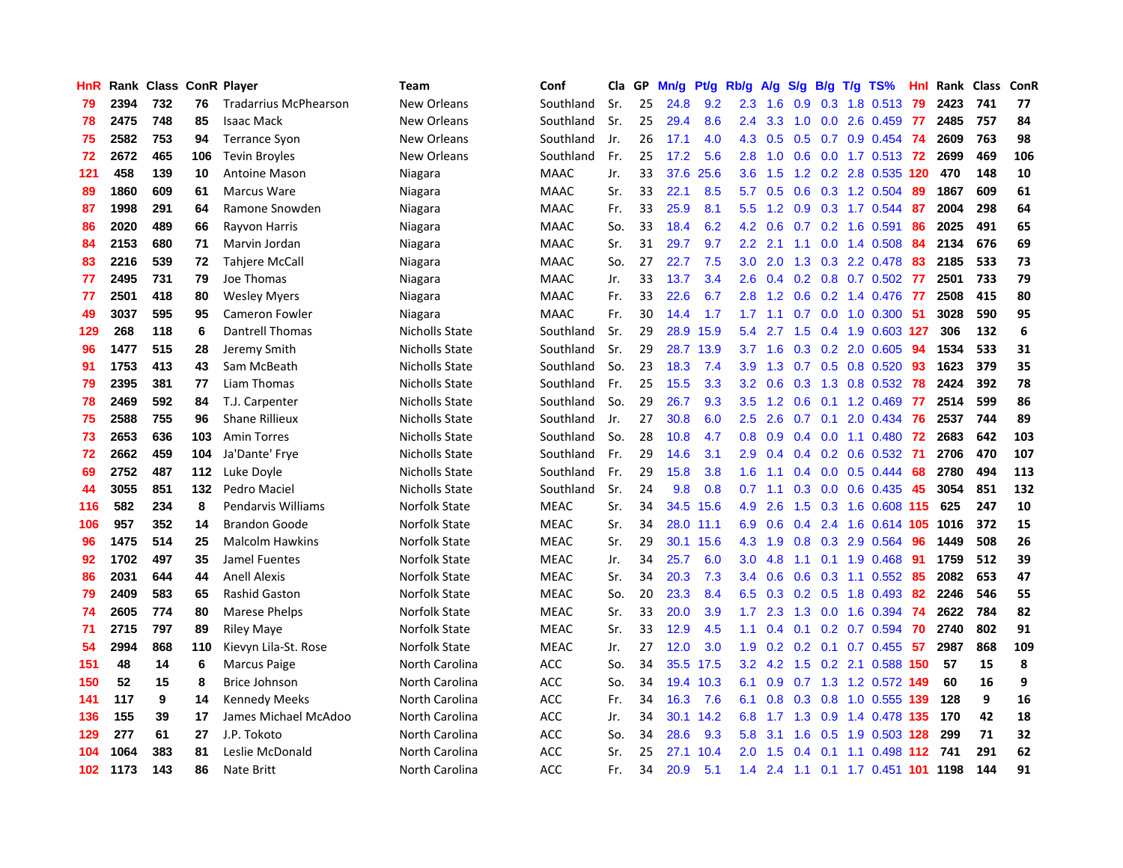| <b>HnR</b> |      | Rank Class ConR Player |     |                              | <b>Team</b>           | Conf        | Cla | GP | Mn/g | Pt/g | Rb/g             | A/g | S/g       | B/g | $T/g$ TS%                | Hnl | Rank Class |     | ConR |
|------------|------|------------------------|-----|------------------------------|-----------------------|-------------|-----|----|------|------|------------------|-----|-----------|-----|--------------------------|-----|------------|-----|------|
| -79        | 2394 | 732                    | 76  | <b>Tradarrius McPhearson</b> | New Orleans           | Southland   | Sr. | 25 | 24.8 | 9.2  | 2.3              | 1.6 | 0.9       |     | 0.3 1.8 0.513            | 79  | 2423       | 741 | 77   |
| 78         | 2475 | 748                    | 85  | <b>Isaac Mack</b>            | New Orleans           | Southland   | Sr. | 25 | 29.4 | 8.6  | $2.4^{\circ}$    | 3.3 | 1.0       |     | 0.0 2.6 0.459 77         |     | 2485       | 757 | 84   |
| 75         | 2582 | 753                    | 94  | <b>Terrance Syon</b>         | New Orleans           | Southland   | Jr. | 26 | 17.1 | 4.0  | 4.3              | 0.5 |           |     | 0.5 0.7 0.9 0.454 74     |     | 2609       | 763 | 98   |
| 72         | 2672 | 465                    | 106 | <b>Tevin Broyles</b>         | New Orleans           | Southland   | Fr. | 25 | 17.2 | 5.6  | 2.8              | 1.0 |           |     | 0.6 0.0 1.7 0.513 72     |     | 2699       | 469 | 106  |
| 121        | 458  | 139                    | 10  | Antoine Mason                | Niagara               | <b>MAAC</b> | Jr. | 33 | 37.6 | 25.6 | 3.6 <sup>°</sup> | 1.5 |           |     | 1.2 0.2 2.8 0.535 120    |     | 470        | 148 | 10   |
| 89         | 1860 | 609                    | 61  | Marcus Ware                  | Niagara               | <b>MAAC</b> | Sr. | 33 | 22.1 | 8.5  | 5.7              | 0.5 | 0.6       |     | 0.3 1.2 0.504            | 89  | 1867       | 609 | 61   |
| 87         | 1998 | 291                    | 64  | Ramone Snowden               | Niagara               | <b>MAAC</b> | Fr. | 33 | 25.9 | 8.1  | 5.5              | 1.2 |           |     | 0.9 0.3 1.7 0.544        | 87  | 2004       | 298 | 64   |
| 86         | 2020 | 489                    | 66  | Rayvon Harris                | Niagara               | <b>MAAC</b> | So. | 33 | 18.4 | 6.2  | 4.2              | 0.6 | 0.7       |     | 0.2 1.6 0.591            | 86  | 2025       | 491 | 65   |
| 84         | 2153 | 680                    | 71  | Marvin Jordan                | Niagara               | <b>MAAC</b> | Sr. | 31 | 29.7 | 9.7  | $2.2\phantom{0}$ | 2.1 | 1.1       |     | $0.0$ 1.4 0.508          | -84 | 2134       | 676 | 69   |
| 83         | 2216 | 539                    | 72  | <b>Tahjere McCall</b>        | Niagara               | <b>MAAC</b> | So. | 27 | 22.7 | 7.5  | 3.0              | 2.0 | 1.3       |     | 0.3 2.2 0.478            | -83 | 2185       | 533 | 73   |
| 77         | 2495 | 731                    | 79  | Joe Thomas                   | Niagara               | <b>MAAC</b> | Jr. | 33 | 13.7 | 3.4  | 2.6              |     |           |     | 0.4 0.2 0.8 0.7 0.502 77 |     | 2501       | 733 | 79   |
| 77         | 2501 | 418                    | 80  | <b>Wesley Myers</b>          | Niagara               | <b>MAAC</b> | Fr. | 33 | 22.6 | 6.7  | 2.8              | 1.2 |           |     | 0.6 0.2 1.4 0.476 77     |     | 2508       | 415 | 80   |
| 49         | 3037 | 595                    | 95  | Cameron Fowler               | Niagara               | MAAC        | Fr. | 30 | 14.4 | 1.7  | 1.7 <sup>2</sup> | 1.1 |           |     | 0.7 0.0 1.0 0.300 51     |     | 3028       | 590 | 95   |
| 129        | 268  | 118                    | 6   | <b>Dantrell Thomas</b>       | Nicholls State        | Southland   | Sr. | 29 | 28.9 | 15.9 | 5.4              | 2.7 | 1.5       |     | 0.4 1.9 0.603 127        |     | 306        | 132 | 6    |
| 96         | 1477 | 515                    | 28  | Jeremy Smith                 | Nicholls State        | Southland   | Sr. | 29 | 28.7 | 13.9 | 3.7              | 1.6 | 0.3       |     | 0.2 2.0 0.605 94         |     | 1534       | 533 | 31   |
| 91         | 1753 | 413                    | 43  | Sam McBeath                  | <b>Nicholls State</b> | Southland   | So. | 23 | 18.3 | 7.4  | 3.9              | 1.3 | 0.7       |     | $0.5$ 0.8 0.520          | -93 | 1623       | 379 | 35   |
| 79         | 2395 | 381                    | 77  | Liam Thomas                  | Nicholls State        | Southland   | Fr. | 25 | 15.5 | 3.3  | 3.2              | 0.6 | 0.3       | 1.3 | $0.8$ 0.532              | 78  | 2424       | 392 | 78   |
| 78         | 2469 | 592                    | 84  | T.J. Carpenter               | Nicholls State        | Southland   | So. | 29 | 26.7 | 9.3  | 3.5              | 1.2 | 0.6       |     | $0.1$ 1.2 0.469          | -77 | 2514       | 599 | 86   |
| 75         | 2588 | 755                    | 96  | <b>Shane Rillieux</b>        | Nicholls State        | Southland   | Jr. | 27 | 30.8 | 6.0  | 2.5              | 2.6 |           |     | 0.7 0.1 2.0 0.434 76     |     | 2537       | 744 | 89   |
| 73         | 2653 | 636                    | 103 | <b>Amin Torres</b>           | Nicholls State        | Southland   | So. | 28 | 10.8 | 4.7  | 0.8 <sub>0</sub> | 0.9 |           |     | 0.4 0.0 1.1 0.480 72     |     | 2683       | 642 | 103  |
| 72         | 2662 | 459                    | 104 | Ja'Dante' Frye               | Nicholls State        | Southland   | Fr. | 29 | 14.6 | 3.1  | 2.9 <sup>°</sup> | 0.4 |           |     | 0.4 0.2 0.6 0.532 71     |     | 2706       | 470 | 107  |
| 69         | 2752 | 487                    | 112 | Luke Doyle                   | Nicholls State        | Southland   | Fr. | 29 | 15.8 | 3.8  | 1.6              | 1.1 |           |     | $0.4$ 0.0 0.5 0.444      | 68  | 2780       | 494 | 113  |
| 44         | 3055 | 851                    | 132 | Pedro Maciel                 | <b>Nicholls State</b> | Southland   | Sr. | 24 | 9.8  | 0.8  | 0.7              | 1.1 | 0.3       |     | $0.0$ $0.6$ $0.435$      | 45  | 3054       | 851 | 132  |
| 116        | 582  | 234                    | 8   | Pendarvis Williams           | Norfolk State         | <b>MEAC</b> | Sr. | 34 | 34.5 | 15.6 | 4.9              | 2.6 | 1.5       |     | 0.3 1.6 0.608 115        |     | 625        | 247 | 10   |
| 106        | 957  | 352                    | 14  | <b>Brandon Goode</b>         | Norfolk State         | <b>MEAC</b> | Sr. | 34 | 28.0 | 11.1 | 6.9              | 0.6 | 0.4       |     | 2.4 1.6 0.614 105        |     | 1016       | 372 | 15   |
| 96         | 1475 | 514                    | 25  | <b>Malcolm Hawkins</b>       | Norfolk State         | <b>MEAC</b> | Sr. | 29 | 30.1 | 15.6 | 4.3              | 1.9 | 0.8       |     | 0.3 2.9 0.564            | 96  | 1449       | 508 | 26   |
| 92         | 1702 | 497                    | 35  | Jamel Fuentes                | Norfolk State         | <b>MEAC</b> | Jr. | 34 | 25.7 | 6.0  | 3.0 <sub>2</sub> | 4.8 |           |     | 1.1 0.1 1.9 0.468 91     |     | 1759       | 512 | 39   |
| 86         | 2031 | 644                    | 44  | <b>Anell Alexis</b>          | Norfolk State         | <b>MEAC</b> | Sr. | 34 | 20.3 | 7.3  | $3.4^{\circ}$    | 0.6 |           |     | 0.6 0.3 1.1 0.552 85     |     | 2082       | 653 | 47   |
| 79         | 2409 | 583                    | 65  | Rashid Gaston                | Norfolk State         | <b>MEAC</b> | So. | 20 | 23.3 | 8.4  | 6.5              | 0.3 |           |     | 0.2 0.5 1.8 0.493 82     |     | 2246       | 546 | 55   |
| 74         | 2605 | 774                    | 80  | Marese Phelps                | Norfolk State         | <b>MEAC</b> | Sr. | 33 | 20.0 | 3.9  | 1.7 <sub>z</sub> | 2.3 | 1.3       |     | 0.0 1.6 0.394 74         |     | 2622       | 784 | 82   |
| 71         | 2715 | 797                    | 89  | <b>Riley Maye</b>            | Norfolk State         | <b>MEAC</b> | Sr. | 33 | 12.9 | 4.5  | 1.1              | 0.4 | 0.1       |     | $0.2$ 0.7 0.594          | 70  | 2740       | 802 | 91   |
| 54         | 2994 | 868                    | 110 | Kievyn Lila-St. Rose         | Norfolk State         | <b>MEAC</b> | Jr. | 27 | 12.0 | 3.0  | 1.9              | 0.2 |           |     | 0.2 0.1 0.7 0.455        | 57  | 2987       | 868 | 109  |
| 151        | 48   | 14                     | 6   | <b>Marcus Paige</b>          | North Carolina        | <b>ACC</b>  | So. | 34 | 35.5 | 17.5 | 3.2              | 4.2 | 1.5       |     | 0.2 2.1 0.588 150        |     | 57         | 15  | 8    |
| 150        | 52   | 15                     | 8   | <b>Brice Johnson</b>         | North Carolina        | <b>ACC</b>  | So. | 34 | 19.4 | 10.3 | 6.1              | 0.9 |           |     | 0.7 1.3 1.2 0.572 149    |     | 60         | 16  | 9    |
| 141        | 117  | 9                      | 14  | <b>Kennedy Meeks</b>         | North Carolina        | <b>ACC</b>  | Fr. | 34 | 16.3 | 7.6  | 6.1              | 0.8 | 0.3       |     | 0.8 1.0 0.555 139        |     | 128        | 9   | 16   |
| 136        | 155  | 39                     | 17  | James Michael McAdoo         | North Carolina        | <b>ACC</b>  | Jr. | 34 | 30.1 | 14.2 | 6.8              | 1.7 |           |     | 1.3 0.9 1.4 0.478 135    |     | - 170      | 42  | 18   |
| 129        | 277  | 61                     | 27  | J.P. Tokoto                  | North Carolina        | ACC         | So. | 34 | 28.6 | 9.3  | 5.8              | 3.1 |           |     | 1.6 0.5 1.9 0.503 128    |     | 299        | 71  | 32   |
| 104        | 1064 | 383                    | 81  | Leslie McDonald              | North Carolina        | ACC         | Sr. | 25 | 27.1 | 10.4 | 2.0 <sub>1</sub> | 1.5 | 0.4       |     | 0.1 1.1 0.498 112 741    |     |            | 291 | 62   |
| 102        | 1173 | 143                    | 86  | Nate Britt                   | North Carolina        | <b>ACC</b>  | Fr. | 34 | 20.9 | 5.1  | $1.4^{\circ}$    |     | $2.4$ 1.1 |     | 0.1 1.7 0.451 101 1198   |     |            | 144 | 91   |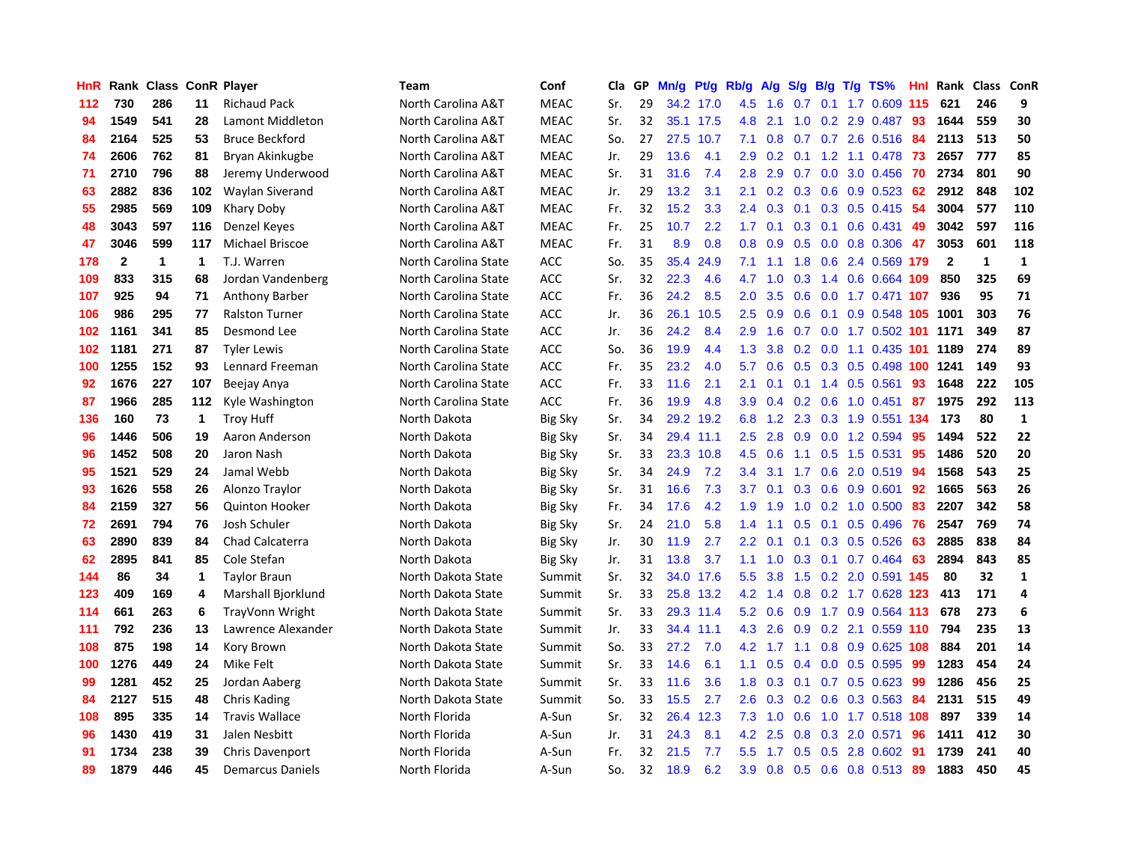| HnR | Rank         | <b>Class ConR Player</b> |             |                       | <b>Team</b>          | Conf           | Cla | GP | Mn/g | Pf/g      | Rb/g             | A/g | S/g           | B/g | $T/g$ TS%              | <b>Hnl</b> | Rank         | Class        | <b>ConR</b>  |
|-----|--------------|--------------------------|-------------|-----------------------|----------------------|----------------|-----|----|------|-----------|------------------|-----|---------------|-----|------------------------|------------|--------------|--------------|--------------|
| 112 | 730          | 286                      | 11          | <b>Richaud Pack</b>   | North Carolina A&T   | <b>MEAC</b>    | Sr. | 29 |      | 34.2 17.0 | 4.5              | 1.6 | 0.7           | 0.1 | 1.7 0.609              | 115        | 621          | 246          | 9            |
| 94  | 1549         | 541                      | 28          | Lamont Middleton      | North Carolina A&T   | <b>MEAC</b>    | Sr. | 32 |      | 35.1 17.5 | 4.8              | 2.1 | 1.0           |     | $0.2$ 2.9 $0.487$      | -93        | 1644         | 559          | 30           |
| 84  | 2164         | 525                      | 53          | <b>Bruce Beckford</b> | North Carolina A&T   | <b>MEAC</b>    | So. | 27 |      | 27.5 10.7 | 7.1              | 0.8 |               |     | 0.7 0.7 2.6 0.516 84   |            | 2113         | 513          | 50           |
| 74  | 2606         | 762                      | 81          | Bryan Akinkugbe       | North Carolina A&T   | <b>MEAC</b>    | Jr. | 29 | 13.6 | 4.1       | 2.9              | 0.2 |               |     | $0.1$ 1.2 1.1 0.478 73 |            | 2657         | 777          | 85           |
| 71  | 2710         | 796                      | 88          | Jeremy Underwood      | North Carolina A&T   | <b>MEAC</b>    | Sr. | 31 | 31.6 | 7.4       | 2.8              | 2.9 | 0.7           |     | $0.0$ 3.0 $0.456$      | -70        | 2734         | 801          | 90           |
| 63  | 2882         | 836                      | 102         | Waylan Siverand       | North Carolina A&T   | <b>MEAC</b>    | Jr. | 29 | 13.2 | 3.1       | 2.1              | 0.2 | 0.3           |     | $0.6$ 0.9 0.523        | 62         | 2912         | 848          | 102          |
| 55  | 2985         | 569                      | 109         | Khary Doby            | North Carolina A&T   | <b>MEAC</b>    | Fr. | 32 | 15.2 | 3.3       | 2.4              | 0.3 | 0.1           |     | 0.3 0.5 0.415          | -54        | 3004         | 577          | 110          |
| 48  | 3043         | 597                      | 116         | Denzel Keyes          | North Carolina A&T   | <b>MEAC</b>    | Fr. | 25 | 10.7 | 2.2       | 1.7              | 0.1 | 0.3           |     | $0.1$ 0.6 0.431        | 49         | 3042         | 597          | 116          |
| 47  | 3046         | 599                      | 117         | Michael Briscoe       | North Carolina A&T   | <b>MEAC</b>    | Fr. | 31 | 8.9  | 0.8       | 0.8              | 0.9 | 0.5           |     | $0.0$ $0.8$ $0.306$    | 47         | 3053         | 601          | 118          |
| 178 | $\mathbf{2}$ | $\mathbf 1$              | $\mathbf 1$ | T.J. Warren           | North Carolina State | <b>ACC</b>     | So. | 35 | 35.4 | 24.9      | 7.1              | 1.1 | 1.8           |     | 0.6 2.4 0.569 179      |            | $\mathbf{2}$ | $\mathbf{1}$ | $\mathbf{1}$ |
| 109 | 833          | 315                      | 68          | Jordan Vandenberg     | North Carolina State | <b>ACC</b>     | Sr. | 32 | 22.3 | 4.6       | 4.7              | 1.0 |               |     | 0.3 1.4 0.6 0.664 109  |            | 850          | 325          | 69           |
| 107 | 925          | 94                       | 71          | Anthony Barber        | North Carolina State | <b>ACC</b>     | Fr. | 36 | 24.2 | 8.5       | 2.0              | 3.5 |               |     | 0.6 0.0 1.7 0.471 107  |            | 936          | 95           | 71           |
| 106 | 986          | 295                      | 77          | <b>Ralston Turner</b> | North Carolina State | <b>ACC</b>     | Jr. | 36 | 26.1 | 10.5      | 2.5              | 0.9 | 0.6           |     | 0.1 0.9 0.548 105 1001 |            |              | 303          | 76           |
| 102 | 1161         | 341                      | 85          | Desmond Lee           | North Carolina State | <b>ACC</b>     | Jr. | 36 | 24.2 | 8.4       | 2.9              | 1.6 | 0.7           |     | 0.0 1.7 0.502 101 1171 |            |              | 349          | 87           |
| 102 | 1181         | 271                      | 87          | <b>Tyler Lewis</b>    | North Carolina State | <b>ACC</b>     | So. | 36 | 19.9 | 4.4       | 1.3              | 3.8 | 0.2           |     | 0.0 1.1 0.435 101 1189 |            |              | 274          | 89           |
| 100 | 1255         | 152                      | 93          | Lennard Freeman       | North Carolina State | <b>ACC</b>     | Fr. | 35 | 23.2 | 4.0       | 5.7              | 0.6 | 0.5           |     | 0.3 0.5 0.498 100 1241 |            |              | 149          | 93           |
| 92  | 1676         | 227                      | 107         | Beejay Anya           | North Carolina State | <b>ACC</b>     | Fr. | 33 | 11.6 | 2.1       | 2.1              | 0.1 |               |     | $0.1$ 1.4 0.5 0.561    | 93         | 1648         | 222          | 105          |
| 87  | 1966         | 285                      | 112         | Kyle Washington       | North Carolina State | <b>ACC</b>     | Fr. | 36 | 19.9 | 4.8       | 3.9              | 0.4 | 0.2           |     | $0.6$ 1.0 0.451        | 87         | 1975         | 292          | 113          |
| 136 | 160          | 73                       | 1           | <b>Troy Huff</b>      | North Dakota         | Big Sky        | Sr. | 34 | 29.2 | 19.2      | 6.8              | 1.2 | 2.3           |     | 0.3 1.9 0.551 134      |            | 173          | 80           | $\mathbf{1}$ |
| 96  | 1446         | 506                      | 19          | Aaron Anderson        | North Dakota         | <b>Big Sky</b> | Sr. | 34 | 29.4 | 11.1      | 2.5              | 2.8 |               |     | $0.9$ 0.0 1.2 0.594    | 95         | 1494         | 522          | 22           |
| 96  | 1452         | 508                      | 20          | Jaron Nash            | North Dakota         | Big Sky        | Sr. | 33 | 23.3 | 10.8      | 4.5              | 0.6 | 1.1           |     | $0.5$ 1.5 0.531        | 95         | 1486         | 520          | 20           |
| 95  | 1521         | 529                      | 24          | Jamal Webb            | North Dakota         | Big Sky        | Sr. | 34 | 24.9 | 7.2       | 3.4              | 3.1 | 1.7           |     | $0.6$ 2.0 $0.519$      | 94         | 1568         | 543          | 25           |
| 93  | 1626         | 558                      | 26          | Alonzo Traylor        | North Dakota         | Big Sky        | Sr. | 31 | 16.6 | 7.3       | 3.7              | 0.1 | 0.3           |     | $0.6$ 0.9 0.601        | 92         | 1665         | 563          | 26           |
| 84  | 2159         | 327                      | 56          | <b>Quinton Hooker</b> | North Dakota         | <b>Big Sky</b> | Fr. | 34 | 17.6 | 4.2       | 1.9              | 1.9 | 1.0           |     | 0.2 1.0 0.500          | 83         | 2207         | 342          | 58           |
| 72  | 2691         | 794                      | 76          | Josh Schuler          | North Dakota         | <b>Big Sky</b> | Sr. | 24 | 21.0 | 5.8       | 1.4              | 1.1 | 0.5           |     | $0.1$ 0.5 0.496        | -76        | 2547         | 769          | 74           |
| 63  | 2890         | 839                      | 84          | Chad Calcaterra       | North Dakota         | <b>Big Sky</b> | Jr. | 30 | 11.9 | 2.7       | 2.2              | 0.1 | 0.1           |     | 0.3 0.5 0.526          | 63         | 2885         | 838          | 84           |
| 62  | 2895         | 841                      | 85          | Cole Stefan           | North Dakota         | <b>Big Sky</b> | Jr. | 31 | 13.8 | 3.7       | 1.1              | 1.0 |               |     | 0.3 0.1 0.7 0.464 63   |            | 2894         | 843          | 85           |
| 144 | 86           | 34                       | 1           | <b>Taylor Braun</b>   | North Dakota State   | Summit         | Sr. | 32 |      | 34.0 17.6 | 5.5              | 3.8 |               |     | 1.5 0.2 2.0 0.591 145  |            | 80           | 32           | $\mathbf{1}$ |
| 123 | 409          | 169                      | 4           | Marshall Bjorklund    | North Dakota State   | Summit         | Sr. | 33 |      | 25.8 13.2 | 4.2              | 1.4 | 0.8           |     | 0.2 1.7 0.628 123      |            | 413          | 171          | 4            |
| 114 | 661          | 263                      | 6           | TrayVonn Wright       | North Dakota State   | Summit         | Sr. | 33 |      | 29.3 11.4 | 5.2              | 0.6 |               |     | 0.9 1.7 0.9 0.564 113  |            | 678          | 273          | 6            |
| 111 | 792          | 236                      | 13          | Lawrence Alexander    | North Dakota State   | Summit         | Jr. | 33 | 34.4 | 11.1      | 4.3              | 2.6 | 0.9           |     | 0.2 2.1 0.559 110      |            | 794          | 235          | 13           |
| 108 | 875          | 198                      | 14          | Kory Brown            | North Dakota State   | Summit         | So. | 33 | 27.2 | 7.0       | 4.2              | 1.7 | 1.1           |     | 0.8 0.9 0.625 108      |            | 884          | 201          | 14           |
| 100 | 1276         | 449                      | 24          | Mike Felt             | North Dakota State   | Summit         | Sr. | 33 | 14.6 | 6.1       | 1.1              | 0.5 | $0.4^{\circ}$ | 0.0 | $0.5 \ 0.595$          | -99        | 1283         | 454          | 24           |
| 99  | 1281         | 452                      | 25          | Jordan Aaberg         | North Dakota State   | Summit         | Sr. | 33 | 11.6 | 3.6       | 1.8              | 0.3 | 0.1           |     | $0.7$ 0.5 0.623        | 99         | 1286         | 456          | 25           |
| 84  | 2127         | 515                      | 48          | Chris Kading          | North Dakota State   | Summit         | So. | 33 | 15.5 | 2.7       | 2.6              | 0.3 | 0.2           |     | $0.6$ 0.3 0.563        | -84        | 2131         | 515          | 49           |
| 108 | 895          | 335                      | 14          | <b>Travis Wallace</b> | North Florida        | A-Sun          | Sr. | 32 | 26.4 | 12.3      | 7.3              | 1.0 | 0.6           |     | 1.0 1.7 0.518 108      |            | 897          | 339          | 14           |
| 96  | 1430         | 419                      | 31          | Jalen Nesbitt         | North Florida        | A-Sun          | Jr. | 31 | 24.3 | 8.1       | 4.2              | 2.5 | 0.8           |     | $0.3$ 2.0 $0.571$      | 96         | 1411         | 412          | 30           |
| 91  | 1734         | 238                      | 39          | Chris Davenport       | North Florida        | A-Sun          | Fr. | 32 | 21.5 | 7.7       | 5.5 <sub>1</sub> | 1.7 | 0.5           |     | $0.5$ 2.8 $0.602$      | -91        | 1739         | 241          | 40           |
| 89  | 1879         | 446                      | 45          | Demarcus Daniels      | North Florida        | A-Sun          | So. | 32 | 18.9 | 6.2       | 3.9              | 0.8 |               |     | 0.5 0.6 0.8 0.513 89   |            | 1883         | 450          | 45           |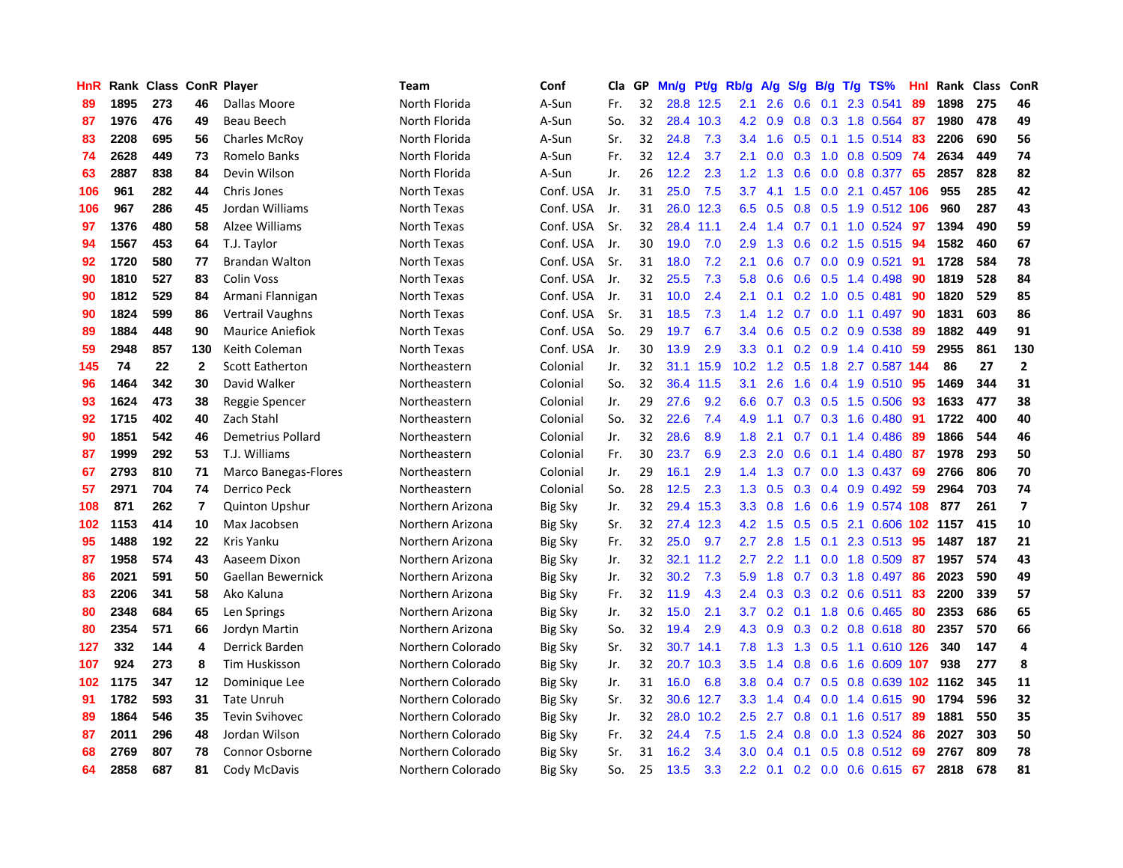| <b>HnR</b> |      | Rank Class ConR Player |              |                          | <b>Team</b>       | Conf           | <b>Cla</b> | GP | Mn/g | Pt/g      | Rb/g             | A/g           | S/g           | <b>B/g</b> | T/g TS%                      | Hnl |      | Rank Class | ConR                    |
|------------|------|------------------------|--------------|--------------------------|-------------------|----------------|------------|----|------|-----------|------------------|---------------|---------------|------------|------------------------------|-----|------|------------|-------------------------|
| 89         | 1895 | 273                    | 46           | Dallas Moore             | North Florida     | A-Sun          | Fr.        | 32 | 28.8 | 12.5      | 2.1              | 2.6           | 0.6           | 0.1        | 2.3 0.541                    | 89  | 1898 | 275        | 46                      |
| 87         | 1976 | 476                    | 49           | Beau Beech               | North Florida     | A-Sun          | So.        | 32 | 28.4 | 10.3      | 4.2              | 0.9           |               |            | 0.8 0.3 1.8 0.564 87         |     | 1980 | 478        | 49                      |
| 83         | 2208 | 695                    | 56           | <b>Charles McRov</b>     | North Florida     | A-Sun          | Sr.        | 32 | 24.8 | 7.3       | $3.4^{\circ}$    | 1.6           |               |            | 0.5 0.1 1.5 0.514 83         |     | 2206 | 690        | 56                      |
| 74         | 2628 | 449                    | 73           | Romelo Banks             | North Florida     | A-Sun          | Fr.        | 32 | 12.4 | 3.7       | 2.1              | 0.0           |               |            | 0.3 1.0 0.8 0.509 74         |     | 2634 | 449        | 74                      |
| 63         | 2887 | 838                    | 84           | Devin Wilson             | North Florida     | A-Sun          | Jr.        | 26 | 12.2 | 2.3       | 1.2              | 1.3           | 0.6           |            | 0.0 0.8 0.377 65             |     | 2857 | 828        | 82                      |
| 106        | 961  | 282                    | 44           | Chris Jones              | North Texas       | Conf. USA      | Jr.        | 31 | 25.0 | 7.5       | 3.7              | 4.1           | $1.5^{\circ}$ |            | 0.0 2.1 0.457 106            |     | 955  | 285        | 42                      |
| 106        | 967  | 286                    | 45           | Jordan Williams          | North Texas       | Conf. USA      | Jr.        | 31 |      | 26.0 12.3 | 6.5              | 0.5           | 0.8           |            | 0.5 1.9 0.512 106            |     | 960  | 287        | 43                      |
| 97         | 1376 | 480                    | 58           | Alzee Williams           | North Texas       | Conf. USA      | Sr.        | 32 | 28.4 | 11.1      | $2.4^{\circ}$    | 1.4           | 0.7           |            | $0.1$ 1.0 0.524              | -97 | 1394 | 490        | 59                      |
| 94         | 1567 | 453                    | 64           | T.J. Taylor              | North Texas       | Conf. USA      | Jr.        | 30 | 19.0 | 7.0       | 2.9              | 1.3           | 0.6           |            | 0.2 1.5 0.515                | -94 | 1582 | 460        | 67                      |
| 92         | 1720 | 580                    | 77           | <b>Brandan Walton</b>    | North Texas       | Conf. USA      | Sr.        | 31 | 18.0 | 7.2       | 2.1              | 0.6           |               |            | 0.7 0.0 0.9 0.521            | -91 | 1728 | 584        | 78                      |
| 90         | 1810 | 527                    | 83           | <b>Colin Voss</b>        | North Texas       | Conf. USA      | Jr.        | 32 | 25.5 | 7.3       | 5.8              | 0.6           |               |            | 0.6 0.5 1.4 0.498 90         |     | 1819 | 528        | 84                      |
| 90         | 1812 | 529                    | 84           | Armani Flannigan         | North Texas       | Conf. USA      | Jr.        | 31 | 10.0 | 2.4       | 2.1              | 0.1           |               |            | $0.2$ 1.0 0.5 0.481          | -90 | 1820 | 529        | 85                      |
| 90         | 1824 | 599                    | 86           | Vertrail Vaughns         | North Texas       | Conf. USA      | Sr.        | 31 | 18.5 | 7.3       | $1.4^{\circ}$    | 1.2           |               |            | 0.7 0.0 1.1 0.497 90         |     | 1831 | 603        | 86                      |
| 89         | 1884 | 448                    | 90           | <b>Maurice Aniefiok</b>  | North Texas       | Conf. USA      | So.        | 29 | 19.7 | 6.7       | 3.4              | 0.6           | 0.5           |            | 0.2 0.9 0.538                | -89 | 1882 | 449        | 91                      |
| 59         | 2948 | 857                    | 130          | Keith Coleman            | North Texas       | Conf. USA      | Jr.        | 30 | 13.9 | 2.9       | 3.3              | 0.1           |               |            | 0.2 0.9 1.4 0.410 59         |     | 2955 | 861        | 130                     |
| 145        | 74   | 22                     | $\mathbf{2}$ | <b>Scott Eatherton</b>   | Northeastern      | Colonial       | Jr.        | 32 | 31.1 | 15.9      | 10.2             | 1.2           | 0.5           |            | 1.8 2.7 0.587 144            |     | 86   | 27         | $\mathbf{2}$            |
| 96         | 1464 | 342                    | 30           | David Walker             | Northeastern      | Colonial       | So.        | 32 |      | 36.4 11.5 | 3.1              | 2.6           | 1.6           |            | $0.4$ 1.9 0.510              | -95 | 1469 | 344        | 31                      |
| 93         | 1624 | 473                    | 38           | Reggie Spencer           | Northeastern      | Colonial       | Jr.        | 29 | 27.6 | 9.2       | 6.6              | 0.7           | 0.3           |            | $0.5$ 1.5 0.506              | -93 | 1633 | 477        | 38                      |
| 92         | 1715 | 402                    | 40           | Zach Stahl               | Northeastern      | Colonial       | So.        | 32 | 22.6 | 7.4       | 4.9              | 1.1           |               |            | 0.7 0.3 1.6 0.480 91         |     | 1722 | 400        | 40                      |
| 90         | 1851 | 542                    | 46           | Demetrius Pollard        | Northeastern      | Colonial       | Jr.        | 32 | 28.6 | 8.9       | 1.8              | 2.1           |               |            | 0.7 0.1 1.4 0.486            | -89 | 1866 | 544        | 46                      |
| 87         | 1999 | 292                    | 53           | T.J. Williams            | Northeastern      | Colonial       | Fr.        | 30 | 23.7 | 6.9       | 2.3              | 2.0           | 0.6           |            | 0.1 1.4 0.480 87             |     | 1978 | 293        | 50                      |
| 67         | 2793 | 810                    | 71           | Marco Banegas-Flores     | Northeastern      | Colonial       | Jr.        | 29 | 16.1 | 2.9       | 1.4              | 1.3           |               |            | 0.7 0.0 1.3 0.437            | -69 | 2766 | 806        | 70                      |
| 57         | 2971 | 704                    | 74           | Derrico Peck             | Northeastern      | Colonial       | So.        | 28 | 12.5 | 2.3       | 1.3              | 0.5           | 0.3           |            | 0.4 0.9 0.492 59             |     | 2964 | 703        | 74                      |
| 108        | 871  | 262                    | 7            | <b>Quinton Upshur</b>    | Northern Arizona  | <b>Big Sky</b> | Jr.        | 32 | 29.4 | 15.3      | 3.3 <sub>2</sub> | 0.8           | 1.6           |            | 0.6 1.9 0.574 108            |     | 877  | 261        | $\overline{\mathbf{z}}$ |
| 102        | 1153 | 414                    | 10           | Max Jacobsen             | Northern Arizona  | <b>Big Sky</b> | Sr.        | 32 | 27.4 | 12.3      |                  | 4.2 1.5       | 0.5           |            | 0.5 2.1 0.606 102 1157       |     |      | 415        | 10                      |
| 95         | 1488 | 192                    | 22           | Kris Yanku               | Northern Arizona  | <b>Big Sky</b> | Fr.        | 32 | 25.0 | 9.7       | $2.7^{\circ}$    | 2.8           | 1.5           | 0.1        | 2.3 0.513                    | -95 | 1487 | 187        | 21                      |
| 87         | 1958 | 574                    | 43           | Aaseem Dixon             | Northern Arizona  | Big Sky        | Jr.        | 32 | 32.1 | 11.2      | $2.7^{\circ}$    | $2.2^{\circ}$ |               |            | 1.1 0.0 1.8 0.509 87         |     | 1957 | 574        | 43                      |
| 86         | 2021 | 591                    | 50           | <b>Gaellan Bewernick</b> | Northern Arizona  | <b>Big Sky</b> | Jr.        | 32 | 30.2 | 7.3       | 5.9              | 1.8           |               |            | 0.7 0.3 1.8 0.497 86         |     | 2023 | 590        | 49                      |
| 83         | 2206 | 341                    | 58           | Ako Kaluna               | Northern Arizona  | <b>Big Sky</b> | Fr.        | 32 | 11.9 | 4.3       | $2.4^{\circ}$    | 0.3           |               |            | 0.3 0.2 0.6 0.511 83         |     | 2200 | 339        | 57                      |
| 80         | 2348 | 684                    | 65           | Len Springs              | Northern Arizona  | <b>Big Sky</b> | Jr.        | 32 | 15.0 | 2.1       | 3.7              | 0.2           |               |            | 0.1 1.8 0.6 0.465            | -80 | 2353 | 686        | 65                      |
| 80         | 2354 | 571                    | 66           | Jordyn Martin            | Northern Arizona  | <b>Big Sky</b> | So.        | 32 | 19.4 | 2.9       | 4.3              | 0.9           |               |            | 0.3 0.2 0.8 0.618 80         |     | 2357 | 570        | 66                      |
| 127        | 332  | 144                    | 4            | Derrick Barden           | Northern Colorado | <b>Big Sky</b> | Sr.        | 32 | 30.7 | 14.1      | 7.8              | 1.3           | 1.3           |            | 0.5 1.1 0.610 126            |     | 340  | 147        | 4                       |
| 107        | 924  | 273                    | 8            | Tim Huskisson            | Northern Colorado | <b>Big Sky</b> | Jr.        | 32 | 20.7 | 10.3      | 3.5              | 1.4           | 0.8           |            | $0.6$ 1.6 0.609 107          |     | 938  | 277        | 8                       |
| 102        | 1175 | 347                    | 12           | Dominique Lee            | Northern Colorado | <b>Big Sky</b> | Jr.        | 31 | 16.0 | 6.8       | 3.8 <sub>2</sub> | 0.4           | 0.7           | 0.5        | 0.8 0.639 102 1162           |     |      | 345        | 11                      |
| 91         | 1782 | 593                    | 31           | <b>Tate Unruh</b>        | Northern Colorado | <b>Big Sky</b> | Sr.        | 32 | 30.6 | 12.7      | 3.3 <sub>2</sub> | 1.4           |               |            | 0.4 0.0 1.4 0.615 90         |     | 1794 | 596        | 32                      |
| 89         | 1864 | 546                    | 35           | <b>Tevin Svihovec</b>    | Northern Colorado | Big Sky        | Jr.        | 32 | 28.0 | 10.2      | 2.5              | 2.7           |               |            | 0.8 0.1 1.6 0.517 89         |     | 1881 | 550        | 35                      |
| 87         | 2011 | 296                    | 48           | Jordan Wilson            | Northern Colorado | Big Sky        | Fr.        | 32 | 24.4 | 7.5       | 1.5              | 2.4           | 0.8           |            | 0.0 1.3 0.524 86             |     | 2027 | 303        | 50                      |
| 68         | 2769 | 807                    | 78           | Connor Osborne           | Northern Colorado | <b>Big Sky</b> | Sr.        | 31 | 16.2 | 3.4       | 3.0 <sub>2</sub> | 0.4           | 0.1           |            | 0.5 0.8 0.512 69             |     | 2767 | 809        | 78                      |
| 64         | 2858 | 687                    | 81           | Cody McDavis             | Northern Colorado | <b>Big Sky</b> | So.        | 25 | 13.5 | 3.3       |                  |               |               |            | 2.2 0.1 0.2 0.0 0.6 0.615 67 |     | 2818 | 678        | 81                      |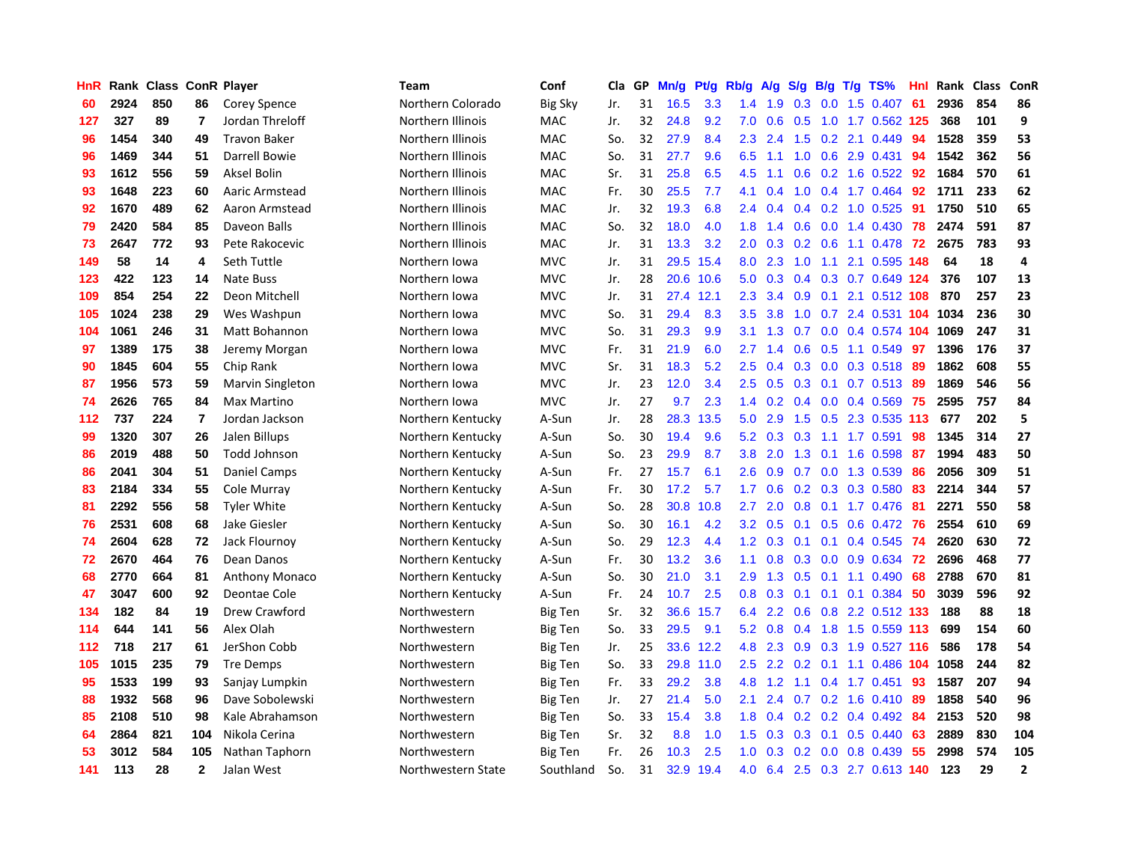| HnR | Rank | <b>Class</b> |                | <b>ConR Player</b>    | <b>Team</b>        | Conf           | Cla | GP | Mn/g | <b>Pt/g</b> | Rb/g    | A/g | S/g           | B/g | $T/g$ TS%                 | Hnl | Rank | <b>Class</b> | ConR           |
|-----|------|--------------|----------------|-----------------------|--------------------|----------------|-----|----|------|-------------|---------|-----|---------------|-----|---------------------------|-----|------|--------------|----------------|
| 60  | 2924 | 850          | 86             | Corey Spence          | Northern Colorado  | <b>Big Sky</b> | Jr. | 31 | 16.5 | 3.3         | 1.4     | 1.9 | 0.3           |     | $0.0$ 1.5 $0.407$         | -61 | 2936 | 854          | 86             |
| 127 | 327  | 89           | $\overline{7}$ | Jordan Threloff       | Northern Illinois  | MAC            | Jr. | 32 | 24.8 | 9.2         | 7.0     | 0.6 |               |     | 0.5 1.0 1.7 0.562 125     |     | 368  | 101          | 9              |
| 96  | 1454 | 340          | 49             | <b>Travon Baker</b>   | Northern Illinois  | <b>MAC</b>     | So. | 32 | 27.9 | 8.4         | 2.3     | 2.4 | 1.5           |     | 0.2 2.1 0.449             | 94  | 1528 | 359          | 53             |
| 96  | 1469 | 344          | 51             | Darrell Bowie         | Northern Illinois  | MAC            | So. | 31 | 27.7 | 9.6         | 6.5     | 1.1 | 1.0           |     | $0.6$ 2.9 0.431           | -94 | 1542 | 362          | 56             |
| 93  | 1612 | 556          | 59             | Aksel Bolin           | Northern Illinois  | MAC            | Sr. | 31 | 25.8 | 6.5         | 4.5     | 1.1 | 0.6           |     | 0.2 1.6 0.522             | 92  | 1684 | 570          | 61             |
| 93  | 1648 | 223          | 60             | Aaric Armstead        | Northern Illinois  | MAC            | Fr. | 30 | 25.5 | 7.7         | 4.1     | 0.4 | 1.0           |     | 0.4 1.7 0.464             | 92  | 1711 | 233          | 62             |
| 92  | 1670 | 489          | 62             | Aaron Armstead        | Northern Illinois  | MAC            | Jr. | 32 | 19.3 | 6.8         | 2.4     | 0.4 | 0.4           |     | 0.2 1.0 0.525             | -91 | 1750 | 510          | 65             |
| 79  | 2420 | 584          | 85             | Daveon Balls          | Northern Illinois  | <b>MAC</b>     | So. | 32 | 18.0 | 4.0         | 1.8     | 1.4 | 0.6           |     | $0.0$ 1.4 $0.430$         | 78  | 2474 | 591          | 87             |
| 73  | 2647 | 772          | 93             | Pete Rakocevic        | Northern Illinois  | <b>MAC</b>     | Jr. | 31 | 13.3 | 3.2         | 2.0     | 0.3 | 0.2           |     | $0.6$ 1.1 $0.478$         | -72 | 2675 | 783          | 93             |
| 149 | 58   | 14           | 4              | Seth Tuttle           | Northern Iowa      | <b>MVC</b>     | Jr. | 31 | 29.5 | 15.4        | 8.0     | 2.3 | 1.0           |     | 1.1 2.1 0.595 148         |     | 64   | 18           | 4              |
| 123 | 422  | 123          | 14             | <b>Nate Buss</b>      | Northern Iowa      | <b>MVC</b>     | Jr. | 28 |      | 20.6 10.6   | 5.0     |     |               |     | 0.3 0.4 0.3 0.7 0.649 124 |     | 376  | 107          | 13             |
| 109 | 854  | 254          | 22             | Deon Mitchell         | Northern Iowa      | <b>MVC</b>     | Jr. | 31 | 27.4 | 12.1        | 2.3     | 3.4 | 0.9           |     | 0.1 2.1 0.512 108         |     | 870  | 257          | 23             |
| 105 | 1024 | 238          | 29             | Wes Washpun           | Northern Iowa      | <b>MVC</b>     | So. | 31 | 29.4 | 8.3         | 3.5     | 3.8 | 1.0           |     | 0.7 2.4 0.531 104 1034    |     |      | 236          | 30             |
| 104 | 1061 | 246          | 31             | Matt Bohannon         | Northern Iowa      | <b>MVC</b>     | So. | 31 | 29.3 | 9.9         | 3.1     | 1.3 | 0.7           |     | 0.0 0.4 0.574 104 1069    |     |      | 247          | 31             |
| 97  | 1389 | 175          | 38             | Jeremy Morgan         | Northern Iowa      | <b>MVC</b>     | Fr. | 31 | 21.9 | 6.0         | 2.7     | 1.4 | 0.6           |     | 0.5 1.1 0.549             | -97 | 1396 | 176          | 37             |
| 90  | 1845 | 604          | 55             | Chip Rank             | Northern Iowa      | <b>MVC</b>     | Sr. | 31 | 18.3 | 5.2         | 2.5     | 0.4 | 0.3           |     | $0.0$ 0.3 0.518           | -89 | 1862 | 608          | 55             |
| 87  | 1956 | 573          | 59             | Marvin Singleton      | Northern Iowa      | <b>MVC</b>     | Jr. | 23 | 12.0 | 3.4         | $2.5\,$ | 0.5 | 0.3           |     | $0.1$ 0.7 0.513           | -89 | 1869 | 546          | 56             |
| 74  | 2626 | 765          | 84             | <b>Max Martino</b>    | Northern Iowa      | <b>MVC</b>     | Jr. | 27 | 9.7  | 2.3         | 1.4     | 0.2 | $0.4^{\circ}$ |     | $0.0$ 0.4 0.569           | -75 | 2595 | 757          | 84             |
| 112 | 737  | 224          | $\overline{7}$ | Jordan Jackson        | Northern Kentucky  | A-Sun          | Jr. | 28 | 28.3 | 13.5        | 5.0     | 2.9 | 1.5           |     | 0.5 2.3 0.535 113         |     | 677  | 202          | 5              |
| 99  | 1320 | 307          | 26             | Jalen Billups         | Northern Kentucky  | A-Sun          | So. | 30 | 19.4 | 9.6         | 5.2     | 0.3 |               |     | 0.3 1.1 1.7 0.591         | 98  | 1345 | 314          | 27             |
| 86  | 2019 | 488          | 50             | Todd Johnson          | Northern Kentucky  | A-Sun          | So. | 23 | 29.9 | 8.7         | 3.8     | 2.0 | 1.3           |     | $0.1$ 1.6 0.598           | -87 | 1994 | 483          | 50             |
| 86  | 2041 | 304          | 51             | Daniel Camps          | Northern Kentucky  | A-Sun          | Fr. | 27 | 15.7 | 6.1         | 2.6     | 0.9 | 0.7           |     | 0.0 1.3 0.539             | -86 | 2056 | 309          | 51             |
| 83  | 2184 | 334          | 55             | Cole Murray           | Northern Kentucky  | A-Sun          | Fr. | 30 | 17.2 | 5.7         | 1.7     | 0.6 |               |     | $0.2$ 0.3 0.3 0.580       | -83 | 2214 | 344          | 57             |
| 81  | 2292 | 556          | 58             | <b>Tyler White</b>    | Northern Kentucky  | A-Sun          | So. | 28 | 30.8 | 10.8        | 2.7     | 2.0 | 0.8           |     | $0.1$ 1.7 0.476           | -81 | 2271 | 550          | 58             |
| 76  | 2531 | 608          | 68             | Jake Giesler          | Northern Kentucky  | A-Sun          | So. | 30 | 16.1 | 4.2         | 3.2     | 0.5 | 0.1           |     | $0.5$ 0.6 0.472           | -76 | 2554 | 610          | 69             |
| 74  | 2604 | 628          | 72             | Jack Flournoy         | Northern Kentucky  | A-Sun          | So. | 29 | 12.3 | 4.4         | 1.2     | 0.3 | 0.1           |     | 0.1 0.4 0.545 74          |     | 2620 | 630          | 72             |
| 72  | 2670 | 464          | 76             | Dean Danos            | Northern Kentucky  | A-Sun          | Fr. | 30 | 13.2 | 3.6         | 1.1     | 0.8 | 0.3           |     | 0.0 0.9 0.634 72          |     | 2696 | 468          | 77             |
| 68  | 2770 | 664          | 81             | <b>Anthony Monaco</b> | Northern Kentucky  | A-Sun          | So. | 30 | 21.0 | 3.1         | 2.9     | 1.3 |               |     | 0.5 0.1 1.1 0.490 68      |     | 2788 | 670          | 81             |
| 47  | 3047 | 600          | 92             | Deontae Cole          | Northern Kentucky  | A-Sun          | Fr. | 24 | 10.7 | 2.5         | 0.8     | 0.3 | 0.1           |     | $0.1$ 0.1 0.384 50        |     | 3039 | 596          | 92             |
| 134 | 182  | 84           | 19             | Drew Crawford         | Northwestern       | Big Ten        | Sr. | 32 | 36.6 | 15.7        | 6.4     | 2.2 | 0.6           |     | 0.8 2.2 0.512 133         |     | 188  | 88           | 18             |
| 114 | 644  | 141          | 56             | Alex Olah             | Northwestern       | Big Ten        | So. | 33 | 29.5 | 9.1         | 5.2     | 0.8 | $0.4^{\circ}$ |     | 1.8 1.5 0.559 113         |     | 699  | 154          | 60             |
| 112 | 718  | 217          | 61             | JerShon Cobb          | Northwestern       | Big Ten        | Jr. | 25 |      | 33.6 12.2   | 4.8     | 2.3 | 0.9           |     | 0.3 1.9 0.527 116         |     | 586  | 178          | 54             |
| 105 | 1015 | 235          | 79             | <b>Tre Demps</b>      | Northwestern       | Big Ten        | So. | 33 | 29.8 | 11.0        | 2.5     | 2.2 | 0.2           |     | $0.1$ 1.1 0.486 104       |     | 1058 | 244          | 82             |
| 95  | 1533 | 199          | 93             | Sanjay Lumpkin        | Northwestern       | <b>Big Ten</b> | Fr. | 33 | 29.2 | 3.8         | 4.8     | 1.2 | 1.1           |     | 0.4 1.7 0.451             | 93  | 1587 | 207          | 94             |
| 88  | 1932 | 568          | 96             | Dave Sobolewski       | Northwestern       | <b>Big Ten</b> | Jr. | 27 | 21.4 | 5.0         | 2.1     | 2.4 | 0.7           |     | 0.2 1.6 0.410 89          |     | 1858 | 540          | 96             |
| 85  | 2108 | 510          | 98             | Kale Abrahamson       | Northwestern       | <b>Big Ten</b> | So. | 33 | 15.4 | 3.8         | 1.8     | 0.4 |               |     | 0.2 0.2 0.4 0.492 84      |     | 2153 | 520          | 98             |
| 64  | 2864 | 821          | 104            | Nikola Cerina         | Northwestern       | Big Ten        | Sr. | 32 | 8.8  | 1.0         | 1.5     | 0.3 |               |     | $0.3$ 0.1 0.5 0.440       | -63 | 2889 | 830          | 104            |
| 53  | 3012 | 584          | 105            | Nathan Taphorn        | Northwestern       | Big Ten        | Fr. | 26 | 10.3 | 2.5         | 1.0     | 0.3 | 0.2           |     | $0.0$ 0.8 0.439           | -55 | 2998 | 574          | 105            |
| 141 | 113  | 28           | $\mathbf{2}$   | Jalan West            | Northwestern State | Southland      | So. | 31 | 32.9 | 19.4        | 4.0     | 6.4 |               |     | 2.5 0.3 2.7 0.613 140     |     | 123  | 29           | $\overline{2}$ |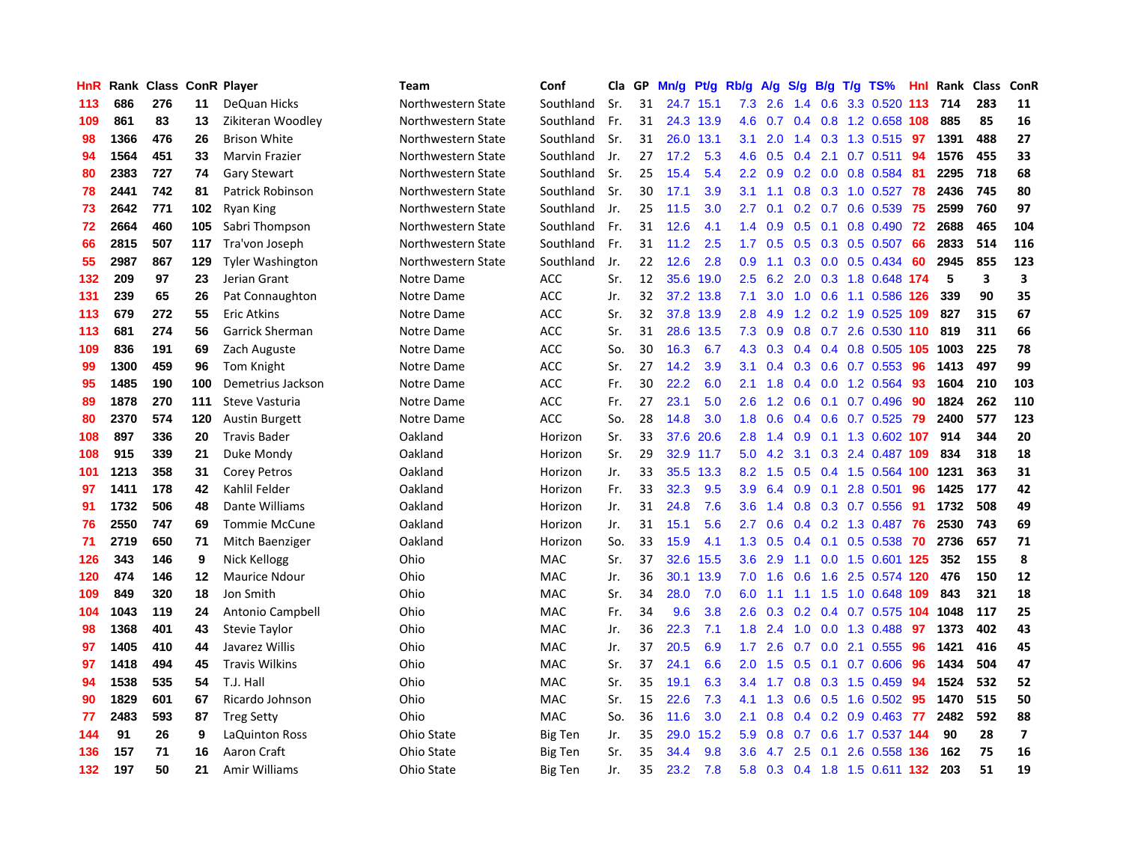| HnR | Rank |     |     | <b>Class ConR Player</b> | <b>Team</b>        | Conf           | Cla | GP | Mn/g | Pt/g      | Rb/g             | A/g | S/g           |     | $B/g$ T/g TS%             | <b>Hnl</b> | Rank | <b>Class</b> | ConR                    |
|-----|------|-----|-----|--------------------------|--------------------|----------------|-----|----|------|-----------|------------------|-----|---------------|-----|---------------------------|------------|------|--------------|-------------------------|
| 113 | 686  | 276 | 11  | DeQuan Hicks             | Northwestern State | Southland      | Sr. | 31 | 24.7 | 15.1      | 7.3              | 2.6 | 1.4           | 0.6 | 3.3 0.520                 | 113        | 714  | 283          | 11                      |
| 109 | 861  | 83  | 13  | Zikiteran Woodley        | Northwestern State | Southland      | Fr. | 31 |      | 24.3 13.9 | 4.6              | 0.7 | 0.4           |     | 0.8 1.2 0.658 108         |            | 885  | 85           | 16                      |
| 98  | 1366 | 476 | 26  | <b>Brison White</b>      | Northwestern State | Southland      | Sr. | 31 |      | 26.0 13.1 | 3.1              | 2.0 |               |     | 1.4 0.3 1.3 0.515 97      |            | 1391 | 488          | 27                      |
| 94  | 1564 | 451 | 33  | <b>Marvin Frazier</b>    | Northwestern State | Southland      | Jr. | 27 | 17.2 | 5.3       | 4.6              | 0.5 | 0.4           |     | 2.1 0.7 0.511             | -94        | 1576 | 455          | 33                      |
| 80  | 2383 | 727 | 74  | <b>Gary Stewart</b>      | Northwestern State | Southland      | Sr. | 25 | 15.4 | 5.4       | $2.2\phantom{0}$ | 0.9 | 0.2           |     | $0.0$ 0.8 0.584           | -81        | 2295 | 718          | 68                      |
| 78  | 2441 | 742 | 81  | Patrick Robinson         | Northwestern State | Southland      | Sr. | 30 | 17.1 | 3.9       | 3.1              | 1.1 | 0.8           |     | 0.3 1.0 0.527             | 78         | 2436 | 745          | 80                      |
| 73  | 2642 | 771 | 102 | <b>Ryan King</b>         | Northwestern State | Southland      | Jr. | 25 | 11.5 | 3.0       | 2.7              | 0.1 |               |     | $0.2$ 0.7 0.6 0.539       | 75         | 2599 | 760          | 97                      |
| 72  | 2664 | 460 | 105 | Sabri Thompson           | Northwestern State | Southland      | Fr. | 31 | 12.6 | 4.1       | 1.4              | 0.9 | 0.5           |     | $0.1$ 0.8 0.490           | 72         | 2688 | 465          | 104                     |
| 66  | 2815 | 507 | 117 | Tra'von Joseph           | Northwestern State | Southland      | Fr. | 31 | 11.2 | 2.5       | 1.7              | 0.5 | 0.5           |     | 0.3 0.5 0.507             | 66         | 2833 | 514          | 116                     |
| 55  | 2987 | 867 | 129 | <b>Tyler Washington</b>  | Northwestern State | Southland      | Jr. | 22 | 12.6 | 2.8       | 0.9              | 1.1 | 0.3           |     | $0.0$ $0.5$ $0.434$       | 60         | 2945 | 855          | 123                     |
| 132 | 209  | 97  | 23  | Jerian Grant             | Notre Dame         | ACC            | Sr. | 12 |      | 35.6 19.0 | $2.5\,$          | 6.2 |               |     | 2.0 0.3 1.8 0.648 174     |            | 5    | 3            | 3                       |
| 131 | 239  | 65  | 26  | Pat Connaughton          | Notre Dame         | <b>ACC</b>     | Jr. | 32 |      | 37.2 13.8 | 7.1              |     |               |     | 3.0 1.0 0.6 1.1 0.586 126 |            | 339  | 90           | 35                      |
| 113 | 679  | 272 | 55  | Eric Atkins              | Notre Dame         | <b>ACC</b>     | Sr. | 32 | 37.8 | 13.9      | 2.8              | 4.9 | 1.2           |     | 0.2 1.9 0.525 109         |            | 827  | 315          | 67                      |
| 113 | 681  | 274 | 56  | <b>Garrick Sherman</b>   | Notre Dame         | <b>ACC</b>     | Sr. | 31 | 28.6 | 13.5      | 7.3              | 0.9 | 0.8           |     | $0.7$ 2.6 0.530 110       |            | 819  | 311          | 66                      |
| 109 | 836  | 191 | 69  | Zach Auguste             | Notre Dame         | <b>ACC</b>     | So. | 30 | 16.3 | 6.7       | 4.3              | 0.3 | $0.4^{\circ}$ |     | 0.4 0.8 0.505 105 1003    |            |      | 225          | 78                      |
| 99  | 1300 | 459 | 96  | Tom Knight               | Notre Dame         | <b>ACC</b>     | Sr. | 27 | 14.2 | 3.9       | 3.1              | 0.4 | 0.3           |     | $0.6$ 0.7 0.553           | 96         | 1413 | 497          | 99                      |
| 95  | 1485 | 190 | 100 | Demetrius Jackson        | Notre Dame         | <b>ACC</b>     | Fr. | 30 | 22.2 | 6.0       | 2.1              | 1.8 | $0.4^{\circ}$ |     | $0.0$ 1.2 0.564           | 93         | 1604 | 210          | 103                     |
| 89  | 1878 | 270 | 111 | Steve Vasturia           | Notre Dame         | <b>ACC</b>     | Fr. | 27 | 23.1 | 5.0       | 2.6              | 1.2 | 0.6           | 0.1 | 0.7 0.496                 | 90         | 1824 | 262          | 110                     |
| 80  | 2370 | 574 | 120 | <b>Austin Burgett</b>    | Notre Dame         | <b>ACC</b>     | So. | 28 | 14.8 | 3.0       | 1.8              | 0.6 | 0.4           |     | 0.6 0.7 0.525 79          |            | 2400 | 577          | 123                     |
| 108 | 897  | 336 | 20  | <b>Travis Bader</b>      | Oakland            | Horizon        | Sr. | 33 | 37.6 | 20.6      | 2.8              | 1.4 | 0.9           |     | 0.1 1.3 0.602 107         |            | 914  | 344          | 20                      |
| 108 | 915  | 339 | 21  | Duke Mondy               | Oakland            | Horizon        | Sr. | 29 | 32.9 | 11.7      | 5.0              | 4.2 | 3.1           |     | 0.3 2.4 0.487 109         |            | 834  | 318          | 18                      |
| 101 | 1213 | 358 | 31  | <b>Corey Petros</b>      | Oakland            | Horizon        | Jr. | 33 | 35.5 | 13.3      | 8.2              | 1.5 | 0.5           |     | 0.4 1.5 0.564 100 1231    |            |      | 363          | 31                      |
| 97  | 1411 | 178 | 42  | Kahlil Felder            | Oakland            | Horizon        | Fr. | 33 | 32.3 | 9.5       | 3.9 <sup>°</sup> | 6.4 | 0.9           |     | $0.1$ 2.8 $0.501$         | 96         | 1425 | 177          | 42                      |
| 91  | 1732 | 506 | 48  | Dante Williams           | Oakland            | Horizon        | Jr. | 31 | 24.8 | 7.6       | 3.6              | 1.4 | 0.8           |     | 0.3 0.7 0.556             | 91         | 1732 | 508          | 49                      |
| 76  | 2550 | 747 | 69  | <b>Tommie McCune</b>     | Oakland            | Horizon        | Jr. | 31 | 15.1 | 5.6       | $2.7^{\circ}$    | 0.6 | 0.4           |     | 0.2 1.3 0.487             | -76        | 2530 | 743          | 69                      |
| 71  | 2719 | 650 | 71  | Mitch Baenziger          | Oakland            | Horizon        | So. | 33 | 15.9 | 4.1       | 1.3              | 0.5 | 0.4           |     | 0.1 0.5 0.538 70          |            | 2736 | 657          | 71                      |
| 126 | 343  | 146 | 9   | Nick Kellogg             | Ohio               | <b>MAC</b>     | Sr. | 37 | 32.6 | 15.5      | 3.6 <sup>°</sup> | 2.9 |               |     | 1.1 0.0 1.5 0.601 125     |            | 352  | 155          | 8                       |
| 120 | 474  | 146 | 12  | <b>Maurice Ndour</b>     | Ohio               | <b>MAC</b>     | Jr. | 36 | 30.1 | 13.9      | 7.0              | 1.6 | 0.6           |     | 1.6 2.5 0.574 120         |            | 476  | 150          | 12                      |
| 109 | 849  | 320 | 18  | Jon Smith                | Ohio               | MAC            | Sr. | 34 | 28.0 | 7.0       | 6.0              | 1.1 |               |     | 1.1 1.5 1.0 0.648 109     |            | 843  | 321          | 18                      |
| 104 | 1043 | 119 | 24  | Antonio Campbell         | Ohio               | MAC            | Fr. | 34 | 9.6  | 3.8       | 2.6              | 0.3 | 0.2           |     | 0.4 0.7 0.575 104 1048    |            |      | 117          | 25                      |
| 98  | 1368 | 401 | 43  | Stevie Taylor            | Ohio               | MAC            | Jr. | 36 | 22.3 | 7.1       | 1.8              | 2.4 | 1.0           |     | $0.0$ 1.3 0.488           | 97         | 1373 | 402          | 43                      |
| 97  | 1405 | 410 | 44  | Javarez Willis           | Ohio               | <b>MAC</b>     | Jr. | 37 | 20.5 | 6.9       | 1.7              | 2.6 | 0.7           | 0.0 | 2.1 0.555                 | 96         | 1421 | 416          | 45                      |
| 97  | 1418 | 494 | 45  | <b>Travis Wilkins</b>    | Ohio               | MAC            | Sr. | 37 | 24.1 | 6.6       | 2.0              | 1.5 | 0.5           | 0.1 | 0.7 0.606                 | 96         | 1434 | 504          | 47                      |
| 94  | 1538 | 535 | 54  | T.J. Hall                | Ohio               | <b>MAC</b>     | Sr. | 35 | 19.1 | 6.3       | 3.4              | 1.7 | 0.8           |     | $0.3$ 1.5 0.459           | 94         | 1524 | 532          | 52                      |
| 90  | 1829 | 601 | 67  | Ricardo Johnson          | Ohio               | <b>MAC</b>     | Sr. | 15 | 22.6 | 7.3       | 4.1              | 1.3 |               |     | 0.6 0.5 1.6 0.502 95      |            | 1470 | 515          | 50                      |
| 77  | 2483 | 593 | 87  | <b>Treg Setty</b>        | Ohio               | <b>MAC</b>     | So. | 36 | 11.6 | 3.0       | 2.1              | 0.8 | 0.4           |     | $0.2$ 0.9 0.463           | -77        | 2482 | 592          | 88                      |
| 144 | 91   | 26  | 9   | LaQuinton Ross           | Ohio State         | <b>Big Ten</b> | Jr. | 35 | 29.0 | 15.2      | 5.9              | 0.8 | 0.7           |     | 0.6 1.7 0.537 144         |            | 90   | 28           | $\overline{\mathbf{z}}$ |
| 136 | 157  | 71  | 16  | Aaron Craft              | Ohio State         | Big Ten        | Sr. | 35 | 34.4 | 9.8       | 3.6              | 4.7 | 2.5           | 0.1 | 2.6 0.558 136             |            | 162  | 75           | 16                      |
| 132 | 197  | 50  | 21  | <b>Amir Williams</b>     | Ohio State         | <b>Big Ten</b> | Jr. | 35 | 23.2 | 7.8       | 5.8              |     |               |     | 0.3 0.4 1.8 1.5 0.611 132 |            | 203  | 51           | 19                      |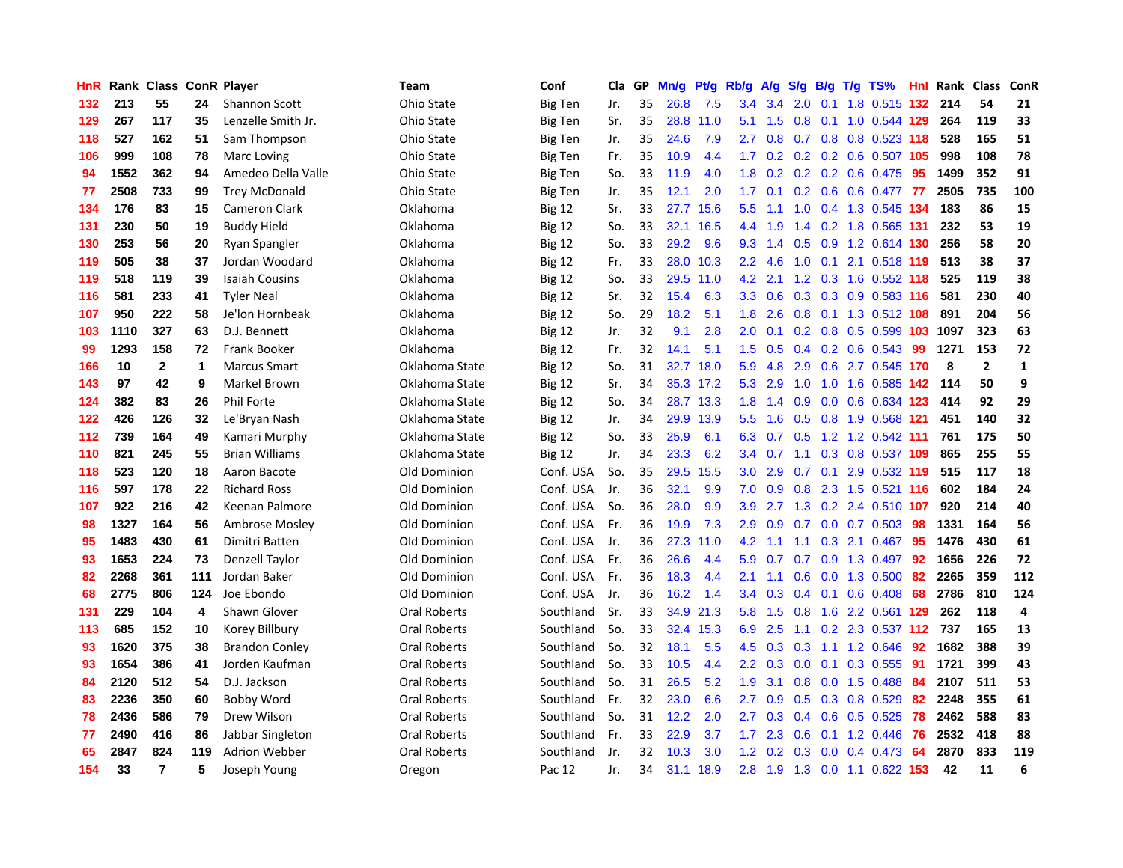| HnR |      | Rank Class ConR Player |              |                       | Team                | Conf           | Cla | GP | Mn/g | <b>Pt/g</b> | Rb/g             | A/g | S/g |  | $B/g$ T/g TS%              | Hnl | Rank  | Class          | ConR        |
|-----|------|------------------------|--------------|-----------------------|---------------------|----------------|-----|----|------|-------------|------------------|-----|-----|--|----------------------------|-----|-------|----------------|-------------|
| 132 | 213  | 55                     | 24           | <b>Shannon Scott</b>  | Ohio State          | <b>Big Ten</b> | Jr. | 35 | 26.8 | 7.5         | 3.4              | 3.4 | 2.0 |  | 0.1 1.8 0.515 132          |     | - 214 | 54             | 21          |
| 129 | 267  | 117                    | 35           | Lenzelle Smith Jr.    | Ohio State          | Big Ten        | Sr. | 35 | 28.8 | 11.0        | 5.1              | 1.5 | 0.8 |  | 0.1 1.0 0.544 129          |     | 264   | 119            | 33          |
| 118 | 527  | 162                    | 51           | Sam Thompson          | Ohio State          | <b>Big Ten</b> | Jr. | 35 | 24.6 | 7.9         | $2.7^{\circ}$    | 0.8 |     |  | 0.7 0.8 0.8 0.523 118      |     | 528   | 165            | 51          |
| 106 | 999  | 108                    | 78           | Marc Loving           | Ohio State          | Big Ten        | Fr. | 35 | 10.9 | 4.4         | 1.7 <sub>z</sub> | 0.2 |     |  | 0.2 0.2 0.6 0.507 105      |     | 998   | 108            | 78          |
| 94  | 1552 | 362                    | 94           | Amedeo Della Valle    | Ohio State          | <b>Big Ten</b> | So. | 33 | 11.9 | 4.0         | 1.8              | 0.2 |     |  | $0.2$ 0.2 0.6 0.475        | 95  | 1499  | 352            | 91          |
| 77  | 2508 | 733                    | 99           | <b>Trey McDonald</b>  | Ohio State          | Big Ten        | Jr. | 35 | 12.1 | 2.0         | 1.7              | 0.1 |     |  | 0.2 0.6 0.6 0.477          | 77  | 2505  | 735            | 100         |
| 134 | 176  | 83                     | 15           | <b>Cameron Clark</b>  | Oklahoma            | <b>Big 12</b>  | Sr. | 33 | 27.7 | 15.6        | 5.5              | 1.1 | 1.0 |  | 0.4 1.3 0.545 134          |     | 183   | 86             | 15          |
| 131 | 230  | 50                     | 19           | <b>Buddy Hield</b>    | Oklahoma            | <b>Big 12</b>  | So. | 33 | 32.1 | 16.5        | 4.4              | 1.9 | 1.4 |  | 0.2 1.8 0.565 131          |     | 232   | 53             | 19          |
| 130 | 253  | 56                     | 20           | Ryan Spangler         | Oklahoma            | <b>Big 12</b>  | So. | 33 | 29.2 | 9.6         | 9.3              | 1.4 | 0.5 |  | 0.9 1.2 0.614 130          |     | 256   | 58             | 20          |
| 119 | 505  | 38                     | 37           | Jordan Woodard        | Oklahoma            | <b>Big 12</b>  | Fr. | 33 | 28.0 | 10.3        | $2.2^{\circ}$    | 4.6 |     |  | 1.0 0.1 2.1 0.518 119      |     | 513   | 38             | 37          |
| 119 | 518  | 119                    | 39           | <b>Isaiah Cousins</b> | Oklahoma            | <b>Big 12</b>  | So. | 33 | 29.5 | 11.0        | 4.2              | 2.1 |     |  | 1.2 0.3 1.6 0.552 118      |     | 525   | 119            | 38          |
| 116 | 581  | 233                    | 41           | <b>Tyler Neal</b>     | Oklahoma            | <b>Big 12</b>  | Sr. | 32 | 15.4 | 6.3         | 3.3 <sub>2</sub> | 0.6 |     |  | 0.3 0.3 0.9 0.583 116      |     | 581   | 230            | 40          |
| 107 | 950  | 222                    | 58           | Je'lon Hornbeak       | Oklahoma            | <b>Big 12</b>  | So. | 29 | 18.2 | 5.1         | 1.8              | 2.6 | 0.8 |  | 0.1 1.3 0.512 108          |     | 891   | 204            | 56          |
| 103 | 1110 | 327                    | 63           | D.J. Bennett          | Oklahoma            | <b>Big 12</b>  | Jr. | 32 | 9.1  | 2.8         | 2.0              | 0.1 |     |  | 0.2 0.8 0.5 0.599 103 1097 |     |       | 323            | 63          |
| 99  | 1293 | 158                    | 72           | Frank Booker          | Oklahoma            | Big 12         | Fr. | 32 | 14.1 | 5.1         | 1.5              | 0.5 | 0.4 |  | $0.2$ 0.6 0.543            | 99  | 1271  | 153            | 72          |
| 166 | 10   | $\mathbf{2}$           | $\mathbf{1}$ | <b>Marcus Smart</b>   | Oklahoma State      | <b>Big 12</b>  | So. | 31 | 32.7 | 18.0        | 5.9              | 4.8 | 2.9 |  | 0.6 2.7 0.545 170          |     | 8     | $\overline{2}$ | $\mathbf 1$ |
| 143 | 97   | 42                     | 9            | Markel Brown          | Oklahoma State      | <b>Big 12</b>  | Sr. | 34 | 35.3 | 17.2        | 5.3              | 2.9 | 1.0 |  | 1.0 1.6 0.585 142          |     | 114   | 50             | 9           |
| 124 | 382  | 83                     | 26           | <b>Phil Forte</b>     | Oklahoma State      | Big 12         | So. | 34 | 28.7 | 13.3        | 1.8              | 1.4 | 0.9 |  | 0.0 0.6 0.634 123          |     | 414   | 92             | 29          |
| 122 | 426  | 126                    | 32           | Le'Bryan Nash         | Oklahoma State      | <b>Big 12</b>  | Jr. | 34 | 29.9 | 13.9        | 5.5 <sub>1</sub> | 1.6 |     |  | 0.5 0.8 1.9 0.568 121      |     | 451   | 140            | 32          |
| 112 | 739  | 164                    | 49           | Kamari Murphy         | Oklahoma State      | <b>Big 12</b>  | So. | 33 | 25.9 | 6.1         | 6.3              |     |     |  | 0.7 0.5 1.2 1.2 0.542 111  |     | 761   | 175            | 50          |
| 110 | 821  | 245                    | 55           | <b>Brian Williams</b> | Oklahoma State      | <b>Big 12</b>  | Jr. | 34 | 23.3 | 6.2         | $3.4^{\circ}$    | 0.7 | 1.1 |  | 0.3 0.8 0.537 109          |     | 865   | 255            | 55          |
| 118 | 523  | 120                    | 18           | Aaron Bacote          | Old Dominion        | Conf. USA      | So. | 35 | 29.5 | 15.5        | 3.0              | 2.9 | 0.7 |  | 0.1 2.9 0.532 119          |     | 515   | 117            | 18          |
| 116 | 597  | 178                    | 22           | <b>Richard Ross</b>   | Old Dominion        | Conf. USA      | Jr. | 36 | 32.1 | 9.9         | 7.0              | 0.9 | 0.8 |  | 2.3 1.5 0.521 116          |     | 602   | 184            | 24          |
| 107 | 922  | 216                    | 42           | Keenan Palmore        | Old Dominion        | Conf. USA      | So. | 36 | 28.0 | 9.9         | 3.9              | 2.7 | 1.3 |  | 0.2 2.4 0.510 107          |     | 920   | 214            | 40          |
| 98  | 1327 | 164                    | 56           | Ambrose Mosley        | Old Dominion        | Conf. USA      | Fr. | 36 | 19.9 | 7.3         | 2.9              | 0.9 | 0.7 |  | $0.0$ 0.7 0.503            | -98 | 1331  | 164            | 56          |
| 95  | 1483 | 430                    | 61           | Dimitri Batten        | Old Dominion        | Conf. USA      | Jr. | 36 | 27.3 | 11.0        | 4.2              | 1.1 | 1.1 |  | $0.3$ 2.1 $0.467$          | -95 | 1476  | 430            | 61          |
| 93  | 1653 | 224                    | 73           | Denzell Taylor        | Old Dominion        | Conf. USA      | Fr. | 36 | 26.6 | 4.4         | 5.9              | 0.7 |     |  | 0.7 0.9 1.3 0.497 92       |     | 1656  | 226            | 72          |
| 82  | 2268 | 361                    | 111          | Jordan Baker          | Old Dominion        | Conf. USA      | Fr. | 36 | 18.3 | 4.4         | 2.1              | 1.1 |     |  | 0.6 0.0 1.3 0.500 82       |     | 2265  | 359            | 112         |
| 68  | 2775 | 806                    | 124          | Joe Ebondo            | Old Dominion        | Conf. USA      | Jr. | 36 | 16.2 | 1.4         | $3.4^{\circ}$    | 0.3 | 0.4 |  | $0.1$ 0.6 0.408            | -68 | 2786  | 810            | 124         |
| 131 | 229  | 104                    | 4            | Shawn Glover          | <b>Oral Roberts</b> | Southland      | Sr. | 33 | 34.9 | 21.3        | 5.8              | 1.5 | 0.8 |  | 1.6 2.2 0.561 129          |     | 262   | 118            | 4           |
| 113 | 685  | 152                    | 10           | Korey Billbury        | Oral Roberts        | Southland      | So. | 33 | 32.4 | 15.3        | 6.9              | 2.5 | 1.1 |  | $0.2$ 2.3 0.537 112        |     | 737   | 165            | 13          |
| 93  | 1620 | 375                    | 38           | <b>Brandon Conley</b> | <b>Oral Roberts</b> | Southland      | So. | 32 | 18.1 | 5.5         | 4.5              | 0.3 | 0.3 |  | 1.1 1.2 0.646              | 92  | 1682  | 388            | 39          |
| 93  | 1654 | 386                    | 41           | Jorden Kaufman        | Oral Roberts        | Southland      | So. | 33 | 10.5 | 4.4         | $2.2\phantom{0}$ | 0.3 | 0.0 |  | $0.1$ 0.3 0.555            | -91 | 1721  | 399            | 43          |
| 84  | 2120 | 512                    | 54           | D.J. Jackson          | <b>Oral Roberts</b> | Southland      | So. | 31 | 26.5 | 5.2         | 1.9              | 3.1 | 0.8 |  | 0.0 1.5 0.488              | -84 | 2107  | 511            | 53          |
| 83  | 2236 | 350                    | 60           | Bobby Word            | <b>Oral Roberts</b> | Southland      | Fr. | 32 | 23.0 | 6.6         | 2.7              | 0.9 | 0.5 |  | $0.3$ 0.8 0.529            | -82 | 2248  | 355            | 61          |
| 78  | 2436 | 586                    | 79           | Drew Wilson           | Oral Roberts        | Southland      | So. | 31 | 12.2 | 2.0         | 2.7              | 0.3 | 0.4 |  | 0.6 0.5 0.525 78           |     | 2462  | 588            | 83          |
| 77  | 2490 | 416                    | 86           | Jabbar Singleton      | <b>Oral Roberts</b> | Southland      | Fr. | 33 | 22.9 | 3.7         | 1.7 <sub>z</sub> | 2.3 | 0.6 |  | $0.1$ 1.2 0.446            | -76 | 2532  | 418            | 88          |
| 65  | 2847 | 824                    | 119          | <b>Adrion Webber</b>  | Oral Roberts        | Southland      | Jr. | 32 | 10.3 | 3.0         | 1.2              | 0.2 | 0.3 |  | $0.0$ 0.4 0.473            | -64 | 2870  | 833            | 119         |
| 154 | 33   | $\overline{7}$         | 5            | Joseph Young          | Oregon              | Pac 12         | Jr. | 34 | 31.1 | 18.9        | 2.8              | 1.9 |     |  | 1.3 0.0 1.1 0.622 153      |     | 42    | 11             | 6           |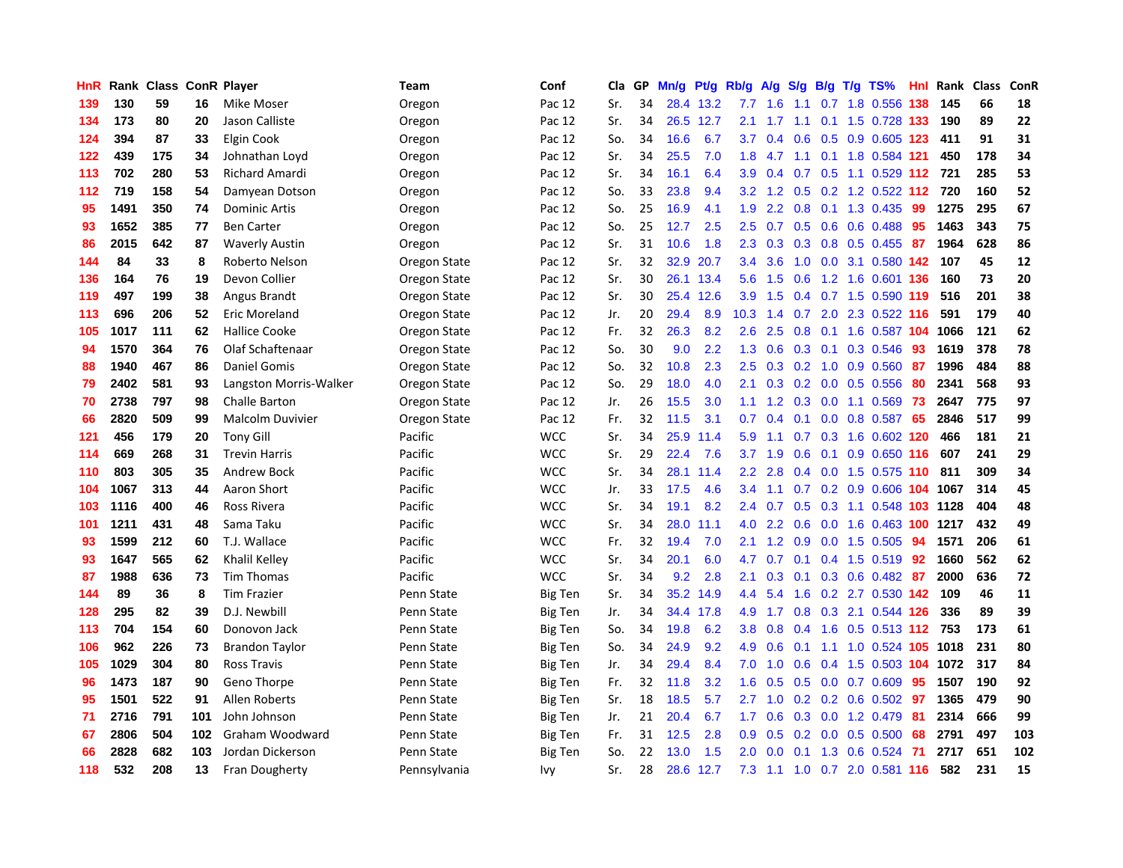| HnR | Rank | <b>Class</b> |     | <b>ConR Player</b>      | Team         | Conf           | Cla | <b>GP</b> | Mn/g | Pt/g | Rb/g          | A/g | S/g              | B/g | $T/g$ TS%                    | Hnl | Rank | <b>Class</b> | ConR |
|-----|------|--------------|-----|-------------------------|--------------|----------------|-----|-----------|------|------|---------------|-----|------------------|-----|------------------------------|-----|------|--------------|------|
| 139 | 130  | 59           | 16  | Mike Moser              | Oregon       | Pac 12         | Sr. | 34        | 28.4 | 13.2 | 7.7           | 1.6 | 1.1              |     | 0.7 1.8 0.556 138            |     | 145  | 66           | 18   |
| 134 | 173  | 80           | 20  | Jason Calliste          | Oregon       | Pac 12         | Sr. | 34        | 26.5 | 12.7 | 2.1           | 1.7 |                  |     | 1.1 0.1 1.5 0.728 133        |     | 190  | 89           | 22   |
| 124 | 394  | 87           | 33  | Elgin Cook              | Oregon       | Pac 12         | So. | 34        | 16.6 | 6.7  | 3.7           | 0.4 | 0.6              |     | 0.5 0.9 0.605 123            |     | 411  | 91           | 31   |
| 122 | 439  | 175          | 34  | Johnathan Loyd          | Oregon       | Pac 12         | Sr. | 34        | 25.5 | 7.0  | 1.8           | 4.7 | 1.1              |     | 0.1 1.8 0.584 121            |     | 450  | 178          | 34   |
| 113 | 702  | 280          | 53  | <b>Richard Amardi</b>   | Oregon       | Pac 12         | Sr. | 34        | 16.1 | 6.4  | 3.9           | 0.4 | 0.7              |     | $0.5$ 1.1 0.529 112          |     | 721  | 285          | 53   |
| 112 | 719  | 158          | 54  | Damyean Dotson          | Oregon       | Pac 12         | So. | 33        | 23.8 | 9.4  | 3.2           | 1.2 | 0.5              |     | 0.2 1.2 0.522 112            |     | 720  | 160          | 52   |
| 95  | 1491 | 350          | 74  | <b>Dominic Artis</b>    | Oregon       | Pac 12         | So. | 25        | 16.9 | 4.1  | 1.9           | 2.2 | 0.8              |     | $0.1$ 1.3 0.435              | 99  | 1275 | 295          | 67   |
| 93  | 1652 | 385          | 77  | <b>Ben Carter</b>       | Oregon       | Pac 12         | So. | 25        | 12.7 | 2.5  | 2.5           | 0.7 | 0.5              |     | $0.6$ 0.6 0.488              | 95  | 1463 | 343          | 75   |
| 86  | 2015 | 642          | 87  | <b>Waverly Austin</b>   | Oregon       | Pac 12         | Sr. | 31        | 10.6 | 1.8  | 2.3           | 0.3 | 0.3              |     | 0.8 0.5 0.455 87             |     | 1964 | 628          | 86   |
| 144 | 84   | 33           | 8   | Roberto Nelson          | Oregon State | Pac 12         | Sr. | 32        | 32.9 | 20.7 | 3.4           | 3.6 |                  |     | 1.0 0.0 3.1 0.580 142 107    |     |      | 45           | 12   |
| 136 | 164  | 76           | 19  | Devon Collier           | Oregon State | Pac 12         | Sr. | 30        | 26.1 | 13.4 | 5.6           | 1.5 |                  |     | 0.6 1.2 1.6 0.601 136        |     | 160  | 73           | 20   |
| 119 | 497  | 199          | 38  | Angus Brandt            | Oregon State | Pac 12         | Sr. | 30        | 25.4 | 12.6 | 3.9           | 1.5 |                  |     | 0.4 0.7 1.5 0.590 119        |     | 516  | 201          | 38   |
| 113 | 696  | 206          | 52  | Eric Moreland           | Oregon State | Pac 12         | Jr. | 20        | 29.4 | 8.9  | 10.3          | 1.4 | 0.7              |     | 2.0 2.3 0.522 116            |     | 591  | 179          | 40   |
| 105 | 1017 | 111          | 62  | <b>Hallice Cooke</b>    | Oregon State | Pac 12         | Fr. | 32        | 26.3 | 8.2  | 2.6           | 2.5 | 0.8 <sub>0</sub> |     | 0.1 1.6 0.587 104            |     | 1066 | 121          | 62   |
| 94  | 1570 | 364          | 76  | Olaf Schaftenaar        | Oregon State | Pac 12         | So. | 30        | 9.0  | 2.2  | 1.3           | 0.6 | 0.3              | 0.1 | 0.3 0.546                    | 93  | 1619 | 378          | 78   |
| 88  | 1940 | 467          | 86  | <b>Daniel Gomis</b>     | Oregon State | Pac 12         | So. | 32        | 10.8 | 2.3  | 2.5           | 0.3 |                  |     | 0.2 1.0 0.9 0.560            | 87  | 1996 | 484          | 88   |
| 79  | 2402 | 581          | 93  | Langston Morris-Walker  | Oregon State | Pac 12         | So. | 29        | 18.0 | 4.0  | 2.1           | 0.3 | 0.2              |     | $0.0$ $0.5$ $0.556$          | 80  | 2341 | 568          | 93   |
| 70  | 2738 | 797          | 98  | <b>Challe Barton</b>    | Oregon State | Pac 12         | Jr. | 26        | 15.5 | 3.0  | 1.1           | 1.2 |                  |     | 0.3 0.0 1.1 0.569 73         |     | 2647 | 775          | 97   |
| 66  | 2820 | 509          | 99  | <b>Malcolm Duvivier</b> | Oregon State | Pac 12         | Fr. | 32        | 11.5 | 3.1  | 0.7           | 0.4 |                  |     | 0.1 0.0 0.8 0.587 65         |     | 2846 | 517          | 99   |
| 121 | 456  | 179          | 20  | <b>Tony Gill</b>        | Pacific      | <b>WCC</b>     | Sr. | 34        | 25.9 | 11.4 | 5.9           | 1.1 | 0.7              |     | 0.3 1.6 0.602 120            |     | 466  | 181          | 21   |
| 114 | 669  | 268          | 31  | <b>Trevin Harris</b>    | Pacific      | <b>WCC</b>     | Sr. | 29        | 22.4 | 7.6  | 3.7           | 1.9 | 0.6              |     | $0.1$ 0.9 0.650 116          |     | 607  | 241          | 29   |
| 110 | 803  | 305          | 35  | <b>Andrew Bock</b>      | Pacific      | <b>WCC</b>     | Sr. | 34        | 28.1 | 11.4 | 2.2           | 2.8 | 0.4              |     | $0.0$ 1.5 0.575 110          |     | 811  | 309          | 34   |
| 104 | 1067 | 313          | 44  | Aaron Short             | Pacific      | <b>WCC</b>     | Jr. | 33        | 17.5 | 4.6  | 3.4           | 1.1 | 0.7              |     | 0.2 0.9 0.606 104            |     | 1067 | 314          | 45   |
| 103 | 1116 | 400          | 46  | Ross Rivera             | Pacific      | <b>WCC</b>     | Sr. | 34        | 19.1 | 8.2  | $2.4^{\circ}$ | 0.7 | 0.5              |     | 0.3 1.1 0.548 103 1128       |     |      | 404          | 48   |
| 101 | 1211 | 431          | 48  | Sama Taku               | Pacific      | <b>WCC</b>     | Sr. | 34        | 28.0 | 11.1 | 4.0           | 2.2 | 0.6              |     | 0.0 1.6 0.463 100 1217       |     |      | 432          | 49   |
| 93  | 1599 | 212          | 60  | T.J. Wallace            | Pacific      | <b>WCC</b>     | Fr. | 32        | 19.4 | 7.0  | 2.1           | 1.2 | 0.9              |     | 0.0 1.5 0.505 94             |     | 1571 | 206          | 61   |
| 93  | 1647 | 565          | 62  | Khalil Kelley           | Pacific      | <b>WCC</b>     | Sr. | 34        | 20.1 | 6.0  | 4.7           | 0.7 |                  |     | 0.1 0.4 1.5 0.519 92         |     | 1660 | 562          | 62   |
| 87  | 1988 | 636          | 73  | <b>Tim Thomas</b>       | Pacific      | <b>WCC</b>     | Sr. | 34        | 9.2  | 2.8  | 2.1           | 0.3 |                  |     | $0.1$ $0.3$ $0.6$ $0.482$ 87 |     | 2000 | 636          | 72   |
| 144 | 89   | 36           | 8   | <b>Tim Frazier</b>      | Penn State   | <b>Big Ten</b> | Sr. | 34        | 35.2 | 14.9 | 4.4           | 5.4 | 1.6              |     | 0.2 2.7 0.530 142            |     | 109  | 46           | 11   |
| 128 | 295  | 82           | 39  | D.J. Newbill            | Penn State   | <b>Big Ten</b> | Jr. | 34        | 34.4 | 17.8 | 4.9           | 1.7 | 0.8              |     | 0.3 2.1 0.544 126            |     | 336  | 89           | 39   |
| 113 | 704  | 154          | 60  | Donovon Jack            | Penn State   | <b>Big Ten</b> | So. | 34        | 19.8 | 6.2  | 3.8           | 0.8 | $0.4^{\circ}$    |     | 1.6 0.5 0.513 112            |     | 753  | 173          | 61   |
| 106 | 962  | 226          | 73  | <b>Brandon Taylor</b>   | Penn State   | Big Ten        | So. | 34        | 24.9 | 9.2  | 4.9           | 0.6 |                  |     | 0.1 1.1 1.0 0.524 105 1018   |     |      | 231          | 80   |
| 105 | 1029 | 304          | 80  | <b>Ross Travis</b>      | Penn State   | <b>Big Ten</b> | Jr. | 34        | 29.4 | 8.4  | 7.0           | 1.0 | 0.6              |     | $0.4$ 1.5 0.503 104          |     | 1072 | 317          | 84   |
| 96  | 1473 | 187          | 90  | Geno Thorpe             | Penn State   | <b>Big Ten</b> | Fr. | 32        | 11.8 | 3.2  | 1.6           | 0.5 |                  |     | $0.5$ 0.0 0.7 0.609          | -95 | 1507 | 190          | 92   |
| 95  | 1501 | 522          | 91  | <b>Allen Roberts</b>    | Penn State   | <b>Big Ten</b> | Sr. | 18        | 18.5 | 5.7  | 2.7           | 1.0 |                  |     | 0.2 0.2 0.6 0.502 97         |     | 1365 | 479          | 90   |
| 71  | 2716 | 791          | 101 | John Johnson            | Penn State   | <b>Big Ten</b> | Jr. | 21        | 20.4 | 6.7  | 1.7           | 0.6 | 0.3              |     | $0.0$ 1.2 0.479              | -81 | 2314 | 666          | 99   |
| 67  | 2806 | 504          | 102 | Graham Woodward         | Penn State   | Big Ten        | Fr. | 31        | 12.5 | 2.8  | 0.9           | 0.5 | 0.2              |     | $0.0$ $0.5$ $0.500$          | 68  | 2791 | 497          | 103  |
| 66  | 2828 | 682          | 103 | Jordan Dickerson        | Penn State   | <b>Big Ten</b> | So. | 22        | 13.0 | 1.5  | 2.0           | 0.0 | 0.1              | 1.3 | $0.6$ 0.524                  | -71 | 2717 | 651          | 102  |
| 118 | 532  | 208          | 13  | Fran Dougherty          | Pennsylvania | Ivy            | Sr. | 28        | 28.6 | 12.7 | 7.3           | 1.1 |                  |     | 1.0 0.7 2.0 0.581 116        |     | 582  | 231          | 15   |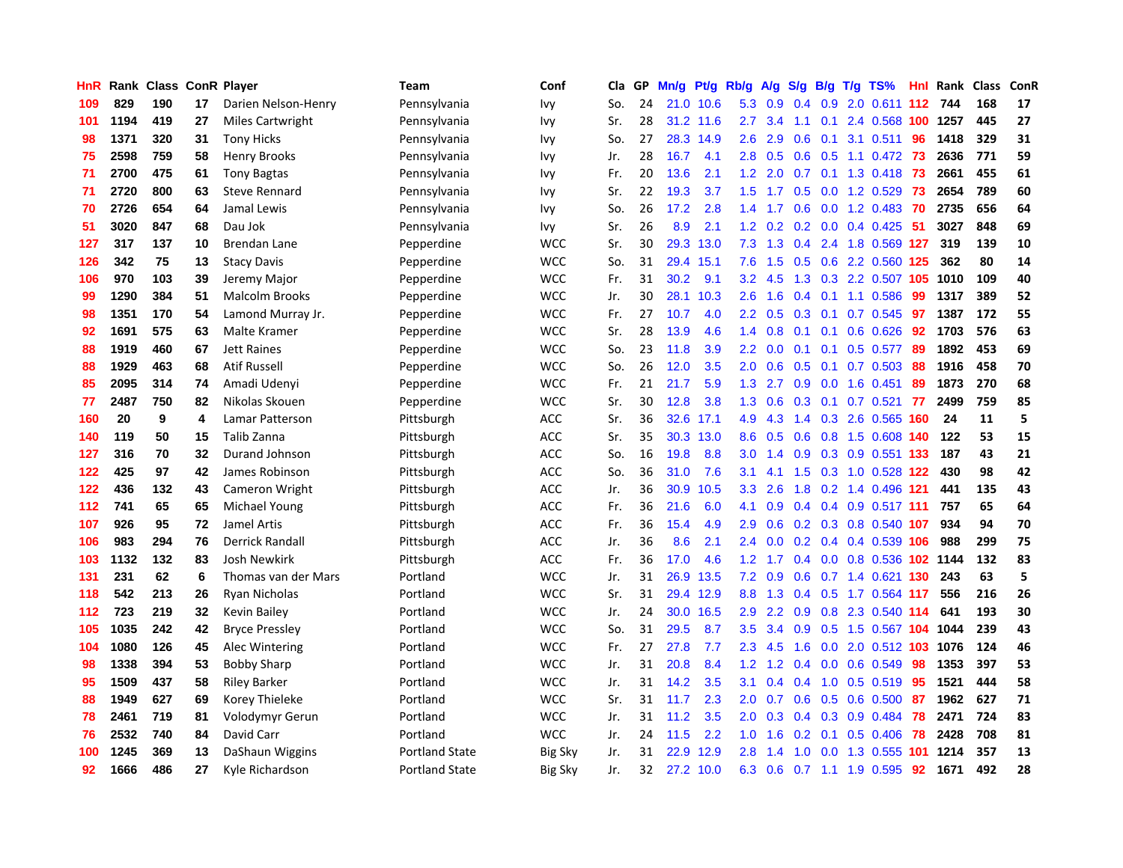| HnR | Rank | <b>Class</b> |    | <b>ConR Player</b>     | Team                  | Conf           | Cla | <b>GP</b> | Mn/g | Pt/g      | Rb/g             | A/g | S/g           | B/g              | $T/g$ TS%                  | Hnl  | Rank | <b>Class</b> | ConR |
|-----|------|--------------|----|------------------------|-----------------------|----------------|-----|-----------|------|-----------|------------------|-----|---------------|------------------|----------------------------|------|------|--------------|------|
| 109 | 829  | 190          | 17 | Darien Nelson-Henry    | Pennsylvania          | Ivy            | So. | 24        |      | 21.0 10.6 | 5.3              | 0.9 | 0.4           |                  | 0.9 2.0 0.611 112          |      | 744  | 168          | 17   |
| 101 | 1194 | 419          | 27 | Miles Cartwright       | Pennsylvania          | Ivy            | Sr. | 28        | 31.2 | 11.6      | $2.7^{\circ}$    | 3.4 |               |                  | 1.1 0.1 2.4 0.568 100 1257 |      |      | 445          | 27   |
| 98  | 1371 | 320          | 31 | <b>Tony Hicks</b>      | Pennsylvania          | Ivy            | So. | 27        | 28.3 | 14.9      | $2.6\,$          | 2.9 | 0.6           |                  | $0.1$ 3.1 $0.511$          | 96   | 1418 | 329          | 31   |
| 75  | 2598 | 759          | 58 | Henry Brooks           | Pennsylvania          | Ivy            | Jr. | 28        | 16.7 | 4.1       | 2.8              | 0.5 | 0.6           |                  | 0.5 1.1 0.472 73           |      | 2636 | 771          | 59   |
| 71  | 2700 | 475          | 61 | <b>Tony Bagtas</b>     | Pennsylvania          | Ivy            | Fr. | 20        | 13.6 | 2.1       | 1.2              | 2.0 | 0.7           |                  | $0.1$ 1.3 0.418            | 73   | 2661 | 455          | 61   |
| 71  | 2720 | 800          | 63 | <b>Steve Rennard</b>   | Pennsylvania          | Ivy            | Sr. | 22        | 19.3 | 3.7       | 1.5              | 1.7 | 0.5           |                  | 0.0 1.2 0.529              | 73   | 2654 | 789          | 60   |
| 70  | 2726 | 654          | 64 | Jamal Lewis            | Pennsylvania          | Ivy            | So. | 26        | 17.2 | 2.8       | 1.4              | 1.7 | 0.6           |                  | $0.0$ 1.2 0.483            | 70   | 2735 | 656          | 64   |
| 51  | 3020 | 847          | 68 | Dau Jok                | Pennsylvania          | Ivy            | Sr. | 26        | 8.9  | 2.1       | 1.2              | 0.2 | 0.2           |                  | $0.0$ 0.4 0.425            | -51  | 3027 | 848          | 69   |
| 127 | 317  | 137          | 10 | <b>Brendan Lane</b>    | Pepperdine            | <b>WCC</b>     | Sr. | 30        | 29.3 | 13.0      | 7.3              | 1.3 | 0.4           |                  | 2.4 1.8 0.569 127          |      | 319  | 139          | 10   |
| 126 | 342  | 75           | 13 | <b>Stacy Davis</b>     | Pepperdine            | <b>WCC</b>     | So. | 31        | 29.4 | 15.1      | 7.6              | 1.5 |               |                  | 0.5 0.6 2.2 0.560 125      |      | 362  | 80           | 14   |
| 106 | 970  | 103          | 39 | Jeremy Major           | Pepperdine            | <b>WCC</b>     | Fr. | 31        | 30.2 | 9.1       | 3.2              | 4.5 |               |                  | 1.3 0.3 2.2 0.507 105 1010 |      |      | 109          | 40   |
| 99  | 1290 | 384          | 51 | <b>Malcolm Brooks</b>  | Pepperdine            | <b>WCC</b>     | Jr. | 30        | 28.1 | 10.3      | $2.6\,$          | 1.6 | $0.4^{\circ}$ |                  | $0.1$ 1.1 0.586            | -99  | 1317 | 389          | 52   |
| 98  | 1351 | 170          | 54 | Lamond Murray Jr.      | Pepperdine            | <b>WCC</b>     | Fr. | 27        | 10.7 | 4.0       | $2.2\phantom{0}$ | 0.5 | 0.3           |                  | $0.1$ 0.7 0.545            | 97   | 1387 | 172          | 55   |
| 92  | 1691 | 575          | 63 | Malte Kramer           | Pepperdine            | <b>WCC</b>     | Sr. | 28        | 13.9 | 4.6       | 1.4              | 0.8 | 0.1           |                  | $0.1$ 0.6 0.626            | 92   | 1703 | 576          | 63   |
| 88  | 1919 | 460          | 67 | <b>Jett Raines</b>     | Pepperdine            | <b>WCC</b>     | So. | 23        | 11.8 | 3.9       | 2.2              | 0.0 | 0.1           | 0.1              | $0.5$ 0.577                | -89  | 1892 | 453          | 69   |
| 88  | 1929 | 463          | 68 | <b>Atif Russell</b>    | Pepperdine            | <b>WCC</b>     | So. | 26        | 12.0 | 3.5       | 2.0              | 0.6 | 0.5           | 0.1              | $0.7 \quad 0.503$          | 88   | 1916 | 458          | 70   |
| 85  | 2095 | 314          | 74 | Amadi Udenyi           | Pepperdine            | <b>WCC</b>     | Fr. | 21        | 21.7 | 5.9       | 1.3              | 2.7 | 0.9           |                  | $0.0$ 1.6 $0.451$          | 89   | 1873 | 270          | 68   |
| 77  | 2487 | 750          | 82 | Nikolas Skouen         | Pepperdine            | <b>WCC</b>     | Sr. | 30        | 12.8 | 3.8       | 1.3              | 0.6 |               |                  | $0.3$ 0.1 0.7 0.521        | 77   | 2499 | 759          | 85   |
| 160 | 20   | 9            | 4  | Lamar Patterson        | Pittsburgh            | <b>ACC</b>     | Sr. | 36        | 32.6 | 17.1      | 4.9              | 4.3 |               |                  | 1.4 0.3 2.6 0.565 160      |      | 24   | 11           | 5    |
| 140 | 119  | 50           | 15 | Talib Zanna            | Pittsburgh            | <b>ACC</b>     | Sr. | 35        | 30.3 | 13.0      | 8.6              | 0.5 | 0.6           |                  | 0.8 1.5 0.608 140          |      | 122  | 53           | 15   |
| 127 | 316  | 70           | 32 | Durand Johnson         | Pittsburgh            | <b>ACC</b>     | So. | 16        | 19.8 | 8.8       | 3.0              | 1.4 | 0.9           |                  | 0.3 0.9 0.551 133          |      | 187  | 43           | 21   |
| 122 | 425  | 97           | 42 | James Robinson         | Pittsburgh            | <b>ACC</b>     | So. | 36        | 31.0 | 7.6       | 3.1              | 4.1 | 1.5           |                  | 0.3 1.0 0.528 122          |      | 430  | 98           | 42   |
| 122 | 436  | 132          | 43 | Cameron Wright         | Pittsburgh            | <b>ACC</b>     | Jr. | 36        | 30.9 | 10.5      | 3.3 <sub>2</sub> | 2.6 | 1.8           |                  | 0.2 1.4 0.496 121          |      | 441  | 135          | 43   |
| 112 | 741  | 65           | 65 | Michael Young          | Pittsburgh            | <b>ACC</b>     | Fr. | 36        | 21.6 | 6.0       | 4.1              | 0.9 | 0.4           |                  | $0.4$ 0.9 0.517 111        |      | 757  | 65           | 64   |
| 107 | 926  | 95           | 72 | <b>Jamel Artis</b>     | Pittsburgh            | <b>ACC</b>     | Fr. | 36        | 15.4 | 4.9       | 2.9              | 0.6 |               |                  | 0.2 0.3 0.8 0.540 107      |      | 934  | 94           | 70   |
| 106 | 983  | 294          | 76 | <b>Derrick Randall</b> | Pittsburgh            | <b>ACC</b>     | Jr. | 36        | 8.6  | 2.1       | 2.4              | 0.0 |               |                  | 0.2 0.4 0.4 0.539 106      |      | 988  | 299          | 75   |
| 103 | 1132 | 132          | 83 | <b>Josh Newkirk</b>    | Pittsburgh            | <b>ACC</b>     | Fr. | 36        | 17.0 | 4.6       | 1.2              | 1.7 |               |                  | 0.4 0.0 0.8 0.536 102 1144 |      |      | 132          | 83   |
| 131 | 231  | 62           | 6  | Thomas van der Mars    | Portland              | <b>WCC</b>     | Jr. | 31        | 26.9 | 13.5      | 7.2              | 0.9 | 0.6           |                  | 0.7 1.4 0.621 130          |      | 243  | 63           | 5    |
| 118 | 542  | 213          | 26 | Ryan Nicholas          | Portland              | <b>WCC</b>     | Sr. | 31        | 29.4 | 12.9      | 8.8              | 1.3 | 0.4           |                  | 0.5 1.7 0.564 117          |      | 556  | 216          | 26   |
| 112 | 723  | 219          | 32 | Kevin Bailey           | Portland              | <b>WCC</b>     | Jr. | 24        | 30.0 | 16.5      | 2.9              | 2.2 | 0.9           |                  | 0.8 2.3 0.540 114          |      | 641  | 193          | 30   |
| 105 | 1035 | 242          | 42 | <b>Bryce Pressley</b>  | Portland              | <b>WCC</b>     | So. | 31        | 29.5 | 8.7       | 3.5              | 3.4 | 0.9           |                  | 0.5 1.5 0.567 104          |      | 1044 | 239          | 43   |
| 104 | 1080 | 126          | 45 | Alec Wintering         | Portland              | <b>WCC</b>     | Fr. | 27        | 27.8 | 7.7       | 2.3              | 4.5 | 1.6           | 0.0              | $2.0$ 0.512 103            |      | 1076 | 124          | 46   |
| 98  | 1338 | 394          | 53 | <b>Bobby Sharp</b>     | Portland              | <b>WCC</b>     | Jr. | 31        | 20.8 | 8.4       | 1.2              | 1.2 | $0.4^{\circ}$ | 0.0              | 0.6 0.549                  | 98   | 1353 | 397          | 53   |
| 95  | 1509 | 437          | 58 | <b>Riley Barker</b>    | Portland              | <b>WCC</b>     | Jr. | 31        | 14.2 | 3.5       | 3.1              | 0.4 | $0.4^{\circ}$ |                  | 1.0 0.5 0.519              | -95  | 1521 | 444          | 58   |
| 88  | 1949 | 627          | 69 | Korey Thieleke         | Portland              | <b>WCC</b>     | Sr. | 31        | 11.7 | 2.3       | 2.0              | 0.7 | 0.6           |                  | 0.5 0.6 0.500 87           |      | 1962 | 627          | 71   |
| 78  | 2461 | 719          | 81 | Volodymyr Gerun        | Portland              | <b>WCC</b>     | Jr. | 31        | 11.2 | 3.5       | 2.0              | 0.3 | $0.4^{\circ}$ |                  | $0.3$ 0.9 0.484            | 78   | 2471 | 724          | 83   |
| 76  | 2532 | 740          | 84 | David Carr             | Portland              | <b>WCC</b>     | Jr. | 24        | 11.5 | 2.2       | 1.0              | 1.6 | 0.2           | 0.1              | $0.5 \ 0.406$              | 78   | 2428 | 708          | 81   |
| 100 | 1245 | 369          | 13 | DaShaun Wiggins        | <b>Portland State</b> | <b>Big Sky</b> | Jr. | 31        | 22.9 | 12.9      | 2.8              | 1.4 | 1.0           | 0.0 <sub>1</sub> | 1.3 0.555                  | -101 | 1214 | 357          | 13   |
| 92  | 1666 | 486          | 27 | Kyle Richardson        | <b>Portland State</b> | <b>Big Sky</b> | Jr. | 32        | 27.2 | 10.0      | 6.3              | 0.6 |               |                  | 0.7 1.1 1.9 0.595          | 92   | 1671 | 492          | 28   |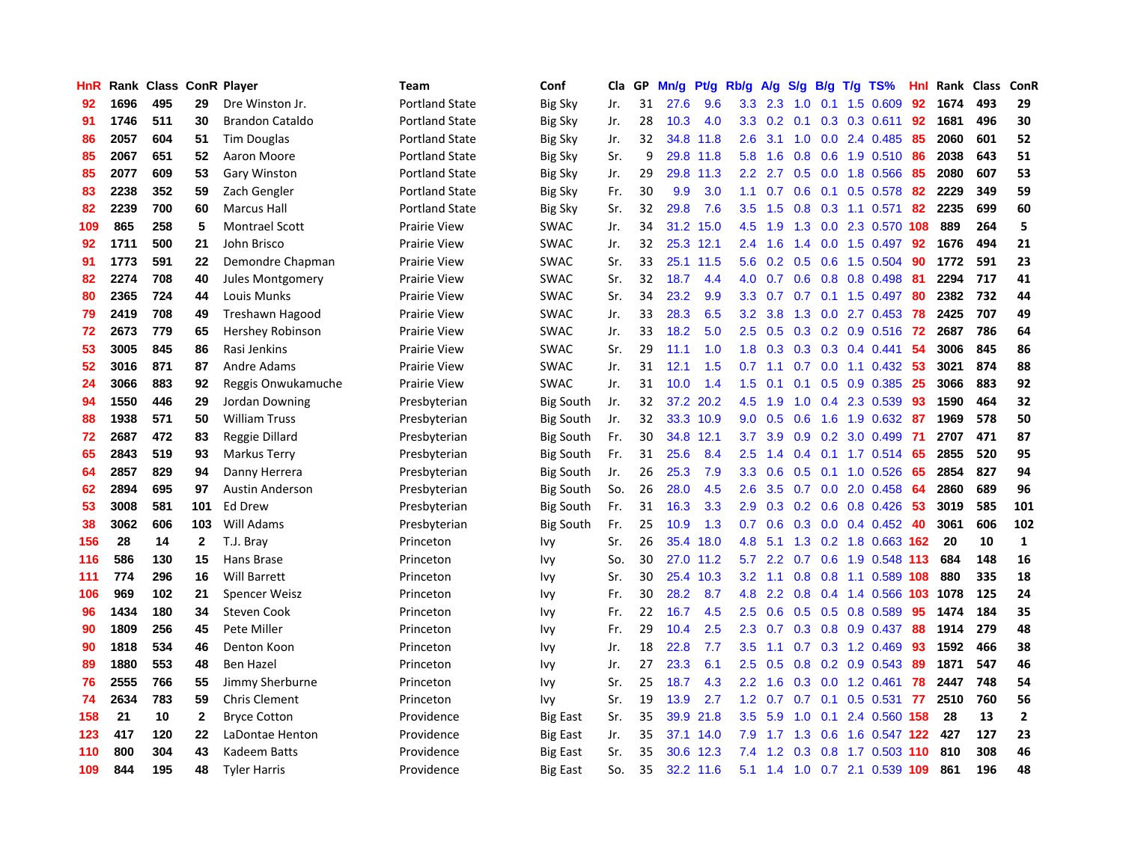| HnR |      | Rank Class |              | <b>ConR Player</b>     | Team                  | Conf             | Cla | GP | Mn/g | Pt/g      | Rb/g             | A/g            | S/g           | B/g | $T/g$ TS%                 | Hnl | Rank | <b>Class</b> | ConR           |
|-----|------|------------|--------------|------------------------|-----------------------|------------------|-----|----|------|-----------|------------------|----------------|---------------|-----|---------------------------|-----|------|--------------|----------------|
| 92  | 1696 | 495        | 29           | Dre Winston Jr.        | <b>Portland State</b> | Big Sky          | Jr. | 31 | 27.6 | 9.6       |                  | $3.3\quad 2.3$ | 1.0           |     | $0.1$ 1.5 0.609           | 92  | 1674 | 493          | 29             |
| 91  | 1746 | 511        | 30           | <b>Brandon Cataldo</b> | <b>Portland State</b> | Big Sky          | Jr. | 28 | 10.3 | 4.0       | 3.3 <sub>2</sub> | 0.2            |               |     | $0.1$ $0.3$ $0.3$ $0.611$ | 92  | 1681 | 496          | 30             |
| 86  | 2057 | 604        | 51           | Tim Douglas            | Portland State        | Big Sky          | Jr. | 32 | 34.8 | 11.8      | 2.6              | 3.1            | 1.0           |     | $0.0$ 2.4 0.485           | -85 | 2060 | 601          | 52             |
| 85  | 2067 | 651        | 52           | Aaron Moore            | Portland State        | Big Sky          | Sr. | 9  | 29.8 | 11.8      | 5.8              | 1.6            | 0.8           |     | $0.6$ 1.9 0.510           | -86 | 2038 | 643          | 51             |
| 85  | 2077 | 609        | 53           | <b>Gary Winston</b>    | <b>Portland State</b> | <b>Big Sky</b>   | Jr. | 29 | 29.8 | 11.3      | $2.2^{\circ}$    | 2.7            | 0.5           |     | 0.0 1.8 0.566             | 85  | 2080 | 607          | 53             |
| 83  | 2238 | 352        | 59           | Zach Gengler           | <b>Portland State</b> | <b>Big Sky</b>   | Fr. | 30 | 9.9  | 3.0       | 1.1              | 0.7            | 0.6           |     | $0.1$ 0.5 0.578           | 82  | 2229 | 349          | 59             |
| 82  | 2239 | 700        | 60           | Marcus Hall            | <b>Portland State</b> | <b>Big Sky</b>   | Sr. | 32 | 29.8 | 7.6       | 3.5              | 1.5            | 0.8           |     | 0.3 1.1 0.571             | 82  | 2235 | 699          | 60             |
| 109 | 865  | 258        | 5            | <b>Montrael Scott</b>  | <b>Prairie View</b>   | <b>SWAC</b>      | Jr. | 34 | 31.2 | 15.0      | 4.5              | 1.9            | 1.3           |     | 0.0 2.3 0.570 108         |     | 889  | 264          | 5              |
| 92  | 1711 | 500        | 21           | John Brisco            | <b>Prairie View</b>   | <b>SWAC</b>      | Jr. | 32 |      | 25.3 12.1 | $2.4^{\circ}$    | 1.6            | 1.4           |     | $0.0$ 1.5 $0.497$         | 92  | 1676 | 494          | 21             |
| 91  | 1773 | 591        | 22           | Demondre Chapman       | <b>Prairie View</b>   | <b>SWAC</b>      | Sr. | 33 | 25.1 | 11.5      | 5.6              |                |               |     | 0.2 0.5 0.6 1.5 0.504     | -90 | 1772 | 591          | 23             |
| 82  | 2274 | 708        | 40           | Jules Montgomery       | <b>Prairie View</b>   | <b>SWAC</b>      | Sr. | 32 | 18.7 | 4.4       | 4.0              | 0.7            |               |     | $0.6$ $0.8$ $0.8$ $0.498$ | -81 | 2294 | 717          | 41             |
| 80  | 2365 | 724        | 44           | Louis Munks            | <b>Prairie View</b>   | <b>SWAC</b>      | Sr. | 34 | 23.2 | 9.9       | 3.3 <sub>2</sub> | 0.7            |               |     | 0.7 0.1 1.5 0.497 80      |     | 2382 | 732          | 44             |
| 79  | 2419 | 708        | 49           | Treshawn Hagood        | <b>Prairie View</b>   | <b>SWAC</b>      | Jr. | 33 | 28.3 | 6.5       | 3.2              | 3.8            | 1.3           |     | $0.0$ 2.7 $0.453$         | 78  | 2425 | 707          | 49             |
| 72  | 2673 | 779        | 65           | Hershey Robinson       | <b>Prairie View</b>   | <b>SWAC</b>      | Jr. | 33 | 18.2 | 5.0       | 2.5              | 0.5            | 0.3           |     | $0.2$ 0.9 0.516           | -72 | 2687 | 786          | 64             |
| 53  | 3005 | 845        | 86           | Rasi Jenkins           | <b>Prairie View</b>   | <b>SWAC</b>      | Sr. | 29 | 11.1 | 1.0       | 1.8              | 0.3            | 0.3           |     | 0.3 0.4 0.441             | -54 | 3006 | 845          | 86             |
| 52  | 3016 | 871        | 87           | <b>Andre Adams</b>     | <b>Prairie View</b>   | <b>SWAC</b>      | Jr. | 31 | 12.1 | 1.5       | 0.7              | 1.1            | 0.7           |     | $0.0$ 1.1 0.432           | -53 | 3021 | 874          | 88             |
| 24  | 3066 | 883        | 92           | Reggis Onwukamuche     | <b>Prairie View</b>   | <b>SWAC</b>      | Jr. | 31 | 10.0 | 1.4       | 1.5              | 0.1            | 0.1           |     | $0.5$ 0.9 0.385           | 25  | 3066 | 883          | 92             |
| 94  | 1550 | 446        | 29           | Jordan Downing         | Presbyterian          | <b>Big South</b> | Jr. | 32 |      | 37.2 20.2 | 4.5              | 1.9            | 1.0           |     | 0.4 2.3 0.539             | -93 | 1590 | 464          | 32             |
| 88  | 1938 | 571        | 50           | <b>William Truss</b>   | Presbyterian          | <b>Big South</b> | Jr. | 32 |      | 33.3 10.9 | 9.0              | 0.5            | 0.6           |     | 1.6 1.9 0.632 87          |     | 1969 | 578          | 50             |
| 72  | 2687 | 472        | 83           | Reggie Dillard         | Presbyterian          | <b>Big South</b> | Fr. | 30 | 34.8 | 12.1      | 3.7              | 3.9            | 0.9           |     | 0.2 3.0 0.499             | -71 | 2707 | 471          | 87             |
| 65  | 2843 | 519        | 93           | Markus Terry           | Presbyterian          | <b>Big South</b> | Fr. | 31 | 25.6 | 8.4       | 2.5              | 1.4            | $0.4^{\circ}$ |     | $0.1$ 1.7 0.514           | -65 | 2855 | 520          | 95             |
| 64  | 2857 | 829        | 94           | Danny Herrera          | Presbyterian          | <b>Big South</b> | Jr. | 26 | 25.3 | 7.9       | 3.3              | 0.6            | 0.5           |     | $0.1$ 1.0 0.526           | 65  | 2854 | 827          | 94             |
| 62  | 2894 | 695        | 97           | <b>Austin Anderson</b> | Presbyterian          | <b>Big South</b> | So. | 26 | 28.0 | 4.5       | 2.6              | 3.5            | 0.7           |     | $0.0$ 2.0 $0.458$         | -64 | 2860 | 689          | 96             |
| 53  | 3008 | 581        | 101          | Ed Drew                | Presbyterian          | Big South        | Fr. | 31 | 16.3 | 3.3       | 2.9              | 0.3            | 0.2           |     | $0.6$ 0.8 0.426           | -53 | 3019 | 585          | 101            |
| 38  | 3062 | 606        | 103          | Will Adams             | Presbyterian          | <b>Big South</b> | Fr. | 25 | 10.9 | 1.3       | 0.7              | 0.6            | 0.3           |     | $0.0$ 0.4 0.452           | 40  | 3061 | 606          | 102            |
| 156 | 28   | 14         | $\mathbf{2}$ | T.J. Bray              | Princeton             | Ivy              | Sr. | 26 | 35.4 | 18.0      | 4.8              | 5.1            |               |     | 1.3 0.2 1.8 0.663 162     |     | 20   | 10           | $\mathbf{1}$   |
| 116 | 586  | 130        | 15           | Hans Brase             | Princeton             | Ivy              | So. | 30 | 27.0 | 11.2      | 5.7              | $2.2^{\circ}$  |               |     | 0.7 0.6 1.9 0.548 113     |     | 684  | 148          | 16             |
| 111 | 774  | 296        | 16           | <b>Will Barrett</b>    | Princeton             | Ivy              | Sr. | 30 | 25.4 | 10.3      | 3.2              | 1.1            | 0.8           |     | 0.8 1.1 0.589 108         |     | 880  | 335          | 18             |
| 106 | 969  | 102        | 21           | Spencer Weisz          | Princeton             | Ivy              | Fr. | 30 | 28.2 | 8.7       | 4.8              | 2.2            | 0.8           |     | 0.4 1.4 0.566 103         |     | 1078 | 125          | 24             |
| 96  | 1434 | 180        | 34           | Steven Cook            | Princeton             | Ivy              | Fr. | 22 | 16.7 | 4.5       | 2.5              | 0.6            | 0.5           |     | $0.5$ 0.8 0.589           | 95  | 1474 | 184          | 35             |
| 90  | 1809 | 256        | 45           | Pete Miller            | Princeton             | Ivy              | Fr. | 29 | 10.4 | 2.5       | 2.3              | 0.7            | 0.3           |     | 0.8 0.9 0.437             | 88  | 1914 | 279          | 48             |
| 90  | 1818 | 534        | 46           | Denton Koon            | Princeton             | Ivy              | Jr. | 18 | 22.8 | 7.7       | 3.5              | 1.1            | 0.7           |     | $0.3$ 1.2 0.469           | 93  | 1592 | 466          | 38             |
| 89  | 1880 | 553        | 48           | <b>Ben Hazel</b>       | Princeton             | <b>Ivy</b>       | Jr. | 27 | 23.3 | 6.1       | 2.5              | 0.5            | 0.8           |     | 0.2 0.9 0.543             | 89  | 1871 | 547          | 46             |
| 76  | 2555 | 766        | 55           | Jimmy Sherburne        | Princeton             | Ivy              | Sr. | 25 | 18.7 | 4.3       | $2.2^{\circ}$    | 1.6            |               |     | $0.3$ 0.0 1.2 0.461       | 78  | 2447 | 748          | 54             |
| 74  | 2634 | 783        | 59           | <b>Chris Clement</b>   | Princeton             | Ivy              | Sr. | 19 | 13.9 | 2.7       | 1.2              | 0.7            |               |     | 0.7 0.1 0.5 0.531 77      |     | 2510 | 760          | 56             |
| 158 | 21   | 10         | 2            | <b>Bryce Cotton</b>    | Providence            | Big East         | Sr. | 35 | 39.9 | 21.8      | 3.5              | 5.9            | 1.0           |     | 0.1 2.4 0.560 158         |     | 28   | 13           | $\overline{2}$ |
| 123 | 417  | 120        | 22           | LaDontae Henton        | Providence            | <b>Big East</b>  | Jr. | 35 | 37.1 | 14.0      | 7.9              | 1.7            | 1.3           |     | 0.6 1.6 0.547 122         |     | 427  | 127          | 23             |
| 110 | 800  | 304        | 43           | Kadeem Batts           | Providence            | <b>Big East</b>  | Sr. | 35 | 30.6 | 12.3      | 7.4              | 1.2            | 0.3           |     | 0.8 1.7 0.503 110         |     | 810  | 308          | 46             |
| 109 | 844  | 195        | 48           | <b>Tyler Harris</b>    | Providence            | <b>Big East</b>  | So. | 35 |      | 32.2 11.6 | 5.1              |                |               |     | 1.4 1.0 0.7 2.1 0.539 109 |     | 861  | 196          | 48             |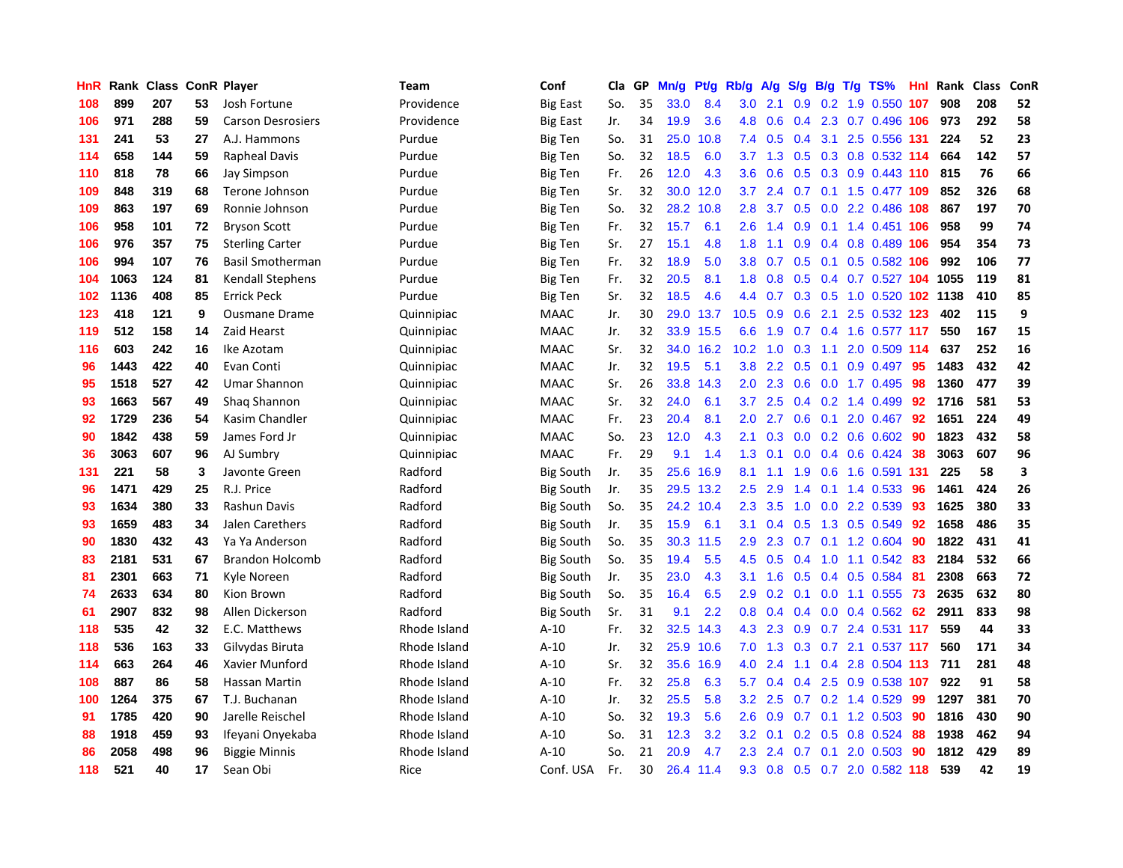| HnR | Rank | <b>Class</b> |    | <b>ConR Player</b>       | Team         | Conf             | Cla | GP | Mn/g | <b>Pt/g</b> | Rb/g             | A/g | S/g              | B/g | $T/g$ TS%                  | Hnl | Rank | <b>Class</b> | ConR |
|-----|------|--------------|----|--------------------------|--------------|------------------|-----|----|------|-------------|------------------|-----|------------------|-----|----------------------------|-----|------|--------------|------|
| 108 | 899  | 207          | 53 | Josh Fortune             | Providence   | <b>Big East</b>  | So. | 35 | 33.0 | 8.4         | 3.0              | 2.1 | 0.9              |     | $0.2$ 1.9 $0.550$          | 107 | 908  | 208          | 52   |
| 106 | 971  | 288          | 59 | <b>Carson Desrosiers</b> | Providence   | <b>Big East</b>  | Jr. | 34 | 19.9 | 3.6         | 4.8              | 0.6 | 0.4              |     | 2.3 0.7 0.496 106          |     | 973  | 292          | 58   |
| 131 | 241  | 53           | 27 | A.J. Hammons             | Purdue       | <b>Big Ten</b>   | So. | 31 | 25.0 | 10.8        | 7.4              | 0.5 | $0.4^{\circ}$    |     | 3.1 2.5 0.556 131          |     | 224  | 52           | 23   |
| 114 | 658  | 144          | 59 | Rapheal Davis            | Purdue       | Big Ten          | So. | 32 | 18.5 | 6.0         | 3.7 <sub>2</sub> | 1.3 | 0.5              |     | 0.3 0.8 0.532 114          |     | 664  | 142          | 57   |
| 110 | 818  | 78           | 66 | Jay Simpson              | Purdue       | <b>Big Ten</b>   | Fr. | 26 | 12.0 | 4.3         | 3.6              | 0.6 | 0.5              |     | 0.3 0.9 0.443 110          |     | 815  | 76           | 66   |
| 109 | 848  | 319          | 68 | Terone Johnson           | Purdue       | Big Ten          | Sr. | 32 | 30.0 | 12.0        | 3.7              | 2.4 | 0.7              |     | 0.1 1.5 0.477 109          |     | 852  | 326          | 68   |
| 109 | 863  | 197          | 69 | Ronnie Johnson           | Purdue       | <b>Big Ten</b>   | So. | 32 | 28.2 | 10.8        | 2.8              | 3.7 | 0.5              |     | 0.0 2.2 0.486 108          |     | 867  | 197          | 70   |
| 106 | 958  | 101          | 72 | <b>Bryson Scott</b>      | Purdue       | Big Ten          | Fr. | 32 | 15.7 | 6.1         | $2.6\,$          | 1.4 | 0.9              |     | 0.1 1.4 0.451 106          |     | 958  | 99           | 74   |
| 106 | 976  | 357          | 75 | <b>Sterling Carter</b>   | Purdue       | <b>Big Ten</b>   | Sr. | 27 | 15.1 | 4.8         | 1.8              | 1.1 | 0.9              |     | 0.4 0.8 0.489 106          |     | 954  | 354          | 73   |
| 106 | 994  | 107          | 76 | <b>Basil Smotherman</b>  | Purdue       | <b>Big Ten</b>   | Fr. | 32 | 18.9 | 5.0         | 3.8              | 0.7 | 0.5              |     | $0.1$ 0.5 0.582 106        |     | 992  | 106          | 77   |
| 104 | 1063 | 124          | 81 | <b>Kendall Stephens</b>  | Purdue       | <b>Big Ten</b>   | Fr. | 32 | 20.5 | 8.1         | 1.8              | 0.8 |                  |     | 0.5 0.4 0.7 0.527 104 1055 |     |      | 119          | 81   |
| 102 | 1136 | 408          | 85 | <b>Errick Peck</b>       | Purdue       | <b>Big Ten</b>   | Sr. | 32 | 18.5 | 4.6         | 4.4              | 0.7 |                  |     | 0.3 0.5 1.0 0.520 102 1138 |     |      | 410          | 85   |
| 123 | 418  | 121          | 9  | <b>Ousmane Drame</b>     | Quinnipiac   | <b>MAAC</b>      | Jr. | 30 | 29.0 | 13.7        | 10.5             | 0.9 | 0.6              | 2.1 | 2.5 0.532 123              |     | 402  | 115          | 9    |
| 119 | 512  | 158          | 14 | Zaid Hearst              | Quinnipiac   | <b>MAAC</b>      | Jr. | 32 | 33.9 | 15.5        | 6.6              | 1.9 | 0.7              |     | 0.4 1.6 0.577 117          |     | 550  | 167          | 15   |
| 116 | 603  | 242          | 16 | Ike Azotam               | Quinnipiac   | <b>MAAC</b>      | Sr. | 32 | 34.0 | 16.2        | 10.2             | 1.0 | 0.3              | 1.1 | 2.0 0.509 114              |     | 637  | 252          | 16   |
| 96  | 1443 | 422          | 40 | Evan Conti               | Quinnipiac   | <b>MAAC</b>      | Jr. | 32 | 19.5 | 5.1         | 3.8              | 2.2 | 0.5              | 0.1 | $0.9$ 0.497                | 95  | 1483 | 432          | 42   |
| 95  | 1518 | 527          | 42 | Umar Shannon             | Quinnipiac   | <b>MAAC</b>      | Sr. | 26 | 33.8 | 14.3        | 2.0              | 2.3 | 0.6              |     | $0.0$ 1.7 $0.495$          | 98  | 1360 | 477          | 39   |
| 93  | 1663 | 567          | 49 | Shaq Shannon             | Quinnipiac   | <b>MAAC</b>      | Sr. | 32 | 24.0 | 6.1         | 3.7              | 2.5 | $0.4^{\circ}$    |     | $0.2$ 1.4 0.499            | 92  | 1716 | 581          | 53   |
| 92  | 1729 | 236          | 54 | Kasim Chandler           | Quinnipiac   | <b>MAAC</b>      | Fr. | 23 | 20.4 | 8.1         | 2.0              | 2.7 | 0.6              |     | $0.1$ 2.0 0.467            | 92  | 1651 | 224          | 49   |
| 90  | 1842 | 438          | 59 | James Ford Jr            | Quinnipiac   | <b>MAAC</b>      | So. | 23 | 12.0 | 4.3         | 2.1              | 0.3 |                  |     | $0.0$ $0.2$ $0.6$ $0.602$  | -90 | 1823 | 432          | 58   |
| 36  | 3063 | 607          | 96 | AJ Sumbry                | Quinnipiac   | <b>MAAC</b>      | Fr. | 29 | 9.1  | 1.4         | 1.3              | 0.1 | 0.0 <sub>1</sub> |     | $0.4$ 0.6 0.424            | -38 | 3063 | 607          | 96   |
| 131 | 221  | 58           | 3  | Javonte Green            | Radford      | <b>Big South</b> | Jr. | 35 | 25.6 | 16.9        | 8.1              | 1.1 | 1.9              |     | 0.6 1.6 0.591 131          |     | 225  | 58           | 3    |
| 96  | 1471 | 429          | 25 | R.J. Price               | Radford      | Big South        | Jr. | 35 | 29.5 | 13.2        | 2.5              | 2.9 | 1.4              |     | $0.1$ 1.4 0.533            | 96  | 1461 | 424          | 26   |
| 93  | 1634 | 380          | 33 | Rashun Davis             | Radford      | <b>Big South</b> | So. | 35 | 24.2 | 10.4        | 2.3              | 3.5 | 1.0              |     | 0.0 2.2 0.539              | 93  | 1625 | 380          | 33   |
| 93  | 1659 | 483          | 34 | Jalen Carethers          | Radford      | <b>Big South</b> | Jr. | 35 | 15.9 | 6.1         | 3.1              | 0.4 | 0.5              |     | 1.3 0.5 0.549              | 92  | 1658 | 486          | 35   |
| 90  | 1830 | 432          | 43 | Ya Ya Anderson           | Radford      | <b>Big South</b> | So. | 35 | 30.3 | 11.5        | 2.9              | 2.3 | 0.7              |     | $0.1$ 1.2 0.604            | 90  | 1822 | 431          | 41   |
| 83  | 2181 | 531          | 67 | <b>Brandon Holcomb</b>   | Radford      | Big South        | So. | 35 | 19.4 | 5.5         | 4.5              | 0.5 |                  |     | 0.4 1.0 1.1 0.542 83       |     | 2184 | 532          | 66   |
| 81  | 2301 | 663          | 71 | Kyle Noreen              | Radford      | <b>Big South</b> | Jr. | 35 | 23.0 | 4.3         | 3.1              | 1.6 | 0.5              |     | $0.4$ 0.5 0.584            | -81 | 2308 | 663          | 72   |
| 74  | 2633 | 634          | 80 | Kion Brown               | Radford      | <b>Big South</b> | So. | 35 | 16.4 | 6.5         | 2.9              | 0.2 | 0.1              |     | $0.0$ 1.1 0.555 73         |     | 2635 | 632          | 80   |
| 61  | 2907 | 832          | 98 | Allen Dickerson          | Radford      | Big South        | Sr. | 31 | 9.1  | 2.2         | 0.8              | 0.4 | 0.4              |     | $0.0$ 0.4 0.562            | -62 | 2911 | 833          | 98   |
| 118 | 535  | 42           | 32 | E.C. Matthews            | Rhode Island | $A-10$           | Fr. | 32 | 32.5 | 14.3        | 4.3              | 2.3 | 0.9              |     | 0.7 2.4 0.531 117          |     | 559  | 44           | 33   |
| 118 | 536  | 163          | 33 | Gilvydas Biruta          | Rhode Island | $A-10$           | Jr. | 32 | 25.9 | 10.6        | 7.0              | 1.3 | 0.3              | 0.7 | 2.1 0.537 117              |     | 560  | 171          | 34   |
| 114 | 663  | 264          | 46 | Xavier Munford           | Rhode Island | $A-10$           | Sr. | 32 | 35.6 | 16.9        | 4.0              | 2.4 | 1.1              | 0.4 | 2.8 0.504 113              |     | 711  | 281          | 48   |
| 108 | 887  | 86           | 58 | Hassan Martin            | Rhode Island | $A-10$           | Fr. | 32 | 25.8 | 6.3         | 5.7              | 0.4 | $0.4^{\circ}$    | 2.5 | 0.9 0.538 107              |     | 922  | 91           | 58   |
| 100 | 1264 | 375          | 67 | T.J. Buchanan            | Rhode Island | $A-10$           | Jr. | 32 | 25.5 | 5.8         | 3.2              | 2.5 | 0.7              |     | $0.2$ 1.4 0.529            | -99 | 1297 | 381          | 70   |
| 91  | 1785 | 420          | 90 | Jarelle Reischel         | Rhode Island | $A-10$           | So. | 32 | 19.3 | 5.6         | 2.6              | 0.9 |                  |     | 0.7 0.1 1.2 0.503 90       |     | 1816 | 430          | 90   |
| 88  | 1918 | 459          | 93 | Ifeyani Onyekaba         | Rhode Island | $A-10$           | So. | 31 | 12.3 | 3.2         | 3.2 <sub>2</sub> | 0.1 | 0.2              |     | $0.5$ 0.8 0.524            | -88 | 1938 | 462          | 94   |
| 86  | 2058 | 498          | 96 | <b>Biggie Minnis</b>     | Rhode Island | $A-10$           | So. | 21 | 20.9 | 4.7         | 2.3              | 2.4 | 0.7              | 0.1 | 2.0 0.503                  | 90  | 1812 | 429          | 89   |
| 118 | 521  | 40           | 17 | Sean Obi                 | Rice         | Conf. USA        | Fr. | 30 | 26.4 | 11.4        | 9.3              | 0.8 |                  |     | 0.5 0.7 2.0 0.582 118      |     | 539  | 42           | 19   |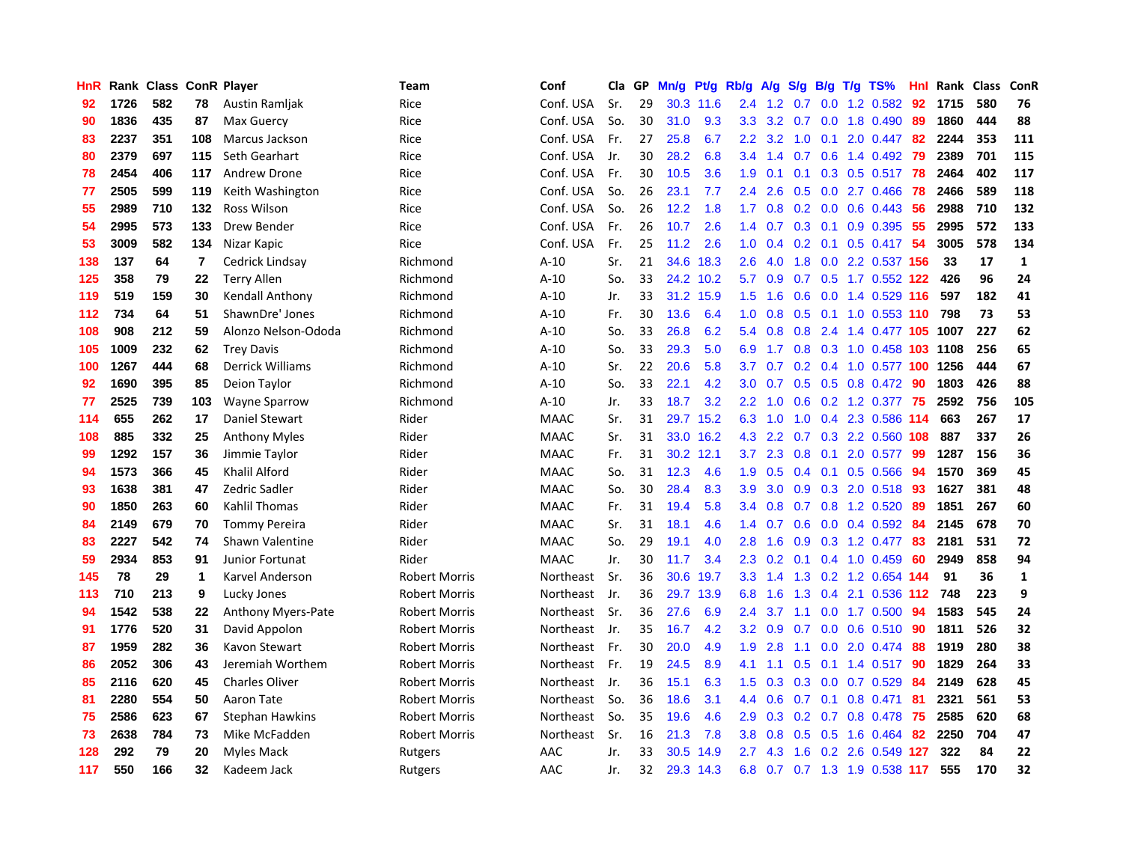| <b>HnR</b> |      | Rank Class ConR Player |     |                           | <b>Team</b>          | Conf        | Cla | GP | Mn/g | Pt/g      | Rb/g             | A/g           | S/g             | B/g | $T/g$ TS%                 | Hnl. | Rank | <b>Class</b> | ConR         |
|------------|------|------------------------|-----|---------------------------|----------------------|-------------|-----|----|------|-----------|------------------|---------------|-----------------|-----|---------------------------|------|------|--------------|--------------|
| 92         | 1726 | 582                    | 78  | Austin Ramljak            | Rice                 | Conf. USA   | Sr. | 29 | 30.3 | 11.6      | 2.4              | 1.2           | 0.7             | 0.0 | 1.2 0.582                 | 92   | 1715 | 580          | 76           |
| 90         | 1836 | 435                    | 87  | Max Guercy                | Rice                 | Conf. USA   | So. | 30 | 31.0 | 9.3       | 3.3 <sub>2</sub> |               | $3.2 \quad 0.7$ |     | $0.0$ 1.8 $0.490$         | -89  | 1860 | 444          | 88           |
| 83         | 2237 | 351                    | 108 | <b>Marcus Jackson</b>     | Rice                 | Conf. USA   | Fr. | 27 | 25.8 | 6.7       | $2.2^{\circ}$    | 3.2           | 1.0             |     | $0.1$ 2.0 $0.447$         | -82  | 2244 | 353          | 111          |
| 80         | 2379 | 697                    | 115 | Seth Gearhart             | Rice                 | Conf. USA   | Jr. | 30 | 28.2 | 6.8       | 3.4              | 1.4           | 0.7             |     | 0.6 1.4 0.492             | 79   | 2389 | 701          | 115          |
| 78         | 2454 | 406                    | 117 | <b>Andrew Drone</b>       | Rice                 | Conf. USA   | Fr. | 30 | 10.5 | 3.6       | 1.9              | 0.1           | 0.1             |     | 0.3 0.5 0.517             | 78   | 2464 | 402          | 117          |
| 77         | 2505 | 599                    | 119 | Keith Washington          | Rice                 | Conf. USA   | So. | 26 | 23.1 | 7.7       | 2.4              | 2.6           | 0.5             |     | $0.0$ 2.7 $0.466$         | 78   | 2466 | 589          | 118          |
| 55         | 2989 | 710                    | 132 | Ross Wilson               | Rice                 | Conf. USA   | So. | 26 | 12.2 | 1.8       | 1.7              | 0.8           | 0.2             |     | $0.0$ $0.6$ $0.443$       | 56   | 2988 | 710          | 132          |
| 54         | 2995 | 573                    | 133 | Drew Bender               | Rice                 | Conf. USA   | Fr. | 26 | 10.7 | 2.6       | $1.4^{\circ}$    | 0.7           | 0.3             |     | $0.1$ 0.9 0.395           | 55   | 2995 | 572          | 133          |
| 53         | 3009 | 582                    | 134 | Nizar Kapic               | Rice                 | Conf. USA   | Fr. | 25 | 11.2 | 2.6       | 1.0              | 0.4           | 0.2             | 0.1 | $0.5$ 0.417               | -54  | 3005 | 578          | 134          |
| 138        | 137  | 64                     | 7   | Cedrick Lindsay           | Richmond             | $A-10$      | Sr. | 21 | 34.6 | 18.3      | 2.6              | 4.0           | 1.8             |     | 0.0 2.2 0.537 156         |      | 33   | 17           | 1            |
| 125        | 358  | 79                     | 22  | <b>Terry Allen</b>        | Richmond             | $A-10$      | So. | 33 |      | 24.2 10.2 | 5.7              | 0.9           |                 |     | 0.7 0.5 1.7 0.552 122     |      | 426  | 96           | 24           |
| 119        | 519  | 159                    | 30  | Kendall Anthony           | Richmond             | $A-10$      | Jr. | 33 | 31.2 | 15.9      | 1.5              | 1.6           |                 |     | 0.6 0.0 1.4 0.529 116     |      | 597  | 182          | 41           |
| 112        | 734  | 64                     | 51  | ShawnDre' Jones           | Richmond             | $A-10$      | Fr. | 30 | 13.6 | 6.4       | 1.0              | 0.8           | 0.5             |     | $0.1$ 1.0 0.553 110       |      | 798  | 73           | 53           |
| 108        | 908  | 212                    | 59  | Alonzo Nelson-Ododa       | Richmond             | $A-10$      | So. | 33 | 26.8 | 6.2       | 5.4              | 0.8           | 0.8             |     | 2.4 1.4 0.477 105 1007    |      |      | 227          | 62           |
| 105        | 1009 | 232                    | 62  | <b>Trey Davis</b>         | Richmond             | $A-10$      | So. | 33 | 29.3 | 5.0       | 6.9              | 1.7           | 0.8             |     | 0.3 1.0 0.458 103 1108    |      |      | 256          | 65           |
| 100        | 1267 | 444                    | 68  | <b>Derrick Williams</b>   | Richmond             | $A-10$      | Sr. | 22 | 20.6 | 5.8       | 3.7              | 0.7           | 0.2             |     | 0.4 1.0 0.577 100         |      | 1256 | 444          | 67           |
| 92         | 1690 | 395                    | 85  | Deion Taylor              | Richmond             | $A-10$      | So. | 33 | 22.1 | 4.2       | 3.0 <sub>2</sub> | 0.7           | 0.5             |     | $0.5$ 0.8 0.472           | -90  | 1803 | 426          | 88           |
| 77         | 2525 | 739                    | 103 | <b>Wayne Sparrow</b>      | Richmond             | $A-10$      | Jr. | 33 | 18.7 | 3.2       | 2.2              | 1.0           | 0.6             |     | 0.2 1.2 0.377             | 75   | 2592 | 756          | 105          |
| 114        | 655  | 262                    | 17  | Daniel Stewart            | Rider                | <b>MAAC</b> | Sr. | 31 | 29.7 | 15.2      | 6.3              | 1.0           | 1.0             |     | 0.4 2.3 0.586 114         |      | 663  | 267          | 17           |
| 108        | 885  | 332                    | 25  | <b>Anthony Myles</b>      | Rider                | <b>MAAC</b> | Sr. | 31 |      | 33.0 16.2 | 4.3              | $2.2^{\circ}$ |                 |     | 0.7 0.3 2.2 0.560 108     |      | 887  | 337          | 26           |
| 99         | 1292 | 157                    | 36  | Jimmie Taylor             | Rider                | <b>MAAC</b> | Fr. | 31 | 30.2 | 12.1      | 3.7              | 2.3           | 0.8             |     | $0.1$ 2.0 0.577           | -99  | 1287 | 156          | 36           |
| 94         | 1573 | 366                    | 45  | Khalil Alford             | Rider                | <b>MAAC</b> | So. | 31 | 12.3 | 4.6       | 1.9              | 0.5           | 0.4             |     | $0.1$ 0.5 0.566           | 94   | 1570 | 369          | 45           |
| 93         | 1638 | 381                    | 47  | Zedric Sadler             | Rider                | <b>MAAC</b> | So. | 30 | 28.4 | 8.3       | 3.9              | 3.0           | 0.9             |     | 0.3 2.0 0.518 93          |      | 1627 | 381          | 48           |
| 90         | 1850 | 263                    | 60  | <b>Kahlil Thomas</b>      | Rider                | <b>MAAC</b> | Fr. | 31 | 19.4 | 5.8       | $3.4^{\circ}$    | 0.8           | 0.7             |     | $0.8$ 1.2 0.520           | -89  | 1851 | 267          | 60           |
| 84         | 2149 | 679                    | 70  | <b>Tommy Pereira</b>      | Rider                | <b>MAAC</b> | Sr. | 31 | 18.1 | 4.6       | $1.4^{\circ}$    | 0.7           | 0.6             |     | $0.0$ 0.4 0.592           | -84  | 2145 | 678          | 70           |
| 83         | 2227 | 542                    | 74  | Shawn Valentine           | Rider                | <b>MAAC</b> | So. | 29 | 19.1 | 4.0       | 2.8              | 1.6           | 0.9             |     | $0.3$ 1.2 0.477           | 83   | 2181 | 531          | 72           |
| 59         | 2934 | 853                    | 91  | Junior Fortunat           | Rider                | <b>MAAC</b> | Jr. | 30 | 11.7 | 3.4       | 2.3              | 0.2           | 0.1             |     | 0.4 1.0 0.459             | -60  | 2949 | 858          | 94           |
| 145        | 78   | 29                     | 1   | Karvel Anderson           | <b>Robert Morris</b> | Northeast   | Sr. | 36 | 30.6 | 19.7      | 3.3              |               |                 |     | 1.4 1.3 0.2 1.2 0.654 144 |      | 91   | 36           | $\mathbf{1}$ |
| 113        | 710  | 213                    | 9   | Lucky Jones               | <b>Robert Morris</b> | Northeast   | Jr. | 36 | 29.7 | 13.9      | 6.8              | 1.6           | 1.3             |     | 0.4 2.1 0.536 112         |      | 748  | 223          | 9            |
| 94         | 1542 | 538                    | 22  | <b>Anthony Myers-Pate</b> | <b>Robert Morris</b> | Northeast   | Sr. | 36 | 27.6 | 6.9       | $2.4\,$          | 3.7           | 1.1             |     | $0.0$ 1.7 $0.500$         | 94   | 1583 | 545          | 24           |
| 91         | 1776 | 520                    | 31  | David Appolon             | <b>Robert Morris</b> | Northeast   | Jr. | 35 | 16.7 | 4.2       | 3.2 <sub>2</sub> | 0.9           | 0.7             |     | $0.0$ 0.6 0.510           | -90  | 1811 | 526          | 32           |
| 87         | 1959 | 282                    | 36  | Kavon Stewart             | <b>Robert Morris</b> | Northeast   | Fr. | 30 | 20.0 | 4.9       | 1.9              | 2.8           | 1.1             |     | $0.0$ 2.0 $0.474$         | 88   | 1919 | 280          | 38           |
| 86         | 2052 | 306                    | 43  | Jeremiah Worthem          | <b>Robert Morris</b> | Northeast   | Fr. | 19 | 24.5 | 8.9       | 4.1              | 1.1           | 0.5             |     | $0.1$ 1.4 $0.517$         | -90  | 1829 | 264          | 33           |
| 85         | 2116 | 620                    | 45  | <b>Charles Oliver</b>     | <b>Robert Morris</b> | Northeast   | Jr. | 36 | 15.1 | 6.3       | 1.5              | 0.3           | 0.3             |     | $0.0$ 0.7 0.529           | 84   | 2149 | 628          | 45           |
| 81         | 2280 | 554                    | 50  | Aaron Tate                | <b>Robert Morris</b> | Northeast   | So. | 36 | 18.6 | 3.1       | $4.4^{\circ}$    | 0.6           | 0.7             | 0.1 | $0.8$ 0.471               | -81  | 2321 | 561          | 53           |
| 75         | 2586 | 623                    | 67  | <b>Stephan Hawkins</b>    | <b>Robert Morris</b> | Northeast   | So. | 35 | 19.6 | 4.6       | 2.9 <sup>°</sup> | 0.3           |                 |     | 0.2 0.7 0.8 0.478 75      |      | 2585 | 620          | 68           |
| 73         | 2638 | 784                    | 73  | Mike McFadden             | <b>Robert Morris</b> | Northeast   | Sr. | 16 | 21.3 | 7.8       | 3.8              | 0.8           |                 |     | $0.5$ $0.5$ 1.6 $0.464$   | -82  | 2250 | 704          | 47           |
| 128        | 292  | 79                     | 20  | Myles Mack                | Rutgers              | AAC         | Jr. | 33 | 30.5 | 14.9      | 2.7              | 4.3           | 1.6             |     | 0.2 2.6 0.549 127         |      | 322  | 84           | 22           |
| 117        | 550  | 166                    | 32  | Kadeem Jack               | Rutgers              | AAC         | Jr. | 32 |      | 29.3 14.3 | 6.8              | 0.7           |                 |     | 0.7 1.3 1.9 0.538 117     |      | 555  | 170          | 32           |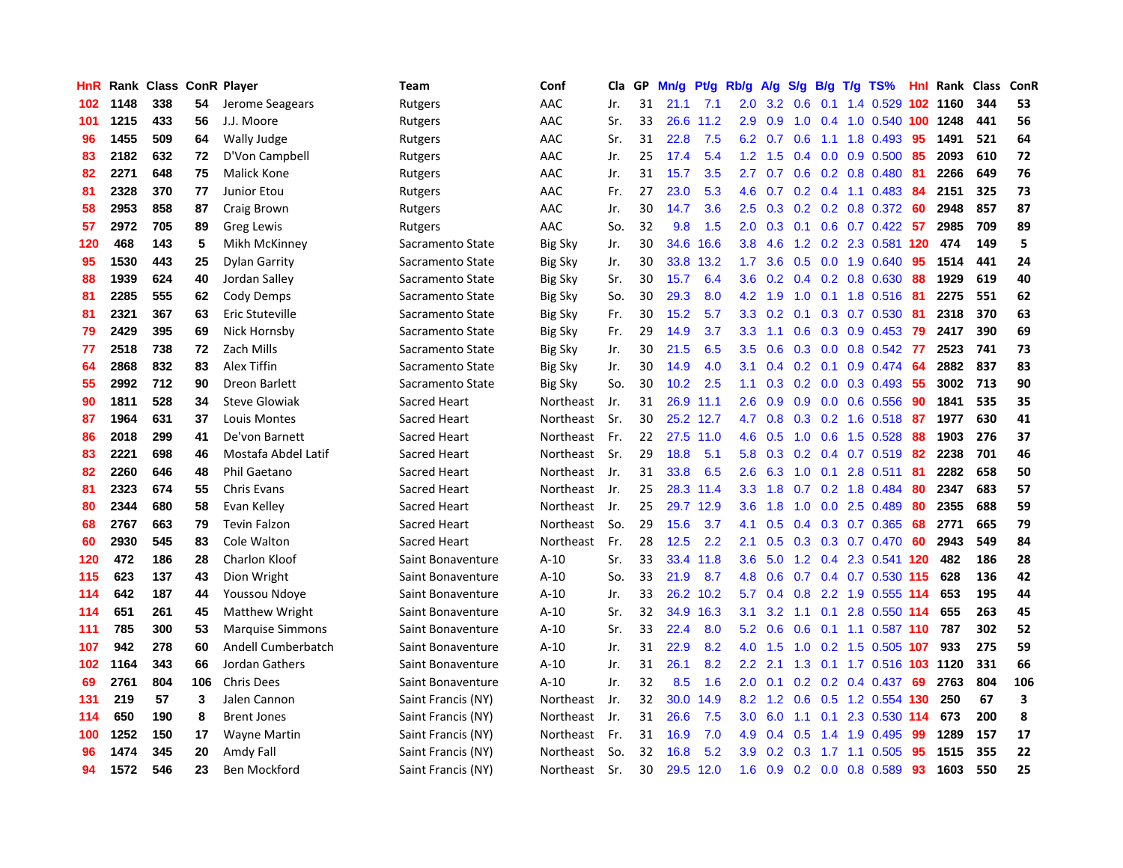| HnR | Rank | <b>Class ConR Player</b> |     |                         | Team                | Conf           | Cla | GP | Mn/g | Pt/g      | Rb/g             | A/g | S/g           | B/g | $T/g$ TS%                  | Hnl | Rank | <b>Class</b> | ConR |
|-----|------|--------------------------|-----|-------------------------|---------------------|----------------|-----|----|------|-----------|------------------|-----|---------------|-----|----------------------------|-----|------|--------------|------|
| 102 | 1148 | 338                      | 54  | Jerome Seagears         | Rutgers             | AAC            | Jr. | 31 | 21.1 | 7.1       | 2.0 <sub>1</sub> | 3.2 | 0.6           | 0.1 | 1.4 0.529 102 1160         |     |      | 344          | 53   |
| 101 | 1215 | 433                      | 56  | J.J. Moore              | Rutgers             | AAC            | Sr. | 33 | 26.6 | 11.2      | 2.9 <sup>°</sup> | 0.9 |               |     | 1.0 0.4 1.0 0.540 100 1248 |     |      | 441          | 56   |
| 96  | 1455 | 509                      | 64  | Wally Judge             | Rutgers             | AAC            | Sr. | 31 | 22.8 | 7.5       | 6.2              | 0.7 |               |     | $0.6$ 1.1 1.8 0.493        | 95  | 1491 | 521          | 64   |
| 83  | 2182 | 632                      | 72  | D'Von Campbell          | Rutgers             | AAC            | Jr. | 25 | 17.4 | 5.4       | 1.2              | 1.5 |               |     | $0.4$ 0.0 0.9 0.500        | 85  | 2093 | 610          | 72   |
| 82  | 2271 | 648                      | 75  | Malick Kone             | Rutgers             | AAC            | Jr. | 31 | 15.7 | 3.5       | 2.7              | 0.7 | 0.6           |     | 0.2 0.8 0.480              | -81 | 2266 | 649          | 76   |
| 81  | 2328 | 370                      | 77  | Junior Etou             | Rutgers             | AAC            | Fr. | 27 | 23.0 | 5.3       | 4.6              | 0.7 |               |     | $0.2$ 0.4 1.1 0.483        | -84 | 2151 | 325          | 73   |
| 58  | 2953 | 858                      | 87  | Craig Brown             | Rutgers             | AAC            | Jr. | 30 | 14.7 | 3.6       | 2.5              | 0.3 |               |     | 0.2 0.2 0.8 0.372 60       |     | 2948 | 857          | 87   |
| 57  | 2972 | 705                      | 89  | Greg Lewis              | Rutgers             | AAC            | So. | 32 | 9.8  | 1.5       | 2.0 <sub>1</sub> | 0.3 | 0.1           |     | $0.6$ 0.7 0.422            | 57  | 2985 | 709          | 89   |
| 120 | 468  | 143                      | 5   | Mikh McKinney           | Sacramento State    | <b>Big Sky</b> | Jr. | 30 | 34.6 | 16.6      | 3.8 <sub>2</sub> | 4.6 | 1.2           |     | 0.2 2.3 0.581 120          |     | 474  | 149          | 5    |
| 95  | 1530 | 443                      | 25  | <b>Dylan Garrity</b>    | Sacramento State    | <b>Big Sky</b> | Jr. | 30 | 33.8 | 13.2      | 1.7 <sup>2</sup> | 3.6 |               |     | 0.5 0.0 1.9 0.640          | -95 | 1514 | 441          | 24   |
| 88  | 1939 | 624                      | 40  | Jordan Salley           | Sacramento State    | <b>Big Sky</b> | Sr. | 30 | 15.7 | 6.4       | 3.6 <sup>°</sup> | 0.2 |               |     | 0.4 0.2 0.8 0.630 88       |     | 1929 | 619          | 40   |
| 81  | 2285 | 555                      | 62  | Cody Demps              | Sacramento State    | Big Sky        | So. | 30 | 29.3 | 8.0       | 4.2              | 1.9 | 1.0           |     | 0.1 1.8 0.516 81           |     | 2275 | 551          | 62   |
| 81  | 2321 | 367                      | 63  | Eric Stuteville         | Sacramento State    | Big Sky        | Fr. | 30 | 15.2 | 5.7       | 3.3 <sub>2</sub> | 0.2 | 0.1           |     | 0.3 0.7 0.530              | -81 | 2318 | 370          | 63   |
| 79  | 2429 | 395                      | 69  | Nick Hornsby            | Sacramento State    | Big Sky        | Fr. | 29 | 14.9 | 3.7       | 3.3              | 1.1 | 0.6           |     | $0.3$ 0.9 0.453            | -79 | 2417 | 390          | 69   |
| 77  | 2518 | 738                      | 72  | Zach Mills              | Sacramento State    | <b>Big Sky</b> | Jr. | 30 | 21.5 | 6.5       | 3.5              | 0.6 | 0.3           |     | 0.0 0.8 0.542 77           |     | 2523 | 741          | 73   |
| 64  | 2868 | 832                      | 83  | Alex Tiffin             | Sacramento State    | <b>Big Sky</b> | Jr. | 30 | 14.9 | 4.0       | 3.1              | 0.4 | 0.2           | 0.1 | $0.9$ 0.474                | -64 | 2882 | 837          | 83   |
| 55  | 2992 | 712                      | 90  | Dreon Barlett           | Sacramento State    | Big Sky        | So. | 30 | 10.2 | 2.5       | 1.1              | 0.3 | 0.2           |     | $0.0$ $0.3$ $0.493$        | 55  | 3002 | 713          | 90   |
| 90  | 1811 | 528                      | 34  | <b>Steve Glowiak</b>    | Sacred Heart        | Northeast      | Jr. | 31 | 26.9 | 11.1      | 2.6              | 0.9 | 0.9           |     | $0.0$ 0.6 0.556            | 90  | 1841 | 535          | 35   |
| 87  | 1964 | 631                      | 37  | Louis Montes            | <b>Sacred Heart</b> | Northeast      | Sr. | 30 |      | 25.2 12.7 | 4.7              | 0.8 |               |     | 0.3 0.2 1.6 0.518 87       |     | 1977 | 630          | 41   |
| 86  | 2018 | 299                      | 41  | De'von Barnett          | Sacred Heart        | Northeast      | Fr. | 22 | 27.5 | 11.0      | 4.6              | 0.5 | 1.0           |     | $0.6$ 1.5 0.528            | -88 | 1903 | 276          | 37   |
| 83  | 2221 | 698                      | 46  | Mostafa Abdel Latif     | Sacred Heart        | Northeast      | Sr. | 29 | 18.8 | 5.1       | 5.8              | 0.3 |               |     | $0.2$ 0.4 0.7 0.519 82     |     | 2238 | 701          | 46   |
| 82  | 2260 | 646                      | 48  | Phil Gaetano            | Sacred Heart        | Northeast      | Jr. | 31 | 33.8 | 6.5       | 2.6              | 6.3 | 1.0           |     | $0.1$ 2.8 $0.511$          | 81  | 2282 | 658          | 50   |
| 81  | 2323 | 674                      | 55  | Chris Evans             | Sacred Heart        | Northeast      | Jr. | 25 | 28.3 | 11.4      | 3.3              | 1.8 | 0.7           |     | 0.2 1.8 0.484              | 80  | 2347 | 683          | 57   |
| 80  | 2344 | 680                      | 58  | Evan Kelley             | Sacred Heart        | Northeast      | Jr. | 25 | 29.7 | 12.9      | 3.6              | 1.8 | 1.0           |     | $0.0$ 2.5 $0.489$          | -80 | 2355 | 688          | 59   |
| 68  | 2767 | 663                      | 79  | <b>Tevin Falzon</b>     | Sacred Heart        | Northeast      | So. | 29 | 15.6 | 3.7       | 4.1              | 0.5 | 0.4           |     | 0.3 0.7 0.365              | 68  | 2771 | 665          | 79   |
| 60  | 2930 | 545                      | 83  | Cole Walton             | Sacred Heart        | Northeast      | Fr. | 28 | 12.5 | 2.2       | 2.1              | 0.5 | 0.3           |     | 0.3 0.7 0.470              | -60 | 2943 | 549          | 84   |
| 120 | 472  | 186                      | 28  | Charlon Kloof           | Saint Bonaventure   | A-10           | Sr. | 33 | 33.4 | 11.8      | 3.6 <sub>2</sub> | 5.0 |               |     | 1.2 0.4 2.3 0.541 120      |     | 482  | 186          | 28   |
| 115 | 623  | 137                      | 43  | Dion Wright             | Saint Bonaventure   | $A-10$         | So. | 33 | 21.9 | 8.7       | 4.8              | 0.6 |               |     | 0.7 0.4 0.7 0.530 115      |     | 628  | 136          | 42   |
| 114 | 642  | 187                      | 44  | Youssou Ndoye           | Saint Bonaventure   | $A-10$         | Jr. | 33 | 26.2 | 10.2      | 5.7              | 0.4 | 0.8           |     | 2.2 1.9 0.555 114          |     | 653  | 195          | 44   |
| 114 | 651  | 261                      | 45  | Matthew Wright          | Saint Bonaventure   | $A-10$         | Sr. | 32 | 34.9 | 16.3      | 3.1              | 3.2 | 1.1           | 0.1 | 2.8 0.550 114              |     | 655  | 263          | 45   |
| 111 | 785  | 300                      | 53  | <b>Marquise Simmons</b> | Saint Bonaventure   | $A-10$         | Sr. | 33 | 22.4 | 8.0       | 5.2              | 0.6 | 0.6           |     | $0.1$ 1.1 0.587 110        |     | 787  | 302          | 52   |
| 107 | 942  | 278                      | 60  | Andell Cumberbatch      | Saint Bonaventure   | $A-10$         | Jr. | 31 | 22.9 | 8.2       | 4.0              | 1.5 | 1.0           |     | 0.2 1.5 0.505 107          |     | 933  | 275          | 59   |
| 102 | 1164 | 343                      | 66  | Jordan Gathers          | Saint Bonaventure   | $A-10$         | Jr. | 31 | 26.1 | 8.2       | $2.2^{\circ}$    | 2.1 | 1.3           |     | 0.1 1.7 0.516 103 1120     |     |      | 331          | 66   |
| 69  | 2761 | 804                      | 106 | <b>Chris Dees</b>       | Saint Bonaventure   | $A-10$         | Jr. | 32 | 8.5  | 1.6       | 2.0 <sub>2</sub> | 0.1 | 0.2           |     | $0.2$ 0.4 0.437            | 69  | 2763 | 804          | 106  |
| 131 | 219  | 57                       | 3   | Jalen Cannon            | Saint Francis (NY)  | Northeast      | Jr. | 32 | 30.0 | 14.9      | 8.2              | 1.2 | 0.6           |     | 0.5 1.2 0.554 130          |     | 250  | 67           | 3    |
| 114 | 650  | 190                      | 8   | <b>Brent Jones</b>      | Saint Francis (NY)  | Northeast      | Jr. | 31 | 26.6 | 7.5       | 3.0 <sub>1</sub> | 6.0 |               |     | 1.1 0.1 2.3 0.530 114      |     | 673  | 200          | 8    |
| 100 | 1252 | 150                      | 17  | <b>Wayne Martin</b>     | Saint Francis (NY)  | Northeast      | Fr. | 31 | 16.9 | 7.0       | 4.9              | 0.4 | $0.5^{\circ}$ |     | 1.4 1.9 0.495              | -99 | 1289 | 157          | 17   |
| 96  | 1474 | 345                      | 20  | Amdy Fall               | Saint Francis (NY)  | Northeast      | So. | 32 | 16.8 | 5.2       | 3.9              | 0.2 | 0.3           |     | 1.7 1.1 0.505              | -95 | 1515 | 355          | 22   |
| 94  | 1572 | 546                      | 23  | Ben Mockford            | Saint Francis (NY)  | Northeast      | Sr. | 30 | 29.5 | 12.0      | 1.6              | 0.9 |               |     | $0.2$ 0.0 0.8 0.589        | 93  | 1603 | 550          | 25   |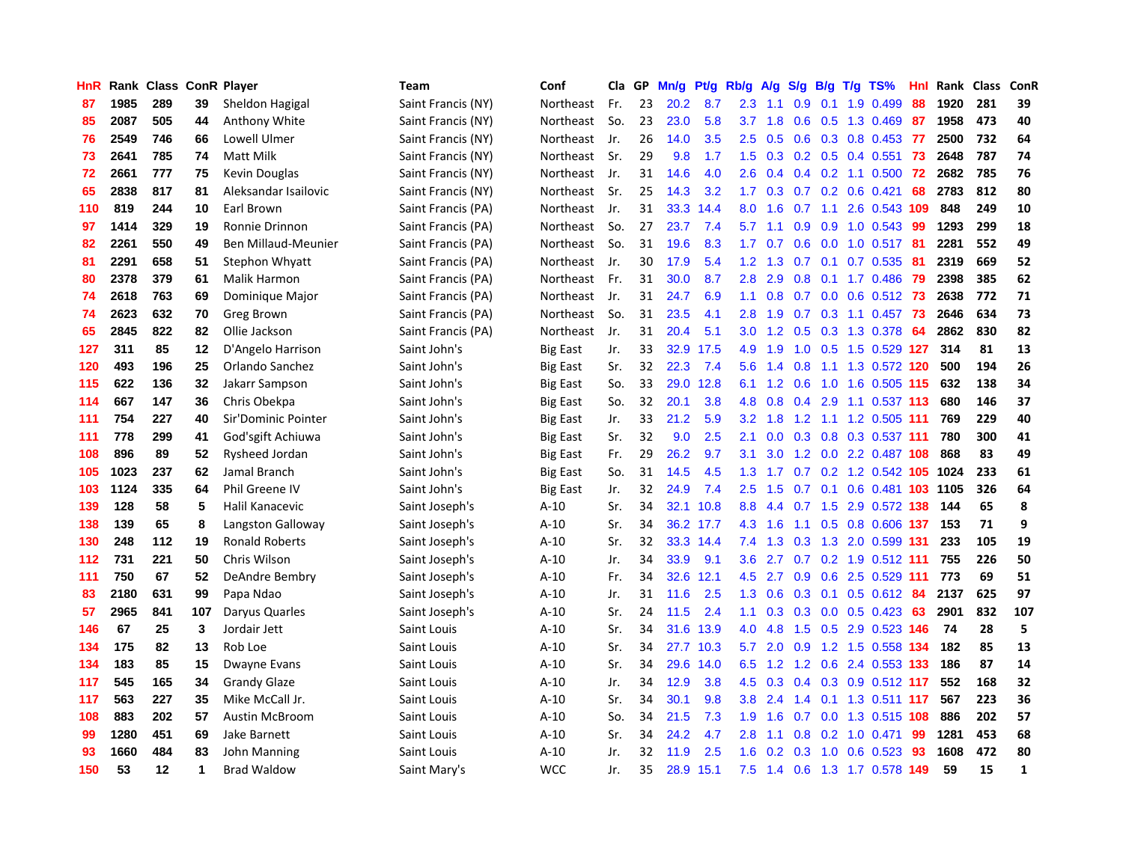| HnR |      | Rank Class ConR Player |     |                       | <b>Team</b>        | Conf            | Cla   | GP | Mn/g | Pt/g | Rb/g             | A/g | S/g              | B/g | $T/g$ TS%                 | Hnl | Rank Class |     | ConR         |
|-----|------|------------------------|-----|-----------------------|--------------------|-----------------|-------|----|------|------|------------------|-----|------------------|-----|---------------------------|-----|------------|-----|--------------|
| 87  | 1985 | 289                    | 39  | Sheldon Hagigal       | Saint Francis (NY) | Northeast       | Fr.   | 23 | 20.2 | 8.7  | 2.3              | 1.1 | 0.9              | 0.1 | 1.9 0.499                 | 88  | 1920       | 281 | 39           |
| 85  | 2087 | 505                    | 44  | Anthony White         | Saint Francis (NY) | Northeast       | So.   | 23 | 23.0 | 5.8  | 3.7              | 1.8 | 0.6              |     | 0.5 1.3 0.469 87          |     | 1958       | 473 | 40           |
| 76  | 2549 | 746                    | 66  | Lowell Ulmer          | Saint Francis (NY) | Northeast       | Jr.   | 26 | 14.0 | 3.5  | 2.5              | 0.5 |                  |     | 0.6 0.3 0.8 0.453 77      |     | 2500       | 732 | 64           |
| 73  | 2641 | 785                    | 74  | Matt Milk             | Saint Francis (NY) | Northeast       | - Sr. | 29 | 9.8  | 1.7  | 1.5              | 0.3 |                  |     | $0.2$ $0.5$ $0.4$ $0.551$ | -73 | 2648       | 787 | 74           |
| 72  | 2661 | 777                    | 75  | Kevin Douglas         | Saint Francis (NY) | Northeast       | Jr.   | 31 | 14.6 | 4.0  | 2.6              | 0.4 | 0.4              |     | $0.2$ 1.1 0.500           | -72 | 2682       | 785 | 76           |
| 65  | 2838 | 817                    | 81  | Aleksandar Isailovic  | Saint Francis (NY) | Northeast       | Sr.   | 25 | 14.3 | 3.2  | 1.7              | 0.3 | 0.7              |     | $0.2$ 0.6 0.421           | 68  | 2783       | 812 | 80           |
| 110 | 819  | 244                    | 10  | Earl Brown            | Saint Francis (PA) | Northeast       | Jr.   | 31 | 33.3 | 14.4 | 8.0              | 1.6 | 0.7              |     | 1.1 2.6 0.543 109         |     | 848        | 249 | 10           |
| 97  | 1414 | 329                    | 19  | Ronnie Drinnon        | Saint Francis (PA) | Northeast       | So.   | 27 | 23.7 | 7.4  | 5.7              | 1.1 | 0.9 <sub>0</sub> |     | $0.9$ 1.0 0.543           | -99 | 1293       | 299 | 18           |
| 82  | 2261 | 550                    | 49  | Ben Millaud-Meunier   | Saint Francis (PA) | Northeast       | So.   | 31 | 19.6 | 8.3  | 1.7              | 0.7 | 0.6              |     | $0.0$ 1.0 0.517           | -81 | 2281       | 552 | 49           |
| 81  | 2291 | 658                    | 51  | Stephon Whyatt        | Saint Francis (PA) | Northeast       | Jr.   | 30 | 17.9 | 5.4  | 1.2              | 1.3 | 0.7              |     | 0.1 0.7 0.535             | -81 | 2319       | 669 | 52           |
| 80  | 2378 | 379                    | 61  | Malik Harmon          | Saint Francis (PA) | Northeast       | Fr.   | 31 | 30.0 | 8.7  | 2.8              | 2.9 |                  |     | 0.8 0.1 1.7 0.486 79      |     | 2398       | 385 | 62           |
| 74  | 2618 | 763                    | 69  | Dominique Major       | Saint Francis (PA) | Northeast       | Jr.   | 31 | 24.7 | 6.9  | 1.1              | 0.8 |                  |     | 0.7 0.0 0.6 0.512 73      |     | 2638       | 772 | 71           |
| 74  | 2623 | 632                    | 70  | Greg Brown            | Saint Francis (PA) | Northeast       | So.   | 31 | 23.5 | 4.1  | 2.8              | 1.9 |                  |     | 0.7 0.3 1.1 0.457 73      |     | 2646       | 634 | 73           |
| 65  | 2845 | 822                    | 82  | Ollie Jackson         | Saint Francis (PA) | Northeast       | Jr.   | 31 | 20.4 | 5.1  | 3.0              | 1.2 | 0.5              |     | 0.3 1.3 0.378             | -64 | 2862       | 830 | 82           |
| 127 | 311  | 85                     | 12  | D'Angelo Harrison     | Saint John's       | Big East        | Jr.   | 33 | 32.9 | 17.5 | 4.9              | 1.9 | 1.0              |     | 0.5 1.5 0.529 127         |     | 314        | 81  | 13           |
| 120 | 493  | 196                    | 25  | Orlando Sanchez       | Saint John's       | Big East        | Sr.   | 32 | 22.3 | 7.4  | 5.6              | 1.4 | 0.8              |     | 1.1 1.3 0.572 120         |     | 500        | 194 | 26           |
| 115 | 622  | 136                    | 32  | Jakarr Sampson        | Saint John's       | Big East        | So.   | 33 | 29.0 | 12.8 | 6.1              | 1.2 | 0.6              |     | 1.0 1.6 0.505 115         |     | 632        | 138 | 34           |
| 114 | 667  | 147                    | 36  | Chris Obekpa          | Saint John's       | <b>Big East</b> | So.   | 32 | 20.1 | 3.8  | 4.8              | 0.8 | 0.4              |     | 2.9 1.1 0.537 113         |     | 680        | 146 | 37           |
| 111 | 754  | 227                    | 40  | Sir'Dominic Pointer   | Saint John's       | <b>Big East</b> | Jr.   | 33 | 21.2 | 5.9  | 3.2              | 1.8 |                  |     | 1.2 1.1 1.2 0.505 111     |     | 769        | 229 | 40           |
| 111 | 778  | 299                    | 41  | God'sgift Achiuwa     | Saint John's       | <b>Big East</b> | Sr.   | 32 | 9.0  | 2.5  | 2.1              |     |                  |     | 0.0 0.3 0.8 0.3 0.537 111 |     | 780        | 300 | 41           |
| 108 | 896  | 89                     | 52  | Rysheed Jordan        | Saint John's       | Big East        | Fr.   | 29 | 26.2 | 9.7  | 3.1              | 3.0 |                  |     | 1.2 0.0 2.2 0.487 108     |     | 868        | 83  | 49           |
| 105 | 1023 | 237                    | 62  | Jamal Branch          | Saint John's       | <b>Big East</b> | So.   | 31 | 14.5 | 4.5  | 1.3              | 1.7 | 0.7              |     | 0.2 1.2 0.542 105 1024    |     |            | 233 | 61           |
| 103 | 1124 | 335                    | 64  | Phil Greene IV        | Saint John's       | Big East        | Jr.   | 32 | 24.9 | 7.4  | 2.5              | 1.5 | 0.7              |     | 0.1 0.6 0.481 103 1105    |     |            | 326 | 64           |
| 139 | 128  | 58                     | 5   | Halil Kanacevic       | Saint Joseph's     | $A-10$          | Sr.   | 34 | 32.1 | 10.8 | 8.8              | 4.4 | 0.7              |     | 1.5 2.9 0.572 138         |     | 144        | 65  | 8            |
| 138 | 139  | 65                     | 8   | Langston Galloway     | Saint Joseph's     | $A-10$          | Sr.   | 34 | 36.2 | 17.7 | 4.3              | 1.6 | 1.1              |     | 0.5 0.8 0.606 137         |     | 153        | 71  | 9            |
| 130 | 248  | 112                    | 19  | <b>Ronald Roberts</b> | Saint Joseph's     | $A-10$          | Sr.   | 32 | 33.3 | 14.4 | 7.4              | 1.3 |                  |     | 0.3 1.3 2.0 0.599 131     |     | 233        | 105 | 19           |
| 112 | 731  | 221                    | 50  | Chris Wilson          | Saint Joseph's     | $A-10$          | Jr.   | 34 | 33.9 | 9.1  | 3.6              | 2.7 |                  |     | 0.7 0.2 1.9 0.512 111     |     | 755        | 226 | 50           |
| 111 | 750  | 67                     | 52  | DeAndre Bembry        | Saint Joseph's     | $A-10$          | Fr.   | 34 | 32.6 | 12.1 | 4.5              | 2.7 |                  |     | 0.9 0.6 2.5 0.529 111     |     | 773        | 69  | 51           |
| 83  | 2180 | 631                    | 99  | Papa Ndao             | Saint Joseph's     | $A-10$          | Jr.   | 31 | 11.6 | 2.5  | 1.3              | 0.6 | 0.3              |     | $0.1$ $0.5$ $0.612$ 84    |     | 2137       | 625 | 97           |
| 57  | 2965 | 841                    | 107 | Daryus Quarles        | Saint Joseph's     | $A-10$          | Sr.   | 24 | 11.5 | 2.4  | 1.1              | 0.3 | 0.3              |     | $0.0$ 0.5 0.423           | 63  | 2901       | 832 | 107          |
| 146 | 67   | 25                     | 3   | Jordair Jett          | Saint Louis        | $A-10$          | Sr.   | 34 | 31.6 | 13.9 | 4.0              | 4.8 | 1.5              |     | 0.5 2.9 0.523 146         |     | 74         | 28  | 5            |
| 134 | 175  | 82                     | 13  | Rob Loe               | Saint Louis        | $A-10$          | Sr.   | 34 | 27.7 | 10.3 | 5.7              | 2.0 | 0.9              |     | 1.2 1.5 0.558 134         |     | 182        | 85  | 13           |
| 134 | 183  | 85                     | 15  | Dwayne Evans          | Saint Louis        | $A-10$          | Sr.   | 34 | 29.6 | 14.0 | 6.5              | 1.2 | 1.2              |     | 0.6 2.4 0.553 133         |     | 186        | 87  | 14           |
| 117 | 545  | 165                    | 34  | <b>Grandy Glaze</b>   | Saint Louis        | $A-10$          | Jr.   | 34 | 12.9 | 3.8  | 4.5              | 0.3 | $0.4^{\circ}$    |     | 0.3 0.9 0.512 117         |     | 552        | 168 | 32           |
| 117 | 563  | 227                    | 35  | Mike McCall Jr.       | Saint Louis        | $A-10$          | Sr.   | 34 | 30.1 | 9.8  | 3.8 <sub>2</sub> | 2.4 | $1.4^{\circ}$    |     | 0.1 1.3 0.511 117         |     | 567        | 223 | 36           |
| 108 | 883  | 202                    | 57  | <b>Austin McBroom</b> | Saint Louis        | $A-10$          | So.   | 34 | 21.5 | 7.3  | 1.9              | 1.6 | 0.7              |     | 0.0 1.3 0.515 108         |     | 886        | 202 | 57           |
| 99  | 1280 | 451                    | 69  | Jake Barnett          | Saint Louis        | $A-10$          | Sr.   | 34 | 24.2 | 4.7  | 2.8              | 1.1 | 0.8 <sub>0</sub> |     | $0.2$ 1.0 $0.471$         | -99 | 1281       | 453 | 68           |
| 93  | 1660 | 484                    | 83  | John Manning          | Saint Louis        | $A-10$          | Jr.   | 32 | 11.9 | 2.5  | 1.6              | 0.2 | 0.3              | 1.0 | $0.6$ 0.523               | -93 | 1608       | 472 | 80           |
| 150 | 53   | 12                     | 1   | <b>Brad Waldow</b>    | Saint Mary's       | <b>WCC</b>      | Jr.   | 35 | 28.9 | 15.1 | 7.5              | 1.4 |                  |     | 0.6 1.3 1.7 0.578 149     |     | 59         | 15  | $\mathbf{1}$ |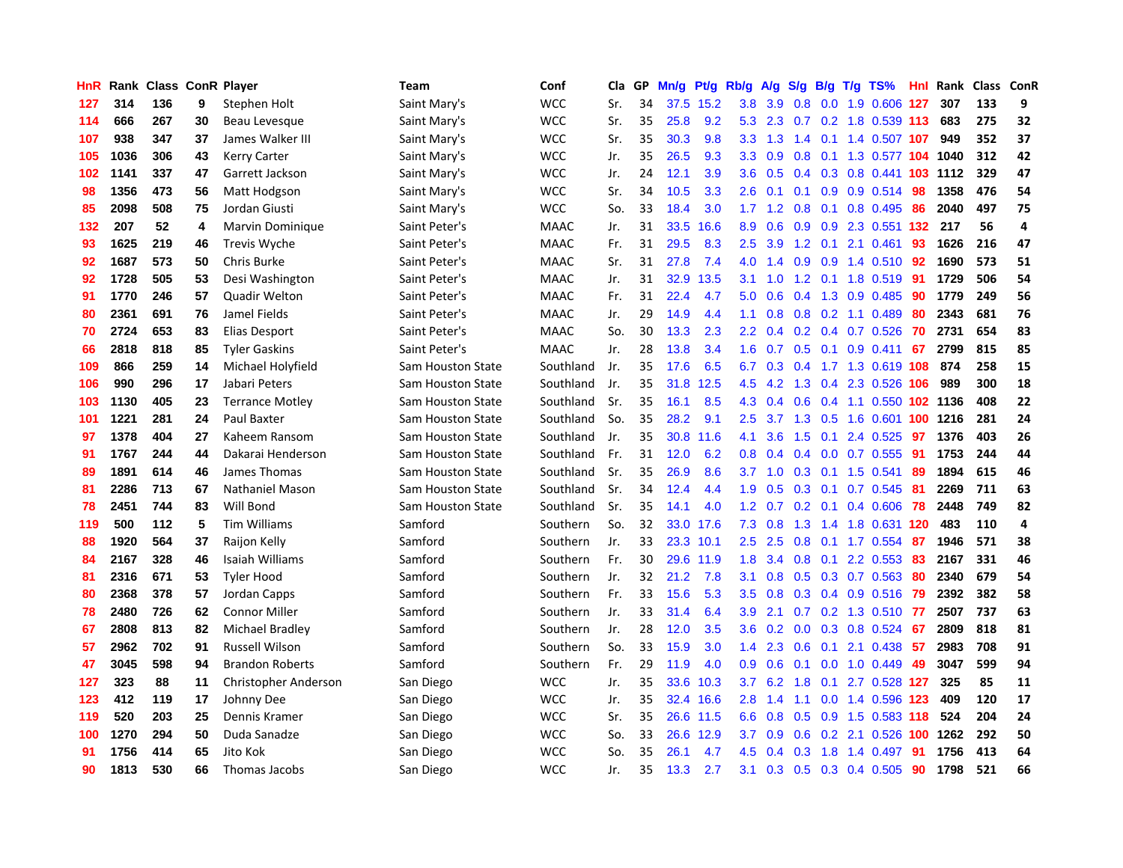| HnR | Rank | <b>Class</b> |    | <b>ConR Player</b>     | Team              | Conf        | Cla | GP | Mn/g | Pt/g      | Rb/g             | A/g | S/g              | B/g | $T/g$ TS%                    | Hnl | Rank | <b>Class</b> | ConR           |
|-----|------|--------------|----|------------------------|-------------------|-------------|-----|----|------|-----------|------------------|-----|------------------|-----|------------------------------|-----|------|--------------|----------------|
| 127 | 314  | 136          | 9  | Stephen Holt           | Saint Mary's      | <b>WCC</b>  | Sr. | 34 | 37.5 | 15.2      | 3.8 <sub>2</sub> | 3.9 | 0.8              |     | 0.0 1.9 0.606 127            |     | 307  | 133          | 9              |
| 114 | 666  | 267          | 30 | Beau Levesque          | Saint Mary's      | <b>WCC</b>  | Sr. | 35 | 25.8 | 9.2       | 5.3              | 2.3 |                  |     | 0.7 0.2 1.8 0.539 113        |     | 683  | 275          | 32             |
| 107 | 938  | 347          | 37 | James Walker III       | Saint Mary's      | <b>WCC</b>  | Sr. | 35 | 30.3 | 9.8       | 3.3 <sub>2</sub> | 1.3 |                  |     | 1.4 0.1 1.4 0.507 <b>107</b> |     | 949  | 352          | 37             |
| 105 | 1036 | 306          | 43 | <b>Kerry Carter</b>    | Saint Mary's      | <b>WCC</b>  | Jr. | 35 | 26.5 | 9.3       | 3.3              | 0.9 | 0.8              |     | 0.1 1.3 0.577 104            |     | 1040 | 312          | 42             |
| 102 | 1141 | 337          | 47 | Garrett Jackson        | Saint Mary's      | <b>WCC</b>  | Jr. | 24 | 12.1 | 3.9       | 3.6              | 0.5 | 0.4              |     | 0.3 0.8 0.441 103            |     | 1112 | 329          | 47             |
| 98  | 1356 | 473          | 56 | Matt Hodgson           | Saint Mary's      | <b>WCC</b>  | Sr. | 34 | 10.5 | 3.3       | 2.6              | 0.1 | 0.1              |     | $0.9$ 0.9 0.514              | -98 | 1358 | 476          | 54             |
| 85  | 2098 | 508          | 75 | Jordan Giusti          | Saint Mary's      | <b>WCC</b>  | So. | 33 | 18.4 | 3.0       | 1.7              | 1.2 | 0.8              |     | $0.1$ 0.8 0.495              | 86  | 2040 | 497          | 75             |
| 132 | 207  | 52           | 4  | Marvin Dominique       | Saint Peter's     | <b>MAAC</b> | Jr. | 31 | 33.5 | 16.6      | 8.9              | 0.6 | 0.9              |     | 0.9 2.3 0.551 132            |     | 217  | 56           | 4              |
| 93  | 1625 | 219          | 46 | Trevis Wyche           | Saint Peter's     | <b>MAAC</b> | Fr. | 31 | 29.5 | 8.3       | 2.5              | 3.9 | 1.2              |     | $0.1$ 2.1 0.461              | 93  | 1626 | 216          | 47             |
| 92  | 1687 | 573          | 50 | Chris Burke            | Saint Peter's     | <b>MAAC</b> | Sr. | 31 | 27.8 | 7.4       | 4.0              | 1.4 | 0.9              |     | 0.9 1.4 0.510 92             |     | 1690 | 573          | 51             |
| 92  | 1728 | 505          | 53 | Desi Washington        | Saint Peter's     | <b>MAAC</b> | Jr. | 31 | 32.9 | 13.5      | 3.1              | 1.0 |                  |     | 1.2 0.1 1.8 0.519 91         |     | 1729 | 506          | 54             |
| 91  | 1770 | 246          | 57 | Quadir Welton          | Saint Peter's     | <b>MAAC</b> | Fr. | 31 | 22.4 | 4.7       | 5.0              | 0.6 |                  |     | $0.4$ 1.3 0.9 0.485          | -90 | 1779 | 249          | 56             |
| 80  | 2361 | 691          | 76 | Jamel Fields           | Saint Peter's     | <b>MAAC</b> | Jr. | 29 | 14.9 | 4.4       | 1.1              | 0.8 | 0.8              |     | $0.2$ 1.1 $0.489$            | 80  | 2343 | 681          | 76             |
| 70  | 2724 | 653          | 83 | Elias Desport          | Saint Peter's     | <b>MAAC</b> | So. | 30 | 13.3 | 2.3       | $2.2^{\circ}$    | 0.4 |                  |     | $0.2$ 0.4 0.7 0.526          | 70  | 2731 | 654          | 83             |
| 66  | 2818 | 818          | 85 | <b>Tyler Gaskins</b>   | Saint Peter's     | <b>MAAC</b> | Jr. | 28 | 13.8 | 3.4       | 1.6              | 0.7 | 0.5              | 0.1 | $0.9$ 0.411                  | 67  | 2799 | 815          | 85             |
| 109 | 866  | 259          | 14 | Michael Holyfield      | Sam Houston State | Southland   | Jr. | 35 | 17.6 | 6.5       | 6.7              | 0.3 |                  |     | 0.4 1.7 1.3 0.619 108        |     | 874  | 258          | 15             |
| 106 | 990  | 296          | 17 | Jabari Peters          | Sam Houston State | Southland   | Jr. | 35 | 31.8 | 12.5      | 4.5              | 4.2 | 1.3              |     | 0.4 2.3 0.526 106            |     | 989  | 300          | 18             |
| 103 | 1130 | 405          | 23 | <b>Terrance Motley</b> | Sam Houston State | Southland   | Sr. | 35 | 16.1 | 8.5       | 4.3              | 0.4 | 0.6              |     | 0.4 1.1 0.550 102 1136       |     |      | 408          | 22             |
| 101 | 1221 | 281          | 24 | Paul Baxter            | Sam Houston State | Southland   | So. | 35 | 28.2 | 9.1       | 2.5              | 3.7 |                  |     | 1.3 0.5 1.6 0.601 100 1216   |     |      | 281          | 24             |
| 97  | 1378 | 404          | 27 | Kaheem Ransom          | Sam Houston State | Southland   | Jr. | 35 | 30.8 | 11.6      | 4.1              | 3.6 |                  |     | 1.5 0.1 2.4 0.525            | 97  | 1376 | 403          | 26             |
| 91  | 1767 | 244          | 44 | Dakarai Henderson      | Sam Houston State | Southland   | Fr. | 31 | 12.0 | 6.2       | 0.8              | 0.4 | 0.4              |     | $0.0$ 0.7 0.555              | -91 | 1753 | 244          | 44             |
| 89  | 1891 | 614          | 46 | James Thomas           | Sam Houston State | Southland   | Sr. | 35 | 26.9 | 8.6       | 3.7              | 1.0 | 0.3              |     | 0.1 1.5 0.541                | 89  | 1894 | 615          | 46             |
| 81  | 2286 | 713          | 67 | <b>Nathaniel Mason</b> | Sam Houston State | Southland   | Sr. | 34 | 12.4 | 4.4       | 1.9              | 0.5 | 0.3              |     | $0.1$ 0.7 0.545              | -81 | 2269 | 711          | 63             |
| 78  | 2451 | 744          | 83 | Will Bond              | Sam Houston State | Southland   | Sr. | 35 | 14.1 | 4.0       | 1.2              | 0.7 | 0.2              |     | $0.1$ 0.4 0.606              | 78  | 2448 | 749          | 82             |
| 119 | 500  | 112          | 5  | <b>Tim Williams</b>    | Samford           | Southern    | So. | 32 | 33.0 | 17.6      | 7.3              | 0.8 | 1.3              |     | 1.4 1.8 0.631 120            |     | 483  | 110          | $\overline{a}$ |
| 88  | 1920 | 564          | 37 | Raijon Kelly           | Samford           | Southern    | Jr. | 33 | 23.3 | 10.1      | 2.5              | 2.5 | 0.8              |     | 0.1 1.7 0.554                | -87 | 1946 | 571          | 38             |
| 84  | 2167 | 328          | 46 | Isaiah Williams        | Samford           | Southern    | Fr. | 30 |      | 29.6 11.9 | 1.8              | 3.4 |                  |     | 0.8 0.1 2.2 0.553 83         |     | 2167 | 331          | 46             |
| 81  | 2316 | 671          | 53 | <b>Tyler Hood</b>      | Samford           | Southern    | Jr. | 32 | 21.2 | 7.8       | 3.1              | 0.8 |                  |     | $0.5$ 0.3 0.7 0.563          | -80 | 2340 | 679          | 54             |
| 80  | 2368 | 378          | 57 | Jordan Capps           | Samford           | Southern    | Fr. | 33 | 15.6 | 5.3       | 3.5              | 0.8 | 0.3              |     | 0.4 0.9 0.516 79             |     | 2392 | 382          | 58             |
| 78  | 2480 | 726          | 62 | <b>Connor Miller</b>   | Samford           | Southern    | Jr. | 33 | 31.4 | 6.4       | 3.9              | 2.1 | 0.7              |     | 0.2 1.3 0.510 77             |     | 2507 | 737          | 63             |
| 67  | 2808 | 813          | 82 | Michael Bradley        | Samford           | Southern    | Jr. | 28 | 12.0 | 3.5       | 3.6              | 0.2 | 0.0              |     | 0.3 0.8 0.524 67             |     | 2809 | 818          | 81             |
| 57  | 2962 | 702          | 91 | <b>Russell Wilson</b>  | Samford           | Southern    | So. | 33 | 15.9 | 3.0       | 1.4              | 2.3 | 0.6              | 0.1 | 2.1 0.438                    | 57  | 2983 | 708          | 91             |
| 47  | 3045 | 598          | 94 | <b>Brandon Roberts</b> | Samford           | Southern    | Fr. | 29 | 11.9 | 4.0       | 0.9              | 0.6 | 0.1              |     | $0.0$ 1.0 $0.449$            | 49  | 3047 | 599          | 94             |
| 127 | 323  | 88           | 11 | Christopher Anderson   | San Diego         | <b>WCC</b>  | Jr. | 35 | 33.6 | 10.3      | 3.7              | 6.2 | 1.8              | 0.1 | 2.7 0.528 127                |     | 325  | 85           | 11             |
| 123 | 412  | 119          | 17 | Johnny Dee             | San Diego         | <b>WCC</b>  | Jr. | 35 | 32.4 | 16.6      | 2.8              | 1.4 | 1.1              |     | 0.0 1.4 0.596 123            |     | 409  | 120          | 17             |
| 119 | 520  | 203          | 25 | Dennis Kramer          | San Diego         | <b>WCC</b>  | Sr. | 35 | 26.6 | 11.5      | 6.6              | 0.8 | 0.5              |     | 0.9 1.5 0.583 118            |     | 524  | 204          | 24             |
| 100 | 1270 | 294          | 50 | Duda Sanadze           | San Diego         | <b>WCC</b>  | So. | 33 | 26.6 | 12.9      | 3.7 <sub>2</sub> | 0.9 | 0.6              |     | 0.2 2.1 0.526 100 1262       |     |      | 292          | 50             |
| 91  | 1756 | 414          | 65 | Jito Kok               | San Diego         | <b>WCC</b>  | So. | 35 | 26.1 | 4.7       | 4.5              | 0.4 | 0.3 <sub>0</sub> | 1.8 | 1.4 0.497                    | 91  | 1756 | 413          | 64             |
| 90  | 1813 | 530          | 66 | Thomas Jacobs          | San Diego         | <b>WCC</b>  | Jr. | 35 | 13.3 | 2.7       | 3.1              | 0.3 |                  |     | $0.5$ 0.3 0.4 0.505          | 90  | 1798 | 521          | 66             |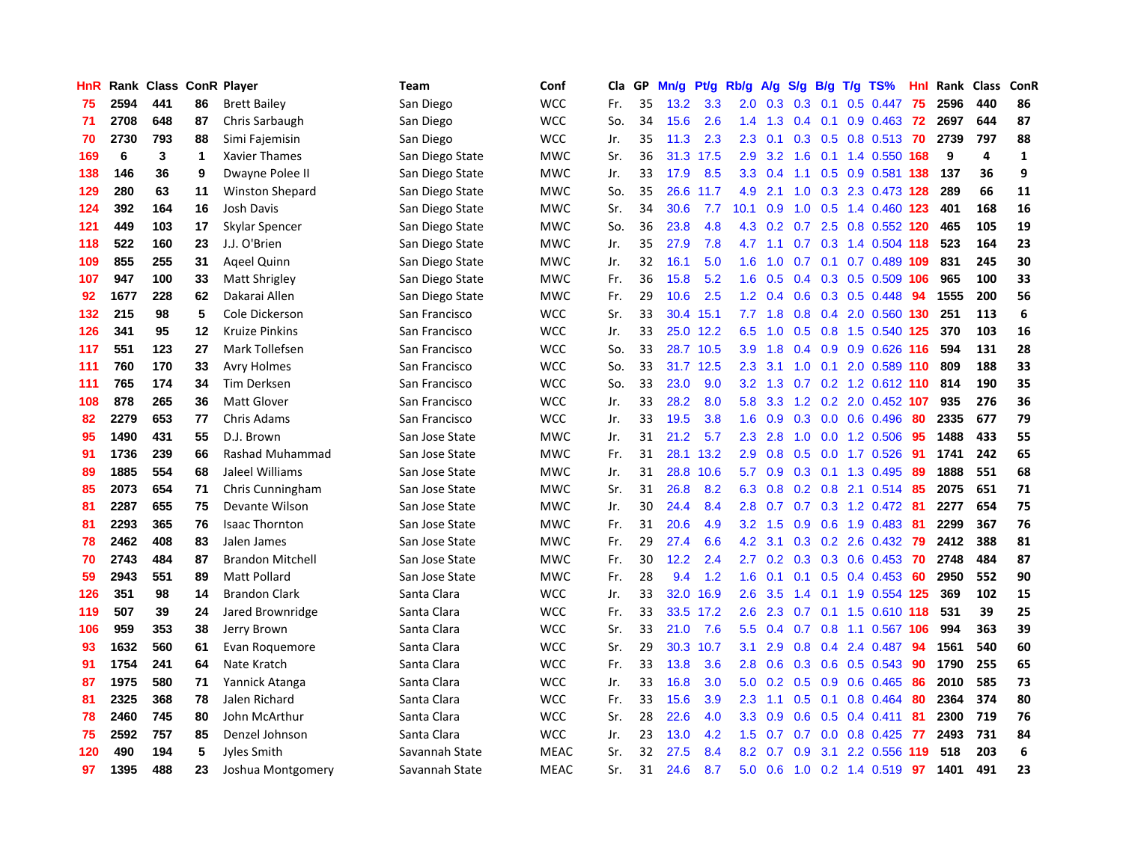| HnR | Rank | <b>Class</b> |         | <b>ConR Player</b>      | Team            | Conf        | Cla | <b>GP</b> | Mn/g | Pt/g      | Rb/g          | A/g | S/g           | B/g | $T/g$ TS%                 | Hnl | Rank | <b>Class</b> | ConR         |
|-----|------|--------------|---------|-------------------------|-----------------|-------------|-----|-----------|------|-----------|---------------|-----|---------------|-----|---------------------------|-----|------|--------------|--------------|
| 75  | 2594 | 441          | 86      | <b>Brett Bailey</b>     | San Diego       | <b>WCC</b>  | Fr. | 35        | 13.2 | 3.3       | 2.0           | 0.3 | 0.3           |     | $0.1$ 0.5 0.447           | 75  | 2596 | 440          | 86           |
| 71  | 2708 | 648          | 87      | Chris Sarbaugh          | San Diego       | <b>WCC</b>  | So. | 34        | 15.6 | 2.6       | 1.4           | 1.3 |               |     | 0.4 0.1 0.9 0.463 72      |     | 2697 | 644          | 87           |
| 70  | 2730 | 793          | 88      | Simi Fajemisin          | San Diego       | <b>WCC</b>  | Jr. | 35        | 11.3 | 2.3       | 2.3           | 0.1 |               |     | 0.3 0.5 0.8 0.513 70      |     | 2739 | 797          | 88           |
| 169 | 6    | 3            | 1       | <b>Xavier Thames</b>    | San Diego State | <b>MWC</b>  | Sr. | 36        | 31.3 | 17.5      | 2.9           | 3.2 | 1.6           |     | 0.1 1.4 0.550 168         |     | 9    | 4            | $\mathbf{1}$ |
| 138 | 146  | 36           | 9       | Dwayne Polee II         | San Diego State | <b>MWC</b>  | Jr. | 33        | 17.9 | 8.5       | 3.3           | 0.4 | 1.1           |     | 0.5 0.9 0.581 138         |     | 137  | 36           | 9            |
| 129 | 280  | 63           | 11      | Winston Shepard         | San Diego State | <b>MWC</b>  | So. | 35        | 26.6 | 11.7      | 4.9           | 2.1 | 1.0           |     | 0.3 2.3 0.473 128         |     | 289  | 66           | 11           |
| 124 | 392  | 164          | 16      | Josh Davis              | San Diego State | <b>MWC</b>  | Sr. | 34        | 30.6 | 7.7       | 10.1          | 0.9 | 1.0           |     | 0.5 1.4 0.460 123         |     | 401  | 168          | 16           |
| 121 | 449  | 103          | 17      | Skylar Spencer          | San Diego State | <b>MWC</b>  | So. | 36        | 23.8 | 4.8       | 4.3           | 0.2 | 0.7           |     | 2.5 0.8 0.552 120         |     | 465  | 105          | 19           |
| 118 | 522  | 160          | 23      | J.J. O'Brien            | San Diego State | <b>MWC</b>  | Jr. | 35        | 27.9 | 7.8       | 4.7           | 1.1 |               |     | 0.7 0.3 1.4 0.504 118     |     | 523  | 164          | 23           |
| 109 | 855  | 255          | 31      | Ageel Quinn             | San Diego State | <b>MWC</b>  | Jr. | 32        | 16.1 | 5.0       | 1.6           |     |               |     | 1.0 0.7 0.1 0.7 0.489 109 |     | 831  | 245          | 30           |
| 107 | 947  | 100          | 33      | Matt Shrigley           | San Diego State | <b>MWC</b>  | Fr. | 36        | 15.8 | 5.2       | 1.6           | 0.5 |               |     | 0.4 0.3 0.5 0.509 106     |     | 965  | 100          | 33           |
| 92  | 1677 | 228          | 62      | Dakarai Allen           | San Diego State | <b>MWC</b>  | Fr. | 29        | 10.6 | 2.5       | $1.2^{\circ}$ | 0.4 |               |     | $0.6$ $0.3$ $0.5$ $0.448$ | -94 | 1555 | 200          | 56           |
| 132 | 215  | 98           | 5       | Cole Dickerson          | San Francisco   | <b>WCC</b>  | Sr. | 33        | 30.4 | 15.1      | 7.7           | 1.8 | 0.8           |     | 0.4 2.0 0.560 130         |     | 251  | 113          | 6            |
| 126 | 341  | 95           | $12 \,$ | <b>Kruize Pinkins</b>   | San Francisco   | <b>WCC</b>  | Jr. | 33        |      | 25.0 12.2 | 6.5           | 1.0 | 0.5           |     | 0.8 1.5 0.540 125         |     | 370  | 103          | 16           |
| 117 | 551  | 123          | 27      | Mark Tollefsen          | San Francisco   | <b>WCC</b>  | So. | 33        | 28.7 | 10.5      | 3.9           | 1.8 | $0.4^{\circ}$ |     | 0.9 0.9 0.626 116         |     | 594  | 131          | 28           |
| 111 | 760  | 170          | 33      | <b>Avry Holmes</b>      | San Francisco   | <b>WCC</b>  | So. | 33        | 31.7 | 12.5      | 2.3           | 3.1 | 1.0           | 0.1 | 2.0 0.589 110             |     | 809  | 188          | 33           |
| 111 | 765  | 174          | 34      | Tim Derksen             | San Francisco   | <b>WCC</b>  | So. | 33        | 23.0 | 9.0       | 3.2           | 1.3 | 0.7           |     | 0.2 1.2 0.612 110 814     |     |      | 190          | 35           |
| 108 | 878  | 265          | 36      | <b>Matt Glover</b>      | San Francisco   | <b>WCC</b>  | Jr. | 33        | 28.2 | 8.0       | 5.8           | 3.3 |               |     | 1.2 0.2 2.0 0.452 107     |     | 935  | 276          | 36           |
| 82  | 2279 | 653          | 77      | Chris Adams             | San Francisco   | <b>WCC</b>  | Jr. | 33        | 19.5 | 3.8       | 1.6           | 0.9 |               |     | 0.3 0.0 0.6 0.496 80      |     | 2335 | 677          | 79           |
| 95  | 1490 | 431          | 55      | D.J. Brown              | San Jose State  | <b>MWC</b>  | Jr. | 31        | 21.2 | 5.7       | 2.3           | 2.8 | 1.0           |     | $0.0$ 1.2 0.506           | -95 | 1488 | 433          | 55           |
| 91  | 1736 | 239          | 66      | Rashad Muhammad         | San Jose State  | <b>MWC</b>  | Fr. | 31        | 28.1 | 13.2      | 2.9           | 0.8 | 0.5           |     | $0.0$ 1.7 $0.526$         | -91 | 1741 | 242          | 65           |
| 89  | 1885 | 554          | 68      | Jaleel Williams         | San Jose State  | <b>MWC</b>  | Jr. | 31        | 28.8 | 10.6      | 5.7           | 0.9 | 0.3           |     | $0.1$ 1.3 0.495           | -89 | 1888 | 551          | 68           |
| 85  | 2073 | 654          | 71      | Chris Cunningham        | San Jose State  | <b>MWC</b>  | Sr. | 31        | 26.8 | 8.2       | 6.3           | 0.8 | 0.2           |     | $0.8$ 2.1 $0.514$         | -85 | 2075 | 651          | 71           |
| 81  | 2287 | 655          | 75      | Devante Wilson          | San Jose State  | <b>MWC</b>  | Jr. | 30        | 24.4 | 8.4       | 2.8           | 0.7 | 0.7           |     | 0.3 1.2 0.472             | -81 | 2277 | 654          | 75           |
| 81  | 2293 | 365          | 76      | <b>Isaac Thornton</b>   | San Jose State  | <b>MWC</b>  | Fr. | 31        | 20.6 | 4.9       | 3.2           | 1.5 | 0.9           |     | 0.6 1.9 0.483             | -81 | 2299 | 367          | 76           |
| 78  | 2462 | 408          | 83      | Jalen James             | San Jose State  | <b>MWC</b>  | Fr. | 29        | 27.4 | 6.6       | 4.2           | 3.1 |               |     | $0.3$ $0.2$ $2.6$ $0.432$ | -79 | 2412 | 388          | 81           |
| 70  | 2743 | 484          | 87      | <b>Brandon Mitchell</b> | San Jose State  | <b>MWC</b>  | Fr. | 30        | 12.2 | 2.4       | $2.7^{\circ}$ |     |               |     | 0.2 0.3 0.3 0.6 0.453 70  |     | 2748 | 484          | 87           |
| 59  | 2943 | 551          | 89      | Matt Pollard            | San Jose State  | <b>MWC</b>  | Fr. | 28        | 9.4  | 1.2       | 1.6           | 0.1 |               |     | 0.1 0.5 0.4 0.453 60      |     | 2950 | 552          | 90           |
| 126 | 351  | 98           | 14      | <b>Brandon Clark</b>    | Santa Clara     | <b>WCC</b>  | Jr. | 33        | 32.0 | 16.9      | 2.6           | 3.5 | $1.4^{\circ}$ |     | 0.1 1.9 0.554 125         |     | 369  | 102          | 15           |
| 119 | 507  | 39           | 24      | Jared Brownridge        | Santa Clara     | <b>WCC</b>  | Fr. | 33        | 33.5 | 17.2      | 2.6           | 2.3 | 0.7           |     | 0.1 1.5 0.610 118         |     | 531  | 39           | 25           |
| 106 | 959  | 353          | 38      | Jerry Brown             | Santa Clara     | <b>WCC</b>  | Sr. | 33        | 21.0 | 7.6       | 5.5           | 0.4 | 0.7           |     | 0.8 1.1 0.567 106         |     | 994  | 363          | 39           |
| 93  | 1632 | 560          | 61      | Evan Roquemore          | Santa Clara     | <b>WCC</b>  | Sr. | 29        | 30.3 | 10.7      | 3.1           | 2.9 | 0.8           |     | $0.4$ 2.4 $0.487$         | 94  | 1561 | 540          | 60           |
| 91  | 1754 | 241          | 64      | Nate Kratch             | Santa Clara     | <b>WCC</b>  | Fr. | 33        | 13.8 | 3.6       | 2.8           | 0.6 | 0.3           |     | 0.6 0.5 0.543             | -90 | 1790 | 255          | 65           |
| 87  | 1975 | 580          | 71      | Yannick Atanga          | Santa Clara     | <b>WCC</b>  | Jr. | 33        | 16.8 | 3.0       | 5.0           | 0.2 | 0.5           |     | $0.9$ 0.6 0.465           | -86 | 2010 | 585          | 73           |
| 81  | 2325 | 368          | 78      | Jalen Richard           | Santa Clara     | <b>WCC</b>  | Fr. | 33        | 15.6 | 3.9       | 2.3           | 1.1 |               |     | $0.5$ 0.1 0.8 0.464       | -80 | 2364 | 374          | 80           |
| 78  | 2460 | 745          | 80      | John McArthur           | Santa Clara     | <b>WCC</b>  | Sr. | 28        | 22.6 | 4.0       | 3.3           | 0.9 | 0.6           |     | $0.5$ 0.4 0.411           | -81 | 2300 | 719          | 76           |
| 75  | 2592 | 757          | 85      | Denzel Johnson          | Santa Clara     | <b>WCC</b>  | Jr. | 23        | 13.0 | 4.2       | 1.5           | 0.7 | 0.7           |     | $0.0$ 0.8 0.425           | -77 | 2493 | 731          | 84           |
| 120 | 490  | 194          | 5       | Jyles Smith             | Savannah State  | <b>MEAC</b> | Sr. | 32        | 27.5 | 8.4       | 8.2           | 0.7 | 0.9           | 3.1 | 2.2 0.556                 | 119 | 518  | 203          | 6            |
| 97  | 1395 | 488          | 23      | Joshua Montgomery       | Savannah State  | <b>MEAC</b> | Sr. | 31        | 24.6 | 8.7       | 5.0           | 0.6 |               |     | 1.0 0.2 1.4 0.519 97      |     | 1401 | 491          | 23           |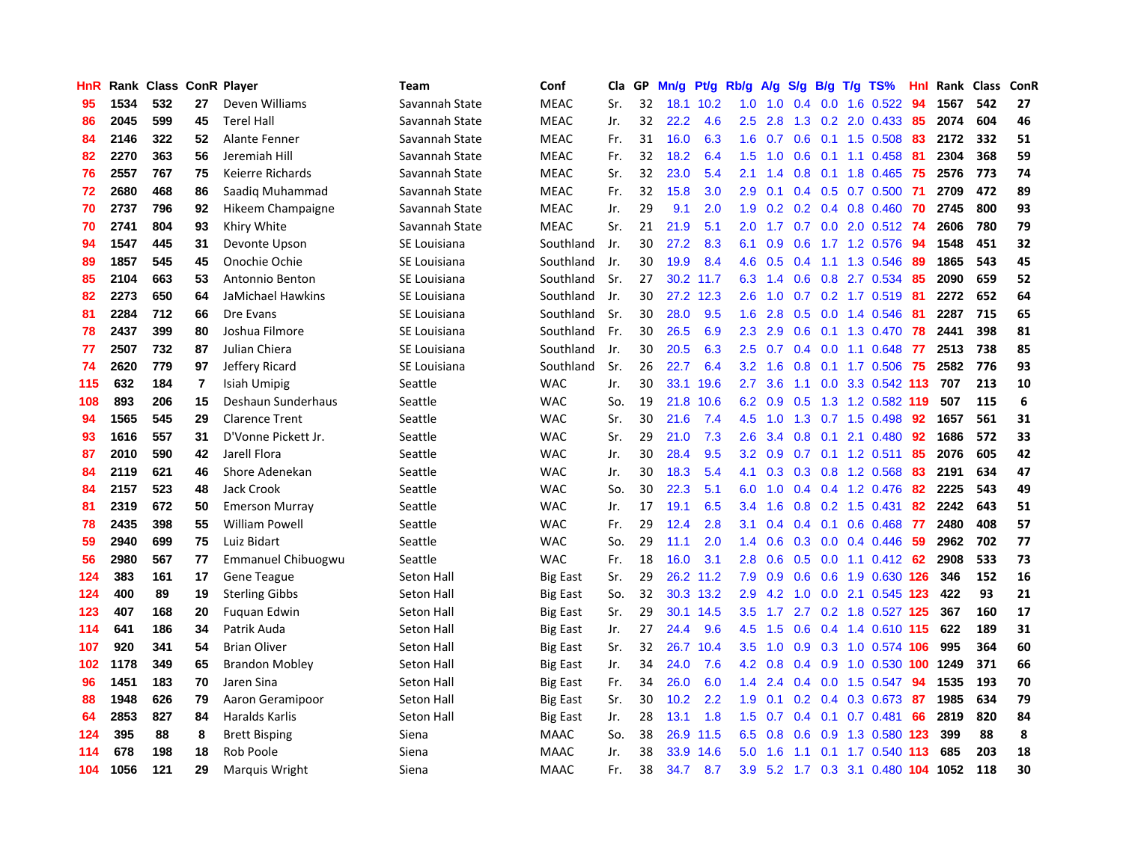| <b>HnR</b> |      | Rank Class ConR Player |                |                           | <b>Team</b>    | Conf            | Cla | GP | Mn/g | <b>Pt/g</b> | Rb/g             | A/g | S/g              | B/g | T/g TS%                        | Hnl | Rank Class |     | ConR |
|------------|------|------------------------|----------------|---------------------------|----------------|-----------------|-----|----|------|-------------|------------------|-----|------------------|-----|--------------------------------|-----|------------|-----|------|
| 95         | 1534 | 532                    | 27             | Deven Williams            | Savannah State | <b>MEAC</b>     | Sr. | 32 | 18.1 | 10.2        | 1.0              | 1.0 | 0.4              | 0.0 | 1.6 0.522                      | 94  | 1567       | 542 | 27   |
| 86         | 2045 | 599                    | 45             | <b>Terel Hall</b>         | Savannah State | <b>MEAC</b>     | Jr. | 32 | 22.2 | 4.6         | 2.5              | 2.8 |                  |     | 1.3 0.2 2.0 0.433 85           |     | 2074       | 604 | 46   |
| 84         | 2146 | 322                    | 52             | Alante Fenner             | Savannah State | <b>MEAC</b>     | Fr. | 31 | 16.0 | 6.3         | 1.6              | 0.7 |                  |     | 0.6 0.1 1.5 0.508 83           |     | 2172       | 332 | 51   |
| 82         | 2270 | 363                    | 56             | Jeremiah Hill             | Savannah State | <b>MEAC</b>     | Fr. | 32 | 18.2 | 6.4         | 1.5              | 1.0 |                  |     | $0.6$ 0.1 1.1 0.458            | -81 | 2304       | 368 | 59   |
| 76         | 2557 | 767                    | 75             | Keierre Richards          | Savannah State | <b>MEAC</b>     | Sr. | 32 | 23.0 | 5.4         | 2.1              | 1.4 | 0.8              |     | 0.1 1.8 0.465 75               |     | 2576       | 773 | 74   |
| 72         | 2680 | 468                    | 86             | Saadig Muhammad           | Savannah State | <b>MEAC</b>     | Fr. | 32 | 15.8 | 3.0         | 2.9              | 0.1 |                  |     | $0.4$ 0.5 0.7 0.500            | -71 | 2709       | 472 | 89   |
| 70         | 2737 | 796                    | 92             | Hikeem Champaigne         | Savannah State | <b>MEAC</b>     | Jr. | 29 | 9.1  | 2.0         | 1.9              | 0.2 |                  |     | $0.2$ 0.4 0.8 0.460            | -70 | 2745       | 800 | 93   |
| 70         | 2741 | 804                    | 93             | Khiry White               | Savannah State | <b>MEAC</b>     | Sr. | 21 | 21.9 | 5.1         | 2.0 <sub>1</sub> | 1.7 |                  |     | $0.7$ $0.0$ $2.0$ $0.512$      | -74 | 2606       | 780 | 79   |
| 94         | 1547 | 445                    | 31             | Devonte Upson             | SE Louisiana   | Southland       | Jr. | 30 | 27.2 | 8.3         | 6.1              | 0.9 | 0.6              |     | 1.7 1.2 0.576                  | -94 | 1548       | 451 | 32   |
| 89         | 1857 | 545                    | 45             | Onochie Ochie             | SE Louisiana   | Southland       | Jr. | 30 | 19.9 | 8.4         | 4.6              | 0.5 |                  |     | 0.4 1.1 1.3 0.546              | -89 | 1865       | 543 | 45   |
| 85         | 2104 | 663                    | 53             | Antonnio Benton           | SE Louisiana   | Southland       | Sr. | 27 |      | 30.2 11.7   | 6.3              | 1.4 |                  |     | 0.6 0.8 2.7 0.534 85           |     | 2090       | 659 | 52   |
| 82         | 2273 | 650                    | 64             | JaMichael Hawkins         | SE Louisiana   | Southland       | Jr. | 30 | 27.2 | 12.3        | 2.6              | 1.0 |                  |     | 0.7 0.2 1.7 0.519 81           |     | 2272       | 652 | 64   |
| 81         | 2284 | 712                    | 66             | Dre Evans                 | SE Louisiana   | Southland       | Sr. | 30 | 28.0 | 9.5         | 1.6              | 2.8 | 0.5              |     | $0.0$ 1.4 $0.546$              | -81 | 2287       | 715 | 65   |
| 78         | 2437 | 399                    | 80             | Joshua Filmore            | SE Louisiana   | Southland       | Fr. | 30 | 26.5 | 6.9         | 2.3              | 2.9 | 0.6              |     | 0.1 1.3 0.470                  | 78  | 2441       | 398 | 81   |
| 77         | 2507 | 732                    | 87             | Julian Chiera             | SE Louisiana   | Southland       | Jr. | 30 | 20.5 | 6.3         | 2.5              | 0.7 | 0.4              |     | $0.0$ 1.1 $0.648$              | -77 | 2513       | 738 | 85   |
| 74         | 2620 | 779                    | 97             | Jeffery Ricard            | SE Louisiana   | Southland       | Sr. | 26 | 22.7 | 6.4         | 3.2              | 1.6 | 0.8              |     | $0.1$ 1.7 $0.506$              | 75  | 2582       | 776 | 93   |
| 115        | 632  | 184                    | $\overline{7}$ | Isiah Umipig              | Seattle        | <b>WAC</b>      | Jr. | 30 | 33.1 | 19.6        | $2.7^{\circ}$    | 3.6 | 1.1              |     | 0.0 3.3 0.542 113              |     | 707        | 213 | 10   |
| 108        | 893  | 206                    | 15             | Deshaun Sunderhaus        | Seattle        | <b>WAC</b>      | So. | 19 | 21.8 | 10.6        | 6.2              | 0.9 | 0.5              |     | 1.3 1.2 0.582 119              |     | 507        | 115 | 6    |
| 94         | 1565 | 545                    | 29             | <b>Clarence Trent</b>     | Seattle        | <b>WAC</b>      | Sr. | 30 | 21.6 | 7.4         | 4.5              | 1.0 |                  |     | 1.3 0.7 1.5 0.498 92           |     | 1657       | 561 | 31   |
| 93         | 1616 | 557                    | 31             | D'Vonne Pickett Jr.       | Seattle        | <b>WAC</b>      | Sr. | 29 | 21.0 | 7.3         | 2.6              | 3.4 |                  |     | $0.8$ 0.1 2.1 0.480            | -92 | 1686       | 572 | 33   |
| 87         | 2010 | 590                    | 42             | Jarell Flora              | Seattle        | <b>WAC</b>      | Jr. | 30 | 28.4 | 9.5         | 3.2              | 0.9 |                  |     | $0.7$ 0.1 1.2 0.511            | 85  | 2076       | 605 | 42   |
| 84         | 2119 | 621                    | 46             | Shore Adenekan            | Seattle        | <b>WAC</b>      | Jr. | 30 | 18.3 | 5.4         | 4.1              | 0.3 | 0.3              |     | 0.8 1.2 0.568                  | 83  | 2191       | 634 | 47   |
| 84         | 2157 | 523                    | 48             | Jack Crook                | Seattle        | <b>WAC</b>      | So. | 30 | 22.3 | 5.1         | 6.0              | 1.0 |                  |     | 0.4 0.4 1.2 0.476              | -82 | 2225       | 543 | 49   |
| 81         | 2319 | 672                    | 50             | <b>Emerson Murray</b>     | Seattle        | <b>WAC</b>      | Jr. | 17 | 19.1 | 6.5         | 3.4              | 1.6 | 0.8              |     | $0.2$ 1.5 0.431                | 82  | 2242       | 643 | 51   |
| 78         | 2435 | 398                    | 55             | William Powell            | Seattle        | <b>WAC</b>      | Fr. | 29 | 12.4 | 2.8         | 3.1              | 0.4 | 0.4              | 0.1 | $0.6$ 0.468                    | -77 | 2480       | 408 | 57   |
| 59         | 2940 | 699                    | 75             | Luiz Bidart               | Seattle        | <b>WAC</b>      | So. | 29 | 11.1 | 2.0         | $1.4^{\circ}$    | 0.6 |                  |     | 0.3 0.0 0.4 0.446              | -59 | 2962       | 702 | 77   |
| 56         | 2980 | 567                    | 77             | <b>Emmanuel Chibuogwu</b> | Seattle        | <b>WAC</b>      | Fr. | 18 | 16.0 | 3.1         | 2.8              | 0.6 |                  |     | $0.5$ 0.0 1.1 0.412 62         |     | 2908       | 533 | 73   |
| 124        | 383  | 161                    | 17             | <b>Gene Teague</b>        | Seton Hall     | Big East        | Sr. | 29 | 26.2 | 11.2        | 7.9              | 0.9 |                  |     | 0.6 0.6 1.9 0.630 126          |     | 346        | 152 | 16   |
| 124        | 400  | 89                     | 19             | <b>Sterling Gibbs</b>     | Seton Hall     | <b>Big East</b> | So. | 32 | 30.3 | 13.2        | 2.9              | 4.2 | 1.0              |     | 0.0 2.1 0.545 123              |     | 422        | 93  | 21   |
| 123        | 407  | 168                    | 20             | Fuguan Edwin              | Seton Hall     | <b>Big East</b> | Sr. | 29 | 30.1 | 14.5        | 3.5              | 1.7 | 2.7              |     | 0.2 1.8 0.527 125              |     | 367        | 160 | 17   |
| 114        | 641  | 186                    | 34             | Patrik Auda               | Seton Hall     | <b>Big East</b> | Jr. | 27 | 24.4 | 9.6         | 4.5              | 1.5 | 0.6              |     | 0.4 1.4 0.610 115              |     | 622        | 189 | 31   |
| 107        | 920  | 341                    | 54             | <b>Brian Oliver</b>       | Seton Hall     | <b>Big East</b> | Sr. | 32 | 26.7 | 10.4        | 3.5              | 1.0 | 0.9 <sup>°</sup> |     | 0.3 1.0 0.574 106              |     | 995        | 364 | 60   |
| 102        | 1178 | 349                    | 65             | <b>Brandon Mobley</b>     | Seton Hall     | Big East        | Jr. | 34 | 24.0 | 7.6         | 4.2              | 0.8 | 0.4              |     | 0.9 1.0 0.530 100 1249         |     |            | 371 | 66   |
| 96         | 1451 | 183                    | 70             | Jaren Sina                | Seton Hall     | <b>Big East</b> | Fr. | 34 | 26.0 | 6.0         | $1.4^{\circ}$    | 2.4 | 0.4              |     | $0.0$ 1.5 $0.547$              | 94  | 1535       | 193 | 70   |
| 88         | 1948 | 626                    | 79             | Aaron Geramipoor          | Seton Hall     | <b>Big East</b> | Sr. | 30 | 10.2 | 2.2         | 1.9 <sup>°</sup> | 0.1 |                  |     | 0.2 0.4 0.3 0.673 87           |     | 1985       | 634 | 79   |
| 64         | 2853 | 827                    | 84             | Haralds Karlis            | Seton Hall     | Big East        | Jr. | 28 | 13.1 | 1.8         | 1.5              | 0.7 |                  |     | $0.4$ 0.1 0.7 0.481            | -66 | 2819       | 820 | 84   |
| 124        | 395  | 88                     | 8              | <b>Brett Bisping</b>      | Siena          | MAAC            | So. | 38 | 26.9 | 11.5        | 6.5              | 0.8 | 0.6              |     | 0.9 1.3 0.580 123              |     | 399        | 88  | 8    |
| 114        | 678  | 198                    | 18             | Rob Poole                 | Siena          | <b>MAAC</b>     | Jr. | 38 | 33.9 | 14.6        | 5.0              | 1.6 | 1.1              | 0.1 | 1.7 0.540                      | 113 | 685        | 203 | 18   |
| 104        | 1056 | 121                    | 29             | Marquis Wright            | Siena          | <b>MAAC</b>     | Fr. | 38 | 34.7 | 8.7         | 3.9 <sup>°</sup> |     |                  |     | 5.2 1.7 0.3 3.1 0.480 104 1052 |     |            | 118 | 30   |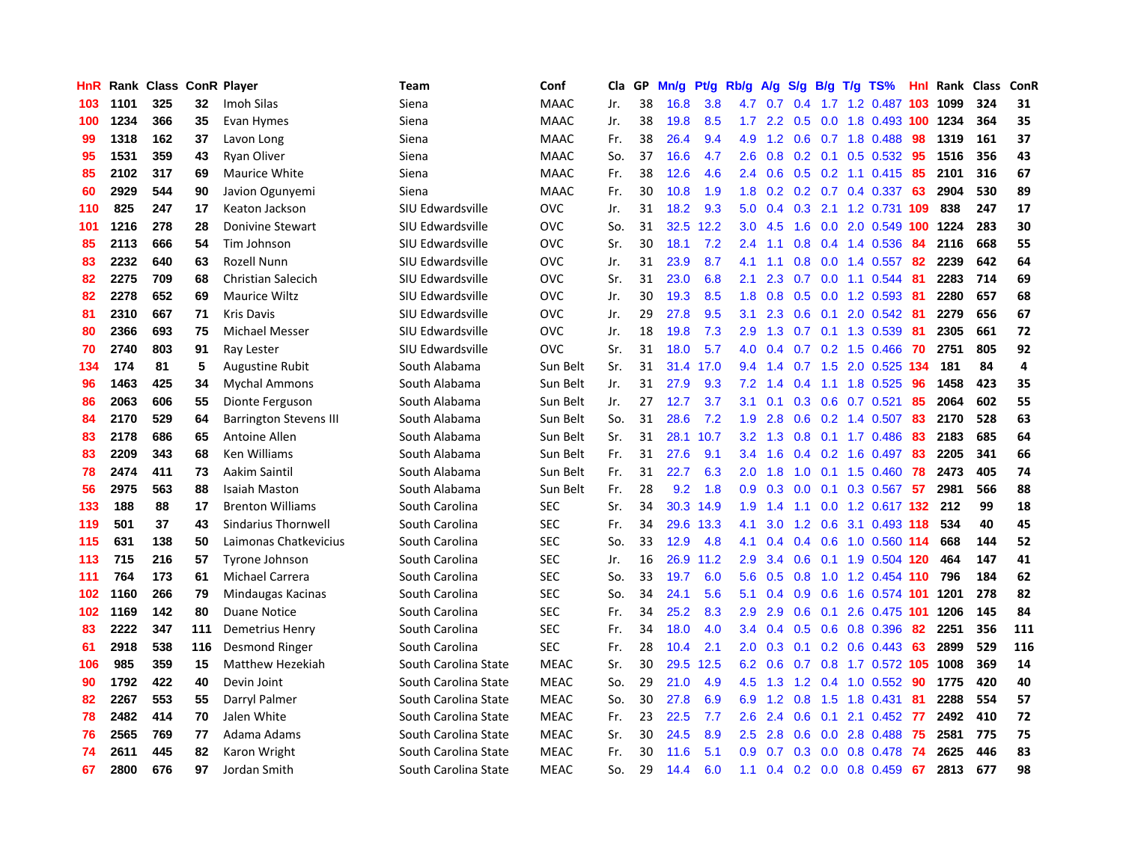| HnR |      | Rank Class ConR Player |     |                               | Team                 | Conf        | Cla | GP | Mn/g | Pt/g | Rb/g             | A/g | S/g           | B/g             | $T/g$ TS%                          | <b>Hnl</b> | Rank | <b>Class</b> | ConR           |
|-----|------|------------------------|-----|-------------------------------|----------------------|-------------|-----|----|------|------|------------------|-----|---------------|-----------------|------------------------------------|------------|------|--------------|----------------|
| 103 | 1101 | 325                    | 32  | Imoh Silas                    | Siena                | <b>MAAC</b> | Jr. | 38 | 16.8 | 3.8  | 4.7              | 0.7 | $0.4^{\circ}$ | 1.7             | 1.2 0.487 103                      |            | 1099 | 324          | 31             |
| 100 | 1234 | 366                    | 35  | Evan Hymes                    | Siena                | <b>MAAC</b> | Jr. | 38 | 19.8 | 8.5  |                  |     |               |                 | 1.7 2.2 0.5 0.0 1.8 0.493 100 1234 |            |      | 364          | 35             |
| 99  | 1318 | 162                    | 37  | Lavon Long                    | Siena                | <b>MAAC</b> | Fr. | 38 | 26.4 | 9.4  | 4.9              | 1.2 |               |                 | $0.6$ 0.7 1.8 0.488                | 98         | 1319 | 161          | 37             |
| 95  | 1531 | 359                    | 43  | <b>Ryan Oliver</b>            | Siena                | <b>MAAC</b> | So. | 37 | 16.6 | 4.7  | 2.6              | 0.8 |               |                 | 0.2 0.1 0.5 0.532 95               |            | 1516 | 356          | 43             |
| 85  | 2102 | 317                    | 69  | <b>Maurice White</b>          | Siena                | <b>MAAC</b> | Fr. | 38 | 12.6 | 4.6  | 2.4              | 0.6 | 0.5           |                 | $0.2$ 1.1 0.415                    | -85        | 2101 | 316          | 67             |
| 60  | 2929 | 544                    | 90  | Javion Ogunyemi               | Siena                | <b>MAAC</b> | Fr. | 30 | 10.8 | 1.9  | 1.8              | 0.2 |               |                 | $0.2$ 0.7 0.4 0.337                | 63         | 2904 | 530          | 89             |
| 110 | 825  | 247                    | 17  | Keaton Jackson                | SIU Edwardsville     | <b>OVC</b>  | Jr. | 31 | 18.2 | 9.3  | 5.0              | 0.4 | 0.3           |                 | 2.1 1.2 0.731 109                  |            | 838  | 247          | 17             |
| 101 | 1216 | 278                    | 28  | Donivine Stewart              | SIU Edwardsville     | <b>OVC</b>  | So. | 31 | 32.5 | 12.2 | 3.0 <sub>2</sub> | 4.5 | 1.6           |                 | 0.0 2.0 0.549 100 1224             |            |      | 283          | 30             |
| 85  | 2113 | 666                    | 54  | Tim Johnson                   | SIU Edwardsville     | <b>OVC</b>  | Sr. | 30 | 18.1 | 7.2  | 2.4              | 1.1 | 0.8           |                 | 0.4 1.4 0.536                      | -84        | 2116 | 668          | 55             |
| 83  | 2232 | 640                    | 63  | <b>Rozell Nunn</b>            | SIU Edwardsville     | <b>OVC</b>  | Jr. | 31 | 23.9 | 8.7  | 4.1              | 1.1 | 0.8           |                 | $0.0$ 1.4 $0.557$                  | -82        | 2239 | 642          | 64             |
| 82  | 2275 | 709                    | 68  | <b>Christian Salecich</b>     | SIU Edwardsville     | <b>OVC</b>  | Sr. | 31 | 23.0 | 6.8  | 2.1              | 2.3 |               |                 | 0.7 0.0 1.1 0.544                  | -81        | 2283 | 714          | 69             |
| 82  | 2278 | 652                    | 69  | Maurice Wiltz                 | SIU Edwardsville     | <b>OVC</b>  | Jr. | 30 | 19.3 | 8.5  | 1.8              | 0.8 | 0.5           |                 | $0.0$ 1.2 0.593                    | -81        | 2280 | 657          | 68             |
| 81  | 2310 | 667                    | 71  | <b>Kris Davis</b>             | SIU Edwardsville     | <b>OVC</b>  | Jr. | 29 | 27.8 | 9.5  | 3.1              | 2.3 | 0.6           | 0.1             | 2.0 0.542 81                       |            | 2279 | 656          | 67             |
| 80  | 2366 | 693                    | 75  | Michael Messer                | SIU Edwardsville     | <b>OVC</b>  | Jr. | 18 | 19.8 | 7.3  | 2.9              | 1.3 | 0.7           |                 | 0.1 1.3 0.539                      | -81        | 2305 | 661          | 72             |
| 70  | 2740 | 803                    | 91  | Ray Lester                    | SIU Edwardsville     | <b>OVC</b>  | Sr. | 31 | 18.0 | 5.7  | 4.0              | 0.4 | 0.7           |                 | $0.2$ 1.5 0.466                    | 70         | 2751 | 805          | 92             |
| 134 | 174  | 81                     | 5   | <b>Augustine Rubit</b>        | South Alabama        | Sun Belt    | Sr. | 31 | 31.4 | 17.0 | 9.4              | 1.4 |               | $0.7 \quad 1.5$ | 2.0 0.525 134                      |            | 181  | 84           | $\overline{a}$ |
| 96  | 1463 | 425                    | 34  | <b>Mychal Ammons</b>          | South Alabama        | Sun Belt    | Jr. | 31 | 27.9 | 9.3  | 7.2              | 1.4 | $0.4^{\circ}$ | 1.1             | 1.8 0.525                          | 96         | 1458 | 423          | 35             |
| 86  | 2063 | 606                    | 55  | Dionte Ferguson               | South Alabama        | Sun Belt    | Jr. | 27 | 12.7 | 3.7  | 3.1              | 0.1 | 0.3           |                 | $0.6$ 0.7 0.521                    | 85         | 2064 | 602          | 55             |
| 84  | 2170 | 529                    | 64  | <b>Barrington Stevens III</b> | South Alabama        | Sun Belt    | So. | 31 | 28.6 | 7.2  | 1.9              | 2.8 |               |                 | 0.6 0.2 1.4 0.507 83               |            | 2170 | 528          | 63             |
| 83  | 2178 | 686                    | 65  | Antoine Allen                 | South Alabama        | Sun Belt    | Sr. | 31 | 28.1 | 10.7 | 3.2              | 1.3 | 0.8           |                 | $0.1$ 1.7 0.486                    | -83        | 2183 | 685          | 64             |
| 83  | 2209 | 343                    | 68  | <b>Ken Williams</b>           | South Alabama        | Sun Belt    | Fr. | 31 | 27.6 | 9.1  | 3.4              | 1.6 | 0.4           |                 | $0.2$ 1.6 0.497                    | -83        | 2205 | 341          | 66             |
| 78  | 2474 | 411                    | 73  | Aakim Saintil                 | South Alabama        | Sun Belt    | Fr. | 31 | 22.7 | 6.3  | 2.0              | 1.8 | 1.0           |                 | $0.1$ 1.5 0.460                    | 78         | 2473 | 405          | 74             |
| 56  | 2975 | 563                    | 88  | <b>Isaiah Maston</b>          | South Alabama        | Sun Belt    | Fr. | 28 | 9.2  | 1.8  | 0.9              | 0.3 | 0.0           |                 | $0.1$ 0.3 0.567                    | 57         | 2981 | 566          | 88             |
| 133 | 188  | 88                     | 17  | <b>Brenton Williams</b>       | South Carolina       | <b>SEC</b>  | Sr. | 34 | 30.3 | 14.9 | 1.9              | 1.4 | 1.1           |                 | 0.0 1.2 0.617 132                  |            | 212  | 99           | 18             |
| 119 | 501  | 37                     | 43  | Sindarius Thornwell           | South Carolina       | <b>SEC</b>  | Fr. | 34 | 29.6 | 13.3 | 4.1              | 3.0 | 1.2           |                 | 0.6 3.1 0.493 118                  |            | 534  | 40           | 45             |
| 115 | 631  | 138                    | 50  | Laimonas Chatkevicius         | South Carolina       | <b>SEC</b>  | So. | 33 | 12.9 | 4.8  | 4.1              | 0.4 |               |                 | 0.4 0.6 1.0 0.560 114              |            | 668  | 144          | 52             |
| 113 | 715  | 216                    | 57  | Tyrone Johnson                | South Carolina       | <b>SEC</b>  | Jr. | 16 | 26.9 | 11.2 | 2.9              | 3.4 |               |                 | 0.6 0.1 1.9 0.504 120              |            | 464  | 147          | 41             |
| 111 | 764  | 173                    | 61  | Michael Carrera               | South Carolina       | <b>SEC</b>  | So. | 33 | 19.7 | 6.0  | 5.6              | 0.5 |               |                 | $0.8$ 1.0 1.2 0.454 110            |            | 796  | 184          | 62             |
| 102 | 1160 | 266                    | 79  | Mindaugas Kacinas             | South Carolina       | <b>SEC</b>  | So. | 34 | 24.1 | 5.6  | 5.1              | 0.4 | 0.9           |                 | 0.6 1.6 0.574 101 1201             |            |      | 278          | 82             |
| 102 | 1169 | 142                    | 80  | <b>Duane Notice</b>           | South Carolina       | <b>SEC</b>  | Fr. | 34 | 25.2 | 8.3  | 2.9              | 2.9 | 0.6           |                 | 0.1 2.6 0.475 101 1206             |            |      | 145          | 84             |
| 83  | 2222 | 347                    | 111 | Demetrius Henry               | South Carolina       | <b>SEC</b>  | Fr. | 34 | 18.0 | 4.0  | $3.4^{\circ}$    | 0.4 | 0.5           |                 | 0.6 0.8 0.396                      | 82         | 2251 | 356          | 111            |
| 61  | 2918 | 538                    | 116 | Desmond Ringer                | South Carolina       | <b>SEC</b>  | Fr. | 28 | 10.4 | 2.1  | 2.0              | 0.3 | 0.1           |                 | $0.2$ 0.6 0.443                    | 63         | 2899 | 529          | 116            |
| 106 | 985  | 359                    | 15  | Matthew Hezekiah              | South Carolina State | <b>MEAC</b> | Sr. | 30 | 29.5 | 12.5 | 6.2              | 0.6 | 0.7           |                 | 0.8 1.7 0.572 105 1008             |            |      | 369          | 14             |
| 90  | 1792 | 422                    | 40  | Devin Joint                   | South Carolina State | <b>MEAC</b> | So. | 29 | 21.0 | 4.9  | 4.5              | 1.3 |               |                 | 1.2 0.4 1.0 0.552 90               |            | 1775 | 420          | 40             |
| 82  | 2267 | 553                    | 55  | Darryl Palmer                 | South Carolina State | <b>MEAC</b> | So. | 30 | 27.8 | 6.9  | 6.9              | 1.2 |               |                 | 0.8 1.5 1.8 0.431                  | -81        | 2288 | 554          | 57             |
| 78  | 2482 | 414                    | 70  | Jalen White                   | South Carolina State | <b>MEAC</b> | Fr. | 23 | 22.5 | 7.7  | 2.6              | 2.4 | 0.6           | 0.1             | 2.1 0.452 77                       |            | 2492 | 410          | 72             |
| 76  | 2565 | 769                    | 77  | Adama Adams                   | South Carolina State | <b>MEAC</b> | Sr. | 30 | 24.5 | 8.9  | 2.5              | 2.8 | 0.6           |                 | 0.0 2.8 0.488                      | -75        | 2581 | 775          | 75             |
| 74  | 2611 | 445                    | 82  | Karon Wright                  | South Carolina State | <b>MEAC</b> | Fr. | 30 | 11.6 | 5.1  | 0.9              | 0.7 | 0.3           |                 | $0.0$ 0.8 0.478                    | -74        | 2625 | 446          | 83             |
| 67  | 2800 | 676                    | 97  | Jordan Smith                  | South Carolina State | <b>MEAC</b> | So. | 29 | 14.4 | 6.0  | 1.1              |     |               |                 | $0.4$ 0.2 0.0 0.8 0.459            | 67         | 2813 | 677          | 98             |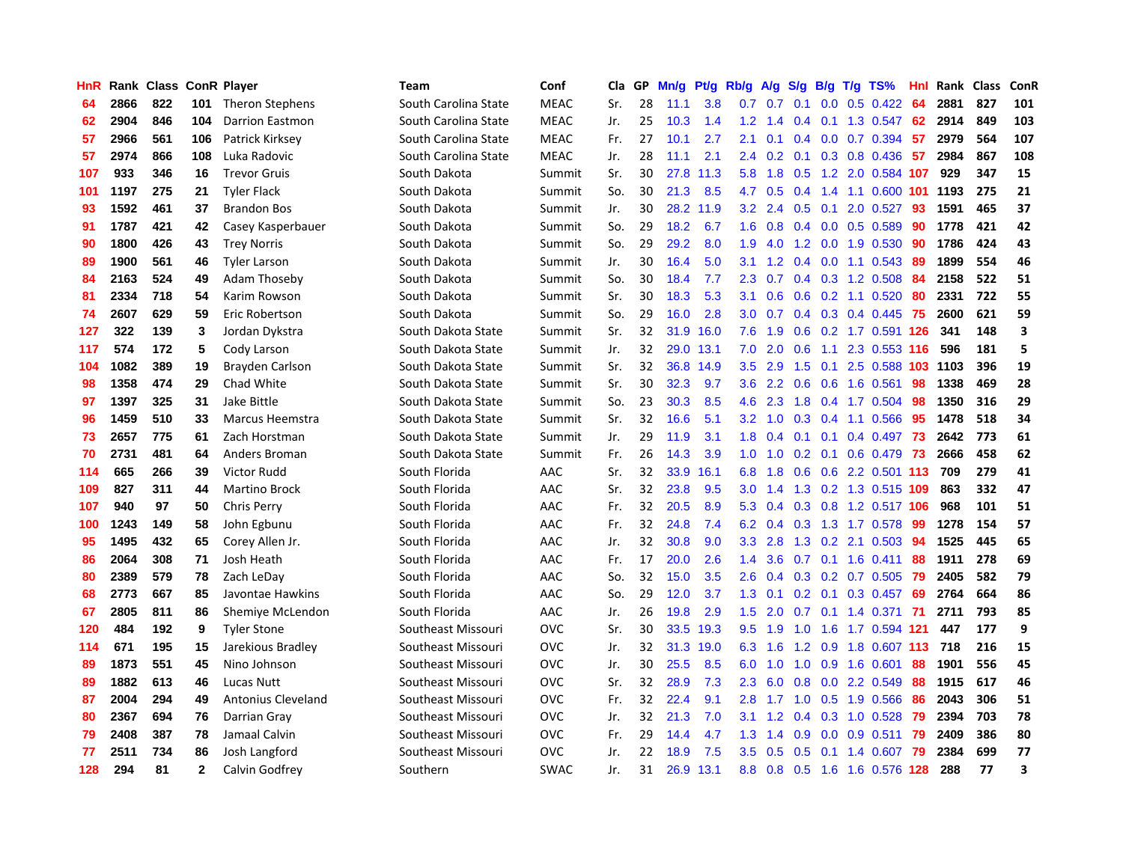| HnR |      | Rank Class |              | <b>ConR Player</b>        | <b>Team</b>          | Conf        | Cla | GP | Mn/g | <b>Pt/g</b> | Rb/g             | A/g           | S/g           | B/g              | $T/g$ TS%                  | Hnl | Rank | <b>Class</b> | ConR                    |
|-----|------|------------|--------------|---------------------------|----------------------|-------------|-----|----|------|-------------|------------------|---------------|---------------|------------------|----------------------------|-----|------|--------------|-------------------------|
| 64  | 2866 | 822        | 101          | <b>Theron Stephens</b>    | South Carolina State | <b>MEAC</b> | Sr. | 28 | 11.1 | 3.8         | 0.7              | 0.7           | 0.1           | 0.0 <sub>1</sub> | $0.5$ 0.422                | -64 | 2881 | 827          | 101                     |
| 62  | 2904 | 846        | 104          | <b>Darrion Eastmon</b>    | South Carolina State | <b>MEAC</b> | Jr. | 25 | 10.3 | 1.4         | 1.2              | 1.4           | $0.4^{\circ}$ |                  | 0.1 1.3 0.547              | -62 | 2914 | 849          | 103                     |
| 57  | 2966 | 561        | 106          | Patrick Kirksey           | South Carolina State | <b>MEAC</b> | Fr. | 27 | 10.1 | 2.7         | 2.1              | 0.1           | 0.4           |                  | $0.0$ 0.7 0.394            | -57 | 2979 | 564          | 107                     |
| 57  | 2974 | 866        | 108          | Luka Radovic              | South Carolina State | <b>MEAC</b> | Jr. | 28 | 11.1 | 2.1         | $2.4^{\circ}$    | 0.2           | 0.1           |                  | $0.3$ 0.8 0.436            | -57 | 2984 | 867          | 108                     |
| 107 | 933  | 346        | 16           | <b>Trevor Gruis</b>       | South Dakota         | Summit      | Sr. | 30 | 27.8 | 11.3        | 5.8              | 1.8           | 0.5           |                  | 1.2 2.0 0.584 107          |     | 929  | 347          | 15                      |
| 101 | 1197 | 275        | 21           | <b>Tyler Flack</b>        | South Dakota         | Summit      | So. | 30 | 21.3 | 8.5         | 4.7              | 0.5           |               |                  | 0.4 1.4 1.1 0.600 101 1193 |     |      | 275          | 21                      |
| 93  | 1592 | 461        | 37           | <b>Brandon Bos</b>        | South Dakota         | Summit      | Jr. | 30 | 28.2 | 11.9        | 3.2              | 2.4           | 0.5           |                  | 0.1 2.0 0.527              | 93  | 1591 | 465          | 37                      |
| 91  | 1787 | 421        | 42           | Casey Kasperbauer         | South Dakota         | Summit      | So. | 29 | 18.2 | 6.7         | 1.6              | 0.8           | 0.4           |                  | $0.0$ $0.5$ $0.589$        | 90  | 1778 | 421          | 42                      |
| 90  | 1800 | 426        | 43           | <b>Trey Norris</b>        | South Dakota         | Summit      | So. | 29 | 29.2 | 8.0         | 1.9              | 4.0           | 1.2           |                  | 0.0 1.9 0.530              | 90  | 1786 | 424          | 43                      |
| 89  | 1900 | 561        | 46           | <b>Tyler Larson</b>       | South Dakota         | Summit      | Jr. | 30 | 16.4 | 5.0         | 3.1              | 1.2           |               |                  | 0.4 0.0 1.1 0.543 89       |     | 1899 | 554          | 46                      |
| 84  | 2163 | 524        | 49           | Adam Thoseby              | South Dakota         | Summit      | So. | 30 | 18.4 | 7.7         | 2.3              | 0.7           |               |                  | 0.4 0.3 1.2 0.508 84       |     | 2158 | 522          | 51                      |
| 81  | 2334 | 718        | 54           | Karim Rowson              | South Dakota         | Summit      | Sr. | 30 | 18.3 | 5.3         | 3.1              | 0.6           |               |                  | $0.6$ $0.2$ 1.1 $0.520$    | -80 | 2331 | 722          | 55                      |
| 74  | 2607 | 629        | 59           | Eric Robertson            | South Dakota         | Summit      | So. | 29 | 16.0 | 2.8         | 3.0              | 0.7           | 0.4           |                  | 0.3 0.4 0.445 75           |     | 2600 | 621          | 59                      |
| 127 | 322  | 139        | 3            | Jordan Dykstra            | South Dakota State   | Summit      | Sr. | 32 | 31.9 | 16.0        | 7.6              | 1.9           | 0.6           |                  | 0.2 1.7 0.591 126          |     | 341  | 148          | $\overline{\mathbf{3}}$ |
| 117 | 574  | 172        | 5            | Cody Larson               | South Dakota State   | Summit      | Jr. | 32 | 29.0 | 13.1        | 7.0              | 2.0           | 0.6           |                  | 1.1 2.3 0.553 116          |     | 596  | 181          | 5                       |
| 104 | 1082 | 389        | 19           | Brayden Carlson           | South Dakota State   | Summit      | Sr. | 32 | 36.8 | 14.9        | 3.5              | 2.9           | 1.5           | 0.1              | 2.5 0.588 103 1103         |     |      | 396          | 19                      |
| 98  | 1358 | 474        | 29           | Chad White                | South Dakota State   | Summit      | Sr. | 30 | 32.3 | 9.7         | 3.6              | 2.2           | 0.6           |                  | 0.6 1.6 0.561              | 98  | 1338 | 469          | 28                      |
| 97  | 1397 | 325        | 31           | Jake Bittle               | South Dakota State   | Summit      | So. | 23 | 30.3 | 8.5         | 4.6              | 2.3           | 1.8           |                  | $0.4$ 1.7 0.504            | 98  | 1350 | 316          | 29                      |
| 96  | 1459 | 510        | 33           | <b>Marcus Heemstra</b>    | South Dakota State   | Summit      | Sr. | 32 | 16.6 | 5.1         | 3.2              | 1.0           |               |                  | 0.3 0.4 1.1 0.566 95       |     | 1478 | 518          | 34                      |
| 73  | 2657 | 775        | 61           | Zach Horstman             | South Dakota State   | Summit      | Jr. | 29 | 11.9 | 3.1         | 1.8              | 0.4           |               |                  | $0.1$ 0.1 0.4 0.497        | -73 | 2642 | 773          | 61                      |
| 70  | 2731 | 481        | 64           | Anders Broman             | South Dakota State   | Summit      | Fr. | 26 | 14.3 | 3.9         | 1.0              | 1.0           |               |                  | $0.2$ 0.1 0.6 0.479        | -73 | 2666 | 458          | 62                      |
| 114 | 665  | 266        | 39           | Victor Rudd               | South Florida        | AAC         | Sr. | 32 | 33.9 | 16.1        | 6.8              | 1.8           | 0.6           |                  | 0.6 2.2 0.501 113          |     | 709  | 279          | 41                      |
| 109 | 827  | 311        | 44           | <b>Martino Brock</b>      | South Florida        | AAC         | Sr. | 32 | 23.8 | 9.5         | 3.0              | 1.4           | 1.3           |                  | 0.2 1.3 0.515 109          |     | 863  | 332          | 47                      |
| 107 | 940  | 97         | 50           | Chris Perry               | South Florida        | AAC         | Fr. | 32 | 20.5 | 8.9         | 5.3              | 0.4           | 0.3           |                  | 0.8 1.2 0.517 106          |     | 968  | 101          | 51                      |
| 100 | 1243 | 149        | 58           | John Egbunu               | South Florida        | AAC         | Fr. | 32 | 24.8 | 7.4         | 6.2              | 0.4           | 0.3           |                  | 1.3 1.7 0.578              | -99 | 1278 | 154          | 57                      |
| 95  | 1495 | 432        | 65           | Corey Allen Jr.           | South Florida        | AAC         | Jr. | 32 | 30.8 | 9.0         | 3.3 <sub>2</sub> | 2.8           | 1.3           |                  | $0.2$ 2.1 $0.503$          | -94 | 1525 | 445          | 65                      |
| 86  | 2064 | 308        | 71           | Josh Heath                | South Florida        | AAC         | Fr. | 17 | 20.0 | 2.6         | $1.4^{\circ}$    | 3.6           |               |                  | $0.7$ 0.1 1.6 0.411        | -88 | 1911 | 278          | 69                      |
| 80  | 2389 | 579        | 78           | Zach LeDay                | South Florida        | AAC         | So. | 32 | 15.0 | 3.5         | $2.6\,$          | $0.4^{\circ}$ |               |                  | 0.3 0.2 0.7 0.505 79       |     | 2405 | 582          | 79                      |
| 68  | 2773 | 667        | 85           | Javontae Hawkins          | South Florida        | AAC         | So. | 29 | 12.0 | 3.7         | 1.3              | 0.1           |               |                  | 0.2 0.1 0.3 0.457 69       |     | 2764 | 664          | 86                      |
| 67  | 2805 | 811        | 86           | Shemiye McLendon          | South Florida        | AAC         | Jr. | 26 | 19.8 | 2.9         | 1.5              | 2.0           | 0.7           |                  | $0.1$ 1.4 $0.371$          | 71  | 2711 | 793          | 85                      |
| 120 | 484  | 192        | 9            | <b>Tyler Stone</b>        | Southeast Missouri   | <b>OVC</b>  | Sr. | 30 | 33.5 | 19.3        | 9.5              | 1.9           | 1.0           |                  | 1.6 1.7 0.594 121          |     | 447  | 177          | 9                       |
| 114 | 671  | 195        | 15           | Jarekious Bradley         | Southeast Missouri   | <b>OVC</b>  | Jr. | 32 | 31.3 | 19.0        | 6.3              | 1.6           | 1.2           |                  | 0.9 1.8 0.607 113          |     | 718  | 216          | 15                      |
| 89  | 1873 | 551        | 45           | Nino Johnson              | Southeast Missouri   | <b>OVC</b>  | Jr. | 30 | 25.5 | 8.5         | 6.0              | 1.0           | 1.0           |                  | 0.9 1.6 0.601              | 88  | 1901 | 556          | 45                      |
| 89  | 1882 | 613        | 46           | Lucas Nutt                | Southeast Missouri   | <b>OVC</b>  | Sr. | 32 | 28.9 | 7.3         | 2.3              | 6.0           | 0.8           | 0.0              | 2.2 0.549                  | 88  | 1915 | 617          | 46                      |
| 87  | 2004 | 294        | 49           | <b>Antonius Cleveland</b> | Southeast Missouri   | <b>OVC</b>  | Fr. | 32 | 22.4 | 9.1         | 2.8              | 1.7           | 1.0           |                  | $0.5$ 1.9 0.566            | -86 | 2043 | 306          | 51                      |
| 80  | 2367 | 694        | 76           | Darrian Gray              | Southeast Missouri   | <b>OVC</b>  | Jr. | 32 | 21.3 | 7.0         | 3.1              | 1.2           | $0.4^{\circ}$ |                  | 0.3 1.0 0.528 79           |     | 2394 | 703          | 78                      |
| 79  | 2408 | 387        | 78           | Jamaal Calvin             | Southeast Missouri   | <b>OVC</b>  | Fr. | 29 | 14.4 | 4.7         | 1.3              | 1.4           | 0.9           |                  | $0.0$ 0.9 0.511            | -79 | 2409 | 386          | 80                      |
| 77  | 2511 | 734        | 86           | Josh Langford             | Southeast Missouri   | <b>OVC</b>  | Jr. | 22 | 18.9 | 7.5         | 3.5              | 0.5           | 0.5           |                  | $0.1$ 1.4 0.607            | -79 | 2384 | 699          | 77                      |
| 128 | 294  | 81         | $\mathbf{2}$ | Calvin Godfrey            | Southern             | <b>SWAC</b> | Jr. | 31 | 26.9 | 13.1        | 8.8              |               |               |                  | 0.8 0.5 1.6 1.6 0.576 128  |     | 288  | 77           | $\overline{\mathbf{3}}$ |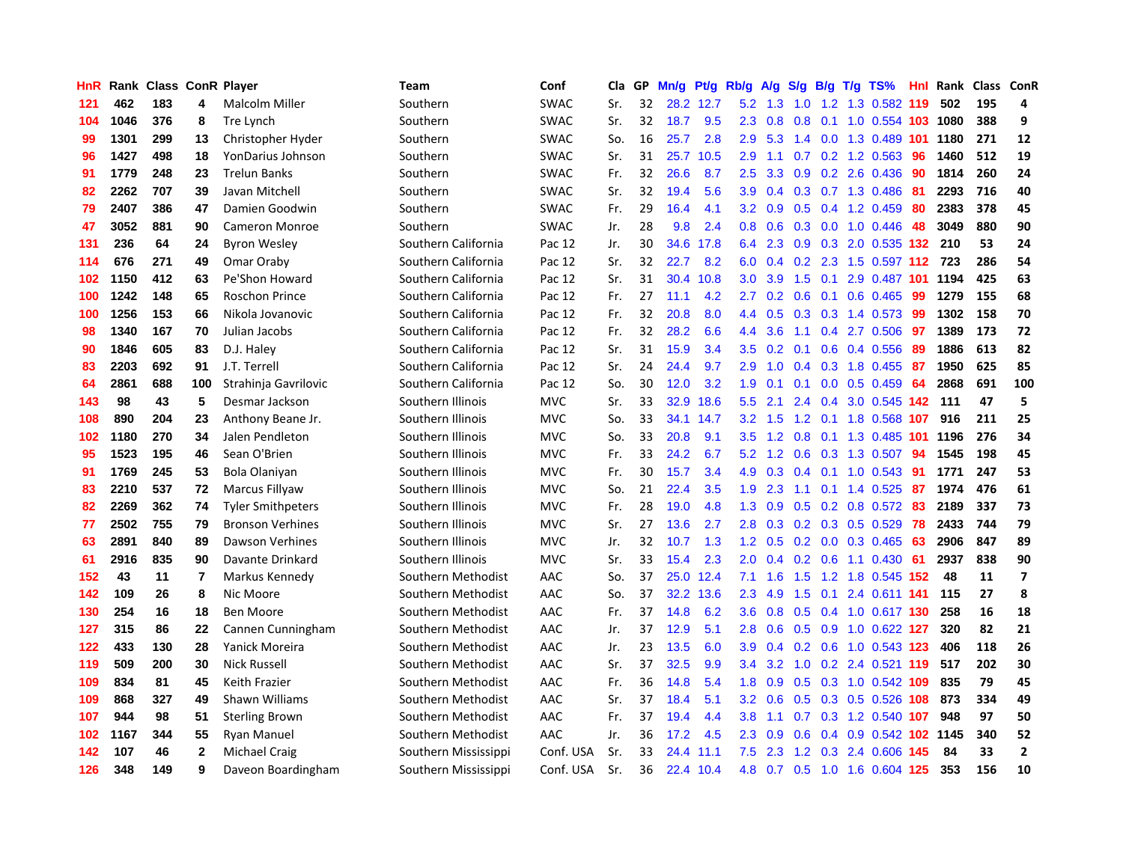| HnR | Rank |     |              | <b>Class ConR Player</b> | <b>Team</b>          | Conf        | Cla | GP | Mn/g | <b>Pt/g</b> | Rb/g             | A/g | S/g | B/g | $T/g$ TS%                  | Hnl | Rank | Class ConR |                         |
|-----|------|-----|--------------|--------------------------|----------------------|-------------|-----|----|------|-------------|------------------|-----|-----|-----|----------------------------|-----|------|------------|-------------------------|
| 121 | 462  | 183 | 4            | <b>Malcolm Miller</b>    | Southern             | <b>SWAC</b> | Sr. | 32 |      | 28.2 12.7   | 5.2              | 1.3 | 1.0 |     | 1.2 1.3 0.582 119          |     | 502  | 195        | 4                       |
| 104 | 1046 | 376 | 8            | Tre Lynch                | Southern             | <b>SWAC</b> | Sr. | 32 | 18.7 | 9.5         | 2.3              | 0.8 | 0.8 |     | 0.1 1.0 0.554 103 1080     |     |      | 388        | 9                       |
| 99  | 1301 | 299 | 13           | Christopher Hyder        | Southern             | <b>SWAC</b> | So. | 16 | 25.7 | 2.8         | 2.9              | 5.3 |     |     | 1.4 0.0 1.3 0.489 101 1180 |     |      | 271        | 12                      |
| 96  | 1427 | 498 | 18           | YonDarius Johnson        | Southern             | <b>SWAC</b> | Sr. | 31 | 25.7 | 10.5        | 2.9              | 1.1 |     |     | $0.7$ $0.2$ 1.2 $0.563$    | -96 | 1460 | 512        | 19                      |
| 91  | 1779 | 248 | 23           | <b>Trelun Banks</b>      | Southern             | SWAC        | Fr. | 32 | 26.6 | 8.7         | $2.5\,$          | 3.3 | 0.9 |     | 0.2 2.6 0.436              | 90  | 1814 | 260        | 24                      |
| 82  | 2262 | 707 | 39           | Javan Mitchell           | Southern             | <b>SWAC</b> | Sr. | 32 | 19.4 | 5.6         | 3.9              | 0.4 |     |     | 0.3 0.7 1.3 0.486          | -81 | 2293 | 716        | 40                      |
| 79  | 2407 | 386 | 47           | Damien Goodwin           | Southern             | <b>SWAC</b> | Fr. | 29 | 16.4 | 4.1         | 3.2              | 0.9 | 0.5 |     | 0.4 1.2 0.459              | -80 | 2383 | 378        | 45                      |
| 47  | 3052 | 881 | 90           | <b>Cameron Monroe</b>    | Southern             | <b>SWAC</b> | Jr. | 28 | 9.8  | 2.4         | 0.8              | 0.6 | 0.3 |     | $0.0$ 1.0 $0.446$          | 48  | 3049 | 880        | 90                      |
| 131 | 236  | 64  | 24           | <b>Byron Wesley</b>      | Southern California  | Pac 12      | Jr. | 30 | 34.6 | 17.8        | 6.4              | 2.3 | 0.9 |     | 0.3 2.0 0.535 132          |     | 210  | 53         | 24                      |
| 114 | 676  | 271 | 49           | Omar Oraby               | Southern California  | Pac 12      | Sr. | 32 | 22.7 | 8.2         | 6.0              | 0.4 |     |     | 0.2 2.3 1.5 0.597 112      |     | 723  | 286        | 54                      |
| 102 | 1150 | 412 | 63           | Pe'Shon Howard           | Southern California  | Pac 12      | Sr. | 31 | 30.4 | 10.8        | 3.0 <sub>2</sub> | 3.9 |     |     | 1.5 0.1 2.9 0.487 101 1194 |     |      | 425        | 63                      |
| 100 | 1242 | 148 | 65           | <b>Roschon Prince</b>    | Southern California  | Pac 12      | Fr. | 27 | 11.1 | 4.2         | 2.7              | 0.2 | 0.6 |     | $0.1$ 0.6 0.465            | -99 | 1279 | 155        | 68                      |
| 100 | 1256 | 153 | 66           | Nikola Jovanovic         | Southern California  | Pac 12      | Fr. | 32 | 20.8 | 8.0         | 4.4              | 0.5 | 0.3 |     | 0.3 1.4 0.573 99           |     | 1302 | 158        | 70                      |
| 98  | 1340 | 167 | 70           | Julian Jacobs            | Southern California  | Pac 12      | Fr. | 32 | 28.2 | 6.6         | 4.4              | 3.6 | 1.1 |     | $0.4$ 2.7 0.506            | -97 | 1389 | 173        | 72                      |
| 90  | 1846 | 605 | 83           | D.J. Haley               | Southern California  | Pac 12      | Sr. | 31 | 15.9 | 3.4         | 3.5              | 0.2 | 0.1 |     | 0.6 0.4 0.556              | -89 | 1886 | 613        | 82                      |
| 83  | 2203 | 692 | 91           | J.T. Terrell             | Southern California  | Pac 12      | Sr. | 24 | 24.4 | 9.7         | 2.9              | 1.0 | 0.4 |     | $0.3$ 1.8 $0.455$          | -87 | 1950 | 625        | 85                      |
| 64  | 2861 | 688 | 100          | Strahinja Gavrilovic     | Southern California  | Pac 12      | So. | 30 | 12.0 | 3.2         | 1.9              | 0.1 | 0.1 | 0.0 | $0.5$ 0.459                | -64 | 2868 | 691        | 100                     |
| 143 | 98   | 43  | 5            | Desmar Jackson           | Southern Illinois    | <b>MVC</b>  | Sr. | 33 | 32.9 | 18.6        | 5.5              | 2.1 | 2.4 |     | 0.4 3.0 0.545 142          |     | -111 | 47         | 5                       |
| 108 | 890  | 204 | 23           | Anthony Beane Jr.        | Southern Illinois    | <b>MVC</b>  | So. | 33 | 34.1 | 14.7        | 3.2              | 1.5 |     |     | 1.2 0.1 1.8 0.568 107      |     | 916  | 211        | 25                      |
| 102 | 1180 | 270 | 34           | Jalen Pendleton          | Southern Illinois    | <b>MVC</b>  | So. | 33 | 20.8 | 9.1         | 3.5              | 1.2 | 0.8 |     | 0.1 1.3 0.485 101 1196     |     |      | 276        | 34                      |
| 95  | 1523 | 195 | 46           | Sean O'Brien             | Southern Illinois    | <b>MVC</b>  | Fr. | 33 | 24.2 | 6.7         | 5.2              | 1.2 | 0.6 |     | 0.3 1.3 0.507 94           |     | 1545 | 198        | 45                      |
| 91  | 1769 | 245 | 53           | Bola Olaniyan            | Southern Illinois    | <b>MVC</b>  | Fr. | 30 | 15.7 | 3.4         | 4.9              | 0.3 | 0.4 |     | $0.1$ 1.0 0.543            | -91 | 1771 | 247        | 53                      |
| 83  | 2210 | 537 | 72           | Marcus Fillyaw           | Southern Illinois    | <b>MVC</b>  | So. | 21 | 22.4 | 3.5         | 1.9              | 2.3 | 1.1 |     | $0.1$ 1.4 $0.525$          | -87 | 1974 | 476        | 61                      |
| 82  | 2269 | 362 | 74           | <b>Tyler Smithpeters</b> | Southern Illinois    | <b>MVC</b>  | Fr. | 28 | 19.0 | 4.8         | 1.3              | 0.9 | 0.5 |     | $0.2$ 0.8 0.572            | -83 | 2189 | 337        | 73                      |
| 77  | 2502 | 755 | 79           | <b>Bronson Verhines</b>  | Southern Illinois    | <b>MVC</b>  | Sr. | 27 | 13.6 | 2.7         | 2.8              | 0.3 | 0.2 |     | 0.3 0.5 0.529              | -78 | 2433 | 744        | 79                      |
| 63  | 2891 | 840 | 89           | Dawson Verhines          | Southern Illinois    | <b>MVC</b>  | Jr. | 32 | 10.7 | 1.3         | 1.2              | 0.5 | 0.2 |     | $0.0$ 0.3 0.465            | 63  | 2906 | 847        | 89                      |
| 61  | 2916 | 835 | 90           | Davante Drinkard         | Southern Illinois    | <b>MVC</b>  | Sr. | 33 | 15.4 | 2.3         | 2.0              | 0.4 |     |     | 0.2 0.6 1.1 0.430 61       |     | 2937 | 838        | 90                      |
| 152 | 43   | 11  | 7            | Markus Kennedy           | Southern Methodist   | AAC         | So. | 37 | 25.0 | 12.4        | 7.1              | 1.6 |     |     | 1.5 1.2 1.8 0.545 152      |     | 48   | 11         | $\overline{\mathbf{z}}$ |
| 142 | 109  | 26  | 8            | Nic Moore                | Southern Methodist   | AAC         | So. | 37 | 32.2 | 13.6        | $2.3^{\circ}$    | 4.9 | 1.5 |     | $0.1$ 2.4 0.611 141        |     | 115  | 27         | 8                       |
| 130 | 254  | 16  | 18           | <b>Ben Moore</b>         | Southern Methodist   | AAC         | Fr. | 37 | 14.8 | 6.2         | 3.6              | 0.8 | 0.5 |     | 0.4 1.0 0.617 130          |     | 258  | 16         | 18                      |
| 127 | 315  | 86  | 22           | Cannen Cunningham        | Southern Methodist   | AAC         | Jr. | 37 | 12.9 | 5.1         | 2.8              | 0.6 | 0.5 |     | 0.9 1.0 0.622 127          |     | 320  | 82         | 21                      |
| 122 | 433  | 130 | 28           | Yanick Moreira           | Southern Methodist   | AAC         | Jr. | 23 | 13.5 | 6.0         | 3.9 <sub>2</sub> | 0.4 |     |     | 0.2 0.6 1.0 0.543 123      |     | 406  | 118        | 26                      |
| 119 | 509  | 200 | 30           | <b>Nick Russell</b>      | Southern Methodist   | AAC         | Sr. | 37 | 32.5 | 9.9         | 3.4              | 3.2 | 1.0 |     | 0.2 2.4 0.521 119          |     | 517  | 202        | 30                      |
| 109 | 834  | 81  | 45           | Keith Frazier            | Southern Methodist   | AAC         | Fr. | 36 | 14.8 | 5.4         | 1.8              | 0.9 | 0.5 |     | 0.3 1.0 0.542 109          |     | 835  | 79         | 45                      |
| 109 | 868  | 327 | 49           | Shawn Williams           | Southern Methodist   | AAC         | Sr. | 37 | 18.4 | 5.1         | 3.2              | 0.6 | 0.5 |     | 0.3 0.5 0.526 108          |     | 873  | 334        | 49                      |
| 107 | 944  | 98  | 51           | <b>Sterling Brown</b>    | Southern Methodist   | AAC         | Fr. | 37 | 19.4 | 4.4         | 3.8              | 1.1 |     |     | 0.7 0.3 1.2 0.540 107      |     | 948  | 97         | 50                      |
| 102 | 1167 | 344 | 55           | Ryan Manuel              | Southern Methodist   | AAC         | Jr. | 36 | 17.2 | 4.5         | 2.3              | 0.9 | 0.6 |     | 0.4 0.9 0.542 102 1145     |     |      | 340        | 52                      |
| 142 | 107  | 46  | $\mathbf{2}$ | Michael Craig            | Southern Mississippi | Conf. USA   | Sr. | 33 | 24.4 | 11.1        | 7.5              | 2.3 |     |     | 1.2 0.3 2.4 0.606 145      |     | 84   | 33         | $\mathbf{2}$            |
| 126 | 348  | 149 | 9            | Daveon Boardingham       | Southern Mississippi | Conf. USA   | Sr. | 36 |      | 22.4 10.4   | 4.8              |     |     |     | 0.7 0.5 1.0 1.6 0.604 125  |     | 353  | 156        | 10                      |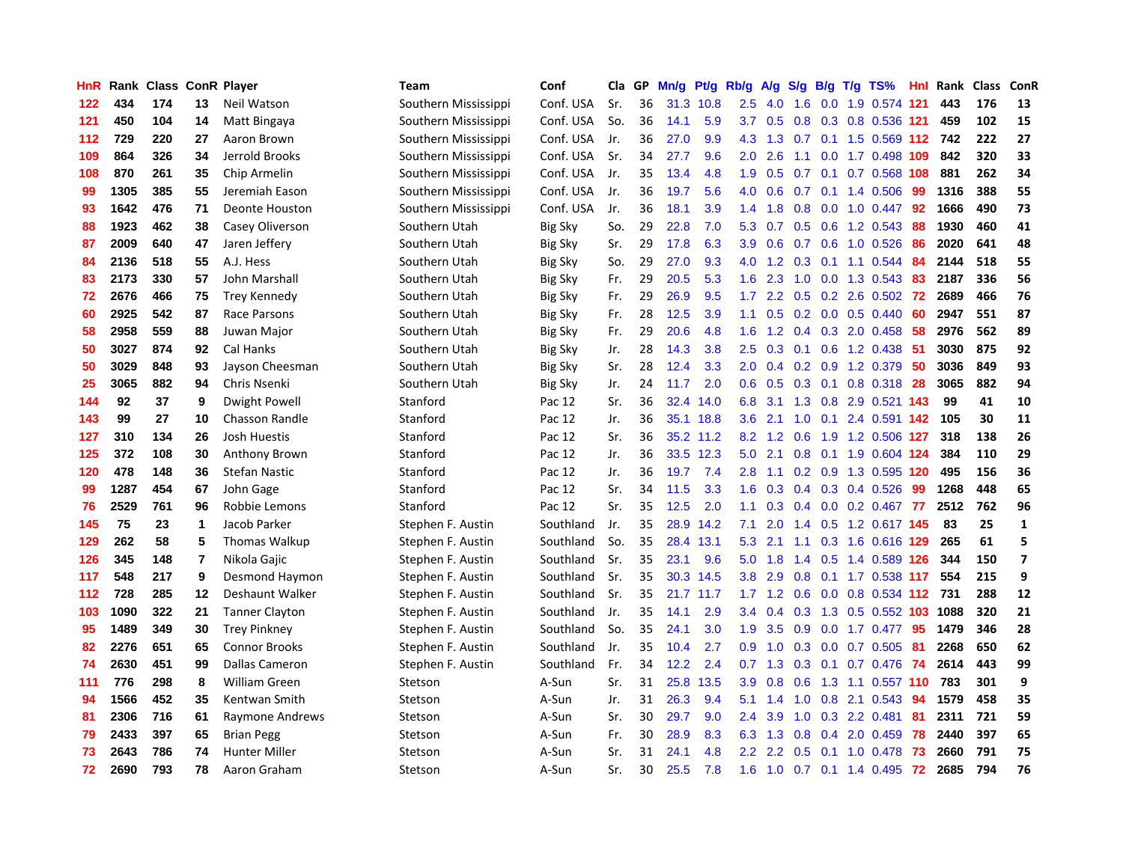| HnR | Rank | <b>Class ConR Player</b> |                         |                       | <b>Team</b>          | Conf           | Cla | GP | Mn/g | Pt/g      | Rb/g             | A/g | S/g           |  | $B/g$ T/g TS%             | <b>Hnl</b> | Rank | <b>Class</b> | ConR                    |
|-----|------|--------------------------|-------------------------|-----------------------|----------------------|----------------|-----|----|------|-----------|------------------|-----|---------------|--|---------------------------|------------|------|--------------|-------------------------|
| 122 | 434  | 174                      | 13                      | Neil Watson           | Southern Mississippi | Conf. USA      | Sr. | 36 | 31.3 | 10.8      | 2.5              | 4.0 | 1.6           |  | 0.0 1.9 0.574 121         |            | 443  | 176          | 13                      |
| 121 | 450  | 104                      | 14                      | Matt Bingaya          | Southern Mississippi | Conf. USA      | So. | 36 | 14.1 | 5.9       | 3.7              | 0.5 | 0.8           |  | 0.3 0.8 0.536 121         |            | 459  | 102          | 15                      |
| 112 | 729  | 220                      | 27                      | Aaron Brown           | Southern Mississippi | Conf. USA      | Jr. | 36 | 27.0 | 9.9       | 4.3              | 1.3 |               |  | 0.7 0.1 1.5 0.569 112 742 |            |      | 222          | 27                      |
| 109 | 864  | 326                      | 34                      | Jerrold Brooks        | Southern Mississippi | Conf. USA      | Sr. | 34 | 27.7 | 9.6       | 2.0 <sub>2</sub> | 2.6 | 1.1           |  | 0.0 1.7 0.498 109         |            | 842  | 320          | 33                      |
| 108 | 870  | 261                      | 35                      | Chip Armelin          | Southern Mississippi | Conf. USA      | Jr. | 35 | 13.4 | 4.8       | 1.9              | 0.5 | 0.7           |  | $0.1$ 0.7 0.568 108       |            | 881  | 262          | 34                      |
| 99  | 1305 | 385                      | 55                      | Jeremiah Eason        | Southern Mississippi | Conf. USA      | Jr. | 36 | 19.7 | 5.6       | 4.0              | 0.6 | 0.7           |  | $0.1$ 1.4 0.506           | -99        | 1316 | 388          | 55                      |
| 93  | 1642 | 476                      | 71                      | <b>Deonte Houston</b> | Southern Mississippi | Conf. USA      | Jr. | 36 | 18.1 | 3.9       | 1.4              | 1.8 | 0.8           |  | $0.0$ 1.0 $0.447$         | 92         | 1666 | 490          | 73                      |
| 88  | 1923 | 462                      | 38                      | Casey Oliverson       | Southern Utah        | <b>Big Sky</b> | So. | 29 | 22.8 | 7.0       | 5.3              | 0.7 | 0.5           |  | $0.6$ 1.2 0.543           | 88         | 1930 | 460          | 41                      |
| 87  | 2009 | 640                      | 47                      | Jaren Jeffery         | Southern Utah        | <b>Big Sky</b> | Sr. | 29 | 17.8 | 6.3       | 3.9              | 0.6 | 0.7           |  | 0.6 1.0 0.526             | 86         | 2020 | 641          | 48                      |
| 84  | 2136 | 518                      | 55                      | A.J. Hess             | Southern Utah        | <b>Big Sky</b> | So. | 29 | 27.0 | 9.3       | 4.0              | 1.2 | 0.3           |  | $0.1$ 1.1 0.544           | -84        | 2144 | 518          | 55                      |
| 83  | 2173 | 330                      | 57                      | John Marshall         | Southern Utah        | <b>Big Sky</b> | Fr. | 29 | 20.5 | 5.3       | 1.6              | 2.3 |               |  | 1.0 0.0 1.3 0.543 83      |            | 2187 | 336          | 56                      |
| 72  | 2676 | 466                      | 75                      | <b>Trey Kennedy</b>   | Southern Utah        | <b>Big Sky</b> | Fr. | 29 | 26.9 | 9.5       | 1.7              | 2.2 |               |  | 0.5 0.2 2.6 0.502 72      |            | 2689 | 466          | 76                      |
| 60  | 2925 | 542                      | 87                      | Race Parsons          | Southern Utah        | Big Sky        | Fr. | 28 | 12.5 | 3.9       | 1.1              | 0.5 |               |  | $0.2$ 0.0 0.5 0.440       | -60        | 2947 | 551          | 87                      |
| 58  | 2958 | 559                      | 88                      | Juwan Major           | Southern Utah        | <b>Big Sky</b> | Fr. | 29 | 20.6 | 4.8       | 1.6              | 1.2 | $0.4^{\circ}$ |  | $0.3$ 2.0 0.458           | 58         | 2976 | 562          | 89                      |
| 50  | 3027 | 874                      | 92                      | Cal Hanks             | Southern Utah        | Big Sky        | Jr. | 28 | 14.3 | 3.8       | 2.5              | 0.3 | 0.1           |  | $0.6$ 1.2 0.438           | -51        | 3030 | 875          | 92                      |
| 50  | 3029 | 848                      | 93                      | Jayson Cheesman       | Southern Utah        | <b>Big Sky</b> | Sr. | 28 | 12.4 | 3.3       | 2.0              | 0.4 | 0.2           |  | 0.9 1.2 0.379             | -50        | 3036 | 849          | 93                      |
| 25  | 3065 | 882                      | 94                      | Chris Nsenki          | Southern Utah        | <b>Big Sky</b> | Jr. | 24 | 11.7 | 2.0       | 0.6              | 0.5 | 0.3           |  | $0.1$ 0.8 0.318           | -28        | 3065 | 882          | 94                      |
| 144 | 92   | 37                       | 9                       | <b>Dwight Powell</b>  | Stanford             | Pac 12         | Sr. | 36 | 32.4 | 14.0      | 6.8              | 3.1 | 1.3           |  | 0.8 2.9 0.521 143         |            | 99   | 41           | 10                      |
| 143 | 99   | 27                       | 10                      | <b>Chasson Randle</b> | Stanford             | Pac 12         | Jr. | 36 | 35.1 | 18.8      | 3.6              | 2.1 | 1.0           |  | 0.1 2.4 0.591 142 105     |            |      | 30           | 11                      |
| 127 | 310  | 134                      | 26                      | Josh Huestis          | Stanford             | Pac 12         | Sr. | 36 |      | 35.2 11.2 | 8.2              | 1.2 | 0.6           |  | 1.9 1.2 0.506 127         |            | 318  | 138          | 26                      |
| 125 | 372  | 108                      | 30                      | Anthony Brown         | Stanford             | Pac 12         | Jr. | 36 |      | 33.5 12.3 | 5.0              | 2.1 | 0.8           |  | 0.1 1.9 0.604 124         |            | 384  | 110          | 29                      |
| 120 | 478  | 148                      | 36                      | <b>Stefan Nastic</b>  | Stanford             | Pac 12         | Jr. | 36 | 19.7 | 7.4       | 2.8              | 1.1 |               |  | 0.2 0.9 1.3 0.595 120     |            | 495  | 156          | 36                      |
| 99  | 1287 | 454                      | 67                      | John Gage             | Stanford             | Pac 12         | Sr. | 34 | 11.5 | 3.3       | 1.6              | 0.3 | 0.4           |  | 0.3 0.4 0.526             | 99         | 1268 | 448          | 65                      |
| 76  | 2529 | 761                      | 96                      | Robbie Lemons         | Stanford             | Pac 12         | Sr. | 35 | 12.5 | 2.0       | 1.1              | 0.3 | 0.4           |  | $0.0$ 0.2 0.467           | 77         | 2512 | 762          | 96                      |
| 145 | 75   | 23                       | $\mathbf{1}$            | Jacob Parker          | Stephen F. Austin    | Southland      | Jr. | 35 | 28.9 | 14.2      | 7.1              | 2.0 | 1.4           |  | 0.5 1.2 0.617 145         |            | 83   | 25           | $\mathbf{1}$            |
| 129 | 262  | 58                       | 5                       | <b>Thomas Walkup</b>  | Stephen F. Austin    | Southland      | So. | 35 | 28.4 | 13.1      | 5.3              | 2.1 | 1.1           |  | 0.3 1.6 0.616 129         |            | 265  | 61           | 5                       |
| 126 | 345  | 148                      | $\overline{\mathbf{r}}$ | Nikola Gajic          | Stephen F. Austin    | Southland      | Sr. | 35 | 23.1 | 9.6       | 5.0              | 1.8 |               |  | 1.4 0.5 1.4 0.589 126     |            | 344  | 150          | $\overline{\mathbf{z}}$ |
| 117 | 548  | 217                      | 9                       | Desmond Haymon        | Stephen F. Austin    | Southland      | Sr. | 35 |      | 30.3 14.5 | 3.8              | 2.9 | 0.8           |  | 0.1 1.7 0.538 117         |            | 554  | 215          | 9                       |
| 112 | 728  | 285                      | 12                      | Deshaunt Walker       | Stephen F. Austin    | Southland      | Sr. | 35 | 21.7 | 11.7      | 1.7              | 1.2 | 0.6           |  | $0.0$ 0.8 0.534 112       |            | 731  | 288          | 12                      |
| 103 | 1090 | 322                      | 21                      | <b>Tanner Clayton</b> | Stephen F. Austin    | Southland      | Jr. | 35 | 14.1 | 2.9       | 3.4              | 0.4 | 0.3           |  | 1.3 0.5 0.552 103 1088    |            |      | 320          | 21                      |
| 95  | 1489 | 349                      | 30                      | <b>Trey Pinkney</b>   | Stephen F. Austin    | Southland      | So. | 35 | 24.1 | 3.0       | 1.9              | 3.5 | 0.9           |  | $0.0$ 1.7 $0.477$         | 95         | 1479 | 346          | 28                      |
| 82  | 2276 | 651                      | 65                      | <b>Connor Brooks</b>  | Stephen F. Austin    | Southland      | Jr. | 35 | 10.4 | 2.7       | 0.9              | 1.0 | 0.3           |  | $0.0$ 0.7 0.505           | -81        | 2268 | 650          | 62                      |
| 74  | 2630 | 451                      | 99                      | Dallas Cameron        | Stephen F. Austin    | Southland      | Fr. | 34 | 12.2 | 2.4       | 0.7              | 1.3 | 0.3           |  | $0.1$ 0.7 0.476           | 74         | 2614 | 443          | 99                      |
| 111 | 776  | 298                      | 8                       | William Green         | Stetson              | A-Sun          | Sr. | 31 | 25.8 | 13.5      | 3.9              | 0.8 | 0.6           |  | 1.3 1.1 0.557 110         |            | 783  | 301          | 9                       |
| 94  | 1566 | 452                      | 35                      | Kentwan Smith         | Stetson              | A-Sun          | Jr. | 31 | 26.3 | 9.4       | 5.1              | 1.4 | 1.0           |  | 0.8 2.1 0.543             | 94         | 1579 | 458          | 35                      |
| 81  | 2306 | 716                      | 61                      | Raymone Andrews       | Stetson              | A-Sun          | Sr. | 30 | 29.7 | 9.0       | $2.4^{\circ}$    | 3.9 | 1.0           |  | 0.3 2.2 0.481             | -81        | 2311 | 721          | 59                      |
| 79  | 2433 | 397                      | 65                      | <b>Brian Pegg</b>     | Stetson              | A-Sun          | Fr. | 30 | 28.9 | 8.3       | 6.3              | 1.3 | 0.8           |  | $0.4$ 2.0 0.459           | -78        | 2440 | 397          | 65                      |
| 73  | 2643 | 786                      | 74                      | Hunter Miller         | Stetson              | A-Sun          | Sr. | 31 | 24.1 | 4.8       | 2.2              | 2.2 | 0.5           |  | 0.1 1.0 0.478             | -73        | 2660 | 791          | 75                      |
| 72  | 2690 | 793                      | 78                      | Aaron Graham          | Stetson              | A-Sun          | Sr. | 30 | 25.5 | 7.8       | 1.6              |     |               |  | 1.0 0.7 0.1 1.4 0.495     | 72         | 2685 | 794          | 76                      |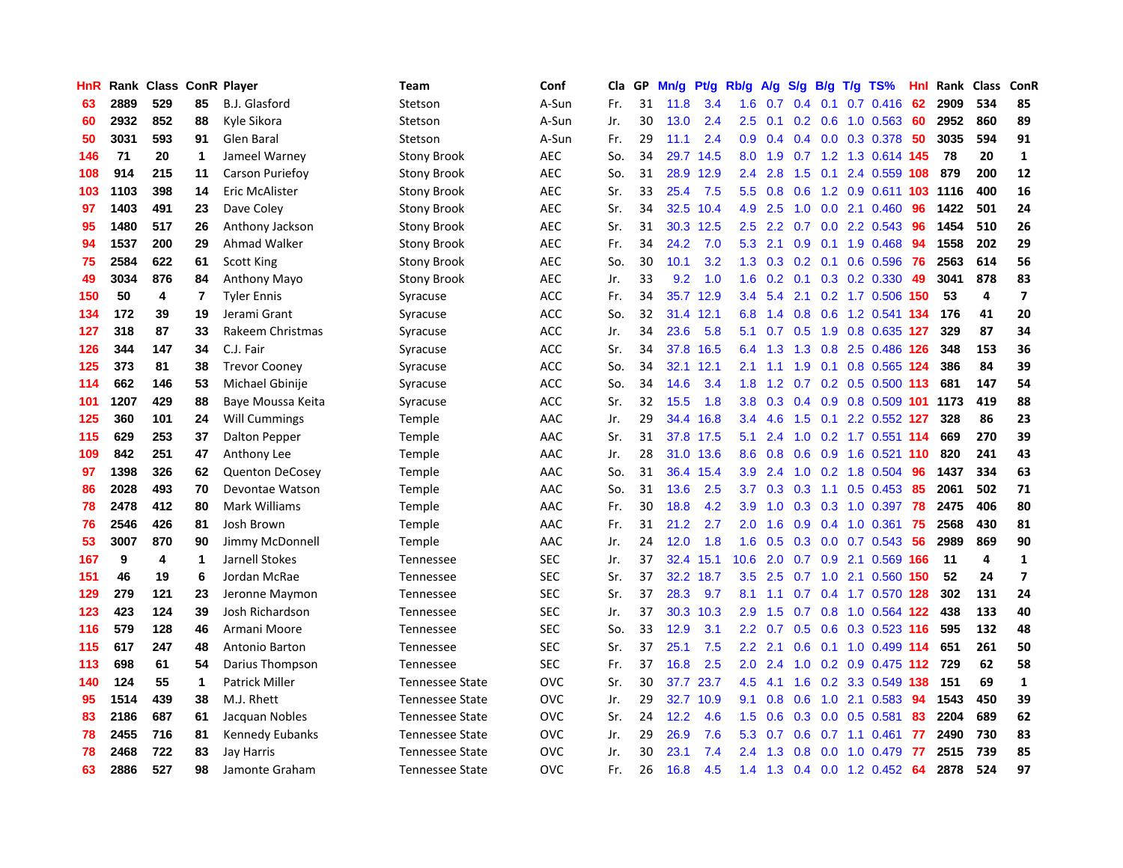| HnR |      | Rank Class ConR Player |              |                        | <b>Team</b>            | Conf       | <b>Cla</b> | GP | Mn/g | Pt/g      | Rb/g             | A/g | S/g | <b>B/g</b> | $T/g$ TS%                 | Hnl | Rank | <b>Class</b> | ConR                     |
|-----|------|------------------------|--------------|------------------------|------------------------|------------|------------|----|------|-----------|------------------|-----|-----|------------|---------------------------|-----|------|--------------|--------------------------|
| 63  | 2889 | 529                    | 85           | B.J. Glasford          | Stetson                | A-Sun      | Fr.        | 31 | 11.8 | 3.4       | 1.6              | 0.7 | 0.4 | 0.1        | $0.7$ $0.416$             | 62  | 2909 | 534          | 85                       |
| 60  | 2932 | 852                    | 88           | Kyle Sikora            | Stetson                | A-Sun      | Jr.        | 30 | 13.0 | 2.4       | 2.5              | 0.1 |     |            | $0.2$ 0.6 1.0 0.563 60    |     | 2952 | 860          | 89                       |
| 50  | 3031 | 593                    | 91           | Glen Baral             | Stetson                | A-Sun      | Fr.        | 29 | 11.1 | 2.4       | 0.9 <sub>0</sub> | 0.4 |     |            | $0.4$ 0.0 0.3 0.378       | -50 | 3035 | 594          | 91                       |
| 146 | 71   | 20                     | 1            | Jameel Warney          | <b>Stony Brook</b>     | AEC        | So.        | 34 | 29.7 | 14.5      | 8.0              | 1.9 |     |            | 0.7 1.2 1.3 0.614 145     |     | 78   | 20           | $\mathbf{1}$             |
| 108 | 914  | 215                    | 11           | Carson Puriefoy        | <b>Stony Brook</b>     | <b>AEC</b> | So.        | 31 | 28.9 | 12.9      | 2.4              | 2.8 | 1.5 | 0.1        | 2.4 0.559 108             |     | 879  | 200          | 12                       |
| 103 | 1103 | 398                    | 14           | Eric McAlister         | <b>Stony Brook</b>     | <b>AEC</b> | Sr.        | 33 | 25.4 | 7.5       | 5.5              | 0.8 | 0.6 |            | 1.2 0.9 0.611 103         |     | 1116 | 400          | 16                       |
| 97  | 1403 | 491                    | 23           | Dave Coley             | <b>Stony Brook</b>     | <b>AEC</b> | Sr.        | 34 | 32.5 | 10.4      | 4.9              | 2.5 | 1.0 |            | $0.0$ 2.1 $0.460$         | 96  | 1422 | 501          | 24                       |
| 95  | 1480 | 517                    | 26           | Anthony Jackson        | <b>Stony Brook</b>     | <b>AEC</b> | Sr.        | 31 | 30.3 | 12.5      | 2.5              | 2.2 | 0.7 |            | $0.0$ 2.2 $0.543$         | 96  | 1454 | 510          | 26                       |
| 94  | 1537 | 200                    | 29           | Ahmad Walker           | <b>Stony Brook</b>     | <b>AEC</b> | Fr.        | 34 | 24.2 | 7.0       | 5.3              | 2.1 | 0.9 |            | $0.1$ 1.9 0.468           | 94  | 1558 | 202          | 29                       |
| 75  | 2584 | 622                    | 61           | Scott King             | <b>Stony Brook</b>     | <b>AEC</b> | So.        | 30 | 10.1 | 3.2       | 1.3              | 0.3 |     |            | 0.2 0.1 0.6 0.596 76      |     | 2563 | 614          | 56                       |
| 49  | 3034 | 876                    | 84           | Anthony Mayo           | <b>Stony Brook</b>     | <b>AEC</b> | Jr.        | 33 | 9.2  | 1.0       | 1.6              | 0.2 |     |            | $0.1$ $0.3$ $0.2$ $0.330$ | 49  | 3041 | 878          | 83                       |
| 150 | 50   | 4                      | 7            | <b>Tyler Ennis</b>     | Syracuse               | <b>ACC</b> | Fr.        | 34 | 35.7 | 12.9      | 3.4              | 5.4 |     |            | 2.1 0.2 1.7 0.506 150     |     | 53   | 4            | $\overline{7}$           |
| 134 | 172  | 39                     | 19           | Jerami Grant           | Syracuse               | <b>ACC</b> | So.        | 32 | 31.4 | 12.1      | 6.8              | 1.4 | 0.8 |            | 0.6 1.2 0.541 134         |     | 176  | 41           | 20                       |
| 127 | 318  | 87                     | 33           | Rakeem Christmas       | Syracuse               | <b>ACC</b> | Jr.        | 34 | 23.6 | 5.8       | 5.1              | 0.7 | 0.5 |            | 1.9 0.8 0.635 127         |     | 329  | 87           | 34                       |
| 126 | 344  | 147                    | 34           | C.J. Fair              | Syracuse               | ACC        | Sr.        | 34 | 37.8 | 16.5      | 6.4              | 1.3 | 1.3 |            | 0.8 2.5 0.486 126         |     | 348  | 153          | 36                       |
| 125 | 373  | 81                     | 38           | <b>Trevor Coonev</b>   | Syracuse               | <b>ACC</b> | So.        | 34 | 32.1 | 12.1      | 2.1              | 1.1 | 1.9 | 0.1        | 0.8 0.565 124             |     | 386  | 84           | 39                       |
| 114 | 662  | 146                    | 53           | Michael Gbinije        | Syracuse               | ACC        | So.        | 34 | 14.6 | 3.4       | 1.8              | 1.2 | 0.7 |            | 0.2 0.5 0.500 113         |     | 681  | 147          | 54                       |
| 101 | 1207 | 429                    | 88           | Baye Moussa Keita      | Syracuse               | <b>ACC</b> | Sr.        | 32 | 15.5 | 1.8       | 3.8              | 0.3 | 0.4 |            | 0.9 0.8 0.509 101 1173    |     |      | 419          | 88                       |
| 125 | 360  | 101                    | 24           | <b>Will Cummings</b>   | Temple                 | AAC        | Jr.        | 29 | 34.4 | 16.8      | $3.4^{\circ}$    | 4.6 |     |            | 1.5 0.1 2.2 0.552 127     |     | 328  | 86           | 23                       |
| 115 | 629  | 253                    | 37           | Dalton Pepper          | Temple                 | AAC        | Sr.        | 31 |      | 37.8 17.5 | 5.1              | 2.4 |     |            | 1.0 0.2 1.7 0.551 114     |     | 669  | 270          | 39                       |
| 109 | 842  | 251                    | 47           | Anthony Lee            | Temple                 | AAC        | Jr.        | 28 | 31.0 | 13.6      | 8.6              | 0.8 | 0.6 |            | 0.9 1.6 0.521 110         |     | 820  | 241          | 43                       |
| 97  | 1398 | 326                    | 62           | <b>Quenton DeCosey</b> | Temple                 | AAC        | So.        | 31 | 36.4 | 15.4      | 3.9              | 2.4 | 1.0 |            | 0.2 1.8 0.504             | 96  | 1437 | 334          | 63                       |
| 86  | 2028 | 493                    | 70           | Devontae Watson        | Temple                 | AAC        | So.        | 31 | 13.6 | 2.5       | 3.7              | 0.3 | 0.3 | 1.1        | $0.5$ 0.453               | 85  | 2061 | 502          | 71                       |
| 78  | 2478 | 412                    | 80           | Mark Williams          | Temple                 | AAC        | Fr.        | 30 | 18.8 | 4.2       | 3.9              | 1.0 | 0.3 |            | $0.3$ 1.0 $0.397$         | 78  | 2475 | 406          | 80                       |
| 76  | 2546 | 426                    | 81           | Josh Brown             | Temple                 | AAC        | Fr.        | 31 | 21.2 | 2.7       | 2.0              | 1.6 | 0.9 |            | $0.4$ 1.0 $0.361$         | 75  | 2568 | 430          | 81                       |
| 53  | 3007 | 870                    | 90           | Jimmy McDonnell        | Temple                 | AAC        | Jr.        | 24 | 12.0 | 1.8       | 1.6              | 0.5 |     |            | $0.3$ 0.0 0.7 0.543       | -56 | 2989 | 869          | 90                       |
| 167 | 9    | 4                      | 1            | Jarnell Stokes         | Tennessee              | <b>SEC</b> | Jr.        | 37 | 32.4 | 15.1      | 10.6             | 2.0 |     |            | 0.7 0.9 2.1 0.569 166     |     | 11   | 4            | $\mathbf{1}$             |
| 151 | 46   | 19                     | 6            | Jordan McRae           | Tennessee              | <b>SEC</b> | Sr.        | 37 | 32.2 | 18.7      | 3.5              | 2.5 |     |            | 0.7 1.0 2.1 0.560 150     |     | 52   | 24           | $\overline{\phantom{a}}$ |
| 129 | 279  | 121                    | 23           | Jeronne Maymon         | Tennessee              | <b>SEC</b> | Sr.        | 37 | 28.3 | 9.7       | 8.1              | 1.1 | 0.7 |            | 0.4 1.7 0.570 128         |     | 302  | 131          | 24                       |
| 123 | 423  | 124                    | 39           | Josh Richardson        | Tennessee              | <b>SEC</b> | Jr.        | 37 | 30.3 | 10.3      | 2.9              | 1.5 | 0.7 |            | 0.8 1.0 0.564 122         |     | 438  | 133          | 40                       |
| 116 | 579  | 128                    | 46           | Armani Moore           | Tennessee              | <b>SEC</b> | So.        | 33 | 12.9 | 3.1       | $2.2\phantom{0}$ | 0.7 | 0.5 |            | 0.6 0.3 0.523 116         |     | 595  | 132          | 48                       |
| 115 | 617  | 247                    | 48           | Antonio Barton         | Tennessee              | <b>SEC</b> | Sr.        | 37 | 25.1 | 7.5       | 2.2              | 2.1 | 0.6 |            | $0.1$ 1.0 0.499 114       |     | 651  | 261          | 50                       |
| 113 | 698  | 61                     | 54           | Darius Thompson        | Tennessee              | <b>SEC</b> | Fr.        | 37 | 16.8 | 2.5       | 2.0              | 2.4 | 1.0 |            | 0.2 0.9 0.475 112         |     | 729  | 62           | 58                       |
| 140 | 124  | 55                     | $\mathbf{1}$ | <b>Patrick Miller</b>  | <b>Tennessee State</b> | <b>OVC</b> | Sr.        | 30 | 37.7 | 23.7      | 4.5              | 4.1 | 1.6 |            | 0.2 3.3 0.549 138         |     | 151  | 69           | $\mathbf{1}$             |
| 95  | 1514 | 439                    | 38           | M.J. Rhett             | Tennessee State        | <b>OVC</b> | Jr.        | 29 | 32.7 | 10.9      | 9.1              | 0.8 | 0.6 |            | 1.0 2.1 0.583             | -94 | 1543 | 450          | 39                       |
| 83  | 2186 | 687                    | 61           | Jacquan Nobles         | <b>Tennessee State</b> | <b>OVC</b> | Sr.        | 24 | 12.2 | 4.6       | 1.5              | 0.6 | 0.3 |            | $0.0$ $0.5$ $0.581$       | 83  | 2204 | 689          | 62                       |
| 78  | 2455 | 716                    | 81           | Kennedy Eubanks        | <b>Tennessee State</b> | <b>OVC</b> | Jr.        | 29 | 26.9 | 7.6       | 5.3              | 0.7 | 0.6 |            | $0.7$ 1.1 0.461           | 77  | 2490 | 730          | 83                       |
| 78  | 2468 | 722                    | 83           | Jay Harris             | <b>Tennessee State</b> | <b>OVC</b> | Jr.        | 30 | 23.1 | 7.4       | 2.4              | 1.3 | 0.8 | 0.0        | 1.0 0.479                 | 77  | 2515 | 739          | 85                       |
| 63  | 2886 | 527                    | 98           | Jamonte Graham         | <b>Tennessee State</b> | OVC        | Fr.        | 26 | 16.8 | 4.5       | 1.4              | 1.3 |     |            | $0.4$ 0.0 1.2 0.452       | 64  | 2878 | 524          | 97                       |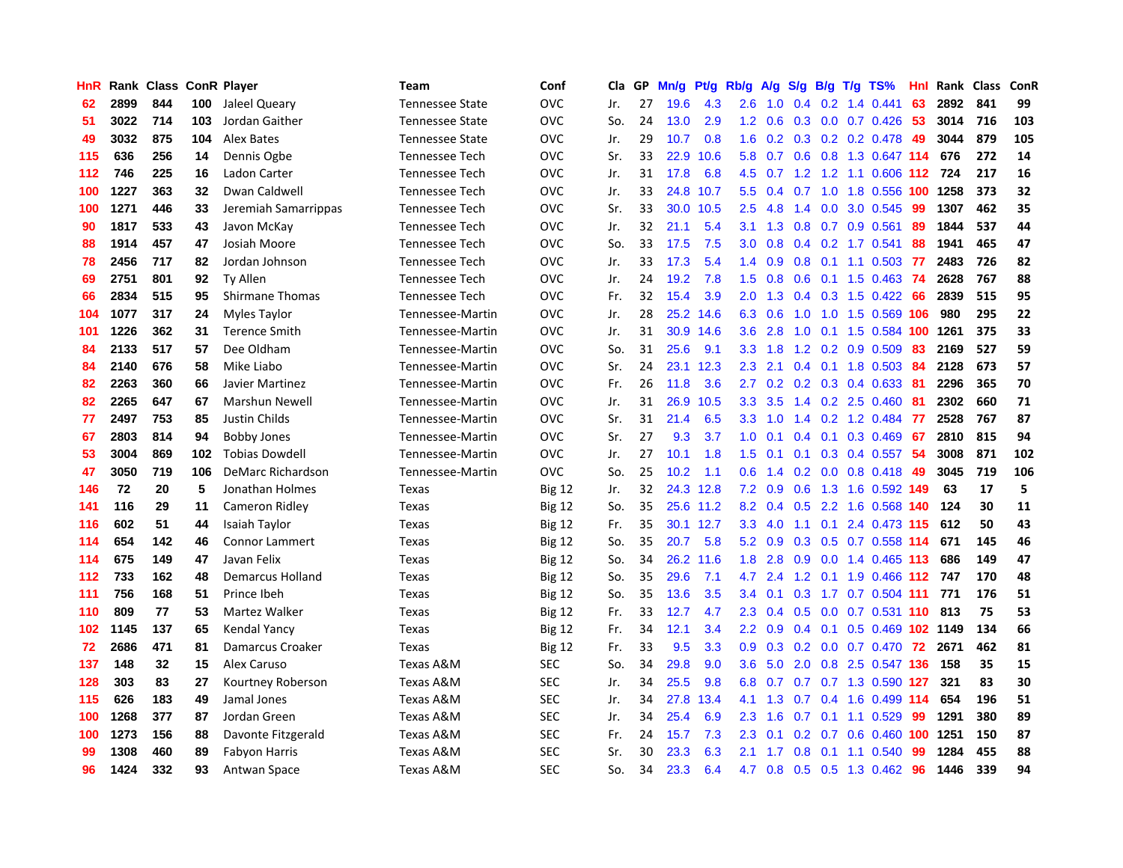| HnR |      | Rank Class |     | <b>ConR Player</b>       | <b>Team</b>            | Conf          | Cla | GP | Mn/g | <b>Pt/g</b> | Rb/g             | A/g | S/g           | B/g | $T/g$ TS%                       | Hnl | Rank | Class | ConR |
|-----|------|------------|-----|--------------------------|------------------------|---------------|-----|----|------|-------------|------------------|-----|---------------|-----|---------------------------------|-----|------|-------|------|
| 62  | 2899 | 844        | 100 | Jaleel Queary            | <b>Tennessee State</b> | <b>OVC</b>    | Jr. | 27 | 19.6 | 4.3         | 2.6              | 1.0 | 0.4           |     | $0.2$ 1.4 $0.441$               | 63  | 2892 | 841   | 99   |
| 51  | 3022 | 714        | 103 | Jordan Gaither           | <b>Tennessee State</b> | <b>OVC</b>    | So. | 24 | 13.0 | 2.9         | 1.2              | 0.6 |               |     | 0.3 0.0 0.7 0.426 53            |     | 3014 | 716   | 103  |
| 49  | 3032 | 875        | 104 | Alex Bates               | <b>Tennessee State</b> | <b>OVC</b>    | Jr. | 29 | 10.7 | 0.8         | 1.6              |     |               |     | $0.2$ $0.3$ $0.2$ $0.2$ $0.478$ | 49  | 3044 | 879   | 105  |
| 115 | 636  | 256        | 14  | Dennis Ogbe              | <b>Tennessee Tech</b>  | <b>OVC</b>    | Sr. | 33 | 22.9 | 10.6        | 5.8              | 0.7 |               |     | 0.6 0.8 1.3 0.647 114           |     | 676  | 272   | 14   |
| 112 | 746  | 225        | 16  | Ladon Carter             | <b>Tennessee Tech</b>  | <b>OVC</b>    | Jr. | 31 | 17.8 | 6.8         | 4.5              | 0.7 |               |     | 1.2 1.2 1.1 0.606 112           |     | 724  | 217   | 16   |
| 100 | 1227 | 363        | 32  | Dwan Caldwell            | Tennessee Tech         | <b>OVC</b>    | Jr. | 33 | 24.8 | 10.7        | 5.5              | 0.4 |               |     | 0.7 1.0 1.8 0.556 100 1258      |     |      | 373   | 32   |
| 100 | 1271 | 446        | 33  | Jeremiah Samarrippas     | Tennessee Tech         | <b>OVC</b>    | Sr. | 33 | 30.0 | 10.5        | 2.5              | 4.8 | 1.4           |     | 0.0 3.0 0.545                   | 99  | 1307 | 462   | 35   |
| 90  | 1817 | 533        | 43  | Javon McKay              | <b>Tennessee Tech</b>  | <b>OVC</b>    | Jr. | 32 | 21.1 | 5.4         | 3.1              | 1.3 | 0.8           |     | $0.7$ 0.9 0.561                 | 89  | 1844 | 537   | 44   |
| 88  | 1914 | 457        | 47  | Josiah Moore             | <b>Tennessee Tech</b>  | <b>OVC</b>    | So. | 33 | 17.5 | 7.5         | 3.0              | 0.8 | 0.4           |     | 0.2 1.7 0.541                   | 88  | 1941 | 465   | 47   |
| 78  | 2456 | 717        | 82  | Jordan Johnson           | <b>Tennessee Tech</b>  | <b>OVC</b>    | Jr. | 33 | 17.3 | 5.4         | $1.4^{\circ}$    | 0.9 |               |     | 0.8 0.1 1.1 0.503 77            |     | 2483 | 726   | 82   |
| 69  | 2751 | 801        | 92  | <b>Ty Allen</b>          | <b>Tennessee Tech</b>  | <b>OVC</b>    | Jr. | 24 | 19.2 | 7.8         | 1.5              | 0.8 |               |     | 0.6 0.1 1.5 0.463 74            |     | 2628 | 767   | 88   |
| 66  | 2834 | 515        | 95  | <b>Shirmane Thomas</b>   | <b>Tennessee Tech</b>  | <b>OVC</b>    | Fr. | 32 | 15.4 | 3.9         | 2.0              | 1.3 |               |     | 0.4 0.3 1.5 0.422 66            |     | 2839 | 515   | 95   |
| 104 | 1077 | 317        | 24  | Myles Taylor             | Tennessee-Martin       | <b>OVC</b>    | Jr. | 28 | 25.2 | 14.6        | 6.3              | 0.6 | 1.0           |     | 1.0 1.5 0.569 106               |     | 980  | 295   | 22   |
| 101 | 1226 | 362        | 31  | <b>Terence Smith</b>     | Tennessee-Martin       | <b>OVC</b>    | Jr. | 31 | 30.9 | 14.6        | 3.6              | 2.8 | 1.0           |     | 0.1 1.5 0.584 100 1261          |     |      | 375   | 33   |
| 84  | 2133 | 517        | 57  | Dee Oldham               | Tennessee-Martin       | <b>OVC</b>    | So. | 31 | 25.6 | 9.1         | 3.3              | 1.8 | 1.2           |     | $0.2$ 0.9 0.509                 | 83  | 2169 | 527   | 59   |
| 84  | 2140 | 676        | 58  | Mike Liabo               | Tennessee-Martin       | <b>OVC</b>    | Sr. | 24 | 23.1 | 12.3        | 2.3              | 2.1 | $0.4^{\circ}$ |     | $0.1$ 1.8 $0.503$               | -84 | 2128 | 673   | 57   |
| 82  | 2263 | 360        | 66  | Javier Martinez          | Tennessee-Martin       | <b>OVC</b>    | Fr. | 26 | 11.8 | 3.6         | 2.7              | 0.2 | 0.2           |     | $0.3$ 0.4 0.633                 | -81 | 2296 | 365   | 70   |
| 82  | 2265 | 647        | 67  | <b>Marshun Newell</b>    | Tennessee-Martin       | <b>OVC</b>    | Jr. | 31 | 26.9 | 10.5        | 3.3 <sub>2</sub> | 3.5 |               |     | 1.4 0.2 2.5 0.460               | -81 | 2302 | 660   | 71   |
| 77  | 2497 | 753        | 85  | <b>Justin Childs</b>     | Tennessee-Martin       | <b>OVC</b>    | Sr. | 31 | 21.4 | 6.5         | 3.3 <sub>2</sub> | 1.0 |               |     | 1.4 0.2 1.2 0.484 77            |     | 2528 | 767   | 87   |
| 67  | 2803 | 814        | 94  | <b>Bobby Jones</b>       | Tennessee-Martin       | <b>OVC</b>    | Sr. | 27 | 9.3  | 3.7         | 1.0              | 0.1 | 0.4           |     | $0.1$ 0.3 0.469                 | -67 | 2810 | 815   | 94   |
| 53  | 3004 | 869        | 102 | <b>Tobias Dowdell</b>    | Tennessee-Martin       | <b>OVC</b>    | Jr. | 27 | 10.1 | 1.8         | 1.5              | 0.1 | 0.1           |     | $0.3$ 0.4 0.557                 | -54 | 3008 | 871   | 102  |
| 47  | 3050 | 719        | 106 | <b>DeMarc Richardson</b> | Tennessee-Martin       | <b>OVC</b>    | So. | 25 | 10.2 | 1.1         | 0.6              | 1.4 |               |     | $0.2$ 0.0 0.8 0.418             | -49 | 3045 | 719   | 106  |
| 146 | 72   | 20         | 5   | Jonathan Holmes          | Texas                  | <b>Big 12</b> | Jr. | 32 | 24.3 | 12.8        | 7.2              | 0.9 | 0.6           |     | 1.3 1.6 0.592 149               |     | 63   | 17    | 5    |
| 141 | 116  | 29         | 11  | Cameron Ridley           | Texas                  | <b>Big 12</b> | So. | 35 | 25.6 | 11.2        | 8.2              | 0.4 | 0.5           |     | 2.2 1.6 0.568 140               |     | 124  | 30    | 11   |
| 116 | 602  | 51         | 44  | Isaiah Taylor            | Texas                  | <b>Big 12</b> | Fr. | 35 | 30.1 | 12.7        | 3.3              | 4.0 | 1.1           |     | 0.1 2.4 0.473 115               |     | 612  | 50    | 43   |
| 114 | 654  | 142        | 46  | <b>Connor Lammert</b>    | Texas                  | <b>Big 12</b> | So. | 35 | 20.7 | 5.8         | 5.2              | 0.9 |               |     | 0.3 0.5 0.7 0.558 114           |     | 671  | 145   | 46   |
| 114 | 675  | 149        | 47  | Javan Felix              | Texas                  | <b>Big 12</b> | So. | 34 | 26.2 | 11.6        | 1.8              | 2.8 |               |     | 0.9 0.0 1.4 0.465 113           |     | 686  | 149   | 47   |
| 112 | 733  | 162        | 48  | <b>Demarcus Holland</b>  | Texas                  | <b>Big 12</b> | So. | 35 | 29.6 | 7.1         | 4.7              | 2.4 |               |     | 1.2 0.1 1.9 0.466 112 747       |     |      | 170   | 48   |
| 111 | 756  | 168        | 51  | Prince Ibeh              | Texas                  | <b>Big 12</b> | So. | 35 | 13.6 | 3.5         | 3.4              | 0.1 | 0.3           |     | 1.7 0.7 0.504 111               |     | 771  | 176   | 51   |
| 110 | 809  | 77         | 53  | Martez Walker            | Texas                  | <b>Big 12</b> | Fr. | 33 | 12.7 | 4.7         | 2.3              | 0.4 | 0.5           |     | $0.0$ 0.7 0.531 110             |     | 813  | 75    | 53   |
| 102 | 1145 | 137        | 65  | <b>Kendal Yancy</b>      | Texas                  | <b>Big 12</b> | Fr. | 34 | 12.1 | 3.4         | 2.2              | 0.9 | $0.4^{\circ}$ |     | 0.1 0.5 0.469 102 1149          |     |      | 134   | 66   |
| 72  | 2686 | 471        | 81  | Damarcus Croaker         | Texas                  | <b>Big 12</b> | Fr. | 33 | 9.5  | 3.3         | 0.9 <sub>0</sub> | 0.3 | 0.2           |     | $0.0$ 0.7 0.470                 | 72  | 2671 | 462   | 81   |
| 137 | 148  | 32         | 15  | Alex Caruso              | Texas A&M              | <b>SEC</b>    | So. | 34 | 29.8 | 9.0         | 3.6              | 5.0 | 2.0           |     | 0.8 2.5 0.547 136               |     | 158  | 35    | 15   |
| 128 | 303  | 83         | 27  | Kourtney Roberson        | Texas A&M              | <b>SEC</b>    | Jr. | 34 | 25.5 | 9.8         | 6.8              | 0.7 |               |     | 0.7 0.7 1.3 0.590 127           |     | 321  | 83    | 30   |
| 115 | 626  | 183        | 49  | Jamal Jones              | Texas A&M              | <b>SEC</b>    | Jr. | 34 | 27.8 | 13.4        | 4.1              | 1.3 |               |     | 0.7 0.4 1.6 0.499 114           |     | 654  | 196   | 51   |
| 100 | 1268 | 377        | 87  | Jordan Green             | Texas A&M              | <b>SEC</b>    | Jr. | 34 | 25.4 | 6.9         | 2.3              | 1.6 | 0.7           |     | $0.1$ 1.1 0.529                 | 99  | 1291 | 380   | 89   |
| 100 | 1273 | 156        | 88  | Davonte Fitzgerald       | Texas A&M              | <b>SEC</b>    | Fr. | 24 | 15.7 | 7.3         | 2.3              | 0.1 | 0.2           |     | 0.7 0.6 0.460 100 1251          |     |      | 150   | 87   |
| 99  | 1308 | 460        | 89  | <b>Fabyon Harris</b>     | Texas A&M              | <b>SEC</b>    | Sr. | 30 | 23.3 | 6.3         | 2.1              | 1.7 | 0.8           | 0.1 | 1.1 0.540                       | 99  | 1284 | 455   | 88   |
| 96  | 1424 | 332        | 93  | Antwan Space             | Texas A&M              | <b>SEC</b>    | So. | 34 | 23.3 | 6.4         |                  |     |               |     | 4.7 0.8 0.5 0.5 1.3 0.462 96    |     | 1446 | 339   | 94   |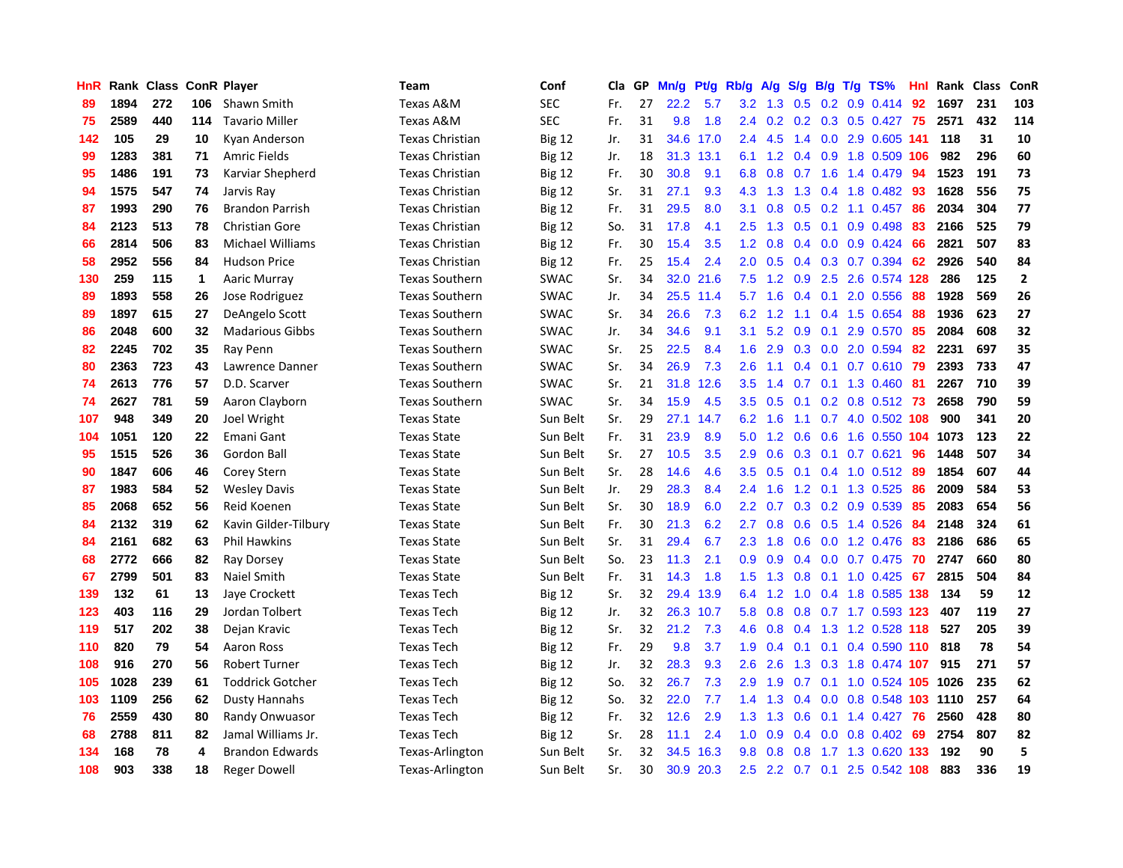| HnR |      | Rank Class ConR Player |     |                         | <b>Team</b>            | Conf          | Cla | GP | Mn/g | Pt/g      | Rb/g             | A/g | S/g           | B/g | $T/g$ TS%                 | Hnl  | Rank | Class | ConR           |
|-----|------|------------------------|-----|-------------------------|------------------------|---------------|-----|----|------|-----------|------------------|-----|---------------|-----|---------------------------|------|------|-------|----------------|
| 89  | 1894 | 272                    | 106 | Shawn Smith             | Texas A&M              | <b>SEC</b>    | Fr. | 27 | 22.2 | 5.7       | 3.2              | 1.3 | 0.5           |     | $0.2$ 0.9 0.414           | 92   | 1697 | 231   | 103            |
| 75  | 2589 | 440                    | 114 | <b>Tavario Miller</b>   | Texas A&M              | <b>SEC</b>    | Fr. | 31 | 9.8  | 1.8       | $2.4^{\circ}$    |     |               |     | 0.2 0.2 0.3 0.5 0.427 75  |      | 2571 | 432   | 114            |
| 142 | 105  | 29                     | 10  | Kyan Anderson           | Texas Christian        | <b>Big 12</b> | Jr. | 31 |      | 34.6 17.0 | $2.4^{\circ}$    | 4.5 |               |     | 1.4 0.0 2.9 0.605 141     |      | 118  | 31    | 10             |
| 99  | 1283 | 381                    | 71  | <b>Amric Fields</b>     | <b>Texas Christian</b> | <b>Big 12</b> | Jr. | 18 | 31.3 | 13.1      | 6.1              | 1.2 |               |     | 0.4 0.9 1.8 0.509 106     |      | 982  | 296   | 60             |
| 95  | 1486 | 191                    | 73  | Karviar Shepherd        | Texas Christian        | <b>Big 12</b> | Fr. | 30 | 30.8 | 9.1       | 6.8              | 0.8 | 0.7           |     | 1.6 1.4 0.479             | 94   | 1523 | 191   | 73             |
| 94  | 1575 | 547                    | 74  | Jarvis Ray              | <b>Texas Christian</b> | <b>Big 12</b> | Sr. | 31 | 27.1 | 9.3       | 4.3              | 1.3 | 1.3           |     | 0.4 1.8 0.482 93          |      | 1628 | 556   | 75             |
| 87  | 1993 | 290                    | 76  | <b>Brandon Parrish</b>  | <b>Texas Christian</b> | <b>Big 12</b> | Fr. | 31 | 29.5 | 8.0       | 3.1              | 0.8 | 0.5           |     | $0.2$ 1.1 0.457           | 86   | 2034 | 304   | 77             |
| 84  | 2123 | 513                    | 78  | <b>Christian Gore</b>   | <b>Texas Christian</b> | <b>Big 12</b> | So. | 31 | 17.8 | 4.1       | 2.5              | 1.3 | 0.5           |     | $0.1$ 0.9 0.498           | 83   | 2166 | 525   | 79             |
| 66  | 2814 | 506                    | 83  | <b>Michael Williams</b> | <b>Texas Christian</b> | <b>Big 12</b> | Fr. | 30 | 15.4 | 3.5       | 1.2              | 0.8 | 0.4           |     | $0.0$ $0.9$ $0.424$       | 66   | 2821 | 507   | 83             |
| 58  | 2952 | 556                    | 84  | <b>Hudson Price</b>     | <b>Texas Christian</b> | <b>Big 12</b> | Fr. | 25 | 15.4 | 2.4       | 2.0              | 0.5 |               |     | 0.4 0.3 0.7 0.394 62      |      | 2926 | 540   | 84             |
| 130 | 259  | 115                    | 1   | Aaric Murray            | <b>Texas Southern</b>  | <b>SWAC</b>   | Sr. | 34 | 32.0 | 21.6      | 7.5              |     |               |     | 1.2 0.9 2.5 2.6 0.574 128 |      | 286  | 125   | $\overline{2}$ |
| 89  | 1893 | 558                    | 26  | Jose Rodriguez          | <b>Texas Southern</b>  | <b>SWAC</b>   | Jr. | 34 | 25.5 | 11.4      | 5.7              | 1.6 |               |     | $0.4$ 0.1 2.0 0.556       | -88  | 1928 | 569   | 26             |
| 89  | 1897 | 615                    | 27  | DeAngelo Scott          | <b>Texas Southern</b>  | SWAC          | Sr. | 34 | 26.6 | 7.3       | 6.2              | 1.2 | 1.1           |     | $0.4$ 1.5 0.654           | 88   | 1936 | 623   | 27             |
| 86  | 2048 | 600                    | 32  | <b>Madarious Gibbs</b>  | <b>Texas Southern</b>  | <b>SWAC</b>   | Jr. | 34 | 34.6 | 9.1       | 3.1              | 5.2 | 0.9           |     | $0.1$ 2.9 $0.570$         | -85  | 2084 | 608   | 32             |
| 82  | 2245 | 702                    | 35  | Ray Penn                | <b>Texas Southern</b>  | <b>SWAC</b>   | Sr. | 25 | 22.5 | 8.4       | 1.6              | 2.9 | 0.3           |     | 0.0 2.0 0.594             | 82   | 2231 | 697   | 35             |
| 80  | 2363 | 723                    | 43  | Lawrence Danner         | <b>Texas Southern</b>  | <b>SWAC</b>   | Sr. | 34 | 26.9 | 7.3       | 2.6              | 1.1 | $0.4^{\circ}$ |     | $0.1$ 0.7 0.610           | -79  | 2393 | 733   | 47             |
| 74  | 2613 | 776                    | 57  | D.D. Scarver            | <b>Texas Southern</b>  | <b>SWAC</b>   | Sr. | 21 | 31.8 | 12.6      | 3.5              | 1.4 | 0.7           |     | $0.1$ 1.3 0.460           | 81   | 2267 | 710   | 39             |
| 74  | 2627 | 781                    | 59  | Aaron Clayborn          | <b>Texas Southern</b>  | <b>SWAC</b>   | Sr. | 34 | 15.9 | 4.5       | 3.5              | 0.5 | 0.1           |     | 0.2 0.8 0.512 73          |      | 2658 | 790   | 59             |
| 107 | 948  | 349                    | 20  | Joel Wright             | <b>Texas State</b>     | Sun Belt      | Sr. | 29 | 27.1 | 14.7      | 6.2              | 1.6 |               |     | 1.1 0.7 4.0 0.502 108     |      | 900  | 341   | 20             |
| 104 | 1051 | 120                    | 22  | Emani Gant              | <b>Texas State</b>     | Sun Belt      | Fr. | 31 | 23.9 | 8.9       | 5.0              | 1.2 | 0.6           |     | 0.6 1.6 0.550 104 1073    |      |      | 123   | 22             |
| 95  | 1515 | 526                    | 36  | Gordon Ball             | <b>Texas State</b>     | Sun Belt      | Sr. | 27 | 10.5 | 3.5       | 2.9              | 0.6 | 0.3           |     | $0.1$ 0.7 0.621           | 96   | 1448 | 507   | 34             |
| 90  | 1847 | 606                    | 46  | Corey Stern             | <b>Texas State</b>     | Sun Belt      | Sr. | 28 | 14.6 | 4.6       | 3.5              | 0.5 | 0.1           |     | 0.4 1.0 0.512 89          |      | 1854 | 607   | 44             |
| 87  | 1983 | 584                    | 52  | <b>Wesley Davis</b>     | <b>Texas State</b>     | Sun Belt      | Jr. | 29 | 28.3 | 8.4       | 2.4              | 1.6 | 1.2           |     | 0.1 1.3 0.525             | 86   | 2009 | 584   | 53             |
| 85  | 2068 | 652                    | 56  | Reid Koenen             | <b>Texas State</b>     | Sun Belt      | Sr. | 30 | 18.9 | 6.0       | 2.2              | 0.7 | 0.3           |     | 0.2 0.9 0.539             | 85   | 2083 | 654   | 56             |
| 84  | 2132 | 319                    | 62  | Kavin Gilder-Tilbury    | <b>Texas State</b>     | Sun Belt      | Fr. | 30 | 21.3 | 6.2       | $2.7^{\circ}$    | 0.8 | 0.6           |     | 0.5 1.4 0.526             | 84   | 2148 | 324   | 61             |
| 84  | 2161 | 682                    | 63  | <b>Phil Hawkins</b>     | <b>Texas State</b>     | Sun Belt      | Sr. | 31 | 29.4 | 6.7       | 2.3              | 1.8 | 0.6           |     | $0.0$ 1.2 0.476           | -83  | 2186 | 686   | 65             |
| 68  | 2772 | 666                    | 82  | Ray Dorsey              | <b>Texas State</b>     | Sun Belt      | So. | 23 | 11.3 | 2.1       | 0.9 <sub>0</sub> | 0.9 |               |     | 0.4 0.0 0.7 0.475 70      |      | 2747 | 660   | 80             |
| 67  | 2799 | 501                    | 83  | Naiel Smith             | <b>Texas State</b>     | Sun Belt      | Fr. | 31 | 14.3 | 1.8       | 1.5              | 1.3 |               |     | 0.8 0.1 1.0 0.425 67      |      | 2815 | 504   | 84             |
| 139 | 132  | 61                     | 13  | Jaye Crockett           | <b>Texas Tech</b>      | <b>Big 12</b> | Sr. | 32 | 29.4 | 13.9      | 6.4              | 1.2 | 1.0           |     | 0.4 1.8 0.585 138         |      | 134  | 59    | 12             |
| 123 | 403  | 116                    | 29  | Jordan Tolbert          | <b>Texas Tech</b>      | <b>Big 12</b> | Jr. | 32 | 26.3 | 10.7      | 5.8              | 0.8 | 0.8           |     | 0.7 1.7 0.593 123         |      | 407  | 119   | 27             |
| 119 | 517  | 202                    | 38  | Dejan Kravic            | <b>Texas Tech</b>      | Big 12        | Sr. | 32 | 21.2 | 7.3       | 4.6              | 0.8 | 0.4           |     | 1.3 1.2 0.528 118         |      | 527  | 205   | 39             |
| 110 | 820  | 79                     | 54  | <b>Aaron Ross</b>       | <b>Texas Tech</b>      | <b>Big 12</b> | Fr. | 29 | 9.8  | 3.7       | 1.9              | 0.4 | 0.1           |     | $0.1$ 0.4 0.590 110       |      | 818  | 78    | 54             |
| 108 | 916  | 270                    | 56  | <b>Robert Turner</b>    | <b>Texas Tech</b>      | <b>Big 12</b> | Jr. | 32 | 28.3 | 9.3       | 2.6              | 2.6 | 1.3           |     | 0.3 1.8 0.474 107         |      | 915  | 271   | 57             |
| 105 | 1028 | 239                    | 61  | <b>Toddrick Gotcher</b> | <b>Texas Tech</b>      | <b>Big 12</b> | So. | 32 | 26.7 | 7.3       | 2.9              | 1.9 | 0.7           |     | 0.1 1.0 0.524 105 1026    |      |      | 235   | 62             |
| 103 | 1109 | 256                    | 62  | Dusty Hannahs           | <b>Texas Tech</b>      | <b>Big 12</b> | So. | 32 | 22.0 | 7.7       | 1.4              | 1.3 | 0.4           |     | 0.0 0.8 0.548 103 1110    |      |      | 257   | 64             |
| 76  | 2559 | 430                    | 80  | Randy Onwuasor          | <b>Texas Tech</b>      | <b>Big 12</b> | Fr. | 32 | 12.6 | 2.9       | 1.3              | 1.3 | 0.6           |     | 0.1 1.4 0.427 76          |      | 2560 | 428   | 80             |
| 68  | 2788 | 811                    | 82  | Jamal Williams Jr.      | Texas Tech             | <b>Big 12</b> | Sr. | 28 | 11.1 | 2.4       | 1.0              | 0.9 | 0.4           |     | $0.0$ 0.8 0.402           | -69  | 2754 | 807   | 82             |
| 134 | 168  | 78                     | 4   | <b>Brandon Edwards</b>  | Texas-Arlington        | Sun Belt      | Sr. | 32 | 34.5 | 16.3      | 9.8              | 0.8 | 0.8           |     | 1.7 1.3 0.620             | -133 | 192  | 90    | 5              |
| 108 | 903  | 338                    | 18  | <b>Reger Dowell</b>     | Texas-Arlington        | Sun Belt      | Sr. | 30 | 30.9 | 20.3      | 2.5              |     |               |     | 2.2 0.7 0.1 2.5 0.542 108 |      | 883  | 336   | 19             |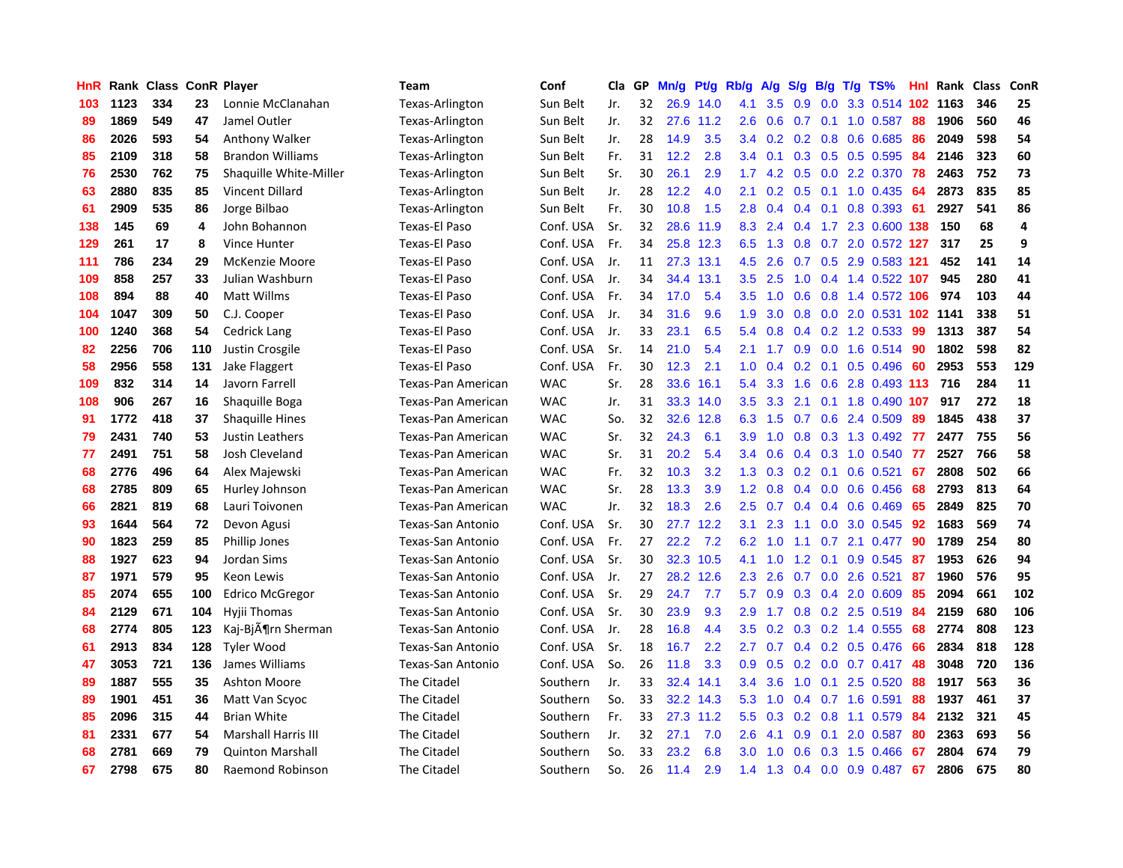| HnR |      | Rank Class |     | <b>ConR Player</b>             | <b>Team</b>              | Conf       | Cla | GP | Mn/g | <b>Pt/g</b> | Rb/g          | A/g | S/g              | B/g | $T/g$ TS%                 | <b>Hnl</b> | Rank | <b>Class</b> | ConR |
|-----|------|------------|-----|--------------------------------|--------------------------|------------|-----|----|------|-------------|---------------|-----|------------------|-----|---------------------------|------------|------|--------------|------|
| 103 | 1123 | 334        | 23  | Lonnie McClanahan              | Texas-Arlington          | Sun Belt   | Jr. | 32 |      | 26.9 14.0   | 4.1           | 3.5 | 0.9              |     | 0.0 3.3 0.514 102 1163    |            |      | 346          | 25   |
| 89  | 1869 | 549        | 47  | Jamel Outler                   | Texas-Arlington          | Sun Belt   | Jr. | 32 |      | 27.6 11.2   | 2.6           | 0.6 |                  |     | $0.7$ 0.1 1.0 0.587       | -88        | 1906 | 560          | 46   |
| 86  | 2026 | 593        | 54  | Anthony Walker                 | Texas-Arlington          | Sun Belt   | Jr. | 28 | 14.9 | 3.5         | 3.4           | 0.2 |                  |     | $0.2$ $0.8$ $0.6$ $0.685$ | -86        | 2049 | 598          | 54   |
| 85  | 2109 | 318        | 58  | <b>Brandon Williams</b>        | Texas-Arlington          | Sun Belt   | Fr. | 31 | 12.2 | 2.8         | $3.4^{\circ}$ | 0.1 | 0.3              |     | $0.5$ 0.5 0.595           | -84        | 2146 | 323          | 60   |
| 76  | 2530 | 762        | 75  | Shaquille White-Miller         | Texas-Arlington          | Sun Belt   | Sr. | 30 | 26.1 | 2.9         | 1.7           | 4.2 | 0.5              |     | 0.0 2.2 0.370             | 78         | 2463 | 752          | 73   |
| 63  | 2880 | 835        | 85  | Vincent Dillard                | Texas-Arlington          | Sun Belt   | Jr. | 28 | 12.2 | 4.0         | 2.1           | 0.2 | 0.5              |     | $0.1$ 1.0 0.435           | 64         | 2873 | 835          | 85   |
| 61  | 2909 | 535        | 86  | Jorge Bilbao                   | Texas-Arlington          | Sun Belt   | Fr. | 30 | 10.8 | 1.5         | 2.8           | 0.4 | 0.4              |     | $0.1$ 0.8 0.393           | 61         | 2927 | 541          | 86   |
| 138 | 145  | 69         | 4   | John Bohannon                  | <b>Texas-El Paso</b>     | Conf. USA  | Sr. | 32 | 28.6 | 11.9        | 8.3           | 2.4 |                  |     | 0.4 1.7 2.3 0.600 138     |            | 150  | 68           | 4    |
| 129 | 261  | 17         | 8   | Vince Hunter                   | <b>Texas-El Paso</b>     | Conf. USA  | Fr. | 34 | 25.8 | 12.3        | 6.5           | 1.3 | 0.8              |     | 0.7 2.0 0.572 127         |            | 317  | 25           | 9    |
| 111 | 786  | 234        | 29  | <b>McKenzie Moore</b>          | <b>Texas-El Paso</b>     | Conf. USA  | Jr. | 11 | 27.3 | 13.1        | 4.5           | 2.6 |                  |     | 0.7 0.5 2.9 0.583 121     |            | 452  | 141          | 14   |
| 109 | 858  | 257        | 33  | Julian Washburn                | <b>Texas-El Paso</b>     | Conf. USA  | Jr. | 34 | 34.4 | 13.1        | 3.5           | 2.5 |                  |     | 1.0 0.4 1.4 0.522 107     |            | 945  | 280          | 41   |
| 108 | 894  | 88         | 40  | <b>Matt Willms</b>             | Texas-El Paso            | Conf. USA  | Fr. | 34 | 17.0 | 5.4         | 3.5           | 1.0 | 0.6              |     | 0.8 1.4 0.572 106 974     |            |      | 103          | 44   |
| 104 | 1047 | 309        | 50  | C.J. Cooper                    | <b>Texas-El Paso</b>     | Conf. USA  | Jr. | 34 | 31.6 | 9.6         | 1.9           | 3.0 | 0.8              |     | 0.0 2.0 0.531 102 1141    |            |      | 338          | 51   |
| 100 | 1240 | 368        | 54  | <b>Cedrick Lang</b>            | Texas-El Paso            | Conf. USA  | Jr. | 33 | 23.1 | 6.5         | 5.4           | 0.8 | 0.4              |     | 0.2 1.2 0.533             | 99         | 1313 | 387          | 54   |
| 82  | 2256 | 706        | 110 | Justin Crosgile                | <b>Texas-El Paso</b>     | Conf. USA  | Sr. | 14 | 21.0 | 5.4         | 2.1           | 1.7 | 0.9 <sub>0</sub> |     | $0.0$ 1.6 0.514           | -90        | 1802 | 598          | 82   |
| 58  | 2956 | 558        | 131 | Jake Flaggert                  | <b>Texas-El Paso</b>     | Conf. USA  | Fr. | 30 | 12.3 | 2.1         | 1.0           | 0.4 | 0.2              |     | $0.1$ 0.5 0.496           | -60        | 2953 | 553          | 129  |
| 109 | 832  | 314        | 14  | Javorn Farrell                 | Texas-Pan American       | <b>WAC</b> | Sr. | 28 | 33.6 | 16.1        | 5.4           | 3.3 | 1.6              | 0.6 | 2.8 0.493 113             |            | 716  | 284          | 11   |
| 108 | 906  | 267        | 16  | Shaquille Boga                 | Texas-Pan American       | <b>WAC</b> | Jr. | 31 | 33.3 | 14.0        | 3.5           | 3.3 | 2.1              |     | 0.1 1.8 0.490 107         |            | 917  | 272          | 18   |
| 91  | 1772 | 418        | 37  | <b>Shaquille Hines</b>         | Texas-Pan American       | <b>WAC</b> | So. | 32 | 32.6 | 12.8        | 6.3           | 1.5 | 0.7              |     | 0.6 2.4 0.509             | -89        | 1845 | 438          | 37   |
| 79  | 2431 | 740        | 53  | Justin Leathers                | Texas-Pan American       | <b>WAC</b> | Sr. | 32 | 24.3 | 6.1         | 3.9           | 1.0 |                  |     | 0.8 0.3 1.3 0.492 77      |            | 2477 | 755          | 56   |
| 77  | 2491 | 751        | 58  | Josh Cleveland                 | Texas-Pan American       | <b>WAC</b> | Sr. | 31 | 20.2 | 5.4         | $3.4^{\circ}$ | 0.6 | 0.4              |     | $0.3$ 1.0 0.540           | -77        | 2527 | 766          | 58   |
| 68  | 2776 | 496        | 64  | Alex Majewski                  | Texas-Pan American       | <b>WAC</b> | Fr. | 32 | 10.3 | 3.2         | 1.3           | 0.3 | 0.2              | 0.1 | $0.6$ $0.521$             | 67         | 2808 | 502          | 66   |
| 68  | 2785 | 809        | 65  | Hurley Johnson                 | Texas-Pan American       | <b>WAC</b> | Sr. | 28 | 13.3 | 3.9         | 1.2           | 0.8 | 0.4              |     | $0.0$ $0.6$ $0.456$       | 68         | 2793 | 813          | 64   |
| 66  | 2821 | 819        | 68  | Lauri Toivonen                 | Texas-Pan American       | <b>WAC</b> | Jr. | 32 | 18.3 | 2.6         | 2.5           | 0.7 | 0.4              |     | $0.4$ 0.6 0.469           | 65         | 2849 | 825          | 70   |
| 93  | 1644 | 564        | 72  | Devon Agusi                    | Texas-San Antonio        | Conf. USA  | Sr. | 30 | 27.7 | 12.2        | 3.1           | 2.3 | 1.1              |     | 0.0 3.0 0.545             | 92         | 1683 | 569          | 74   |
| 90  | 1823 | 259        | 85  | <b>Phillip Jones</b>           | <b>Texas-San Antonio</b> | Conf. USA  | Fr. | 27 | 22.2 | 7.2         | 6.2           | 1.0 | 1.1              |     | 0.7 2.1 0.477             | 90         | 1789 | 254          | 80   |
| 88  | 1927 | 623        | 94  | Jordan Sims                    | <b>Texas-San Antonio</b> | Conf. USA  | Sr. | 30 |      | 32.3 10.5   | 4.1           | 1.0 |                  |     | 1.2 0.1 0.9 0.545 87      |            | 1953 | 626          | 94   |
| 87  | 1971 | 579        | 95  | Keon Lewis                     | <b>Texas-San Antonio</b> | Conf. USA  | Jr. | 27 | 28.2 | 12.6        | 2.3           | 2.6 |                  |     | $0.7$ $0.0$ 2.6 $0.521$   | -87        | 1960 | 576          | 95   |
| 85  | 2074 | 655        | 100 | Edrico McGregor                | Texas-San Antonio        | Conf. USA  | Sr. | 29 | 24.7 | 7.7         | 5.7           | 0.9 | 0.3              |     | 0.4 2.0 0.609             | -85        | 2094 | 661          | 102  |
| 84  | 2129 | 671        | 104 | Hyjii Thomas                   | Texas-San Antonio        | Conf. USA  | Sr. | 30 | 23.9 | 9.3         | 2.9           | 1.7 | 0.8              |     | $0.2$ 2.5 0.519           | -84        | 2159 | 680          | 106  |
| 68  | 2774 | 805        | 123 | Kaj-Bj $\tilde{A}$ ¶rn Sherman | Texas-San Antonio        | Conf. USA  | Jr. | 28 | 16.8 | 4.4         | 3.5           | 0.2 | 0.3              |     | $0.2$ 1.4 $0.555$         | 68         | 2774 | 808          | 123  |
| 61  | 2913 | 834        | 128 | <b>Tyler Wood</b>              | <b>Texas-San Antonio</b> | Conf. USA  | Sr. | 18 | 16.7 | 2.2         | 2.7           | 0.7 | $0.4^{\circ}$    |     | 0.2 0.5 0.476             | 66         | 2834 | 818          | 128  |
| 47  | 3053 | 721        | 136 | James Williams                 | Texas-San Antonio        | Conf. USA  | So. | 26 | 11.8 | 3.3         | 0.9           | 0.5 | 0.2              | 0.0 | $0.7$ 0.417               | 48         | 3048 | 720          | 136  |
| 89  | 1887 | 555        | 35  | <b>Ashton Moore</b>            | The Citadel              | Southern   | Jr. | 33 | 32.4 | 14.1        | 3.4           | 3.6 | 1.0              | 0.1 | 2.5 0.520                 | 88         | 1917 | 563          | 36   |
| 89  | 1901 | 451        | 36  | Matt Van Scyoc                 | The Citadel              | Southern   | So. | 33 | 32.2 | 14.3        | 5.3           | 1.0 | 0.4              |     | $0.7$ 1.6 0.591           | 88         | 1937 | 461          | 37   |
| 85  | 2096 | 315        | 44  | <b>Brian White</b>             | The Citadel              | Southern   | Fr. | 33 | 27.3 | 11.2        | 5.5           | 0.3 |                  |     | 0.2 0.8 1.1 0.579 84      |            | 2132 | 321          | 45   |
| 81  | 2331 | 677        | 54  | <b>Marshall Harris III</b>     | The Citadel              | Southern   | Jr. | 32 | 27.1 | 7.0         | $2.6\,$       | 4.1 | 0.9              | 0.1 | 2.0 0.587                 | -80        | 2363 | 693          | 56   |
| 68  | 2781 | 669        | 79  | <b>Quinton Marshall</b>        | The Citadel              | Southern   | So. | 33 | 23.2 | 6.8         | 3.0           | 1.0 | 0.6              |     | 0.3 1.5 0.466             | -67        | 2804 | 674          | 79   |
| 67  | 2798 | 675        | 80  | Raemond Robinson               | The Citadel              | Southern   | So. | 26 | 11.4 | 2.9         | 1.4           | 1.3 | 0.4              |     | $0.0$ 0.9 0.487           | 67         | 2806 | 675          | 80   |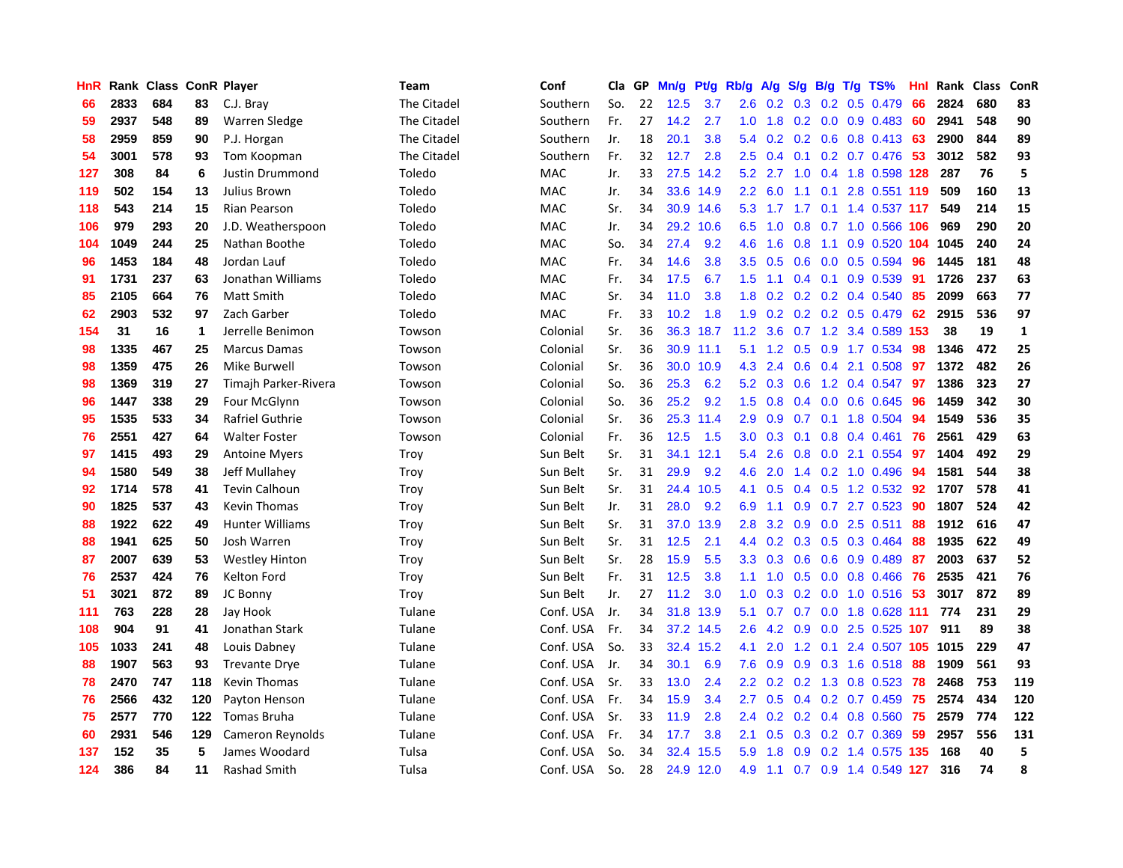| HnR |      | Rank Class |     | <b>ConR Player</b>     | Team        | Conf       | Cla | GP | Mn/g | Pt/g      | Rb/g             | A/g | S/g           | B/g | $T/g$ TS%                    | Hnl | Rank | <b>Class</b> | ConR         |
|-----|------|------------|-----|------------------------|-------------|------------|-----|----|------|-----------|------------------|-----|---------------|-----|------------------------------|-----|------|--------------|--------------|
| 66  | 2833 | 684        | 83  | C.J. Bray              | The Citadel | Southern   | So. | 22 | 12.5 | 3.7       | 2.6              | 0.2 | 0.3           |     | $0.2$ 0.5 0.479              | 66  | 2824 | 680          | 83           |
| 59  | 2937 | 548        | 89  | Warren Sledge          | The Citadel | Southern   | Fr. | 27 | 14.2 | 2.7       | 1.0              | 1.8 |               |     | 0.2 0.0 0.9 0.483 60         |     | 2941 | 548          | 90           |
| 58  | 2959 | 859        | 90  | P.J. Horgan            | The Citadel | Southern   | Jr. | 18 | 20.1 | 3.8       | 5.4              | 0.2 |               |     | 0.2 0.6 0.8 0.413 63         |     | 2900 | 844          | 89           |
| 54  | 3001 | 578        | 93  | Tom Koopman            | The Citadel | Southern   | Fr. | 32 | 12.7 | 2.8       | $2.5^{\circ}$    | 0.4 |               |     | $0.1$ $0.2$ $0.7$ $0.476$ 53 |     | 3012 | 582          | 93           |
| 127 | 308  | 84         | 6   | Justin Drummond        | Toledo      | MAC        | Jr. | 33 | 27.5 | 14.2      | 5.2              | 2.7 | 1.0           |     | 0.4 1.8 0.598 128            |     | 287  | 76           | 5            |
| 119 | 502  | 154        | 13  | Julius Brown           | Toledo      | MAC        | Jr. | 34 | 33.6 | 14.9      | 2.2              | 6.0 | 1.1           |     | 0.1 2.8 0.551 119            |     | 509  | 160          | 13           |
| 118 | 543  | 214        | 15  | Rian Pearson           | Toledo      | MAC        | Sr. | 34 | 30.9 | 14.6      | 5.3              | 1.7 | 1.7           |     | $0.1$ 1.4 0.537 117          |     | 549  | 214          | 15           |
| 106 | 979  | 293        | 20  | J.D. Weatherspoon      | Toledo      | MAC        | Jr. | 34 | 29.2 | 10.6      | 6.5              | 1.0 | 0.8           |     | 0.7 1.0 0.566 106            |     | 969  | 290          | 20           |
| 104 | 1049 | 244        | 25  | Nathan Boothe          | Toledo      | MAC        | So. | 34 | 27.4 | 9.2       | 4.6              | 1.6 | 0.8           | 1.1 | 0.9 0.520 104                |     | 1045 | 240          | 24           |
| 96  | 1453 | 184        | 48  | Jordan Lauf            | Toledo      | <b>MAC</b> | Fr. | 34 | 14.6 | 3.8       | 3.5              | 0.5 | 0.6           |     | $0.0$ 0.5 0.594              | 96  | 1445 | 181          | 48           |
| 91  | 1731 | 237        | 63  | Jonathan Williams      | Toledo      | MAC        | Fr. | 34 | 17.5 | 6.7       | 1.5              | 1.1 |               |     | 0.4 0.1 0.9 0.539 91         |     | 1726 | 237          | 63           |
| 85  | 2105 | 664        | 76  | Matt Smith             | Toledo      | <b>MAC</b> | Sr. | 34 | 11.0 | 3.8       | 1.8              | 0.2 |               |     | $0.2$ 0.2 0.4 0.540          | -85 | 2099 | 663          | 77           |
| 62  | 2903 | 532        | 97  | Zach Garber            | Toledo      | <b>MAC</b> | Fr. | 33 | 10.2 | 1.8       | 1.9              | 0.2 |               |     | $0.2$ 0.2 0.5 0.479          | -62 | 2915 | 536          | 97           |
| 154 | 31   | 16         | 1   | Jerrelle Benimon       | Towson      | Colonial   | Sr. | 36 | 36.3 | 18.7      | 11.2             | 3.6 | 0.7           |     | 1.2 3.4 0.589 153            |     | 38   | 19           | $\mathbf{1}$ |
| 98  | 1335 | 467        | 25  | <b>Marcus Damas</b>    | Towson      | Colonial   | Sr. | 36 | 30.9 | 11.1      | 5.1              | 1.2 | 0.5           |     | 0.9 1.7 0.534                | -98 | 1346 | 472          | 25           |
| 98  | 1359 | 475        | 26  | Mike Burwell           | Towson      | Colonial   | Sr. | 36 | 30.0 | 10.9      | 4.3              | 2.4 | 0.6           | 0.4 | 2.1 0.508                    | 97  | 1372 | 482          | 26           |
| 98  | 1369 | 319        | 27  | Timajh Parker-Rivera   | Towson      | Colonial   | So. | 36 | 25.3 | 6.2       | 5.2              | 0.3 | 0.6           |     | 1.2 0.4 0.547                | -97 | 1386 | 323          | 27           |
| 96  | 1447 | 338        | 29  | Four McGlynn           | Towson      | Colonial   | So. | 36 | 25.2 | 9.2       | 1.5              | 0.8 | 0.4           |     | $0.0$ $0.6$ $0.645$          | 96  | 1459 | 342          | 30           |
| 95  | 1535 | 533        | 34  | Rafriel Guthrie        | Towson      | Colonial   | Sr. | 36 | 25.3 | 11.4      | 2.9              | 0.9 |               |     | 0.7 0.1 1.8 0.504 94         |     | 1549 | 536          | 35           |
| 76  | 2551 | 427        | 64  | <b>Walter Foster</b>   | Towson      | Colonial   | Fr. | 36 | 12.5 | 1.5       | 3.0              | 0.3 |               |     | $0.1$ $0.8$ $0.4$ $0.461$    | -76 | 2561 | 429          | 63           |
| 97  | 1415 | 493        | 29  | <b>Antoine Myers</b>   | Troy        | Sun Belt   | Sr. | 31 | 34.1 | 12.1      | 5.4              | 2.6 | 0.8           |     | $0.0$ 2.1 $0.554$            | -97 | 1404 | 492          | 29           |
| 94  | 1580 | 549        | 38  | Jeff Mullahey          | Troy        | Sun Belt   | Sr. | 31 | 29.9 | 9.2       | 4.6              | 2.0 | 1.4           |     | 0.2 1.0 0.496                | -94 | 1581 | 544          | 38           |
| 92  | 1714 | 578        | 41  | <b>Tevin Calhoun</b>   | Troy        | Sun Belt   | Sr. | 31 | 24.4 | 10.5      | 4.1              | 0.5 | $0.4^{\circ}$ |     | $0.5$ 1.2 0.532              | 92  | 1707 | 578          | 41           |
| 90  | 1825 | 537        | 43  | <b>Kevin Thomas</b>    | Troy        | Sun Belt   | Jr. | 31 | 28.0 | 9.2       | 6.9              | 1.1 | 0.9           | 0.7 | 2.7 0.523                    | 90  | 1807 | 524          | 42           |
| 88  | 1922 | 622        | 49  | <b>Hunter Williams</b> | Troy        | Sun Belt   | Sr. | 31 | 37.0 | 13.9      | 2.8              | 3.2 | 0.9           |     | $0.0$ 2.5 0.511              | 88  | 1912 | 616          | 47           |
| 88  | 1941 | 625        | 50  | Josh Warren            | Troy        | Sun Belt   | Sr. | 31 | 12.5 | 2.1       | 4.4              | 0.2 | 0.3           |     | $0.5$ 0.3 0.464              | 88  | 1935 | 622          | 49           |
| 87  | 2007 | 639        | 53  | <b>Westley Hinton</b>  | Troy        | Sun Belt   | Sr. | 28 | 15.9 | 5.5       | 3.3 <sub>2</sub> | 0.3 |               |     | $0.6$ $0.6$ $0.9$ $0.489$    | -87 | 2003 | 637          | 52           |
| 76  | 2537 | 424        | 76  | Kelton Ford            | Troy        | Sun Belt   | Fr. | 31 | 12.5 | 3.8       | 1.1              | 1.0 |               |     | 0.5 0.0 0.8 0.466 76         |     | 2535 | 421          | 76           |
| 51  | 3021 | 872        | 89  | JC Bonny               | Troy        | Sun Belt   | Jr. | 27 | 11.2 | 3.0       | 1.0              | 0.3 |               |     | 0.2 0.0 1.0 0.516 53         |     | 3017 | 872          | 89           |
| 111 | 763  | 228        | 28  | Jay Hook               | Tulane      | Conf. USA  | Jr. | 34 | 31.8 | 13.9      | 5.1              | 0.7 | 0.7           |     | 0.0 1.8 0.628 111            |     | 774  | 231          | 29           |
| 108 | 904  | 91         | 41  | Jonathan Stark         | Tulane      | Conf. USA  | Fr. | 34 | 37.2 | 14.5      | 2.6              | 4.2 | 0.9           |     | $0.0$ 2.5 0.525 107          |     | 911  | 89           | 38           |
| 105 | 1033 | 241        | 48  | Louis Dabney           | Tulane      | Conf. USA  | So. | 33 | 32.4 | 15.2      | 4.1              | 2.0 | 1.2           | 0.1 | 2.4 0.507 105                |     | 1015 | 229          | 47           |
| 88  | 1907 | 563        | 93  | <b>Trevante Drye</b>   | Tulane      | Conf. USA  | Jr. | 34 | 30.1 | 6.9       | 7.6              | 0.9 | 0.9           |     | $0.3$ 1.6 $0.518$            | 88  | 1909 | 561          | 93           |
| 78  | 2470 | 747        | 118 | Kevin Thomas           | Tulane      | Conf. USA  | Sr. | 33 | 13.0 | 2.4       | 2.2              | 0.2 | 0.2           | 1.3 | $0.8$ 0.523                  | -78 | 2468 | 753          | 119          |
| 76  | 2566 | 432        | 120 | Payton Henson          | Tulane      | Conf. USA  | Fr. | 34 | 15.9 | 3.4       | 2.7              | 0.5 |               |     | $0.4$ 0.2 0.7 0.459          | 75  | 2574 | 434          | 120          |
| 75  | 2577 | 770        | 122 | Tomas Bruha            | Tulane      | Conf. USA  | Sr. | 33 | 11.9 | 2.8       | $2.4^{\circ}$    | 0.2 |               |     | 0.2 0.4 0.8 0.560 75         |     | 2579 | 774          | 122          |
| 60  | 2931 | 546        | 129 | Cameron Reynolds       | Tulane      | Conf. USA  | Fr. | 34 | 17.7 | 3.8       | 2.1              | 0.5 | 0.3           |     | $0.2$ 0.7 0.369              | -59 | 2957 | 556          | 131          |
| 137 | 152  | 35         | 5   | James Woodard          | Tulsa       | Conf. USA  | So. | 34 | 32.4 | 15.5      | 5.9              | 1.8 | 0.9           |     | 0.2 1.4 0.575 135            |     | 168  | 40           | 5            |
| 124 | 386  | 84         | 11  | Rashad Smith           | Tulsa       | Conf. USA  | So. | 28 |      | 24.9 12.0 | 4.9              | 1.1 |               |     | 0.7 0.9 1.4 0.549 127        |     | 316  | 74           | 8            |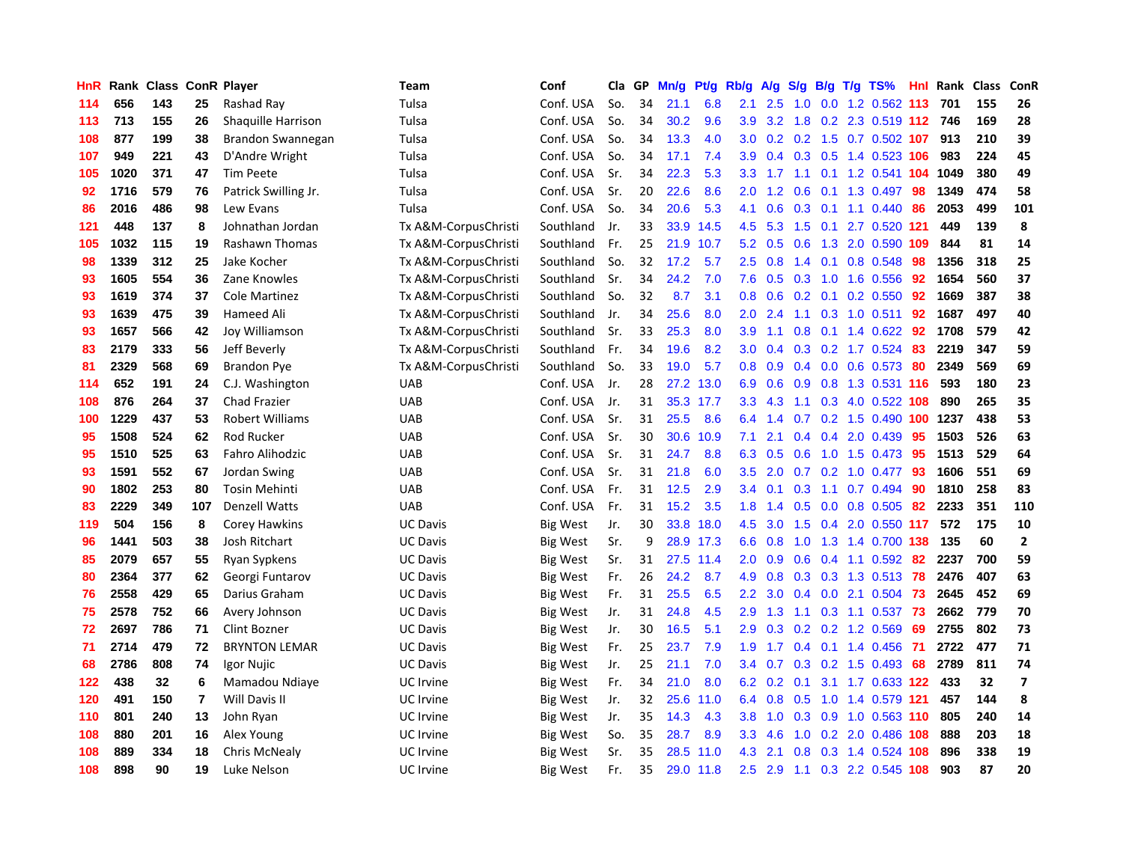| HnR | Rank | <b>Class</b> |                | <b>ConR Player</b>    | <b>Team</b>          | Conf            | Cla | GP | Mn/g | <b>Pt/g</b> | Rb/g             | A/g | S/g           |  | B/g T/g TS%                   | Hnl | Rank | <b>Class</b> | ConR                    |
|-----|------|--------------|----------------|-----------------------|----------------------|-----------------|-----|----|------|-------------|------------------|-----|---------------|--|-------------------------------|-----|------|--------------|-------------------------|
| 114 | 656  | 143          | 25             | Rashad Ray            | Tulsa                | Conf. USA       | So. | 34 | 21.1 | 6.8         | 2.1              | 2.5 | 1.0           |  | 0.0 1.2 0.562 113             |     | 701  | 155          | 26                      |
| 113 | 713  | 155          | 26             | Shaquille Harrison    | Tulsa                | Conf. USA       | So. | 34 | 30.2 | 9.6         | 3.9 <sup>°</sup> |     |               |  | 3.2 1.8 0.2 2.3 0.519 112 746 |     |      | 169          | 28                      |
| 108 | 877  | 199          | 38             | Brandon Swannegan     | Tulsa                | Conf. USA       | So. | 34 | 13.3 | 4.0         | 3.0              |     |               |  | 0.2 0.2 1.5 0.7 0.502 107 913 |     |      | 210          | 39                      |
| 107 | 949  | 221          | 43             | D'Andre Wright        | Tulsa                | Conf. USA       | So. | 34 | 17.1 | 7.4         | 3.9              | 0.4 | 0.3           |  | 0.5 1.4 0.523 106             |     | 983  | 224          | 45                      |
| 105 | 1020 | 371          | 47             | <b>Tim Peete</b>      | Tulsa                | Conf. USA       | Sr. | 34 | 22.3 | 5.3         | 3.3              | 1.7 | 1.1           |  | 0.1 1.2 0.541 104             |     | 1049 | 380          | 49                      |
| 92  | 1716 | 579          | 76             | Patrick Swilling Jr.  | Tulsa                | Conf. USA       | Sr. | 20 | 22.6 | 8.6         | 2.0              | 1.2 | 0.6           |  | 0.1 1.3 0.497                 | 98  | 1349 | 474          | 58                      |
| 86  | 2016 | 486          | 98             | Lew Evans             | Tulsa                | Conf. USA       | So. | 34 | 20.6 | 5.3         | 4.1              | 0.6 | 0.3           |  | $0.1$ 1.1 $0.440$             | 86  | 2053 | 499          | 101                     |
| 121 | 448  | 137          | 8              | Johnathan Jordan      | Tx A&M-CorpusChristi | Southland       | Jr. | 33 | 33.9 | 14.5        | 4.5              | 5.3 | 1.5           |  | 0.1 2.7 0.520 121             |     | 449  | 139          | 8                       |
| 105 | 1032 | 115          | 19             | <b>Rashawn Thomas</b> | Tx A&M-CorpusChristi | Southland       | Fr. | 25 | 21.9 | 10.7        | 5.2              | 0.5 | 0.6           |  | 1.3 2.0 0.590 109             |     | 844  | 81           | 14                      |
| 98  | 1339 | 312          | 25             | Jake Kocher           | Tx A&M-CorpusChristi | Southland       | So. | 32 | 17.2 | 5.7         | 2.5              | 0.8 |               |  | 1.4 0.1 0.8 0.548 98          |     | 1356 | 318          | 25                      |
| 93  | 1605 | 554          | 36             | Zane Knowles          | Tx A&M-CorpusChristi | Southland       | Sr. | 34 | 24.2 | 7.0         | 7.6              |     |               |  | 0.5 0.3 1.0 1.6 0.556 92      |     | 1654 | 560          | 37                      |
| 93  | 1619 | 374          | 37             | <b>Cole Martinez</b>  | Tx A&M-CorpusChristi | Southland       | So. | 32 | 8.7  | 3.1         | 0.8              | 0.6 |               |  | $0.2$ 0.1 0.2 0.550           | 92  | 1669 | 387          | 38                      |
| 93  | 1639 | 475          | 39             | Hameed Ali            | Tx A&M-CorpusChristi | Southland       | Jr. | 34 | 25.6 | 8.0         | 2.0              | 2.4 | 1.1           |  | $0.3$ 1.0 0.511               | 92  | 1687 | 497          | 40                      |
| 93  | 1657 | 566          | 42             | Joy Williamson        | Tx A&M-CorpusChristi | Southland       | Sr. | 33 | 25.3 | 8.0         | 3.9              | 1.1 | 0.8           |  | 0.1 1.4 0.622 92              |     | 1708 | 579          | 42                      |
| 83  | 2179 | 333          | 56             | Jeff Beverly          | Tx A&M-CorpusChristi | Southland       | Fr. | 34 | 19.6 | 8.2         | 3.0              | 0.4 | 0.3           |  | $0.2$ 1.7 $0.524$             | 83  | 2219 | 347          | 59                      |
| 81  | 2329 | 568          | 69             | <b>Brandon Pye</b>    | Tx A&M-CorpusChristi | Southland       | So. | 33 | 19.0 | 5.7         | 0.8              | 0.9 | 0.4           |  | $0.0$ 0.6 0.573               | 80  | 2349 | 569          | 69                      |
| 114 | 652  | 191          | 24             | C.J. Washington       | <b>UAB</b>           | Conf. USA       | Jr. | 28 | 27.2 | 13.0        | 6.9              | 0.6 | 0.9           |  | 0.8 1.3 0.531 116             |     | 593  | 180          | 23                      |
| 108 | 876  | 264          | 37             | <b>Chad Frazier</b>   | <b>UAB</b>           | Conf. USA       | Jr. | 31 |      | 35.3 17.7   | 3.3              | 4.3 | 1.1           |  | 0.3 4.0 0.522 108             |     | 890  | 265          | 35                      |
| 100 | 1229 | 437          | 53             | Robert Williams       | <b>UAB</b>           | Conf. USA       | Sr. | 31 | 25.5 | 8.6         | 6.4              | 1.4 |               |  | 0.7 0.2 1.5 0.490 100 1237    |     |      | 438          | 53                      |
| 95  | 1508 | 524          | 62             | Rod Rucker            | <b>UAB</b>           | Conf. USA       | Sr. | 30 | 30.6 | 10.9        | 7.1              | 2.1 | 0.4           |  | $0.4$ 2.0 0.439               | 95  | 1503 | 526          | 63                      |
| 95  | 1510 | 525          | 63             | Fahro Alihodzic       | <b>UAB</b>           | Conf. USA       | Sr. | 31 | 24.7 | 8.8         | 6.3              | 0.5 | 0.6           |  | 1.0 1.5 0.473                 | 95  | 1513 | 529          | 64                      |
| 93  | 1591 | 552          | 67             | Jordan Swing          | <b>UAB</b>           | Conf. USA       | Sr. | 31 | 21.8 | 6.0         | 3.5              | 2.0 | 0.7           |  | $0.2$ 1.0 0.477               | 93  | 1606 | 551          | 69                      |
| 90  | 1802 | 253          | 80             | <b>Tosin Mehinti</b>  | <b>UAB</b>           | Conf. USA       | Fr. | 31 | 12.5 | 2.9         | 3.4              | 0.1 | 0.3           |  | 1.1 0.7 0.494                 | 90  | 1810 | 258          | 83                      |
| 83  | 2229 | 349          | 107            | Denzell Watts         | <b>UAB</b>           | Conf. USA       | Fr. | 31 | 15.2 | 3.5         | 1.8              | 1.4 | 0.5           |  | $0.0$ 0.8 0.505               | 82  | 2233 | 351          | 110                     |
| 119 | 504  | 156          | 8              | Corey Hawkins         | <b>UC Davis</b>      | <b>Big West</b> | Jr. | 30 | 33.8 | 18.0        | 4.5              | 3.0 | 1.5           |  | 0.4 2.0 0.550 117             |     | 572  | 175          | 10                      |
| 96  | 1441 | 503          | 38             | Josh Ritchart         | <b>UC Davis</b>      | Big West        | Sr. | 9  |      | 28.9 17.3   | 6.6              | 0.8 |               |  | 1.0 1.3 1.4 0.700 138         |     | 135  | 60           | $\mathbf{2}$            |
| 85  | 2079 | 657          | 55             | Ryan Sypkens          | <b>UC Davis</b>      | Big West        | Sr. | 31 |      | 27.5 11.4   | 2.0              | 0.9 |               |  | 0.6 0.4 1.1 0.592 82          |     | 2237 | 700          | 59                      |
| 80  | 2364 | 377          | 62             | Georgi Funtarov       | <b>UC Davis</b>      | Big West        | Fr. | 26 | 24.2 | 8.7         | 4.9              | 0.8 |               |  | 0.3 0.3 1.3 0.513 78          |     | 2476 | 407          | 63                      |
| 76  | 2558 | 429          | 65             | Darius Graham         | <b>UC Davis</b>      | Big West        | Fr. | 31 | 25.5 | 6.5         | $2.2\phantom{0}$ | 3.0 | 0.4           |  | $0.0$ 2.1 $0.504$             | 73  | 2645 | 452          | 69                      |
| 75  | 2578 | 752          | 66             | Avery Johnson         | <b>UC Davis</b>      | Big West        | Jr. | 31 | 24.8 | 4.5         | 2.9              | 1.3 | 1.1           |  | 0.3 1.1 0.537                 | 73  | 2662 | 779          | 70                      |
| 72  | 2697 | 786          | 71             | Clint Bozner          | <b>UC Davis</b>      | Big West        | Jr. | 30 | 16.5 | 5.1         | 2.9              | 0.3 | 0.2           |  | 0.2 1.2 0.569                 | 69  | 2755 | 802          | 73                      |
| 71  | 2714 | 479          | 72             | <b>BRYNTON LEMAR</b>  | <b>UC Davis</b>      | Big West        | Fr. | 25 | 23.7 | 7.9         | 1.9              | 1.7 | $0.4^{\circ}$ |  | $0.1$ 1.4 $0.456$             | -71 | 2722 | 477          | 71                      |
| 68  | 2786 | 808          | 74             | Igor Nujic            | <b>UC Davis</b>      | Big West        | Jr. | 25 | 21.1 | 7.0         | $3.4^{\circ}$    | 0.7 | 0.3           |  | 0.2 1.5 0.493                 | 68  | 2789 | 811          | 74                      |
| 122 | 438  | 32           | 6              | Mamadou Ndiaye        | UC Irvine            | <b>Big West</b> | Fr. | 34 | 21.0 | 8.0         | 6.2              | 0.2 | 0.1           |  | 3.1 1.7 0.633 122             |     | 433  | 32           | $\overline{\mathbf{z}}$ |
| 120 | 491  | 150          | $\overline{7}$ | Will Davis II         | UC Irvine            | <b>Big West</b> | Jr. | 32 | 25.6 | 11.0        | 6.4              | 0.8 |               |  | 0.5 1.0 1.4 0.579 121         |     | 457  | 144          | 8                       |
| 110 | 801  | 240          | 13             | John Ryan             | UC Irvine            | Big West        | Jr. | 35 | 14.3 | 4.3         | 3.8              | 1.0 | 0.3           |  | 0.9 1.0 0.563 110             |     | 805  | 240          | 14                      |
| 108 | 880  | 201          | 16             | Alex Young            | UC Irvine            | <b>Big West</b> | So. | 35 | 28.7 | 8.9         | 3.3              | 4.6 | 1.0           |  | $0.2$ 2.0 0.486 108           |     | 888  | 203          | 18                      |
| 108 | 889  | 334          | 18             | Chris McNealy         | UC Irvine            | Big West        | Sr. | 35 | 28.5 | 11.0        | 4.3              | 2.1 | 0.8           |  | 0.3 1.4 0.524 108             |     | 896  | 338          | 19                      |
| 108 | 898  | 90           | 19             | Luke Nelson           | UC Irvine            | <b>Big West</b> | Fr. | 35 |      | 29.0 11.8   | 2.5              | 2.9 |               |  | 1.1 0.3 2.2 0.545 108         |     | 903  | 87           | 20                      |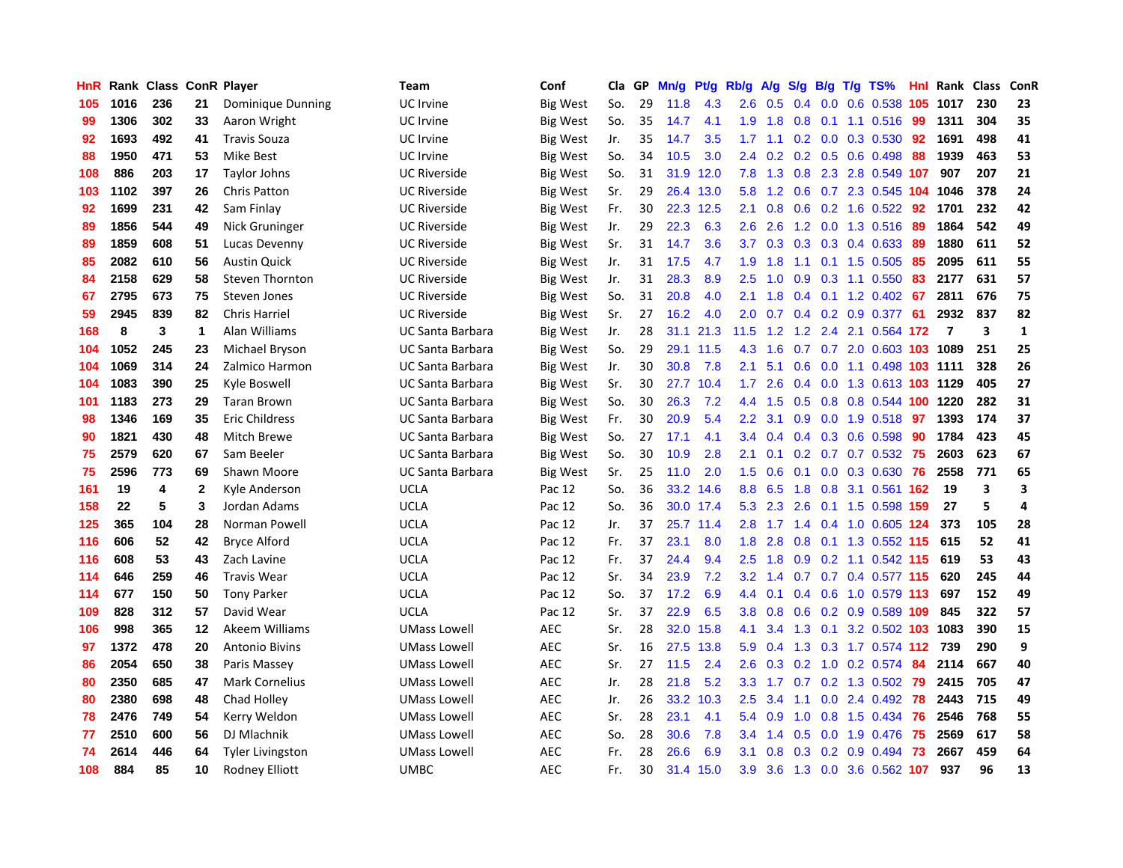| HnR |      | Rank Class ConR Player |              |                         | <b>Team</b>             | Conf            | Cla | GP | Mn/g | Pt/g | Rb/g             | A/g | S/g              | B/g | $T/g$ TS%                 | <b>Hnl</b> | Rank Class     |     | ConR         |
|-----|------|------------------------|--------------|-------------------------|-------------------------|-----------------|-----|----|------|------|------------------|-----|------------------|-----|---------------------------|------------|----------------|-----|--------------|
| 105 | 1016 | 236                    | 21           | Dominique Dunning       | UC Irvine               | <b>Big West</b> | So. | 29 | 11.8 | 4.3  | 2.6              | 0.5 | 0.4              | 0.0 | $0.6$ 0.538               | 105        | 1017           | 230 | 23           |
| 99  | 1306 | 302                    | 33           | Aaron Wright            | UC Irvine               | <b>Big West</b> | So. | 35 | 14.7 | 4.1  | 1.9              | 1.8 | 0.8              |     | 0.1 1.1 0.516 99          |            | 1311           | 304 | 35           |
| 92  | 1693 | 492                    | 41           | <b>Travis Souza</b>     | UC Irvine               | <b>Big West</b> | Jr. | 35 | 14.7 | 3.5  | 1.7              | 1.1 |                  |     | 0.2 0.0 0.3 0.530 92      |            | 1691           | 498 | 41           |
| 88  | 1950 | 471                    | 53           | Mike Best               | UC Irvine               | <b>Big West</b> | So. | 34 | 10.5 | 3.0  | $2.4^{\circ}$    | 0.2 |                  |     | $0.2$ $0.5$ $0.6$ $0.498$ | 88         | 1939           | 463 | 53           |
| 108 | 886  | 203                    | 17           | Taylor Johns            | <b>UC Riverside</b>     | Big West        | So. | 31 | 31.9 | 12.0 | 7.8              | 1.3 | 0.8              |     | 2.3 2.8 0.549 107         |            | 907            | 207 | 21           |
| 103 | 1102 | 397                    | 26           | <b>Chris Patton</b>     | <b>UC Riverside</b>     | Big West        | Sr. | 29 | 26.4 | 13.0 | 5.8              | 1.2 | 0.6              |     | 0.7 2.3 0.545 104         |            | 1046           | 378 | 24           |
| 92  | 1699 | 231                    | 42           | Sam Finlay              | <b>UC Riverside</b>     | <b>Big West</b> | Fr. | 30 | 22.3 | 12.5 | 2.1              | 0.8 | 0.6              |     | $0.2$ 1.6 0.522           | 92         | 1701           | 232 | 42           |
| 89  | 1856 | 544                    | 49           | Nick Gruninger          | <b>UC Riverside</b>     | <b>Big West</b> | Jr. | 29 | 22.3 | 6.3  | 2.6              | 2.6 | 1.2              |     | 0.0 1.3 0.516             | 89         | 1864           | 542 | 49           |
| 89  | 1859 | 608                    | 51           | Lucas Devenny           | <b>UC Riverside</b>     | <b>Big West</b> | Sr. | 31 | 14.7 | 3.6  | 3.7              | 0.3 | 0.3              |     | $0.3$ 0.4 0.633           | -89        | 1880           | 611 | 52           |
| 85  | 2082 | 610                    | 56           | <b>Austin Quick</b>     | <b>UC Riverside</b>     | <b>Big West</b> | Jr. | 31 | 17.5 | 4.7  | 1.9              | 1.8 | 1.1              |     | 0.1 1.5 0.505 85          |            | 2095           | 611 | 55           |
| 84  | 2158 | 629                    | 58           | <b>Steven Thornton</b>  | <b>UC Riverside</b>     | <b>Big West</b> | Jr. | 31 | 28.3 | 8.9  | 2.5              | 1.0 |                  |     | 0.9 0.3 1.1 0.550 83      |            | 2177           | 631 | 57           |
| 67  | 2795 | 673                    | 75           | Steven Jones            | <b>UC Riverside</b>     | <b>Big West</b> | So. | 31 | 20.8 | 4.0  | 2.1              | 1.8 |                  |     | $0.4$ 0.1 1.2 0.402 67    |            | 2811           | 676 | 75           |
| 59  | 2945 | 839                    | 82           | <b>Chris Harriel</b>    | <b>UC Riverside</b>     | <b>Big West</b> | Sr. | 27 | 16.2 | 4.0  | 2.0              | 0.7 |                  |     | $0.4$ 0.2 0.9 0.377       | -61        | 2932           | 837 | 82           |
| 168 | 8    | 3                      | 1            | Alan Williams           | <b>UC Santa Barbara</b> | <b>Big West</b> | Jr. | 28 | 31.1 | 21.3 | 11.5             | 1.2 | 1.2              |     | 2.4 2.1 0.564 172         |            | $\overline{7}$ | 3   | $\mathbf{1}$ |
| 104 | 1052 | 245                    | 23           | Michael Bryson          | <b>UC Santa Barbara</b> | Big West        | So. | 29 | 29.1 | 11.5 | 4.3              | 1.6 | 0.7              |     | 0.7 2.0 0.603 103 1089    |            |                | 251 | 25           |
| 104 | 1069 | 314                    | 24           | Zalmico Harmon          | <b>UC Santa Barbara</b> | Big West        | Jr. | 30 | 30.8 | 7.8  | 2.1              | 5.1 | 0.6              |     | 0.0 1.1 0.498 103 1111    |            |                | 328 | 26           |
| 104 | 1083 | 390                    | 25           | Kyle Boswell            | <b>UC Santa Barbara</b> | Big West        | Sr. | 30 | 27.7 | 10.4 | 1.7              | 2.6 | 0.4              |     | 0.0 1.3 0.613 103 1129    |            |                | 405 | 27           |
| 101 | 1183 | 273                    | 29           | <b>Taran Brown</b>      | <b>UC Santa Barbara</b> | <b>Big West</b> | So. | 30 | 26.3 | 7.2  | 4.4              | 1.5 | 0.5              |     | 0.8 0.8 0.544 100 1220    |            |                | 282 | 31           |
| 98  | 1346 | 169                    | 35           | <b>Eric Childress</b>   | <b>UC Santa Barbara</b> | <b>Big West</b> | Fr. | 30 | 20.9 | 5.4  | 2.2              | 3.1 | 0.9 <sub>0</sub> |     | 0.0 1.9 0.518 97          |            | 1393           | 174 | 37           |
| 90  | 1821 | 430                    | 48           | Mitch Brewe             | <b>UC Santa Barbara</b> | <b>Big West</b> | So. | 27 | 17.1 | 4.1  | 3.4              | 0.4 | 0.4              |     | 0.3 0.6 0.598             | 90         | 1784           | 423 | 45           |
| 75  | 2579 | 620                    | 67           | Sam Beeler              | <b>UC Santa Barbara</b> | <b>Big West</b> | So. | 30 | 10.9 | 2.8  | 2.1              | 0.1 |                  |     | 0.2 0.7 0.7 0.532 75      |            | 2603           | 623 | 67           |
| 75  | 2596 | 773                    | 69           | Shawn Moore             | <b>UC Santa Barbara</b> | <b>Big West</b> | Sr. | 25 | 11.0 | 2.0  | 1.5              | 0.6 | 0.1              |     | $0.0$ $0.3$ $0.630$       | 76         | 2558           | 771 | 65           |
| 161 | 19   | 4                      | $\mathbf{2}$ | Kyle Anderson           | <b>UCLA</b>             | Pac 12          | So. | 36 | 33.2 | 14.6 | 8.8              | 6.5 | 1.8              |     | 0.8 3.1 0.561 162         |            | 19             | 3   | 3            |
| 158 | 22   | 5                      | 3            | Jordan Adams            | <b>UCLA</b>             | Pac 12          | So. | 36 | 30.0 | 17.4 | 5.3              | 2.3 | 2.6              |     | 0.1 1.5 0.598 159         |            | 27             | 5   | 4            |
| 125 | 365  | 104                    | 28           | Norman Powell           | <b>UCLA</b>             | Pac 12          | Jr. | 37 | 25.7 | 11.4 | 2.8              | 1.7 | 1.4              |     | 0.4 1.0 0.605 124         |            | 373            | 105 | 28           |
| 116 | 606  | 52                     | 42           | <b>Bryce Alford</b>     | <b>UCLA</b>             | Pac 12          | Fr. | 37 | 23.1 | 8.0  | 1.8              | 2.8 | 0.8              |     | 0.1 1.3 0.552 115         |            | 615            | 52  | 41           |
| 116 | 608  | 53                     | 43           | Zach Lavine             | <b>UCLA</b>             | Pac 12          | Fr. | 37 | 24.4 | 9.4  | 2.5              | 1.8 |                  |     | 0.9 0.2 1.1 0.542 115     |            | 619            | 53  | 43           |
| 114 | 646  | 259                    | 46           | <b>Travis Wear</b>      | <b>UCLA</b>             | Pac 12          | Sr. | 34 | 23.9 | 7.2  | 3.2              | 1.4 |                  |     | 0.7 0.7 0.4 0.577 115     |            | 620            | 245 | 44           |
| 114 | 677  | 150                    | 50           | <b>Tony Parker</b>      | <b>UCLA</b>             | Pac 12          | So. | 37 | 17.2 | 6.9  | 4.4              | 0.1 |                  |     | $0.4$ 0.6 1.0 0.579 113   |            | 697            | 152 | 49           |
| 109 | 828  | 312                    | 57           | David Wear              | <b>UCLA</b>             | Pac 12          | Sr. | 37 | 22.9 | 6.5  | 3.8              | 0.8 | 0.6              |     | 0.2 0.9 0.589 109         |            | 845            | 322 | 57           |
| 106 | 998  | 365                    | $12 \,$      | Akeem Williams          | <b>UMass Lowell</b>     | <b>AEC</b>      | Sr. | 28 | 32.0 | 15.8 | 4.1              | 3.4 | 1.3              |     | 0.1 3.2 0.502 103 1083    |            |                | 390 | 15           |
| 97  | 1372 | 478                    | 20           | <b>Antonio Bivins</b>   | <b>UMass Lowell</b>     | <b>AEC</b>      | Sr. | 16 | 27.5 | 13.8 | 5.9              | 0.4 | 1.3              |     | 0.3 1.7 0.574 112         |            | 739            | 290 | 9            |
| 86  | 2054 | 650                    | 38           | Paris Massey            | <b>UMass Lowell</b>     | <b>AEC</b>      | Sr. | 27 | 11.5 | 2.4  | 2.6              | 0.3 | 0.2              | 1.0 | $0.2$ 0.574               | 84         | 2114           | 667 | 40           |
| 80  | 2350 | 685                    | 47           | <b>Mark Cornelius</b>   | <b>UMass Lowell</b>     | <b>AEC</b>      | Jr. | 28 | 21.8 | 5.2  | 3.3 <sub>2</sub> | 1.7 | 0.7              |     | 0.2 1.3 0.502             | 79         | 2415           | 705 | 47           |
| 80  | 2380 | 698                    | 48           | Chad Holley             | <b>UMass Lowell</b>     | <b>AEC</b>      | Jr. | 26 | 33.2 | 10.3 | 2.5              | 3.4 | 1.1              |     | $0.0$ 2.4 $0.492$         | -78        | 2443           | 715 | 49           |
| 78  | 2476 | 749                    | 54           | Kerry Weldon            | <b>UMass Lowell</b>     | <b>AEC</b>      | Sr. | 28 | 23.1 | 4.1  | 5.4              | 0.9 | 1.0              |     | 0.8 1.5 0.434             | -76        | 2546           | 768 | 55           |
| 77  | 2510 | 600                    | 56           | DJ Mlachnik             | <b>UMass Lowell</b>     | <b>AEC</b>      | So. | 28 | 30.6 | 7.8  | 3.4              | 1.4 | 0.5              |     | $0.0$ 1.9 $0.476$         | -75        | 2569           | 617 | 58           |
| 74  | 2614 | 446                    | 64           | <b>Tyler Livingston</b> | UMass Lowell            | <b>AEC</b>      | Fr. | 28 | 26.6 | 6.9  | 3.1              | 0.8 | 0.3 <sub>0</sub> |     | $0.2$ 0.9 0.494           | 73         | 2667           | 459 | 64           |
| 108 | 884  | 85                     | 10           | <b>Rodney Elliott</b>   | <b>UMBC</b>             | <b>AEC</b>      | Fr. | 30 | 31.4 | 15.0 | 3.9              | 3.6 |                  |     | 1.3 0.0 3.6 0.562 107     |            | 937            | 96  | 13           |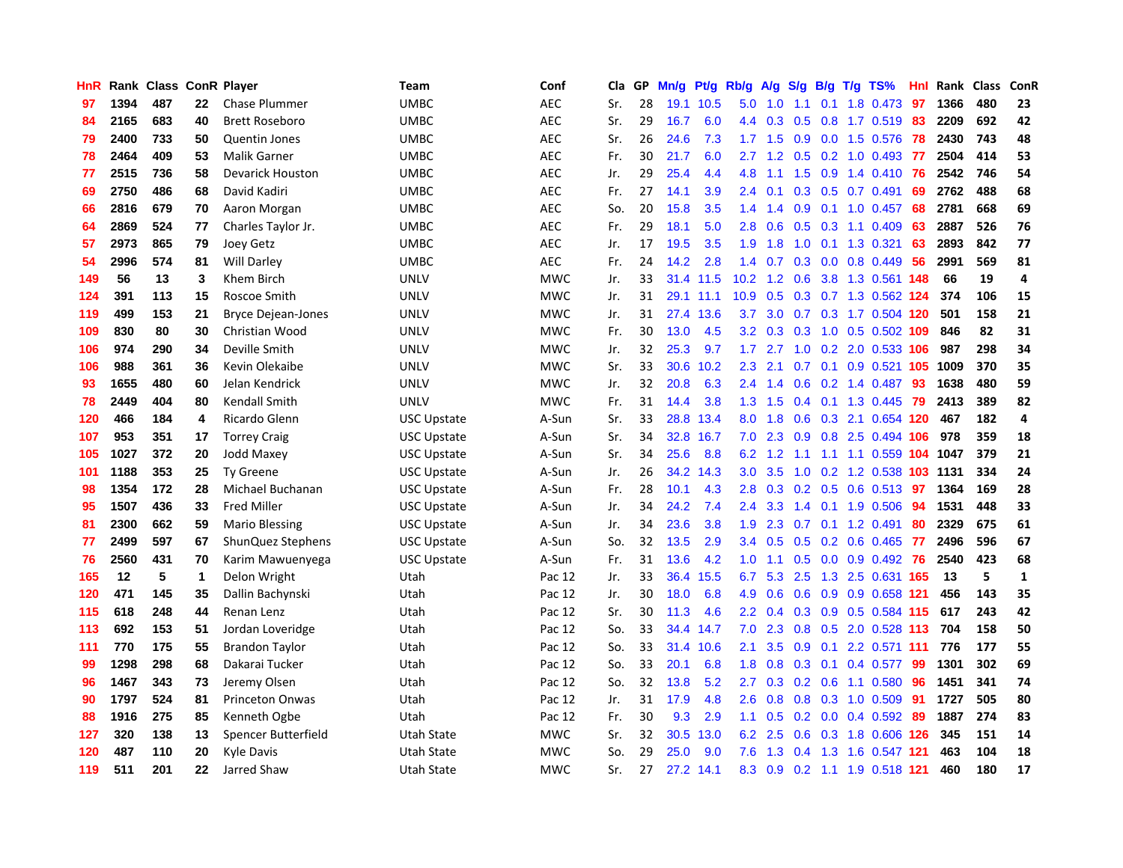| HnR |      | Rank Class ConR Player |    |                           | <b>Team</b>        | Conf       | <b>Cla</b> | GP | Mn/g | Pt/g      | Rb/g             | A/g    | S/g              |     | B/g T/g TS%               | Hnl | Rank | <b>Class</b> | ConR         |
|-----|------|------------------------|----|---------------------------|--------------------|------------|------------|----|------|-----------|------------------|--------|------------------|-----|---------------------------|-----|------|--------------|--------------|
| 97  | 1394 | 487                    | 22 | <b>Chase Plummer</b>      | <b>UMBC</b>        | <b>AEC</b> | Sr.        | 28 | 19.1 | 10.5      | 5.0              | 1.0    | 1.1              | 0.1 | 1.8 0.473                 | 97  | 1366 | 480          | 23           |
| 84  | 2165 | 683                    | 40 | <b>Brett Roseboro</b>     | <b>UMBC</b>        | <b>AEC</b> | Sr.        | 29 | 16.7 | 6.0       | 4.4              | 0.3    | 0.5              |     | 0.8 1.7 0.519 83          |     | 2209 | 692          | 42           |
| 79  | 2400 | 733                    | 50 | Quentin Jones             | <b>UMBC</b>        | <b>AEC</b> | Sr.        | 26 | 24.6 | 7.3       | 1.7 <sub>z</sub> | $-1.5$ | 0.9              |     | $0.0$ 1.5 $0.576$         | 78  | 2430 | 743          | 48           |
| 78  | 2464 | 409                    | 53 | <b>Malik Garner</b>       | <b>UMBC</b>        | <b>AEC</b> | Fr.        | 30 | 21.7 | 6.0       | $2.7^{\circ}$    | 1.2    |                  |     | $0.5$ 0.2 1.0 0.493       | -77 | 2504 | 414          | 53           |
| 77  | 2515 | 736                    | 58 | <b>Devarick Houston</b>   | <b>UMBC</b>        | <b>AEC</b> | Jr.        | 29 | 25.4 | 4.4       | 4.8              | 1.1    | 1.5              |     | $0.9$ 1.4 $0.410$         | 76  | 2542 | 746          | 54           |
| 69  | 2750 | 486                    | 68 | David Kadiri              | UMBC               | <b>AEC</b> | Fr.        | 27 | 14.1 | 3.9       | 2.4              | 0.1    |                  |     | $0.3$ 0.5 0.7 0.491       | 69  | 2762 | 488          | 68           |
| 66  | 2816 | 679                    | 70 | Aaron Morgan              | <b>UMBC</b>        | <b>AEC</b> | So.        | 20 | 15.8 | 3.5       | 1.4              | 1.4    | 0.9 <sup>°</sup> |     | $0.1$ 1.0 0.457           | 68  | 2781 | 668          | 69           |
| 64  | 2869 | 524                    | 77 | Charles Taylor Jr.        | <b>UMBC</b>        | <b>AEC</b> | Fr.        | 29 | 18.1 | 5.0       | 2.8              | 0.6    | 0.5              |     | 0.3 1.1 0.409             | 63  | 2887 | 526          | 76           |
| 57  | 2973 | 865                    | 79 | Joey Getz                 | <b>UMBC</b>        | <b>AEC</b> | Jr.        | 17 | 19.5 | 3.5       | 1.9              | 1.8    | 1.0              |     | 0.1 1.3 0.321             | 63  | 2893 | 842          | 77           |
| 54  | 2996 | 574                    | 81 | <b>Will Darley</b>        | <b>UMBC</b>        | <b>AEC</b> | Fr.        | 24 | 14.2 | 2.8       | 1.4              | 0.7    |                  |     | $0.3$ 0.0 0.8 0.449       | -56 | 2991 | 569          | 81           |
| 149 | 56   | 13                     | 3  | Khem Birch                | <b>UNLV</b>        | <b>MWC</b> | Jr.        | 33 |      | 31.4 11.5 | 10.2             |        |                  |     | 1.2 0.6 3.8 1.3 0.561 148 |     | 66   | 19           | 4            |
| 124 | 391  | 113                    | 15 | Roscoe Smith              | <b>UNLV</b>        | <b>MWC</b> | Jr.        | 31 |      | 29.1 11.1 | 10.9             | 0.5    |                  |     | 0.3 0.7 1.3 0.562 124     |     | 374  | 106          | 15           |
| 119 | 499  | 153                    | 21 | <b>Bryce Dejean-Jones</b> | <b>UNLV</b>        | <b>MWC</b> | Jr.        | 31 | 27.4 | 13.6      | 3.7              | 3.0    |                  |     | 0.7 0.3 1.7 0.504 120     |     | 501  | 158          | 21           |
| 109 | 830  | 80                     | 30 | Christian Wood            | <b>UNLV</b>        | <b>MWC</b> | Fr.        | 30 | 13.0 | 4.5       | 3.2              | 0.3    | 0.3              |     | 1.0 0.5 0.502 109         |     | 846  | 82           | 31           |
| 106 | 974  | 290                    | 34 | Deville Smith             | <b>UNLV</b>        | <b>MWC</b> | Jr.        | 32 | 25.3 | 9.7       | 1.7 <sub>z</sub> | 2.7    | 1.0              |     | 0.2 2.0 0.533 106         |     | 987  | 298          | 34           |
| 106 | 988  | 361                    | 36 | Kevin Olekaibe            | <b>UNLV</b>        | <b>MWC</b> | Sr.        | 33 | 30.6 | 10.2      | 2.3              | 2.1    | 0.7              |     | $0.1$ 0.9 0.521 105       |     | 1009 | 370          | 35           |
| 93  | 1655 | 480                    | 60 | Jelan Kendrick            | <b>UNLV</b>        | <b>MWC</b> | Jr.        | 32 | 20.8 | 6.3       | 2.4              | 1.4    | 0.6              |     | 0.2 1.4 0.487             | 93  | 1638 | 480          | 59           |
| 78  | 2449 | 404                    | 80 | Kendall Smith             | <b>UNLV</b>        | <b>MWC</b> | Fr.        | 31 | 14.4 | 3.8       | 1.3              | 1.5    |                  |     | 0.4 0.1 1.3 0.445 79      |     | 2413 | 389          | 82           |
| 120 | 466  | 184                    | 4  | Ricardo Glenn             | <b>USC Upstate</b> | A-Sun      | Sr.        | 33 | 28.8 | 13.4      | 8.0              | 1.8    |                  |     | 0.6 0.3 2.1 0.654 120     |     | 467  | 182          | 4            |
| 107 | 953  | 351                    | 17 | <b>Torrey Craig</b>       | <b>USC Upstate</b> | A-Sun      | Sr.        | 34 | 32.8 | 16.7      | 7.0              | 2.3    |                  |     | 0.9 0.8 2.5 0.494 106     |     | 978  | 359          | 18           |
| 105 | 1027 | 372                    | 20 | Jodd Maxey                | <b>USC Upstate</b> | A-Sun      | Sr.        | 34 | 25.6 | 8.8       | 6.2              | 1.2    | $1.1 -$          |     | 1.1 1.1 0.559 104         |     | 1047 | 379          | 21           |
| 101 | 1188 | 353                    | 25 | Ty Greene                 | <b>USC Upstate</b> | A-Sun      | Jr.        | 26 | 34.2 | 14.3      | 3.0 <sub>2</sub> | 3.5    | 1.0              |     | 0.2 1.2 0.538 103 1131    |     |      | 334          | 24           |
| 98  | 1354 | 172                    | 28 | Michael Buchanan          | <b>USC Upstate</b> | A-Sun      | Fr.        | 28 | 10.1 | 4.3       | 2.8              | 0.3    |                  |     | $0.2$ 0.5 0.6 0.513       | -97 | 1364 | 169          | 28           |
| 95  | 1507 | 436                    | 33 | <b>Fred Miller</b>        | <b>USC Upstate</b> | A-Sun      | Jr.        | 34 | 24.2 | 7.4       | 2.4              | 3.3    | 1.4              |     | $0.1$ 1.9 0.506           | 94  | 1531 | 448          | 33           |
| 81  | 2300 | 662                    | 59 | Mario Blessing            | <b>USC Upstate</b> | A-Sun      | Jr.        | 34 | 23.6 | 3.8       | 1.9              | 2.3    | 0.7              |     | $0.1$ 1.2 0.491           | 80  | 2329 | 675          | 61           |
| 77  | 2499 | 597                    | 67 | ShunQuez Stephens         | USC Upstate        | A-Sun      | So.        | 32 | 13.5 | 2.9       | $3.4^{\circ}$    | 0.5    |                  |     | 0.5 0.2 0.6 0.465 77      |     | 2496 | 596          | 67           |
| 76  | 2560 | 431                    | 70 | Karim Mawuenyega          | USC Upstate        | A-Sun      | Fr.        | 31 | 13.6 | 4.2       | 1.0 <sub>1</sub> | 1.1    |                  |     | 0.5 0.0 0.9 0.492 76      |     | 2540 | 423          | 68           |
| 165 | 12   | 5                      | 1  | Delon Wright              | Utah               | Pac 12     | Jr.        | 33 | 36.4 | 15.5      | 6.7              | 5.3    |                  |     | 2.5 1.3 2.5 0.631 165     |     | 13   | 5            | $\mathbf{1}$ |
| 120 | 471  | 145                    | 35 | Dallin Bachynski          | Utah               | Pac 12     | Jr.        | 30 | 18.0 | 6.8       | 4.9              | 0.6    | 0.6              |     | 0.9 0.9 0.658 121         |     | 456  | 143          | 35           |
| 115 | 618  | 248                    | 44 | Renan Lenz                | Utah               | Pac 12     | Sr.        | 30 | 11.3 | 4.6       | $2.2^{\circ}$    | 0.4    |                  |     | 0.3 0.9 0.5 0.584 115     |     | 617  | 243          | 42           |
| 113 | 692  | 153                    | 51 | Jordan Loveridge          | Utah               | Pac 12     | So.        | 33 | 34.4 | 14.7      | 7.0              | 2.3    | 0.8              |     | 0.5 2.0 0.528 113         |     | 704  | 158          | 50           |
| 111 | 770  | 175                    | 55 | <b>Brandon Taylor</b>     | Utah               | Pac 12     | So.        | 33 | 31.4 | 10.6      | 2.1              | 3.5    | 0.9              | 0.1 | 2.2 0.571 111             |     | 776  | 177          | 55           |
| 99  | 1298 | 298                    | 68 | Dakarai Tucker            | Utah               | Pac 12     | So.        | 33 | 20.1 | 6.8       | 1.8              | 0.8    | 0.3              | 0.1 | 0.4 0.577                 | 99  | 1301 | 302          | 69           |
| 96  | 1467 | 343                    | 73 | Jeremy Olsen              | Utah               | Pac 12     | So.        | 32 | 13.8 | 5.2       | $2.7^{\circ}$    | 0.3    |                  |     | $0.2$ 0.6 1.1 0.580       | 96  | 1451 | 341          | 74           |
| 90  | 1797 | 524                    | 81 | Princeton Onwas           | Utah               | Pac 12     | Jr.        | 31 | 17.9 | 4.8       | 2.6              | 0.8    |                  |     | 0.8 0.3 1.0 0.509         | -91 | 1727 | 505          | 80           |
| 88  | 1916 | 275                    | 85 | Kenneth Ogbe              | Utah               | Pac 12     | Fr.        | 30 | 9.3  | 2.9       | 1.1              | 0.5    |                  |     | $0.2$ 0.0 0.4 0.592       | -89 | 1887 | 274          | 83           |
| 127 | 320  | 138                    | 13 | Spencer Butterfield       | Utah State         | MWC        | Sr.        | 32 | 30.5 | 13.0      | 6.2              | 2.5    | 0.6              |     | 0.3 1.8 0.606 126         |     | 345  | 151          | 14           |
| 120 | 487  | 110                    | 20 | Kyle Davis                | <b>Utah State</b>  | <b>MWC</b> | So.        | 29 | 25.0 | 9.0       | 7.6              | 1.3    | 0.4              |     | 1.3 1.6 0.547 121         |     | 463  | 104          | 18           |
| 119 | 511  | 201                    | 22 | Jarred Shaw               | <b>Utah State</b>  | <b>MWC</b> | Sr.        | 27 |      | 27.2 14.1 | 8.3              | 0.9    |                  |     | 0.2 1.1 1.9 0.518 121     |     | 460  | 180          | 17           |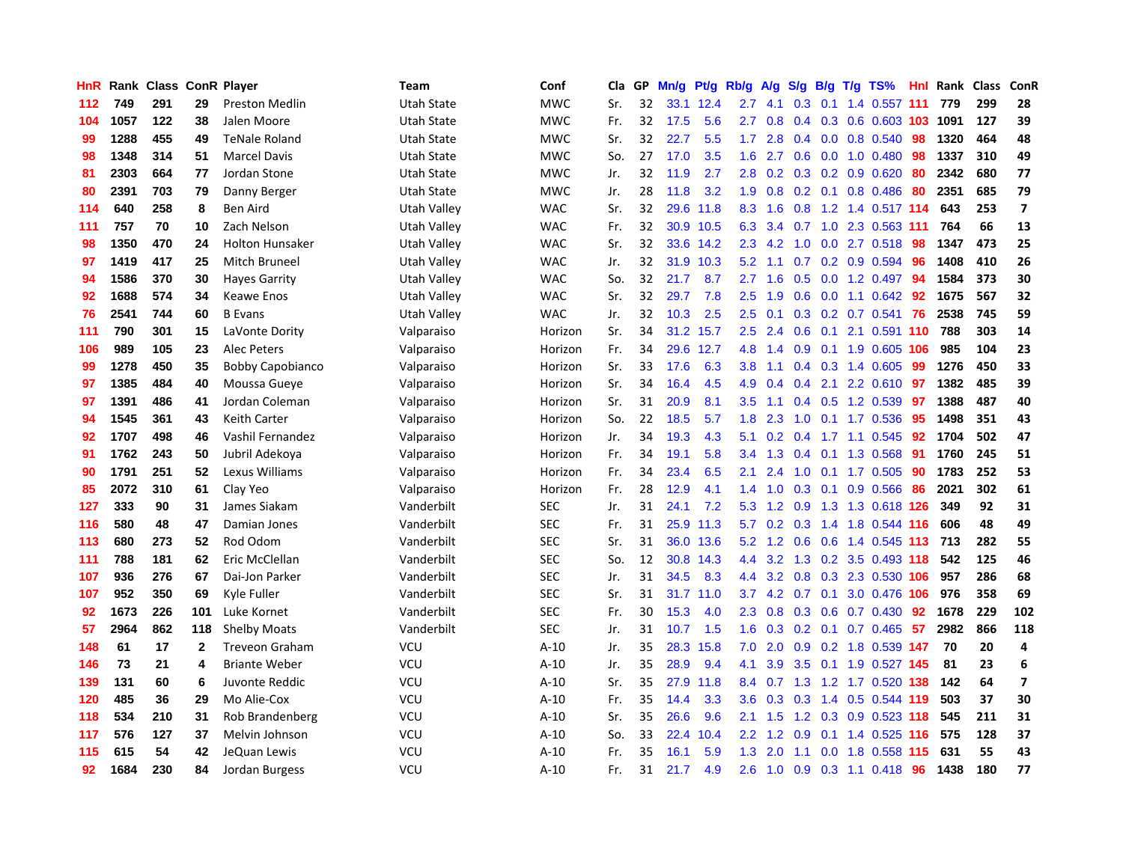| HnR |      | Rank Class ConR Player |              |                         | Team              | Conf       | Cla | GP | Mn/g | Pt/g      | Rb/g          | A/g | S/g              | B/g | $T/g$ TS%              | Hnl | Rank | <b>Class</b> | ConR                    |
|-----|------|------------------------|--------------|-------------------------|-------------------|------------|-----|----|------|-----------|---------------|-----|------------------|-----|------------------------|-----|------|--------------|-------------------------|
| 112 | 749  | 291                    | 29           | <b>Preston Medlin</b>   | <b>Utah State</b> | <b>MWC</b> | Sr. | 32 | 33.1 | 12.4      | 2.7           | 4.1 | 0.3              | 0.1 | 1.4 0.557 111          |     | 779  | 299          | 28                      |
| 104 | 1057 | 122                    | 38           | Jalen Moore             | Utah State        | <b>MWC</b> | Fr. | 32 | 17.5 | 5.6       | 2.7           | 0.8 | $0.4^{\circ}$    |     | 0.3 0.6 0.603 103 1091 |     |      | 127          | 39                      |
| 99  | 1288 | 455                    | 49           | <b>TeNale Roland</b>    | Utah State        | <b>MWC</b> | Sr. | 32 | 22.7 | 5.5       | $1.7^{\circ}$ | 2.8 | $0.4^{\circ}$    |     | $0.0$ 0.8 0.540        | 98  | 1320 | 464          | 48                      |
| 98  | 1348 | 314                    | 51           | <b>Marcel Davis</b>     | Utah State        | <b>MWC</b> | So. | 27 | 17.0 | 3.5       | 1.6           | 2.7 | 0.6              |     | $0.0$ 1.0 $0.480$      | -98 | 1337 | 310          | 49                      |
| 81  | 2303 | 664                    | 77           | Jordan Stone            | <b>Utah State</b> | <b>MWC</b> | Jr. | 32 | 11.9 | 2.7       | 2.8           | 0.2 | 0.3 <sub>0</sub> |     | $0.2$ 0.9 0.620        | 80  | 2342 | 680          | 77                      |
| 80  | 2391 | 703                    | 79           | Danny Berger            | Utah State        | <b>MWC</b> | Jr. | 28 | 11.8 | 3.2       | 1.9           | 0.8 |                  |     | $0.2$ 0.1 0.8 0.486    | -80 | 2351 | 685          | 79                      |
| 114 | 640  | 258                    | 8            | <b>Ben Aird</b>         | Utah Valley       | <b>WAC</b> | Sr. | 32 | 29.6 | 11.8      | 8.3           | 1.6 | 0.8              |     | 1.2 1.4 0.517 114      |     | 643  | 253          | $\overline{\mathbf{z}}$ |
| 111 | 757  | 70                     | 10           | Zach Nelson             | Utah Valley       | <b>WAC</b> | Fr. | 32 | 30.9 | 10.5      | 6.3           | 3.4 |                  |     | 0.7 1.0 2.3 0.563 111  |     | 764  | 66           | 13                      |
| 98  | 1350 | 470                    | 24           | <b>Holton Hunsaker</b>  | Utah Valley       | <b>WAC</b> | Sr. | 32 | 33.6 | 14.2      | 2.3           | 4.2 | 1.0              |     | $0.0$ 2.7 $0.518$      | 98  | 1347 | 473          | 25                      |
| 97  | 1419 | 417                    | 25           | Mitch Bruneel           | Utah Valley       | <b>WAC</b> | Jr. | 32 |      | 31.9 10.3 | 5.2           | 1.1 |                  |     | 0.7 0.2 0.9 0.594 96   |     | 1408 | 410          | 26                      |
| 94  | 1586 | 370                    | 30           | <b>Hayes Garrity</b>    | Utah Valley       | <b>WAC</b> | So. | 32 | 21.7 | 8.7       | 2.7           | 1.6 |                  |     | 0.5 0.0 1.2 0.497 94   |     | 1584 | 373          | 30                      |
| 92  | 1688 | 574                    | 34           | Keawe Enos              | Utah Valley       | <b>WAC</b> | Sr. | 32 | 29.7 | 7.8       | 2.5           | 1.9 | 0.6              |     | $0.0$ 1.1 $0.642$      | -92 | 1675 | 567          | 32                      |
| 76  | 2541 | 744                    | 60           | <b>B</b> Evans          | Utah Valley       | <b>WAC</b> | Jr. | 32 | 10.3 | 2.5       | 2.5           | 0.1 | 0.3              |     | 0.2 0.7 0.541          | 76  | 2538 | 745          | 59                      |
| 111 | 790  | 301                    | 15           | LaVonte Dority          | Valparaiso        | Horizon    | Sr. | 34 | 31.2 | 15.7      | $2.5\,$       | 2.4 | 0.6              |     | $0.1$ 2.1 0.591 110    |     | 788  | 303          | 14                      |
| 106 | 989  | 105                    | 23           | Alec Peters             | Valparaiso        | Horizon    | Fr. | 34 | 29.6 | 12.7      | 4.8           | 1.4 | 0.9              |     | 0.1 1.9 0.605 106      |     | 985  | 104          | 23                      |
| 99  | 1278 | 450                    | 35           | <b>Bobby Capobianco</b> | Valparaiso        | Horizon    | Sr. | 33 | 17.6 | 6.3       | 3.8           | 1.1 | $0.4^{\circ}$    |     | $0.3$ 1.4 0.605        | 99  | 1276 | 450          | 33                      |
| 97  | 1385 | 484                    | 40           | Moussa Gueve            | Valparaiso        | Horizon    | Sr. | 34 | 16.4 | 4.5       | 4.9           | 0.4 | $0.4^{\circ}$    | 2.1 | 2.2 0.610              | -97 | 1382 | 485          | 39                      |
| 97  | 1391 | 486                    | 41           | Jordan Coleman          | Valparaiso        | Horizon    | Sr. | 31 | 20.9 | 8.1       | 3.5           | 1.1 |                  |     | $0.4$ 0.5 1.2 0.539    | -97 | 1388 | 487          | 40                      |
| 94  | 1545 | 361                    | 43           | <b>Keith Carter</b>     | Valparaiso        | Horizon    | So. | 22 | 18.5 | 5.7       | 1.8           | 2.3 |                  |     | 1.0 0.1 1.7 0.536      | -95 | 1498 | 351          | 43                      |
| 92  | 1707 | 498                    | 46           | Vashil Fernandez        | Valparaiso        | Horizon    | Jr. | 34 | 19.3 | 4.3       | 5.1           | 0.2 |                  |     | $0.4$ 1.7 1.1 0.545    | -92 | 1704 | 502          | 47                      |
| 91  | 1762 | 243                    | 50           | Jubril Adekoya          | Valparaiso        | Horizon    | Fr. | 34 | 19.1 | 5.8       | 3.4           | 1.3 | 0.4              |     | $0.1$ 1.3 0.568        | -91 | 1760 | 245          | 51                      |
| 90  | 1791 | 251                    | 52           | Lexus Williams          | Valparaiso        | Horizon    | Fr. | 34 | 23.4 | 6.5       | 2.1           | 2.4 | 1.0              |     | $0.1$ 1.7 0.505        | 90  | 1783 | 252          | 53                      |
| 85  | 2072 | 310                    | 61           | Clay Yeo                | Valparaiso        | Horizon    | Fr. | 28 | 12.9 | 4.1       | 1.4           | 1.0 | 0.3              |     | $0.1$ 0.9 0.566        | 86  | 2021 | 302          | 61                      |
| 127 | 333  | 90                     | 31           | James Siakam            | Vanderbilt        | <b>SEC</b> | Jr. | 31 | 24.1 | 7.2       | 5.3           | 1.2 | 0.9              |     | 1.3 1.3 0.618 126      |     | 349  | 92           | 31                      |
| 116 | 580  | 48                     | 47           | Damian Jones            | Vanderbilt        | <b>SEC</b> | Fr. | 31 | 25.9 | 11.3      | 5.7           | 0.2 | 0.3              |     | 1.4 1.8 0.544 116      |     | 606  | 48           | 49                      |
| 113 | 680  | 273                    | 52           | Rod Odom                | Vanderbilt        | <b>SEC</b> | Sr. | 31 | 36.0 | 13.6      | 5.2           | 1.2 | 0.6              |     | 0.6 1.4 0.545 113      |     | 713  | 282          | 55                      |
| 111 | 788  | 181                    | 62           | Eric McClellan          | Vanderbilt        | <b>SEC</b> | So. | 12 | 30.8 | 14.3      | 4.4           | 3.2 |                  |     | 1.3 0.2 3.5 0.493 118  |     | 542  | 125          | 46                      |
| 107 | 936  | 276                    | 67           | Dai-Jon Parker          | Vanderbilt        | <b>SEC</b> | Jr. | 31 | 34.5 | 8.3       | 4.4           | 3.2 | 0.8              |     | 0.3 2.3 0.530 106      |     | 957  | 286          | 68                      |
| 107 | 952  | 350                    | 69           | Kyle Fuller             | Vanderbilt        | <b>SEC</b> | Sr. | 31 | 31.7 | 11.0      | 3.7           | 4.2 | 0.7              |     | 0.1 3.0 0.476 106      |     | 976  | 358          | 69                      |
| 92  | 1673 | 226                    | 101          | Luke Kornet             | Vanderbilt        | <b>SEC</b> | Fr. | 30 | 15.3 | 4.0       | 2.3           | 0.8 | 0.3              |     | $0.6$ 0.7 0.430        | -92 | 1678 | 229          | 102                     |
| 57  | 2964 | 862                    | 118          | <b>Shelby Moats</b>     | Vanderbilt        | <b>SEC</b> | Jr. | 31 | 10.7 | 1.5       | 1.6           | 0.3 | 0.2              |     | $0.1$ 0.7 0.465        | 57  | 2982 | 866          | 118                     |
| 148 | 61   | 17                     | $\mathbf{2}$ | <b>Treveon Graham</b>   | <b>VCU</b>        | $A-10$     | Jr. | 35 | 28.3 | 15.8      | 7.0           | 2.0 | 0.9 <sup>°</sup> |     | 0.2 1.8 0.539 147      |     | 70   | 20           | 4                       |
| 146 | 73   | 21                     | 4            | <b>Briante Weber</b>    | VCU               | $A-10$     | Jr. | 35 | 28.9 | 9.4       | 4.1           | 3.9 | 3.5              |     | 0.1 1.9 0.527 145      |     | 81   | 23           | 6                       |
| 139 | 131  | 60                     | 6            | Juvonte Reddic          | <b>VCU</b>        | $A-10$     | Sr. | 35 | 27.9 | 11.8      | 8.4           | 0.7 |                  |     | 1.3 1.2 1.7 0.520 138  |     | 142  | 64           | 7                       |
| 120 | 485  | 36                     | 29           | Mo Alie-Cox             | VCU               | $A-10$     | Fr. | 35 | 14.4 | 3.3       | 3.6           | 0.3 |                  |     | 0.3 1.4 0.5 0.544 119  |     | 503  | 37           | 30                      |
| 118 | 534  | 210                    | 31           | Rob Brandenberg         | VCU               | $A-10$     | Sr. | 35 | 26.6 | 9.6       | 2.1           | 1.5 |                  |     | 1.2 0.3 0.9 0.523 118  |     | 545  | 211          | 31                      |
| 117 | 576  | 127                    | 37           | Melvin Johnson          | VCU               | $A-10$     | So. | 33 | 22.4 | 10.4      | 2.2           | 1.2 | 0.9              |     | $0.1$ 1.4 0.525 116    |     | 575  | 128          | 37                      |
| 115 | 615  | 54                     | 42           | JeQuan Lewis            | <b>VCU</b>        | $A-10$     | Fr. | 35 | 16.1 | 5.9       | 1.3           | 2.0 | 1.1              |     | 0.0 1.8 0.558 115      |     | 631  | 55           | 43                      |
| 92  | 1684 | 230                    | 84           | Jordan Burgess          | VCU               | $A-10$     | Fr. | 31 | 21.7 | 4.9       | 2.6           | 1.0 |                  |     | 0.9 0.3 1.1 0.418 96   |     | 1438 | 180          | 77                      |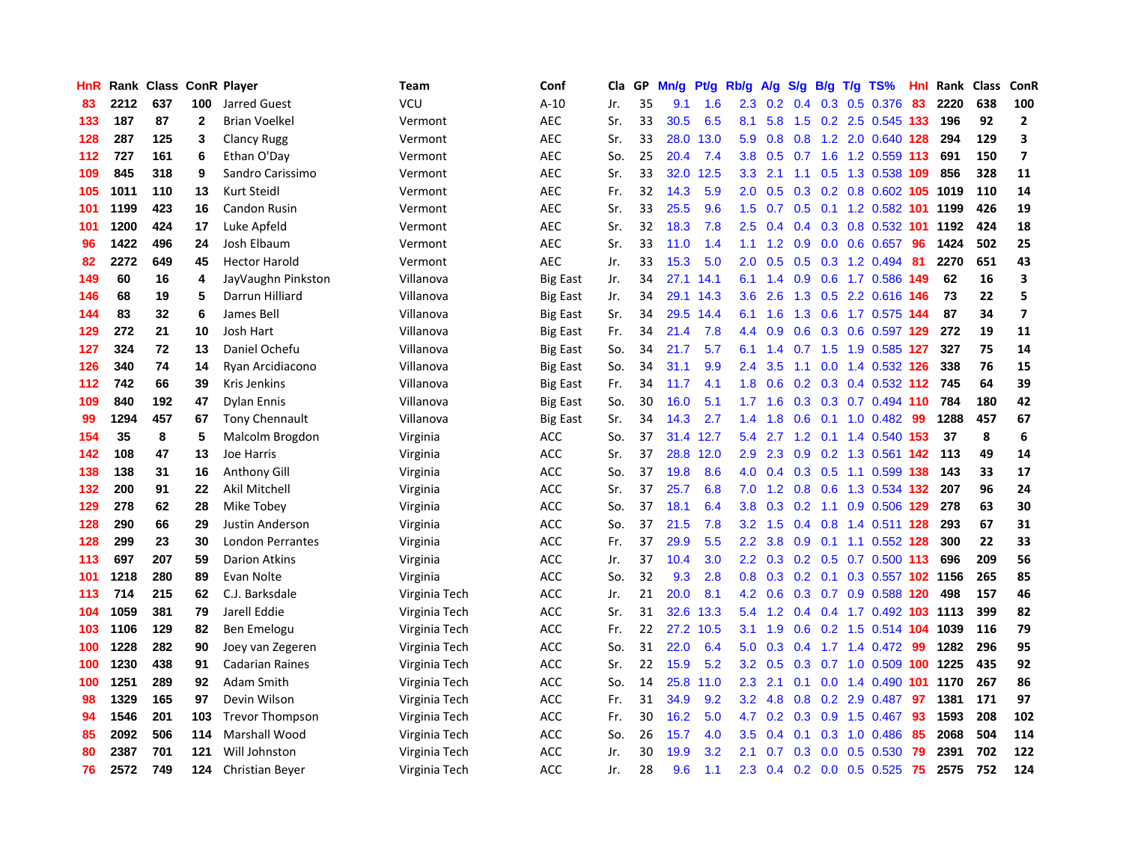| HnR |      | Rank Class |              | <b>ConR Player</b>     | <b>Team</b>   | Conf            | <b>Cla</b> | GP | Mn/g | Pt/g | Rb/g             | A/g | S/g              | B/g             | $T/g$ TS%                  | Hnl | Rank | <b>Class</b> | ConR                    |
|-----|------|------------|--------------|------------------------|---------------|-----------------|------------|----|------|------|------------------|-----|------------------|-----------------|----------------------------|-----|------|--------------|-------------------------|
| 83  | 2212 | 637        | 100          | Jarred Guest           | <b>VCU</b>    | $A-10$          | Jr.        | 35 | 9.1  | 1.6  | 2.3              | 0.2 | 0.4              |                 | $0.3$ 0.5 0.376            | 83  | 2220 | 638          | 100                     |
| 133 | 187  | 87         | $\mathbf{2}$ | <b>Brian Voelkel</b>   | Vermont       | <b>AEC</b>      | Sr.        | 33 | 30.5 | 6.5  | 8.1              | 5.8 |                  |                 | 1.5 0.2 2.5 0.545 133      |     | 196  | 92           | $\mathbf{2}$            |
| 128 | 287  | 125        | 3            | <b>Clancy Rugg</b>     | Vermont       | <b>AEC</b>      | Sr.        | 33 | 28.0 | 13.0 | 5.9              | 0.8 |                  |                 | 0.8 1.2 2.0 0.640 128      |     | 294  | 129          | 3                       |
| 112 | 727  | 161        | 6            | Ethan O'Day            | Vermont       | <b>AEC</b>      | So.        | 25 | 20.4 | 7.4  | 3.8 <sub>2</sub> | 0.5 |                  |                 | $0.7$ 1.6 1.2 0.559 113    |     | 691  | 150          | $\overline{\mathbf{z}}$ |
| 109 | 845  | 318        | 9            | Sandro Carissimo       | Vermont       | <b>AEC</b>      | Sr.        | 33 | 32.0 | 12.5 | 3.3              | 2.1 | 1.1              |                 | 0.5 1.3 0.538 109          |     | 856  | 328          | 11                      |
| 105 | 1011 | 110        | 13           | Kurt Steidl            | Vermont       | <b>AEC</b>      | Fr.        | 32 | 14.3 | 5.9  | 2.0 <sub>1</sub> | 0.5 | 0.3              |                 | 0.2 0.8 0.602 105 1019     |     |      | 110          | 14                      |
| 101 | 1199 | 423        | 16           | Candon Rusin           | Vermont       | <b>AEC</b>      | Sr.        | 33 | 25.5 | 9.6  | 1.5              | 0.7 | 0.5              |                 | 0.1 1.2 0.582 101          |     | 1199 | 426          | 19                      |
| 101 | 1200 | 424        | 17           | Luke Apfeld            | Vermont       | <b>AEC</b>      | Sr.        | 32 | 18.3 | 7.8  | 2.5              | 0.4 | 0.4              |                 | $0.3$ 0.8 0.532 101        |     | 1192 | 424          | 18                      |
| 96  | 1422 | 496        | 24           | Josh Elbaum            | Vermont       | <b>AEC</b>      | Sr.        | 33 | 11.0 | 1.4  | 1.1              | 1.2 | 0.9              |                 | $0.0$ $0.6$ $0.657$        | 96  | 1424 | 502          | 25                      |
| 82  | 2272 | 649        | 45           | <b>Hector Harold</b>   | Vermont       | <b>AEC</b>      | Jr.        | 33 | 15.3 | 5.0  | 2.0 <sub>1</sub> | 0.5 |                  |                 | 0.5 0.3 1.2 0.494 81       |     | 2270 | 651          | 43                      |
| 149 | 60   | 16         | 4            | JayVaughn Pinkston     | Villanova     | <b>Big East</b> | Jr.        | 34 | 27.1 | 14.1 | 6.1              |     |                  |                 | 1.4 0.9 0.6 1.7 0.586 149  |     | 62   | 16           | 3                       |
| 146 | 68   | 19         | 5            | Darrun Hilliard        | Villanova     | <b>Big East</b> | Jr.        | 34 | 29.1 | 14.3 | 3.6 <sub>2</sub> | 2.6 |                  |                 | 1.3 0.5 2.2 0.616 146      |     | 73   | 22           | 5                       |
| 144 | 83   | 32         | 6            | James Bell             | Villanova     | <b>Big East</b> | Sr.        | 34 | 29.5 | 14.4 | 6.1              | 1.6 | 1.3              |                 | 0.6 1.7 0.575 144          |     | 87   | 34           | $\overline{\mathbf{z}}$ |
| 129 | 272  | 21         | 10           | Josh Hart              | Villanova     | <b>Big East</b> | Fr.        | 34 | 21.4 | 7.8  | 4.4              | 0.9 | 0.6              |                 | 0.3 0.6 0.597 129          |     | 272  | 19           | 11                      |
| 127 | 324  | 72         | 13           | Daniel Ochefu          | Villanova     | <b>Big East</b> | So.        | 34 | 21.7 | 5.7  | 6.1              | 1.4 | 0.7              |                 | 1.5 1.9 0.585 127          |     | 327  | 75           | 14                      |
| 126 | 340  | 74         | 14           | Ryan Arcidiacono       | Villanova     | <b>Big East</b> | So.        | 34 | 31.1 | 9.9  | 2.4              | 3.5 | 1.1              |                 | $0.0$ 1.4 $0.532$ 126      |     | 338  | 76           | 15                      |
| 112 | 742  | 66         | 39           | Kris Jenkins           | Villanova     | <b>Big East</b> | Fr.        | 34 | 11.7 | 4.1  | 1.8              | 0.6 | 0.2 <sub>0</sub> |                 | $0.3$ 0.4 0.532 112        |     | 745  | 64           | 39                      |
| 109 | 840  | 192        | 47           | <b>Dylan Ennis</b>     | Villanova     | <b>Big East</b> | So.        | 30 | 16.0 | 5.1  | 1.7 <sup>2</sup> | 1.6 |                  |                 | $0.3$ 0.3 0.7 0.494 110    |     | 784  | 180          | 42                      |
| 99  | 1294 | 457        | 67           | <b>Tony Chennault</b>  | Villanova     | <b>Big East</b> | Sr.        | 34 | 14.3 | 2.7  | 1.4              | 1.8 |                  |                 | 0.6 0.1 1.0 0.482 99       |     | 1288 | 457          | 67                      |
| 154 | 35   | 8          | 5            | Malcolm Brogdon        | Virginia      | <b>ACC</b>      | So.        | 37 | 31.4 | 12.7 | 5.4              | 2.7 |                  |                 | 1.2 0.1 1.4 0.540 153      |     | 37   | 8            | 6                       |
| 142 | 108  | 47         | 13           | Joe Harris             | Virginia      | ACC             | Sr.        | 37 | 28.8 | 12.0 | 2.9              | 2.3 | 0.9 <sup>°</sup> |                 | 0.2 1.3 0.561 142          |     | 113  | 49           | 14                      |
| 138 | 138  | 31         | 16           | Anthony Gill           | Virginia      | $\mathsf{ACC}$  | So.        | 37 | 19.8 | 8.6  | 4.0              | 0.4 |                  |                 | 0.3 0.5 1.1 0.599 138      |     | 143  | 33           | 17                      |
| 132 | 200  | 91         | 22           | <b>Akil Mitchell</b>   | Virginia      | ACC             | Sr.        | 37 | 25.7 | 6.8  | 7.0              | 1.2 | 0.8              |                 | 0.6 1.3 0.534 132          |     | 207  | 96           | 24                      |
| 129 | 278  | 62         | 28           | Mike Tobey             | Virginia      | <b>ACC</b>      | So.        | 37 | 18.1 | 6.4  | 3.8              | 0.3 |                  | $0.2 \quad 1.1$ | 0.9 0.506 129              |     | 278  | 63           | 30                      |
| 128 | 290  | 66         | 29           | <b>Justin Anderson</b> | Virginia      | <b>ACC</b>      | So.        | 37 | 21.5 | 7.8  | 3.2              | 1.5 | 0.4              |                 | 0.8 1.4 0.511 128          |     | 293  | 67           | 31                      |
| 128 | 299  | 23         | 30           | London Perrantes       | Virginia      | ACC             | Fr.        | 37 | 29.9 | 5.5  | $2.2\phantom{0}$ | 3.8 | 0.9              |                 | 0.1 1.1 0.552 128          |     | 300  | 22           | 33                      |
| 113 | 697  | 207        | 59           | <b>Darion Atkins</b>   | Virginia      | ACC             | Jr.        | 37 | 10.4 | 3.0  | $2.2\phantom{0}$ | 0.3 |                  |                 | 0.2 0.5 0.7 0.500 113      |     | 696  | 209          | 56                      |
| 101 | 1218 | 280        | 89           | Evan Nolte             | Virginia      | <b>ACC</b>      | So.        | 32 | 9.3  | 2.8  | 0.8              | 0.3 |                  |                 | 0.2 0.1 0.3 0.557 102 1156 |     |      | 265          | 85                      |
| 113 | 714  | 215        | 62           | C.J. Barksdale         | Virginia Tech | ACC             | Jr.        | 21 | 20.0 | 8.1  | 4.2              | 0.6 | 0.3              |                 | 0.7 0.9 0.588 120          |     | 498  | 157          | 46                      |
| 104 | 1059 | 381        | 79           | Jarell Eddie           | Virginia Tech | <b>ACC</b>      | Sr.        | 31 | 32.6 | 13.3 | 5.4              | 1.2 | $0.4^{\circ}$    |                 | 0.4 1.7 0.492 103 1113     |     |      | 399          | 82                      |
| 103 | 1106 | 129        | 82           | Ben Emelogu            | Virginia Tech | ACC             | Fr.        | 22 | 27.2 | 10.5 | 3.1              | 1.9 | 0.6              |                 | 0.2 1.5 0.514 104          |     | 1039 | 116          | 79                      |
| 100 | 1228 | 282        | 90           | Joey van Zegeren       | Virginia Tech | <b>ACC</b>      | So.        | 31 | 22.0 | 6.4  | 5.0              | 0.3 | $0.4^{\circ}$    |                 | $1.7$ $1.4$ $0.472$        | 99  | 1282 | 296          | 95                      |
| 100 | 1230 | 438        | 91           | <b>Cadarian Raines</b> | Virginia Tech | ACC             | Sr.        | 22 | 15.9 | 5.2  | 3.2              | 0.5 | 0.3              |                 | $0.7$ 1.0 0.509 100        |     | 1225 | 435          | 92                      |
| 100 | 1251 | 289        | 92           | Adam Smith             | Virginia Tech | <b>ACC</b>      | So.        | 14 | 25.8 | 11.0 | 2.3              | 2.1 | 0.1              |                 | 0.0 1.4 0.490 101 1170     |     |      | 267          | 86                      |
| 98  | 1329 | 165        | 97           | Devin Wilson           | Virginia Tech | ACC             | Fr.        | 31 | 34.9 | 9.2  | 3.2 <sub>2</sub> | 4.8 | 0.8              |                 | $0.2$ 2.9 $0.487$          | -97 | 1381 | 171          | 97                      |
| 94  | 1546 | 201        | 103          | <b>Trevor Thompson</b> | Virginia Tech | <b>ACC</b>      | Fr.        | 30 | 16.2 | 5.0  | 4.7              | 0.2 | 0.3              |                 | 0.9 1.5 0.467              | -93 | 1593 | 208          | 102                     |
| 85  | 2092 | 506        | 114          | Marshall Wood          | Virginia Tech | <b>ACC</b>      | So.        | 26 | 15.7 | 4.0  | 3.5              | 0.4 | 0.1              |                 | 0.3 1.0 0.486              | 85  | 2068 | 504          | 114                     |
| 80  | 2387 | 701        | 121          | Will Johnston          | Virginia Tech | <b>ACC</b>      | Jr.        | 30 | 19.9 | 3.2  | 2.1              | 0.7 | 0.3              | 0.0             | 0.5 0.530                  | 79  | 2391 | 702          | 122                     |
| 76  | 2572 | 749        | 124          | <b>Christian Beyer</b> | Virginia Tech | <b>ACC</b>      | Jr.        | 28 | 9.6  | 1.1  | 2.3              |     |                  |                 | 0.4 0.2 0.0 0.5 0.525      | 75  | 2575 | 752          | 124                     |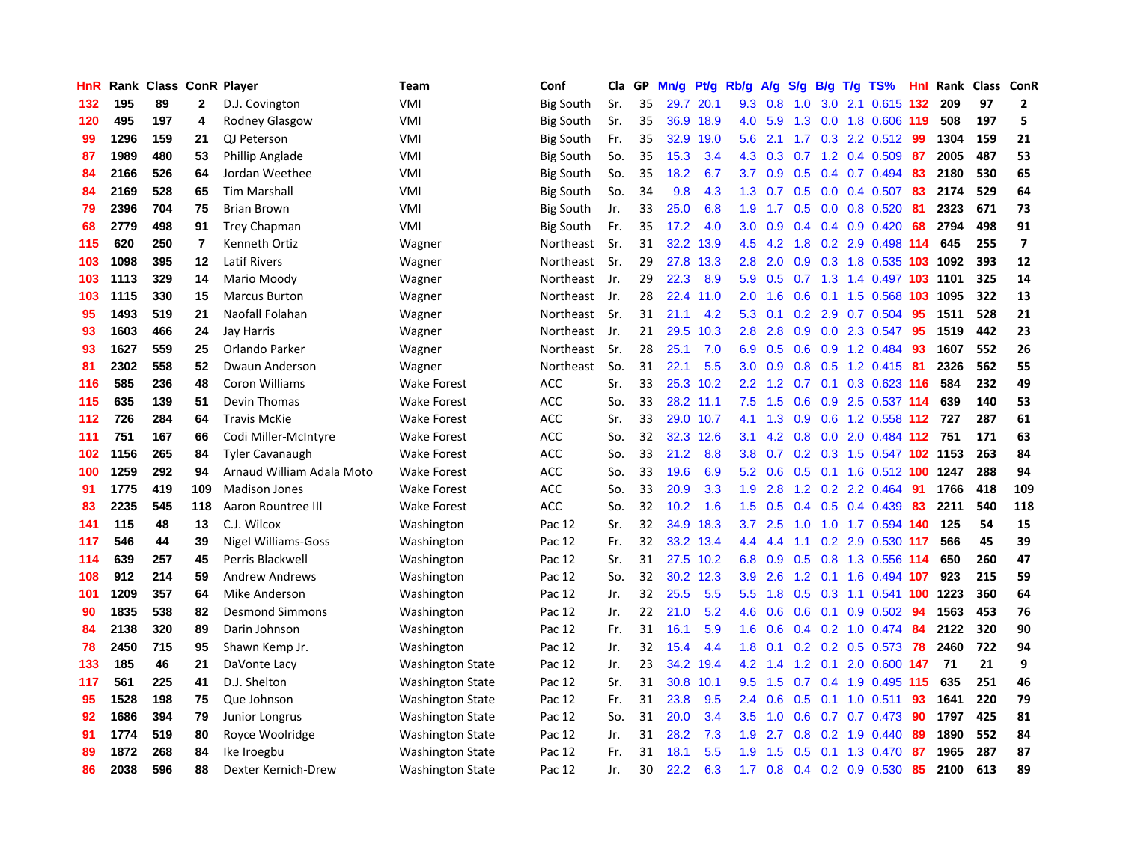| HnR |      | Rank Class ConR Player |                |                           | Team                    | Conf             | Cla | GP | Mn/g | Pt/g      | Rb/g             | A/g | S/g              | B/g | T/g TS%                    | <b>Hnl</b> | Rank | Class | ConR           |
|-----|------|------------------------|----------------|---------------------------|-------------------------|------------------|-----|----|------|-----------|------------------|-----|------------------|-----|----------------------------|------------|------|-------|----------------|
| 132 | 195  | 89                     | $\mathbf{2}$   | D.J. Covington            | VMI                     | <b>Big South</b> | Sr. | 35 | 29.7 | 20.1      | 9.3              | 0.8 | 1.0              | 3.0 | 2.1 0.615 132              |            | 209  | 97    | $\mathbf{2}$   |
| 120 | 495  | 197                    | 4              | Rodney Glasgow            | VMI                     | <b>Big South</b> | Sr. | 35 | 36.9 | 18.9      | 4.0              | 5.9 | 1.3              |     | 0.0 1.8 0.606 119          |            | 508  | 197   | 5              |
| 99  | 1296 | 159                    | 21             | QJ Peterson               | VMI                     | <b>Big South</b> | Fr. | 35 | 32.9 | 19.0      | 5.6              | 2.1 |                  |     | 1.7 0.3 2.2 0.512 99       |            | 1304 | 159   | 21             |
| 87  | 1989 | 480                    | 53             | Phillip Anglade           | <b>VMI</b>              | <b>Big South</b> | So. | 35 | 15.3 | 3.4       | 4.3              | 0.3 |                  |     | $0.7$ 1.2 0.4 0.509        | 87         | 2005 | 487   | 53             |
| 84  | 2166 | 526                    | 64             | Jordan Weethee            | VMI                     | <b>Big South</b> | So. | 35 | 18.2 | 6.7       | 3.7              | 0.9 | 0.5              |     | $0.4$ 0.7 0.494            | 83         | 2180 | 530   | 65             |
| 84  | 2169 | 528                    | 65             | <b>Tim Marshall</b>       | <b>VMI</b>              | <b>Big South</b> | So. | 34 | 9.8  | 4.3       | 1.3              | 0.7 | 0.5              |     | $0.0$ 0.4 0.507            | 83         | 2174 | 529   | 64             |
| 79  | 2396 | 704                    | 75             | <b>Brian Brown</b>        | VMI                     | <b>Big South</b> | Jr. | 33 | 25.0 | 6.8       | 1.9              | 1.7 | 0.5              |     | $0.0$ 0.8 0.520            | -81        | 2323 | 671   | 73             |
| 68  | 2779 | 498                    | 91             | Trey Chapman              | VMI                     | Big South        | Fr. | 35 | 17.2 | 4.0       | 3.0 <sub>2</sub> | 0.9 | 0.4              |     | $0.4$ 0.9 0.420            | 68         | 2794 | 498   | 91             |
| 115 | 620  | 250                    | $\overline{7}$ | Kenneth Ortiz             | Wagner                  | Northeast        | Sr. | 31 | 32.2 | 13.9      | 4.5              | 4.2 | 1.8              |     | 0.2 2.9 0.498 114          |            | 645  | 255   | $\overline{7}$ |
| 103 | 1098 | 395                    | $12 \,$        | <b>Latif Rivers</b>       | Wagner                  | Northeast        | Sr. | 29 | 27.8 | 13.3      | 2.8              | 2.0 | 0.9 <sub>0</sub> |     | 0.3 1.8 0.535 103 1092     |            |      | 393   | 12             |
| 103 | 1113 | 329                    | 14             | Mario Moody               | Wagner                  | Northeast        | Jr. | 29 | 22.3 | 8.9       | 5.9              | 0.5 |                  |     | 0.7 1.3 1.4 0.497 103 1101 |            |      | 325   | 14             |
| 103 | 1115 | 330                    | 15             | <b>Marcus Burton</b>      | Wagner                  | Northeast        | Jr. | 28 | 22.4 | 11.0      | 2.0 <sub>1</sub> | 1.6 |                  |     | 0.6 0.1 1.5 0.568 103 1095 |            |      | 322   | 13             |
| 95  | 1493 | 519                    | 21             | Naofall Folahan           | Wagner                  | Northeast        | Sr. | 31 | 21.1 | 4.2       | 5.3              | 0.1 |                  |     | 0.2 2.9 0.7 0.504          | 95         | 1511 | 528   | 21             |
| 93  | 1603 | 466                    | 24             | <b>Jay Harris</b>         | Wagner                  | Northeast        | Jr. | 21 | 29.5 | 10.3      | 2.8              | 2.8 | 0.9              |     | $0.0$ 2.3 0.547            | 95         | 1519 | 442   | 23             |
| 93  | 1627 | 559                    | 25             | Orlando Parker            | Wagner                  | Northeast        | Sr. | 28 | 25.1 | 7.0       | 6.9              | 0.5 | 0.6              |     | 0.9 1.2 0.484              | 93         | 1607 | 552   | 26             |
| 81  | 2302 | 558                    | 52             | Dwaun Anderson            | Wagner                  | Northeast        | So. | 31 | 22.1 | 5.5       | 3.0              | 0.9 | 0.8              |     | $0.5$ 1.2 0.415            | -81        | 2326 | 562   | 55             |
| 116 | 585  | 236                    | 48             | Coron Williams            | <b>Wake Forest</b>      | <b>ACC</b>       | Sr. | 33 | 25.3 | 10.2      | 2.2              | 1.2 | 0.7              | 0.1 | 0.3 0.623 116              |            | 584  | 232   | 49             |
| 115 | 635  | 139                    | 51             | Devin Thomas              | <b>Wake Forest</b>      | <b>ACC</b>       | So. | 33 |      | 28.2 11.1 | 7.5              | 1.5 | 0.6              |     | 0.9 2.5 0.537 114          |            | 639  | 140   | 53             |
| 112 | 726  | 284                    | 64             | <b>Travis McKie</b>       | <b>Wake Forest</b>      | <b>ACC</b>       | Sr. | 33 |      | 29.0 10.7 | 4.1              | 1.3 | 0.9              |     | 0.6 1.2 0.558 112 727      |            |      | 287   | 61             |
| 111 | 751  | 167                    | 66             | Codi Miller-McIntyre      | <b>Wake Forest</b>      | <b>ACC</b>       | So. | 32 | 32.3 | 12.6      | 3.1              | 4.2 | 0.8              |     | $0.0$ 2.0 0.484 112        |            | 751  | 171   | 63             |
| 102 | 1156 | 265                    | 84             | <b>Tyler Cavanaugh</b>    | <b>Wake Forest</b>      | <b>ACC</b>       | So. | 33 | 21.2 | 8.8       | 3.8              | 0.7 |                  |     | 0.2 0.3 1.5 0.547 102 1153 |            |      | 263   | 84             |
| 100 | 1259 | 292                    | 94             | Arnaud William Adala Moto | <b>Wake Forest</b>      | <b>ACC</b>       | So. | 33 | 19.6 | 6.9       | 5.2              | 0.6 | 0.5              |     | 0.1 1.6 0.512 100 1247     |            |      | 288   | 94             |
| 91  | 1775 | 419                    | 109            | <b>Madison Jones</b>      | <b>Wake Forest</b>      | <b>ACC</b>       | So. | 33 | 20.9 | 3.3       | 1.9              | 2.8 | 1.2              |     | $0.2$ 2.2 0.464            | 91         | 1766 | 418   | 109            |
| 83  | 2235 | 545                    | 118            | Aaron Rountree III        | <b>Wake Forest</b>      | <b>ACC</b>       | So. | 32 | 10.2 | 1.6       | 1.5              | 0.5 | $0.4^{\circ}$    |     | $0.5$ 0.4 0.439            | 83         | 2211 | 540   | 118            |
| 141 | 115  | 48                     | 13             | C.J. Wilcox               | Washington              | Pac 12           | Sr. | 32 | 34.9 | 18.3      | 3.7              | 2.5 | 1.0              |     | 1.0 1.7 0.594 140          |            | 125  | 54    | 15             |
| 117 | 546  | 44                     | 39             | Nigel Williams-Goss       | Washington              | Pac 12           | Fr. | 32 | 33.2 | 13.4      | 4.4              | 4.4 | 1.1              |     | 0.2 2.9 0.530 117          |            | 566  | 45    | 39             |
| 114 | 639  | 257                    | 45             | Perris Blackwell          | Washington              | Pac 12           | Sr. | 31 |      | 27.5 10.2 | 6.8              | 0.9 |                  |     | 0.5 0.8 1.3 0.556 114      |            | 650  | 260   | 47             |
| 108 | 912  | 214                    | 59             | <b>Andrew Andrews</b>     | Washington              | Pac 12           | So. | 32 | 30.2 | 12.3      | 3.9              | 2.6 |                  |     | 1.2 0.1 1.6 0.494 107      |            | 923  | 215   | 59             |
| 101 | 1209 | 357                    | 64             | Mike Anderson             | Washington              | Pac 12           | Jr. | 32 | 25.5 | 5.5       | 5.5              | 1.8 | 0.5              |     | 0.3 1.1 0.541 100 1223     |            |      | 360   | 64             |
| 90  | 1835 | 538                    | 82             | <b>Desmond Simmons</b>    | Washington              | Pac 12           | Jr. | 22 | 21.0 | 5.2       | 4.6              | 0.6 | 0.6              | 0.1 | $0.9$ 0.502                | 94         | 1563 | 453   | 76             |
| 84  | 2138 | 320                    | 89             | Darin Johnson             | Washington              | Pac 12           | Fr. | 31 | 16.1 | 5.9       | 1.6              | 0.6 | 0.4              |     | 0.2 1.0 0.474              | 84         | 2122 | 320   | 90             |
| 78  | 2450 | 715                    | 95             | Shawn Kemp Jr.            | Washington              | Pac 12           | Jr. | 32 | 15.4 | 4.4       | 1.8              | 0.1 | 0.2              |     | $0.2$ 0.5 0.573            | 78         | 2460 | 722   | 94             |
| 133 | 185  | 46                     | 21             | DaVonte Lacy              | <b>Washington State</b> | Pac 12           | Jr. | 23 | 34.2 | 19.4      | 4.2              | 1.4 | 1.2              | 0.1 | 2.0 0.600                  | 147        | 71   | 21    | 9              |
| 117 | 561  | 225                    | 41             | D.J. Shelton              | Washington State        | Pac 12           | Sr. | 31 | 30.8 | 10.1      | 9.5              | 1.5 | 0.7              |     | 0.4 1.9 0.495 115          |            | 635  | 251   | 46             |
| 95  | 1528 | 198                    | 75             | Que Johnson               | Washington State        | Pac 12           | Fr. | 31 | 23.8 | 9.5       | 2.4              | 0.6 | 0.5              |     | $0.1$ 1.0 0.511            | 93         | 1641 | 220   | 79             |
| 92  | 1686 | 394                    | 79             | Junior Longrus            | Washington State        | Pac 12           | So. | 31 | 20.0 | 3.4       | 3.5              | 1.0 | 0.6              |     | 0.7 0.7 0.473              | -90        | 1797 | 425   | 81             |
| 91  | 1774 | 519                    | 80             | Royce Woolridge           | Washington State        | Pac 12           | Jr. | 31 | 28.2 | 7.3       | 1.9              | 2.7 | 0.8 <sub>0</sub> |     | $0.2$ 1.9 0.440            | -89        | 1890 | 552   | 84             |
| 89  | 1872 | 268                    | 84             | Ike Iroegbu               | <b>Washington State</b> | Pac 12           | Fr. | 31 | 18.1 | 5.5       | 1.9              | 1.5 | 0.5              | 0.1 | 1.3 0.470                  | -87        | 1965 | 287   | 87             |
| 86  | 2038 | 596                    | 88             | Dexter Kernich-Drew       | <b>Washington State</b> | Pac 12           | Jr. | 30 | 22.2 | 6.3       | 1.7              | 0.8 |                  |     | $0.4$ 0.2 0.9 0.530        | 85         | 2100 | 613   | 89             |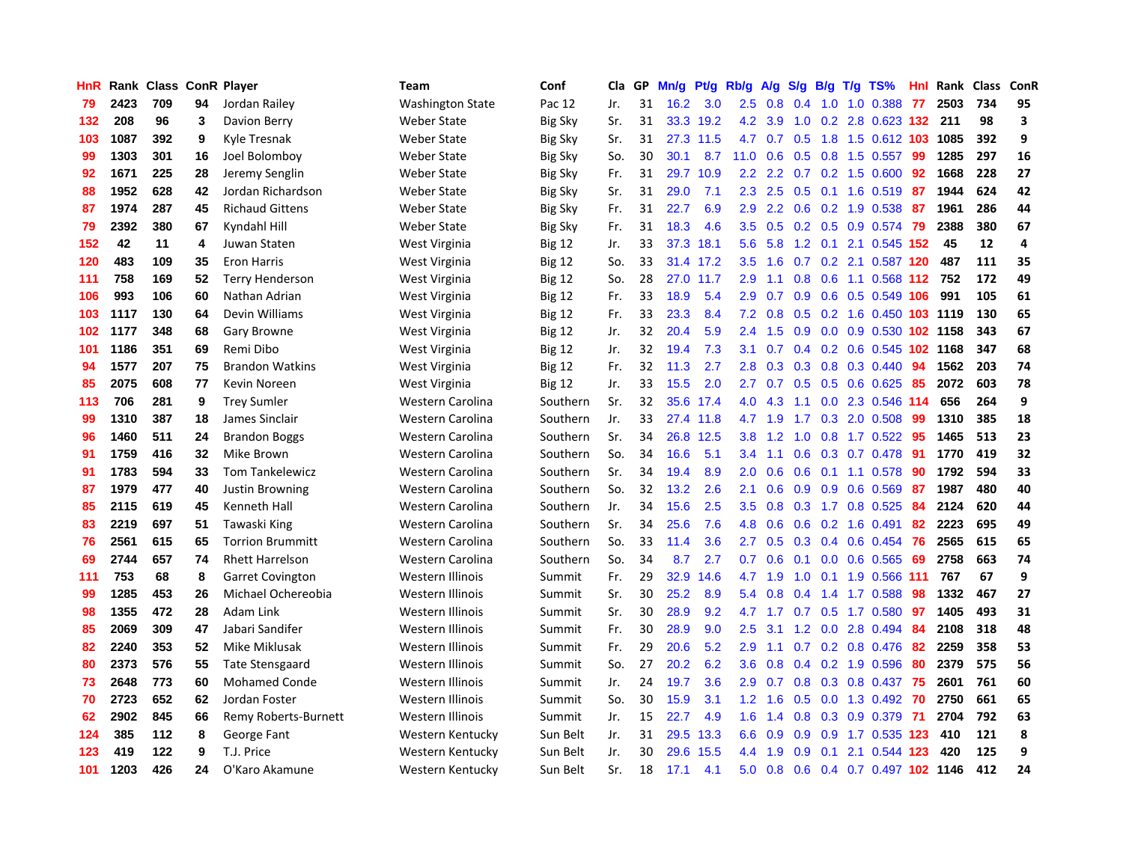| HnR | Rank |     |    | <b>Class ConR Player</b> | <b>Team</b>             | Conf           | Cla | GP | Mn/g | <b>Pt/g</b> | Rb/g          | A/g | S/g              | B/g | $T/g$ TS%                  | Hnl | Rank | <b>Class</b> | ConR |
|-----|------|-----|----|--------------------------|-------------------------|----------------|-----|----|------|-------------|---------------|-----|------------------|-----|----------------------------|-----|------|--------------|------|
| 79  | 2423 | 709 | 94 | Jordan Railey            | <b>Washington State</b> | Pac 12         | Jr. | 31 | 16.2 | 3.0         | $2.5^{\circ}$ | 0.8 | 0.4              | 1.0 | 1.0 0.388                  | 77  | 2503 | 734          | 95   |
| 132 | 208  | 96  | 3  | Davion Berry             | <b>Weber State</b>      | <b>Big Sky</b> | Sr. | 31 |      | 33.3 19.2   | 4.2           | 3.9 | 1.0              |     | 0.2 2.8 0.623 132 211      |     |      | 98           | 3    |
| 103 | 1087 | 392 | 9  | Kyle Tresnak             | Weber State             | Big Sky        | Sr. | 31 |      | 27.3 11.5   | 4.7           | 0.7 |                  |     | 0.5 1.8 1.5 0.612 103 1085 |     |      | 392          | 9    |
| 99  | 1303 | 301 | 16 | Joel Bolomboy            | <b>Weber State</b>      | <b>Big Sky</b> | So. | 30 | 30.1 | 8.7         | 11.0          | 0.6 | 0.5              |     | 0.8 1.5 0.557              | -99 | 1285 | 297          | 16   |
| 92  | 1671 | 225 | 28 | Jeremy Senglin           | <b>Weber State</b>      | <b>Big Sky</b> | Fr. | 31 | 29.7 | 10.9        | 2.2           | 2.2 |                  |     | 0.7 0.2 1.5 0.600          | 92  | 1668 | 228          | 27   |
| 88  | 1952 | 628 | 42 | Jordan Richardson        | <b>Weber State</b>      | <b>Big Sky</b> | Sr. | 31 | 29.0 | 7.1         | 2.3           | 2.5 | 0.5              |     | $0.1$ 1.6 0.519            | 87  | 1944 | 624          | 42   |
| 87  | 1974 | 287 | 45 | <b>Richaud Gittens</b>   | <b>Weber State</b>      | <b>Big Sky</b> | Fr. | 31 | 22.7 | 6.9         | 2.9           | 2.2 | 0.6              |     | 0.2 1.9 0.538              | -87 | 1961 | 286          | 44   |
| 79  | 2392 | 380 | 67 | Kyndahl Hill             | Weber State             | <b>Big Sky</b> | Fr. | 31 | 18.3 | 4.6         | 3.5           | 0.5 |                  |     | $0.2$ 0.5 0.9 0.574        | 79  | 2388 | 380          | 67   |
| 152 | 42   | 11  | 4  | Juwan Staten             | West Virginia           | <b>Big 12</b>  | Jr. | 33 | 37.3 | 18.1        | 5.6           | 5.8 | 1.2              | 0.1 | 2.1 0.545 152              |     | 45   | 12           | 4    |
| 120 | 483  | 109 | 35 | <b>Eron Harris</b>       | West Virginia           | <b>Big 12</b>  | So. | 33 | 31.4 | 17.2        | 3.5           | 1.6 |                  |     | 0.7 0.2 2.1 0.587 120      |     | 487  | 111          | 35   |
| 111 | 758  | 169 | 52 | <b>Terry Henderson</b>   | West Virginia           | <b>Big 12</b>  | So. | 28 |      | 27.0 11.7   | 2.9           | 1.1 |                  |     | 0.8 0.6 1.1 0.568 112 752  |     |      | 172          | 49   |
| 106 | 993  | 106 | 60 | Nathan Adrian            | West Virginia           | <b>Big 12</b>  | Fr. | 33 | 18.9 | 5.4         | 2.9           | 0.7 | 0.9              |     | 0.6 0.5 0.549 106          |     | 991  | 105          | 61   |
| 103 | 1117 | 130 | 64 | Devin Williams           | West Virginia           | Big 12         | Fr. | 33 | 23.3 | 8.4         | 7.2           | 0.8 | 0.5              |     | 0.2 1.6 0.450 103 1119     |     |      | 130          | 65   |
| 102 | 1177 | 348 | 68 | Gary Browne              | West Virginia           | <b>Big 12</b>  | Jr. | 32 | 20.4 | 5.9         | 2.4           | 1.5 | 0.9              |     | 0.0 0.9 0.530 102 1158     |     |      | 343          | 67   |
| 101 | 1186 | 351 | 69 | Remi Dibo                | West Virginia           | Big 12         | Jr. | 32 | 19.4 | 7.3         | 3.1           | 0.7 | 0.4              |     | 0.2 0.6 0.545 102 1168     |     |      | 347          | 68   |
| 94  | 1577 | 207 | 75 | <b>Brandon Watkins</b>   | West Virginia           | <b>Big 12</b>  | Fr. | 32 | 11.3 | 2.7         | 2.8           | 0.3 | 0.3              | 0.8 | 0.3 0.440                  | 94  | 1562 | 203          | 74   |
| 85  | 2075 | 608 | 77 | Kevin Noreen             | West Virginia           | <b>Big 12</b>  | Jr. | 33 | 15.5 | 2.0         | 2.7           | 0.7 | 0.5              | 0.5 | 0.6 0.625                  | 85  | 2072 | 603          | 78   |
| 113 | 706  | 281 | 9  | <b>Trey Sumler</b>       | Western Carolina        | Southern       | Sr. | 32 | 35.6 | 17.4        | 4.0           | 4.3 | 1.1              |     | 0.0 2.3 0.546 114          |     | 656  | 264          | 9    |
| 99  | 1310 | 387 | 18 | James Sinclair           | Western Carolina        | Southern       | Jr. | 33 | 27.4 | 11.8        | 4.7           | 1.9 | 1.7              |     | $0.3$ 2.0 0.508            | -99 | 1310 | 385          | 18   |
| 96  | 1460 | 511 | 24 | <b>Brandon Boggs</b>     | Western Carolina        | Southern       | Sr. | 34 | 26.8 | 12.5        | 3.8           | 1.2 | 1.0              |     | 0.8 1.7 0.522 95           |     | 1465 | 513          | 23   |
| 91  | 1759 | 416 | 32 | Mike Brown               | Western Carolina        | Southern       | So. | 34 | 16.6 | 5.1         | 3.4           | 1.1 | 0.6              |     | $0.3$ 0.7 0.478            | -91 | 1770 | 419          | 32   |
| 91  | 1783 | 594 | 33 | <b>Tom Tankelewicz</b>   | Western Carolina        | Southern       | Sr. | 34 | 19.4 | 8.9         | 2.0           | 0.6 | 0.6              |     | 0.1 1.1 0.578              | 90  | 1792 | 594          | 33   |
| 87  | 1979 | 477 | 40 | <b>Justin Browning</b>   | Western Carolina        | Southern       | So. | 32 | 13.2 | 2.6         | 2.1           | 0.6 | 0.9 <sup>°</sup> |     | 0.9 0.6 0.569              | 87  | 1987 | 480          | 40   |
| 85  | 2115 | 619 | 45 | Kenneth Hall             | Western Carolina        | Southern       | Jr. | 34 | 15.6 | 2.5         | 3.5           | 0.8 | 0.3              |     | 1.7 0.8 0.525              | 84  | 2124 | 620          | 44   |
| 83  | 2219 | 697 | 51 | Tawaski King             | Western Carolina        | Southern       | Sr. | 34 | 25.6 | 7.6         | 4.8           | 0.6 | 0.6              |     | 0.2 1.6 0.491              | 82  | 2223 | 695          | 49   |
| 76  | 2561 | 615 | 65 | <b>Torrion Brummitt</b>  | Western Carolina        | Southern       | So. | 33 | 11.4 | 3.6         | 2.7           | 0.5 | 0.3              |     | $0.4$ 0.6 0.454            | 76  | 2565 | 615          | 65   |
| 69  | 2744 | 657 | 74 | <b>Rhett Harrelson</b>   | Western Carolina        | Southern       | So. | 34 | 8.7  | 2.7         | 0.7           | 0.6 | 0.1              |     | $0.0$ 0.6 0.565            | -69 | 2758 | 663          | 74   |
| 111 | 753  | 68  | 8  | <b>Garret Covington</b>  | Western Illinois        | Summit         | Fr. | 29 | 32.9 | 14.6        | 4.7           | 1.9 |                  |     | 1.0 0.1 1.9 0.566 111      |     | 767  | 67           | 9    |
| 99  | 1285 | 453 | 26 | Michael Ochereobia       | Western Illinois        | Summit         | Sr. | 30 | 25.2 | 8.9         | 5.4           | 0.8 |                  |     | $0.4$ 1.4 1.7 0.588        | 98  | 1332 | 467          | 27   |
| 98  | 1355 | 472 | 28 | Adam Link                | Western Illinois        | Summit         | Sr. | 30 | 28.9 | 9.2         | 4.7           | 1.7 |                  |     | $0.7$ $0.5$ 1.7 $0.580$    | -97 | 1405 | 493          | 31   |
| 85  | 2069 | 309 | 47 | Jabari Sandifer          | Western Illinois        | Summit         | Fr. | 30 | 28.9 | 9.0         | 2.5           | 3.1 | 1.2              |     | $0.0$ 2.8 $0.494$          | -84 | 2108 | 318          | 48   |
| 82  | 2240 | 353 | 52 | Mike Miklusak            | Western Illinois        | Summit         | Fr. | 29 | 20.6 | 5.2         | 2.9           | 1.1 | 0.7              |     | 0.2 0.8 0.476              | 82  | 2259 | 358          | 53   |
| 80  | 2373 | 576 | 55 | <b>Tate Stensgaard</b>   | Western Illinois        | Summit         | So. | 27 | 20.2 | 6.2         | 3.6           | 0.8 | $0.4^{\circ}$    |     | 0.2 1.9 0.596              | 80  | 2379 | 575          | 56   |
| 73  | 2648 | 773 | 60 | <b>Mohamed Conde</b>     | Western Illinois        | Summit         | Jr. | 24 | 19.7 | 3.6         | 2.9           | 0.7 | 0.8              | 0.3 | 0.8 0.437                  | 75  | 2601 | 761          | 60   |
| 70  | 2723 | 652 | 62 | Jordan Foster            | Western Illinois        | Summit         | So. | 30 | 15.9 | 3.1         | 1.2           | 1.6 | 0.5              |     | $0.0$ 1.3 0.492            | -70 | 2750 | 661          | 65   |
| 62  | 2902 | 845 | 66 | Remy Roberts-Burnett     | Western Illinois        | Summit         | Jr. | 15 | 22.7 | 4.9         | 1.6           | 1.4 | 0.8              |     | 0.3 0.9 0.379              | -71 | 2704 | 792          | 63   |
| 124 | 385  | 112 | 8  | George Fant              | Western Kentucky        | Sun Belt       | Jr. | 31 | 29.5 | 13.3        | 6.6           | 0.9 | 0.9 <sup>°</sup> |     | 0.9 1.7 0.535 123          |     | 410  | 121          | 8    |
| 123 | 419  | 122 | 9  | T.J. Price               | Western Kentucky        | Sun Belt       | Jr. | 30 | 29.6 | 15.5        | 4.4           | 1.9 | 0.9              | 0.1 | 2.1 0.544 123              |     | 420  | 125          | 9    |
| 101 | 1203 | 426 | 24 | O'Karo Akamune           | Western Kentucky        | Sun Belt       | Sr. | 18 | 17.1 | 4.1         | $5.0^{\circ}$ | 0.8 | 0.6              |     | 0.4 0.7 0.497 102 1146     |     |      | 412          | 24   |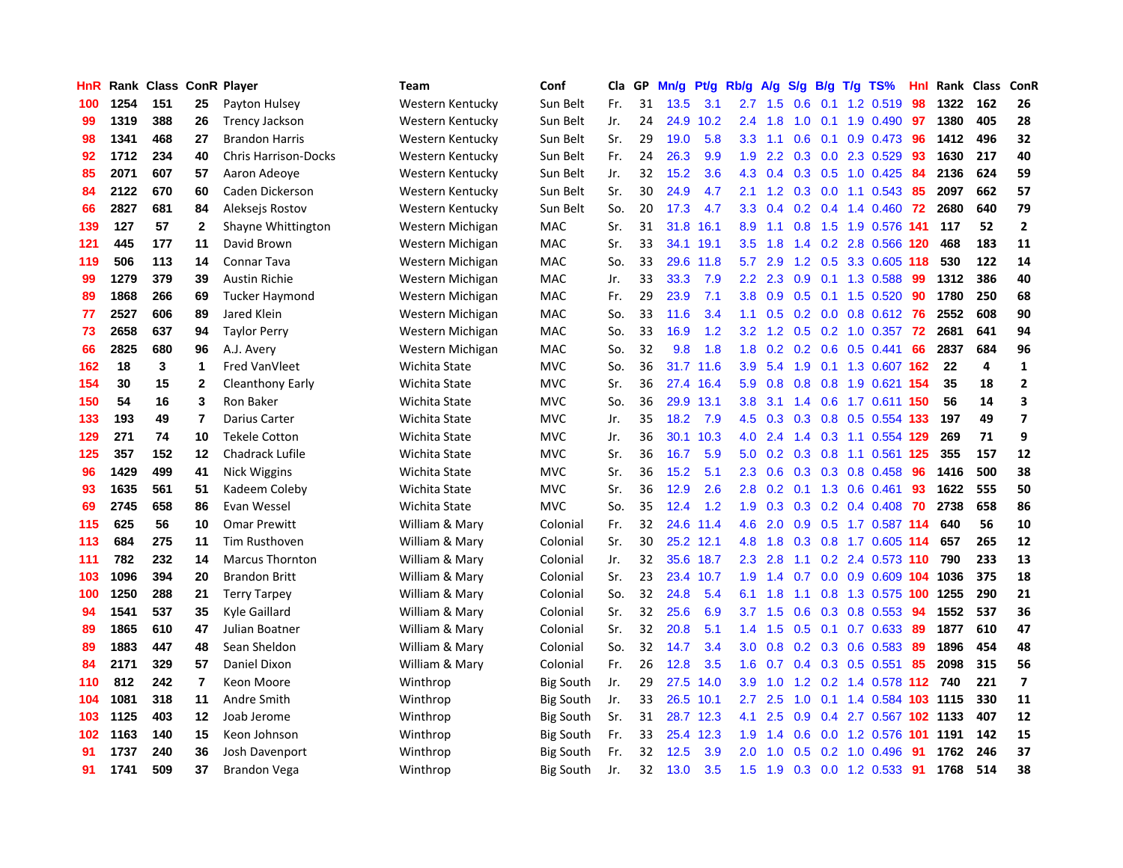| HnR |      | Rank Class ConR Player |                |                             | Team             | Conf             | Cla | GP | Mn/g | Pf/g      | Rb/g             | A/g              | S/g | B/g | $T/g$ TS%              | Hnl | Rank Class |     | ConR                    |
|-----|------|------------------------|----------------|-----------------------------|------------------|------------------|-----|----|------|-----------|------------------|------------------|-----|-----|------------------------|-----|------------|-----|-------------------------|
| 100 | 1254 | 151                    | 25             | Payton Hulsey               | Western Kentucky | Sun Belt         | Fr. | 31 | 13.5 | 3.1       | 2.7              | 1.5              | 0.6 | 0.1 | 1.2 0.519              | 98  | 1322       | 162 | 26                      |
| 99  | 1319 | 388                    | 26             | <b>Trency Jackson</b>       | Western Kentucky | Sun Belt         | Jr. | 24 | 24.9 | 10.2      | $2.4^{\circ}$    | 1.8              | 1.0 |     | 0.1 1.9 0.490 97       |     | 1380       | 405 | 28                      |
| 98  | 1341 | 468                    | 27             | <b>Brandon Harris</b>       | Western Kentucky | Sun Belt         | Sr. | 29 | 19.0 | 5.8       | 3.3              | 1.1              | 0.6 |     | 0.1 0.9 0.473 96       |     | 1412       | 496 | 32                      |
| 92  | 1712 | 234                    | 40             | <b>Chris Harrison-Docks</b> | Western Kentucky | Sun Belt         | Fr. | 24 | 26.3 | 9.9       | 1.9              | $2.2^{\circ}$    | 0.3 |     | $0.0$ 2.3 0.529        | -93 | 1630       | 217 | 40                      |
| 85  | 2071 | 607                    | 57             | Aaron Adeoye                | Western Kentucky | Sun Belt         | Jr. | 32 | 15.2 | 3.6       | 4.3              | 0.4              | 0.3 |     | $0.5$ 1.0 0.425        | -84 | 2136       | 624 | 59                      |
| 84  | 2122 | 670                    | 60             | Caden Dickerson             | Western Kentucky | Sun Belt         | Sr. | 30 | 24.9 | 4.7       | 2.1              | 1.2              | 0.3 |     | $0.0$ 1.1 0.543        | 85  | 2097       | 662 | 57                      |
| 66  | 2827 | 681                    | 84             | Aleksejs Rostov             | Western Kentucky | Sun Belt         | So. | 20 | 17.3 | 4.7       | 3.3              | 0.4              |     |     | $0.2$ 0.4 1.4 0.460    | 72  | 2680       | 640 | 79                      |
| 139 | 127  | 57                     | $\mathbf{2}$   | Shayne Whittington          | Western Michigan | MAC              | Sr. | 31 | 31.8 | 16.1      | 8.9              | 1.1              | 0.8 |     | 1.5 1.9 0.576 141      |     | 117        | 52  | $\mathbf{2}$            |
| 121 | 445  | 177                    | 11             | David Brown                 | Western Michigan | MAC              | Sr. | 33 | 34.1 | 19.1      | 3.5              | 1.8              | 1.4 |     | 0.2 2.8 0.566 120      |     | 468        | 183 | 11                      |
| 119 | 506  | 113                    | 14             | Connar Tava                 | Western Michigan | <b>MAC</b>       | So. | 33 | 29.6 | 11.8      | 5.7              | 2.9              | 1.2 |     | 0.5 3.3 0.605 118      |     | 530        | 122 | 14                      |
| 99  | 1279 | 379                    | 39             | <b>Austin Richie</b>        | Western Michigan | MAC              | Jr. | 33 | 33.3 | 7.9       | $2.2^{\circ}$    | 2.3              |     |     | 0.9 0.1 1.3 0.588      | -99 | 1312       | 386 | 40                      |
| 89  | 1868 | 266                    | 69             | Tucker Haymond              | Western Michigan | MAC              | Fr. | 29 | 23.9 | 7.1       | 3.8 <sub>2</sub> |                  |     |     | 0.9 0.5 0.1 1.5 0.520  | -90 | 1780       | 250 | 68                      |
| 77  | 2527 | 606                    | 89             | Jared Klein                 | Western Michigan | MAC              | So. | 33 | 11.6 | 3.4       | 1.1              | 0.5              |     |     | 0.2 0.0 0.8 0.612 76   |     | 2552       | 608 | 90                      |
| 73  | 2658 | 637                    | 94             | <b>Taylor Perry</b>         | Western Michigan | MAC              | So. | 33 | 16.9 | 1.2       | 3.2              | 1.2              | 0.5 |     | $0.2$ 1.0 0.357        | -72 | 2681       | 641 | 94                      |
| 66  | 2825 | 680                    | 96             | A.J. Avery                  | Western Michigan | MAC              | So. | 32 | 9.8  | 1.8       | 1.8              | 0.2              | 0.2 |     | $0.6$ 0.5 0.441        | 66  | 2837       | 684 | 96                      |
| 162 | 18   | 3                      | 1              | Fred VanVleet               | Wichita State    | <b>MVC</b>       | So. | 36 | 31.7 | 11.6      | 3.9              | 5.4              | 1.9 |     | 0.1 1.3 0.607 162      |     | 22         | 4   | $\mathbf 1$             |
| 154 | 30   | 15                     | $\mathbf{2}$   | Cleanthony Early            | Wichita State    | <b>MVC</b>       | Sr. | 36 | 27.4 | 16.4      | 5.9              | 0.8              | 0.8 |     | 0.8 1.9 0.621 154      |     | 35         | 18  | $\mathbf 2$             |
| 150 | 54   | 16                     | 3              | Ron Baker                   | Wichita State    | <b>MVC</b>       | So. | 36 | 29.9 | 13.1      | 3.8              | 3.1              | 1.4 |     | 0.6 1.7 0.611 150      |     | 56         | 14  | 3                       |
| 133 | 193  | 49                     | $\overline{7}$ | <b>Darius Carter</b>        | Wichita State    | <b>MVC</b>       | Jr. | 35 | 18.2 | 7.9       | 4.5              | 0.3              | 0.3 |     | 0.8 0.5 0.554 133      |     | 197        | 49  | $\boldsymbol{7}$        |
| 129 | 271  | 74                     | 10             | <b>Tekele Cotton</b>        | Wichita State    | <b>MVC</b>       | Jr. | 36 | 30.1 | 10.3      | 4.0              | 2.4              |     |     | 1.4 0.3 1.1 0.554 129  |     | 269        | 71  | 9                       |
| 125 | 357  | 152                    | 12             | Chadrack Lufile             | Wichita State    | <b>MVC</b>       | Sr. | 36 | 16.7 | 5.9       | 5.0              | 0.2 <sub>0</sub> | 0.3 |     | 0.8 1.1 0.561 125      |     | 355        | 157 | 12                      |
| 96  | 1429 | 499                    | 41             | Nick Wiggins                | Wichita State    | <b>MVC</b>       | Sr. | 36 | 15.2 | 5.1       | 2.3              | 0.6              | 0.3 |     | $0.3$ 0.8 0.458        | 96  | 1416       | 500 | 38                      |
| 93  | 1635 | 561                    | 51             | Kadeem Coleby               | Wichita State    | <b>MVC</b>       | Sr. | 36 | 12.9 | 2.6       | 2.8              | 0.2              | 0.1 |     | 1.3 0.6 0.461          | 93  | 1622       | 555 | 50                      |
| 69  | 2745 | 658                    | 86             | Evan Wessel                 | Wichita State    | <b>MVC</b>       | So. | 35 | 12.4 | 1.2       | 1.9              | 0.3              | 0.3 |     | 0.2 0.4 0.408          | 70  | 2738       | 658 | 86                      |
| 115 | 625  | 56                     | 10             | <b>Omar Prewitt</b>         | William & Mary   | Colonial         | Fr. | 32 | 24.6 | 11.4      | 4.6              | 2.0              | 0.9 |     | 0.5 1.7 0.587 114      |     | 640        | 56  | 10                      |
| 113 | 684  | 275                    | 11             | Tim Rusthoven               | William & Mary   | Colonial         | Sr. | 30 | 25.2 | 12.1      | 4.8              | 1.8              | 0.3 |     | 0.8 1.7 0.605 114      |     | 657        | 265 | 12                      |
| 111 | 782  | 232                    | 14             | <b>Marcus Thornton</b>      | William & Mary   | Colonial         | Jr. | 32 |      | 35.6 18.7 | $2.3^{\circ}$    | 2.8              | 1.1 |     | $0.2$ 2.4 0.573 110    |     | 790        | 233 | 13                      |
| 103 | 1096 | 394                    | 20             | <b>Brandon Britt</b>        | William & Mary   | Colonial         | Sr. | 23 |      | 23.4 10.7 | 1.9              | 1.4              | 0.7 |     | 0.0 0.9 0.609 104 1036 |     |            | 375 | 18                      |
| 100 | 1250 | 288                    | 21             | <b>Terry Tarpey</b>         | William & Mary   | Colonial         | So. | 32 | 24.8 | 5.4       | 6.1              | 1.8              | 1.1 |     | 0.8 1.3 0.575 100 1255 |     |            | 290 | 21                      |
| 94  | 1541 | 537                    | 35             | Kyle Gaillard               | William & Mary   | Colonial         | Sr. | 32 | 25.6 | 6.9       | 3.7              | 1.5              | 0.6 |     | $0.3$ 0.8 0.553        | -94 | 1552       | 537 | 36                      |
| 89  | 1865 | 610                    | 47             | Julian Boatner              | William & Mary   | Colonial         | Sr. | 32 | 20.8 | 5.1       | 1.4              | 1.5              | 0.5 |     | $0.1$ 0.7 0.633        | 89  | 1877       | 610 | 47                      |
| 89  | 1883 | 447                    | 48             | Sean Sheldon                | William & Mary   | Colonial         | So. | 32 | 14.7 | 3.4       | 3.0              | 0.8              |     |     | $0.2$ 0.3 0.6 0.583    | -89 | 1896       | 454 | 48                      |
| 84  | 2171 | 329                    | 57             | Daniel Dixon                | William & Mary   | Colonial         | Fr. | 26 | 12.8 | 3.5       | 1.6              | 0.7              | 0.4 |     | $0.3$ 0.5 0.551        | 85  | 2098       | 315 | 56                      |
| 110 | 812  | 242                    | 7              | Keon Moore                  | Winthrop         | <b>Big South</b> | Jr. | 29 | 27.5 | 14.0      | 3.9              | 1.0              | 1.2 |     | 0.2 1.4 0.578 112      |     | 740        | 221 | $\overline{\mathbf{z}}$ |
| 104 | 1081 | 318                    | 11             | Andre Smith                 | Winthrop         | <b>Big South</b> | Jr. | 33 | 26.5 | 10.1      | 2.7              | 2.5              | 1.0 |     | 0.1 1.4 0.584 103 1115 |     |            | 330 | 11                      |
| 103 | 1125 | 403                    | 12             | Joab Jerome                 | Winthrop         | Big South        | Sr. | 31 |      | 28.7 12.3 | 4.1              | 2.5              | 0.9 |     | 0.4 2.7 0.567 102 1133 |     |            | 407 | 12                      |
| 102 | 1163 | 140                    | 15             | Keon Johnson                | Winthrop         | Big South        | Fr. | 33 | 25.4 | 12.3      | 1.9              | 1.4              | 0.6 |     | 0.0 1.2 0.576 101 1191 |     |            | 142 | 15                      |
| 91  | 1737 | 240                    | 36             | Josh Davenport              | Winthrop         | Big South        | Fr. | 32 | 12.5 | 3.9       | 2.0 <sub>2</sub> | 1.0              | 0.5 |     | $0.2$ 1.0 0.496        | -91 | 1762       | 246 | 37                      |
| 91  | 1741 | 509                    | 37             | Brandon Vega                | Winthrop         | <b>Big South</b> | Jr. | 32 | 13.0 | 3.5       | 1.5              | 1.9              |     |     | $0.3$ 0.0 1.2 0.533    | 91  | 1768       | 514 | 38                      |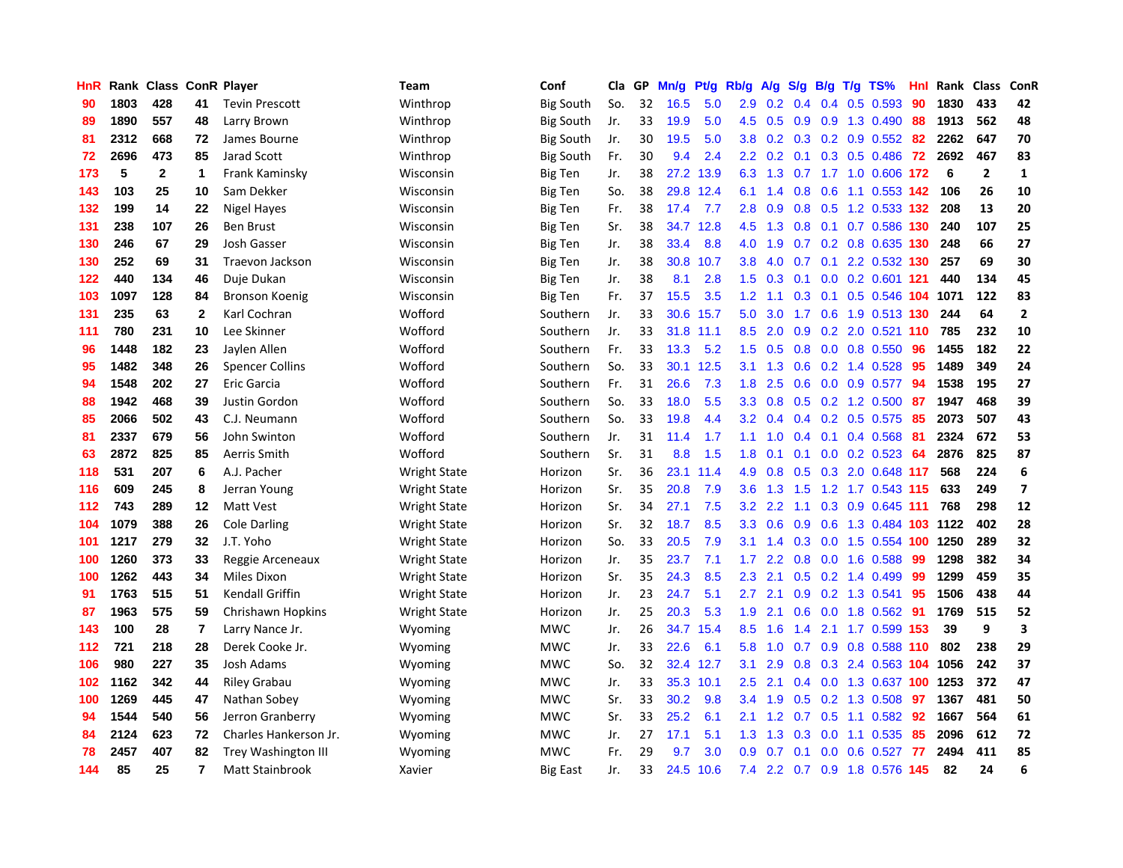| HnR |      | Rank Class ConR Player |                         |                            | Team                | Conf             | Cla | GP | Mn/g | Pt/g | Rb/g             | A/g           | S/g              | B/g              | $T/g$ TS%                  | Hnl  | Rank | <b>Class</b>   | ConR                    |
|-----|------|------------------------|-------------------------|----------------------------|---------------------|------------------|-----|----|------|------|------------------|---------------|------------------|------------------|----------------------------|------|------|----------------|-------------------------|
| 90  | 1803 | 428                    | 41                      | <b>Tevin Prescott</b>      | Winthrop            | <b>Big South</b> | So. | 32 | 16.5 | 5.0  | 2.9              | 0.2           | 0.4              | 0.4              | $0.5$ 0.593                | 90   | 1830 | 433            | 42                      |
| 89  | 1890 | 557                    | 48                      | Larry Brown                | Winthrop            | <b>Big South</b> | Jr. | 33 | 19.9 | 5.0  | 4.5              | 0.5           | 0.9              |                  | 0.9 1.3 0.490              | 88   | 1913 | 562            | 48                      |
| 81  | 2312 | 668                    | 72                      | James Bourne               | Winthrop            | <b>Big South</b> | Jr. | 30 | 19.5 | 5.0  | 3.8              | 0.2           |                  |                  | 0.3 0.2 0.9 0.552 82       |      | 2262 | 647            | 70                      |
| 72  | 2696 | 473                    | 85                      | Jarad Scott                | Winthrop            | <b>Big South</b> | Fr. | 30 | 9.4  | 2.4  | $2.2^{\circ}$    | 0.2           | 0.1              |                  | $0.3$ 0.5 0.486            | -72  | 2692 | 467            | 83                      |
| 173 | 5    | 2                      | 1                       | Frank Kaminsky             | Wisconsin           | Big Ten          | Jr. | 38 | 27.2 | 13.9 | 6.3              | 1.3           |                  |                  | 0.7 1.7 1.0 0.606 172      |      | 6    | $\overline{2}$ | $\mathbf{1}$            |
| 143 | 103  | 25                     | 10                      | Sam Dekker                 | Wisconsin           | <b>Big Ten</b>   | So. | 38 | 29.8 | 12.4 | 6.1              | 1.4           | 0.8              |                  | 0.6 1.1 0.553 142          |      | 106  | 26             | 10                      |
| 132 | 199  | 14                     | 22                      | Nigel Hayes                | Wisconsin           | Big Ten          | Fr. | 38 | 17.4 | 7.7  | 2.8              | 0.9           | 0.8              |                  | 0.5 1.2 0.533 132          |      | 208  | 13             | 20                      |
| 131 | 238  | 107                    | 26                      | <b>Ben Brust</b>           | Wisconsin           | <b>Big Ten</b>   | Sr. | 38 | 34.7 | 12.8 | 4.5              | 1.3           | 0.8              |                  | 0.1 0.7 0.586 130          |      | 240  | 107            | 25                      |
| 130 | 246  | 67                     | 29                      | Josh Gasser                | Wisconsin           | Big Ten          | Jr. | 38 | 33.4 | 8.8  | 4.0              | 1.9           | 0.7              |                  | 0.2 0.8 0.635 130          |      | 248  | 66             | 27                      |
| 130 | 252  | 69                     | 31                      | Traevon Jackson            | Wisconsin           | <b>Big Ten</b>   | Jr. | 38 | 30.8 | 10.7 | 3.8              | 4.0           | 0.7              |                  | $0.1$ 2.2 0.532 130        |      | 257  | 69             | 30                      |
| 122 | 440  | 134                    | 46                      | Duje Dukan                 | Wisconsin           | Big Ten          | Jr. | 38 | 8.1  | 2.8  | 1.5              | 0.3           |                  |                  | 0.1 0.0 0.2 0.601 121      |      | 440  | 134            | 45                      |
| 103 | 1097 | 128                    | 84                      | <b>Bronson Koenig</b>      | Wisconsin           | <b>Big Ten</b>   | Fr. | 37 | 15.5 | 3.5  | 1.2              | 1.1           |                  |                  | 0.3 0.1 0.5 0.546 104 1071 |      |      | 122            | 83                      |
| 131 | 235  | 63                     | $\mathbf{2}$            | Karl Cochran               | Wofford             | Southern         | Jr. | 33 | 30.6 | 15.7 | 5.0              | 3.0           | 1.7              |                  | 0.6 1.9 0.513 130          |      | 244  | 64             | $\overline{2}$          |
| 111 | 780  | 231                    | 10                      | Lee Skinner                | Wofford             | Southern         | Jr. | 33 | 31.8 | 11.1 | 8.5              | 2.0           | 0.9              |                  | 0.2 2.0 0.521 110          |      | 785  | 232            | 10                      |
| 96  | 1448 | 182                    | 23                      | Jaylen Allen               | Wofford             | Southern         | Fr. | 33 | 13.3 | 5.2  | 1.5              | 0.5           | 0.8 <sub>0</sub> |                  | $0.0$ 0.8 0.550            | 96   | 1455 | 182            | 22                      |
| 95  | 1482 | 348                    | 26                      | <b>Spencer Collins</b>     | Wofford             | Southern         | So. | 33 | 30.1 | 12.5 | 3.1              | 1.3           | 0.6              |                  | $0.2$ 1.4 0.528            | 95   | 1489 | 349            | 24                      |
| 94  | 1548 | 202                    | 27                      | Eric Garcia                | Wofford             | Southern         | Fr. | 31 | 26.6 | 7.3  | 1.8              | 2.5           | 0.6              | 0.0              | $0.9$ 0.577                | 94   | 1538 | 195            | 27                      |
| 88  | 1942 | 468                    | 39                      | Justin Gordon              | Wofford             | Southern         | So. | 33 | 18.0 | 5.5  | 3.3              | 0.8           | 0.5              |                  | $0.2$ 1.2 $0.500$          | 87   | 1947 | 468            | 39                      |
| 85  | 2066 | 502                    | 43                      | C.J. Neumann               | Wofford             | Southern         | So. | 33 | 19.8 | 4.4  | 3.2              | 0.4           |                  |                  | $0.4$ 0.2 0.5 0.575        | 85   | 2073 | 507            | 43                      |
| 81  | 2337 | 679                    | 56                      | John Swinton               | Wofford             | Southern         | Jr. | 31 | 11.4 | 1.7  | 1.1              | 1.0           | 0.4              |                  | 0.1 0.4 0.568 81           |      | 2324 | 672            | 53                      |
| 63  | 2872 | 825                    | 85                      | Aerris Smith               | Wofford             | Southern         | Sr. | 31 | 8.8  | 1.5  | 1.8              | 0.1           | 0.1              |                  | $0.0$ $0.2$ $0.523$        | 64   | 2876 | 825            | 87                      |
| 118 | 531  | 207                    | 6                       | A.J. Pacher                | <b>Wright State</b> | Horizon          | Sr. | 36 | 23.1 | 11.4 | 4.9              | 0.8           | 0.5              |                  | 0.3 2.0 0.648 117          |      | 568  | 224            | 6                       |
| 116 | 609  | 245                    | 8                       | Jerran Young               | <b>Wright State</b> | Horizon          | Sr. | 35 | 20.8 | 7.9  | 3.6              | 1.3           | 1.5              |                  | 1.2 1.7 0.543 115          |      | 633  | 249            | $\overline{\mathbf{z}}$ |
| 112 | 743  | 289                    | $12 \,$                 | <b>Matt Vest</b>           | <b>Wright State</b> | Horizon          | Sr. | 34 | 27.1 | 7.5  | 3.2              | 2.2           | 1.1              |                  | 0.3 0.9 0.645              | -111 | 768  | 298            | 12                      |
| 104 | 1079 | 388                    | 26                      | <b>Cole Darling</b>        | <b>Wright State</b> | Horizon          | Sr. | 32 | 18.7 | 8.5  | 3.3 <sub>2</sub> | 0.6           | 0.9              |                  | 0.6 1.3 0.484 103 1122     |      |      | 402            | 28                      |
| 101 | 1217 | 279                    | 32                      | J.T. Yoho                  | <b>Wright State</b> | Horizon          | So. | 33 | 20.5 | 7.9  | 3.1              | 1.4           | 0.3              |                  | 0.0 1.5 0.554 100 1250     |      |      | 289            | 32                      |
| 100 | 1260 | 373                    | 33                      | Reggie Arceneaux           | Wright State        | Horizon          | Jr. | 35 | 23.7 | 7.1  | 1.7              | $2.2^{\circ}$ | 0.8              |                  | 0.0 1.6 0.588              | -99  | 1298 | 382            | 34                      |
| 100 | 1262 | 443                    | 34                      | Miles Dixon                | <b>Wright State</b> | Horizon          | Sr. | 35 | 24.3 | 8.5  | 2.3              | 2.1           |                  |                  | $0.5$ 0.2 1.4 0.499        | 99   | 1299 | 459            | 35                      |
| 91  | 1763 | 515                    | 51                      | <b>Kendall Griffin</b>     | <b>Wright State</b> | Horizon          | Jr. | 23 | 24.7 | 5.1  | 2.7              | 2.1           | 0.9              |                  | $0.2$ 1.3 0.541            | 95   | 1506 | 438            | 44                      |
| 87  | 1963 | 575                    | 59                      | Chrishawn Hopkins          | <b>Wright State</b> | Horizon          | Jr. | 25 | 20.3 | 5.3  | 1.9              | 2.1           | 0.6              |                  | $0.0$ 1.8 $0.562$          | 91   | 1769 | 515            | 52                      |
| 143 | 100  | 28                     | $\overline{\mathbf{r}}$ | Larry Nance Jr.            | Wyoming             | <b>MWC</b>       | Jr. | 26 | 34.7 | 15.4 | 8.5              | 1.6           | 1.4              |                  | 2.1 1.7 0.599 153          |      | 39   | 9              | $\overline{\mathbf{3}}$ |
| 112 | 721  | 218                    | 28                      | Derek Cooke Jr.            | Wyoming             | <b>MWC</b>       | Jr. | 33 | 22.6 | 6.1  | 5.8              | 1.0           | 0.7              |                  | 0.9 0.8 0.588 110          |      | 802  | 238            | 29                      |
| 106 | 980  | 227                    | 35                      | Josh Adams                 | Wyoming             | <b>MWC</b>       | So. | 32 | 32.4 | 12.7 | 3.1              | 2.9           | 0.8              | 0.3              | 2.4 0.563 104              |      | 1056 | 242            | 37                      |
| 102 | 1162 | 342                    | 44                      | <b>Riley Grabau</b>        | Wyoming             | <b>MWC</b>       | Jr. | 33 | 35.3 | 10.1 | 2.5              | 2.1           | $0.4^{\circ}$    |                  | 0.0 1.3 0.637 100          |      | 1253 | 372            | 47                      |
| 100 | 1269 | 445                    | 47                      | Nathan Sobey               | Wyoming             | <b>MWC</b>       | Sr. | 33 | 30.2 | 9.8  | 3.4              | 1.9           | 0.5              |                  | 0.2 1.3 0.508              | 97   | 1367 | 481            | 50                      |
| 94  | 1544 | 540                    | 56                      | Jerron Granberry           | Wyoming             | <b>MWC</b>       | Sr. | 33 | 25.2 | 6.1  | 2.1              | 1.2           | 0.7              |                  | 0.5 1.1 0.582 92           |      | 1667 | 564            | 61                      |
| 84  | 2124 | 623                    | 72                      | Charles Hankerson Jr.      | Wyoming             | <b>MWC</b>       | Jr. | 27 | 17.1 | 5.1  | 1.3              | 1.3           | 0.3              |                  | $0.0$ 1.1 0.535            | 85   | 2096 | 612            | 72                      |
| 78  | 2457 | 407                    | 82                      | <b>Trey Washington III</b> | Wyoming             | <b>MWC</b>       | Fr. | 29 | 9.7  | 3.0  | 0.9              | 0.7           | 0.1              | 0.0 <sub>1</sub> | $0.6$ 0.527                | -77  | 2494 | 411            | 85                      |
| 144 | 85   | 25                     | $\overline{7}$          | <b>Matt Stainbrook</b>     | Xavier              | <b>Big East</b>  | Jr. | 33 | 24.5 | 10.6 | 7.4              |               |                  |                  | 2.2 0.7 0.9 1.8 0.576 145  |      | 82   | 24             | 6                       |